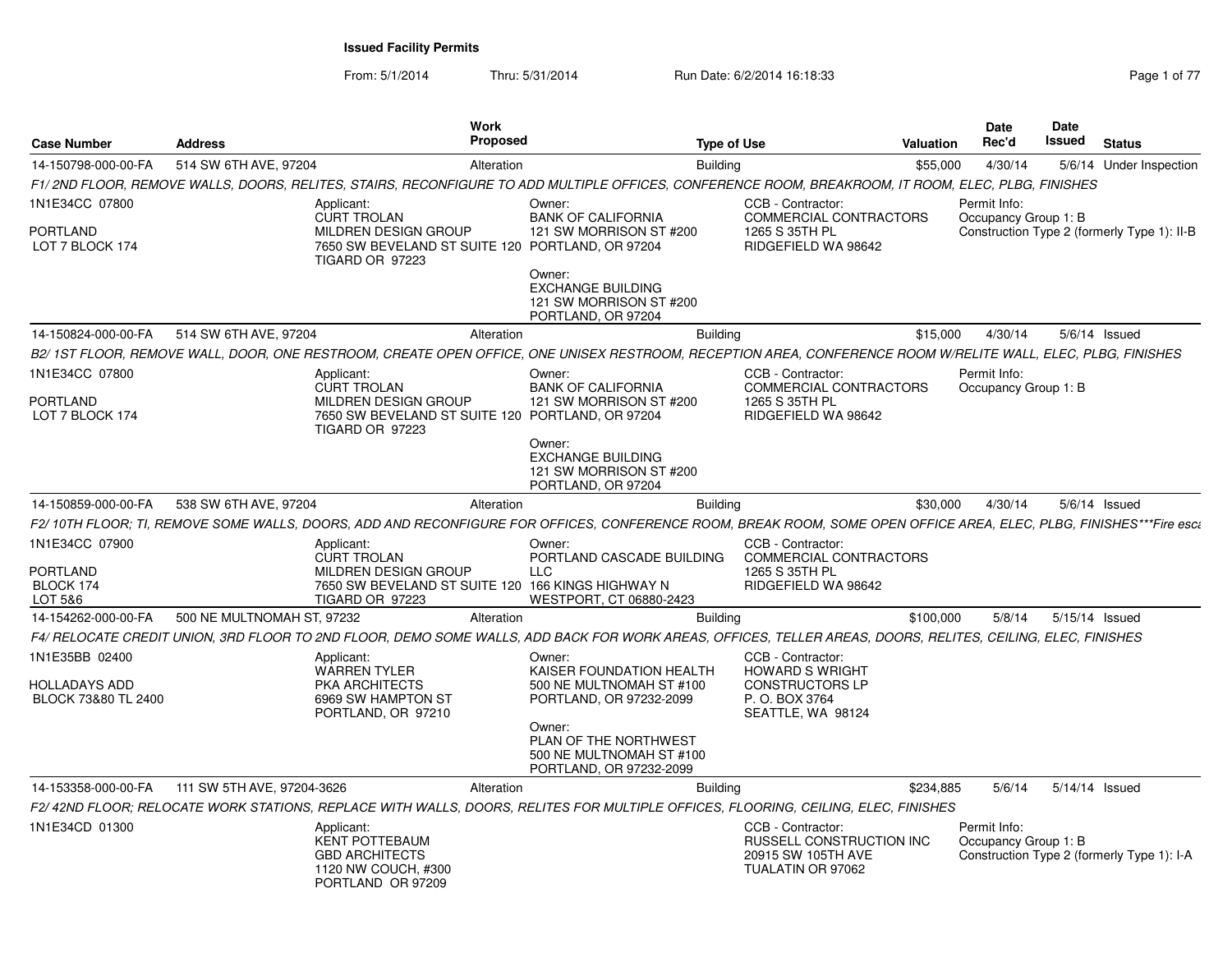From: 5/1/2014

Thru: 5/31/2014 Run Date: 6/2/2014 16:18:33 Rage 1 of 77

| <b>Case Number</b>                                            | <b>Address</b>             | Work<br>Proposed                                                                                                                                                   |                                                                                           | <b>Type of Use</b>                                                                                           | <b>Valuation</b> | <b>Date</b><br>Rec'd                 | Date<br>Issued | <b>Status</b>                               |
|---------------------------------------------------------------|----------------------------|--------------------------------------------------------------------------------------------------------------------------------------------------------------------|-------------------------------------------------------------------------------------------|--------------------------------------------------------------------------------------------------------------|------------------|--------------------------------------|----------------|---------------------------------------------|
| 14-150798-000-00-FA                                           | 514 SW 6TH AVE, 97204      | Alteration                                                                                                                                                         |                                                                                           | <b>Building</b>                                                                                              | \$55,000         | 4/30/14                              |                | 5/6/14 Under Inspection                     |
|                                                               |                            | F1/2ND FLOOR, REMOVE WALLS, DOORS, RELITES, STAIRS, RECONFIGURE TO ADD MULTIPLE OFFICES, CONFERENCE ROOM, BREAKROOM, IT ROOM, ELEC, PLBG, FINISHES                 |                                                                                           |                                                                                                              |                  |                                      |                |                                             |
| 1N1E34CC 07800                                                |                            | Applicant:<br><b>CURT TROLAN</b>                                                                                                                                   | Owner:<br><b>BANK OF CALIFORNIA</b>                                                       | CCB - Contractor:<br>COMMERCIAL CONTRACTORS                                                                  |                  | Permit Info:<br>Occupancy Group 1: B |                |                                             |
| <b>PORTLAND</b><br>LOT 7 BLOCK 174                            |                            | <b>MILDREN DESIGN GROUP</b><br>7650 SW BEVELAND ST SUITE 120 PORTLAND, OR 97204<br>TIGARD OR 97223                                                                 | 121 SW MORRISON ST #200                                                                   | 1265 S 35TH PL<br>RIDGEFIELD WA 98642                                                                        |                  |                                      |                | Construction Type 2 (formerly Type 1): II-B |
|                                                               |                            |                                                                                                                                                                    | Owner:<br><b>EXCHANGE BUILDING</b><br>121 SW MORRISON ST #200<br>PORTLAND, OR 97204       |                                                                                                              |                  |                                      |                |                                             |
| 14-150824-000-00-FA                                           | 514 SW 6TH AVE, 97204      | Alteration                                                                                                                                                         |                                                                                           | <b>Building</b>                                                                                              | \$15,000         | 4/30/14                              |                | $5/6/14$ Issued                             |
|                                                               |                            | B2/1ST FLOOR, REMOVE WALL, DOOR, ONE RESTROOM, CREATE OPEN OFFICE, ONE UNISEX RESTROOM, RECEPTION AREA, CONFERENCE ROOM W/RELITE WALL, ELEC, PLBG, FINISHES        |                                                                                           |                                                                                                              |                  |                                      |                |                                             |
| 1N1E34CC 07800                                                |                            | Applicant:<br>CURT TROLAN                                                                                                                                          | Owner:<br><b>BANK OF CALIFORNIA</b>                                                       | CCB - Contractor:<br>COMMERCIAL CONTRACTORS                                                                  |                  | Permit Info:<br>Occupancy Group 1: B |                |                                             |
| <b>PORTLAND</b><br>LOT 7 BLOCK 174                            |                            | MILDREN DESIGN GROUP<br>7650 SW BEVELAND ST SUITE 120 PORTLAND, OR 97204<br>TIGARD OR 97223                                                                        | 121 SW MORRISON ST #200                                                                   | 1265 S 35TH PL<br>RIDGEFIELD WA 98642                                                                        |                  |                                      |                |                                             |
|                                                               |                            |                                                                                                                                                                    | Owner:<br><b>EXCHANGE BUILDING</b><br>121 SW MORRISON ST #200<br>PORTLAND, OR 97204       |                                                                                                              |                  |                                      |                |                                             |
| 14-150859-000-00-FA                                           | 538 SW 6TH AVE, 97204      | Alteration                                                                                                                                                         |                                                                                           | <b>Building</b>                                                                                              | \$30,000         | 4/30/14                              |                | $5/6/14$ Issued                             |
|                                                               |                            | F2/10TH FLOOR; TI, REMOVE SOME WALLS, DOORS, ADD AND RECONFIGURE FOR OFFICES, CONFERENCE ROOM, BREAK ROOM, SOME OPEN OFFICE AREA, ELEC, PLBG, FINISHES***Fire esca |                                                                                           |                                                                                                              |                  |                                      |                |                                             |
| 1N1E34CC 07900                                                |                            | Applicant:<br><b>CURT TROLAN</b>                                                                                                                                   | Owner:<br>PORTLAND CASCADE BUILDING                                                       | CCB - Contractor:<br><b>COMMERCIAL CONTRACTORS</b>                                                           |                  |                                      |                |                                             |
| <b>PORTLAND</b><br>BLOCK 174<br>LOT 5&6                       |                            | MILDREN DESIGN GROUP<br>7650 SW BEVELAND ST SUITE 120 166 KINGS HIGHWAY N<br>TIGARD OR 97223                                                                       | LLC<br>WESTPORT, CT 06880-2423                                                            | 1265 S 35TH PL<br>RIDGEFIELD WA 98642                                                                        |                  |                                      |                |                                             |
| 14-154262-000-00-FA                                           | 500 NE MULTNOMAH ST, 97232 |                                                                                                                                                                    |                                                                                           |                                                                                                              |                  | 5/8/14                               |                |                                             |
|                                                               |                            | Alteration                                                                                                                                                         |                                                                                           | <b>Building</b>                                                                                              | \$100,000        |                                      |                | 5/15/14 Issued                              |
|                                                               |                            | F4/ RELOCATE CREDIT UNION, 3RD FLOOR TO 2ND FLOOR, DEMO SOME WALLS, ADD BACK FOR WORK AREAS, OFFICES, TELLER AREAS, DOORS, RELITES, CEILING, ELEC, FINISHES        |                                                                                           |                                                                                                              |                  |                                      |                |                                             |
| 1N1E35BB 02400<br><b>HOLLADAYS ADD</b><br>BLOCK 73&80 TL 2400 |                            | Applicant:<br><b>WARREN TYLER</b><br>PKA ARCHITECTS<br>6969 SW HAMPTON ST<br>PORTLAND, OR 97210                                                                    | Owner:<br>KAISER FOUNDATION HEALTH<br>500 NE MULTNOMAH ST #100<br>PORTLAND, OR 97232-2099 | CCB - Contractor:<br><b>HOWARD S WRIGHT</b><br><b>CONSTRUCTORS LP</b><br>P. O. BOX 3764<br>SEATTLE, WA 98124 |                  |                                      |                |                                             |
|                                                               |                            |                                                                                                                                                                    | Owner:<br>PLAN OF THE NORTHWEST<br>500 NE MULTNOMAH ST #100<br>PORTLAND, OR 97232-2099    |                                                                                                              |                  |                                      |                |                                             |
| 14-153358-000-00-FA                                           | 111 SW 5TH AVE, 97204-3626 | Alteration                                                                                                                                                         |                                                                                           | <b>Building</b>                                                                                              | \$234.885        | 5/6/14                               |                | 5/14/14 Issued                              |
|                                                               |                            | F2/42ND FLOOR; RELOCATE WORK STATIONS, REPLACE WITH WALLS, DOORS, RELITES FOR MULTIPLE OFFICES, FLOORING, CEILING, ELEC, FINISHES                                  |                                                                                           |                                                                                                              |                  |                                      |                |                                             |
| 1N1E34CD 01300                                                |                            | Applicant:<br><b>KENT POTTEBAUM</b><br><b>GBD ARCHITECTS</b><br>1120 NW COUCH, #300<br>PORTLAND OR 97209                                                           |                                                                                           | CCB - Contractor:<br><b>RUSSELL CONSTRUCTION INC.</b><br>20915 SW 105TH AVE<br>TUALATIN OR 97062             |                  | Permit Info:<br>Occupancy Group 1: B |                | Construction Type 2 (formerly Type 1): I-A  |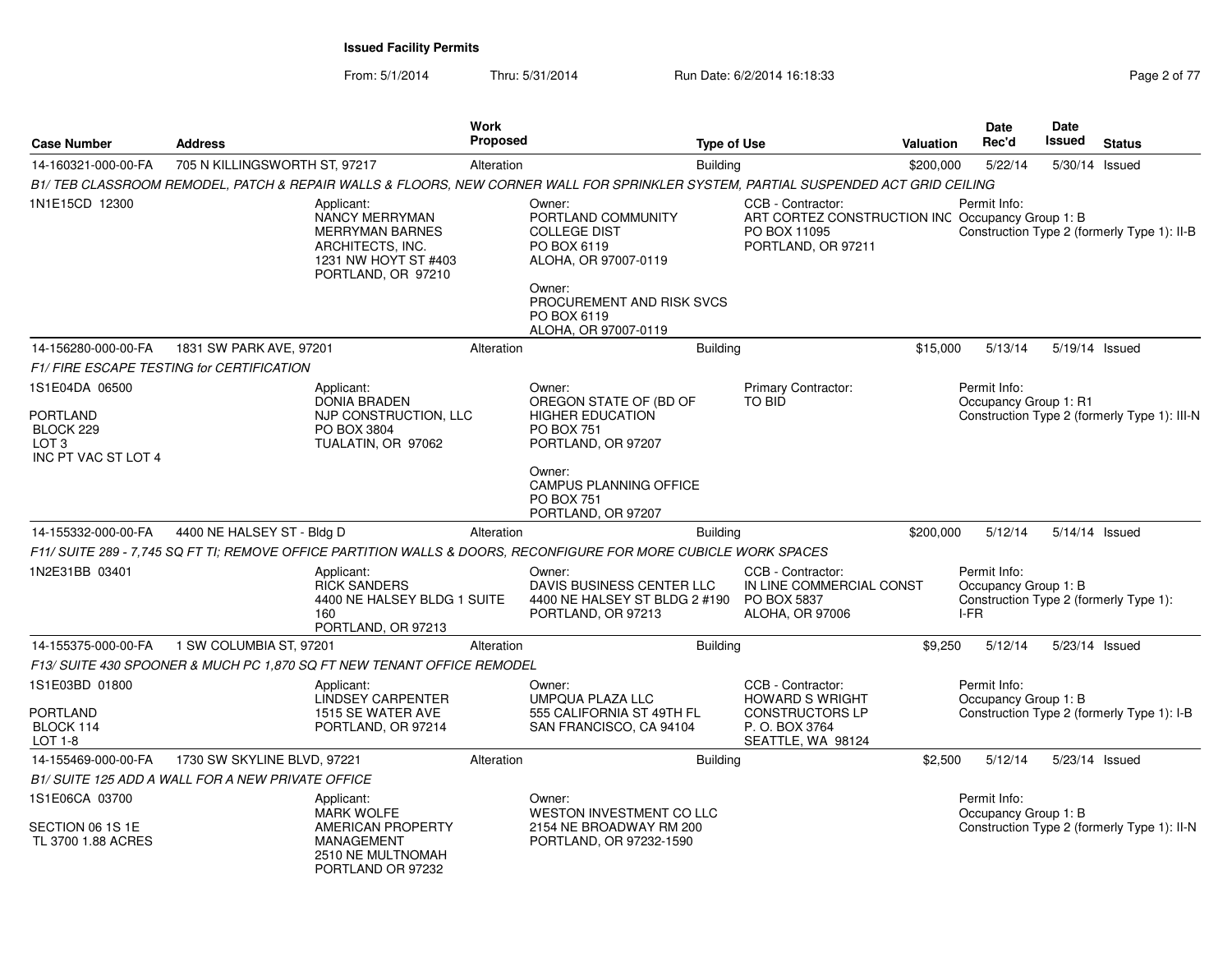From: 5/1/2014Thru: 5/31/2014 Run Date: 6/2/2014 16:18:33 Rage 2 of 77

| 5/22/14<br>\$200,000<br>5/30/14 Issued<br>B1/TEB CLASSROOM REMODEL, PATCH & REPAIR WALLS & FLOORS, NEW CORNER WALL FOR SPRINKLER SYSTEM, PARTIAL SUSPENDED ACT GRID CEILING<br>CCB - Contractor:<br>Permit Info:<br>ART CORTEZ CONSTRUCTION INC Occupancy Group 1: B<br>PO BOX 11095<br>Construction Type 2 (formerly Type 1): II-B<br>PORTLAND, OR 97211<br>\$15,000<br>5/13/14<br>5/19/14 Issued<br>Primary Contractor:<br>Permit Info:<br>Occupancy Group 1: R1 |
|--------------------------------------------------------------------------------------------------------------------------------------------------------------------------------------------------------------------------------------------------------------------------------------------------------------------------------------------------------------------------------------------------------------------------------------------------------------------|
|                                                                                                                                                                                                                                                                                                                                                                                                                                                                    |
|                                                                                                                                                                                                                                                                                                                                                                                                                                                                    |
|                                                                                                                                                                                                                                                                                                                                                                                                                                                                    |
|                                                                                                                                                                                                                                                                                                                                                                                                                                                                    |
|                                                                                                                                                                                                                                                                                                                                                                                                                                                                    |
|                                                                                                                                                                                                                                                                                                                                                                                                                                                                    |
| Construction Type 2 (formerly Type 1): III-N                                                                                                                                                                                                                                                                                                                                                                                                                       |
|                                                                                                                                                                                                                                                                                                                                                                                                                                                                    |
| \$200,000<br>5/12/14<br>5/14/14 Issued                                                                                                                                                                                                                                                                                                                                                                                                                             |
| F11/ SUITE 289 - 7.745 SQ FT TI: REMOVE OFFICE PARTITION WALLS & DOORS. RECONFIGURE FOR MORE CUBICLE WORK SPACES                                                                                                                                                                                                                                                                                                                                                   |
| CCB - Contractor:<br>Permit Info:<br>IN LINE COMMERCIAL CONST<br>Occupancy Group 1: B<br>Construction Type 2 (formerly Type 1):<br>PO BOX 5837<br>I-FR<br>ALOHA, OR 97006                                                                                                                                                                                                                                                                                          |
| \$9,250<br>5/12/14<br>5/23/14 Issued                                                                                                                                                                                                                                                                                                                                                                                                                               |
|                                                                                                                                                                                                                                                                                                                                                                                                                                                                    |
| CCB - Contractor:<br>Permit Info:<br><b>HOWARD S WRIGHT</b><br>Occupancy Group 1: B                                                                                                                                                                                                                                                                                                                                                                                |
| <b>CONSTRUCTORS LP</b><br>Construction Type 2 (formerly Type 1): I-B<br>P.O. BOX 3764<br>SEATTLE, WA 98124                                                                                                                                                                                                                                                                                                                                                         |
| \$2,500<br>5/12/14<br>5/23/14 Issued                                                                                                                                                                                                                                                                                                                                                                                                                               |
|                                                                                                                                                                                                                                                                                                                                                                                                                                                                    |
| Permit Info:<br>Occupancy Group 1: B<br>Construction Type 2 (formerly Type 1): II-N                                                                                                                                                                                                                                                                                                                                                                                |
|                                                                                                                                                                                                                                                                                                                                                                                                                                                                    |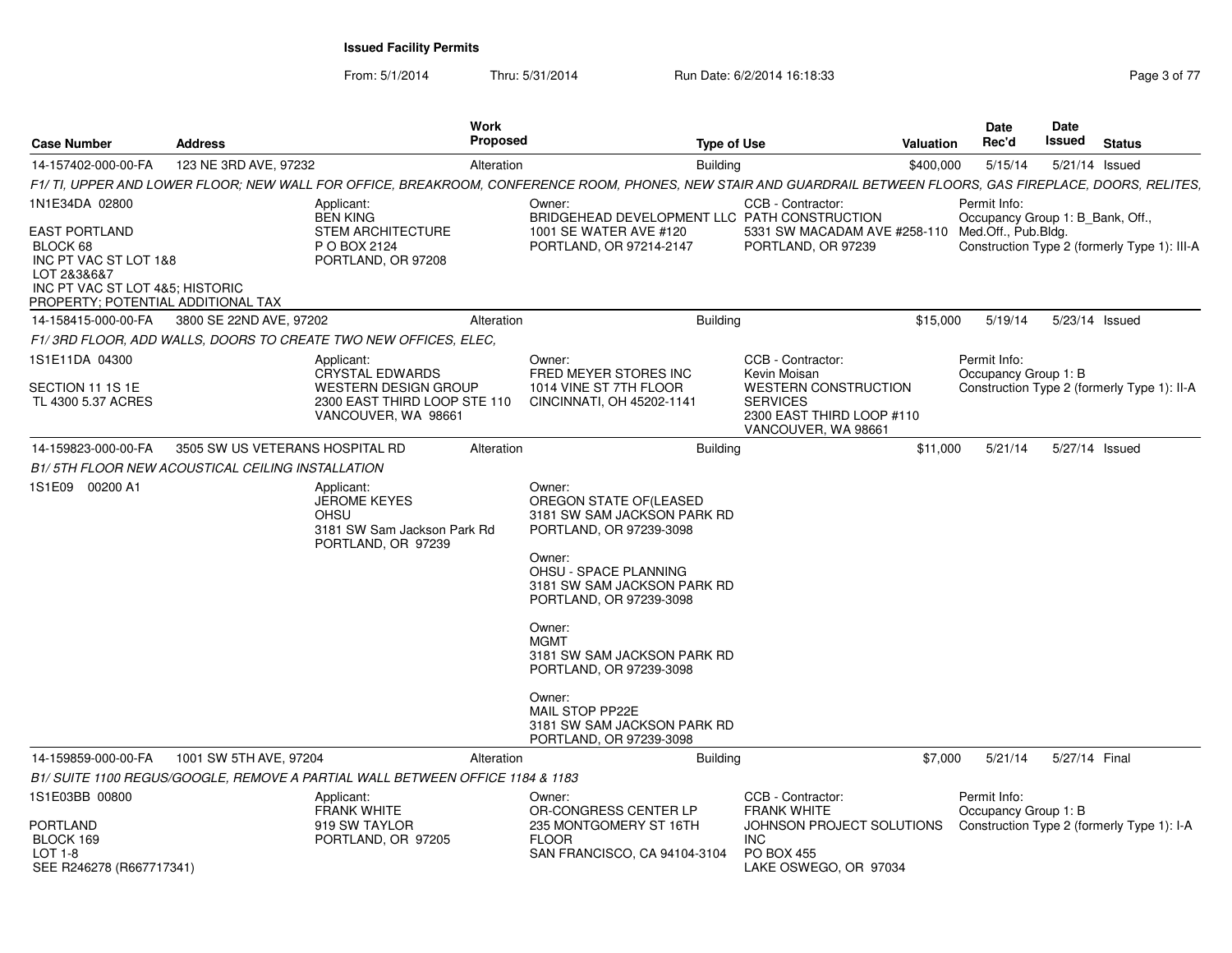From: 5/1/2014Thru: 5/31/2014 Run Date: 6/2/2014 16:18:33 Rage 3 of 77

| <b>Case Number</b>                                                                                                                                | <b>Address</b>                  | <b>Work</b><br><b>Proposed</b>                                                                        |                                                                                                                                                                | <b>Type of Use</b>                                                                  | <b>Valuation</b> | <b>Date</b><br>Rec'd                             | Date<br>Issued | <b>Status</b>                                |
|---------------------------------------------------------------------------------------------------------------------------------------------------|---------------------------------|-------------------------------------------------------------------------------------------------------|----------------------------------------------------------------------------------------------------------------------------------------------------------------|-------------------------------------------------------------------------------------|------------------|--------------------------------------------------|----------------|----------------------------------------------|
| 14-157402-000-00-FA                                                                                                                               | 123 NE 3RD AVE, 97232           | Alteration                                                                                            | <b>Building</b>                                                                                                                                                |                                                                                     | \$400,000        | 5/15/14                                          |                | 5/21/14 Issued                               |
|                                                                                                                                                   |                                 |                                                                                                       | F1/ TI, UPPER AND LOWER FLOOR; NEW WALL FOR OFFICE, BREAKROOM, CONFERENCE ROOM, PHONES, NEW STAIR AND GUARDRAIL BETWEEN FLOORS, GAS FIREPLACE, DOORS, RELITES, |                                                                                     |                  |                                                  |                |                                              |
| 1N1E34DA 02800                                                                                                                                    |                                 | Applicant:<br><b>BEN KING</b>                                                                         | Owner:<br>BRIDGEHEAD DEVELOPMENT LLC PATH CONSTRUCTION                                                                                                         | CCB - Contractor:                                                                   |                  | Permit Info:<br>Occupancy Group 1: B_Bank, Off., |                |                                              |
| <b>EAST PORTLAND</b><br>BLOCK 68<br>INC PT VAC ST LOT 1&8<br>LOT 2&3&6&7<br>INC PT VAC ST LOT 4&5; HISTORIC<br>PROPERTY; POTENTIAL ADDITIONAL TAX |                                 | <b>STEM ARCHITECTURE</b><br>P O BOX 2124<br>PORTLAND, OR 97208                                        | 1001 SE WATER AVE #120<br>PORTLAND, OR 97214-2147                                                                                                              | 5331 SW MACADAM AVE #258-110 Med.Off., Pub.Bldg.<br>PORTLAND, OR 97239              |                  |                                                  |                | Construction Type 2 (formerly Type 1): III-A |
| 14-158415-000-00-FA                                                                                                                               | 3800 SE 22ND AVE, 97202         | Alteration                                                                                            | <b>Building</b>                                                                                                                                                |                                                                                     | \$15,000         | 5/19/14                                          |                | 5/23/14 Issued                               |
|                                                                                                                                                   |                                 | F1/3RD FLOOR, ADD WALLS, DOORS TO CREATE TWO NEW OFFICES, ELEC,                                       |                                                                                                                                                                |                                                                                     |                  |                                                  |                |                                              |
| 1S1E11DA 04300<br>SECTION 11 1S 1E<br>TL 4300 5.37 ACRES                                                                                          |                                 | Applicant:<br>CRYSTAL EDWARDS<br>WESTERN DESIGN GROUP<br>2300 EAST THIRD LOOP STE 110                 | Owner:<br>FRED MEYER STORES INC<br>1014 VINE ST 7TH FLOOR<br>CINCINNATI, OH 45202-1141                                                                         | CCB - Contractor:<br>Kevin Moisan<br><b>WESTERN CONSTRUCTION</b><br><b>SERVICES</b> |                  | Permit Info:<br>Occupancy Group 1: B             |                | Construction Type 2 (formerly Type 1): II-A  |
|                                                                                                                                                   |                                 | VANCOUVER, WA 98661                                                                                   |                                                                                                                                                                | 2300 EAST THIRD LOOP #110<br>VANCOUVER, WA 98661                                    |                  |                                                  |                |                                              |
| 14-159823-000-00-FA                                                                                                                               | 3505 SW US VETERANS HOSPITAL RD | Alteration                                                                                            | <b>Building</b>                                                                                                                                                |                                                                                     | \$11,000         | 5/21/14                                          |                | 5/27/14 Issued                               |
| B1/5TH FLOOR NEW ACOUSTICAL CEILING INSTALLATION                                                                                                  |                                 |                                                                                                       |                                                                                                                                                                |                                                                                     |                  |                                                  |                |                                              |
| 1S1E09 00200 A1                                                                                                                                   |                                 | Applicant:<br><b>JEROME KEYES</b><br><b>OHSU</b><br>3181 SW Sam Jackson Park Rd<br>PORTLAND, OR 97239 | Owner:<br>OREGON STATE OF (LEASED<br>3181 SW SAM JACKSON PARK RD<br>PORTLAND, OR 97239-3098                                                                    |                                                                                     |                  |                                                  |                |                                              |
|                                                                                                                                                   |                                 |                                                                                                       | Owner:<br>OHSU - SPACE PLANNING<br>3181 SW SAM JACKSON PARK RD<br>PORTLAND, OR 97239-3098                                                                      |                                                                                     |                  |                                                  |                |                                              |
|                                                                                                                                                   |                                 |                                                                                                       | Owner:<br><b>MGMT</b><br>3181 SW SAM JACKSON PARK RD<br>PORTLAND, OR 97239-3098                                                                                |                                                                                     |                  |                                                  |                |                                              |
|                                                                                                                                                   |                                 |                                                                                                       | Owner:<br>MAIL STOP PP22E<br>3181 SW SAM JACKSON PARK RD<br>PORTLAND, OR 97239-3098                                                                            |                                                                                     |                  |                                                  |                |                                              |
| 14-159859-000-00-FA                                                                                                                               | 1001 SW 5TH AVE, 97204          | Alteration                                                                                            | <b>Building</b>                                                                                                                                                |                                                                                     | \$7,000          | 5/21/14                                          | 5/27/14 Final  |                                              |
|                                                                                                                                                   |                                 | B1/ SUITE 1100 REGUS/GOOGLE, REMOVE A PARTIAL WALL BETWEEN OFFICE 1184 & 1183                         |                                                                                                                                                                |                                                                                     |                  |                                                  |                |                                              |
| 1S1E03BB 00800                                                                                                                                    |                                 | Applicant:<br><b>FRANK WHITE</b>                                                                      | Owner:<br>OR-CONGRESS CENTER LP                                                                                                                                | CCB - Contractor:<br><b>FRANK WHITE</b>                                             |                  | Permit Info:<br>Occupancy Group 1: B             |                |                                              |
| <b>PORTLAND</b><br>BLOCK 169<br>LOT 1-8                                                                                                           |                                 | 919 SW TAYLOR<br>PORTLAND, OR 97205                                                                   | 235 MONTGOMERY ST 16TH<br><b>FLOOR</b><br>SAN FRANCISCO, CA 94104-3104                                                                                         | JOHNSON PROJECT SOLUTIONS<br><b>INC</b><br><b>PO BOX 455</b>                        |                  |                                                  |                | Construction Type 2 (formerly Type 1): I-A   |
| SEE R246278 (R667717341)                                                                                                                          |                                 |                                                                                                       |                                                                                                                                                                | LAKE OSWEGO, OR 97034                                                               |                  |                                                  |                |                                              |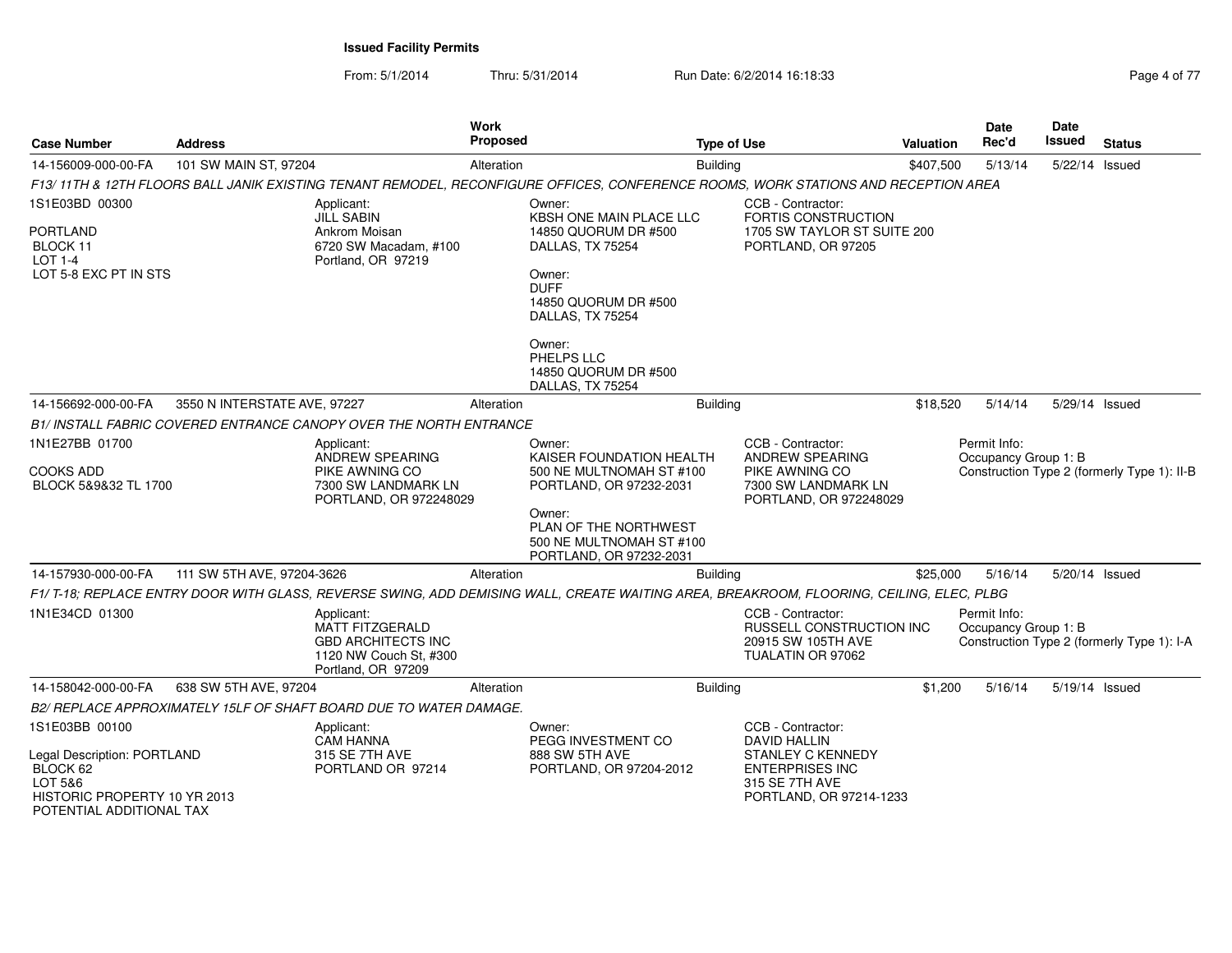From: 5/1/2014

Thru: 5/31/2014 Run Date: 6/2/2014 16:18:33 Rage 4 of 77

| <b>Case Number</b>                                                                                             | <b>Address</b>               |                                                                                                                   | Work<br><b>Proposed</b> |                                                                                                                                                                                                                        | <b>Type of Use</b> |                                                                                                      | Valuation | <b>Date</b><br>Rec'd                 | <b>Date</b><br>Issued | <b>Status</b>                               |
|----------------------------------------------------------------------------------------------------------------|------------------------------|-------------------------------------------------------------------------------------------------------------------|-------------------------|------------------------------------------------------------------------------------------------------------------------------------------------------------------------------------------------------------------------|--------------------|------------------------------------------------------------------------------------------------------|-----------|--------------------------------------|-----------------------|---------------------------------------------|
| 14-156009-000-00-FA                                                                                            | 101 SW MAIN ST, 97204        |                                                                                                                   | Alteration              |                                                                                                                                                                                                                        | <b>Building</b>    |                                                                                                      | \$407,500 | 5/13/14                              | 5/22/14 Issued        |                                             |
|                                                                                                                |                              |                                                                                                                   |                         | F13/11TH & 12TH FLOORS BALL JANIK EXISTING TENANT REMODEL, RECONFIGURE OFFICES, CONFERENCE ROOMS, WORK STATIONS AND RECEPTION AREA                                                                                     |                    |                                                                                                      |           |                                      |                       |                                             |
| 1S1E03BD 00300<br>PORTLAND<br>BLOCK 11<br><b>LOT 1-4</b><br>LOT 5-8 EXC PT IN STS                              |                              | Applicant:<br><b>JILL SABIN</b><br>Ankrom Moisan<br>6720 SW Macadam, #100<br>Portland, OR 97219                   |                         | Owner:<br>KBSH ONE MAIN PLACE LLC<br>14850 QUORUM DR #500<br>DALLAS, TX 75254<br>Owner:<br><b>DUFF</b><br>14850 QUORUM DR #500<br>DALLAS, TX 75254<br>Owner:<br>PHELPS LLC<br>14850 QUORUM DR #500<br>DALLAS, TX 75254 |                    | CCB - Contractor:<br><b>FORTIS CONSTRUCTION</b><br>1705 SW TAYLOR ST SUITE 200<br>PORTLAND, OR 97205 |           |                                      |                       |                                             |
| 14-156692-000-00-FA                                                                                            | 3550 N INTERSTATE AVE, 97227 |                                                                                                                   | Alteration              |                                                                                                                                                                                                                        | <b>Building</b>    |                                                                                                      | \$18,520  | 5/14/14                              | 5/29/14 Issued        |                                             |
|                                                                                                                |                              | B1/ INSTALL FABRIC COVERED ENTRANCE CANOPY OVER THE NORTH ENTRANCE                                                |                         |                                                                                                                                                                                                                        |                    |                                                                                                      |           |                                      |                       |                                             |
| 1N1E27BB 01700                                                                                                 |                              | Applicant:<br>ANDREW SPEARING                                                                                     |                         | Owner:<br>KAISER FOUNDATION HEALTH                                                                                                                                                                                     |                    | CCB - Contractor:<br>ANDREW SPEARING                                                                 |           | Permit Info:<br>Occupancy Group 1: B |                       |                                             |
| COOKS ADD<br>BLOCK 5&9&32 TL 1700                                                                              |                              | PIKE AWNING CO<br>7300 SW LANDMARK LN<br>PORTLAND, OR 972248029                                                   |                         | 500 NE MULTNOMAH ST #100<br>PORTLAND, OR 97232-2031                                                                                                                                                                    |                    | PIKE AWNING CO<br>7300 SW LANDMARK LN<br>PORTLAND, OR 972248029                                      |           |                                      |                       | Construction Type 2 (formerly Type 1): II-B |
|                                                                                                                |                              |                                                                                                                   |                         | Owner:<br>PLAN OF THE NORTHWEST<br>500 NE MULTNOMAH ST #100<br>PORTLAND, OR 97232-2031                                                                                                                                 |                    |                                                                                                      |           |                                      |                       |                                             |
| 14-157930-000-00-FA                                                                                            | 111 SW 5TH AVE, 97204-3626   |                                                                                                                   | Alteration              |                                                                                                                                                                                                                        | <b>Building</b>    |                                                                                                      | \$25,000  | 5/16/14                              | 5/20/14 Issued        |                                             |
|                                                                                                                |                              |                                                                                                                   |                         | F1/T-18; REPLACE ENTRY DOOR WITH GLASS, REVERSE SWING, ADD DEMISING WALL, CREATE WAITING AREA, BREAKROOM, FLOORING, CEILING, ELEC, PLBG                                                                                |                    |                                                                                                      |           |                                      |                       |                                             |
| 1N1E34CD 01300                                                                                                 |                              | Applicant:<br><b>MATT FITZGERALD</b><br><b>GBD ARCHITECTS INC</b><br>1120 NW Couch St. #300<br>Portland, OR 97209 |                         |                                                                                                                                                                                                                        |                    | CCB - Contractor:<br><b>RUSSELL CONSTRUCTION INC</b><br>20915 SW 105TH AVE<br>TUALATIN OR 97062      |           | Permit Info:<br>Occupancy Group 1: B |                       | Construction Type 2 (formerly Type 1): I-A  |
| 14-158042-000-00-FA                                                                                            | 638 SW 5TH AVE, 97204        |                                                                                                                   | Alteration              |                                                                                                                                                                                                                        | <b>Building</b>    |                                                                                                      | \$1,200   | 5/16/14                              | 5/19/14 Issued        |                                             |
|                                                                                                                |                              | B2/ REPLACE APPROXIMATELY 15LF OF SHAFT BOARD DUE TO WATER DAMAGE.                                                |                         |                                                                                                                                                                                                                        |                    |                                                                                                      |           |                                      |                       |                                             |
| 1S1E03BB 00100                                                                                                 |                              | Applicant:<br><b>CAM HANNA</b>                                                                                    |                         | Owner:<br>PEGG INVESTMENT CO                                                                                                                                                                                           |                    | CCB - Contractor:<br><b>DAVID HALLIN</b>                                                             |           |                                      |                       |                                             |
| Legal Description: PORTLAND<br>BLOCK 62<br>LOT 5&6<br>HISTORIC PROPERTY 10 YR 2013<br>POTENTIAL ADDITIONAL TAX |                              | 315 SE 7TH AVE<br>PORTLAND OR 97214                                                                               |                         | 888 SW 5TH AVE<br>PORTLAND, OR 97204-2012                                                                                                                                                                              |                    | <b>STANLEY C KENNEDY</b><br><b>ENTERPRISES INC</b><br>315 SE 7TH AVE<br>PORTLAND, OR 97214-1233      |           |                                      |                       |                                             |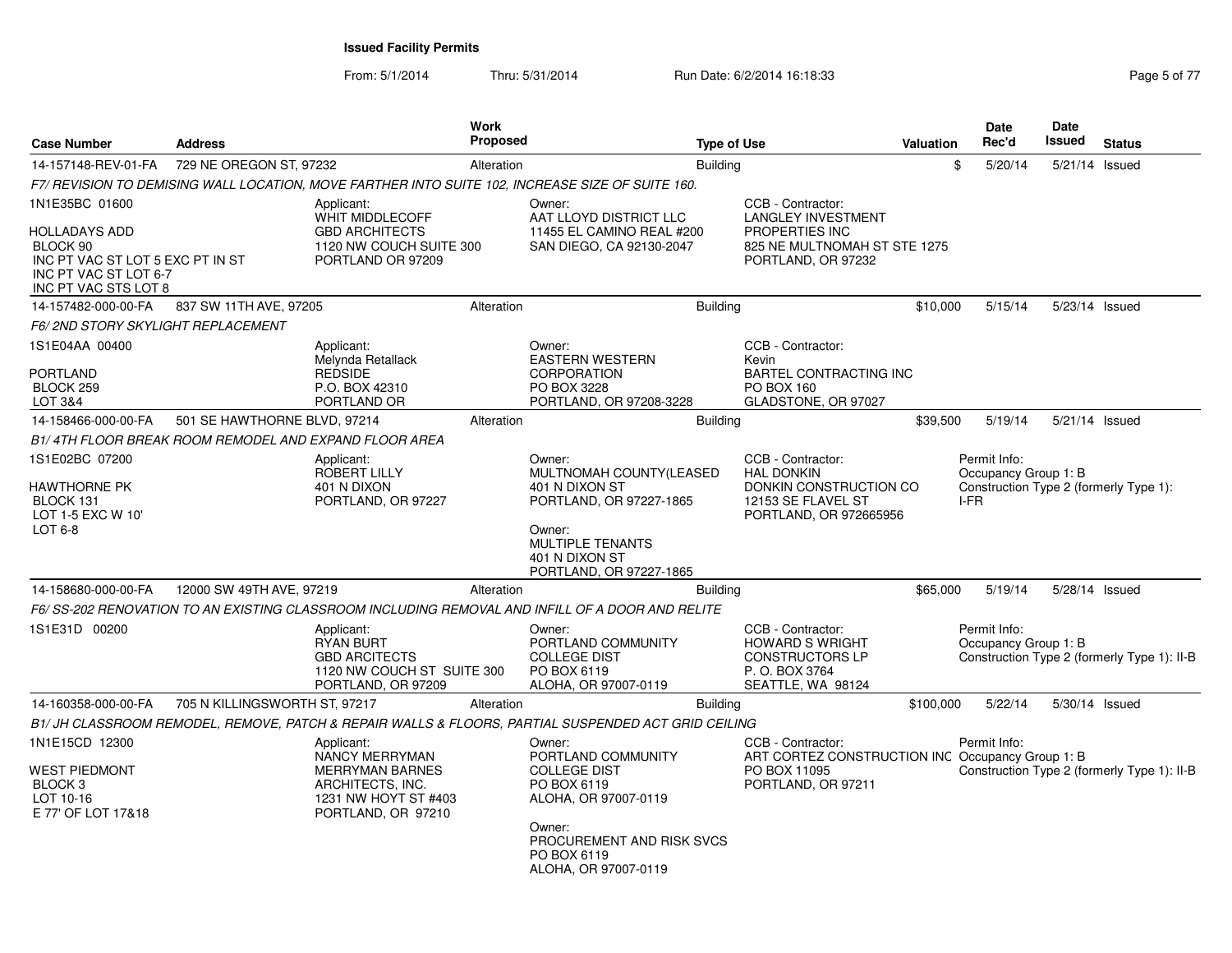From: 5/1/2014Thru: 5/31/2014 **Run Date: 6/2/2014 16:18:33** Page 5 of 77

| <b>Case Number</b>                                                                                                    | <b>Address</b>                                        |                                                                                                                          | <b>Work</b><br>Proposed |                                                                                                     | <b>Type of Use</b> |                                                                                                             | <b>Valuation</b> | <b>Date</b><br>Rec'd                                                   | Date<br><b>Issued</b> | <b>Status</b>                               |
|-----------------------------------------------------------------------------------------------------------------------|-------------------------------------------------------|--------------------------------------------------------------------------------------------------------------------------|-------------------------|-----------------------------------------------------------------------------------------------------|--------------------|-------------------------------------------------------------------------------------------------------------|------------------|------------------------------------------------------------------------|-----------------------|---------------------------------------------|
| 14-157148-REV-01-FA                                                                                                   | 729 NE OREGON ST, 97232                               |                                                                                                                          | Alteration              |                                                                                                     | <b>Building</b>    |                                                                                                             |                  | \$<br>5/20/14                                                          | 5/21/14 Issued        |                                             |
|                                                                                                                       |                                                       |                                                                                                                          |                         | F7/ REVISION TO DEMISING WALL LOCATION, MOVE FARTHER INTO SUITE 102, INCREASE SIZE OF SUITE 160.    |                    |                                                                                                             |                  |                                                                        |                       |                                             |
| 1N1E35BC 01600                                                                                                        |                                                       | Applicant:<br>WHIT MIDDLECOFF                                                                                            |                         | Owner:<br>AAT LLOYD DISTRICT LLC                                                                    |                    | CCB - Contractor:<br><b>LANGLEY INVESTMENT</b>                                                              |                  |                                                                        |                       |                                             |
| <b>HOLLADAYS ADD</b><br>BLOCK 90<br>INC PT VAC ST LOT 5 EXC PT IN ST<br>INC PT VAC ST LOT 6-7<br>INC PT VAC STS LOT 8 |                                                       | <b>GBD ARCHITECTS</b><br>1120 NW COUCH SUITE 300<br>PORTLAND OR 97209                                                    |                         | 11455 EL CAMINO REAL #200<br>SAN DIEGO, CA 92130-2047                                               |                    | PROPERTIES INC<br>825 NE MULTNOMAH ST STE 1275<br>PORTLAND, OR 97232                                        |                  |                                                                        |                       |                                             |
| 14-157482-000-00-FA                                                                                                   | 837 SW 11TH AVE, 97205                                |                                                                                                                          | Alteration              |                                                                                                     | <b>Building</b>    |                                                                                                             | \$10,000         | 5/15/14                                                                | 5/23/14 Issued        |                                             |
| <b>F6/2ND STORY SKYLIGHT REPLACEMENT</b>                                                                              |                                                       |                                                                                                                          |                         |                                                                                                     |                    |                                                                                                             |                  |                                                                        |                       |                                             |
| 1S1E04AA 00400<br>PORTLAND<br>BLOCK 259                                                                               |                                                       | Applicant:<br>Melynda Retallack<br><b>REDSIDE</b><br>P.O. BOX 42310                                                      |                         | Owner:<br><b>EASTERN WESTERN</b><br><b>CORPORATION</b><br>PO BOX 3228                               |                    | CCB - Contractor:<br>Kevin<br><b>BARTEL CONTRACTING INC</b><br><b>PO BOX 160</b>                            |                  |                                                                        |                       |                                             |
| LOT 3&4                                                                                                               |                                                       | PORTLAND OR                                                                                                              |                         | PORTLAND, OR 97208-3228                                                                             |                    | GLADSTONE, OR 97027                                                                                         |                  |                                                                        |                       |                                             |
| 14-158466-000-00-FA                                                                                                   | 501 SE HAWTHORNE BLVD, 97214                          |                                                                                                                          | Alteration              |                                                                                                     | <b>Building</b>    |                                                                                                             | \$39,500         | 5/19/14                                                                | 5/21/14 Issued        |                                             |
|                                                                                                                       | B1/4TH FLOOR BREAK ROOM REMODEL AND EXPAND FLOOR AREA |                                                                                                                          |                         |                                                                                                     |                    |                                                                                                             |                  |                                                                        |                       |                                             |
| 1S1E02BC 07200                                                                                                        |                                                       | Applicant:                                                                                                               |                         | Owner:                                                                                              |                    | CCB - Contractor:                                                                                           |                  | Permit Info:                                                           |                       |                                             |
| <b>HAWTHORNE PK</b><br>BLOCK 131<br>LOT 1-5 EXC W 10'<br>LOT 6-8                                                      |                                                       | <b>ROBERT LILLY</b><br>401 N DIXON<br>PORTLAND, OR 97227                                                                 |                         | MULTNOMAH COUNTY(LEASED<br>401 N DIXON ST<br>PORTLAND, OR 97227-1865<br>Owner:                      |                    | <b>HAL DONKIN</b><br>DONKIN CONSTRUCTION CO<br>12153 SE FLAVEL ST<br>PORTLAND, OR 972665956                 |                  | Occupancy Group 1: B<br>Construction Type 2 (formerly Type 1):<br>I-FR |                       |                                             |
|                                                                                                                       |                                                       |                                                                                                                          |                         | <b>MULTIPLE TENANTS</b><br>401 N DIXON ST<br>PORTLAND, OR 97227-1865                                |                    |                                                                                                             |                  |                                                                        |                       |                                             |
| 14-158680-000-00-FA                                                                                                   | 12000 SW 49TH AVE, 97219                              |                                                                                                                          | Alteration              |                                                                                                     | <b>Building</b>    |                                                                                                             | \$65,000         | 5/19/14                                                                | 5/28/14 Issued        |                                             |
|                                                                                                                       |                                                       |                                                                                                                          |                         | F6/ SS-202 RENOVATION TO AN EXISTING CLASSROOM INCLUDING REMOVAL AND INFILL OF A DOOR AND RELITE    |                    |                                                                                                             |                  |                                                                        |                       |                                             |
| 1S1E31D 00200                                                                                                         |                                                       | Applicant:<br><b>RYAN BURT</b><br><b>GBD ARCITECTS</b><br>1120 NW COUCH ST SUITE 300<br>PORTLAND, OR 97209               |                         | Owner:<br>PORTLAND COMMUNITY<br><b>COLLEGE DIST</b><br>PO BOX 6119<br>ALOHA, OR 97007-0119          |                    | CCB - Contractor:<br><b>HOWARD S WRIGHT</b><br><b>CONSTRUCTORS LP</b><br>P.O. BOX 3764<br>SEATTLE, WA 98124 |                  | Permit Info:<br>Occupancy Group 1: B                                   |                       | Construction Type 2 (formerly Type 1): II-B |
| 14-160358-000-00-FA                                                                                                   | 705 N KILLINGSWORTH ST, 97217                         |                                                                                                                          | Alteration              |                                                                                                     | <b>Building</b>    |                                                                                                             | \$100,000        | 5/22/14                                                                | 5/30/14 Issued        |                                             |
|                                                                                                                       |                                                       |                                                                                                                          |                         | B1/ JH CLASSROOM REMODEL, REMOVE, PATCH & REPAIR WALLS & FLOORS, PARTIAL SUSPENDED ACT GRID CEILING |                    |                                                                                                             |                  |                                                                        |                       |                                             |
| 1N1E15CD 12300<br><b>WEST PIEDMONT</b><br>BLOCK <sub>3</sub><br>LOT 10-16<br>E 77' OF LOT 17&18                       |                                                       | Applicant:<br>NANCY MERRYMAN<br><b>MERRYMAN BARNES</b><br>ARCHITECTS, INC.<br>1231 NW HOYT ST #403<br>PORTLAND, OR 97210 |                         | Owner:<br>PORTLAND COMMUNITY<br><b>COLLEGE DIST</b><br>PO BOX 6119<br>ALOHA, OR 97007-0119          |                    | CCB - Contractor:<br>ART CORTEZ CONSTRUCTION INC Occupancy Group 1: B<br>PO BOX 11095<br>PORTLAND, OR 97211 |                  | Permit Info:                                                           |                       | Construction Type 2 (formerly Type 1): II-B |
|                                                                                                                       |                                                       |                                                                                                                          |                         | Owner:<br>PROCUREMENT AND RISK SVCS<br>PO BOX 6119<br>ALOHA, OR 97007-0119                          |                    |                                                                                                             |                  |                                                                        |                       |                                             |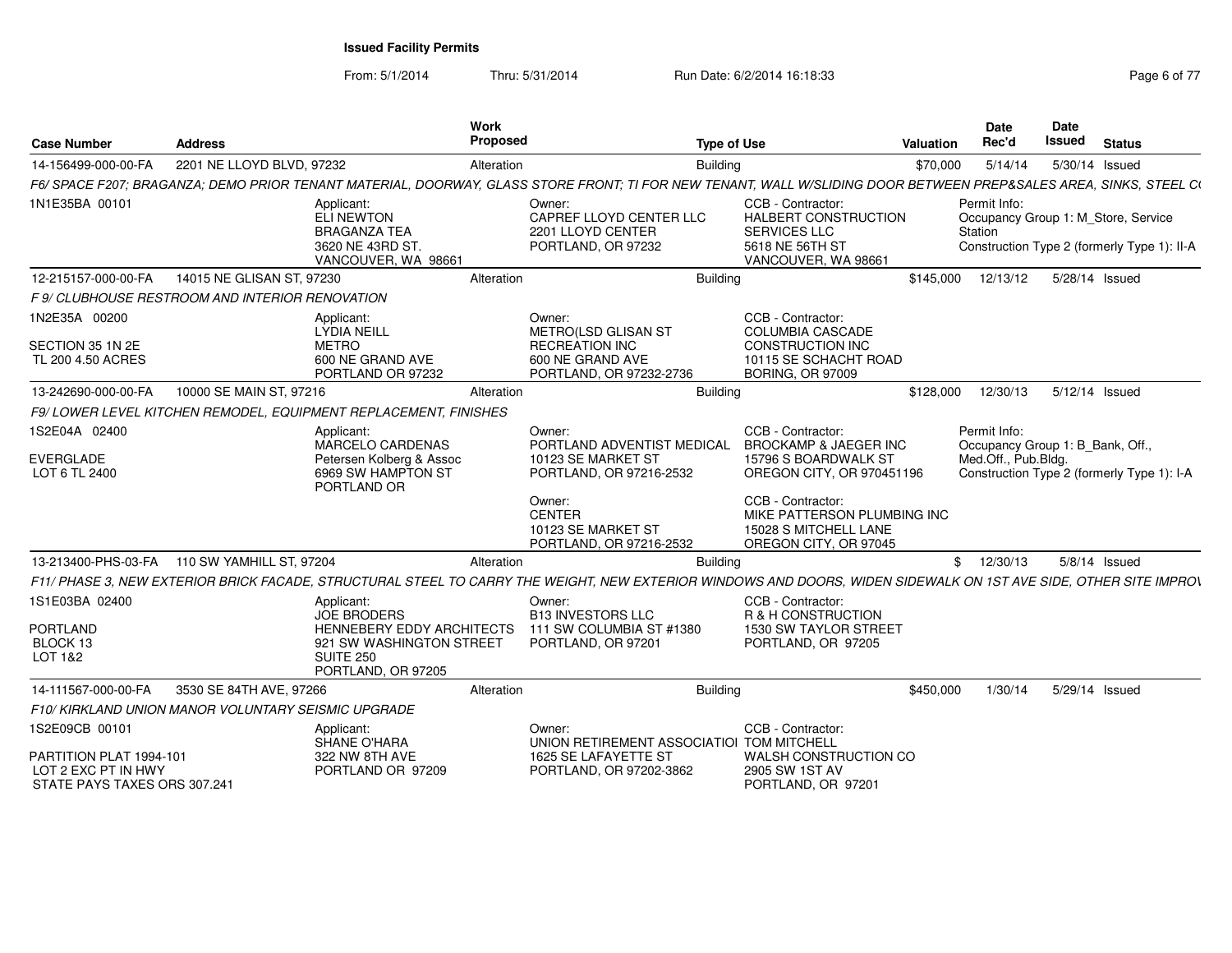From: 5/1/2014

Thru: 5/31/2014 Run Date: 6/2/2014 16:18:33 Rage 6 of 77

| <b>Case Number</b>                                                             | <b>Address</b>                                                                                                                                                    | Work<br><b>Proposed</b>                                                      | <b>Type of Use</b>                                                                                                | Valuation | <b>Date</b><br>Rec'd                             | <b>Date</b><br>Issued | <b>Status</b>                                                                      |
|--------------------------------------------------------------------------------|-------------------------------------------------------------------------------------------------------------------------------------------------------------------|------------------------------------------------------------------------------|-------------------------------------------------------------------------------------------------------------------|-----------|--------------------------------------------------|-----------------------|------------------------------------------------------------------------------------|
| 14-156499-000-00-FA                                                            | 2201 NE LLOYD BLVD, 97232                                                                                                                                         | Alteration                                                                   | <b>Building</b>                                                                                                   | \$70,000  | 5/14/14                                          |                       | 5/30/14 Issued                                                                     |
|                                                                                | F6/ SPACE F207; BRAGANZA; DEMO PRIOR TENANT MATERIAL, DOORWAY, GLASS STORE FRONT; TI FOR NEW TENANT, WALL W/SLIDING DOOR BETWEEN PREP&SALES AREA, SINKS, STEEL CI |                                                                              |                                                                                                                   |           |                                                  |                       |                                                                                    |
| 1N1E35BA 00101                                                                 | Applicant:<br>ELI NEWTON<br><b>BRAGANZA TEA</b><br>3620 NE 43RD ST.<br>VANCOUVER, WA 98661                                                                        | Owner:<br>CAPREF LLOYD CENTER LLC<br>2201 LLOYD CENTER<br>PORTLAND, OR 97232 | CCB - Contractor:<br><b>HALBERT CONSTRUCTION</b><br><b>SERVICES LLC</b><br>5618 NE 56TH ST<br>VANCOUVER, WA 98661 |           | Permit Info:<br>Station                          |                       | Occupancy Group 1: M Store, Service<br>Construction Type 2 (formerly Type 1): II-A |
| 12-215157-000-00-FA                                                            | 14015 NE GLISAN ST, 97230                                                                                                                                         | Alteration                                                                   | <b>Building</b>                                                                                                   | \$145,000 | 12/13/12                                         |                       | 5/28/14 Issued                                                                     |
|                                                                                | F 9/ CLUBHOUSE RESTROOM AND INTERIOR RENOVATION                                                                                                                   |                                                                              |                                                                                                                   |           |                                                  |                       |                                                                                    |
| 1N2E35A 00200<br>SECTION 35 1N 2E                                              | Applicant:<br><b>LYDIA NEILL</b><br>METRO                                                                                                                         | Owner:<br>METRO(LSD GLISAN ST<br><b>RECREATION INC</b>                       | CCB - Contractor:<br><b>COLUMBIA CASCADE</b><br><b>CONSTRUCTION INC</b>                                           |           |                                                  |                       |                                                                                    |
| TL 200 4.50 ACRES                                                              | 600 NE GRAND AVE<br>PORTLAND OR 97232                                                                                                                             | 600 NE GRAND AVE<br>PORTLAND, OR 97232-2736                                  | 10115 SE SCHACHT ROAD<br><b>BORING, OR 97009</b>                                                                  |           |                                                  |                       |                                                                                    |
| 13-242690-000-00-FA                                                            | 10000 SE MAIN ST, 97216                                                                                                                                           | Alteration                                                                   | <b>Building</b>                                                                                                   | \$128,000 | 12/30/13                                         |                       | 5/12/14 Issued                                                                     |
|                                                                                | F9/LOWER LEVEL KITCHEN REMODEL, EQUIPMENT REPLACEMENT, FINISHES                                                                                                   |                                                                              |                                                                                                                   |           |                                                  |                       |                                                                                    |
| 1S2E04A 02400                                                                  | Applicant:<br><b>MARCELO CARDENAS</b>                                                                                                                             | Owner:<br>PORTLAND ADVENTIST MEDICAL                                         | CCB - Contractor:<br><b>BROCKAMP &amp; JAEGER INC</b>                                                             |           | Permit Info:<br>Occupancy Group 1: B_Bank, Off., |                       |                                                                                    |
| <b>EVERGLADE</b><br>LOT 6 TL 2400                                              | Petersen Kolberg & Assoc<br>6969 SW HAMPTON ST<br>PORTLAND OR                                                                                                     | 10123 SE MARKET ST<br>PORTLAND, OR 97216-2532                                | 15796 S BOARDWALK ST<br>OREGON CITY, OR 970451196                                                                 |           | Med.Off., Pub.Bldg.                              |                       | Construction Type 2 (formerly Type 1): I-A                                         |
|                                                                                |                                                                                                                                                                   | Owner:<br><b>CENTER</b><br>10123 SE MARKET ST<br>PORTLAND, OR 97216-2532     | CCB - Contractor:<br>MIKE PATTERSON PLUMBING INC<br>15028 S MITCHELL LANE<br>OREGON CITY, OR 97045                |           |                                                  |                       |                                                                                    |
| 13-213400-PHS-03-FA                                                            | 110 SW YAMHILL ST, 97204                                                                                                                                          | Alteration                                                                   | <b>Building</b>                                                                                                   |           | \$12/30/13                                       |                       | 5/8/14 Issued                                                                      |
|                                                                                | F11/ PHASE 3, NEW EXTERIOR BRICK FACADE, STRUCTURAL STEEL TO CARRY THE WEIGHT, NEW EXTERIOR WINDOWS AND DOORS, WIDEN SIDEWALK ON 1ST AVE SIDE, OTHER SITE IMPROV  |                                                                              |                                                                                                                   |           |                                                  |                       |                                                                                    |
| 1S1E03BA 02400                                                                 | Applicant:<br><b>JOE BRODERS</b>                                                                                                                                  | Owner:<br><b>B13 INVESTORS LLC</b>                                           | CCB - Contractor:<br>R & H CONSTRUCTION                                                                           |           |                                                  |                       |                                                                                    |
| <b>PORTLAND</b><br>BLOCK 13<br><b>LOT 1&amp;2</b>                              | <b>HENNEBERY EDDY ARCHITECTS</b><br>921 SW WASHINGTON STREET<br><b>SUITE 250</b><br>PORTLAND, OR 97205                                                            | 111 SW COLUMBIA ST #1380<br>PORTLAND, OR 97201                               | 1530 SW TAYLOR STREET<br>PORTLAND, OR 97205                                                                       |           |                                                  |                       |                                                                                    |
| 14-111567-000-00-FA                                                            | 3530 SE 84TH AVE, 97266                                                                                                                                           | Alteration                                                                   | <b>Building</b>                                                                                                   | \$450,000 | 1/30/14                                          |                       | 5/29/14 Issued                                                                     |
|                                                                                | F10/ KIRKLAND UNION MANOR VOLUNTARY SEISMIC UPGRADE                                                                                                               |                                                                              |                                                                                                                   |           |                                                  |                       |                                                                                    |
| 1S2E09CB 00101                                                                 | Applicant:<br><b>SHANE O'HARA</b>                                                                                                                                 | Owner:                                                                       | CCB - Contractor:<br>UNION RETIREMENT ASSOCIATIOI TOM MITCHELL                                                    |           |                                                  |                       |                                                                                    |
| PARTITION PLAT 1994-101<br>LOT 2 EXC PT IN HWY<br>STATE PAYS TAXES ORS 307.241 | 322 NW 8TH AVE<br>PORTLAND OR 97209                                                                                                                               | 1625 SE LAFAYETTE ST<br>PORTLAND, OR 97202-3862                              | WALSH CONSTRUCTION CO<br>2905 SW 1ST AV<br>PORTLAND, OR 97201                                                     |           |                                                  |                       |                                                                                    |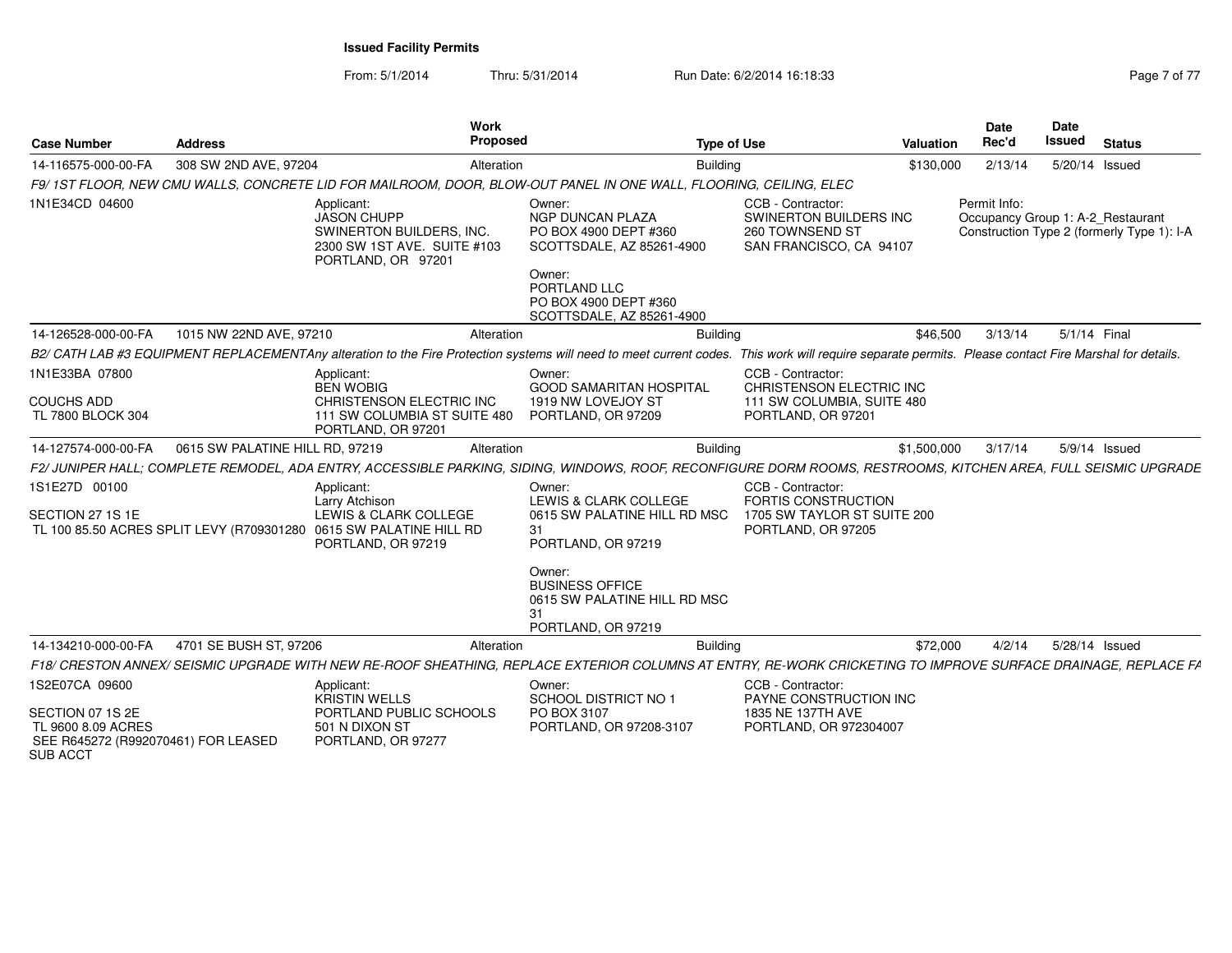From: 5/1/2014Thru: 5/31/2014 Run Date: 6/2/2014 16:18:33 Rage 7 of 77

| <b>Case Number</b>                                                                               | <b>Address</b>                  | <b>Work</b><br><b>Proposed</b>                                                                                                                                                                        |                                                                                                                                                                         | <b>Type of Use</b>                                                                        | Valuation   | <b>Date</b><br>Rec'd                              | Date<br><b>Issued</b> | <b>Status</b>                              |
|--------------------------------------------------------------------------------------------------|---------------------------------|-------------------------------------------------------------------------------------------------------------------------------------------------------------------------------------------------------|-------------------------------------------------------------------------------------------------------------------------------------------------------------------------|-------------------------------------------------------------------------------------------|-------------|---------------------------------------------------|-----------------------|--------------------------------------------|
| 14-116575-000-00-FA                                                                              | 308 SW 2ND AVE, 97204           | Alteration                                                                                                                                                                                            | <b>Building</b>                                                                                                                                                         |                                                                                           | \$130,000   | 2/13/14                                           | 5/20/14 Issued        |                                            |
|                                                                                                  |                                 | F9/1ST FLOOR, NEW CMU WALLS, CONCRETE LID FOR MAILROOM, DOOR, BLOW-OUT PANEL IN ONE WALL, FLOORING, CEILING, ELEC                                                                                     |                                                                                                                                                                         |                                                                                           |             |                                                   |                       |                                            |
| 1N1E34CD 04600                                                                                   |                                 | Applicant:<br><b>JASON CHUPP</b><br>SWINERTON BUILDERS, INC.<br>2300 SW 1ST AVE. SUITE #103<br>PORTLAND, OR 97201                                                                                     | Owner:<br><b>NGP DUNCAN PLAZA</b><br>PO BOX 4900 DEPT #360<br>SCOTTSDALE, AZ 85261-4900<br>Owner:<br>PORTLAND LLC<br>PO BOX 4900 DEPT #360<br>SCOTTSDALE, AZ 85261-4900 | CCB - Contractor:<br>SWINERTON BUILDERS INC<br>260 TOWNSEND ST<br>SAN FRANCISCO, CA 94107 |             | Permit Info:<br>Occupancy Group 1: A-2 Restaurant |                       | Construction Type 2 (formerly Type 1): I-A |
| 14-126528-000-00-FA                                                                              | 1015 NW 22ND AVE, 97210         | Alteration                                                                                                                                                                                            | <b>Building</b>                                                                                                                                                         |                                                                                           | \$46,500    | 3/13/14                                           | 5/1/14 Final          |                                            |
|                                                                                                  |                                 | B2/ CATH LAB #3 EQUIPMENT REPLACEMENTAny alteration to the Fire Protection systems will need to meet current codes. This work will require separate permits. Please contact Fire Marshal for details. |                                                                                                                                                                         |                                                                                           |             |                                                   |                       |                                            |
| 1N1E33BA 07800                                                                                   |                                 | Applicant:<br><b>BEN WOBIG</b>                                                                                                                                                                        | Owner:<br><b>GOOD SAMARITAN HOSPITAL</b>                                                                                                                                | CCB - Contractor:<br>CHRISTENSON ELECTRIC INC                                             |             |                                                   |                       |                                            |
| <b>COUCHS ADD</b><br>TL 7800 BLOCK 304                                                           |                                 | CHRISTENSON ELECTRIC INC<br>111 SW COLUMBIA ST SUITE 480<br>PORTLAND, OR 97201                                                                                                                        | 1919 NW LOVEJOY ST<br>PORTLAND, OR 97209                                                                                                                                | 111 SW COLUMBIA, SUITE 480<br>PORTLAND, OR 97201                                          |             |                                                   |                       |                                            |
| 14-127574-000-00-FA                                                                              | 0615 SW PALATINE HILL RD, 97219 | Alteration                                                                                                                                                                                            | <b>Building</b>                                                                                                                                                         |                                                                                           | \$1,500,000 | 3/17/14                                           |                       | 5/9/14 Issued                              |
|                                                                                                  |                                 | F2/JUNIPER HALL; COMPLETE REMODEL, ADA ENTRY, ACCESSIBLE PARKING, SIDING, WINDOWS, ROOF, RECONFIGURE DORM ROOMS, RESTROOMS, KITCHEN AREA, FULL SEISMIC UPGRADE                                        |                                                                                                                                                                         |                                                                                           |             |                                                   |                       |                                            |
| 1S1E27D 00100                                                                                    |                                 | Applicant:<br>Larry Atchison                                                                                                                                                                          | Owner:<br>LEWIS & CLARK COLLEGE                                                                                                                                         | CCB - Contractor:<br><b>FORTIS CONSTRUCTION</b>                                           |             |                                                   |                       |                                            |
| SECTION 27 1S 1E                                                                                 |                                 | LEWIS & CLARK COLLEGE                                                                                                                                                                                 | 0615 SW PALATINE HILL RD MSC                                                                                                                                            | 1705 SW TAYLOR ST SUITE 200                                                               |             |                                                   |                       |                                            |
|                                                                                                  |                                 | TL 100 85.50 ACRES SPLIT LEVY (R709301280 0615 SW PALATINE HILL RD<br>PORTLAND, OR 97219                                                                                                              | 31<br>PORTLAND, OR 97219                                                                                                                                                | PORTLAND, OR 97205                                                                        |             |                                                   |                       |                                            |
|                                                                                                  |                                 |                                                                                                                                                                                                       | Owner:<br><b>BUSINESS OFFICE</b><br>0615 SW PALATINE HILL RD MSC<br>31<br>PORTLAND, OR 97219                                                                            |                                                                                           |             |                                                   |                       |                                            |
| 14-134210-000-00-FA                                                                              | 4701 SE BUSH ST, 97206          | Alteration                                                                                                                                                                                            | <b>Building</b>                                                                                                                                                         |                                                                                           | \$72,000    | 4/2/14                                            | 5/28/14 Issued        |                                            |
|                                                                                                  |                                 | F18/ CRESTON ANNEX/ SEISMIC UPGRADE WITH NEW RE-ROOF SHEATHING, REPLACE EXTERIOR COLUMNS AT ENTRY, RE-WORK CRICKETING TO IMPROVE SURFACE DRAINAGE, REPLACE FA                                         |                                                                                                                                                                         |                                                                                           |             |                                                   |                       |                                            |
| 1S2E07CA 09600                                                                                   |                                 | Applicant:<br><b>KRISTIN WELLS</b>                                                                                                                                                                    | Owner:<br><b>SCHOOL DISTRICT NO 1</b>                                                                                                                                   | CCB - Contractor:<br>PAYNE CONSTRUCTION INC                                               |             |                                                   |                       |                                            |
| SECTION 07 1S 2E<br>TL 9600 8.09 ACRES<br>SEE R645272 (R992070461) FOR LEASED<br><b>SUB ACCT</b> |                                 | PORTLAND PUBLIC SCHOOLS<br>501 N DIXON ST<br>PORTLAND, OR 97277                                                                                                                                       | PO BOX 3107<br>PORTLAND, OR 97208-3107                                                                                                                                  | 1835 NE 137TH AVE<br>PORTLAND, OR 972304007                                               |             |                                                   |                       |                                            |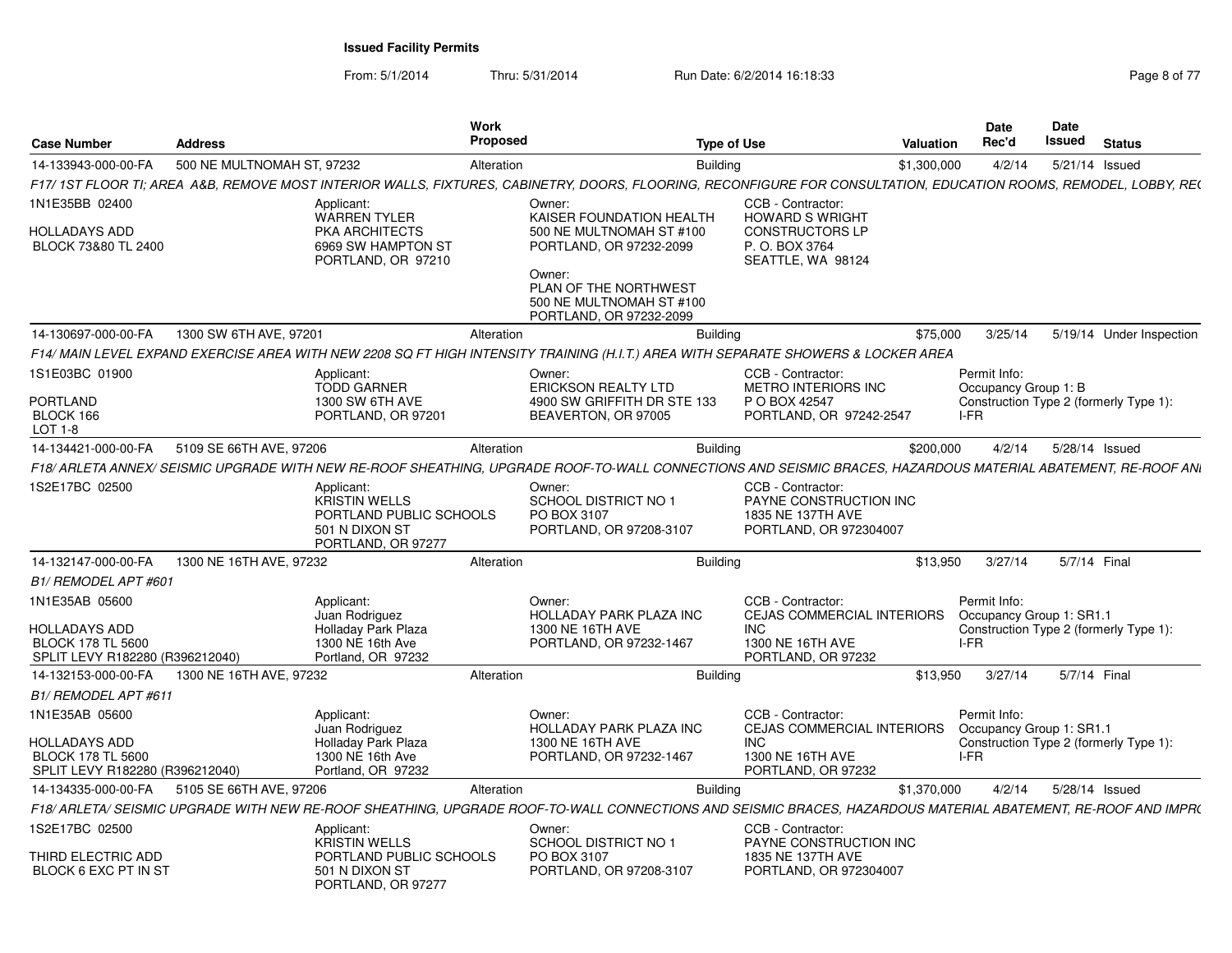From: 5/1/2014

Thru: 5/31/2014 Run Date: 6/2/2014 16:18:33

| Page 8 of 77 |  |
|--------------|--|
|--------------|--|

| <b>Case Number</b>                                                                  | <b>Address</b>             |                                                                                                | Work<br>Proposed |                                                                                                                                                                   | <b>Type of Use</b>                                                                         | <b>Valuation</b> | <b>Date</b><br>Rec'd                           | Date<br>Issued | <b>Status</b> |                          |
|-------------------------------------------------------------------------------------|----------------------------|------------------------------------------------------------------------------------------------|------------------|-------------------------------------------------------------------------------------------------------------------------------------------------------------------|--------------------------------------------------------------------------------------------|------------------|------------------------------------------------|----------------|---------------|--------------------------|
| 14-133943-000-00-FA                                                                 | 500 NE MULTNOMAH ST, 97232 |                                                                                                | Alteration       | Building                                                                                                                                                          |                                                                                            | \$1,300,000      | 4/2/14                                         | 5/21/14 Issued |               |                          |
|                                                                                     |                            |                                                                                                |                  | F17/ 1ST FLOOR TI; AREA A&B, REMOVE MOST INTERIOR WALLS, FIXTURES, CABINETRY, DOORS, FLOORING, RECONFIGURE FOR CONSULTATION, EDUCATION ROOMS, REMODEL, LOBBY, RE( |                                                                                            |                  |                                                |                |               |                          |
| 1N1E35BB 02400                                                                      |                            | Applicant:<br><b>WARREN TYLER</b>                                                              |                  | Owner:<br>KAISER FOUNDATION HEALTH                                                                                                                                | CCB - Contractor:<br><b>HOWARD S WRIGHT</b>                                                |                  |                                                |                |               |                          |
| HOLLADAYS ADD<br>BLOCK 73&80 TL 2400                                                |                            | PKA ARCHITECTS<br>6969 SW HAMPTON ST<br>PORTLAND, OR 97210                                     |                  | 500 NE MULTNOMAH ST #100<br>PORTLAND, OR 97232-2099<br>Owner:                                                                                                     | <b>CONSTRUCTORS LP</b><br>P.O. BOX 3764<br>SEATTLE, WA 98124                               |                  |                                                |                |               |                          |
|                                                                                     |                            |                                                                                                |                  | PLAN OF THE NORTHWEST<br>500 NE MULTNOMAH ST #100<br>PORTLAND, OR 97232-2099                                                                                      |                                                                                            |                  |                                                |                |               |                          |
| 14-130697-000-00-FA                                                                 | 1300 SW 6TH AVE, 97201     |                                                                                                | Alteration       | <b>Building</b>                                                                                                                                                   |                                                                                            | \$75,000         | 3/25/14                                        |                |               | 5/19/14 Under Inspection |
|                                                                                     |                            |                                                                                                |                  | F14/ MAIN LEVEL EXPAND EXERCISE AREA WITH NEW 2208 SQ FT HIGH INTENSITY TRAINING (H.I.T.) AREA WITH SEPARATE SHOWERS & LOCKER AREA                                |                                                                                            |                  |                                                |                |               |                          |
| 1S1E03BC 01900                                                                      |                            | Applicant<br><b>TODD GARNER</b>                                                                |                  | Owner:<br><b>ERICKSON REALTY LTD</b>                                                                                                                              | CCB - Contractor:<br><b>METRO INTERIORS INC</b>                                            |                  | Permit Info:<br>Occupancy Group 1: B           |                |               |                          |
| <b>PORTLAND</b><br>BLOCK 166<br><b>LOT 1-8</b>                                      |                            | 1300 SW 6TH AVE<br>PORTLAND, OR 97201                                                          |                  | 4900 SW GRIFFITH DR STE 133<br>BEAVERTON, OR 97005                                                                                                                | P O BOX 42547<br>PORTLAND, OR 97242-2547                                                   |                  | Construction Type 2 (formerly Type 1):<br>I-FR |                |               |                          |
| 14-134421-000-00-FA                                                                 | 5109 SE 66TH AVE, 97206    |                                                                                                | Alteration       | <b>Building</b>                                                                                                                                                   |                                                                                            | \$200,000        | 4/2/14                                         | 5/28/14 Issued |               |                          |
|                                                                                     |                            |                                                                                                |                  | F18/ ARLETA ANNEX/ SEISMIC UPGRADE WITH NEW RE-ROOF SHEATHING, UPGRADE ROOF-TO-WALL CONNECTIONS AND SEISMIC BRACES, HAZARDOUS MATERIAL ABATEMENT, RE-ROOF ANI     |                                                                                            |                  |                                                |                |               |                          |
| 1S2E17BC 02500                                                                      |                            | Applicant:<br>KRISTIN WELLS<br>PORTLAND PUBLIC SCHOOLS<br>501 N DIXON ST<br>PORTLAND, OR 97277 |                  | Owner:<br><b>SCHOOL DISTRICT NO 1</b><br>PO BOX 3107<br>PORTLAND, OR 97208-3107                                                                                   | CCB - Contractor:<br>PAYNE CONSTRUCTION INC<br>1835 NE 137TH AVE<br>PORTLAND, OR 972304007 |                  |                                                |                |               |                          |
| 14-132147-000-00-FA                                                                 | 1300 NE 16TH AVE, 97232    |                                                                                                | Alteration       | <b>Building</b>                                                                                                                                                   |                                                                                            | \$13.950         | 3/27/14                                        | 5/7/14 Final   |               |                          |
| B1/ REMODEL APT #601                                                                |                            |                                                                                                |                  |                                                                                                                                                                   |                                                                                            |                  |                                                |                |               |                          |
| 1N1E35AB 05600                                                                      |                            | Applicant:<br>Juan Rodriguez                                                                   |                  | Owner:<br>HOLLADAY PARK PLAZA INC                                                                                                                                 | CCB - Contractor:<br><b>CEJAS COMMERCIAL INTERIORS</b>                                     |                  | Permit Info:<br>Occupancy Group 1: SR1.1       |                |               |                          |
| <b>HOLLADAYS ADD</b><br><b>BLOCK 178 TL 5600</b><br>SPLIT LEVY R182280 (R396212040) |                            | Holladay Park Plaza<br>1300 NE 16th Ave<br>Portland, OR 97232                                  |                  | 1300 NE 16TH AVE<br>PORTLAND, OR 97232-1467                                                                                                                       | <b>INC</b><br>1300 NE 16TH AVE<br>PORTLAND, OR 97232                                       |                  | Construction Type 2 (formerly Type 1):<br>I-FR |                |               |                          |
| 14-132153-000-00-FA                                                                 | 1300 NE 16TH AVE, 97232    |                                                                                                | Alteration       | <b>Building</b>                                                                                                                                                   |                                                                                            | \$13,950         | 3/27/14                                        | 5/7/14 Final   |               |                          |
| <b>B1/ REMODEL APT #611</b>                                                         |                            |                                                                                                |                  |                                                                                                                                                                   |                                                                                            |                  |                                                |                |               |                          |
| 1N1E35AB 05600                                                                      |                            | Applicant:<br>Juan Rodriguez                                                                   |                  | Owner:<br><b>HOLLADAY PARK PLAZA INC</b>                                                                                                                          | CCB - Contractor:<br><b>CEJAS COMMERCIAL INTERIORS</b>                                     |                  | Permit Info:<br>Occupancy Group 1: SR1.1       |                |               |                          |
| HOLLADAYS ADD<br><b>BLOCK 178 TL 5600</b>                                           |                            | Holladay Park Plaza<br>1300 NE 16th Ave                                                        |                  | 1300 NE 16TH AVE<br>PORTLAND, OR 97232-1467                                                                                                                       | <b>INC</b><br>1300 NE 16TH AVE                                                             |                  | Construction Type 2 (formerly Type 1):<br>I-FR |                |               |                          |
| SPLIT LEVY R182280 (R396212040)                                                     |                            | Portland, OR 97232                                                                             |                  |                                                                                                                                                                   | PORTLAND, OR 97232                                                                         |                  |                                                |                |               |                          |
| 14-134335-000-00-FA                                                                 | 5105 SE 66TH AVE, 97206    |                                                                                                | Alteration       | <b>Building</b>                                                                                                                                                   |                                                                                            | \$1,370,000      | 4/2/14                                         | 5/28/14 Issued |               |                          |
|                                                                                     |                            |                                                                                                |                  | F18/ ARLETA/ SEISMIC UPGRADE WITH NEW RE-ROOF SHEATHING. UPGRADE ROOF-TO-WALL CONNECTIONS AND SEISMIC BRACES. HAZARDOUS MATERIAL ABATEMENT. RE-ROOF AND IMPR(     |                                                                                            |                  |                                                |                |               |                          |
| 1S2E17BC 02500<br>THIRD ELECTRIC ADD                                                |                            | Applicant:<br><b>KRISTIN WELLS</b><br>PORTLAND PUBLIC SCHOOLS                                  |                  | Owner:<br><b>SCHOOL DISTRICT NO 1</b><br>PO BOX 3107                                                                                                              | CCB - Contractor:<br>PAYNE CONSTRUCTION INC<br>1835 NE 137TH AVE                           |                  |                                                |                |               |                          |
| BLOCK 6 EXC PT IN ST                                                                |                            | 501 N DIXON ST<br>PORTLAND, OR 97277                                                           |                  | PORTLAND, OR 97208-3107                                                                                                                                           | PORTLAND, OR 972304007                                                                     |                  |                                                |                |               |                          |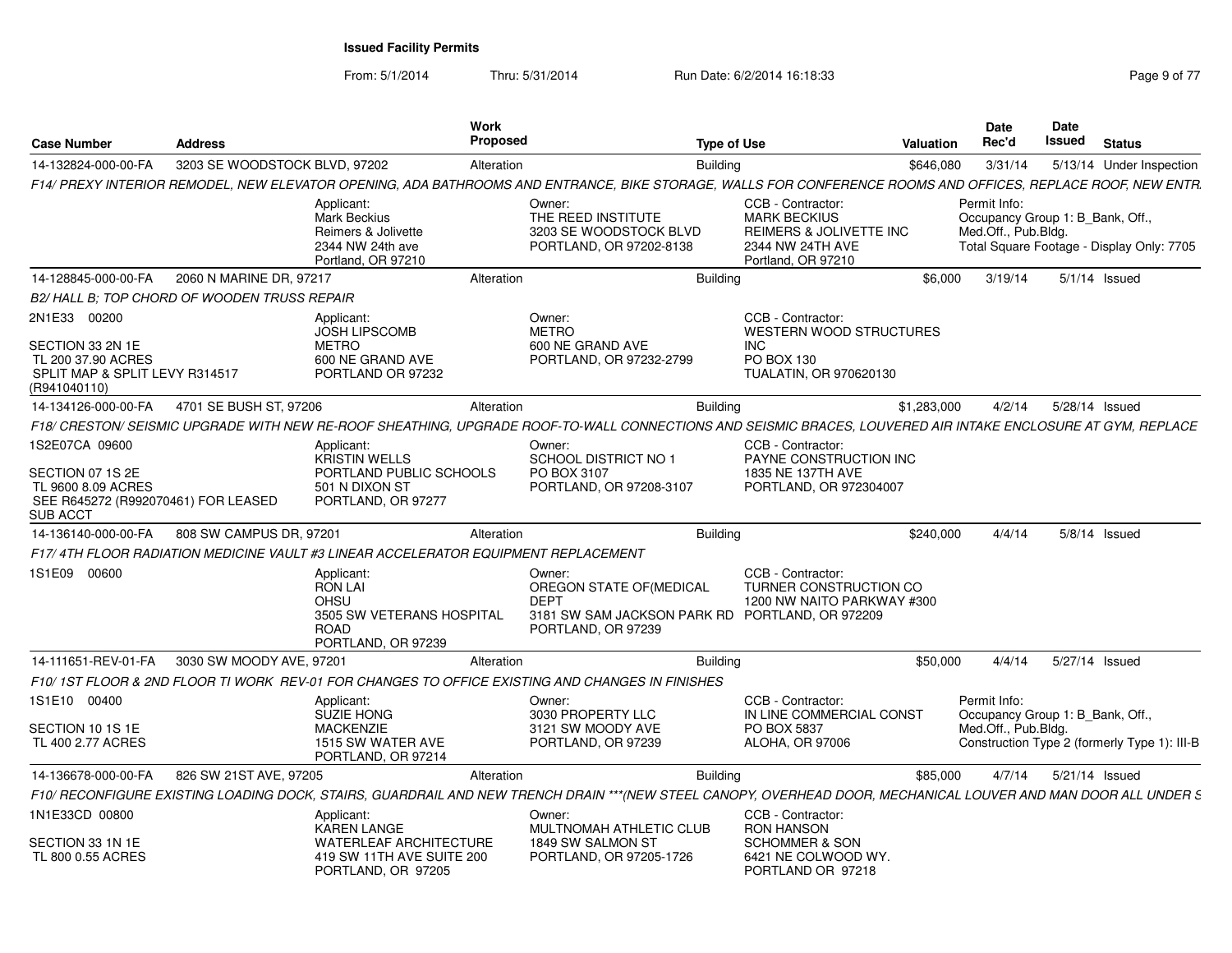From: 5/1/2014

Thru: 5/31/2014 Run Date: 6/2/2014 16:18:33 Rage 9 of 77

| <b>Case Number</b>                                                                                       | <b>Address</b>                               |                                                                                                              | <b>Work</b><br>Proposed |                                                                                                  | <b>Type of Use</b>                                                                                                                                             | Valuation   | <b>Date</b><br>Rec'd                                                                                                 | Date<br><b>Issued</b> | <b>Status</b>   |                          |
|----------------------------------------------------------------------------------------------------------|----------------------------------------------|--------------------------------------------------------------------------------------------------------------|-------------------------|--------------------------------------------------------------------------------------------------|----------------------------------------------------------------------------------------------------------------------------------------------------------------|-------------|----------------------------------------------------------------------------------------------------------------------|-----------------------|-----------------|--------------------------|
| 14-132824-000-00-FA                                                                                      | 3203 SE WOODSTOCK BLVD, 97202                |                                                                                                              | Alteration              |                                                                                                  | <b>Building</b>                                                                                                                                                | \$646,080   | 3/31/14                                                                                                              |                       |                 | 5/13/14 Under Inspection |
|                                                                                                          |                                              |                                                                                                              |                         |                                                                                                  | F14/ PREXY INTERIOR REMODEL, NEW ELEVATOR OPENING, ADA BATHROOMS AND ENTRANCE, BIKE STORAGE, WALLS FOR CONFERENCE ROOMS AND OFFICES, REPLACE ROOF, NEW ENTR.   |             |                                                                                                                      |                       |                 |                          |
|                                                                                                          |                                              | Applicant:<br><b>Mark Beckius</b><br>Reimers & Jolivette<br>2344 NW 24th ave<br>Portland, OR 97210           |                         | Owner:<br>THE REED INSTITUTE<br>3203 SE WOODSTOCK BLVD<br>PORTLAND, OR 97202-8138                | CCB - Contractor:<br><b>MARK BECKIUS</b><br>REIMERS & JOLIVETTE INC<br>2344 NW 24TH AVE<br>Portland, OR 97210                                                  |             | Permit Info:<br>Occupancy Group 1: B Bank, Off.,<br>Med.Off., Pub.Bldg.<br>Total Square Footage - Display Only: 7705 |                       |                 |                          |
| 14-128845-000-00-FA                                                                                      | 2060 N MARINE DR. 97217                      |                                                                                                              | Alteration              |                                                                                                  | Building                                                                                                                                                       | \$6,000     | 3/19/14                                                                                                              |                       | $5/1/14$ Issued |                          |
| B2/HALL B: TOP CHORD OF WOODEN TRUSS REPAIR                                                              |                                              |                                                                                                              |                         |                                                                                                  |                                                                                                                                                                |             |                                                                                                                      |                       |                 |                          |
| 2N1E33 00200<br>SECTION 33 2N 1E<br>TL 200 37.90 ACRES<br>SPLIT MAP & SPLIT LEVY R314517<br>(R941040110) |                                              | Applicant:<br><b>JOSH LIPSCOMB</b><br><b>METRO</b><br>600 NE GRAND AVE<br>PORTLAND OR 97232                  |                         | Owner:<br><b>METRO</b><br>600 NE GRAND AVE<br>PORTLAND, OR 97232-2799                            | CCB - Contractor:<br><b>WESTERN WOOD STRUCTURES</b><br>INC.<br>PO BOX 130<br>TUALATIN, OR 970620130                                                            |             |                                                                                                                      |                       |                 |                          |
| 14-134126-000-00-FA                                                                                      | 4701 SE BUSH ST, 97206                       |                                                                                                              | Alteration              |                                                                                                  | <b>Building</b>                                                                                                                                                | \$1,283,000 | 4/2/14                                                                                                               | 5/28/14 Issued        |                 |                          |
|                                                                                                          |                                              |                                                                                                              |                         |                                                                                                  | F18/ CRESTON/ SEISMIC UPGRADE WITH NEW RE-ROOF SHEATHING. UPGRADE ROOF-TO-WALL CONNECTIONS AND SEISMIC BRACES. LOUVERED AIR INTAKE ENCLOSURE AT GYM. REPLACE   |             |                                                                                                                      |                       |                 |                          |
| 1S2E07CA 09600                                                                                           |                                              | Applicant:<br><b>KRISTIN WELLS</b>                                                                           |                         | Owner:<br><b>SCHOOL DISTRICT NO 1</b>                                                            | CCB - Contractor:<br>PAYNE CONSTRUCTION INC                                                                                                                    |             |                                                                                                                      |                       |                 |                          |
| SECTION 07 1S 2E<br>TL 9600 8.09 ACRES<br>SEE R645272 (R992070461) FOR LEASED<br><b>SUB ACCT</b>         |                                              | PORTLAND PUBLIC SCHOOLS<br>501 N DIXON ST<br>PORTLAND, OR 97277                                              |                         | PO BOX 3107<br>PORTLAND, OR 97208-3107                                                           | 1835 NE 137TH AVE<br>PORTLAND, OR 972304007                                                                                                                    |             |                                                                                                                      |                       |                 |                          |
| 14-136140-000-00-FA                                                                                      | 808 SW CAMPUS DR. 97201                      |                                                                                                              | Alteration              |                                                                                                  | <b>Building</b>                                                                                                                                                | \$240.000   | 4/4/14                                                                                                               |                       | 5/8/14 Issued   |                          |
|                                                                                                          |                                              | F17/4TH FLOOR RADIATION MEDICINE VAULT #3 LINEAR ACCELERATOR EQUIPMENT REPLACEMENT                           |                         |                                                                                                  |                                                                                                                                                                |             |                                                                                                                      |                       |                 |                          |
| 1S1E09 00600                                                                                             |                                              | Applicant<br><b>RON LAI</b><br><b>OHSU</b><br>3505 SW VETERANS HOSPITAL<br><b>ROAD</b><br>PORTLAND, OR 97239 |                         | Owner:<br>OREGON STATE OF (MEDICAL<br><b>DEPT</b><br>PORTLAND, OR 97239                          | CCB - Contractor:<br>TURNER CONSTRUCTION CO<br>1200 NW NAITO PARKWAY #300<br>3181 SW SAM JACKSON PARK RD PORTLAND, OR 972209                                   |             |                                                                                                                      |                       |                 |                          |
|                                                                                                          | 14-111651-REV-01-FA 3030 SW MOODY AVE, 97201 |                                                                                                              | Alteration              |                                                                                                  | <b>Building</b>                                                                                                                                                | \$50,000    | 4/4/14                                                                                                               | 5/27/14 Issued        |                 |                          |
|                                                                                                          |                                              |                                                                                                              |                         | F10/ 1ST FLOOR & 2ND FLOOR TI WORK REV-01 FOR CHANGES TO OFFICE EXISTING AND CHANGES IN FINISHES |                                                                                                                                                                |             |                                                                                                                      |                       |                 |                          |
| 1S1E10 00400                                                                                             |                                              | Applicant:<br><b>SUZIE HONG</b>                                                                              |                         | Owner:<br>3030 PROPERTY LLC                                                                      | CCB - Contractor:<br>IN LINE COMMERCIAL CONST                                                                                                                  |             | Permit Info:<br>Occupancy Group 1: B Bank, Off.,                                                                     |                       |                 |                          |
| SECTION 10 1S 1E<br>TL 400 2.77 ACRES                                                                    |                                              | <b>MACKENZIE</b><br>1515 SW WATER AVE<br>PORTLAND, OR 97214                                                  |                         | 3121 SW MOODY AVE<br>PORTLAND, OR 97239                                                          | PO BOX 5837<br><b>ALOHA, OR 97006</b>                                                                                                                          |             | Med.Off., Pub.Bldg.<br>Construction Type 2 (formerly Type 1): III-B                                                  |                       |                 |                          |
| 14-136678-000-00-FA                                                                                      | 826 SW 21ST AVE, 97205                       |                                                                                                              | Alteration              |                                                                                                  | <b>Building</b>                                                                                                                                                | \$85,000    | 4/7/14                                                                                                               | 5/21/14 Issued        |                 |                          |
|                                                                                                          |                                              |                                                                                                              |                         |                                                                                                  | F10/ RECONFIGURE EXISTING LOADING DOCK, STAIRS, GUARDRAIL AND NEW TRENCH DRAIN ***(NEW STEEL CANOPY, OVERHEAD DOOR, MECHANICAL LOUVER AND MAN DOOR ALL UNDER S |             |                                                                                                                      |                       |                 |                          |
| 1N1E33CD 00800                                                                                           |                                              | Applicant:<br>KAREN LANGE                                                                                    |                         | Owner:<br>MULTNOMAH ATHLETIC CLUB                                                                | CCB - Contractor:<br><b>RON HANSON</b>                                                                                                                         |             |                                                                                                                      |                       |                 |                          |
| SECTION 33 1N 1E<br>TL 800 0.55 ACRES                                                                    |                                              | <b>WATERLEAF ARCHITECTURE</b><br>419 SW 11TH AVE SUITE 200<br>PORTLAND, OR 97205                             |                         | 1849 SW SALMON ST<br>PORTLAND, OR 97205-1726                                                     | <b>SCHOMMER &amp; SON</b><br>6421 NE COLWOOD WY.<br>PORTLAND OR 97218                                                                                          |             |                                                                                                                      |                       |                 |                          |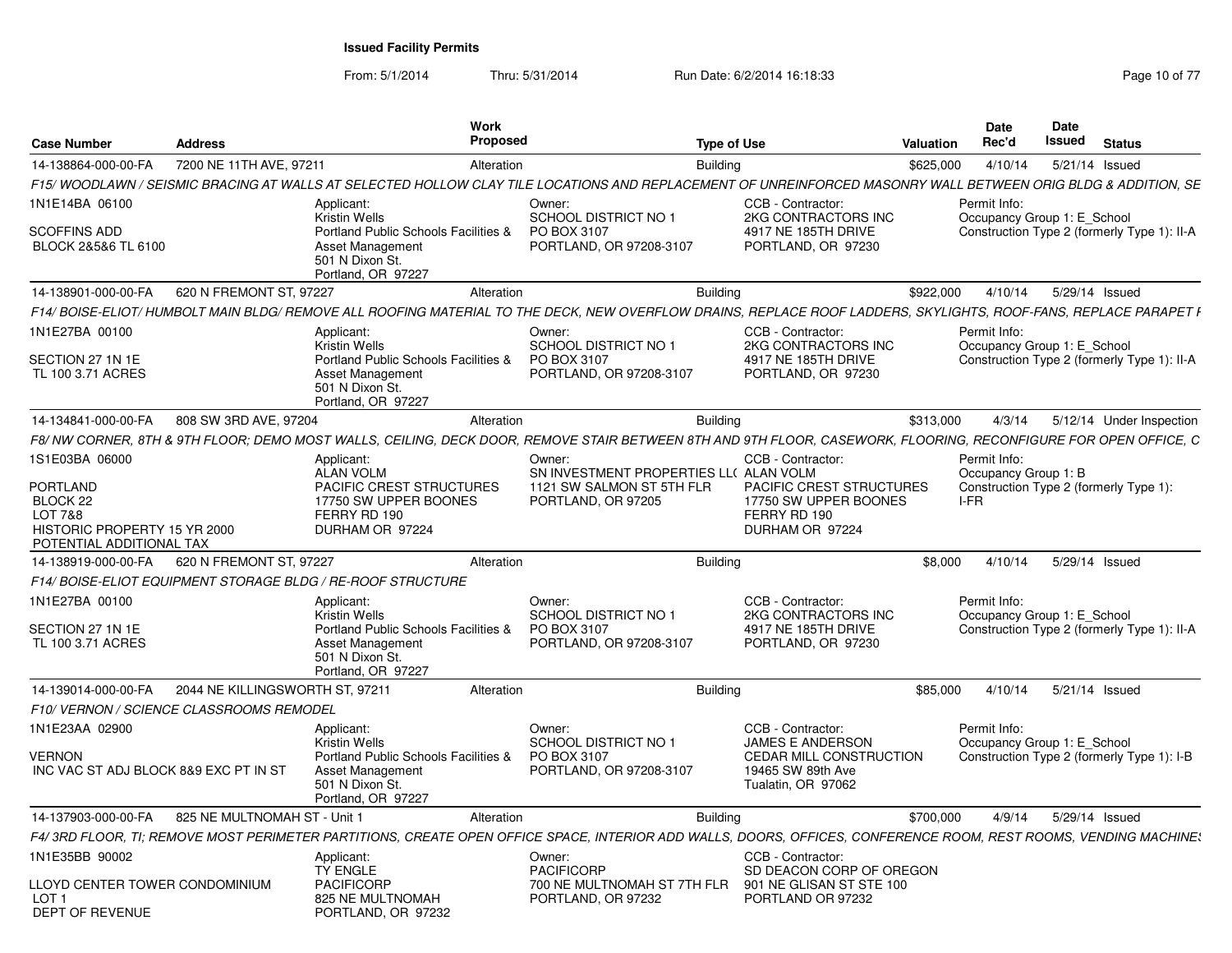From: 5/1/2014

Thru: 5/31/2014 Run Date: 6/2/2014 16:18:33 Research 2010 17

| <b>Case Number</b>                                                           | <b>Address</b>                          |                                                                                                   | Work<br><b>Proposed</b> |                                                                                                                                                                  | <b>Type of Use</b>                                                        | <b>Valuation</b> | <b>Date</b><br>Rec'd                        | Date<br>Issued | <b>Status</b> |                                             |
|------------------------------------------------------------------------------|-----------------------------------------|---------------------------------------------------------------------------------------------------|-------------------------|------------------------------------------------------------------------------------------------------------------------------------------------------------------|---------------------------------------------------------------------------|------------------|---------------------------------------------|----------------|---------------|---------------------------------------------|
| 14-138864-000-00-FA                                                          | 7200 NE 11TH AVE, 97211                 |                                                                                                   | Alteration              |                                                                                                                                                                  | <b>Building</b>                                                           | \$625,000        | 4/10/14                                     | 5/21/14 Issued |               |                                             |
|                                                                              |                                         |                                                                                                   |                         | F15/WOODLAWN / SEISMIC BRACING AT WALLS AT SELECTED HOLLOW CLAY TILE LOCATIONS AND REPLACEMENT OF UNREINFORCED MASONRY WALL BETWEEN ORIG BLDG & ADDITION, SE     |                                                                           |                  |                                             |                |               |                                             |
| 1N1E14BA 06100<br><b>SCOFFINS ADD</b>                                        |                                         | Applicant:<br><b>Kristin Wells</b><br>Portland Public Schools Facilities &                        |                         | Owner:<br>SCHOOL DISTRICT NO 1<br>PO BOX 3107                                                                                                                    | CCB - Contractor<br>2KG CONTRACTORS INC<br>4917 NE 185TH DRIVE            |                  | Permit Info:<br>Occupancy Group 1: E_School |                |               | Construction Type 2 (formerly Type 1): II-A |
| BLOCK 2&5&6 TL 6100                                                          |                                         | Asset Management<br>501 N Dixon St.<br>Portland, OR 97227                                         |                         | PORTLAND, OR 97208-3107                                                                                                                                          | PORTLAND, OR 97230                                                        |                  |                                             |                |               |                                             |
| 14-138901-000-00-FA                                                          | 620 N FREMONT ST, 97227                 |                                                                                                   | Alteration              |                                                                                                                                                                  | <b>Building</b>                                                           | \$922,000        | 4/10/14                                     | 5/29/14 Issued |               |                                             |
|                                                                              |                                         |                                                                                                   |                         | F14/ BOISE-ELIOT/ HUMBOLT MAIN BLDG/ REMOVE ALL ROOFING MATERIAL TO THE DECK, NEW OVERFLOW DRAINS, REPLACE ROOF LADDERS, SKYLIGHTS, ROOF-FANS, REPLACE PARAPET I |                                                                           |                  |                                             |                |               |                                             |
| 1N1E27BA 00100                                                               |                                         | Applicant:<br><b>Kristin Wells</b>                                                                |                         | Owner:<br><b>SCHOOL DISTRICT NO 1</b>                                                                                                                            | CCB - Contractor:<br>2KG CONTRACTORS INC                                  |                  | Permit Info:<br>Occupancy Group 1: E_School |                |               |                                             |
| SECTION 27 1N 1E<br>TL 100 3.71 ACRES                                        |                                         | Portland Public Schools Facilities &<br>Asset Management<br>501 N Dixon St.<br>Portland, OR 97227 |                         | PO BOX 3107<br>PORTLAND, OR 97208-3107                                                                                                                           | 4917 NE 185TH DRIVE<br>PORTLAND, OR 97230                                 |                  |                                             |                |               | Construction Type 2 (formerly Type 1): II-A |
| 14-134841-000-00-FA                                                          | 808 SW 3RD AVE, 97204                   |                                                                                                   | Alteration              |                                                                                                                                                                  | <b>Building</b>                                                           | \$313,000        | 4/3/14                                      |                |               | 5/12/14 Under Inspection                    |
|                                                                              |                                         |                                                                                                   |                         | F8/ NW CORNER. 8TH & 9TH FLOOR: DEMO MOST WALLS. CEILING. DECK DOOR. REMOVE STAIR BETWEEN 8TH AND 9TH FLOOR. CASEWORK. FLOORING. RECONFIGURE FOR OPEN OFFICE. C  |                                                                           |                  |                                             |                |               |                                             |
| 1S1E03BA 06000                                                               |                                         | Applicant:<br><b>ALAN VOLM</b>                                                                    |                         | Owner:<br>SN INVESTMENT PROPERTIES LL( ALAN VOLM                                                                                                                 | CCB - Contractor:                                                         |                  | Permit Info:<br>Occupancy Group 1: B        |                |               |                                             |
| PORTLAND                                                                     |                                         | PACIFIC CREST STRUCTURES                                                                          |                         | 1121 SW SALMON ST 5TH FLR                                                                                                                                        | <b>PACIFIC CREST STRUCTURES</b>                                           |                  | Construction Type 2 (formerly Type 1):      |                |               |                                             |
| BLOCK <sub>22</sub><br>LOT 7&8                                               |                                         | 17750 SW UPPER BOONES<br>FERRY RD 190                                                             |                         | PORTLAND, OR 97205                                                                                                                                               | 17750 SW UPPER BOONES<br>FERRY RD 190                                     |                  | I-FR                                        |                |               |                                             |
| HISTORIC PROPERTY 15 YR 2000<br>POTENTIAL ADDITIONAL TAX                     |                                         | DURHAM OR 97224                                                                                   |                         |                                                                                                                                                                  | DURHAM OR 97224                                                           |                  |                                             |                |               |                                             |
| 14-138919-000-00-FA                                                          | 620 N FREMONT ST, 97227                 |                                                                                                   | Alteration              |                                                                                                                                                                  | <b>Building</b>                                                           | \$8,000          | 4/10/14                                     | 5/29/14 Issued |               |                                             |
|                                                                              |                                         | F14/ BOISE-ELIOT EQUIPMENT STORAGE BLDG / RE-ROOF STRUCTURE                                       |                         |                                                                                                                                                                  |                                                                           |                  |                                             |                |               |                                             |
| 1N1E27BA 00100                                                               |                                         | Applicant:<br><b>Kristin Wells</b>                                                                |                         | Owner:<br><b>SCHOOL DISTRICT NO 1</b>                                                                                                                            | CCB - Contractor:<br>2KG CONTRACTORS INC                                  |                  | Permit Info:<br>Occupancy Group 1: E School |                |               |                                             |
| SECTION 27 1N 1E<br>TL 100 3.71 ACRES                                        |                                         | Portland Public Schools Facilities &<br>Asset Management<br>501 N Dixon St.<br>Portland, OR 97227 |                         | PO BOX 3107<br>PORTLAND, OR 97208-3107                                                                                                                           | 4917 NE 185TH DRIVE<br>PORTLAND, OR 97230                                 |                  |                                             |                |               | Construction Type 2 (formerly Type 1): II-A |
| 14-139014-000-00-FA                                                          | 2044 NE KILLINGSWORTH ST. 97211         |                                                                                                   | Alteration              |                                                                                                                                                                  | <b>Building</b>                                                           | \$85,000         | 4/10/14                                     | 5/21/14 Issued |               |                                             |
|                                                                              | F10/VERNON / SCIENCE CLASSROOMS REMODEL |                                                                                                   |                         |                                                                                                                                                                  |                                                                           |                  |                                             |                |               |                                             |
| 1N1E23AA 02900                                                               |                                         | Applicant:<br><b>Kristin Wells</b>                                                                |                         | Owner:<br><b>SCHOOL DISTRICT NO 1</b>                                                                                                                            | CCB - Contractor:<br><b>JAMES E ANDERSON</b>                              |                  | Permit Info:<br>Occupancy Group 1: E School |                |               |                                             |
| <b>VERNON</b><br>INC VAC ST ADJ BLOCK 8&9 EXC PT IN ST                       |                                         | Portland Public Schools Facilities &<br>Asset Management<br>501 N Dixon St.<br>Portland, OR 97227 |                         | PO BOX 3107<br>PORTLAND, OR 97208-3107                                                                                                                           | <b>CEDAR MILL CONSTRUCTION</b><br>19465 SW 89th Ave<br>Tualatin, OR 97062 |                  |                                             |                |               | Construction Type 2 (formerly Type 1): I-B  |
| 14-137903-000-00-FA                                                          | 825 NE MULTNOMAH ST - Unit              |                                                                                                   | Alteration              |                                                                                                                                                                  | <b>Building</b>                                                           | \$700,000        | 4/9/14                                      | 5/29/14 Issued |               |                                             |
|                                                                              |                                         |                                                                                                   |                         | F4/3RD FLOOR. TI: REMOVE MOST PERIMETER PARTITIONS. CREATE OPEN OFFICE SPACE. INTERIOR ADD WALLS. DOORS. OFFICES. CONFERENCE ROOM. REST ROOMS. VENDING MACHINE:  |                                                                           |                  |                                             |                |               |                                             |
| 1N1E35BB 90002                                                               |                                         | Applicant:<br><b>TY ENGLE</b>                                                                     |                         | Owner:<br><b>PACIFICORP</b>                                                                                                                                      | CCB - Contractor:<br>SD DEACON CORP OF OREGON                             |                  |                                             |                |               |                                             |
| LLOYD CENTER TOWER CONDOMINIUM<br>LOT <sub>1</sub><br><b>DEPT OF REVENUE</b> |                                         | <b>PACIFICORP</b><br>825 NE MULTNOMAH<br>PORTLAND, OR 97232                                       |                         | 700 NE MULTNOMAH ST 7TH FLR<br>PORTLAND, OR 97232                                                                                                                | 901 NE GLISAN ST STE 100<br>PORTLAND OR 97232                             |                  |                                             |                |               |                                             |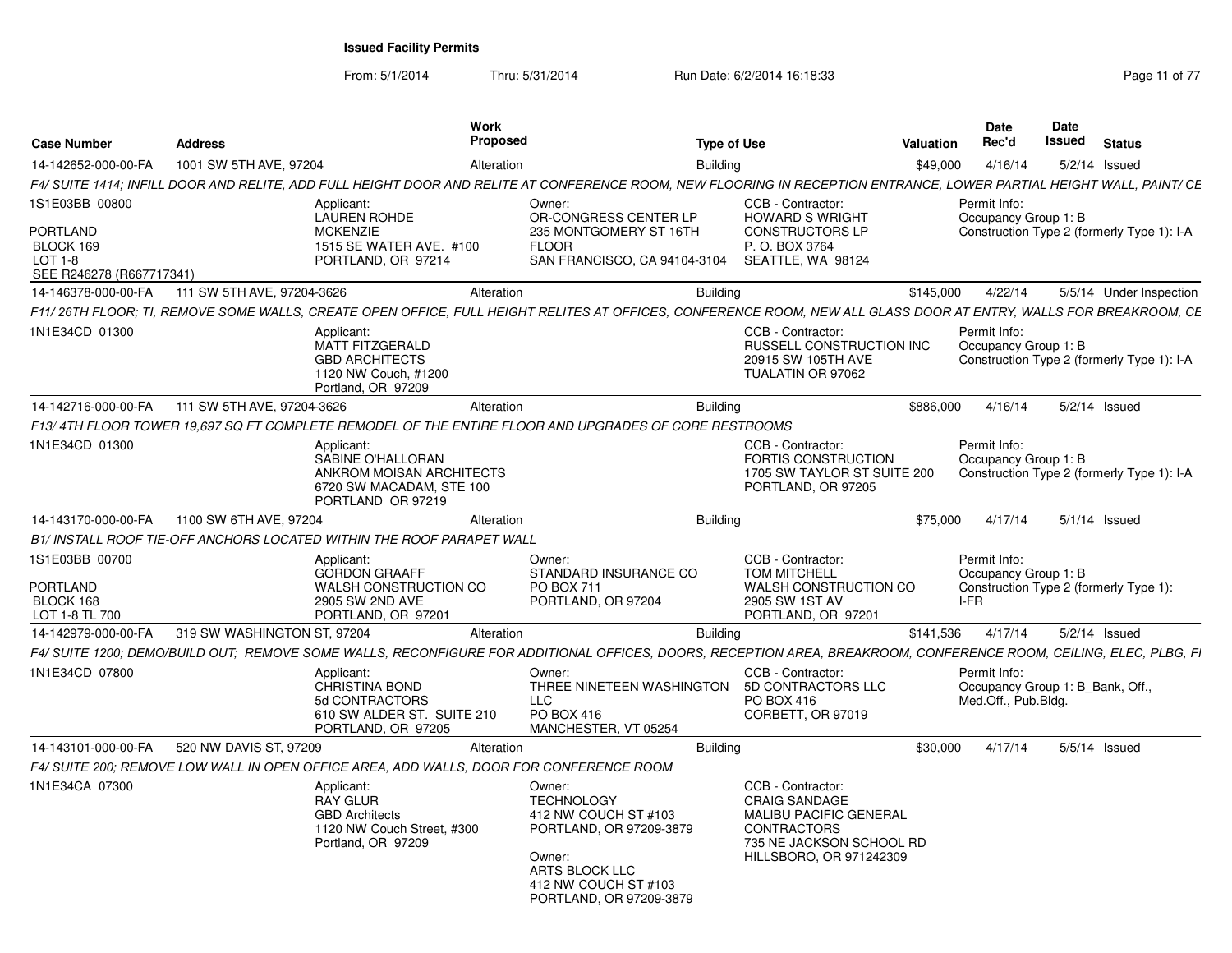From: 5/1/2014

Thru: 5/31/2014 Run Date: 6/2/2014 16:18:33 Research 2010 11 of 77

| <b>Case Number</b>                                                                      | <b>Address</b>              |                                                                                                              | <b>Work</b><br>Proposed |                                                                                                                                                               | <b>Type of Use</b> |                                                                                                                                                                      | <b>Valuation</b> | <b>Date</b><br>Rec'd                                                    | Date<br><b>Issued</b> | <b>Status</b>                              |
|-----------------------------------------------------------------------------------------|-----------------------------|--------------------------------------------------------------------------------------------------------------|-------------------------|---------------------------------------------------------------------------------------------------------------------------------------------------------------|--------------------|----------------------------------------------------------------------------------------------------------------------------------------------------------------------|------------------|-------------------------------------------------------------------------|-----------------------|--------------------------------------------|
| 14-142652-000-00-FA                                                                     | 1001 SW 5TH AVE, 97204      |                                                                                                              | Alteration              |                                                                                                                                                               | <b>Building</b>    |                                                                                                                                                                      | \$49,000         | 4/16/14                                                                 |                       | $5/2/14$ Issued                            |
|                                                                                         |                             |                                                                                                              |                         |                                                                                                                                                               |                    | F4/ SUITE 1414; INFILL DOOR AND RELITE, ADD FULL HEIGHT DOOR AND RELITE AT CONFERENCE ROOM, NEW FLOORING IN RECEPTION ENTRANCE, LOWER PARTIAL HEIGHT WALL, PAINT/ CE |                  |                                                                         |                       |                                            |
| 1S1E03BB 00800<br><b>PORTLAND</b><br>BLOCK 169<br>$LOT 1-8$<br>SEE R246278 (R667717341) |                             | Applicant:<br><b>LAUREN ROHDE</b><br><b>MCKENZIE</b><br>1515 SE WATER AVE. #100<br>PORTLAND, OR 97214        |                         | Owner:<br>OR-CONGRESS CENTER LP<br>235 MONTGOMERY ST 16TH<br><b>FLOOR</b><br>SAN FRANCISCO, CA 94104-3104                                                     |                    | CCB - Contractor:<br><b>HOWARD S WRIGHT</b><br><b>CONSTRUCTORS LP</b><br>P. O. BOX 3764<br>SEATTLE, WA 98124                                                         |                  | Permit Info:<br>Occupancy Group 1: B                                    |                       | Construction Type 2 (formerly Type 1): I-A |
| 14-146378-000-00-FA                                                                     | 111 SW 5TH AVE, 97204-3626  |                                                                                                              | Alteration              |                                                                                                                                                               | <b>Building</b>    |                                                                                                                                                                      | \$145,000        | 4/22/14                                                                 |                       | 5/5/14 Under Inspection                    |
|                                                                                         |                             |                                                                                                              |                         |                                                                                                                                                               |                    | F11/26TH FLOOR; TI, REMOVE SOME WALLS, CREATE OPEN OFFICE, FULL HEIGHT RELITES AT OFFICES, CONFERENCE ROOM, NEW ALL GLASS DOOR AT ENTRY, WALLS FOR BREAKROOM, CE     |                  |                                                                         |                       |                                            |
| 1N1E34CD 01300                                                                          |                             | Applicant:<br><b>MATT FITZGERALD</b><br><b>GBD ARCHITECTS</b><br>1120 NW Couch, #1200<br>Portland, OR 97209  |                         |                                                                                                                                                               |                    | CCB - Contractor:<br>RUSSELL CONSTRUCTION INC<br>20915 SW 105TH AVE<br>TUALATIN OR 97062                                                                             |                  | Permit Info:<br>Occupancy Group 1: B                                    |                       | Construction Type 2 (formerly Type 1): I-A |
| 14-142716-000-00-FA                                                                     | 111 SW 5TH AVE, 97204-3626  |                                                                                                              | Alteration              |                                                                                                                                                               | <b>Building</b>    |                                                                                                                                                                      | \$886.000        | 4/16/14                                                                 |                       | $5/2/14$ Issued                            |
|                                                                                         |                             |                                                                                                              |                         | F13/4TH FLOOR TOWER 19,697 SQ FT COMPLETE REMODEL OF THE ENTIRE FLOOR AND UPGRADES OF CORE RESTROOMS                                                          |                    |                                                                                                                                                                      |                  |                                                                         |                       |                                            |
| 1N1E34CD 01300                                                                          |                             | Applicant:<br>SABINE O'HALLORAN<br>ANKROM MOISAN ARCHITECTS<br>6720 SW MACADAM, STE 100<br>PORTLAND OR 97219 |                         |                                                                                                                                                               |                    | CCB - Contractor:<br><b>FORTIS CONSTRUCTION</b><br>1705 SW TAYLOR ST SUITE 200<br>PORTLAND, OR 97205                                                                 |                  | Permit Info:<br>Occupancy Group 1: B                                    |                       | Construction Type 2 (formerly Type 1): I-A |
| 14-143170-000-00-FA                                                                     | 1100 SW 6TH AVE, 97204      |                                                                                                              | Alteration              |                                                                                                                                                               | Building           |                                                                                                                                                                      | \$75,000         | 4/17/14                                                                 |                       | $5/1/14$ Issued                            |
|                                                                                         |                             | B1/ INSTALL ROOF TIE-OFF ANCHORS LOCATED WITHIN THE ROOF PARAPET WALL                                        |                         |                                                                                                                                                               |                    |                                                                                                                                                                      |                  |                                                                         |                       |                                            |
| 1S1E03BB 00700<br><b>PORTLAND</b><br>BLOCK 168<br>LOT 1-8 TL 700                        |                             | Applicant:<br><b>GORDON GRAAFF</b><br><b>WALSH CONSTRUCTION CO</b><br>2905 SW 2ND AVE<br>PORTLAND, OR 97201  |                         | Owner:<br>STANDARD INSURANCE CO<br>PO BOX 711<br>PORTLAND, OR 97204                                                                                           |                    | CCB - Contractor:<br><b>TOM MITCHELL</b><br>WALSH CONSTRUCTION CO<br>2905 SW 1ST AV<br>PORTLAND, OR 97201                                                            |                  | Permit Info:<br>Occupancy Group 1: B<br>I-FR                            |                       | Construction Type 2 (formerly Type 1):     |
| 14-142979-000-00-FA                                                                     | 319 SW WASHINGTON ST, 97204 |                                                                                                              | Alteration              |                                                                                                                                                               | <b>Building</b>    |                                                                                                                                                                      | \$141,536        | 4/17/14                                                                 |                       | $5/2/14$ Issued                            |
|                                                                                         |                             |                                                                                                              |                         |                                                                                                                                                               |                    | F4/ SUITE 1200; DEMO/BUILD OUT; REMOVE SOME WALLS, RECONFIGURE FOR ADDITIONAL OFFICES, DOORS, RECEPTION AREA, BREAKROOM, CONFERENCE ROOM, CEILING, ELEC, PLBG, FI    |                  |                                                                         |                       |                                            |
| 1N1E34CD 07800                                                                          |                             | Applicant:<br><b>CHRISTINA BOND</b><br>5d CONTRACTORS<br>610 SW ALDER ST. SUITE 210<br>PORTLAND, OR 97205    |                         | Owner:<br>THREE NINETEEN WASHINGTON<br><b>LLC</b><br>PO BOX 416<br>MANCHESTER, VT 05254                                                                       |                    | CCB - Contractor:<br>5D CONTRACTORS LLC<br>PO BOX 416<br>CORBETT, OR 97019                                                                                           |                  | Permit Info:<br>Occupancy Group 1: B Bank, Off.,<br>Med.Off., Pub.Bldg. |                       |                                            |
| 14-143101-000-00-FA                                                                     | 520 NW DAVIS ST, 97209      |                                                                                                              | Alteration              |                                                                                                                                                               | Building           |                                                                                                                                                                      | \$30,000         | 4/17/14                                                                 |                       | $5/5/14$ Issued                            |
|                                                                                         |                             | F4/ SUITE 200; REMOVE LOW WALL IN OPEN OFFICE AREA, ADD WALLS, DOOR FOR CONFERENCE ROOM                      |                         |                                                                                                                                                               |                    |                                                                                                                                                                      |                  |                                                                         |                       |                                            |
| 1N1E34CA 07300                                                                          |                             | Applicant:<br><b>RAY GLUR</b><br><b>GBD Architects</b><br>1120 NW Couch Street, #300<br>Portland, OR 97209   |                         | Owner:<br><b>TECHNOLOGY</b><br>412 NW COUCH ST #103<br>PORTLAND, OR 97209-3879<br>Owner:<br>ARTS BLOCK LLC<br>412 NW COUCH ST #103<br>PORTLAND, OR 97209-3879 |                    | CCB - Contractor:<br><b>CRAIG SANDAGE</b><br>MALIBU PACIFIC GENERAL<br><b>CONTRACTORS</b><br>735 NE JACKSON SCHOOL RD<br>HILLSBORO, OR 971242309                     |                  |                                                                         |                       |                                            |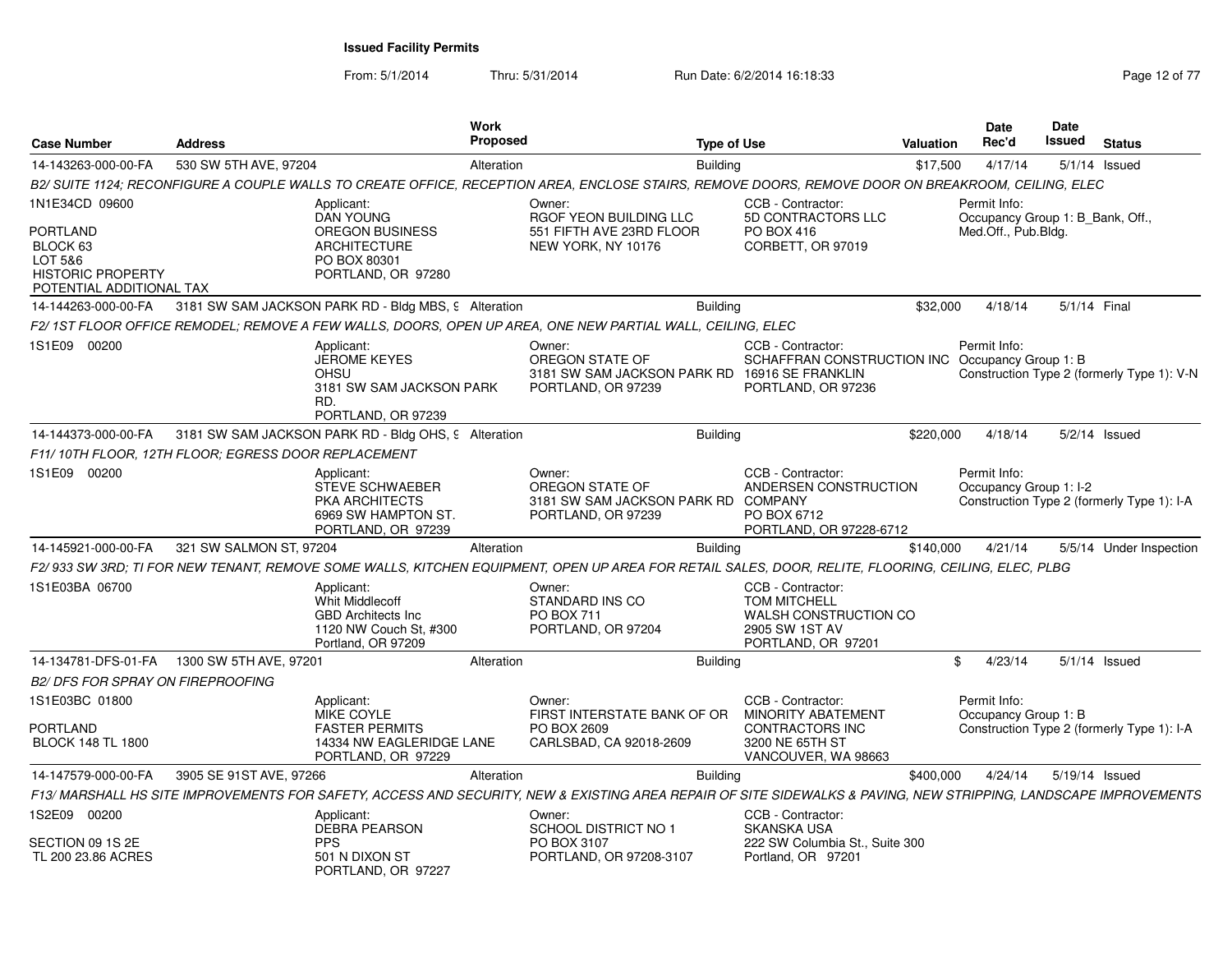From: 5/1/2014

Thru: 5/31/2014 Run Date: 6/2/2014 16:18:33 Research 2012 of 77

| <b>Case Number</b>                                                                                               | <b>Address</b>                                       |                                                                                                                    | <b>Work</b><br>Proposed |                                                                                                                                                                 | <b>Type of Use</b> |                                                                                                           | <b>Valuation</b> | Date<br>Rec'd                       | Date<br>Issued                   |              | <b>Status</b>                              |
|------------------------------------------------------------------------------------------------------------------|------------------------------------------------------|--------------------------------------------------------------------------------------------------------------------|-------------------------|-----------------------------------------------------------------------------------------------------------------------------------------------------------------|--------------------|-----------------------------------------------------------------------------------------------------------|------------------|-------------------------------------|----------------------------------|--------------|--------------------------------------------|
| 14-143263-000-00-FA                                                                                              | 530 SW 5TH AVE, 97204                                |                                                                                                                    | Alteration              |                                                                                                                                                                 | <b>Building</b>    |                                                                                                           | \$17,500         | 4/17/14                             |                                  |              | $5/1/14$ Issued                            |
|                                                                                                                  |                                                      |                                                                                                                    |                         | B2/ SUITE 1124; RECONFIGURE A COUPLE WALLS TO CREATE OFFICE, RECEPTION AREA, ENCLOSE STAIRS, REMOVE DOORS, REMOVE DOOR ON BREAKROOM, CEILING, ELEC              |                    |                                                                                                           |                  |                                     |                                  |              |                                            |
| 1N1E34CD 09600<br><b>PORTLAND</b><br>BLOCK 63<br>LOT 5&6<br><b>HISTORIC PROPERTY</b><br>POTENTIAL ADDITIONAL TAX |                                                      | Applicant:<br><b>DAN YOUNG</b><br>OREGON BUSINESS<br><b>ARCHITECTURE</b><br>PO BOX 80301<br>PORTLAND, OR 97280     |                         | Owner:<br>RGOF YEON BUILDING LLC<br>551 FIFTH AVE 23RD FLOOR<br>NEW YORK, NY 10176                                                                              |                    | CCB - Contractor:<br>5D CONTRACTORS LLC<br>PO BOX 416<br>CORBETT, OR 97019                                |                  | Permit Info:<br>Med.Off., Pub.Bldg. | Occupancy Group 1: B_Bank, Off., |              |                                            |
| 14-144263-000-00-FA                                                                                              |                                                      | 3181 SW SAM JACKSON PARK RD - Bldg MBS, 9 Alteration                                                               |                         |                                                                                                                                                                 | <b>Building</b>    |                                                                                                           | \$32,000         | 4/18/14                             |                                  | 5/1/14 Final |                                            |
|                                                                                                                  |                                                      |                                                                                                                    |                         | F2/ 1ST FLOOR OFFICE REMODEL: REMOVE A FEW WALLS. DOORS. OPEN UP AREA. ONE NEW PARTIAL WALL. CEILING. ELEC                                                      |                    |                                                                                                           |                  |                                     |                                  |              |                                            |
| 1S1E09 00200                                                                                                     |                                                      | Applicant:<br><b>JEROME KEYES</b><br>OHSU<br>3181 SW SAM JACKSON PARK<br>RD.<br>PORTLAND, OR 97239                 |                         | Owner:<br>OREGON STATE OF<br>3181 SW SAM JACKSON PARK RD 16916 SE FRANKLIN<br>PORTLAND, OR 97239                                                                |                    | CCB - Contractor:<br>SCHAFFRAN CONSTRUCTION INC Occupancy Group 1: B<br>PORTLAND, OR 97236                |                  | Permit Info:                        |                                  |              | Construction Type 2 (formerly Type 1): V-N |
| 14-144373-000-00-FA                                                                                              |                                                      | 3181 SW SAM JACKSON PARK RD - Bldg OHS, 9 Alteration                                                               |                         |                                                                                                                                                                 | <b>Building</b>    |                                                                                                           | \$220,000        | 4/18/14                             |                                  |              | $5/2/14$ Issued                            |
|                                                                                                                  | F11/ 10TH FLOOR, 12TH FLOOR; EGRESS DOOR REPLACEMENT |                                                                                                                    |                         |                                                                                                                                                                 |                    |                                                                                                           |                  |                                     |                                  |              |                                            |
| 1S1E09 00200                                                                                                     |                                                      | Applicant:<br><b>STEVE SCHWAEBER</b><br><b>PKA ARCHITECTS</b><br>6969 SW HAMPTON ST.<br>PORTLAND, OR 97239         |                         | Owner:<br>OREGON STATE OF<br>3181 SW SAM JACKSON PARK RD<br>PORTLAND, OR 97239                                                                                  |                    | CCB - Contractor:<br>ANDERSEN CONSTRUCTION<br><b>COMPANY</b><br>PO BOX 6712<br>PORTLAND, OR 97228-6712    |                  | Permit Info:                        | Occupancy Group 1: I-2           |              | Construction Type 2 (formerly Type 1): I-A |
| 14-145921-000-00-FA                                                                                              | 321 SW SALMON ST, 97204                              |                                                                                                                    | Alteration              |                                                                                                                                                                 | <b>Building</b>    |                                                                                                           | \$140,000        | 4/21/14                             |                                  |              | 5/5/14 Under Inspection                    |
|                                                                                                                  |                                                      |                                                                                                                    |                         | F2/ 933 SW 3RD; TI FOR NEW TENANT, REMOVE SOME WALLS, KITCHEN EQUIPMENT, OPEN UP AREA FOR RETAIL SALES, DOOR, RELITE, FLOORING, CEILING, ELEC, PLBG             |                    |                                                                                                           |                  |                                     |                                  |              |                                            |
| 1S1E03BA 06700                                                                                                   |                                                      | Applicant:<br><b>Whit Middlecoff</b><br><b>GBD Architects Inc.</b><br>1120 NW Couch St, #300<br>Portland, OR 97209 |                         | Owner:<br>STANDARD INS CO<br><b>PO BOX 711</b><br>PORTLAND, OR 97204                                                                                            |                    | CCB - Contractor:<br><b>TOM MITCHELL</b><br>WALSH CONSTRUCTION CO<br>2905 SW 1ST AV<br>PORTLAND, OR 97201 |                  |                                     |                                  |              |                                            |
| 14-134781-DFS-01-FA                                                                                              | 1300 SW 5TH AVE, 97201                               |                                                                                                                    | Alteration              |                                                                                                                                                                 | <b>Building</b>    |                                                                                                           | \$               | 4/23/14                             |                                  |              | 5/1/14 Issued                              |
| <b>B2/ DFS FOR SPRAY ON FIREPROOFING</b>                                                                         |                                                      |                                                                                                                    |                         |                                                                                                                                                                 |                    |                                                                                                           |                  |                                     |                                  |              |                                            |
| 1S1E03BC 01800<br><b>PORTLAND</b><br><b>BLOCK 148 TL 1800</b>                                                    |                                                      | Applicant:<br><b>MIKE COYLE</b><br><b>FASTER PERMITS</b><br>14334 NW EAGLERIDGE LANE                               |                         | Owner:<br>FIRST INTERSTATE BANK OF OR<br>PO BOX 2609                                                                                                            |                    | CCB - Contractor:<br><b>MINORITY ABATEMENT</b><br>CONTRACTORS INC<br>3200 NE 65TH ST                      |                  | Permit Info:                        | Occupancy Group 1: B             |              | Construction Type 2 (formerly Type 1): I-A |
|                                                                                                                  |                                                      | PORTLAND, OR 97229                                                                                                 |                         | CARLSBAD, CA 92018-2609                                                                                                                                         |                    | VANCOUVER, WA 98663                                                                                       |                  |                                     |                                  |              |                                            |
| 14-147579-000-00-FA                                                                                              | 3905 SE 91ST AVE, 97266                              |                                                                                                                    | Alteration              |                                                                                                                                                                 | <b>Building</b>    |                                                                                                           | \$400,000        | 4/24/14                             | 5/19/14 Issued                   |              |                                            |
|                                                                                                                  |                                                      |                                                                                                                    |                         | F13/MARSHALL HS SITE IMPROVEMENTS FOR SAFETY, ACCESS AND SECURITY, NEW & EXISTING AREA REPAIR OF SITE SIDEWALKS & PAVING, NEW STRIPPING, LANDSCAPE IMPROVEMENTS |                    |                                                                                                           |                  |                                     |                                  |              |                                            |
| 1S2E09 00200                                                                                                     |                                                      | Applicant:<br><b>DEBRA PEARSON</b>                                                                                 |                         | Owner:<br><b>SCHOOL DISTRICT NO 1</b>                                                                                                                           |                    | CCB - Contractor:<br><b>SKANSKA USA</b>                                                                   |                  |                                     |                                  |              |                                            |
| SECTION 09 1S 2E<br>TL 200 23.86 ACRES                                                                           |                                                      | <b>PPS</b><br>501 N DIXON ST<br>PORTLAND, OR 97227                                                                 |                         | PO BOX 3107<br>PORTLAND, OR 97208-3107                                                                                                                          |                    | 222 SW Columbia St., Suite 300<br>Portland, OR 97201                                                      |                  |                                     |                                  |              |                                            |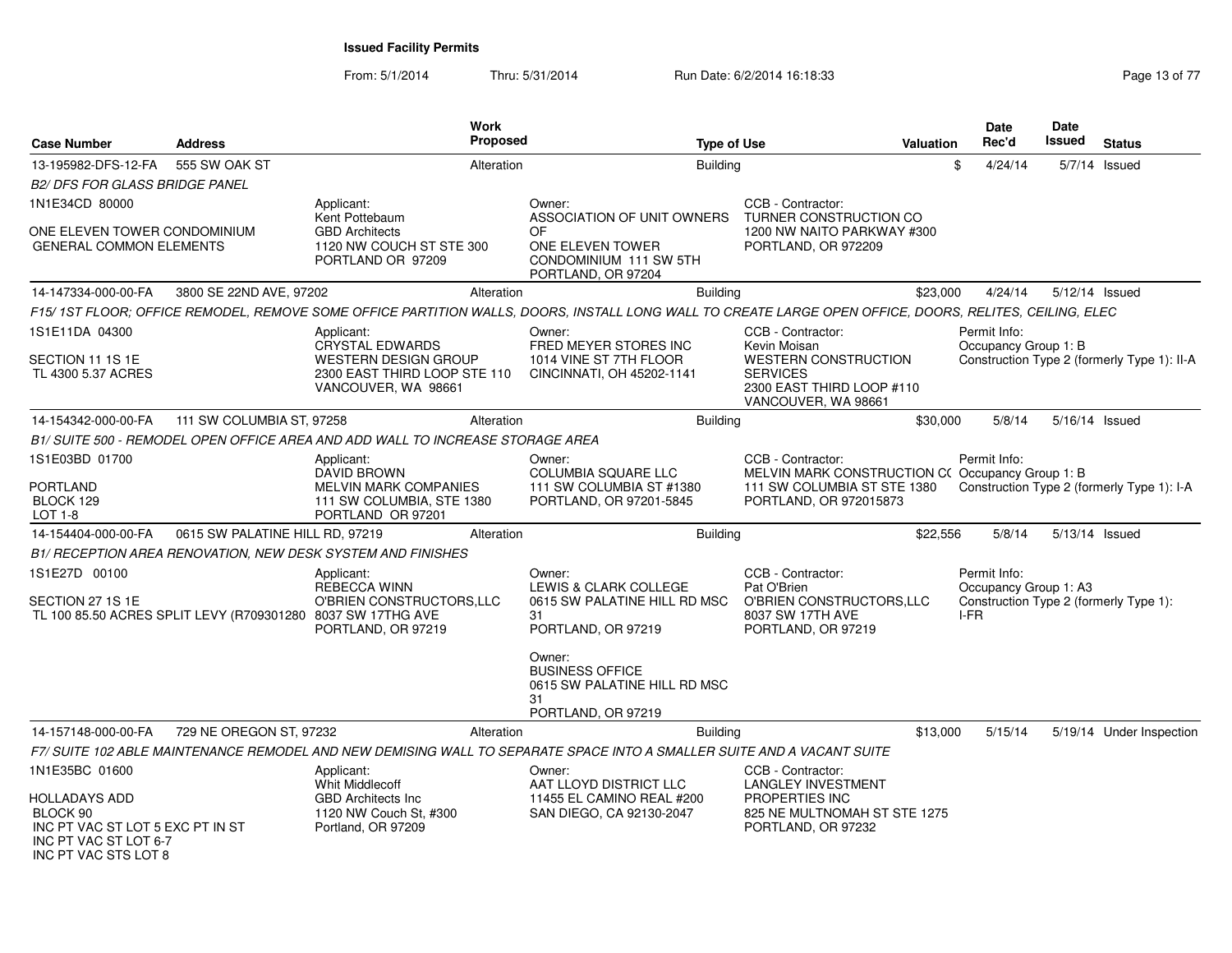From: 5/1/2014Thru: 5/31/2014 Run Date: 6/2/2014 16:18:33 Research 2010 13 of 77

| <b>Case Number</b>                                                                                                    | <b>Address</b>                                              | <b>Work</b><br>Proposed                                                                                                                                 |                                                                        | <b>Type of Use</b>                                                                                 | <b>Valuation</b> | <b>Date</b><br>Rec'd                                                            | <b>Date</b><br>Issued | <b>Status</b>                               |
|-----------------------------------------------------------------------------------------------------------------------|-------------------------------------------------------------|---------------------------------------------------------------------------------------------------------------------------------------------------------|------------------------------------------------------------------------|----------------------------------------------------------------------------------------------------|------------------|---------------------------------------------------------------------------------|-----------------------|---------------------------------------------|
| 13-195982-DFS-12-FA                                                                                                   | 555 SW OAK ST                                               | Alteration                                                                                                                                              | <b>Building</b>                                                        |                                                                                                    |                  | 4/24/14<br>\$                                                                   |                       | 5/7/14 Issued                               |
| <b>B2/ DFS FOR GLASS BRIDGE PANEL</b>                                                                                 |                                                             |                                                                                                                                                         |                                                                        |                                                                                                    |                  |                                                                                 |                       |                                             |
| 1N1E34CD 80000                                                                                                        |                                                             | Applicant:<br>Kent Pottebaum                                                                                                                            | Owner:<br>ASSOCIATION OF UNIT OWNERS                                   | CCB - Contractor:<br>TURNER CONSTRUCTION CO                                                        |                  |                                                                                 |                       |                                             |
| ONE ELEVEN TOWER CONDOMINIUM<br><b>GENERAL COMMON ELEMENTS</b>                                                        |                                                             | <b>GBD Architects</b><br>1120 NW COUCH ST STE 300<br>PORTLAND OR 97209                                                                                  | OF<br>ONE ELEVEN TOWER<br>CONDOMINIUM 111 SW 5TH<br>PORTLAND, OR 97204 | 1200 NW NAITO PARKWAY #300<br>PORTLAND, OR 972209                                                  |                  |                                                                                 |                       |                                             |
| 14-147334-000-00-FA                                                                                                   | 3800 SE 22ND AVE, 97202                                     | Alteration                                                                                                                                              | Building                                                               |                                                                                                    | \$23,000         | 4/24/14                                                                         | 5/12/14 Issued        |                                             |
|                                                                                                                       |                                                             | F15/ 1ST FLOOR; OFFICE REMODEL, REMOVE SOME OFFICE PARTITION WALLS, DOORS, INSTALL LONG WALL TO CREATE LARGE OPEN OFFICE, DOORS, RELITES, CEILING, ELEC |                                                                        |                                                                                                    |                  |                                                                                 |                       |                                             |
| 1S1E11DA 04300                                                                                                        |                                                             | Applicant:<br><b>CRYSTAL EDWARDS</b>                                                                                                                    | Owner:<br>FRED MEYER STORES INC                                        | CCB - Contractor:<br>Kevin Moisan                                                                  |                  | Permit Info:<br>Occupancy Group 1: B                                            |                       |                                             |
| SECTION 11 1S 1E<br>TL 4300 5.37 ACRES                                                                                |                                                             | <b>WESTERN DESIGN GROUP</b><br>2300 EAST THIRD LOOP STE 110<br>VANCOUVER, WA 98661                                                                      | 1014 VINE ST 7TH FLOOR<br>CINCINNATI, OH 45202-1141                    | <b>WESTERN CONSTRUCTION</b><br><b>SERVICES</b><br>2300 EAST THIRD LOOP #110<br>VANCOUVER, WA 98661 |                  |                                                                                 |                       | Construction Type 2 (formerly Type 1): II-A |
| 14-154342-000-00-FA                                                                                                   | 111 SW COLUMBIA ST, 97258                                   | Alteration                                                                                                                                              | Building                                                               |                                                                                                    | \$30,000         | 5/8/14                                                                          | 5/16/14 Issued        |                                             |
|                                                                                                                       |                                                             | B1/ SUITE 500 - REMODEL OPEN OFFICE AREA AND ADD WALL TO INCREASE STORAGE AREA                                                                          |                                                                        |                                                                                                    |                  |                                                                                 |                       |                                             |
| 1S1E03BD 01700                                                                                                        |                                                             | Applicant:<br>DAVID BROWN                                                                                                                               | Owner:<br>COLUMBIA SQUARE LLC                                          | CCB - Contractor:<br>MELVIN MARK CONSTRUCTION C(Occupancy Group 1: B                               |                  | Permit Info:                                                                    |                       |                                             |
| <b>PORTLAND</b><br>BLOCK 129<br>LOT 1-8                                                                               |                                                             | <b>MELVIN MARK COMPANIES</b><br>111 SW COLUMBIA, STE 1380<br>PORTLAND OR 97201                                                                          | 111 SW COLUMBIA ST #1380<br>PORTLAND, OR 97201-5845                    | 111 SW COLUMBIA ST STE 1380<br>PORTLAND, OR 972015873                                              |                  |                                                                                 |                       | Construction Type 2 (formerly Type 1): I-A  |
| 14-154404-000-00-FA                                                                                                   | 0615 SW PALATINE HILL RD, 97219                             | Alteration                                                                                                                                              | Building                                                               |                                                                                                    | \$22,556         | 5/8/14                                                                          | 5/13/14 Issued        |                                             |
|                                                                                                                       |                                                             | B1/ RECEPTION AREA RENOVATION, NEW DESK SYSTEM AND FINISHES                                                                                             |                                                                        |                                                                                                    |                  |                                                                                 |                       |                                             |
| 1S1E27D 00100<br>SECTION 27 1S 1E                                                                                     |                                                             | Applicant:<br>REBECCA WINN<br>O'BRIEN CONSTRUCTORS, LLC                                                                                                 | Owner:<br>LEWIS & CLARK COLLEGE<br>0615 SW PALATINE HILL RD MSC        | CCB - Contractor:<br>Pat O'Brien<br>O'BRIEN CONSTRUCTORS, LLC                                      |                  | Permit Info:<br>Occupancy Group 1: A3<br>Construction Type 2 (formerly Type 1): |                       |                                             |
|                                                                                                                       | TL 100 85.50 ACRES SPLIT LEVY (R709301280 8037 SW 17THG AVE | PORTLAND, OR 97219                                                                                                                                      | 31<br>PORTLAND, OR 97219                                               | 8037 SW 17TH AVE<br>PORTLAND, OR 97219                                                             |                  | I-FR                                                                            |                       |                                             |
|                                                                                                                       |                                                             |                                                                                                                                                         | Owner:<br><b>BUSINESS OFFICE</b><br>0615 SW PALATINE HILL RD MSC       |                                                                                                    |                  |                                                                                 |                       |                                             |
|                                                                                                                       |                                                             |                                                                                                                                                         | 31<br>PORTLAND, OR 97219                                               |                                                                                                    |                  |                                                                                 |                       |                                             |
| 14-157148-000-00-FA                                                                                                   | 729 NE OREGON ST, 97232                                     | Alteration                                                                                                                                              | <b>Building</b>                                                        |                                                                                                    | \$13,000         | 5/15/14                                                                         |                       | 5/19/14 Under Inspection                    |
|                                                                                                                       |                                                             | F7/ SUITE 102 ABLE MAINTENANCE REMODEL AND NEW DEMISING WALL TO SEPARATE SPACE INTO A SMALLER SUITE AND A VACANT SUITE                                  |                                                                        |                                                                                                    |                  |                                                                                 |                       |                                             |
| 1N1E35BC 01600                                                                                                        |                                                             | Applicant:<br><b>Whit Middlecoff</b>                                                                                                                    | Owner:<br>AAT LLOYD DISTRICT LLC                                       | CCB - Contractor:<br><b>LANGLEY INVESTMENT</b>                                                     |                  |                                                                                 |                       |                                             |
| <b>HOLLADAYS ADD</b><br>BLOCK 90<br>INC PT VAC ST LOT 5 EXC PT IN ST<br>INC PT VAC ST LOT 6-7<br>INC PT VAC STS LOT 8 |                                                             | <b>GBD Architects Inc.</b><br>1120 NW Couch St, #300<br>Portland, OR 97209                                                                              | 11455 EL CAMINO REAL #200<br>SAN DIEGO, CA 92130-2047                  | PROPERTIES INC<br>825 NE MULTNOMAH ST STE 1275<br>PORTLAND, OR 97232                               |                  |                                                                                 |                       |                                             |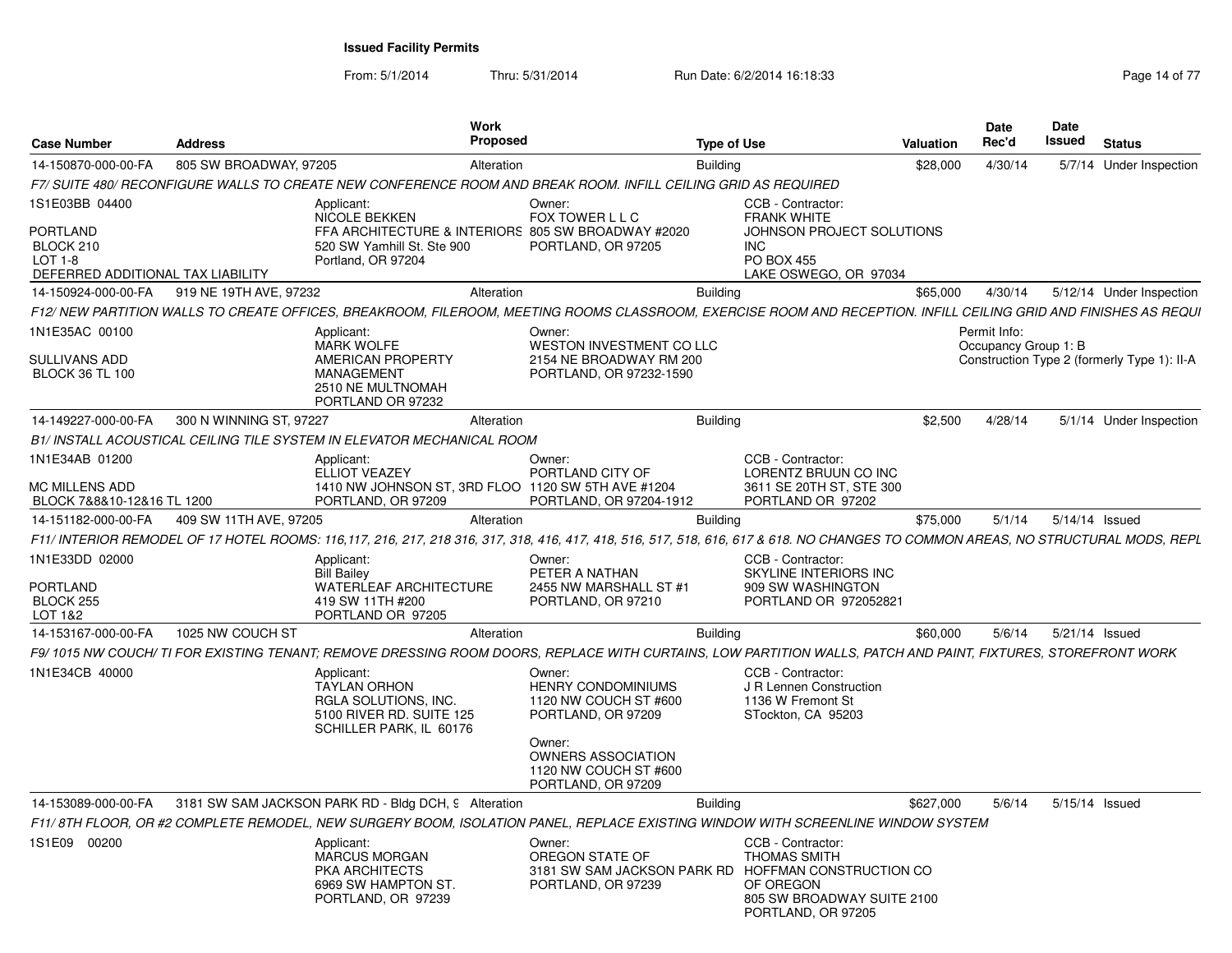From: 5/1/2014Thru: 5/31/2014 Run Date: 6/2/2014 16:18:33 Research 2010 14 of 77

| <b>Case Number</b>                                                           | <b>Address</b>          |                                                                                                                  | <b>Work</b><br><b>Proposed</b>                                                                                                                                                    | <b>Type of Use</b> |                                                                                                                                                                  | Valuation | Date<br>Rec'd                        | Date<br>Issued | <b>Status</b>                               |
|------------------------------------------------------------------------------|-------------------------|------------------------------------------------------------------------------------------------------------------|-----------------------------------------------------------------------------------------------------------------------------------------------------------------------------------|--------------------|------------------------------------------------------------------------------------------------------------------------------------------------------------------|-----------|--------------------------------------|----------------|---------------------------------------------|
| 14-150870-000-00-FA                                                          | 805 SW BROADWAY, 97205  |                                                                                                                  | Alteration                                                                                                                                                                        | <b>Building</b>    |                                                                                                                                                                  | \$28,000  | 4/30/14                              |                | 5/7/14 Under Inspection                     |
|                                                                              |                         |                                                                                                                  | F7/ SUITE 480/ RECONFIGURE WALLS TO CREATE NEW CONFERENCE ROOM AND BREAK ROOM. INFILL CEILING GRID AS REQUIRED                                                                    |                    |                                                                                                                                                                  |           |                                      |                |                                             |
| 1S1E03BB 04400                                                               |                         | Applicant:<br>NICOLE BEKKEN                                                                                      | Owner:<br>FOX TOWER L L C                                                                                                                                                         |                    | CCB - Contractor:<br><b>FRANK WHITE</b>                                                                                                                          |           |                                      |                |                                             |
| <b>PORTLAND</b><br>BLOCK 210<br>LOT 1-8<br>DEFERRED ADDITIONAL TAX LIABILITY |                         | 520 SW Yamhill St. Ste 900<br>Portland, OR 97204                                                                 | FFA ARCHITECTURE & INTERIORS 805 SW BROADWAY #2020<br>PORTLAND, OR 97205                                                                                                          |                    | JOHNSON PROJECT SOLUTIONS<br><b>INC</b><br><b>PO BOX 455</b><br>LAKE OSWEGO, OR 97034                                                                            |           |                                      |                |                                             |
| 14-150924-000-00-FA                                                          | 919 NE 19TH AVE, 97232  |                                                                                                                  | Alteration                                                                                                                                                                        | <b>Building</b>    |                                                                                                                                                                  | \$65,000  | 4/30/14                              |                | 5/12/14 Under Inspection                    |
|                                                                              |                         |                                                                                                                  | F12/ NEW PARTITION WALLS TO CREATE OFFICES, BREAKROOM, FILEROOM, MEETING ROOMS CLASSROOM, EXERCISE ROOM AND RECEPTION. INFILL CEILING GRID AND FINISHES AS REQUI                  |                    |                                                                                                                                                                  |           |                                      |                |                                             |
| 1N1E35AC 00100<br>SULLIVANS ADD                                              |                         | Applicant:<br><b>MARK WOLFE</b><br><b>AMERICAN PROPERTY</b>                                                      | Owner:<br>WESTON INVESTMENT CO LLC<br>2154 NE BROADWAY RM 200                                                                                                                     |                    |                                                                                                                                                                  |           | Permit Info:<br>Occupancy Group 1: B |                | Construction Type 2 (formerly Type 1): II-A |
| <b>BLOCK 36 TL 100</b>                                                       |                         | MANAGEMENT<br>2510 NE MULTNOMAH<br>PORTLAND OR 97232                                                             | PORTLAND, OR 97232-1590                                                                                                                                                           |                    |                                                                                                                                                                  |           |                                      |                |                                             |
| 14-149227-000-00-FA                                                          | 300 N WINNING ST, 97227 |                                                                                                                  | Alteration                                                                                                                                                                        | <b>Building</b>    |                                                                                                                                                                  | \$2,500   | 4/28/14                              |                | 5/1/14 Under Inspection                     |
|                                                                              |                         | B1/ INSTALL ACOUSTICAL CEILING TILE SYSTEM IN ELEVATOR MECHANICAL ROOM                                           |                                                                                                                                                                                   |                    |                                                                                                                                                                  |           |                                      |                |                                             |
| 1N1E34AB 01200                                                               |                         | Applicant:<br><b>ELLIOT VEAZEY</b>                                                                               | Owner:<br>PORTLAND CITY OF                                                                                                                                                        |                    | CCB - Contractor:<br>LORENTZ BRUUN CO INC                                                                                                                        |           |                                      |                |                                             |
| MC MILLENS ADD<br>BLOCK 7&8&10-12&16 TL 1200                                 |                         | PORTLAND, OR 97209                                                                                               | 1410 NW JOHNSON ST, 3RD FLOO 1120 SW 5TH AVE #1204<br>PORTLAND, OR 97204-1912                                                                                                     |                    | 3611 SE 20TH ST, STE 300<br>PORTLAND OR 97202                                                                                                                    |           |                                      |                |                                             |
| 14-151182-000-00-FA                                                          | 409 SW 11TH AVE, 97205  |                                                                                                                  | Alteration                                                                                                                                                                        | <b>Building</b>    |                                                                                                                                                                  | \$75,000  | 5/1/14                               | 5/14/14 Issued |                                             |
|                                                                              |                         |                                                                                                                  | F11/ INTERIOR REMODEL OF 17 HOTEL ROOMS: 116,117, 216, 217, 218 316, 317, 318, 416, 417, 418, 516, 517, 518, 616, 617 & 618. NO CHANGES TO COMMON AREAS, NO STRUCTURAL MODS, REPL |                    |                                                                                                                                                                  |           |                                      |                |                                             |
| 1N1E33DD 02000                                                               |                         | Applicant:<br><b>Bill Bailey</b>                                                                                 | Owner:<br>PETER A NATHAN                                                                                                                                                          |                    | CCB - Contractor:<br>SKYLINE INTERIORS INC                                                                                                                       |           |                                      |                |                                             |
| PORTLAND<br>BLOCK 255<br>LOT 1&2                                             |                         | WATERLEAF ARCHITECTURE<br>419 SW 11TH #200<br>PORTLAND OR 97205                                                  | 2455 NW MARSHALL ST #1<br>PORTLAND, OR 97210                                                                                                                                      |                    | 909 SW WASHINGTON<br>PORTLAND OR 972052821                                                                                                                       |           |                                      |                |                                             |
| 14-153167-000-00-FA                                                          | 1025 NW COUCH ST        |                                                                                                                  | Alteration                                                                                                                                                                        | <b>Building</b>    |                                                                                                                                                                  | \$60,000  | 5/6/14                               | 5/21/14 Issued |                                             |
|                                                                              |                         |                                                                                                                  | F9/1015 NW COUCH/TI FOR EXISTING TENANT; REMOVE DRESSING ROOM DOORS, REPLACE WITH CURTAINS, LOW PARTITION WALLS, PATCH AND PAINT, FIXTURES, STOREFRONT WORK                       |                    |                                                                                                                                                                  |           |                                      |                |                                             |
| 1N1E34CB 40000                                                               |                         | Applicant:<br><b>TAYLAN ORHON</b><br>RGLA SOLUTIONS, INC.<br>5100 RIVER RD. SUITE 125<br>SCHILLER PARK, IL 60176 | Owner:<br><b>HENRY CONDOMINIUMS</b><br>1120 NW COUCH ST #600<br>PORTLAND, OR 97209                                                                                                |                    | CCB - Contractor:<br>J R Lennen Construction<br>1136 W Fremont St<br>STockton, CA 95203                                                                          |           |                                      |                |                                             |
|                                                                              |                         |                                                                                                                  | Owner:<br><b>OWNERS ASSOCIATION</b><br>1120 NW COUCH ST #600<br>PORTLAND, OR 97209                                                                                                |                    |                                                                                                                                                                  |           |                                      |                |                                             |
| 14-153089-000-00-FA                                                          |                         | 3181 SW SAM JACKSON PARK RD - Bldg DCH, 9 Alteration                                                             |                                                                                                                                                                                   | <b>Building</b>    |                                                                                                                                                                  | \$627,000 | 5/6/14                               | 5/15/14 Issued |                                             |
|                                                                              |                         |                                                                                                                  | F11/8TH FLOOR, OR #2 COMPLETE REMODEL, NEW SURGERY BOOM, ISOLATION PANEL, REPLACE EXISTING WINDOW WITH SCREENLINE WINDOW SYSTEM                                                   |                    |                                                                                                                                                                  |           |                                      |                |                                             |
| 1S1E09 00200                                                                 |                         | Applicant:<br><b>MARCUS MORGAN</b><br>PKA ARCHITECTS<br>6969 SW HAMPTON ST.<br>PORTLAND, OR 97239                | Owner:<br>OREGON STATE OF<br>PORTLAND, OR 97239                                                                                                                                   |                    | CCB - Contractor:<br><b>THOMAS SMITH</b><br>3181 SW SAM JACKSON PARK RD HOFFMAN CONSTRUCTION CO<br>OF OREGON<br>805 SW BROADWAY SUITE 2100<br>PORTLAND, OR 97205 |           |                                      |                |                                             |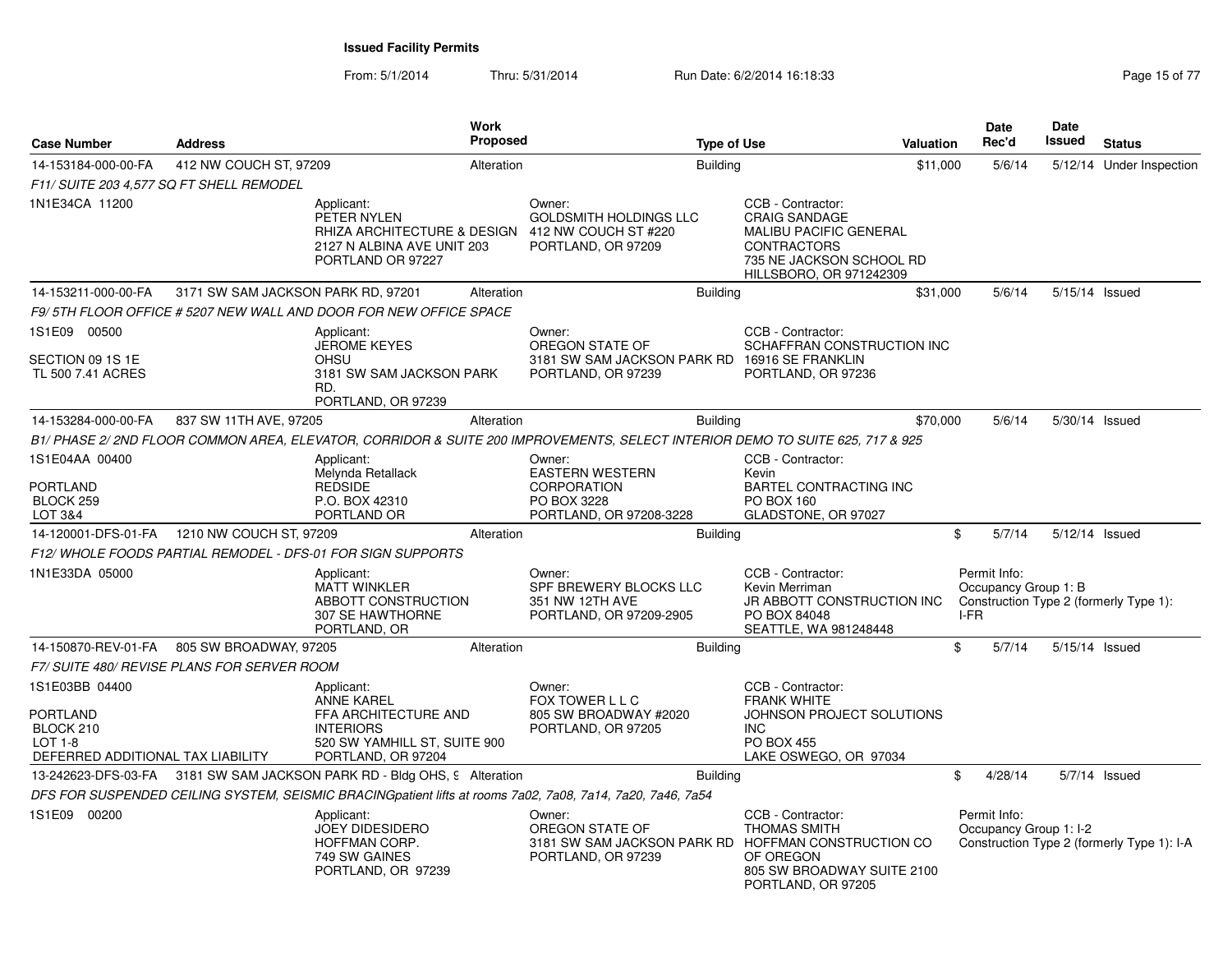From: 5/1/2014

Thru: 5/31/2014 Run Date: 6/2/2014 16:18:33 Research 2010 15 of 77

| <b>Case Number</b>                                                                      | <b>Address</b>                     | <b>Work</b><br>Proposed                                                                                                           |                                                                                                        | <b>Type of Use</b>                                                                                                                                      | Valuation | Date<br>Rec'd                                                                          | Date<br>Issued | <b>Status</b>                              |
|-----------------------------------------------------------------------------------------|------------------------------------|-----------------------------------------------------------------------------------------------------------------------------------|--------------------------------------------------------------------------------------------------------|---------------------------------------------------------------------------------------------------------------------------------------------------------|-----------|----------------------------------------------------------------------------------------|----------------|--------------------------------------------|
| 14-153184-000-00-FA                                                                     | 412 NW COUCH ST, 97209             | Alteration                                                                                                                        | <b>Building</b>                                                                                        |                                                                                                                                                         | \$11,000  | 5/6/14                                                                                 |                | 5/12/14 Under Inspection                   |
| F11/ SUITE 203 4,577 SQ FT SHELL REMODEL                                                |                                    |                                                                                                                                   |                                                                                                        |                                                                                                                                                         |           |                                                                                        |                |                                            |
| 1N1E34CA 11200                                                                          |                                    | Applicant:<br>PETER NYLEN<br>RHIZA ARCHITECTURE & DESIGN<br>2127 N ALBINA AVE UNIT 203<br>PORTLAND OR 97227                       | Owner:<br><b>GOLDSMITH HOLDINGS LLC</b><br>412 NW COUCH ST #220<br>PORTLAND, OR 97209                  | CCB - Contractor:<br><b>CRAIG SANDAGE</b><br><b>MALIBU PACIFIC GENERAL</b><br><b>CONTRACTORS</b><br>735 NE JACKSON SCHOOL RD<br>HILLSBORO, OR 971242309 |           |                                                                                        |                |                                            |
| 14-153211-000-00-FA                                                                     | 3171 SW SAM JACKSON PARK RD, 97201 | Alteration                                                                                                                        | <b>Building</b>                                                                                        |                                                                                                                                                         | \$31,000  | 5/6/14                                                                                 | 5/15/14 Issued |                                            |
|                                                                                         |                                    | F9/5TH FLOOR OFFICE #5207 NEW WALL AND DOOR FOR NEW OFFICE SPACE                                                                  |                                                                                                        |                                                                                                                                                         |           |                                                                                        |                |                                            |
| 1S1E09 00500<br>SECTION 09 1S 1E<br>TL 500 7.41 ACRES                                   |                                    | Applicant:<br><b>JEROME KEYES</b><br><b>OHSU</b><br>3181 SW SAM JACKSON PARK<br>RD.<br>PORTLAND, OR 97239                         | Owner:<br>OREGON STATE OF<br>3181 SW SAM JACKSON PARK RD 16916 SE FRANKLIN<br>PORTLAND, OR 97239       | CCB - Contractor:<br>SCHAFFRAN CONSTRUCTION INC<br>PORTLAND, OR 97236                                                                                   |           |                                                                                        |                |                                            |
| 14-153284-000-00-FA                                                                     | 837 SW 11TH AVE, 97205             | Alteration                                                                                                                        | <b>Building</b>                                                                                        |                                                                                                                                                         | \$70,000  | 5/6/14                                                                                 | 5/30/14 Issued |                                            |
|                                                                                         |                                    | B1/ PHASE 2/ 2ND FLOOR COMMON AREA, ELEVATOR, CORRIDOR & SUITE 200 IMPROVEMENTS, SELECT INTERIOR DEMO TO SUITE 625, 717 & 925     |                                                                                                        |                                                                                                                                                         |           |                                                                                        |                |                                            |
| 1S1E04AA 00400<br>PORTLAND<br>BLOCK 259<br><b>LOT 3&amp;4</b>                           |                                    | Applicant:<br>Melynda Retallack<br><b>REDSIDE</b><br>P.O. BOX 42310<br>PORTLAND OR                                                | Owner:<br><b>EASTERN WESTERN</b><br><b>CORPORATION</b><br>PO BOX 3228<br>PORTLAND, OR 97208-3228       | CCB - Contractor:<br>Kevin<br>BARTEL CONTRACTING INC<br>PO BOX 160<br>GLADSTONE, OR 97027                                                               |           |                                                                                        |                |                                            |
| 14-120001-DFS-01-FA   1210 NW COUCH ST, 97209                                           |                                    | Alteration                                                                                                                        | <b>Building</b>                                                                                        |                                                                                                                                                         |           | 5/7/14<br>\$                                                                           | 5/12/14 Issued |                                            |
|                                                                                         |                                    | F12/WHOLE FOODS PARTIAL REMODEL - DFS-01 FOR SIGN SUPPORTS                                                                        |                                                                                                        |                                                                                                                                                         |           |                                                                                        |                |                                            |
| 1N1E33DA 05000                                                                          |                                    | Applicant:<br><b>MATT WINKLER</b><br>ABBOTT CONSTRUCTION<br>307 SE HAWTHORNE<br>PORTLAND, OR                                      | Owner:<br>SPF BREWERY BLOCKS LLC<br>351 NW 12TH AVE<br>PORTLAND, OR 97209-2905                         | CCB - Contractor:<br>Kevin Merriman<br>JR ABBOTT CONSTRUCTION INC<br>PO BOX 84048<br>SEATTLE, WA 981248448                                              |           | Permit Info:<br>Occupancy Group 1: B<br>Construction Type 2 (formerly Type 1):<br>I-FR |                |                                            |
| 14-150870-REV-01-FA                                                                     | 805 SW BROADWAY, 97205             | Alteration                                                                                                                        | <b>Building</b>                                                                                        |                                                                                                                                                         |           | \$<br>5/7/14                                                                           | 5/15/14 Issued |                                            |
| F7/ SUITE 480/ REVISE PLANS FOR SERVER ROOM                                             |                                    |                                                                                                                                   |                                                                                                        |                                                                                                                                                         |           |                                                                                        |                |                                            |
| 1S1E03BB 04400<br>PORTLAND<br>BLOCK 210<br>LOT 1-8<br>DEFERRED ADDITIONAL TAX LIABILITY |                                    | Applicant:<br><b>ANNE KAREL</b><br>FFA ARCHITECTURE AND<br><b>INTERIORS</b><br>520 SW YAMHILL ST, SUITE 900<br>PORTLAND, OR 97204 | Owner:<br>FOX TOWER L L C<br>805 SW BROADWAY #2020<br>PORTLAND, OR 97205                               | CCB - Contractor:<br><b>FRANK WHITE</b><br>JOHNSON PROJECT SOLUTIONS<br><b>INC</b><br><b>PO BOX 455</b><br>LAKE OSWEGO, OR 97034                        |           |                                                                                        |                |                                            |
|                                                                                         |                                    | 13-242623-DFS-03-FA 3181 SW SAM JACKSON PARK RD - Bldg OHS, 9 Alteration                                                          | <b>Building</b>                                                                                        |                                                                                                                                                         |           | \$<br>4/28/14                                                                          |                | 5/7/14 Issued                              |
|                                                                                         |                                    | DFS FOR SUSPENDED CEILING SYSTEM, SEISMIC BRACINGpatient lifts at rooms 7a02, 7a08, 7a14, 7a20, 7a46, 7a54                        |                                                                                                        |                                                                                                                                                         |           |                                                                                        |                |                                            |
| 1S1E09 00200                                                                            |                                    | Applicant:<br><b>JOEY DIDESIDERO</b><br>HOFFMAN CORP.<br>749 SW GAINES<br>PORTLAND, OR 97239                                      | Owner:<br>OREGON STATE OF<br>3181 SW SAM JACKSON PARK RD HOFFMAN CONSTRUCTION CO<br>PORTLAND, OR 97239 | CCB - Contractor:<br><b>THOMAS SMITH</b><br>OF OREGON<br>805 SW BROADWAY SUITE 2100<br>PORTLAND, OR 97205                                               |           | Permit Info:<br>Occupancy Group 1: I-2                                                 |                | Construction Type 2 (formerly Type 1): I-A |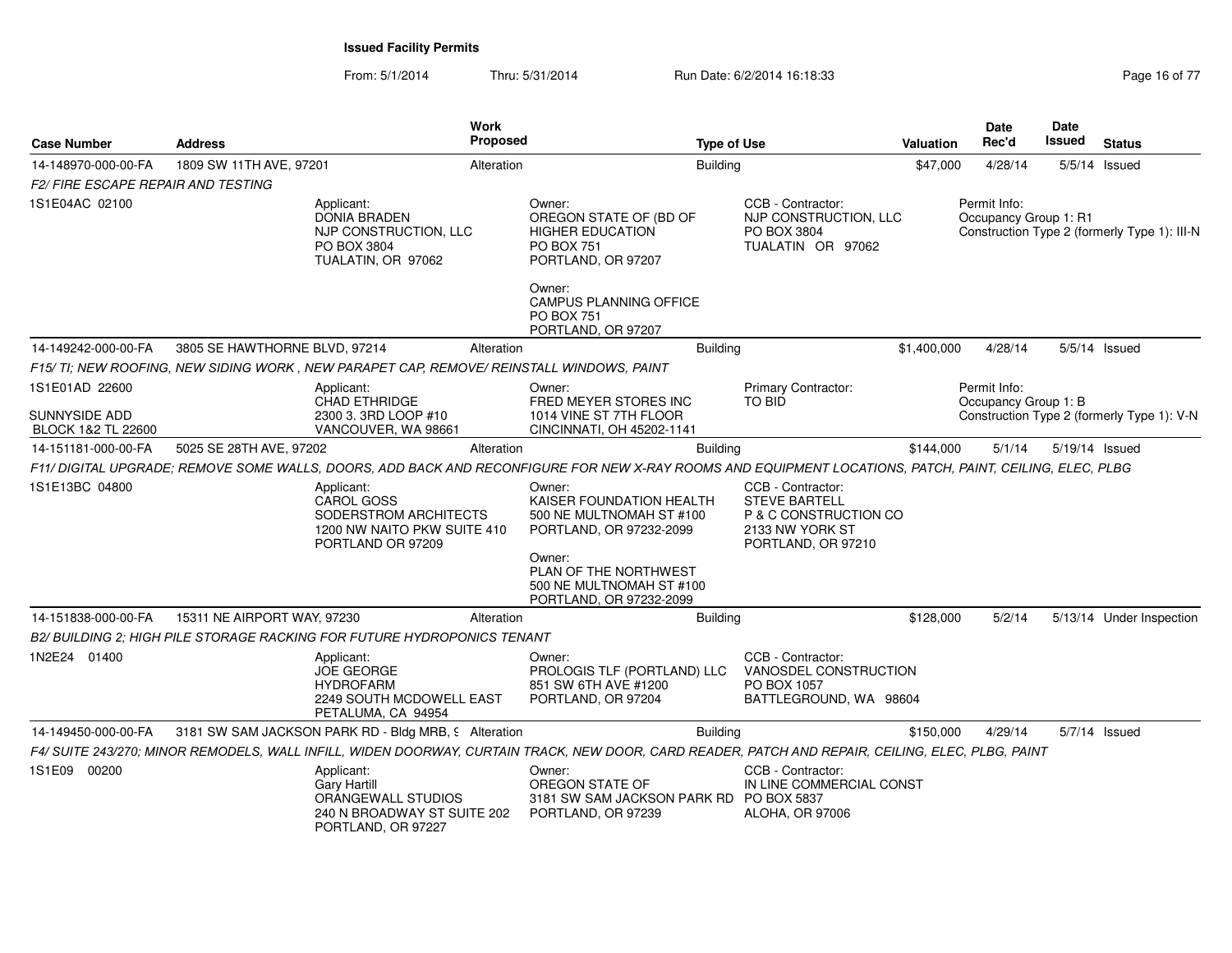From: 5/1/2014Thru: 5/31/2014 Run Date: 6/2/2014 16:18:33 Research 2010 16:08:18:39

| <b>Case Number</b>                         | <b>Address</b>                |                                                                                                              | Work<br>Proposed |                                                                                                                                                         | <b>Type of Use</b> |                                                                                                             | <b>Valuation</b> | <b>Date</b><br>Rec'd                  | <b>Date</b><br><b>Issued</b> | <b>Status</b>                                |
|--------------------------------------------|-------------------------------|--------------------------------------------------------------------------------------------------------------|------------------|---------------------------------------------------------------------------------------------------------------------------------------------------------|--------------------|-------------------------------------------------------------------------------------------------------------|------------------|---------------------------------------|------------------------------|----------------------------------------------|
| 14-148970-000-00-FA                        | 1809 SW 11TH AVE, 97201       |                                                                                                              | Alteration       |                                                                                                                                                         | <b>Building</b>    |                                                                                                             | \$47,000         | 4/28/14                               |                              | $5/5/14$ Issued                              |
| <b>F2/ FIRE ESCAPE REPAIR AND TESTING</b>  |                               |                                                                                                              |                  |                                                                                                                                                         |                    |                                                                                                             |                  |                                       |                              |                                              |
| 1S1E04AC 02100                             |                               | Applicant:<br><b>DONIA BRADEN</b><br>NJP CONSTRUCTION, LLC<br>PO BOX 3804<br>TUALATIN, OR 97062              |                  | Owner:<br>OREGON STATE OF (BD OF<br><b>HIGHER EDUCATION</b><br><b>PO BOX 751</b><br>PORTLAND, OR 97207                                                  |                    | CCB - Contractor:<br>NJP CONSTRUCTION, LLC<br>PO BOX 3804<br>TUALATIN OR 97062                              |                  | Permit Info:<br>Occupancy Group 1: R1 |                              | Construction Type 2 (formerly Type 1): III-N |
|                                            |                               |                                                                                                              |                  | Owner:<br><b>CAMPUS PLANNING OFFICE</b><br><b>PO BOX 751</b><br>PORTLAND, OR 97207                                                                      |                    |                                                                                                             |                  |                                       |                              |                                              |
| 14-149242-000-00-FA                        | 3805 SE HAWTHORNE BLVD, 97214 |                                                                                                              | Alteration       |                                                                                                                                                         | <b>Building</b>    |                                                                                                             | \$1,400,000      | 4/28/14                               |                              | $5/5/14$ Issued                              |
|                                            |                               | F15/ TI; NEW ROOFING. NEW SIDING WORK . NEW PARAPET CAP. REMOVE/ REINSTALL WINDOWS. PAINT                    |                  |                                                                                                                                                         |                    |                                                                                                             |                  |                                       |                              |                                              |
| 1S1E01AD 22600                             |                               | Applicant:<br>CHAD ETHRIDGE                                                                                  |                  | Owner:<br>FRED MEYER STORES INC                                                                                                                         |                    | <b>Primary Contractor:</b><br><b>TO BID</b>                                                                 |                  | Permit Info:<br>Occupancy Group 1: B  |                              |                                              |
| <b>SUNNYSIDE ADD</b><br>BLOCK 1&2 TL 22600 |                               | 2300 3. 3RD LOOP #10<br>VANCOUVER, WA 98661                                                                  |                  | 1014 VINE ST 7TH FLOOR<br>CINCINNATI, OH 45202-1141                                                                                                     |                    |                                                                                                             |                  |                                       |                              | Construction Type 2 (formerly Type 1): V-N   |
| 14-151181-000-00-FA                        | 5025 SE 28TH AVE, 97202       |                                                                                                              | Alteration       |                                                                                                                                                         | <b>Building</b>    |                                                                                                             | \$144,000        | 5/1/14                                |                              | 5/19/14 Issued                               |
|                                            |                               |                                                                                                              |                  | F11/ DIGITAL UPGRADE; REMOVE SOME WALLS, DOORS, ADD BACK AND RECONFIGURE FOR NEW X-RAY ROOMS AND EQUIPMENT LOCATIONS, PATCH, PAINT, CEILING, ELEC, PLBG |                    |                                                                                                             |                  |                                       |                              |                                              |
| 1S1E13BC 04800                             |                               | Applicant:<br><b>CAROL GOSS</b><br>SODERSTROM ARCHITECTS<br>1200 NW NAITO PKW SUITE 410<br>PORTLAND OR 97209 |                  | Owner:<br>KAISER FOUNDATION HEALTH<br>500 NE MULTNOMAH ST #100<br>PORTLAND, OR 97232-2099<br>Owner:<br>PLAN OF THE NORTHWEST                            |                    | CCB - Contractor:<br><b>STEVE BARTELL</b><br>P & C CONSTRUCTION CO<br>2133 NW YORK ST<br>PORTLAND, OR 97210 |                  |                                       |                              |                                              |
|                                            |                               |                                                                                                              |                  | 500 NE MULTNOMAH ST #100<br>PORTLAND, OR 97232-2099                                                                                                     |                    |                                                                                                             |                  |                                       |                              |                                              |
| 14-151838-000-00-FA                        | 15311 NE AIRPORT WAY, 97230   |                                                                                                              | Alteration       |                                                                                                                                                         | <b>Building</b>    |                                                                                                             | \$128,000        | 5/2/14                                |                              | 5/13/14 Under Inspection                     |
|                                            |                               | B2/ BUILDING 2; HIGH PILE STORAGE RACKING FOR FUTURE HYDROPONICS TENANT                                      |                  |                                                                                                                                                         |                    |                                                                                                             |                  |                                       |                              |                                              |
| 1N2E24 01400                               |                               | Applicant:<br><b>JOE GEORGE</b><br><b>HYDROFARM</b><br>2249 SOUTH MCDOWELL EAST<br>PETALUMA, CA 94954        |                  | Owner:<br>PROLOGIS TLF (PORTLAND) LLC<br>851 SW 6TH AVE #1200<br>PORTLAND, OR 97204                                                                     |                    | CCB - Contractor:<br>VANOSDEL CONSTRUCTION<br>PO BOX 1057<br>BATTLEGROUND, WA 98604                         |                  |                                       |                              |                                              |
| 14-149450-000-00-FA                        |                               | 3181 SW SAM JACKSON PARK RD - Bldg MRB, 9 Alteration                                                         |                  |                                                                                                                                                         | <b>Building</b>    |                                                                                                             | \$150,000        | 4/29/14                               |                              | 5/7/14 Issued                                |
|                                            |                               |                                                                                                              |                  | F4/ SUITE 243/270; MINOR REMODELS, WALL INFILL, WIDEN DOORWAY, CURTAIN TRACK, NEW DOOR, CARD READER, PATCH AND REPAIR, CEILING, ELEC, PLBG, PAINT       |                    |                                                                                                             |                  |                                       |                              |                                              |
| 1S1E09 00200                               |                               | Applicant:<br><b>Gary Hartill</b><br>ORANGEWALL STUDIOS<br>240 N BROADWAY ST SUITE 202<br>PORTLAND, OR 97227 |                  | Owner:<br>OREGON STATE OF<br>3181 SW SAM JACKSON PARK RD PO BOX 5837<br>PORTLAND, OR 97239                                                              |                    | CCB - Contractor:<br>IN LINE COMMERCIAL CONST<br><b>ALOHA, OR 97006</b>                                     |                  |                                       |                              |                                              |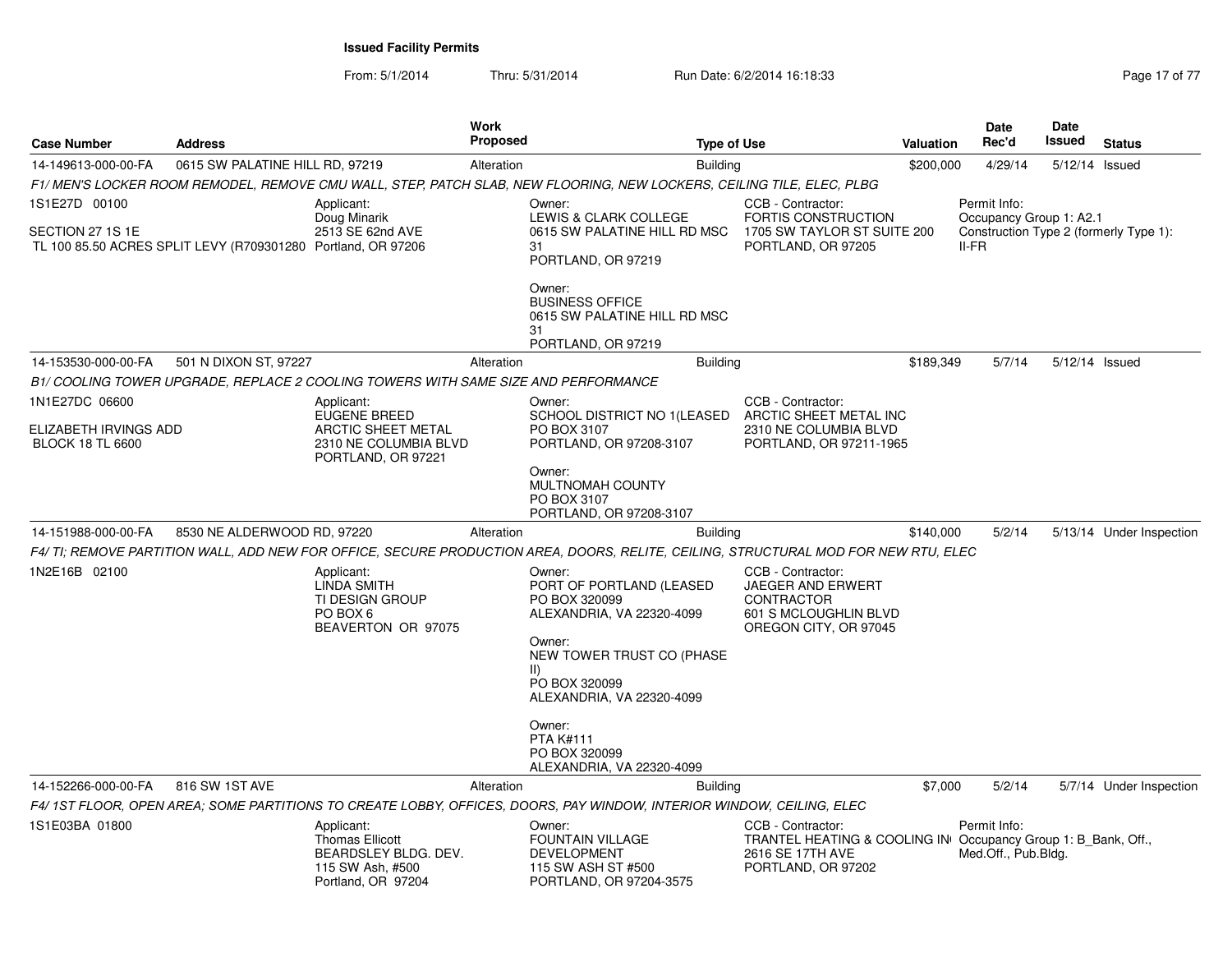From: 5/1/2014Thru: 5/31/2014 Run Date: 6/2/2014 16:18:33 Research 2010 17 Page 17 of 77

| <b>Case Number</b>                                                 | <b>Address</b>                                               |                                                                                                        | <b>Work</b><br><b>Proposed</b> | <b>Type of Use</b>                                                                                                                                                                                                                                                                                                                                                                                        |                                                                                                                              | Valuation | <b>Date</b><br>Rec'd                                                                       | Date<br>Issued | <b>Status</b>            |
|--------------------------------------------------------------------|--------------------------------------------------------------|--------------------------------------------------------------------------------------------------------|--------------------------------|-----------------------------------------------------------------------------------------------------------------------------------------------------------------------------------------------------------------------------------------------------------------------------------------------------------------------------------------------------------------------------------------------------------|------------------------------------------------------------------------------------------------------------------------------|-----------|--------------------------------------------------------------------------------------------|----------------|--------------------------|
| 14-149613-000-00-FA                                                | 0615 SW PALATINE HILL RD, 97219                              |                                                                                                        | Alteration                     | <b>Building</b>                                                                                                                                                                                                                                                                                                                                                                                           |                                                                                                                              | \$200,000 | 4/29/14                                                                                    | 5/12/14 Issued |                          |
|                                                                    |                                                              |                                                                                                        |                                | F1/ MEN'S LOCKER ROOM REMODEL, REMOVE CMU WALL, STEP, PATCH SLAB, NEW FLOORING, NEW LOCKERS, CEILING TILE, ELEC, PLBG                                                                                                                                                                                                                                                                                     |                                                                                                                              |           |                                                                                            |                |                          |
| 1S1E27D 00100<br>SECTION 27 1S 1E                                  | TL 100 85.50 ACRES SPLIT LEVY (R709301280 Portland, OR 97206 | Applicant:<br>Doug Minarik<br>2513 SE 62nd AVE                                                         |                                | Owner:<br>LEWIS & CLARK COLLEGE<br>0615 SW PALATINE HILL RD MSC<br>31<br>PORTLAND, OR 97219                                                                                                                                                                                                                                                                                                               | CCB - Contractor:<br>FORTIS CONSTRUCTION<br>1705 SW TAYLOR ST SUITE 200<br>PORTLAND, OR 97205                                |           | Permit Info:<br>Occupancy Group 1: A2.1<br>Construction Type 2 (formerly Type 1):<br>II-FR |                |                          |
|                                                                    |                                                              |                                                                                                        |                                | Owner:<br><b>BUSINESS OFFICE</b><br>0615 SW PALATINE HILL RD MSC<br>31<br>PORTLAND, OR 97219                                                                                                                                                                                                                                                                                                              |                                                                                                                              |           |                                                                                            |                |                          |
| 14-153530-000-00-FA                                                | 501 N DIXON ST, 97227                                        |                                                                                                        | Alteration                     | <b>Building</b>                                                                                                                                                                                                                                                                                                                                                                                           |                                                                                                                              | \$189,349 | 5/7/14                                                                                     | 5/12/14 Issued |                          |
|                                                                    |                                                              | B1/ COOLING TOWER UPGRADE, REPLACE 2 COOLING TOWERS WITH SAME SIZE AND PERFORMANCE                     |                                |                                                                                                                                                                                                                                                                                                                                                                                                           |                                                                                                                              |           |                                                                                            |                |                          |
| 1N1E27DC 06600<br>ELIZABETH IRVINGS ADD<br><b>BLOCK 18 TL 6600</b> |                                                              | Applicant:<br>EUGENE BREED<br><b>ARCTIC SHEET METAL</b><br>2310 NE COLUMBIA BLVD<br>PORTLAND, OR 97221 |                                | Owner:<br>SCHOOL DISTRICT NO 1(LEASED<br>PO BOX 3107<br>PORTLAND, OR 97208-3107                                                                                                                                                                                                                                                                                                                           | CCB - Contractor:<br>ARCTIC SHEET METAL INC<br>2310 NE COLUMBIA BLVD<br>PORTLAND, OR 97211-1965                              |           |                                                                                            |                |                          |
|                                                                    |                                                              |                                                                                                        |                                | Owner:<br>MULTNOMAH COUNTY<br>PO BOX 3107<br>PORTLAND, OR 97208-3107                                                                                                                                                                                                                                                                                                                                      |                                                                                                                              |           |                                                                                            |                |                          |
| 14-151988-000-00-FA                                                | 8530 NE ALDERWOOD RD, 97220                                  |                                                                                                        | Alteration                     | <b>Building</b>                                                                                                                                                                                                                                                                                                                                                                                           |                                                                                                                              | \$140,000 | 5/2/14                                                                                     |                | 5/13/14 Under Inspection |
| 1N2E16B 02100                                                      |                                                              | Applicant:<br>LINDA SMITH<br><b>TI DESIGN GROUP</b><br>PO BOX 6<br>BEAVERTON OR 97075                  |                                | F4/ TI: REMOVE PARTITION WALL. ADD NEW FOR OFFICE. SECURE PRODUCTION AREA. DOORS. RELITE. CEILING. STRUCTURAL MOD FOR NEW RTU. ELEC<br>Owner:<br>PORT OF PORTLAND (LEASED<br>PO BOX 320099<br>ALEXANDRIA, VA 22320-4099<br>Owner:<br>NEW TOWER TRUST CO (PHASE<br>$\parallel$ )<br>PO BOX 320099<br>ALEXANDRIA, VA 22320-4099<br>Owner:<br><b>PTA K#111</b><br>PO BOX 320099<br>ALEXANDRIA, VA 22320-4099 | CCB - Contractor:<br>JAEGER AND ERWERT<br><b>CONTRACTOR</b><br>601 S MCLOUGHLIN BLVD<br>OREGON CITY, OR 97045                |           |                                                                                            |                |                          |
| 14-152266-000-00-FA                                                | 816 SW 1ST AVE                                               |                                                                                                        | Alteration                     | <b>Building</b>                                                                                                                                                                                                                                                                                                                                                                                           |                                                                                                                              | \$7,000   | 5/2/14                                                                                     |                | 5/7/14 Under Inspection  |
|                                                                    |                                                              |                                                                                                        |                                | F4/ 1ST FLOOR, OPEN AREA; SOME PARTITIONS TO CREATE LOBBY, OFFICES, DOORS, PAY WINDOW, INTERIOR WINDOW, CEILING, ELEC                                                                                                                                                                                                                                                                                     |                                                                                                                              |           |                                                                                            |                |                          |
| 1S1E03BA 01800                                                     |                                                              | Applicant:<br><b>Thomas Ellicott</b><br>BEARDSLEY BLDG. DEV.<br>115 SW Ash, #500<br>Portland, OR 97204 |                                | Owner:<br><b>FOUNTAIN VILLAGE</b><br><b>DEVELOPMENT</b><br>115 SW ASH ST #500<br>PORTLAND, OR 97204-3575                                                                                                                                                                                                                                                                                                  | CCB - Contractor:<br>TRANTEL HEATING & COOLING IN Occupancy Group 1: B Bank, Off.,<br>2616 SE 17TH AVE<br>PORTLAND, OR 97202 |           | Permit Info:<br>Med.Off., Pub.Bldg.                                                        |                |                          |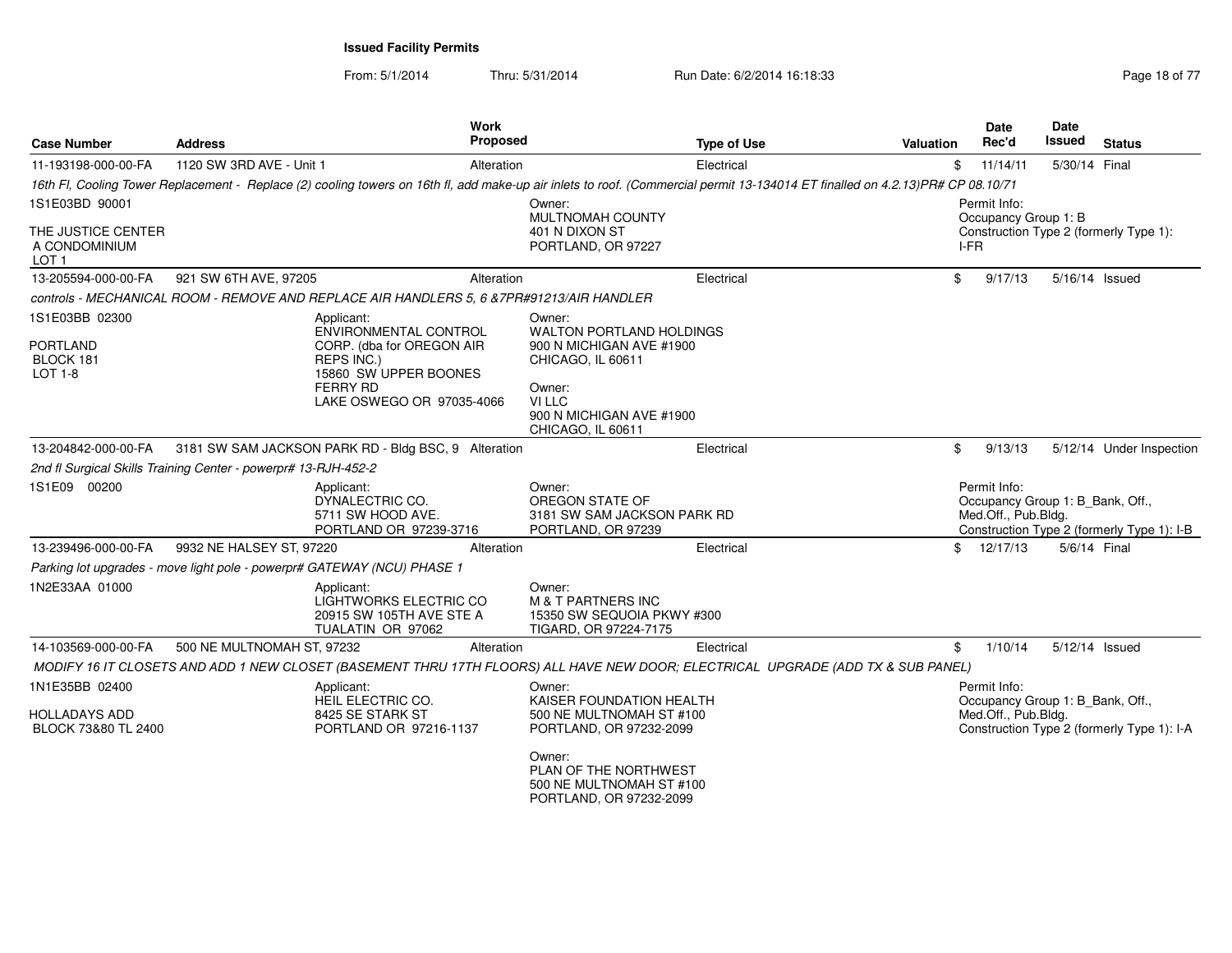From: 5/1/2014Thru: 5/31/2014 Run Date: 6/2/2014 16:18:33 Research 2010 18:04 Page 18 of 77

| <b>Case Number</b>                                      | <b>Address</b>                                                                           | Work<br>Proposed                                   | <b>Type of Use</b>                                                                                                                                                             | Valuation | <b>Date</b><br>Rec'd                                                    | Date<br>Issued | <b>Status</b>                              |
|---------------------------------------------------------|------------------------------------------------------------------------------------------|----------------------------------------------------|--------------------------------------------------------------------------------------------------------------------------------------------------------------------------------|-----------|-------------------------------------------------------------------------|----------------|--------------------------------------------|
| 11-193198-000-00-FA                                     | 1120 SW 3RD AVE - Unit 1                                                                 | Alteration                                         | Electrical                                                                                                                                                                     |           | 11/14/11<br>\$                                                          | 5/30/14 Final  |                                            |
|                                                         |                                                                                          |                                                    | 16th Fl, Cooling Tower Replacement - Replace (2) cooling towers on 16th fl, add make-up air inlets to roof. (Commercial permit 13-134014 ET finalled on 4.2.13)PR# CP 08.10/71 |           |                                                                         |                |                                            |
| 1S1E03BD 90001                                          |                                                                                          |                                                    | Owner:<br>MULTNOMAH COUNTY                                                                                                                                                     |           | Permit Info:<br>Occupancy Group 1: B                                    |                |                                            |
| THE JUSTICE CENTER<br>A CONDOMINIUM<br>LOT <sub>1</sub> |                                                                                          |                                                    | 401 N DIXON ST<br>PORTLAND, OR 97227                                                                                                                                           |           | Construction Type 2 (formerly Type 1):<br>I-FR                          |                |                                            |
| 13-205594-000-00-FA                                     | 921 SW 6TH AVE, 97205                                                                    | Alteration                                         | Electrical                                                                                                                                                                     |           | \$<br>9/17/13                                                           | 5/16/14 Issued |                                            |
|                                                         | controls - MECHANICAL ROOM - REMOVE AND REPLACE AIR HANDLERS 5, 6 &7PR#91213/AIR HANDLER |                                                    |                                                                                                                                                                                |           |                                                                         |                |                                            |
| 1S1E03BB 02300                                          | Applicant:                                                                               | ENVIRONMENTAL CONTROL                              | Owner:<br><b>WALTON PORTLAND HOLDINGS</b>                                                                                                                                      |           |                                                                         |                |                                            |
| <b>PORTLAND</b><br>BLOCK 181<br>$LOT 1-8$               | <b>REPS INC.)</b><br>15860 SW UPPER BOONES                                               | CORP. (dba for OREGON AIR                          | 900 N MICHIGAN AVE #1900<br>CHICAGO, IL 60611                                                                                                                                  |           |                                                                         |                |                                            |
|                                                         | <b>FERRY RD</b>                                                                          | LAKE OSWEGO OR 97035-4066                          | Owner:<br>VI LLC<br>900 N MICHIGAN AVE #1900<br>CHICAGO, IL 60611                                                                                                              |           |                                                                         |                |                                            |
| 13-204842-000-00-FA                                     | 3181 SW SAM JACKSON PARK RD - Bldg BSC, 9 Alteration                                     |                                                    | Electrical                                                                                                                                                                     |           | \$<br>9/13/13                                                           |                | 5/12/14 Under Inspection                   |
|                                                         | 2nd fl Surgical Skills Training Center - powerpr# 13-RJH-452-2                           |                                                    |                                                                                                                                                                                |           |                                                                         |                |                                            |
| 1S1E09 00200                                            | Applicant:<br>DYNALECTRIC CO.<br>5711 SW HOOD AVE.<br>PORTLAND OR 97239-3716             |                                                    | Owner:<br>OREGON STATE OF<br>3181 SW SAM JACKSON PARK RD<br>PORTLAND, OR 97239                                                                                                 |           | Permit Info:<br>Occupancy Group 1: B_Bank, Off.,<br>Med.Off., Pub.Bldg. |                | Construction Type 2 (formerly Type 1): I-B |
| 13-239496-000-00-FA                                     | 9932 NE HALSEY ST, 97220                                                                 | Alteration                                         | Electrical                                                                                                                                                                     |           | \$<br>12/17/13                                                          | 5/6/14 Final   |                                            |
|                                                         | Parking lot upgrades - move light pole - powerpr# GATEWAY (NCU) PHASE 1                  |                                                    |                                                                                                                                                                                |           |                                                                         |                |                                            |
| 1N2E33AA 01000                                          | Applicant:<br>TUALATIN OR 97062                                                          | LIGHTWORKS ELECTRIC CO<br>20915 SW 105TH AVE STE A | Owner:<br><b>M &amp; T PARTNERS INC</b><br>15350 SW SEQUOIA PKWY #300<br>TIGARD, OR 97224-7175                                                                                 |           |                                                                         |                |                                            |
| 14-103569-000-00-FA                                     | 500 NE MULTNOMAH ST. 97232                                                               | Alteration                                         | Electrical                                                                                                                                                                     |           | \$<br>1/10/14                                                           | 5/12/14 Issued |                                            |
|                                                         |                                                                                          |                                                    | MODIFY 16 IT CLOSETS AND ADD 1 NEW CLOSET (BASEMENT THRU 17TH FLOORS) ALL HAVE NEW DOOR; ELECTRICAL UPGRADE (ADD TX & SUB PANEL)                                               |           |                                                                         |                |                                            |
| 1N1E35BB 02400                                          | Applicant:<br>HEIL ELECTRIC CO.                                                          |                                                    | Owner:<br>KAISER FOUNDATION HEALTH                                                                                                                                             |           | Permit Info:<br>Occupancy Group 1: B_Bank, Off.,                        |                |                                            |
| <b>HOLLADAYS ADD</b><br>BLOCK 73&80 TL 2400             | 8425 SE STARK ST<br>PORTLAND OR 97216-1137                                               |                                                    | 500 NE MULTNOMAH ST #100<br>PORTLAND, OR 97232-2099                                                                                                                            |           | Med.Off., Pub.Bldg.                                                     |                | Construction Type 2 (formerly Type 1): I-A |
|                                                         |                                                                                          |                                                    | Owner:<br>PLAN OF THE NORTHWEST<br>500 NE MULTNOMAH ST #100<br>PORTLAND, OR 97232-2099                                                                                         |           |                                                                         |                |                                            |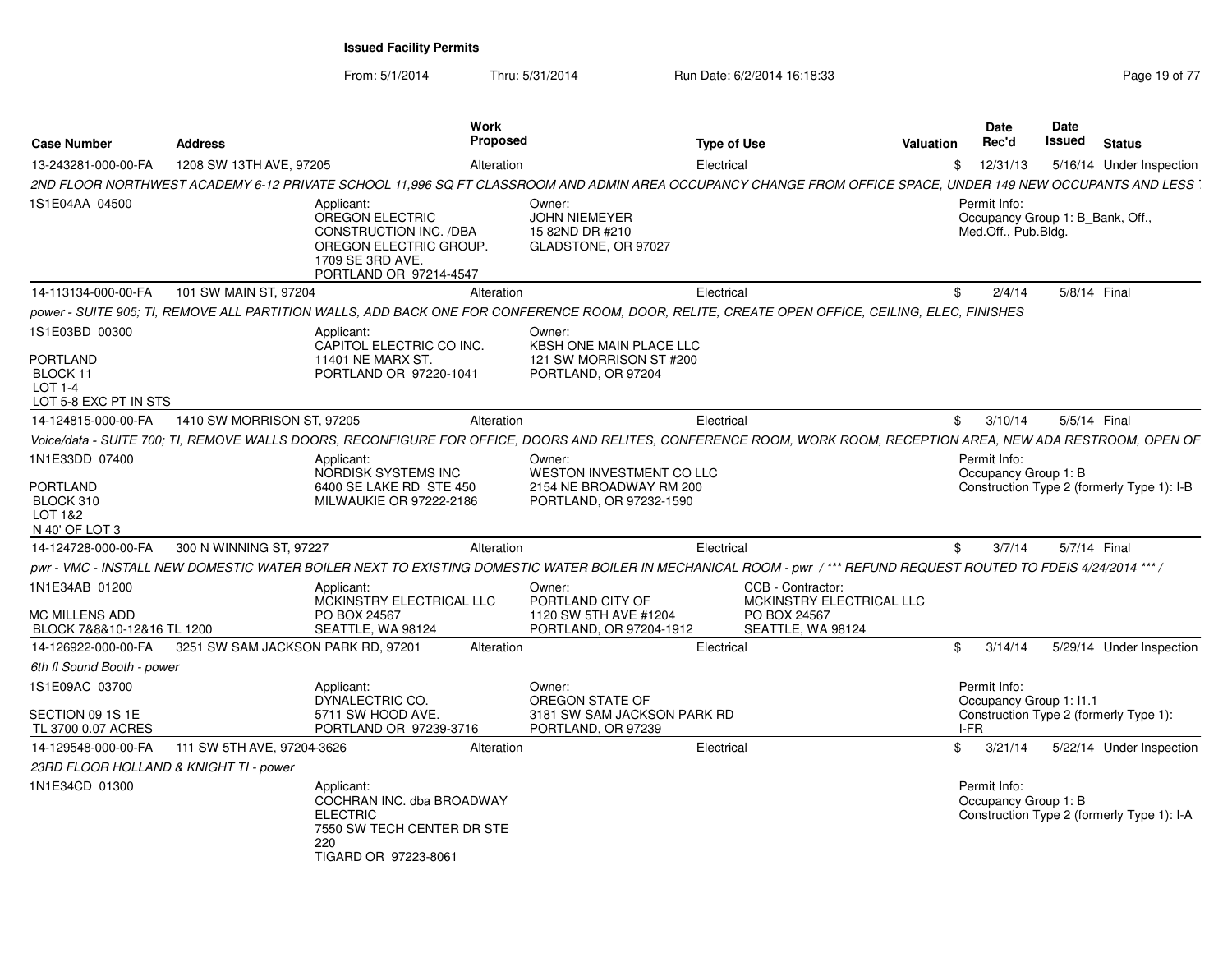From: 5/1/2014Thru: 5/31/2014 Run Date: 6/2/2014 16:18:33 Research 2010 19 of 77

| <b>Case Number</b>                                                                | <b>Address</b>                         |                                                                                                                                 | Work<br><b>Proposed</b> |                                                                                                                                                                   | Type of Use                                            | Valuation                | <b>Date</b><br>Rec'd                                                    | Date<br>Issued | <b>Status</b>                              |  |
|-----------------------------------------------------------------------------------|----------------------------------------|---------------------------------------------------------------------------------------------------------------------------------|-------------------------|-------------------------------------------------------------------------------------------------------------------------------------------------------------------|--------------------------------------------------------|--------------------------|-------------------------------------------------------------------------|----------------|--------------------------------------------|--|
| 13-243281-000-00-FA                                                               | 1208 SW 13TH AVE, 97205                |                                                                                                                                 | Alteration              |                                                                                                                                                                   | Electrical                                             | \$                       | 12/31/13                                                                |                | 5/16/14 Under Inspection                   |  |
|                                                                                   |                                        |                                                                                                                                 |                         | 2ND FLOOR NORTHWEST ACADEMY 6-12 PRIVATE SCHOOL 11,996 SQ FT CLASSROOM AND ADMIN AREA OCCUPANCY CHANGE FROM OFFICE SPACE, UNDER 149 NEW OCCUPANTS AND LESS        |                                                        |                          |                                                                         |                |                                            |  |
| 1S1E04AA 04500                                                                    |                                        | Applicant:<br>OREGON ELECTRIC<br>CONSTRUCTION INC. /DBA<br>OREGON ELECTRIC GROUP.<br>1709 SE 3RD AVE.<br>PORTLAND OR 97214-4547 |                         | Owner:<br>JOHN NIEMEYER<br>15 82ND DR #210<br>GLADSTONE, OR 97027                                                                                                 |                                                        |                          | Permit Info:<br>Occupancy Group 1: B_Bank, Off.,<br>Med.Off., Pub.Bldg. |                |                                            |  |
| 14-113134-000-00-FA                                                               | 101 SW MAIN ST, 97204                  |                                                                                                                                 | Alteration              |                                                                                                                                                                   | Electrical                                             | \$.                      | 2/4/14                                                                  | 5/8/14 Final   |                                            |  |
|                                                                                   |                                        |                                                                                                                                 |                         | power - SUITE 905; TI, REMOVE ALL PARTITION WALLS, ADD BACK ONE FOR CONFERENCE ROOM, DOOR, RELITE, CREATE OPEN OFFICE, CEILING, ELEC, FINISHES                    |                                                        |                          |                                                                         |                |                                            |  |
| 1S1E03BD 00300<br><b>PORTLAND</b><br>BLOCK 11<br>LOT 1-4<br>LOT 5-8 EXC PT IN STS |                                        | Applicant:<br>CAPITOL ELECTRIC CO INC.<br><b>11401 NE MARX ST.</b><br>PORTLAND OR 97220-1041                                    |                         | Owner:<br>KBSH ONE MAIN PLACE LLC<br>121 SW MORRISON ST #200<br>PORTLAND, OR 97204                                                                                |                                                        |                          |                                                                         |                |                                            |  |
| 14-124815-000-00-FA                                                               | 1410 SW MORRISON ST, 97205             |                                                                                                                                 | Alteration              |                                                                                                                                                                   | Electrical                                             |                          | \$3/10/14                                                               | 5/5/14 Final   |                                            |  |
|                                                                                   |                                        |                                                                                                                                 |                         | Voice/data - SUITE 700; TI, REMOVE WALLS DOORS, RECONFIGURE FOR OFFICE, DOORS AND RELITES, CONFERENCE ROOM, WORK ROOM, RECEPTION AREA, NEW ADA RESTROOM, OPEN OF  |                                                        |                          |                                                                         |                |                                            |  |
| 1N1E33DD 07400                                                                    |                                        | Applicant                                                                                                                       |                         | Owner:                                                                                                                                                            |                                                        |                          | Permit Info:                                                            |                |                                            |  |
| PORTLAND<br>BLOCK 310<br>LOT 1&2<br>N 40' OF LOT 3                                |                                        | NORDISK SYSTEMS INC<br>6400 SE LAKE RD STE 450<br>MILWAUKIE OR 97222-2186                                                       |                         | <b>WESTON INVESTMENT CO LLC</b><br>2154 NE BROADWAY RM 200<br>PORTLAND, OR 97232-1590                                                                             |                                                        |                          | Occupancy Group 1: B                                                    |                | Construction Type 2 (formerly Type 1): I-B |  |
| 14-124728-000-00-FA                                                               | 300 N WINNING ST, 97227                |                                                                                                                                 | Alteration              |                                                                                                                                                                   | Electrical                                             |                          | 3/7/14<br>$^{\circ}$                                                    | 5/7/14 Final   |                                            |  |
|                                                                                   |                                        |                                                                                                                                 |                         | pwr - VMC - INSTALL NEW DOMESTIC WATER BOILER NEXT TO EXISTING DOMESTIC WATER BOILER IN MECHANICAL ROOM - pwr /*** REFUND REQUEST ROUTED TO FDEIS 4/24/2014 *** / |                                                        |                          |                                                                         |                |                                            |  |
| 1N1E34AB 01200<br><b>MC MILLENS ADD</b><br>BLOCK 7&8&10-12&16 TL 1200             |                                        | Applicant<br>MCKINSTRY ELECTRICAL LLC<br>PO BOX 24567<br>SEATTLE, WA 98124                                                      |                         | Owner:<br>PORTLAND CITY OF<br>1120 SW 5TH AVE #1204<br>PORTLAND, OR 97204-1912                                                                                    | CCB - Contractor:<br>PO BOX 24567<br>SEATTLE, WA 98124 | MCKINSTRY ELECTRICAL LLC |                                                                         |                |                                            |  |
| 14-126922-000-00-FA                                                               | 3251 SW SAM JACKSON PARK RD, 97201     |                                                                                                                                 | Alteration              |                                                                                                                                                                   | Electrical                                             |                          | \$3/14/14                                                               |                | 5/29/14 Under Inspection                   |  |
| 6th fl Sound Booth - power                                                        |                                        |                                                                                                                                 |                         |                                                                                                                                                                   |                                                        |                          |                                                                         |                |                                            |  |
| 1S1E09AC 03700                                                                    |                                        | Applicant:<br>DYNALECTRIC CO.                                                                                                   |                         | Owner:<br>OREGON STATE OF                                                                                                                                         |                                                        |                          | Permit Info:<br>Occupancy Group 1: 11.1                                 |                |                                            |  |
| SECTION 09 1S 1E<br>TL 3700 0.07 ACRES                                            |                                        | 5711 SW HOOD AVE.<br>PORTLAND OR 97239-3716                                                                                     |                         | 3181 SW SAM JACKSON PARK RD<br>PORTLAND, OR 97239                                                                                                                 |                                                        |                          | I-FR                                                                    |                | Construction Type 2 (formerly Type 1):     |  |
| 14-129548-000-00-FA                                                               | 111 SW 5TH AVE, 97204-3626             |                                                                                                                                 | Alteration              |                                                                                                                                                                   | Electrical                                             |                          | \$3/21/14                                                               |                | 5/22/14 Under Inspection                   |  |
|                                                                                   | 23RD FLOOR HOLLAND & KNIGHT TI - power |                                                                                                                                 |                         |                                                                                                                                                                   |                                                        |                          |                                                                         |                |                                            |  |
| 1N1E34CD 01300                                                                    |                                        | Applicant:<br>COCHRAN INC. dba BROADWAY<br><b>ELECTRIC</b><br>7550 SW TECH CENTER DR STE<br>220<br>TIGARD OR 97223-8061         |                         |                                                                                                                                                                   |                                                        |                          | Permit Info:<br>Occupancy Group 1: B                                    |                | Construction Type 2 (formerly Type 1): I-A |  |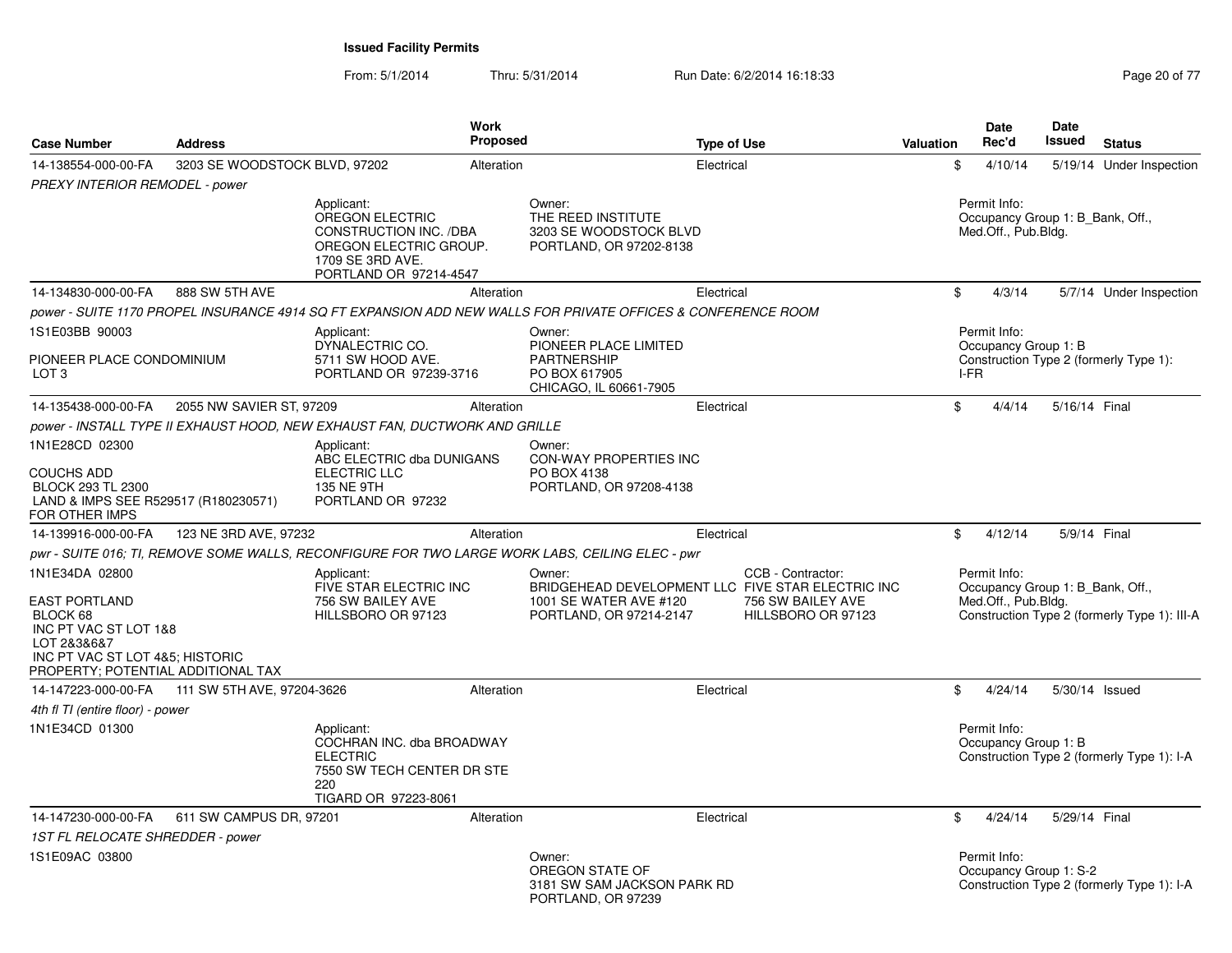From: 5/1/2014Thru: 5/31/2014 Run Date: 6/2/2014 16:18:33 Research 20 of 77

| <b>Case Number</b>                                                                                                                                                  | <b>Address</b>                                 |                                                                                                                                 | Work<br>Proposed |                                                                                                                  | <b>Type of Use</b> |                                                              | Valuation | <b>Date</b><br>Rec'd                                                    | <b>Date</b><br><b>Issued</b> | <b>Status</b>                                |
|---------------------------------------------------------------------------------------------------------------------------------------------------------------------|------------------------------------------------|---------------------------------------------------------------------------------------------------------------------------------|------------------|------------------------------------------------------------------------------------------------------------------|--------------------|--------------------------------------------------------------|-----------|-------------------------------------------------------------------------|------------------------------|----------------------------------------------|
| 14-138554-000-00-FA                                                                                                                                                 | 3203 SE WOODSTOCK BLVD, 97202                  |                                                                                                                                 | Alteration       |                                                                                                                  | Electrical         |                                                              | \$        | 4/10/14                                                                 |                              | 5/19/14 Under Inspection                     |
| PREXY INTERIOR REMODEL - power                                                                                                                                      |                                                |                                                                                                                                 |                  |                                                                                                                  |                    |                                                              |           |                                                                         |                              |                                              |
|                                                                                                                                                                     |                                                | Applicant:<br>OREGON ELECTRIC<br>CONSTRUCTION INC. /DBA<br>OREGON ELECTRIC GROUP.<br>1709 SE 3RD AVE.<br>PORTLAND OR 97214-4547 |                  | Owner:<br>THE REED INSTITUTE<br>3203 SE WOODSTOCK BLVD<br>PORTLAND, OR 97202-8138                                |                    |                                                              |           | Permit Info:<br>Occupancy Group 1: B Bank, Off.,<br>Med.Off., Pub.Bldg. |                              |                                              |
| 14-134830-000-00-FA                                                                                                                                                 | 888 SW 5TH AVE                                 |                                                                                                                                 | Alteration       |                                                                                                                  | Electrical         |                                                              | \$        | 4/3/14                                                                  |                              | 5/7/14 Under Inspection                      |
|                                                                                                                                                                     |                                                |                                                                                                                                 |                  | power - SUITE 1170 PROPEL INSURANCE 4914 SQ FT EXPANSION ADD NEW WALLS FOR PRIVATE OFFICES & CONFERENCE ROOM     |                    |                                                              |           |                                                                         |                              |                                              |
| 1S1E03BB 90003                                                                                                                                                      |                                                | Applicant:                                                                                                                      |                  | Owner:                                                                                                           |                    |                                                              |           | Permit Info:                                                            |                              |                                              |
| PIONEER PLACE CONDOMINIUM<br>LOT <sub>3</sub>                                                                                                                       |                                                | DYNALECTRIC CO.<br>5711 SW HOOD AVE.<br>PORTLAND OR 97239-3716                                                                  |                  | PIONEER PLACE LIMITED<br><b>PARTNERSHIP</b><br>PO BOX 617905<br>CHICAGO, IL 60661-7905                           |                    |                                                              |           | Occupancy Group 1: B<br>I-FR                                            |                              | Construction Type 2 (formerly Type 1):       |
| 14-135438-000-00-FA                                                                                                                                                 | 2055 NW SAVIER ST, 97209                       |                                                                                                                                 | Alteration       |                                                                                                                  | Electrical         |                                                              | \$        | 4/4/14                                                                  | 5/16/14 Final                |                                              |
|                                                                                                                                                                     |                                                | power - INSTALL TYPE II EXHAUST HOOD, NEW EXHAUST FAN, DUCTWORK AND GRILLE                                                      |                  |                                                                                                                  |                    |                                                              |           |                                                                         |                              |                                              |
| 1N1E28CD 02300<br><b>COUCHS ADD</b><br>BLOCK 293 TL 2300<br>LAND & IMPS SEE R529517 (R180230571)                                                                    |                                                | Applicant:<br>ABC ELECTRIC dba DUNIGANS<br><b>ELECTRIC LLC</b><br>135 NE 9TH<br>PORTLAND OR 97232                               |                  | Owner:<br>CON-WAY PROPERTIES INC<br>PO BOX 4138<br>PORTLAND, OR 97208-4138                                       |                    |                                                              |           |                                                                         |                              |                                              |
| FOR OTHER IMPS<br>14-139916-000-00-FA                                                                                                                               | 123 NE 3RD AVE, 97232                          |                                                                                                                                 | Alteration       |                                                                                                                  | Electrical         |                                                              | \$        | 4/12/14                                                                 | 5/9/14 Final                 |                                              |
|                                                                                                                                                                     |                                                |                                                                                                                                 |                  | pwr - SUITE 016; TI, REMOVE SOME WALLS, RECONFIGURE FOR TWO LARGE WORK LABS, CEILING ELEC - pwr                  |                    |                                                              |           |                                                                         |                              |                                              |
| 1N1E34DA 02800<br><b>EAST PORTLAND</b><br>BLOCK 68<br>INC PT VAC ST LOT 1&8<br>LOT 2&3&6&7<br>INC PT VAC ST LOT 4&5; HISTORIC<br>PROPERTY; POTENTIAL ADDITIONAL TAX |                                                | Applicant:<br>FIVE STAR ELECTRIC INC<br>756 SW BAILEY AVE<br>HILLSBORO OR 97123                                                 |                  | Owner:<br>BRIDGEHEAD DEVELOPMENT LLC FIVE STAR ELECTRIC INC<br>1001 SE WATER AVE #120<br>PORTLAND, OR 97214-2147 |                    | CCB - Contractor:<br>756 SW BAILEY AVE<br>HILLSBORO OR 97123 |           | Permit Info:<br>Occupancy Group 1: B Bank, Off.,<br>Med.Off., Pub.Bldg. |                              | Construction Type 2 (formerly Type 1): III-A |
|                                                                                                                                                                     | 14-147223-000-00-FA 111 SW 5TH AVE, 97204-3626 |                                                                                                                                 | Alteration       |                                                                                                                  | Electrical         |                                                              | \$        | 4/24/14                                                                 |                              | 5/30/14 Issued                               |
| 4th fl TI (entire floor) - power                                                                                                                                    |                                                |                                                                                                                                 |                  |                                                                                                                  |                    |                                                              |           |                                                                         |                              |                                              |
| 1N1E34CD 01300                                                                                                                                                      |                                                | Applicant:<br>COCHRAN INC. dba BROADWAY<br><b>ELECTRIC</b><br>7550 SW TECH CENTER DR STE<br>220<br>TIGARD OR 97223-8061         |                  |                                                                                                                  |                    |                                                              |           | Permit Info:<br>Occupancy Group 1: B                                    |                              | Construction Type 2 (formerly Type 1): I-A   |
| 14-147230-000-00-FA                                                                                                                                                 | 611 SW CAMPUS DR, 97201                        |                                                                                                                                 | Alteration       |                                                                                                                  | Electrical         |                                                              | \$        | 4/24/14                                                                 | 5/29/14 Final                |                                              |
| 1ST FL RELOCATE SHREDDER - power                                                                                                                                    |                                                |                                                                                                                                 |                  |                                                                                                                  |                    |                                                              |           |                                                                         |                              |                                              |
| 1S1E09AC 03800                                                                                                                                                      |                                                |                                                                                                                                 |                  | Owner:<br>OREGON STATE OF<br>3181 SW SAM JACKSON PARK RD<br>PORTLAND, OR 97239                                   |                    |                                                              |           | Permit Info:<br>Occupancy Group 1: S-2                                  |                              | Construction Type 2 (formerly Type 1): I-A   |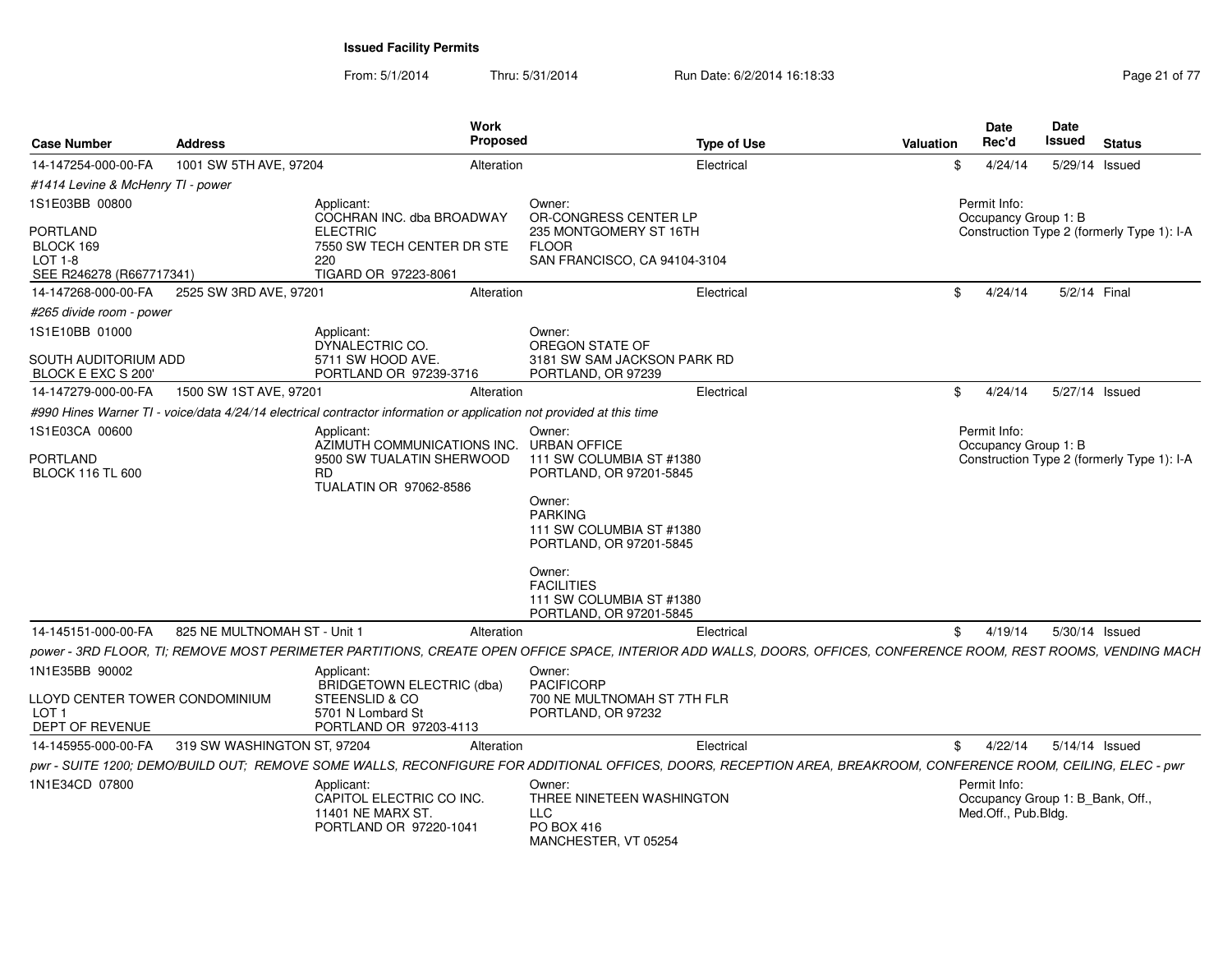From: 5/1/2014Thru: 5/31/2014 Run Date: 6/2/2014 16:18:33 Research 2010 17 Page 21 of 77

| <b>Case Number</b>                                                    | Address                      | Work<br><b>Proposed</b>                                                                                                                                          |                                                                                    | <b>Type of Use</b> | <b>Valuation</b> | Date<br>Rec'd                                                           | Date<br>Issued | <b>Status</b>                              |
|-----------------------------------------------------------------------|------------------------------|------------------------------------------------------------------------------------------------------------------------------------------------------------------|------------------------------------------------------------------------------------|--------------------|------------------|-------------------------------------------------------------------------|----------------|--------------------------------------------|
| 14-147254-000-00-FA                                                   | 1001 SW 5TH AVE, 97204       | Alteration                                                                                                                                                       |                                                                                    | Electrical         | \$               | 4/24/14                                                                 | 5/29/14 Issued |                                            |
| #1414 Levine & McHenry TI - power                                     |                              |                                                                                                                                                                  |                                                                                    |                    |                  |                                                                         |                |                                            |
| 1S1E03BB 00800                                                        |                              | Applicant:<br>COCHRAN INC. dba BROADWAY                                                                                                                          | Owner:<br>OR-CONGRESS CENTER LP                                                    |                    |                  | Permit Info:<br>Occupancy Group 1: B                                    |                |                                            |
| PORTLAND<br>BLOCK 169<br>$LOT 1-8$<br>SEE R246278 (R667717341)        |                              | <b>ELECTRIC</b><br>7550 SW TECH CENTER DR STE<br>220<br>TIGARD OR 97223-8061                                                                                     | 235 MONTGOMERY ST 16TH<br><b>FLOOR</b><br>SAN FRANCISCO, CA 94104-3104             |                    |                  |                                                                         |                | Construction Type 2 (formerly Type 1): I-A |
| 14-147268-000-00-FA                                                   | 2525 SW 3RD AVE, 97201       | Alteration                                                                                                                                                       |                                                                                    | Electrical         | \$               | 4/24/14                                                                 | 5/2/14 Final   |                                            |
| #265 divide room - power                                              |                              |                                                                                                                                                                  |                                                                                    |                    |                  |                                                                         |                |                                            |
| 1S1E10BB 01000                                                        |                              | Applicant:<br>DYNALECTRIC CO.                                                                                                                                    | Owner:<br>OREGON STATE OF                                                          |                    |                  |                                                                         |                |                                            |
| SOUTH AUDITORIUM ADD<br>BLOCK E EXC S 200'                            |                              | 5711 SW HOOD AVE.<br>PORTLAND OR 97239-3716                                                                                                                      | 3181 SW SAM JACKSON PARK RD<br>PORTLAND, OR 97239                                  |                    |                  |                                                                         |                |                                            |
| 14-147279-000-00-FA                                                   | 1500 SW 1ST AVE, 97201       | Alteration                                                                                                                                                       |                                                                                    | Electrical         | \$               | 4/24/14                                                                 |                | 5/27/14 Issued                             |
|                                                                       |                              | #990 Hines Warner TI - voice/data 4/24/14 electrical contractor information or application not provided at this time                                             |                                                                                    |                    |                  |                                                                         |                |                                            |
| 1S1E03CA 00600                                                        |                              | Applicant:<br>AZIMUTH COMMUNICATIONS INC.                                                                                                                        | Owner:<br><b>URBAN OFFICE</b>                                                      |                    |                  | Permit Info:<br>Occupancy Group 1: B                                    |                |                                            |
| <b>PORTLAND</b><br><b>BLOCK 116 TL 600</b>                            |                              | 9500 SW TUALATIN SHERWOOD<br><b>RD</b><br>TUALATIN OR 97062-8586                                                                                                 | 111 SW COLUMBIA ST #1380<br>PORTLAND, OR 97201-5845                                |                    |                  |                                                                         |                | Construction Type 2 (formerly Type 1): I-A |
|                                                                       |                              |                                                                                                                                                                  | Owner:<br><b>PARKING</b><br>111 SW COLUMBIA ST #1380<br>PORTLAND, OR 97201-5845    |                    |                  |                                                                         |                |                                            |
|                                                                       |                              |                                                                                                                                                                  | Owner:<br><b>FACILITIES</b><br>111 SW COLUMBIA ST #1380<br>PORTLAND, OR 97201-5845 |                    |                  |                                                                         |                |                                            |
| 14-145151-000-00-FA                                                   | 825 NE MULTNOMAH ST - Unit 1 | Alteration                                                                                                                                                       |                                                                                    | Electrical         | \$               | 4/19/14                                                                 | 5/30/14 Issued |                                            |
|                                                                       |                              | power - 3RD FLOOR, TI; REMOVE MOST PERIMETER PARTITIONS, CREATE OPEN OFFICE SPACE, INTERIOR ADD WALLS, DOORS, OFFICES, CONFERENCE ROOM, REST ROOMS, VENDING MACH |                                                                                    |                    |                  |                                                                         |                |                                            |
| 1N1E35BB 90002                                                        |                              | Applicant:<br>BRIDGETOWN ELECTRIC (dba)                                                                                                                          | Owner:<br><b>PACIFICORP</b>                                                        |                    |                  |                                                                         |                |                                            |
| LLOYD CENTER TOWER CONDOMINIUM<br>LOT <sub>1</sub><br>DEPT OF REVENUE |                              | STEENSLID & CO<br>5701 N Lombard St<br>PORTLAND OR 97203-4113                                                                                                    | 700 NE MULTNOMAH ST 7TH FLR<br>PORTLAND, OR 97232                                  |                    |                  |                                                                         |                |                                            |
| 14-145955-000-00-FA                                                   | 319 SW WASHINGTON ST, 97204  | Alteration                                                                                                                                                       |                                                                                    | Electrical         | \$               | 4/22/14                                                                 | 5/14/14 Issued |                                            |
|                                                                       |                              | pwr - SUITE 1200; DEMO/BUILD OUT; REMOVE SOME WALLS, RECONFIGURE FOR ADDITIONAL OFFICES, DOORS, RECEPTION AREA, BREAKROOM, CONFERENCE ROOM, CEILING, ELEC - pwr  |                                                                                    |                    |                  |                                                                         |                |                                            |
| 1N1E34CD 07800                                                        |                              | Applicant:<br>CAPITOL ELECTRIC CO INC.<br>11401 NE MARX ST.<br>PORTLAND OR 97220-1041                                                                            | Owner:<br>THREE NINETEEN WASHINGTON<br>LLC<br>PO BOX 416<br>MANCHESTER, VT 05254   |                    |                  | Permit Info:<br>Occupancy Group 1: B Bank, Off.,<br>Med.Off., Pub.Bldg. |                |                                            |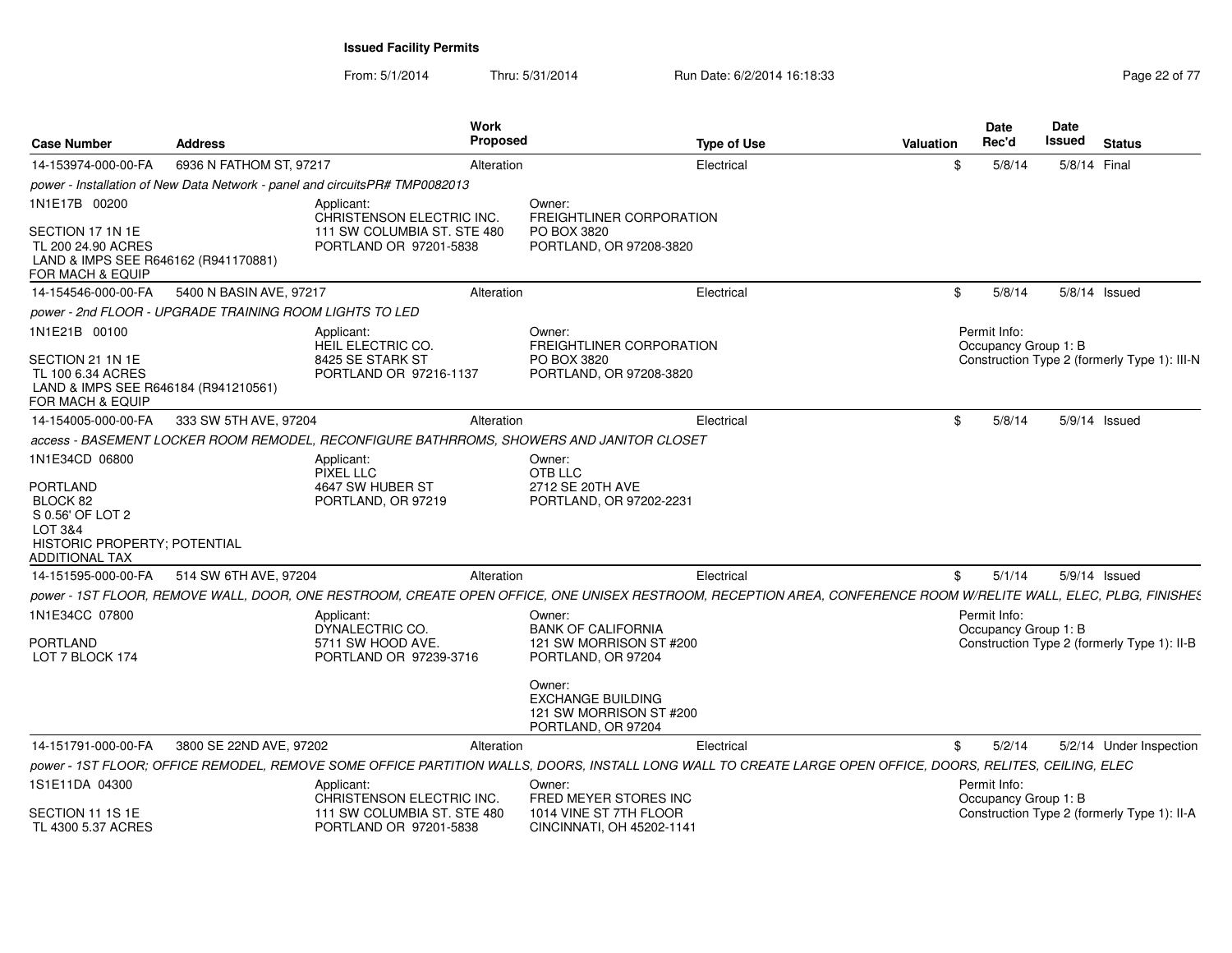From: 5/1/2014Thru: 5/31/2014 Run Date: 6/2/2014 16:18:33 Research 2010 17 Page 22 of 77

| <b>Case Number</b>                                                                                                             | <b>Address</b>                                          | Work<br>Proposed                                                                                                                                                 |                                                                                     | <b>Type of Use</b> | <b>Valuation</b> | <b>Date</b><br>Rec'd                 | <b>Date</b><br>Issued | <b>Status</b>                                |
|--------------------------------------------------------------------------------------------------------------------------------|---------------------------------------------------------|------------------------------------------------------------------------------------------------------------------------------------------------------------------|-------------------------------------------------------------------------------------|--------------------|------------------|--------------------------------------|-----------------------|----------------------------------------------|
| 14-153974-000-00-FA                                                                                                            | 6936 N FATHOM ST, 97217                                 | Alteration                                                                                                                                                       |                                                                                     | Electrical         | \$               | 5/8/14                               | 5/8/14 Final          |                                              |
|                                                                                                                                |                                                         | power - Installation of New Data Network - panel and circuitsPR# TMP0082013                                                                                      |                                                                                     |                    |                  |                                      |                       |                                              |
| 1N1E17B 00200                                                                                                                  |                                                         | Applicant:<br>CHRISTENSON ELECTRIC INC.                                                                                                                          | Owner:<br><b>FREIGHTLINER CORPORATION</b>                                           |                    |                  |                                      |                       |                                              |
| SECTION 17 1N 1E<br>TL 200 24.90 ACRES<br>LAND & IMPS SEE R646162 (R941170881)<br>FOR MACH & EQUIP                             |                                                         | 111 SW COLUMBIA ST. STE 480<br>PORTLAND OR 97201-5838                                                                                                            | PO BOX 3820<br>PORTLAND, OR 97208-3820                                              |                    |                  |                                      |                       |                                              |
| 14-154546-000-00-FA                                                                                                            | 5400 N BASIN AVE, 97217                                 | Alteration                                                                                                                                                       |                                                                                     | Electrical         | \$               | 5/8/14                               |                       | 5/8/14 Issued                                |
|                                                                                                                                | power - 2nd FLOOR - UPGRADE TRAINING ROOM LIGHTS TO LED |                                                                                                                                                                  |                                                                                     |                    |                  |                                      |                       |                                              |
| 1N1E21B 00100                                                                                                                  |                                                         | Applicant:<br>HEIL ELECTRIC CO.                                                                                                                                  | Owner:<br>FREIGHTLINER CORPORATION                                                  |                    |                  | Permit Info:<br>Occupancy Group 1: B |                       |                                              |
| SECTION 21 1N 1E<br>TL 100 6.34 ACRES<br>LAND & IMPS SEE R646184 (R941210561)<br>FOR MACH & EQUIP                              |                                                         | 8425 SE STARK ST<br>PORTLAND OR 97216-1137                                                                                                                       | PO BOX 3820<br>PORTLAND, OR 97208-3820                                              |                    |                  |                                      |                       | Construction Type 2 (formerly Type 1): III-N |
| 14-154005-000-00-FA                                                                                                            | 333 SW 5TH AVE, 97204                                   | Alteration                                                                                                                                                       |                                                                                     | Electrical         | \$               | 5/8/14                               |                       | 5/9/14 Issued                                |
|                                                                                                                                |                                                         | access - BASEMENT LOCKER ROOM REMODEL, RECONFIGURE BATHRROMS, SHOWERS AND JANITOR CLOSET                                                                         |                                                                                     |                    |                  |                                      |                       |                                              |
| 1N1E34CD 06800                                                                                                                 |                                                         | Applicant:<br><b>PIXEL LLC</b>                                                                                                                                   | Owner:<br>OTB LLC                                                                   |                    |                  |                                      |                       |                                              |
| <b>PORTLAND</b><br>BLOCK 82<br>S 0.56' OF LOT 2<br><b>LOT 3&amp;4</b><br>HISTORIC PROPERTY; POTENTIAL<br><b>ADDITIONAL TAX</b> |                                                         | 4647 SW HUBER ST<br>PORTLAND, OR 97219                                                                                                                           | 2712 SE 20TH AVE<br>PORTLAND, OR 97202-2231                                         |                    |                  |                                      |                       |                                              |
| 14-151595-000-00-FA                                                                                                            | 514 SW 6TH AVE, 97204                                   | Alteration                                                                                                                                                       |                                                                                     | Electrical         | \$               | 5/1/14                               |                       | $5/9/14$ Issued                              |
|                                                                                                                                |                                                         | power - 1ST FLOOR, REMOVE WALL, DOOR, ONE RESTROOM, CREATE OPEN OFFICE, ONE UNISEX RESTROOM, RECEPTION AREA, CONFERENCE ROOM W/RELITE WALL, ELEC, PLBG, FINISHES |                                                                                     |                    |                  |                                      |                       |                                              |
| 1N1E34CC 07800                                                                                                                 |                                                         | Applicant:                                                                                                                                                       | Owner:                                                                              |                    |                  | Permit Info:                         |                       |                                              |
| <b>PORTLAND</b><br>LOT 7 BLOCK 174                                                                                             |                                                         | DYNALECTRIC CO.<br>5711 SW HOOD AVE.<br>PORTLAND OR 97239-3716                                                                                                   | <b>BANK OF CALIFORNIA</b><br>121 SW MORRISON ST #200<br>PORTLAND, OR 97204          |                    |                  | Occupancy Group 1: B                 |                       | Construction Type 2 (formerly Type 1): II-B  |
|                                                                                                                                |                                                         |                                                                                                                                                                  | Owner:<br><b>EXCHANGE BUILDING</b><br>121 SW MORRISON ST #200<br>PORTLAND, OR 97204 |                    |                  |                                      |                       |                                              |
| 14-151791-000-00-FA                                                                                                            | 3800 SE 22ND AVE, 97202                                 | Alteration                                                                                                                                                       |                                                                                     | Electrical         | \$               | 5/2/14                               |                       | 5/2/14 Under Inspection                      |
|                                                                                                                                |                                                         | power - 1ST FLOOR; OFFICE REMODEL, REMOVE SOME OFFICE PARTITION WALLS, DOORS, INSTALL LONG WALL TO CREATE LARGE OPEN OFFICE, DOORS, RELITES, CEILING, ELEC       |                                                                                     |                    |                  |                                      |                       |                                              |
| 1S1E11DA 04300                                                                                                                 |                                                         | Applicant:<br>CHRISTENSON ELECTRIC INC.                                                                                                                          | Owner:<br>FRED MEYER STORES INC                                                     |                    |                  | Permit Info:<br>Occupancy Group 1: B |                       |                                              |
| SECTION 11 1S 1E<br>TL 4300 5.37 ACRES                                                                                         |                                                         | 111 SW COLUMBIA ST. STE 480<br>PORTLAND OR 97201-5838                                                                                                            | 1014 VINE ST 7TH FLOOR<br>CINCINNATI, OH 45202-1141                                 |                    |                  |                                      |                       | Construction Type 2 (formerly Type 1): II-A  |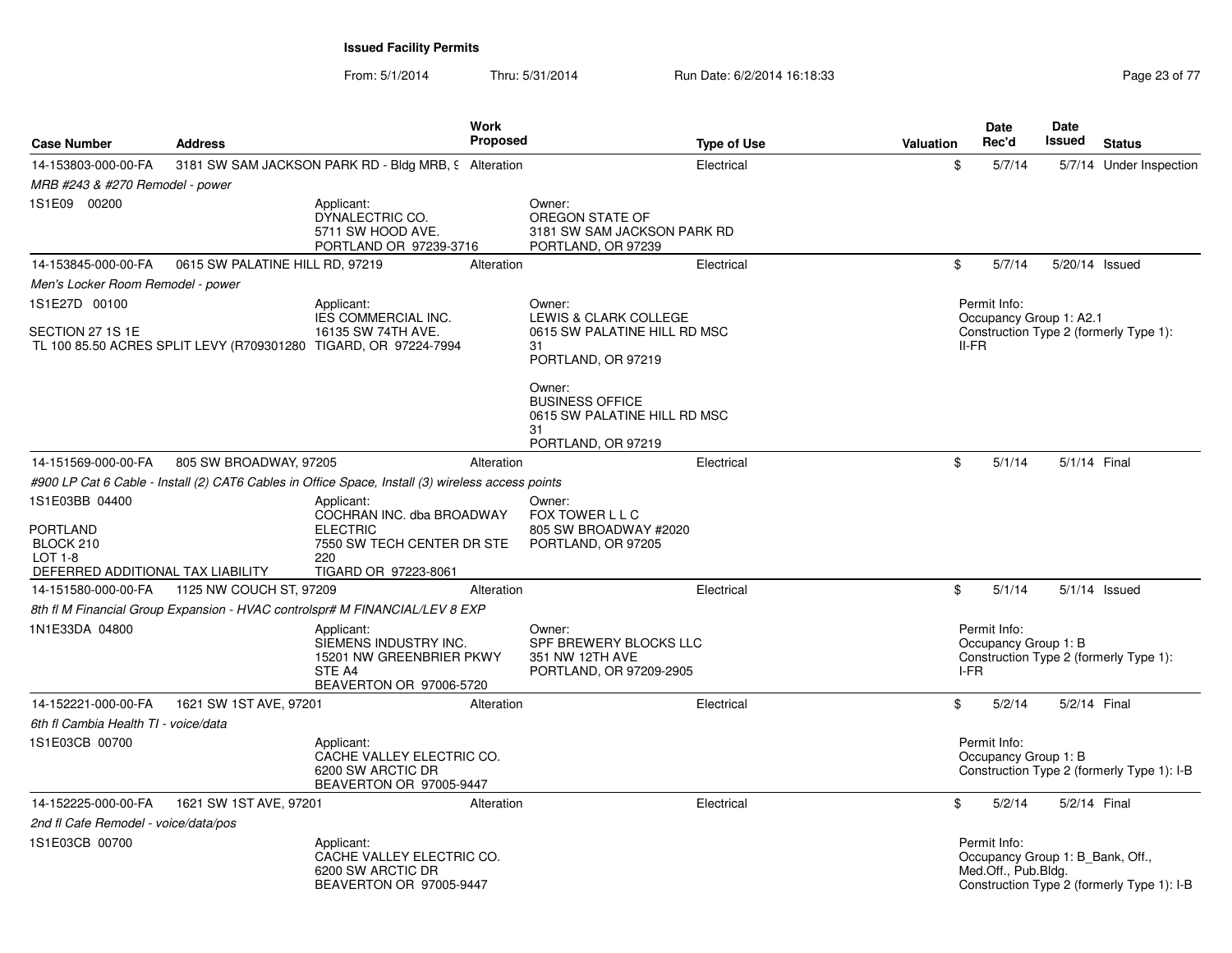From: 5/1/2014Thru: 5/31/2014 Run Date: 6/2/2014 16:18:33 Research 2010 17 Page 23 of 77

| <b>Case Number</b>                                                                                    | <b>Address</b>                  |                                                                                                                         | Work<br><b>Proposed</b> |                                                                                              | <b>Type of Use</b> | <b>Valuation</b> | Date<br>Rec'd                                                           | <b>Date</b><br><b>Issued</b> | <b>Status</b>                              |
|-------------------------------------------------------------------------------------------------------|---------------------------------|-------------------------------------------------------------------------------------------------------------------------|-------------------------|----------------------------------------------------------------------------------------------|--------------------|------------------|-------------------------------------------------------------------------|------------------------------|--------------------------------------------|
| 14-153803-000-00-FA                                                                                   |                                 | 3181 SW SAM JACKSON PARK RD - Bldg MRB, 9 Alteration                                                                    |                         |                                                                                              | Electrical         | \$               | 5/7/14                                                                  |                              | 5/7/14 Under Inspection                    |
| MRB #243 & #270 Remodel - power                                                                       |                                 |                                                                                                                         |                         |                                                                                              |                    |                  |                                                                         |                              |                                            |
| 1S1E09 00200                                                                                          |                                 | Applicant:<br>DYNALECTRIC CO.<br>5711 SW HOOD AVE.<br>PORTLAND OR 97239-3716                                            |                         | Owner:<br>OREGON STATE OF<br>3181 SW SAM JACKSON PARK RD<br>PORTLAND, OR 97239               |                    |                  |                                                                         |                              |                                            |
| 14-153845-000-00-FA                                                                                   | 0615 SW PALATINE HILL RD, 97219 |                                                                                                                         | Alteration              |                                                                                              | Electrical         | \$               | 5/7/14                                                                  |                              | 5/20/14 Issued                             |
| Men's Locker Room Remodel - power                                                                     |                                 |                                                                                                                         |                         |                                                                                              |                    |                  |                                                                         |                              |                                            |
| 1S1E27D 00100                                                                                         |                                 | Applicant:                                                                                                              |                         | Owner:                                                                                       |                    |                  | Permit Info:                                                            |                              |                                            |
| SECTION 27 1S 1E                                                                                      |                                 | <b>IES COMMERCIAL INC.</b><br>16135 SW 74TH AVE.<br>TL 100 85.50 ACRES SPLIT LEVY (R709301280 TIGARD, OR 97224-7994     |                         | LEWIS & CLARK COLLEGE<br>0615 SW PALATINE HILL RD MSC<br>31<br>PORTLAND, OR 97219            |                    |                  | Occupancy Group 1: A2.1<br>$II-FR$                                      |                              | Construction Type 2 (formerly Type 1):     |
|                                                                                                       |                                 |                                                                                                                         |                         | Owner:<br><b>BUSINESS OFFICE</b><br>0615 SW PALATINE HILL RD MSC<br>31<br>PORTLAND, OR 97219 |                    |                  |                                                                         |                              |                                            |
| 14-151569-000-00-FA                                                                                   | 805 SW BROADWAY, 97205          |                                                                                                                         | Alteration              |                                                                                              | Electrical         | \$               | 5/1/14                                                                  |                              | 5/1/14 Final                               |
|                                                                                                       |                                 | #900 LP Cat 6 Cable - Install (2) CAT6 Cables in Office Space, Install (3) wireless access points                       |                         |                                                                                              |                    |                  |                                                                         |                              |                                            |
| 1S1E03BB 04400<br><b>PORTLAND</b><br>BLOCK 210<br><b>LOT 1-8</b><br>DEFERRED ADDITIONAL TAX LIABILITY |                                 | Applicant:<br>COCHRAN INC. dba BROADWAY<br><b>ELECTRIC</b><br>7550 SW TECH CENTER DR STE<br>220<br>TIGARD OR 97223-8061 |                         | Owner:<br>FOX TOWER L L C<br>805 SW BROADWAY #2020<br>PORTLAND, OR 97205                     |                    |                  |                                                                         |                              |                                            |
| 14-151580-000-00-FA                                                                                   | 1125 NW COUCH ST, 97209         |                                                                                                                         | Alteration              |                                                                                              | Electrical         | \$               | 5/1/14                                                                  |                              | $5/1/14$ Issued                            |
|                                                                                                       |                                 | 8th fl M Financial Group Expansion - HVAC controlspr# M FINANCIAL/LEV 8 EXP                                             |                         |                                                                                              |                    |                  |                                                                         |                              |                                            |
| 1N1E33DA 04800                                                                                        |                                 | Applicant:<br>SIEMENS INDUSTRY INC.<br>15201 NW GREENBRIER PKWY<br>STE A4<br>BEAVERTON OR 97006-5720                    |                         | Owner:<br>SPF BREWERY BLOCKS LLC<br>351 NW 12TH AVE<br>PORTLAND, OR 97209-2905               |                    |                  | Permit Info:<br>Occupancy Group 1: B<br>I-FR                            |                              | Construction Type 2 (formerly Type 1):     |
| 14-152221-000-00-FA                                                                                   | 1621 SW 1ST AVE, 97201          |                                                                                                                         | Alteration              |                                                                                              | Electrical         | \$               | 5/2/14                                                                  |                              | 5/2/14 Final                               |
| 6th fl Cambia Health TI - voice/data                                                                  |                                 |                                                                                                                         |                         |                                                                                              |                    |                  |                                                                         |                              |                                            |
| 1S1E03CB 00700                                                                                        |                                 | Applicant:<br>CACHE VALLEY ELECTRIC CO.<br>6200 SW ARCTIC DR<br>BEAVERTON OR 97005-9447                                 |                         |                                                                                              |                    |                  | Permit Info:<br>Occupancy Group 1: B                                    |                              | Construction Type 2 (formerly Type 1): I-B |
| 14-152225-000-00-FA                                                                                   | 1621 SW 1ST AVE, 97201          |                                                                                                                         | Alteration              |                                                                                              | Electrical         | \$               | 5/2/14                                                                  |                              | 5/2/14 Final                               |
| 2nd fl Cafe Remodel - voice/data/pos                                                                  |                                 |                                                                                                                         |                         |                                                                                              |                    |                  |                                                                         |                              |                                            |
| 1S1E03CB 00700                                                                                        |                                 | Applicant:<br>CACHE VALLEY ELECTRIC CO.<br>6200 SW ARCTIC DR<br>BEAVERTON OR 97005-9447                                 |                         |                                                                                              |                    |                  | Permit Info:<br>Occupancy Group 1: B Bank, Off.,<br>Med.Off., Pub.Bldg. |                              | Construction Type 2 (formerly Type 1): I-B |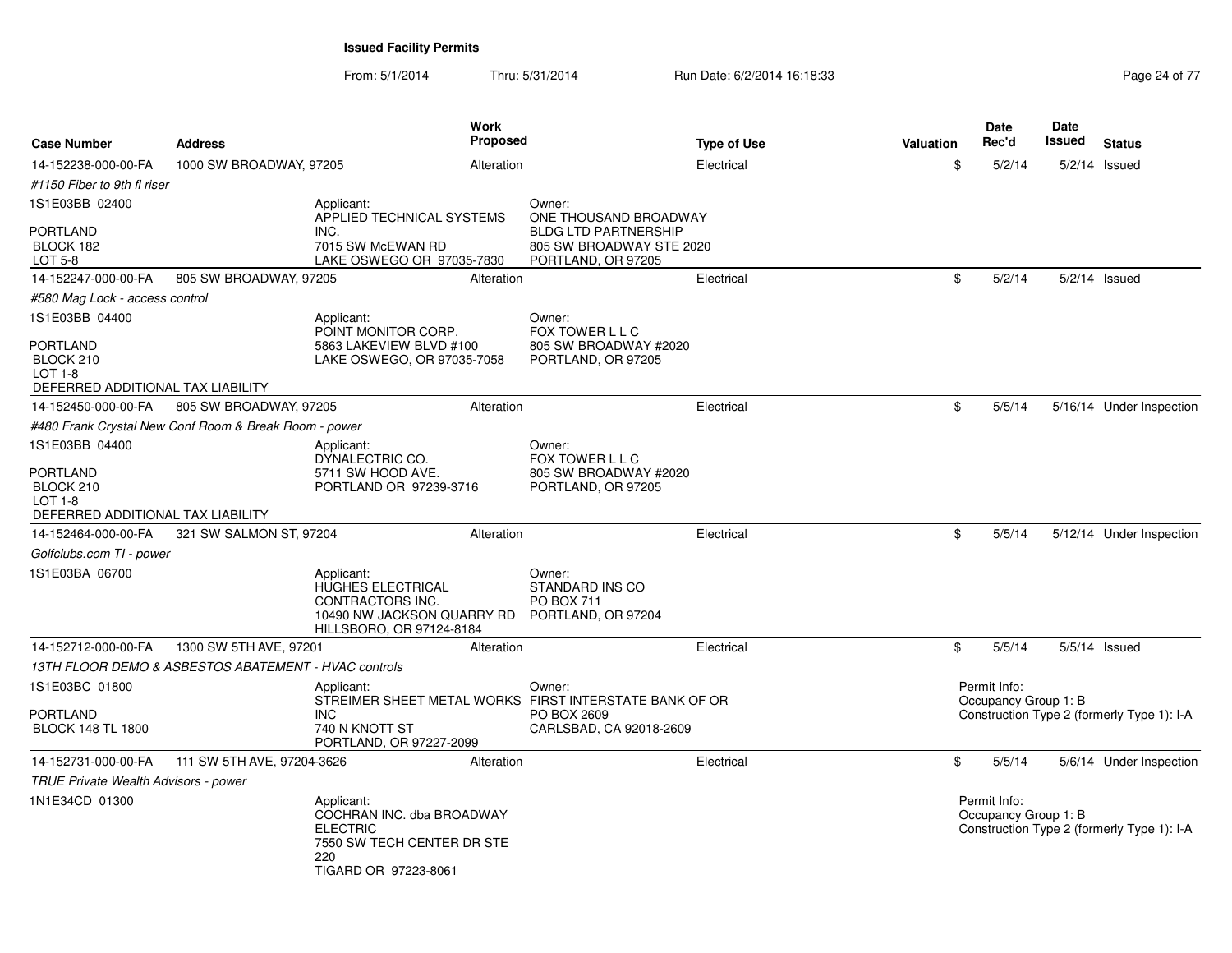From: 5/1/2014Thru: 5/31/2014 Run Date: 6/2/2014 16:18:33 Research 2010 17 Page 24 of 77

| <b>Case Number</b>                                          | <b>Address</b>                                        |                                                                                                                         | Work<br><b>Proposed</b> |                                                                      | <b>Type of Use</b> | Valuation | <b>Date</b><br>Rec'd                 | Date<br><b>Issued</b> | <b>Status</b>                              |
|-------------------------------------------------------------|-------------------------------------------------------|-------------------------------------------------------------------------------------------------------------------------|-------------------------|----------------------------------------------------------------------|--------------------|-----------|--------------------------------------|-----------------------|--------------------------------------------|
| 14-152238-000-00-FA                                         | 1000 SW BROADWAY, 97205                               |                                                                                                                         | Alteration              |                                                                      | Electrical         | \$        | 5/2/14                               |                       | $5/2/14$ Issued                            |
| #1150 Fiber to 9th fl riser                                 |                                                       |                                                                                                                         |                         |                                                                      |                    |           |                                      |                       |                                            |
| 1S1E03BB 02400                                              |                                                       | Applicant:<br>APPLIED TECHNICAL SYSTEMS                                                                                 |                         | Owner:<br>ONE THOUSAND BROADWAY                                      |                    |           |                                      |                       |                                            |
| <b>PORTLAND</b>                                             |                                                       | INC.                                                                                                                    |                         | <b>BLDG LTD PARTNERSHIP</b>                                          |                    |           |                                      |                       |                                            |
| BLOCK 182                                                   |                                                       | 7015 SW McEWAN RD                                                                                                       |                         | 805 SW BROADWAY STE 2020                                             |                    |           |                                      |                       |                                            |
| LOT 5-8                                                     | 805 SW BROADWAY, 97205                                | LAKE OSWEGO OR 97035-7830                                                                                               |                         | PORTLAND, OR 97205                                                   |                    | \$        | 5/2/14                               |                       | $5/2/14$ Issued                            |
| 14-152247-000-00-FA                                         |                                                       |                                                                                                                         | Alteration              |                                                                      | Electrical         |           |                                      |                       |                                            |
| #580 Mag Lock - access control                              |                                                       |                                                                                                                         |                         |                                                                      |                    |           |                                      |                       |                                            |
| 1S1E03BB 04400<br>PORTLAND                                  |                                                       | Applicant:<br>POINT MONITOR CORP.<br>5863 LAKEVIEW BLVD #100                                                            |                         | Owner:<br>FOX TOWER L L C<br>805 SW BROADWAY #2020                   |                    |           |                                      |                       |                                            |
| BLOCK 210                                                   |                                                       | LAKE OSWEGO, OR 97035-7058                                                                                              |                         | PORTLAND, OR 97205                                                   |                    |           |                                      |                       |                                            |
| $LOT 1-8$<br>DEFERRED ADDITIONAL TAX LIABILITY              |                                                       |                                                                                                                         |                         |                                                                      |                    |           |                                      |                       |                                            |
| 14-152450-000-00-FA                                         | 805 SW BROADWAY, 97205                                |                                                                                                                         | Alteration              |                                                                      | Electrical         | \$        | 5/5/14                               |                       | 5/16/14 Under Inspection                   |
|                                                             | #480 Frank Crystal New Conf Room & Break Room - power |                                                                                                                         |                         |                                                                      |                    |           |                                      |                       |                                            |
| 1S1E03BB 04400                                              |                                                       | Applicant:                                                                                                              |                         | Owner:                                                               |                    |           |                                      |                       |                                            |
|                                                             |                                                       | DYNALECTRIC CO.                                                                                                         |                         | FOX TOWER L L C                                                      |                    |           |                                      |                       |                                            |
| PORTLAND                                                    |                                                       | 5711 SW HOOD AVE.                                                                                                       |                         | 805 SW BROADWAY #2020                                                |                    |           |                                      |                       |                                            |
| BLOCK 210<br>$LOT 1-8$<br>DEFERRED ADDITIONAL TAX LIABILITY |                                                       | PORTLAND OR 97239-3716                                                                                                  |                         | PORTLAND, OR 97205                                                   |                    |           |                                      |                       |                                            |
| 14-152464-000-00-FA                                         | 321 SW SALMON ST, 97204                               |                                                                                                                         | Alteration              |                                                                      | Electrical         | \$        | 5/5/14                               |                       | 5/12/14 Under Inspection                   |
| Golfclubs.com TI - power                                    |                                                       |                                                                                                                         |                         |                                                                      |                    |           |                                      |                       |                                            |
| 1S1E03BA 06700                                              |                                                       | Applicant:<br>HUGHES ELECTRICAL<br><b>CONTRACTORS INC.</b><br>10490 NW JACKSON QUARRY RD<br>HILLSBORO, OR 97124-8184    |                         | Owner:<br>STANDARD INS CO<br><b>PO BOX 711</b><br>PORTLAND, OR 97204 |                    |           |                                      |                       |                                            |
| 14-152712-000-00-FA                                         | 1300 SW 5TH AVE, 97201                                |                                                                                                                         | Alteration              |                                                                      | Electrical         | \$        | 5/5/14                               |                       | $5/5/14$ Issued                            |
|                                                             | 13TH FLOOR DEMO & ASBESTOS ABATEMENT - HVAC controls  |                                                                                                                         |                         |                                                                      |                    |           |                                      |                       |                                            |
| 1S1E03BC 01800                                              |                                                       | Applicant:                                                                                                              |                         | Owner:<br>STREIMER SHEET METAL WORKS FIRST INTERSTATE BANK OF OR     |                    |           | Permit Info:<br>Occupancy Group 1: B |                       |                                            |
| PORTLAND<br><b>BLOCK 148 TL 1800</b>                        |                                                       | <b>INC</b><br>740 N KNOTT ST<br>PORTLAND, OR 97227-2099                                                                 |                         | PO BOX 2609<br>CARLSBAD, CA 92018-2609                               |                    |           |                                      |                       | Construction Type 2 (formerly Type 1): I-A |
| 14-152731-000-00-FA                                         | 111 SW 5TH AVE, 97204-3626                            |                                                                                                                         | Alteration              |                                                                      | Electrical         | \$        | 5/5/14                               |                       | 5/6/14 Under Inspection                    |
| TRUE Private Wealth Advisors - power                        |                                                       |                                                                                                                         |                         |                                                                      |                    |           |                                      |                       |                                            |
| 1N1E34CD 01300                                              |                                                       | Applicant:<br>COCHRAN INC. dba BROADWAY<br><b>ELECTRIC</b><br>7550 SW TECH CENTER DR STE<br>220<br>TIGARD OR 97223-8061 |                         |                                                                      |                    |           | Permit Info:<br>Occupancy Group 1: B |                       | Construction Type 2 (formerly Type 1): I-A |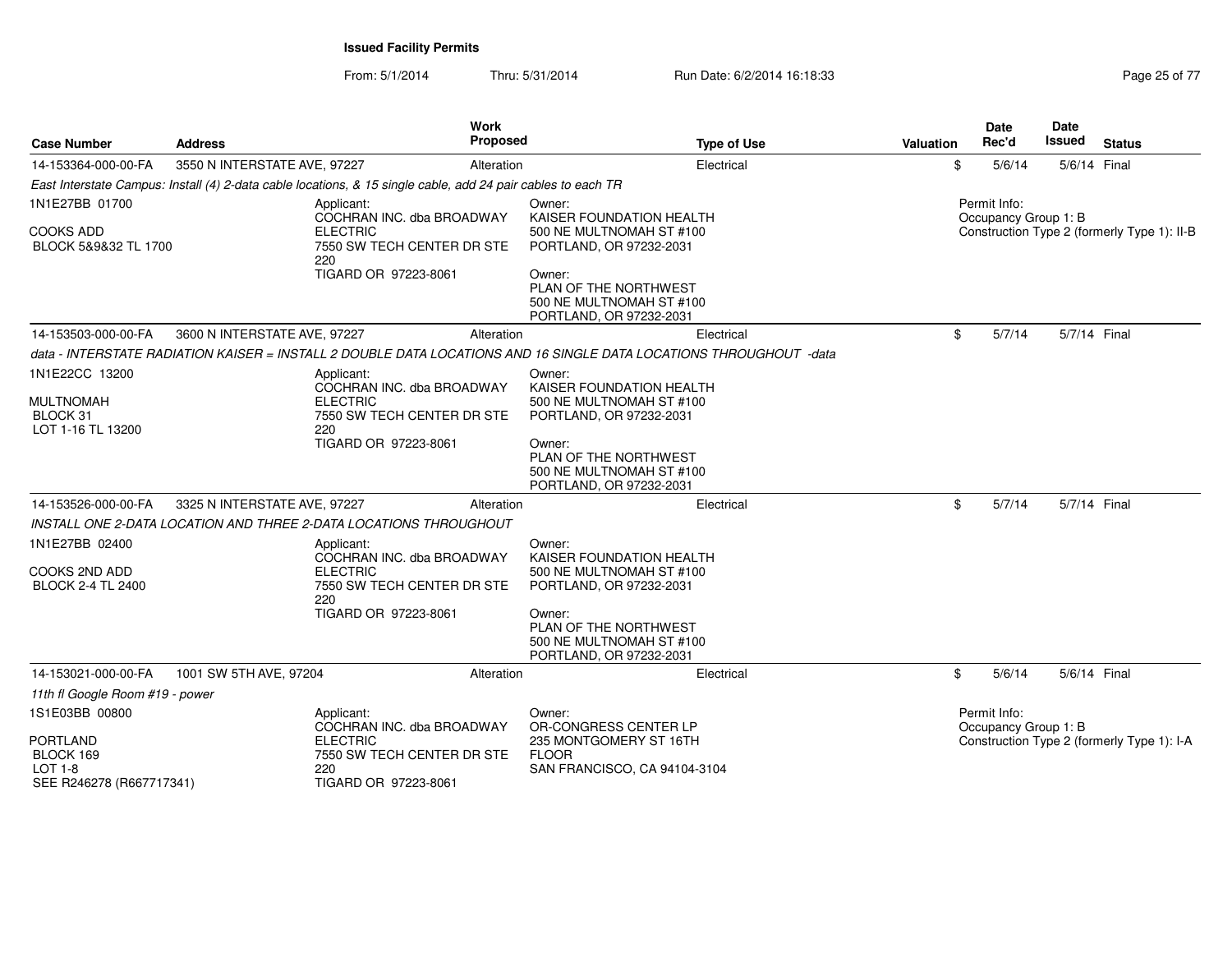From: 5/1/2014Thru: 5/31/2014 Run Date: 6/2/2014 16:18:33 Research 2010 12:04 Page 25 of 77

| <b>Case Number</b>                                                  | <b>Address</b>                                                                                               | <b>Work</b><br>Proposed                            | <b>Type of Use</b>                                                                                                 | Valuation | <b>Date</b><br>Rec'd                 | <b>Date</b><br>Issued | <b>Status</b>                               |
|---------------------------------------------------------------------|--------------------------------------------------------------------------------------------------------------|----------------------------------------------------|--------------------------------------------------------------------------------------------------------------------|-----------|--------------------------------------|-----------------------|---------------------------------------------|
| 14-153364-000-00-FA                                                 | 3550 N INTERSTATE AVE, 97227                                                                                 | Alteration                                         | Electrical                                                                                                         | \$        | 5/6/14                               | 5/6/14 Final          |                                             |
|                                                                     | East Interstate Campus: Install (4) 2-data cable locations, & 15 single cable, add 24 pair cables to each TR |                                                    |                                                                                                                    |           |                                      |                       |                                             |
| 1N1E27BB 01700                                                      | Applicant:                                                                                                   | COCHRAN INC. dba BROADWAY                          | Owner:<br>KAISER FOUNDATION HEALTH                                                                                 |           | Permit Info:<br>Occupancy Group 1: B |                       |                                             |
| <b>COOKS ADD</b><br>BLOCK 5&9&32 TL 1700                            | <b>ELECTRIC</b><br>220                                                                                       | 7550 SW TECH CENTER DR STE                         | 500 NE MULTNOMAH ST #100<br>PORTLAND, OR 97232-2031                                                                |           |                                      |                       | Construction Type 2 (formerly Type 1): II-B |
|                                                                     |                                                                                                              | TIGARD OR 97223-8061                               | Owner:<br>PLAN OF THE NORTHWEST<br>500 NE MULTNOMAH ST #100<br>PORTLAND, OR 97232-2031                             |           |                                      |                       |                                             |
| 14-153503-000-00-FA                                                 | 3600 N INTERSTATE AVE, 97227                                                                                 | Alteration                                         | Electrical                                                                                                         | \$        | 5/7/14                               | 5/7/14 Final          |                                             |
|                                                                     |                                                                                                              |                                                    | data - INTERSTATE RADIATION KAISER = INSTALL 2 DOUBLE DATA LOCATIONS AND 16 SINGLE DATA LOCATIONS THROUGHOUT -data |           |                                      |                       |                                             |
| 1N1E22CC 13200                                                      | Applicant:                                                                                                   | COCHRAN INC. dba BROADWAY                          | Owner:<br>KAISER FOUNDATION HEALTH                                                                                 |           |                                      |                       |                                             |
| <b>MULTNOMAH</b><br>BLOCK 31<br>LOT 1-16 TL 13200                   | <b>ELECTRIC</b><br>220                                                                                       | 7550 SW TECH CENTER DR STE                         | 500 NE MULTNOMAH ST #100<br>PORTLAND, OR 97232-2031                                                                |           |                                      |                       |                                             |
|                                                                     |                                                                                                              | TIGARD OR 97223-8061                               | Owner:<br>PLAN OF THE NORTHWEST<br>500 NE MULTNOMAH ST #100<br>PORTLAND, OR 97232-2031                             |           |                                      |                       |                                             |
| 14-153526-000-00-FA                                                 | 3325 N INTERSTATE AVE, 97227                                                                                 | Alteration                                         | Electrical                                                                                                         | \$        | 5/7/14                               | 5/7/14 Final          |                                             |
|                                                                     | INSTALL ONE 2-DATA LOCATION AND THREE 2-DATA LOCATIONS THROUGHOUT                                            |                                                    |                                                                                                                    |           |                                      |                       |                                             |
| 1N1E27BB 02400                                                      | Applicant:                                                                                                   | COCHRAN INC. dba BROADWAY                          | Owner:<br>KAISER FOUNDATION HEALTH                                                                                 |           |                                      |                       |                                             |
| <b>COOKS 2ND ADD</b><br><b>BLOCK 2-4 TL 2400</b>                    | <b>ELECTRIC</b><br>220                                                                                       | 7550 SW TECH CENTER DR STE                         | 500 NE MULTNOMAH ST #100<br>PORTLAND, OR 97232-2031                                                                |           |                                      |                       |                                             |
|                                                                     |                                                                                                              | TIGARD OR 97223-8061                               | Owner:<br>PLAN OF THE NORTHWEST<br>500 NE MULTNOMAH ST #100<br>PORTLAND, OR 97232-2031                             |           |                                      |                       |                                             |
| 14-153021-000-00-FA                                                 | 1001 SW 5TH AVE, 97204                                                                                       | Alteration                                         | Electrical                                                                                                         | \$        | 5/6/14                               | 5/6/14 Final          |                                             |
| 11th fl Google Room #19 - power                                     |                                                                                                              |                                                    |                                                                                                                    |           |                                      |                       |                                             |
| 1S1E03BB 00800                                                      | Applicant:                                                                                                   | COCHRAN INC. dba BROADWAY                          | Owner:<br>OR-CONGRESS CENTER LP                                                                                    |           | Permit Info:<br>Occupancy Group 1: B |                       |                                             |
| <b>PORTLAND</b><br>BLOCK 169<br>LOT 1-8<br>SEE R246278 (R667717341) | <b>ELECTRIC</b><br>220                                                                                       | 7550 SW TECH CENTER DR STE<br>TIGARD OR 97223-8061 | 235 MONTGOMERY ST 16TH<br><b>FLOOR</b><br>SAN FRANCISCO, CA 94104-3104                                             |           |                                      |                       | Construction Type 2 (formerly Type 1): I-A  |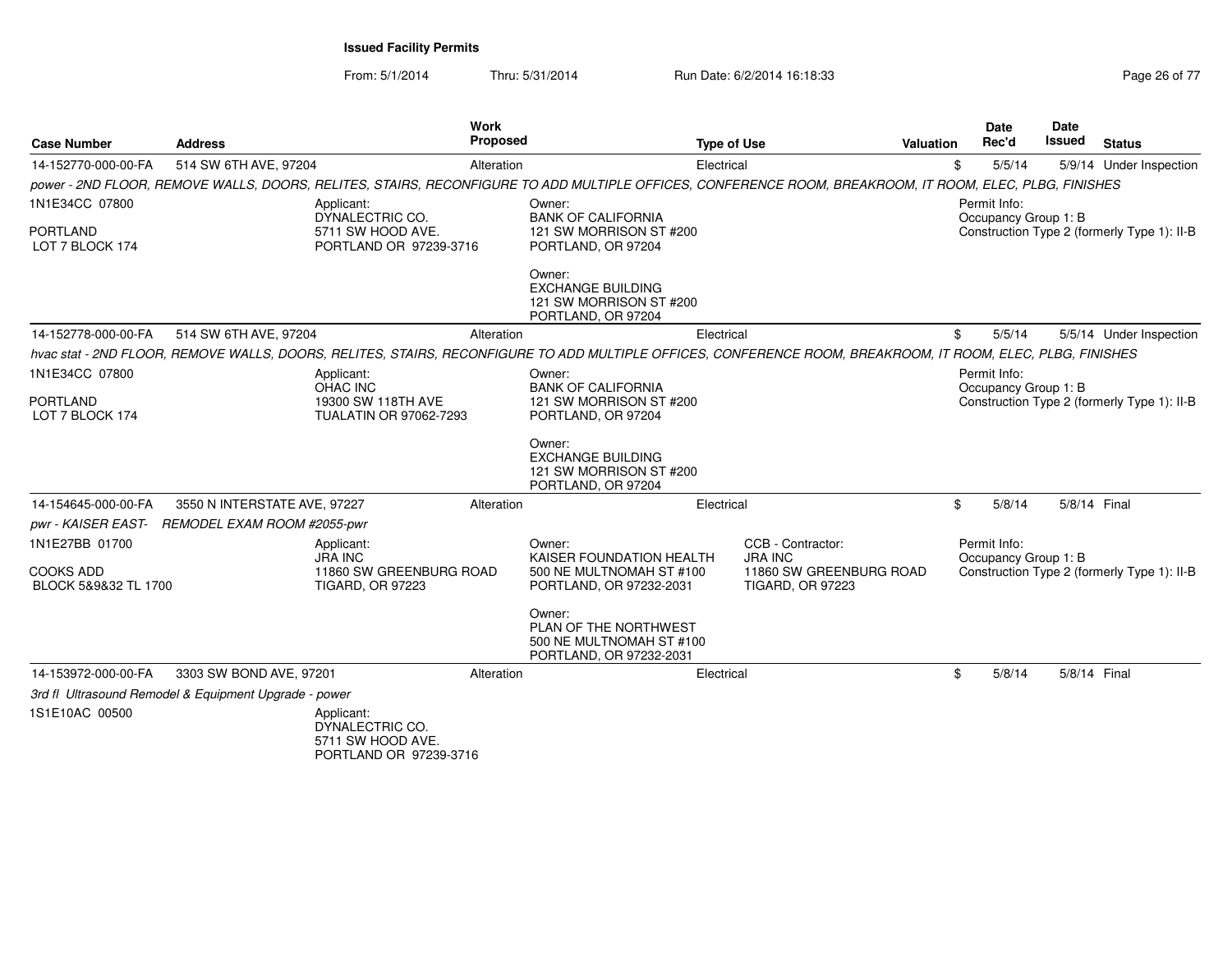From: 5/1/2014Thru: 5/31/2014 Run Date: 6/2/2014 16:18:33 Research 2010 17 Page 26 of 77

| <b>Case Number</b>                                         | <b>Address</b>                                        | <b>Work</b><br><b>Proposed</b>                                                                                                                              |                                                                                           | <b>Type of Use</b> |                                                                                           | Valuation | Date<br>Rec'd                        | Date<br><b>Issued</b> | <b>Status</b>                               |
|------------------------------------------------------------|-------------------------------------------------------|-------------------------------------------------------------------------------------------------------------------------------------------------------------|-------------------------------------------------------------------------------------------|--------------------|-------------------------------------------------------------------------------------------|-----------|--------------------------------------|-----------------------|---------------------------------------------|
| 14-152770-000-00-FA                                        | 514 SW 6TH AVE, 97204                                 | Alteration                                                                                                                                                  |                                                                                           | Electrical         |                                                                                           | \$        | 5/5/14                               |                       | 5/9/14 Under Inspection                     |
|                                                            |                                                       | power - 2ND FLOOR, REMOVE WALLS, DOORS, RELITES, STAIRS, RECONFIGURE TO ADD MULTIPLE OFFICES, CONFERENCE ROOM, BREAKROOM, IT ROOM, ELEC, PLBG, FINISHES     |                                                                                           |                    |                                                                                           |           |                                      |                       |                                             |
| 1N1E34CC 07800<br><b>PORTLAND</b><br>LOT 7 BLOCK 174       |                                                       | Applicant:<br>DYNALECTRIC CO.<br>5711 SW HOOD AVE.<br>PORTLAND OR 97239-3716                                                                                | Owner:<br><b>BANK OF CALIFORNIA</b><br>121 SW MORRISON ST #200<br>PORTLAND, OR 97204      |                    |                                                                                           |           | Permit Info:<br>Occupancy Group 1: B |                       | Construction Type 2 (formerly Type 1): II-B |
|                                                            |                                                       |                                                                                                                                                             | Owner:<br><b>EXCHANGE BUILDING</b><br>121 SW MORRISON ST #200<br>PORTLAND, OR 97204       |                    |                                                                                           |           |                                      |                       |                                             |
| 14-152778-000-00-FA                                        | 514 SW 6TH AVE, 97204                                 | Alteration                                                                                                                                                  |                                                                                           | Electrical         |                                                                                           | \$        | 5/5/14                               |                       | 5/5/14 Under Inspection                     |
|                                                            |                                                       | hvac stat - 2ND FLOOR, REMOVE WALLS, DOORS, RELITES, STAIRS, RECONFIGURE TO ADD MULTIPLE OFFICES, CONFERENCE ROOM, BREAKROOM, IT ROOM, ELEC, PLBG, FINISHES |                                                                                           |                    |                                                                                           |           |                                      |                       |                                             |
| 1N1E34CC 07800<br><b>PORTLAND</b><br>LOT 7 BLOCK 174       |                                                       | Applicant:<br>OHAC INC<br>19300 SW 118TH AVE<br>TUALATIN OR 97062-7293                                                                                      | Owner:<br><b>BANK OF CALIFORNIA</b><br>121 SW MORRISON ST #200<br>PORTLAND, OR 97204      |                    |                                                                                           |           | Permit Info:<br>Occupancy Group 1: B |                       | Construction Type 2 (formerly Type 1): II-B |
|                                                            |                                                       |                                                                                                                                                             | Owner:<br><b>EXCHANGE BUILDING</b><br>121 SW MORRISON ST #200<br>PORTLAND, OR 97204       |                    |                                                                                           |           |                                      |                       |                                             |
| 14-154645-000-00-FA                                        | 3550 N INTERSTATE AVE, 97227                          | Alteration                                                                                                                                                  |                                                                                           | Electrical         |                                                                                           | \$        | 5/8/14                               | 5/8/14 Final          |                                             |
|                                                            | pwr - KAISER EAST- REMODEL EXAM ROOM #2055-pwr        |                                                                                                                                                             |                                                                                           |                    |                                                                                           |           |                                      |                       |                                             |
| 1N1E27BB 01700<br><b>COOKS ADD</b><br>BLOCK 5&9&32 TL 1700 |                                                       | Applicant:<br><b>JRA INC</b><br>11860 SW GREENBURG ROAD<br>TIGARD, OR 97223                                                                                 | Owner:<br>KAISER FOUNDATION HEALTH<br>500 NE MULTNOMAH ST #100<br>PORTLAND, OR 97232-2031 |                    | CCB - Contractor:<br><b>JRA INC</b><br>11860 SW GREENBURG ROAD<br><b>TIGARD, OR 97223</b> |           | Permit Info:<br>Occupancy Group 1: B |                       | Construction Type 2 (formerly Type 1): II-B |
|                                                            |                                                       |                                                                                                                                                             | Owner:<br>PLAN OF THE NORTHWEST<br>500 NE MULTNOMAH ST #100<br>PORTLAND, OR 97232-2031    |                    |                                                                                           |           |                                      |                       |                                             |
| 14-153972-000-00-FA                                        | 3303 SW BOND AVE, 97201                               | Alteration                                                                                                                                                  |                                                                                           | Electrical         |                                                                                           | \$        | 5/8/14                               | 5/8/14 Final          |                                             |
|                                                            | 3rd fl Ultrasound Remodel & Equipment Upgrade - power |                                                                                                                                                             |                                                                                           |                    |                                                                                           |           |                                      |                       |                                             |
| 1S1E10AC 00500                                             |                                                       | Applicant:<br>DYNALECTRIC CO.<br>5711 SW HOOD AVE.<br>PORTLAND OR 97239-3716                                                                                |                                                                                           |                    |                                                                                           |           |                                      |                       |                                             |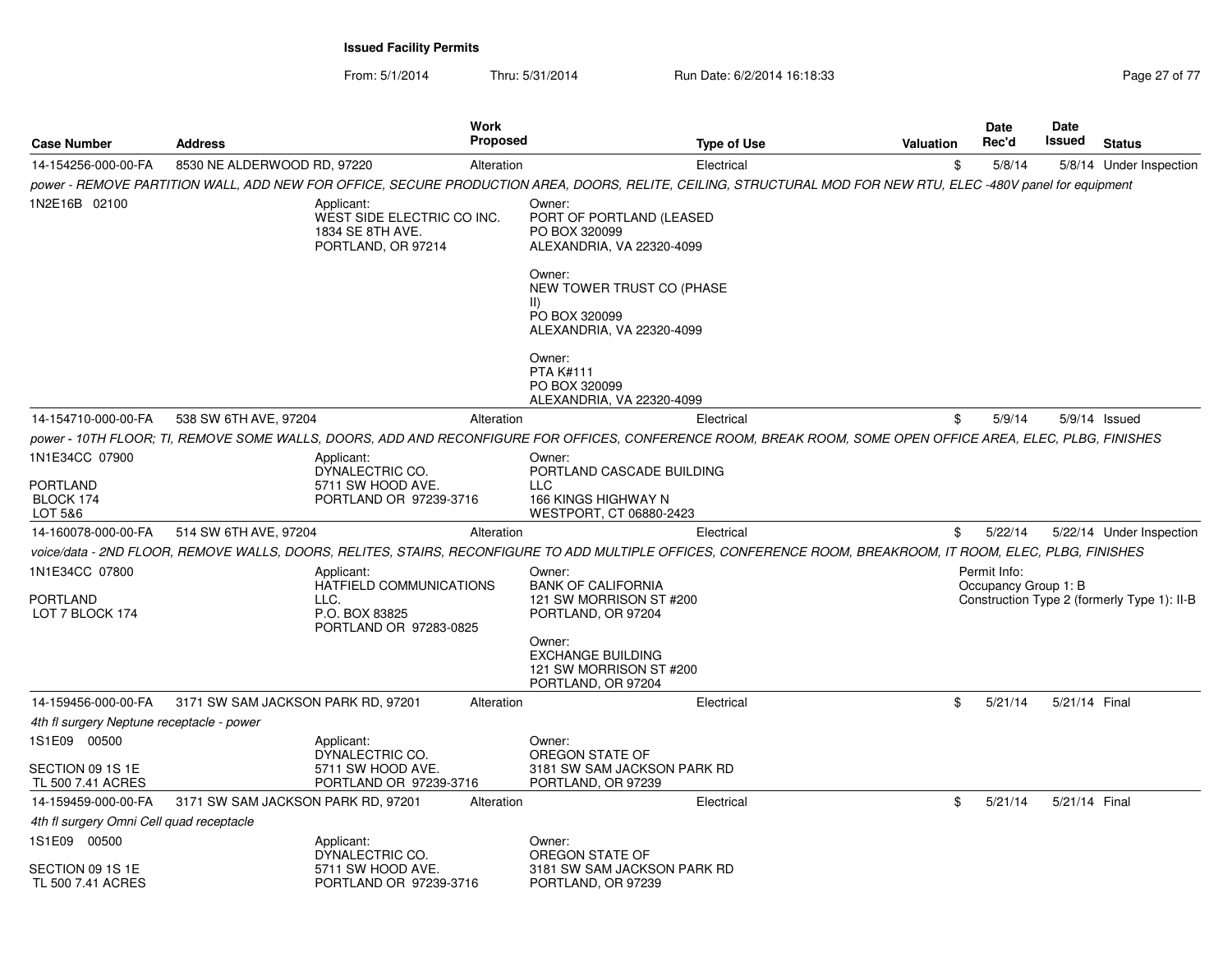From: 5/1/2014Thru: 5/31/2014 Run Date: 6/2/2014 16:18:33 Research 2010 17 Page 27 of 77

| <b>Case Number</b>                                                                                | <b>Address</b>                     |                                                                                           |            | <b>Proposed</b><br><b>Type of Use</b>                                                                                                                                                                                                                | <b>Valuation</b> | Date<br>Rec'd                        | Date<br><b>Issued</b> | <b>Status</b>                               |
|---------------------------------------------------------------------------------------------------|------------------------------------|-------------------------------------------------------------------------------------------|------------|------------------------------------------------------------------------------------------------------------------------------------------------------------------------------------------------------------------------------------------------------|------------------|--------------------------------------|-----------------------|---------------------------------------------|
| 14-154256-000-00-FA                                                                               | 8530 NE ALDERWOOD RD, 97220        |                                                                                           | Alteration | Electrical                                                                                                                                                                                                                                           | \$               | 5/8/14                               |                       | 5/8/14 Under Inspection                     |
|                                                                                                   |                                    |                                                                                           |            | power - REMOVE PARTITION WALL, ADD NEW FOR OFFICE, SECURE PRODUCTION AREA, DOORS, RELITE, CEILING, STRUCTURAL MOD FOR NEW RTU, ELEC -480V panel for equipment                                                                                        |                  |                                      |                       |                                             |
| 1N2E16B 02100                                                                                     |                                    | Applicant:<br>WEST SIDE ELECTRIC CO INC.<br>1834 SE 8TH AVE.<br>PORTLAND, OR 97214        |            | Owner:<br>PORT OF PORTLAND (LEASED<br>PO BOX 320099<br>ALEXANDRIA, VA 22320-4099<br>Owner:<br>NEW TOWER TRUST CO (PHASE<br>$\parallel$                                                                                                               |                  |                                      |                       |                                             |
|                                                                                                   |                                    |                                                                                           |            | PO BOX 320099<br>ALEXANDRIA, VA 22320-4099                                                                                                                                                                                                           |                  |                                      |                       |                                             |
|                                                                                                   |                                    |                                                                                           |            | Owner:<br><b>PTA K#111</b><br>PO BOX 320099<br>ALEXANDRIA, VA 22320-4099                                                                                                                                                                             |                  |                                      |                       |                                             |
| 14-154710-000-00-FA                                                                               | 538 SW 6TH AVE, 97204              |                                                                                           | Alteration | Electrical                                                                                                                                                                                                                                           | \$               | 5/9/14                               |                       | 5/9/14 Issued                               |
|                                                                                                   |                                    |                                                                                           |            | power - 10TH FLOOR: TI. REMOVE SOME WALLS. DOORS. ADD AND RECONFIGURE FOR OFFICES. CONFERENCE ROOM, BREAK ROOM. SOME OPEN OFFICE AREA. ELEC. PLBG. FINISHES                                                                                          |                  |                                      |                       |                                             |
| 1N1E34CC 07900<br><b>PORTLAND</b><br>BLOCK 174                                                    |                                    | Applicant:<br>DYNALECTRIC CO.<br>5711 SW HOOD AVE.<br>PORTLAND OR 97239-3716              |            | Owner:<br>PORTLAND CASCADE BUILDING<br><b>LLC</b><br>166 KINGS HIGHWAY N                                                                                                                                                                             |                  |                                      |                       |                                             |
| LOT 5&6                                                                                           |                                    |                                                                                           |            | WESTPORT, CT 06880-2423                                                                                                                                                                                                                              |                  |                                      |                       |                                             |
| 14-160078-000-00-FA                                                                               | 514 SW 6TH AVE, 97204              |                                                                                           | Alteration | Electrical                                                                                                                                                                                                                                           | \$               | 5/22/14                              |                       | 5/22/14 Under Inspection                    |
| 1N1E34CC 07800<br><b>PORTLAND</b><br>LOT 7 BLOCK 174                                              |                                    | Applicant:<br>HATFIELD COMMUNICATIONS<br>LLC.<br>P.O. BOX 83825<br>PORTLAND OR 97283-0825 |            | voice/data - 2ND FLOOR, REMOVE WALLS, DOORS, RELITES, STAIRS, RECONFIGURE TO ADD MULTIPLE OFFICES, CONFERENCE ROOM, BREAKROOM, IT ROOM, ELEC, PLBG, FINISHES<br>Owner:<br><b>BANK OF CALIFORNIA</b><br>121 SW MORRISON ST #200<br>PORTLAND, OR 97204 |                  | Permit Info:<br>Occupancy Group 1: B |                       | Construction Type 2 (formerly Type 1): II-B |
|                                                                                                   |                                    |                                                                                           |            | Owner:<br><b>EXCHANGE BUILDING</b><br>121 SW MORRISON ST #200<br>PORTLAND, OR 97204                                                                                                                                                                  |                  |                                      |                       |                                             |
| 14-159456-000-00-FA                                                                               | 3171 SW SAM JACKSON PARK RD, 97201 |                                                                                           | Alteration | Electrical                                                                                                                                                                                                                                           | \$               | 5/21/14                              | 5/21/14 Final         |                                             |
| 4th fl surgery Neptune receptacle - power                                                         |                                    |                                                                                           |            |                                                                                                                                                                                                                                                      |                  |                                      |                       |                                             |
| 1S1E09 00500<br>SECTION 09 1S 1E                                                                  |                                    | Applicant:<br>DYNALECTRIC CO.<br>5711 SW HOOD AVE.                                        |            | Owner:<br>OREGON STATE OF<br>3181 SW SAM JACKSON PARK RD                                                                                                                                                                                             |                  |                                      |                       |                                             |
| TL 500 7.41 ACRES                                                                                 |                                    | PORTLAND OR 97239-3716                                                                    |            | PORTLAND, OR 97239                                                                                                                                                                                                                                   |                  |                                      |                       |                                             |
| 14-159459-000-00-FA                                                                               | 3171 SW SAM JACKSON PARK RD, 97201 |                                                                                           | Alteration | Electrical                                                                                                                                                                                                                                           | \$               | 5/21/14                              | 5/21/14 Final         |                                             |
| 4th fl surgery Omni Cell quad receptacle<br>1S1E09 00500<br>SECTION 09 1S 1E<br>TL 500 7.41 ACRES |                                    | Applicant:<br>DYNALECTRIC CO.<br>5711 SW HOOD AVE.<br>PORTLAND OR 97239-3716              |            | Owner:<br>OREGON STATE OF<br>3181 SW SAM JACKSON PARK RD<br>PORTLAND, OR 97239                                                                                                                                                                       |                  |                                      |                       |                                             |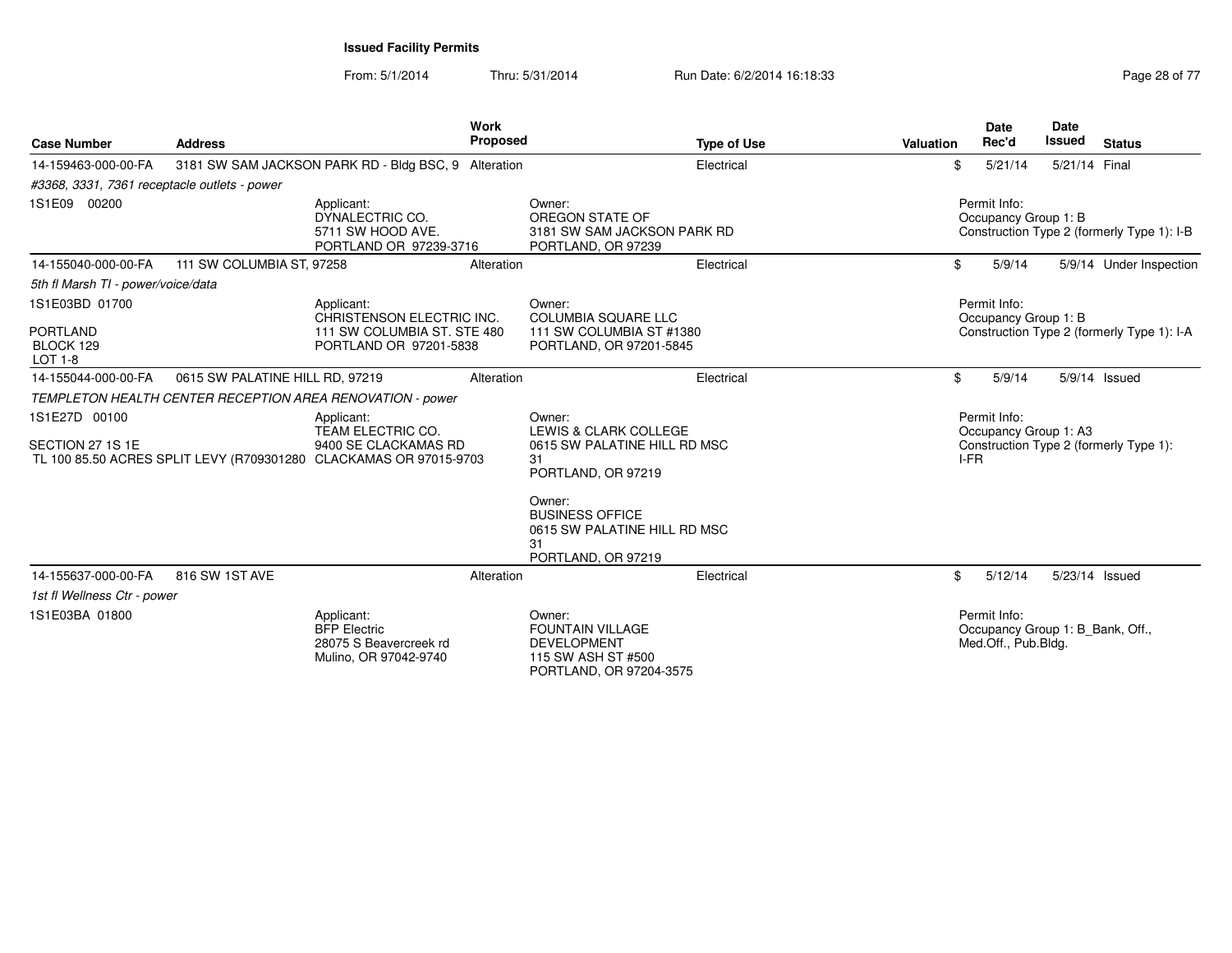From: 5/1/2014Thru: 5/31/2014 Run Date: 6/2/2014 16:18:33 Research 2010 17 Page 28 of 77

| <b>Case Number</b>                                                                                     | <b>Address</b>                  | <b>Work</b><br>Proposed                                                              |                                                                                                          | <b>Type of Use</b>           | Valuation | <b>Date</b><br>Rec'd                                                    | <b>Date</b><br><b>Issued</b> | <b>Status</b>                              |
|--------------------------------------------------------------------------------------------------------|---------------------------------|--------------------------------------------------------------------------------------|----------------------------------------------------------------------------------------------------------|------------------------------|-----------|-------------------------------------------------------------------------|------------------------------|--------------------------------------------|
| 14-159463-000-00-FA                                                                                    |                                 | 3181 SW SAM JACKSON PARK RD - Bldg BSC, 9 Alteration                                 |                                                                                                          | Electrical                   | \$        | 5/21/14                                                                 | 5/21/14 Final                |                                            |
| #3368, 3331, 7361 receptacle outlets - power                                                           |                                 |                                                                                      |                                                                                                          |                              |           |                                                                         |                              |                                            |
| 1S1E09 00200                                                                                           |                                 | Applicant:<br>DYNALECTRIC CO.<br>5711 SW HOOD AVE.<br>PORTLAND OR 97239-3716         | Owner:<br>OREGON STATE OF<br>PORTLAND, OR 97239                                                          | 3181 SW SAM JACKSON PARK RD  |           | Permit Info:<br>Occupancy Group 1: B                                    |                              | Construction Type 2 (formerly Type 1): I-B |
| 14-155040-000-00-FA                                                                                    | 111 SW COLUMBIA ST, 97258       | Alteration                                                                           |                                                                                                          | Electrical                   | \$        | 5/9/14                                                                  |                              | 5/9/14 Under Inspection                    |
| 5th fl Marsh TI - power/voice/data                                                                     |                                 |                                                                                      |                                                                                                          |                              |           |                                                                         |                              |                                            |
| 1S1E03BD 01700                                                                                         |                                 | Applicant:<br>CHRISTENSON ELECTRIC INC.                                              | Owner:<br><b>COLUMBIA SQUARE LLC</b>                                                                     |                              |           | Permit Info:<br>Occupancy Group 1: B                                    |                              |                                            |
| <b>PORTLAND</b><br>BLOCK 129<br><b>LOT 1-8</b>                                                         |                                 | 111 SW COLUMBIA ST. STE 480<br>PORTLAND OR 97201-5838                                | 111 SW COLUMBIA ST #1380<br>PORTLAND, OR 97201-5845                                                      |                              |           |                                                                         |                              | Construction Type 2 (formerly Type 1): I-A |
| 14-155044-000-00-FA                                                                                    | 0615 SW PALATINE HILL RD, 97219 | Alteration                                                                           |                                                                                                          | Electrical                   | \$        | 5/9/14                                                                  |                              | 5/9/14 Issued                              |
|                                                                                                        |                                 | TEMPLETON HEALTH CENTER RECEPTION AREA RENOVATION - power                            |                                                                                                          |                              |           |                                                                         |                              |                                            |
| 1S1E27D 00100<br>SECTION 27 1S 1E<br>TL 100 85.50 ACRES SPLIT LEVY (R709301280 CLACKAMAS OR 97015-9703 |                                 | Applicant:<br>TEAM ELECTRIC CO.<br>9400 SE CLACKAMAS RD                              | Owner:<br>LEWIS & CLARK COLLEGE<br>31<br>PORTLAND, OR 97219                                              | 0615 SW PALATINE HILL RD MSC | I-FR      | Permit Info:<br>Occupancy Group 1: A3                                   |                              | Construction Type 2 (formerly Type 1):     |
|                                                                                                        |                                 |                                                                                      | Owner:<br><b>BUSINESS OFFICE</b><br>31<br>PORTLAND, OR 97219                                             | 0615 SW PALATINE HILL RD MSC |           |                                                                         |                              |                                            |
| 14-155637-000-00-FA                                                                                    | 816 SW 1ST AVE                  | Alteration                                                                           |                                                                                                          | Electrical                   | \$        | 5/12/14                                                                 |                              | 5/23/14 Issued                             |
| 1st fl Wellness Ctr - power                                                                            |                                 |                                                                                      |                                                                                                          |                              |           |                                                                         |                              |                                            |
| 1S1E03BA 01800                                                                                         |                                 | Applicant:<br><b>BFP Electric</b><br>28075 S Beavercreek rd<br>Mulino, OR 97042-9740 | Owner:<br><b>FOUNTAIN VILLAGE</b><br><b>DEVELOPMENT</b><br>115 SW ASH ST #500<br>PORTLAND, OR 97204-3575 |                              |           | Permit Info:<br>Occupancy Group 1: B Bank, Off.,<br>Med.Off., Pub.Bldg. |                              |                                            |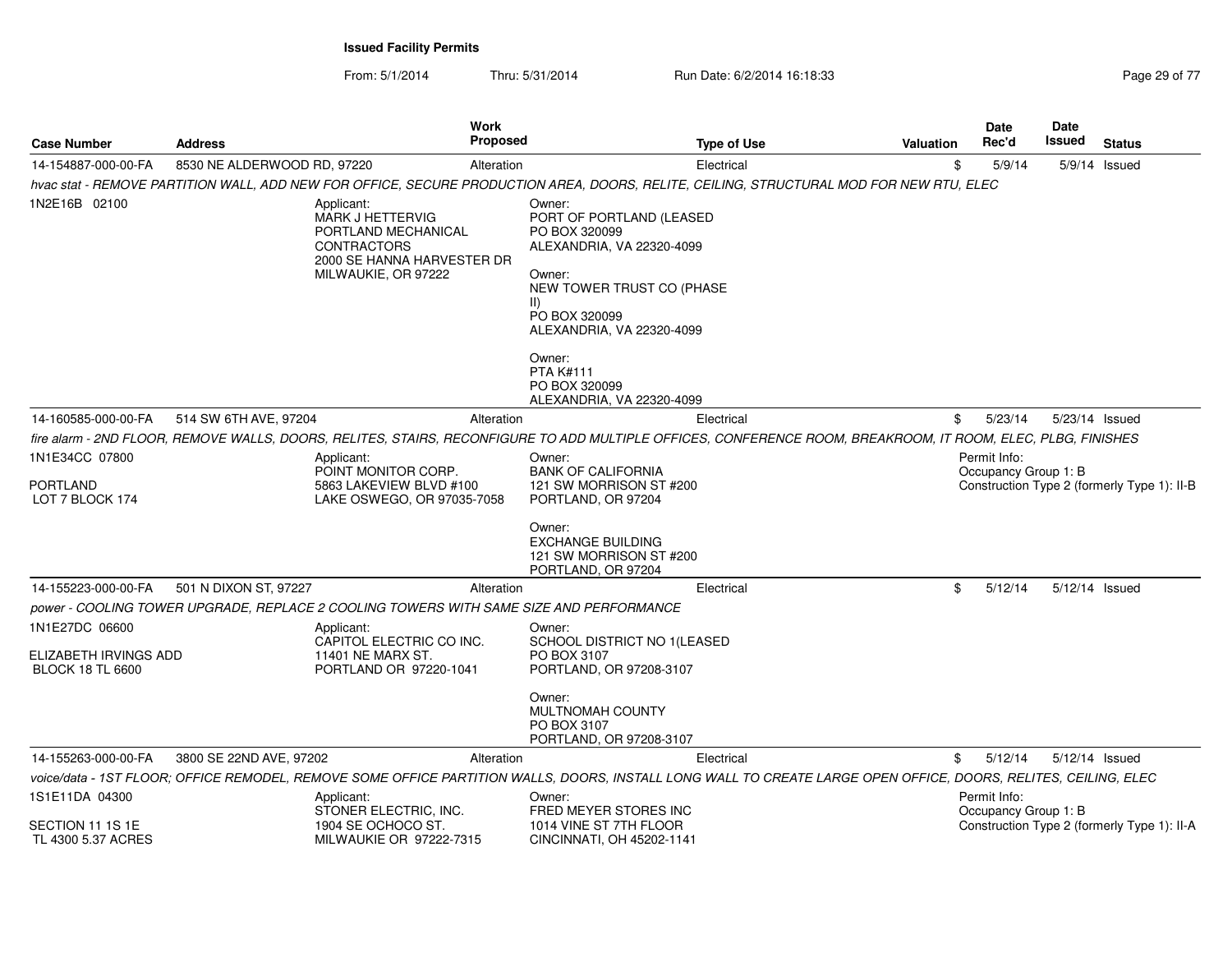From: 5/1/2014Thru: 5/31/2014 **Run Date: 6/2/2014 16:18:33** Page

| <b>Case Number</b>                                                 | <b>Address</b>                                                                         | <b>Work</b><br><b>Proposed</b>                                                                                            | <b>Type of Use</b>                                                                                                                                                                                                                                                 | <b>Valuation</b>                                                                                                                                                | Date<br>Rec'd                        | Date<br>Issued | <b>Status</b>                               |
|--------------------------------------------------------------------|----------------------------------------------------------------------------------------|---------------------------------------------------------------------------------------------------------------------------|--------------------------------------------------------------------------------------------------------------------------------------------------------------------------------------------------------------------------------------------------------------------|-----------------------------------------------------------------------------------------------------------------------------------------------------------------|--------------------------------------|----------------|---------------------------------------------|
| 14-154887-000-00-FA                                                | 8530 NE ALDERWOOD RD, 97220                                                            | Alteration                                                                                                                | Electrical                                                                                                                                                                                                                                                         |                                                                                                                                                                 | \$<br>5/9/14                         |                | 5/9/14 Issued                               |
|                                                                    |                                                                                        |                                                                                                                           |                                                                                                                                                                                                                                                                    | hvac stat - REMOVE PARTITION WALL, ADD NEW FOR OFFICE, SECURE PRODUCTION AREA, DOORS, RELITE, CEILING, STRUCTURAL MOD FOR NEW RTU, ELEC                         |                                      |                |                                             |
| 1N2E16B 02100                                                      | Applicant:                                                                             | <b>MARK J HETTERVIG</b><br>PORTLAND MECHANICAL<br><b>CONTRACTORS</b><br>2000 SE HANNA HARVESTER DR<br>MILWAUKIE, OR 97222 | Owner:<br>PORT OF PORTLAND (LEASED<br>PO BOX 320099<br>ALEXANDRIA, VA 22320-4099<br>Owner:<br>NEW TOWER TRUST CO (PHASE<br>$\parallel$ )<br>PO BOX 320099<br>ALEXANDRIA, VA 22320-4099<br>Owner:<br><b>PTA K#111</b><br>PO BOX 320099<br>ALEXANDRIA, VA 22320-4099 |                                                                                                                                                                 |                                      |                |                                             |
| 14-160585-000-00-FA                                                | 514 SW 6TH AVE, 97204                                                                  | Alteration                                                                                                                | Electrical                                                                                                                                                                                                                                                         |                                                                                                                                                                 | \$<br>5/23/14                        | 5/23/14 Issued |                                             |
|                                                                    |                                                                                        |                                                                                                                           |                                                                                                                                                                                                                                                                    | fire alarm - 2ND FLOOR, REMOVE WALLS, DOORS, RELITES, STAIRS, RECONFIGURE TO ADD MULTIPLE OFFICES, CONFERENCE ROOM, BREAKROOM, IT ROOM, ELEC, PLBG, FINISHES    |                                      |                |                                             |
| 1N1E34CC 07800<br>PORTLAND<br>LOT 7 BLOCK 174                      | Applicant:                                                                             | POINT MONITOR CORP.<br>5863 LAKEVIEW BLVD #100<br>LAKE OSWEGO, OR 97035-7058                                              | Owner:<br><b>BANK OF CALIFORNIA</b><br>121 SW MORRISON ST #200<br>PORTLAND, OR 97204<br>Owner:<br><b>EXCHANGE BUILDING</b><br>121 SW MORRISON ST #200                                                                                                              |                                                                                                                                                                 | Permit Info:<br>Occupancy Group 1: B |                | Construction Type 2 (formerly Type 1): II-B |
|                                                                    |                                                                                        |                                                                                                                           | PORTLAND, OR 97204                                                                                                                                                                                                                                                 |                                                                                                                                                                 |                                      |                |                                             |
| 14-155223-000-00-FA                                                | 501 N DIXON ST, 97227                                                                  | Alteration                                                                                                                | Electrical                                                                                                                                                                                                                                                         |                                                                                                                                                                 | \$<br>5/12/14                        | 5/12/14 Issued |                                             |
|                                                                    | power - COOLING TOWER UPGRADE, REPLACE 2 COOLING TOWERS WITH SAME SIZE AND PERFORMANCE |                                                                                                                           |                                                                                                                                                                                                                                                                    |                                                                                                                                                                 |                                      |                |                                             |
| 1N1E27DC 06600<br>ELIZABETH IRVINGS ADD<br><b>BLOCK 18 TL 6600</b> | Applicant:                                                                             | CAPITOL ELECTRIC CO INC.<br>11401 NE MARX ST.<br>PORTLAND OR 97220-1041                                                   | Owner:<br>SCHOOL DISTRICT NO 1(LEASED<br>PO BOX 3107<br>PORTLAND, OR 97208-3107<br>Owner:                                                                                                                                                                          |                                                                                                                                                                 |                                      |                |                                             |
|                                                                    |                                                                                        |                                                                                                                           | MULTNOMAH COUNTY<br>PO BOX 3107<br>PORTLAND, OR 97208-3107                                                                                                                                                                                                         |                                                                                                                                                                 |                                      |                |                                             |
| 14-155263-000-00-FA                                                | 3800 SE 22ND AVE, 97202                                                                | Alteration                                                                                                                | Electrical                                                                                                                                                                                                                                                         |                                                                                                                                                                 | \$<br>5/12/14                        | 5/12/14 Issued |                                             |
|                                                                    |                                                                                        |                                                                                                                           |                                                                                                                                                                                                                                                                    | voice/data - 1ST FLOOR; OFFICE REMODEL, REMOVE SOME OFFICE PARTITION WALLS, DOORS, INSTALL LONG WALL TO CREATE LARGE OPEN OFFICE, DOORS, RELITES, CEILING, ELEC |                                      |                |                                             |
| 1S1E11DA 04300                                                     | Applicant:                                                                             | STONER ELECTRIC, INC.                                                                                                     | Owner:<br>FRED MEYER STORES INC                                                                                                                                                                                                                                    |                                                                                                                                                                 | Permit Info:                         |                |                                             |
| SECTION 11 1S 1E<br>TL 4300 5.37 ACRES                             |                                                                                        | 1904 SE OCHOCO ST.<br>MILWAUKIE OR 97222-7315                                                                             | 1014 VINE ST 7TH FLOOR<br>CINCINNATI, OH 45202-1141                                                                                                                                                                                                                |                                                                                                                                                                 | Occupancy Group 1: B                 |                | Construction Type 2 (formerly Type 1): II-A |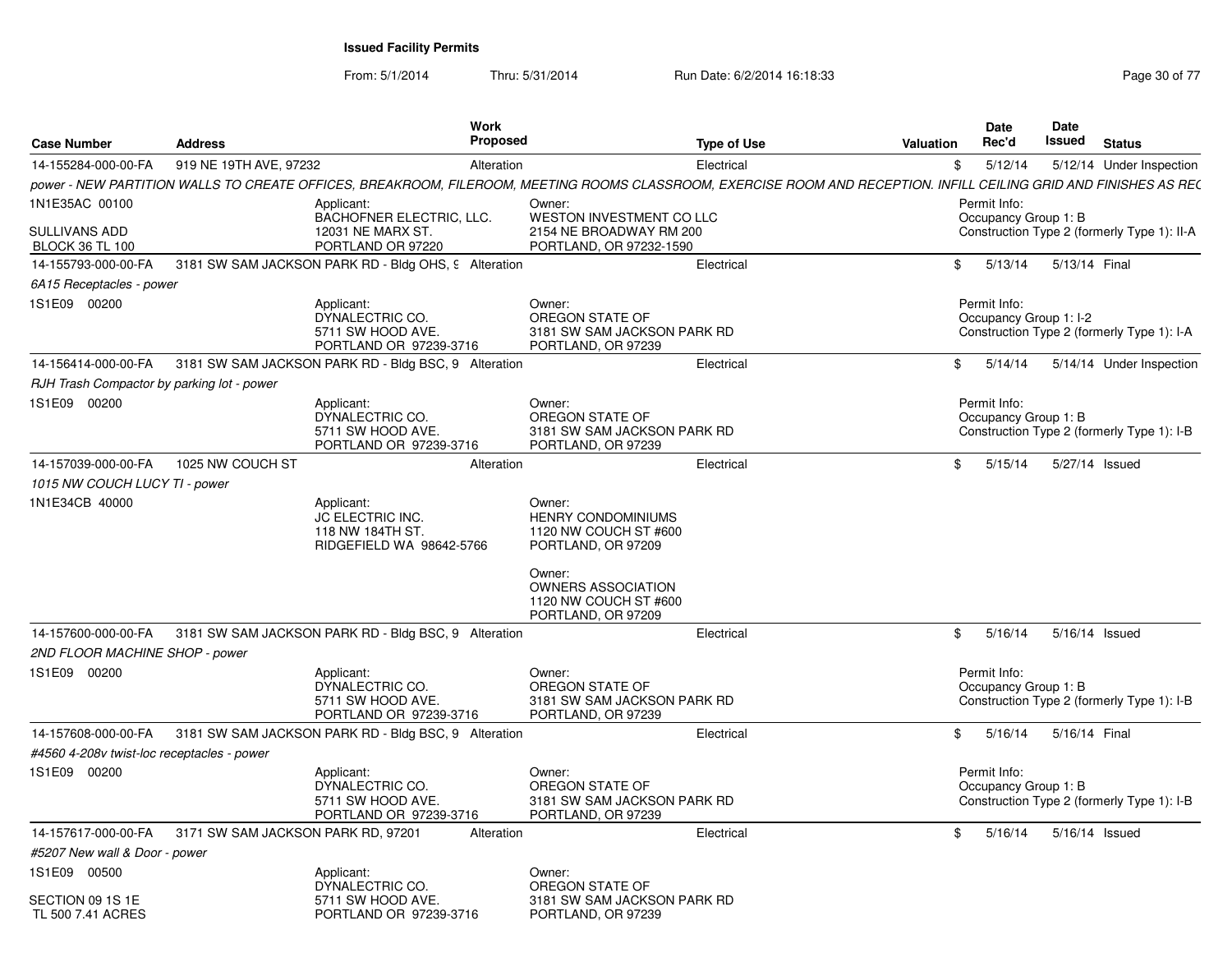From: 5/1/2014

Thru: 5/31/2014 Run Date: 6/2/2014 16:18:33 Research 2014 19:18:33

| <b>Case Number</b>                                    | <b>Address</b>                     | <b>Work</b><br><b>Proposed</b>                                                                                                                                    |                                                                                    | <b>Type of Use</b> | Valuation | <b>Date</b><br>Rec'd                   | Date<br>Issued | <b>Status</b>                               |
|-------------------------------------------------------|------------------------------------|-------------------------------------------------------------------------------------------------------------------------------------------------------------------|------------------------------------------------------------------------------------|--------------------|-----------|----------------------------------------|----------------|---------------------------------------------|
| 14-155284-000-00-FA                                   | 919 NE 19TH AVE, 97232             | Alteration                                                                                                                                                        |                                                                                    | Electrical         | \$        | 5/12/14                                |                | 5/12/14 Under Inspection                    |
|                                                       |                                    | power - NEW PARTITION WALLS TO CREATE OFFICES, BREAKROOM, FILEROOM, MEETING ROOMS CLASSROOM, EXERCISE ROOM AND RECEPTION. INFILL CEILING GRID AND FINISHES AS RE( |                                                                                    |                    |           |                                        |                |                                             |
| 1N1E35AC 00100                                        |                                    | Applicant:                                                                                                                                                        | Owner:                                                                             |                    |           | Permit Info:                           |                |                                             |
| <b>SULLIVANS ADD</b><br><b>BLOCK 36 TL 100</b>        |                                    | BACHOFNER ELECTRIC, LLC.<br>12031 NE MARX ST.<br>PORTLAND OR 97220                                                                                                | WESTON INVESTMENT CO LLC<br>2154 NE BROADWAY RM 200<br>PORTLAND, OR 97232-1590     |                    |           | Occupancy Group 1: B                   |                | Construction Type 2 (formerly Type 1): II-A |
| 14-155793-000-00-FA                                   |                                    | 3181 SW SAM JACKSON PARK RD - Bldg OHS, 9 Alteration                                                                                                              |                                                                                    | Electrical         | \$        | 5/13/14                                | 5/13/14 Final  |                                             |
| 6A15 Receptacles - power                              |                                    |                                                                                                                                                                   |                                                                                    |                    |           |                                        |                |                                             |
| 1S1E09 00200                                          |                                    | Applicant:<br>DYNALECTRIC CO.<br>5711 SW HOOD AVE.<br>PORTLAND OR 97239-3716                                                                                      | Owner:<br>OREGON STATE OF<br>3181 SW SAM JACKSON PARK RD<br>PORTLAND, OR 97239     |                    |           | Permit Info:<br>Occupancy Group 1: I-2 |                | Construction Type 2 (formerly Type 1): I-A  |
| 14-156414-000-00-FA                                   |                                    | 3181 SW SAM JACKSON PARK RD - Bldg BSC, 9 Alteration                                                                                                              |                                                                                    | Electrical         | \$        | 5/14/14                                |                | 5/14/14 Under Inspection                    |
| RJH Trash Compactor by parking lot - power            |                                    |                                                                                                                                                                   |                                                                                    |                    |           |                                        |                |                                             |
| 1S1E09 00200                                          |                                    | Applicant:<br>DYNALECTRIC CO.<br>5711 SW HOOD AVE.<br>PORTLAND OR 97239-3716                                                                                      | Owner:<br>OREGON STATE OF<br>3181 SW SAM JACKSON PARK RD<br>PORTLAND, OR 97239     |                    |           | Permit Info:<br>Occupancy Group 1: B   |                | Construction Type 2 (formerly Type 1): I-B  |
| 14-157039-000-00-FA                                   | 1025 NW COUCH ST                   | Alteration                                                                                                                                                        |                                                                                    | Electrical         | \$        | 5/15/14                                |                | 5/27/14 Issued                              |
| 1015 NW COUCH LUCY TI - power                         |                                    |                                                                                                                                                                   |                                                                                    |                    |           |                                        |                |                                             |
| 1N1E34CB 40000                                        |                                    | Applicant:<br>JC ELECTRIC INC.<br>118 NW 184TH ST.<br>RIDGEFIELD WA 98642-5766                                                                                    | Owner:<br><b>HENRY CONDOMINIUMS</b><br>1120 NW COUCH ST #600<br>PORTLAND, OR 97209 |                    |           |                                        |                |                                             |
|                                                       |                                    |                                                                                                                                                                   | Owner:<br><b>OWNERS ASSOCIATION</b><br>1120 NW COUCH ST #600<br>PORTLAND, OR 97209 |                    |           |                                        |                |                                             |
| 14-157600-000-00-FA                                   |                                    | 3181 SW SAM JACKSON PARK RD - Bldg BSC, 9 Alteration                                                                                                              |                                                                                    | Electrical         | \$        | 5/16/14                                |                | 5/16/14 Issued                              |
| 2ND FLOOR MACHINE SHOP - power                        |                                    |                                                                                                                                                                   |                                                                                    |                    |           |                                        |                |                                             |
| 1S1E09 00200                                          |                                    | Applicant:<br>DYNALECTRIC CO.<br>5711 SW HOOD AVE.<br>PORTLAND OR 97239-3716                                                                                      | Owner:<br>OREGON STATE OF<br>3181 SW SAM JACKSON PARK RD<br>PORTLAND, OR 97239     |                    |           | Permit Info:<br>Occupancy Group 1: B   |                | Construction Type 2 (formerly Type 1): I-B  |
| 14-157608-000-00-FA                                   |                                    | 3181 SW SAM JACKSON PARK RD - Bldg BSC, 9 Alteration                                                                                                              |                                                                                    | Electrical         | \$        | 5/16/14                                | 5/16/14 Final  |                                             |
| #4560 4-208v twist-loc receptacles - power            |                                    |                                                                                                                                                                   |                                                                                    |                    |           |                                        |                |                                             |
| 1S1E09 00200                                          |                                    | Applicant:<br>DYNALECTRIC CO.<br>5711 SW HOOD AVE.<br>PORTLAND OR 97239-3716                                                                                      | Owner:<br>OREGON STATE OF<br>3181 SW SAM JACKSON PARK RD<br>PORTLAND, OR 97239     |                    |           | Permit Info:<br>Occupancy Group 1: B   |                | Construction Type 2 (formerly Type 1): I-B  |
| 14-157617-000-00-FA                                   | 3171 SW SAM JACKSON PARK RD, 97201 | Alteration                                                                                                                                                        |                                                                                    | Electrical         | \$        | 5/16/14                                |                | 5/16/14 Issued                              |
| #5207 New wall & Door - power                         |                                    |                                                                                                                                                                   |                                                                                    |                    |           |                                        |                |                                             |
| 1S1E09 00500<br>SECTION 09 1S 1E<br>TL 500 7.41 ACRES |                                    | Applicant:<br>DYNALECTRIC CO.<br>5711 SW HOOD AVE.<br>PORTLAND OR 97239-3716                                                                                      | Owner:<br>OREGON STATE OF<br>3181 SW SAM JACKSON PARK RD<br>PORTLAND, OR 97239     |                    |           |                                        |                |                                             |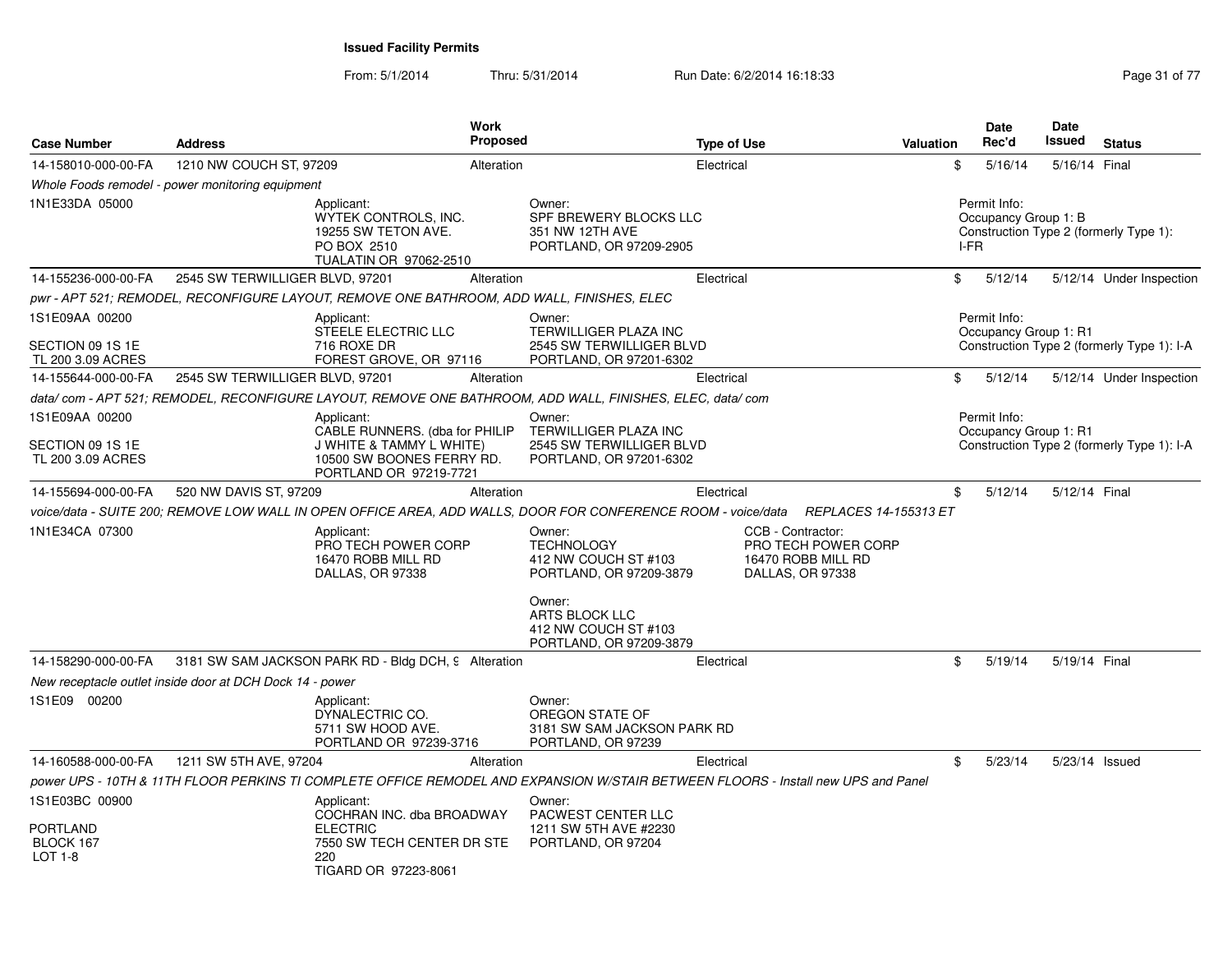From: 5/1/2014Thru: 5/31/2014 Run Date: 6/2/2014 16:18:33 Research 2010 17 Page 31 of 77

| <b>Case Number</b>                                       | <b>Address</b>                  |                                                                                                    | <b>Work</b><br><b>Proposed</b> |                                                                                                                                     | <b>Type of Use</b> |                                                                                    | Valuation |        | <b>Date</b><br>Rec'd                  | <b>Date</b><br>Issued | <b>Status</b>                              |
|----------------------------------------------------------|---------------------------------|----------------------------------------------------------------------------------------------------|--------------------------------|-------------------------------------------------------------------------------------------------------------------------------------|--------------------|------------------------------------------------------------------------------------|-----------|--------|---------------------------------------|-----------------------|--------------------------------------------|
| 14-158010-000-00-FA                                      | 1210 NW COUCH ST, 97209         |                                                                                                    | Alteration                     |                                                                                                                                     | Electrical         |                                                                                    |           | \$     | 5/16/14                               | 5/16/14 Final         |                                            |
| Whole Foods remodel - power monitoring equipment         |                                 |                                                                                                    |                                |                                                                                                                                     |                    |                                                                                    |           |        |                                       |                       |                                            |
| 1N1E33DA 05000                                           |                                 | Applicant:<br>WYTEK CONTROLS, INC.<br>19255 SW TETON AVE.<br>PO BOX 2510<br>TUALATIN OR 97062-2510 |                                | Owner:<br>SPF BREWERY BLOCKS LLC<br>351 NW 12TH AVE<br>PORTLAND, OR 97209-2905                                                      |                    |                                                                                    |           | $I-FR$ | Permit Info:<br>Occupancy Group 1: B  |                       | Construction Type 2 (formerly Type 1):     |
| 14-155236-000-00-FA                                      | 2545 SW TERWILLIGER BLVD, 97201 |                                                                                                    | Alteration                     |                                                                                                                                     | Electrical         |                                                                                    |           | \$     | 5/12/14                               |                       | 5/12/14 Under Inspection                   |
|                                                          |                                 | pwr - APT 521; REMODEL, RECONFIGURE LAYOUT, REMOVE ONE BATHROOM, ADD WALL, FINISHES, ELEC          |                                |                                                                                                                                     |                    |                                                                                    |           |        |                                       |                       |                                            |
| 1S1E09AA 00200<br>SECTION 09 1S 1E<br>TL 200 3.09 ACRES  |                                 | Applicant:<br>STEELE ELECTRIC LLC<br>716 ROXE DR<br>FOREST GROVE, OR 97116                         |                                | Owner:<br>TERWILLIGER PLAZA INC<br>2545 SW TERWILLIGER BLVD<br>PORTLAND, OR 97201-6302                                              |                    |                                                                                    |           |        | Permit Info:<br>Occupancy Group 1: R1 |                       | Construction Type 2 (formerly Type 1): I-A |
| 14-155644-000-00-FA                                      | 2545 SW TERWILLIGER BLVD, 97201 |                                                                                                    | Alteration                     |                                                                                                                                     | Electrical         |                                                                                    |           | \$     | 5/12/14                               |                       | 5/12/14 Under Inspection                   |
|                                                          |                                 |                                                                                                    |                                | data/ com - APT 521; REMODEL, RECONFIGURE LAYOUT, REMOVE ONE BATHROOM, ADD WALL, FINISHES, ELEC, data/ com                          |                    |                                                                                    |           |        |                                       |                       |                                            |
| 1S1E09AA 00200<br>SECTION 09 1S 1E                       |                                 | Applicant:<br>CABLE RUNNERS. (dba for PHILIP<br><b>J WHITE &amp; TAMMY L WHITE)</b>                |                                | Owner:<br>TERWILLIGER PLAZA INC<br>2545 SW TERWILLIGER BLVD                                                                         |                    |                                                                                    |           |        | Permit Info:<br>Occupancy Group 1: R1 |                       | Construction Type 2 (formerly Type 1): I-A |
| TL 200 3.09 ACRES                                        |                                 | 10500 SW BOONES FERRY RD.<br>PORTLAND OR 97219-7721                                                |                                | PORTLAND, OR 97201-6302                                                                                                             |                    |                                                                                    |           |        |                                       |                       |                                            |
| 14-155694-000-00-FA                                      | 520 NW DAVIS ST, 97209          |                                                                                                    | Alteration                     |                                                                                                                                     | Electrical         |                                                                                    |           | \$     | 5/12/14                               | 5/12/14 Final         |                                            |
|                                                          |                                 |                                                                                                    |                                | voice/data - SUITE 200; REMOVE LOW WALL IN OPEN OFFICE AREA, ADD WALLS, DOOR FOR CONFERENCE ROOM - voice/data REPLACES 14-155313 ET |                    |                                                                                    |           |        |                                       |                       |                                            |
| 1N1E34CA 07300                                           |                                 | Applicant:<br>PRO TECH POWER CORP<br>16470 ROBB MILL RD<br>DALLAS, OR 97338                        |                                | Owner:<br><b>TECHNOLOGY</b><br>412 NW COUCH ST #103<br>PORTLAND, OR 97209-3879                                                      |                    | CCB - Contractor:<br>PRO TECH POWER CORP<br>16470 ROBB MILL RD<br>DALLAS, OR 97338 |           |        |                                       |                       |                                            |
|                                                          |                                 |                                                                                                    |                                | Owner:<br>ARTS BLOCK LLC<br>412 NW COUCH ST #103<br>PORTLAND, OR 97209-3879                                                         |                    |                                                                                    |           |        |                                       |                       |                                            |
| 14-158290-000-00-FA                                      |                                 | 3181 SW SAM JACKSON PARK RD - Bldg DCH, 9 Alteration                                               |                                |                                                                                                                                     | Electrical         |                                                                                    |           | \$     | 5/19/14                               | 5/19/14 Final         |                                            |
| New receptacle outlet inside door at DCH Dock 14 - power |                                 |                                                                                                    |                                |                                                                                                                                     |                    |                                                                                    |           |        |                                       |                       |                                            |
| 1S1E09 00200                                             |                                 | Applicant:<br>DYNALECTRIC CO.<br>5711 SW HOOD AVE.<br>PORTLAND OR 97239-3716                       |                                | Owner:<br>OREGON STATE OF<br>3181 SW SAM JACKSON PARK RD<br>PORTLAND, OR 97239                                                      |                    |                                                                                    |           |        |                                       |                       |                                            |
| 14-160588-000-00-FA                                      | 1211 SW 5TH AVE, 97204          |                                                                                                    | Alteration                     |                                                                                                                                     | Electrical         |                                                                                    |           | \$     | 5/23/14                               | 5/23/14 Issued        |                                            |
|                                                          |                                 |                                                                                                    |                                | power UPS - 10TH & 11TH FLOOR PERKINS TI COMPLETE OFFICE REMODEL AND EXPANSION W/STAIR BETWEEN FLOORS - Install new UPS and Panel   |                    |                                                                                    |           |        |                                       |                       |                                            |
| 1S1E03BC 00900                                           |                                 | Applicant:<br>COCHRAN INC. dba BROADWAY                                                            |                                | Owner:<br>PACWEST CENTER LLC                                                                                                        |                    |                                                                                    |           |        |                                       |                       |                                            |
| PORTLAND<br>BLOCK 167<br>LOT 1-8                         |                                 | <b>ELECTRIC</b><br>7550 SW TECH CENTER DR STE<br>220<br>TIGARD OR 97223-8061                       |                                | 1211 SW 5TH AVE #2230<br>PORTLAND, OR 97204                                                                                         |                    |                                                                                    |           |        |                                       |                       |                                            |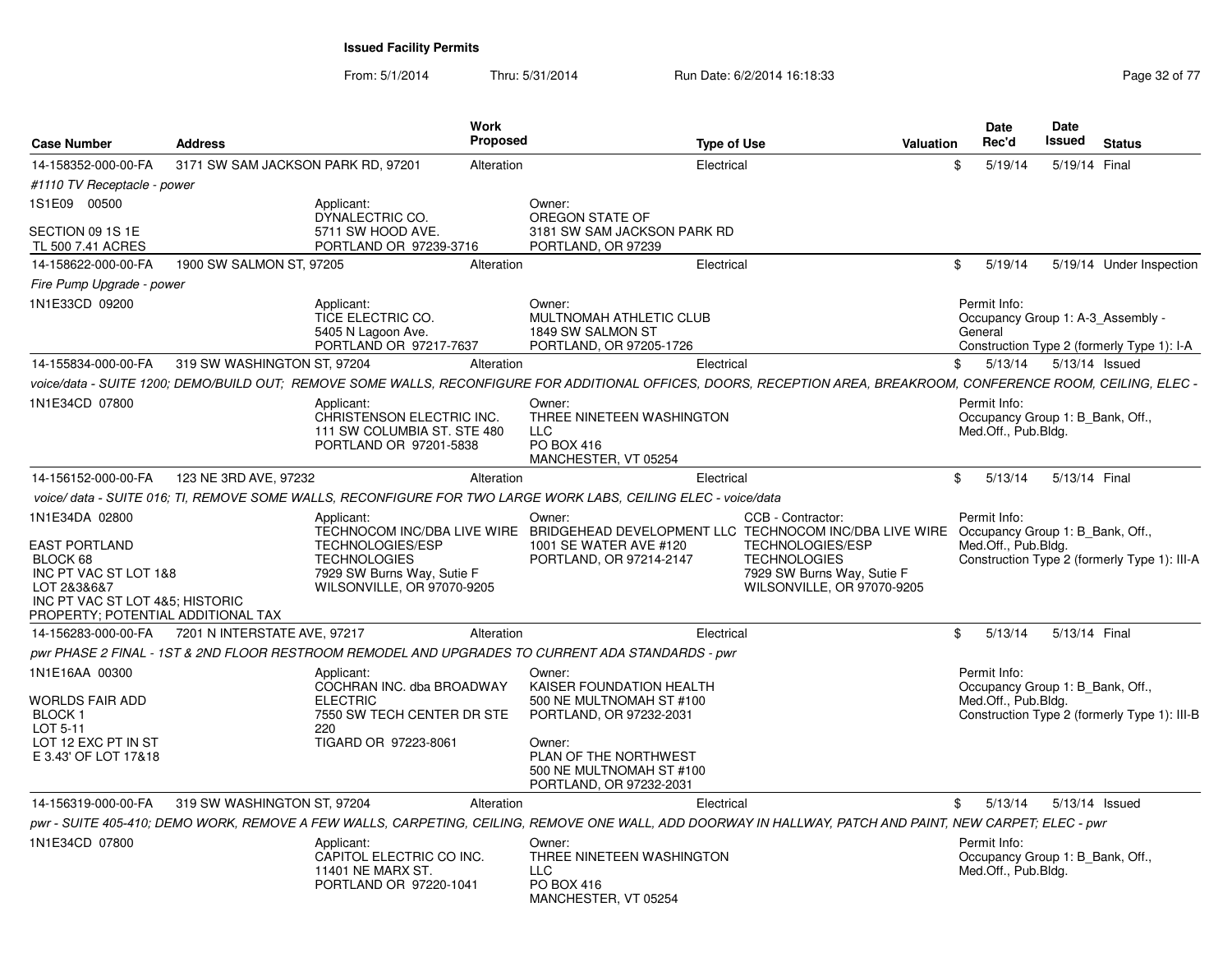From: 5/1/2014Thru: 5/31/2014 Run Date: 6/2/2014 16:18:33 Research 2010 17 Page 32 of 77

| <b>Case Number</b>                                                                                                                                                  | <b>Address</b>                     |                                                                                                                          | Work<br>Proposed |                                                                                                                                                                                     | <b>Type of Use</b> |                                                                                                                                 | Valuation | Date<br>Rec'd                       | Date<br>Issued                   | <b>Status</b>                                                                   |
|---------------------------------------------------------------------------------------------------------------------------------------------------------------------|------------------------------------|--------------------------------------------------------------------------------------------------------------------------|------------------|-------------------------------------------------------------------------------------------------------------------------------------------------------------------------------------|--------------------|---------------------------------------------------------------------------------------------------------------------------------|-----------|-------------------------------------|----------------------------------|---------------------------------------------------------------------------------|
| 14-158352-000-00-FA                                                                                                                                                 | 3171 SW SAM JACKSON PARK RD, 97201 |                                                                                                                          | Alteration       |                                                                                                                                                                                     | Electrical         |                                                                                                                                 | \$        | 5/19/14                             | 5/19/14 Final                    |                                                                                 |
| #1110 TV Receptacle - power                                                                                                                                         |                                    |                                                                                                                          |                  |                                                                                                                                                                                     |                    |                                                                                                                                 |           |                                     |                                  |                                                                                 |
| 1S1E09 00500                                                                                                                                                        |                                    | Applicant:                                                                                                               |                  | Owner:                                                                                                                                                                              |                    |                                                                                                                                 |           |                                     |                                  |                                                                                 |
| SECTION 09 1S 1E<br>TL 500 7.41 ACRES                                                                                                                               |                                    | DYNALECTRIC CO.<br>5711 SW HOOD AVE.<br>PORTLAND OR 97239-3716                                                           |                  | OREGON STATE OF<br>3181 SW SAM JACKSON PARK RD<br>PORTLAND, OR 97239                                                                                                                |                    |                                                                                                                                 |           |                                     |                                  |                                                                                 |
| 14-158622-000-00-FA                                                                                                                                                 | 1900 SW SALMON ST, 97205           |                                                                                                                          | Alteration       |                                                                                                                                                                                     | Electrical         |                                                                                                                                 |           | \$<br>5/19/14                       |                                  | 5/19/14 Under Inspection                                                        |
| Fire Pump Upgrade - power                                                                                                                                           |                                    |                                                                                                                          |                  |                                                                                                                                                                                     |                    |                                                                                                                                 |           |                                     |                                  |                                                                                 |
| 1N1E33CD 09200                                                                                                                                                      |                                    | Applicant:<br>TICE ELECTRIC CO.<br>5405 N Lagoon Ave.<br>PORTLAND OR 97217-7637                                          |                  | Owner:<br>MULTNOMAH ATHLETIC CLUB<br>1849 SW SALMON ST<br>PORTLAND, OR 97205-1726                                                                                                   |                    |                                                                                                                                 |           | Permit Info:<br>General             |                                  | Occupancy Group 1: A-3_Assembly -<br>Construction Type 2 (formerly Type 1): I-A |
| 14-155834-000-00-FA                                                                                                                                                 | 319 SW WASHINGTON ST, 97204        |                                                                                                                          | Alteration       |                                                                                                                                                                                     | Electrical         |                                                                                                                                 |           | 5/13/14<br>\$                       | 5/13/14 Issued                   |                                                                                 |
|                                                                                                                                                                     |                                    |                                                                                                                          |                  | voice/data - SUITE 1200; DEMO/BUILD OUT; REMOVE SOME WALLS, RECONFIGURE FOR ADDITIONAL OFFICES, DOORS, RECEPTION AREA, BREAKROOM, CONFERENCE ROOM, CEILING, ELEC -                  |                    |                                                                                                                                 |           |                                     |                                  |                                                                                 |
| 1N1E34CD 07800                                                                                                                                                      |                                    | Applicant:<br>CHRISTENSON ELECTRIC INC.<br>111 SW COLUMBIA ST. STE 480<br>PORTLAND OR 97201-5838                         |                  | Owner:<br>THREE NINETEEN WASHINGTON<br><b>LLC</b><br><b>PO BOX 416</b><br>MANCHESTER, VT 05254                                                                                      |                    |                                                                                                                                 |           | Permit Info:<br>Med.Off., Pub.Bldg. | Occupancy Group 1: B_Bank, Off., |                                                                                 |
| 14-156152-000-00-FA                                                                                                                                                 | 123 NE 3RD AVE, 97232              |                                                                                                                          | Alteration       |                                                                                                                                                                                     | Electrical         |                                                                                                                                 |           | \$<br>5/13/14                       | 5/13/14 Final                    |                                                                                 |
|                                                                                                                                                                     |                                    |                                                                                                                          |                  | voice/data - SUITE 016; TI, REMOVE SOME WALLS, RECONFIGURE FOR TWO LARGE WORK LABS, CEILING ELEC - voice/data                                                                       |                    |                                                                                                                                 |           |                                     |                                  |                                                                                 |
| 1N1E34DA 02800<br><b>EAST PORTLAND</b><br>BLOCK 68<br>INC PT VAC ST LOT 1&8<br>LOT 2&3&6&7<br>INC PT VAC ST LOT 4&5; HISTORIC<br>PROPERTY; POTENTIAL ADDITIONAL TAX |                                    | Applicant:<br><b>TECHNOLOGIES/ESP</b><br><b>TECHNOLOGIES</b><br>7929 SW Burns Way, Sutie F<br>WILSONVILLE, OR 97070-9205 |                  | Owner:<br>TECHNOCOM INC/DBA LIVE WIRE BRIDGEHEAD DEVELOPMENT LLC TECHNOCOM INC/DBA LIVE WIRE<br>1001 SE WATER AVE #120<br>PORTLAND, OR 97214-2147                                   |                    | CCB - Contractor:<br><b>TECHNOLOGIES/ESP</b><br><b>TECHNOLOGIES</b><br>7929 SW Burns Way, Sutie F<br>WILSONVILLE, OR 97070-9205 |           | Permit Info:<br>Med.Off., Pub.Bldg. | Occupancy Group 1: B Bank, Off., | Construction Type 2 (formerly Type 1): III-A                                    |
| 14-156283-000-00-FA                                                                                                                                                 | 7201 N INTERSTATE AVE, 97217       |                                                                                                                          | Alteration       |                                                                                                                                                                                     | Electrical         |                                                                                                                                 |           | \$<br>5/13/14                       | 5/13/14 Final                    |                                                                                 |
|                                                                                                                                                                     |                                    |                                                                                                                          |                  | pwr PHASE 2 FINAL - 1ST & 2ND FLOOR RESTROOM REMODEL AND UPGRADES TO CURRENT ADA STANDARDS - pwr                                                                                    |                    |                                                                                                                                 |           |                                     |                                  |                                                                                 |
| 1N1E16AA 00300<br>WORLDS FAIR ADD<br><b>BLOCK1</b><br>LOT 5-11<br>LOT 12 EXC PT IN ST<br>E 3.43' OF LOT 17&18                                                       |                                    | Applicant:<br>COCHRAN INC. dba BROADWAY<br><b>ELECTRIC</b><br>7550 SW TECH CENTER DR STE<br>220<br>TIGARD OR 97223-8061  |                  | Owner:<br>KAISER FOUNDATION HEALTH<br>500 NE MULTNOMAH ST #100<br>PORTLAND, OR 97232-2031<br>Owner:<br>PLAN OF THE NORTHWEST<br>500 NE MULTNOMAH ST #100<br>PORTLAND, OR 97232-2031 |                    |                                                                                                                                 |           | Permit Info:<br>Med.Off., Pub.Bldg. | Occupancy Group 1: B Bank, Off., | Construction Type 2 (formerly Type 1): III-B                                    |
| 14-156319-000-00-FA                                                                                                                                                 | 319 SW WASHINGTON ST, 97204        |                                                                                                                          | Alteration       |                                                                                                                                                                                     | Electrical         |                                                                                                                                 |           | 5/13/14<br>\$                       | 5/13/14 Issued                   |                                                                                 |
|                                                                                                                                                                     |                                    |                                                                                                                          |                  | pwr - SUITE 405-410; DEMO WORK, REMOVE A FEW WALLS, CARPETING, CEILING, REMOVE ONE WALL, ADD DOORWAY IN HALLWAY, PATCH AND PAINT, NEW CARPET; ELEC - pwr                            |                    |                                                                                                                                 |           |                                     |                                  |                                                                                 |
| 1N1E34CD 07800                                                                                                                                                      |                                    | Applicant:<br>CAPITOL ELECTRIC CO INC.<br>11401 NE MARX ST.<br>PORTLAND OR 97220-1041                                    |                  | Owner:<br>THREE NINETEEN WASHINGTON<br><b>LLC</b><br>PO BOX 416<br>MANCHESTER, VT 05254                                                                                             |                    |                                                                                                                                 |           | Permit Info:<br>Med.Off., Pub.Bldg. | Occupancy Group 1: B Bank, Off., |                                                                                 |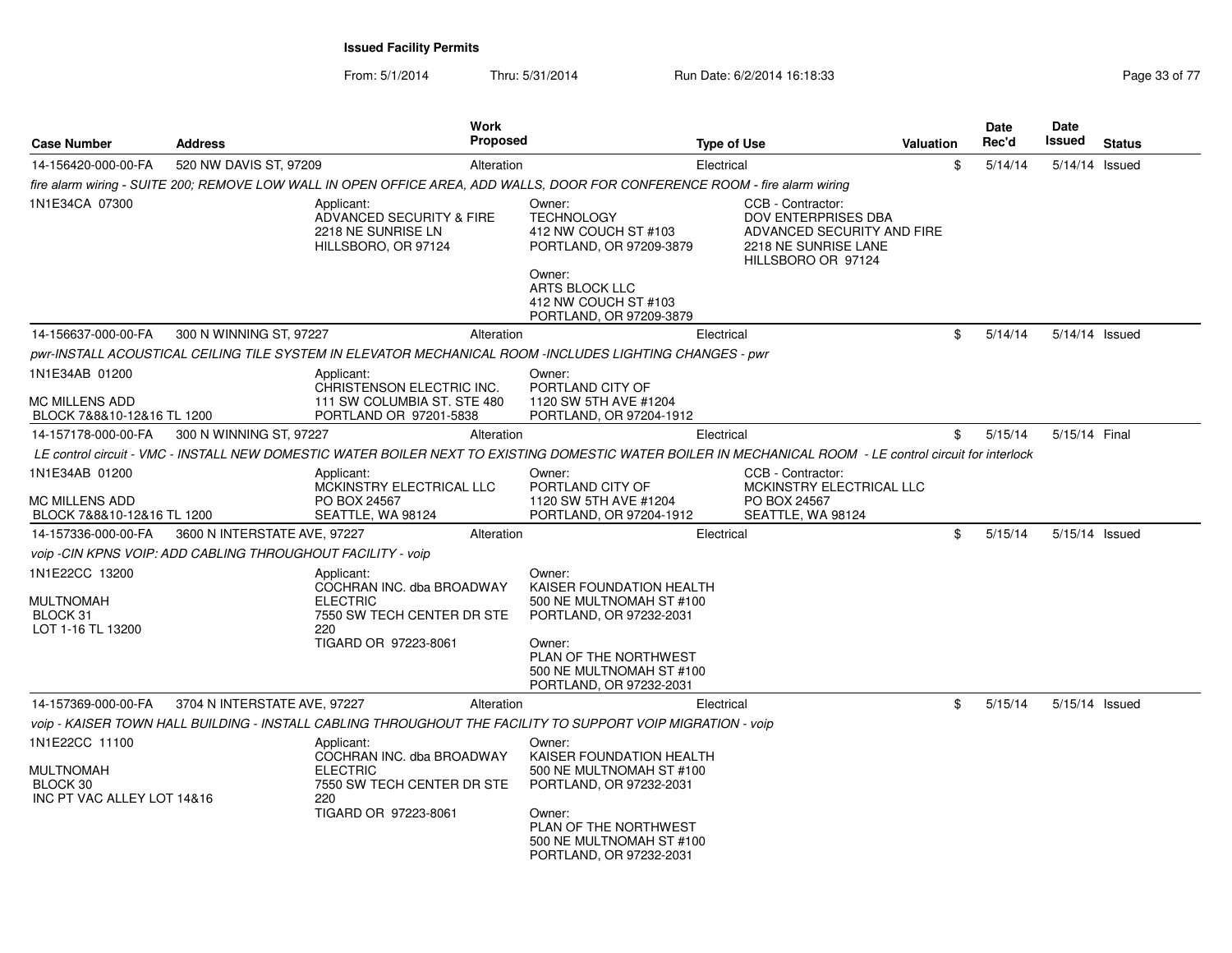From: 5/1/2014Thru: 5/31/2014 Run Date: 6/2/2014 16:18:33 Research 2010 17 Page 33 of 77

| <b>Case Number</b>                                                           | <b>Address</b>                                              | <b>Work</b><br><b>Proposed</b>                                                                                                                            |                                                                                                                                                                                     | <b>Type of Use</b> |                                                                                                                      | Valuation | Date<br>Rec'd | <b>Date</b><br>Issued | <b>Status</b> |
|------------------------------------------------------------------------------|-------------------------------------------------------------|-----------------------------------------------------------------------------------------------------------------------------------------------------------|-------------------------------------------------------------------------------------------------------------------------------------------------------------------------------------|--------------------|----------------------------------------------------------------------------------------------------------------------|-----------|---------------|-----------------------|---------------|
| 14-156420-000-00-FA                                                          | 520 NW DAVIS ST, 97209                                      | Alteration                                                                                                                                                |                                                                                                                                                                                     | Electrical         |                                                                                                                      | \$        | 5/14/14       | 5/14/14 Issued        |               |
|                                                                              |                                                             | fire alarm wiring - SUITE 200; REMOVE LOW WALL IN OPEN OFFICE AREA, ADD WALLS, DOOR FOR CONFERENCE ROOM - fire alarm wiring                               |                                                                                                                                                                                     |                    |                                                                                                                      |           |               |                       |               |
| 1N1E34CA 07300                                                               |                                                             | Applicant:<br>ADVANCED SECURITY & FIRE<br>2218 NE SUNRISE LN<br>HILLSBORO, OR 97124                                                                       | Owner:<br><b>TECHNOLOGY</b><br>412 NW COUCH ST #103<br>PORTLAND, OR 97209-3879<br>Owner:<br>ARTS BLOCK LLC<br>412 NW COUCH ST #103<br>PORTLAND, OR 97209-3879                       |                    | CCB - Contractor:<br>DOV ENTERPRISES DBA<br>ADVANCED SECURITY AND FIRE<br>2218 NE SUNRISE LANE<br>HILLSBORO OR 97124 |           |               |                       |               |
| 14-156637-000-00-FA                                                          | 300 N WINNING ST, 97227                                     | Alteration                                                                                                                                                |                                                                                                                                                                                     | Electrical         |                                                                                                                      | \$        | 5/14/14       | 5/14/14 Issued        |               |
|                                                                              |                                                             | pwr-INSTALL ACOUSTICAL CEILING TILE SYSTEM IN ELEVATOR MECHANICAL ROOM -INCLUDES LIGHTING CHANGES - pwr                                                   |                                                                                                                                                                                     |                    |                                                                                                                      |           |               |                       |               |
| 1N1E34AB 01200<br><b>MC MILLENS ADD</b>                                      |                                                             | Applicant:<br>CHRISTENSON ELECTRIC INC.<br>111 SW COLUMBIA ST. STE 480                                                                                    | Owner:<br>PORTLAND CITY OF<br>1120 SW 5TH AVE #1204                                                                                                                                 |                    |                                                                                                                      |           |               |                       |               |
| BLOCK 7&8&10-12&16 TL 1200                                                   |                                                             | PORTLAND OR 97201-5838                                                                                                                                    | PORTLAND, OR 97204-1912                                                                                                                                                             |                    |                                                                                                                      |           |               |                       |               |
| 14-157178-000-00-FA                                                          | 300 N WINNING ST, 97227                                     | Alteration                                                                                                                                                |                                                                                                                                                                                     | Electrical         |                                                                                                                      | \$        | 5/15/14       | 5/15/14 Final         |               |
|                                                                              |                                                             | LE control circuit - VMC - INSTALL NEW DOMESTIC WATER BOILER NEXT TO EXISTING DOMESTIC WATER BOILER IN MECHANICAL ROOM - LE control circuit for interlock |                                                                                                                                                                                     |                    |                                                                                                                      |           |               |                       |               |
| 1N1E34AB 01200<br><b>MC MILLENS ADD</b><br>BLOCK 7&8&10-12&16 TL 1200        |                                                             | Applicant:<br>MCKINSTRY ELECTRICAL LLC<br>PO BOX 24567<br>SEATTLE, WA 98124                                                                               | Owner:<br>PORTLAND CITY OF<br>1120 SW 5TH AVE #1204<br>PORTLAND, OR 97204-1912                                                                                                      |                    | CCB - Contractor:<br>MCKINSTRY ELECTRICAL LLC<br>PO BOX 24567<br>SEATTLE, WA 98124                                   |           |               |                       |               |
| 14-157336-000-00-FA                                                          | 3600 N INTERSTATE AVE, 97227                                | Alteration                                                                                                                                                |                                                                                                                                                                                     | Electrical         |                                                                                                                      | \$        | 5/15/14       | 5/15/14 Issued        |               |
|                                                                              | voip -CIN KPNS VOIP: ADD CABLING THROUGHOUT FACILITY - voip |                                                                                                                                                           |                                                                                                                                                                                     |                    |                                                                                                                      |           |               |                       |               |
| 1N1E22CC 13200<br><b>MULTNOMAH</b><br>BLOCK 31<br>LOT 1-16 TL 13200          |                                                             | Applicant:<br>COCHRAN INC. dba BROADWAY<br><b>ELECTRIC</b><br>7550 SW TECH CENTER DR STE<br>220<br>TIGARD OR 97223-8061                                   | Owner:<br>KAISER FOUNDATION HEALTH<br>500 NE MULTNOMAH ST #100<br>PORTLAND, OR 97232-2031<br>Owner:<br>PLAN OF THE NORTHWEST<br>500 NE MULTNOMAH ST #100<br>PORTLAND, OR 97232-2031 |                    |                                                                                                                      |           |               |                       |               |
| 14-157369-000-00-FA                                                          | 3704 N INTERSTATE AVE, 97227                                | Alteration                                                                                                                                                |                                                                                                                                                                                     | Electrical         |                                                                                                                      | \$        | 5/15/14       | 5/15/14 Issued        |               |
|                                                                              |                                                             | voip - KAISER TOWN HALL BUILDING - INSTALL CABLING THROUGHOUT THE FACILITY TO SUPPORT VOIP MIGRATION - voip                                               |                                                                                                                                                                                     |                    |                                                                                                                      |           |               |                       |               |
| 1N1E22CC 11100<br><b>MULTNOMAH</b><br>BLOCK 30<br>INC PT VAC ALLEY LOT 14&16 |                                                             | Applicant:<br>COCHRAN INC. dba BROADWAY<br><b>ELECTRIC</b><br>7550 SW TECH CENTER DR STE<br>220<br>TIGARD OR 97223-8061                                   | Owner:<br>KAISER FOUNDATION HEALTH<br>500 NE MULTNOMAH ST #100<br>PORTLAND, OR 97232-2031<br>Owner:<br>PLAN OF THE NORTHWEST<br>500 NE MULTNOMAH ST #100<br>PORTLAND, OR 97232-2031 |                    |                                                                                                                      |           |               |                       |               |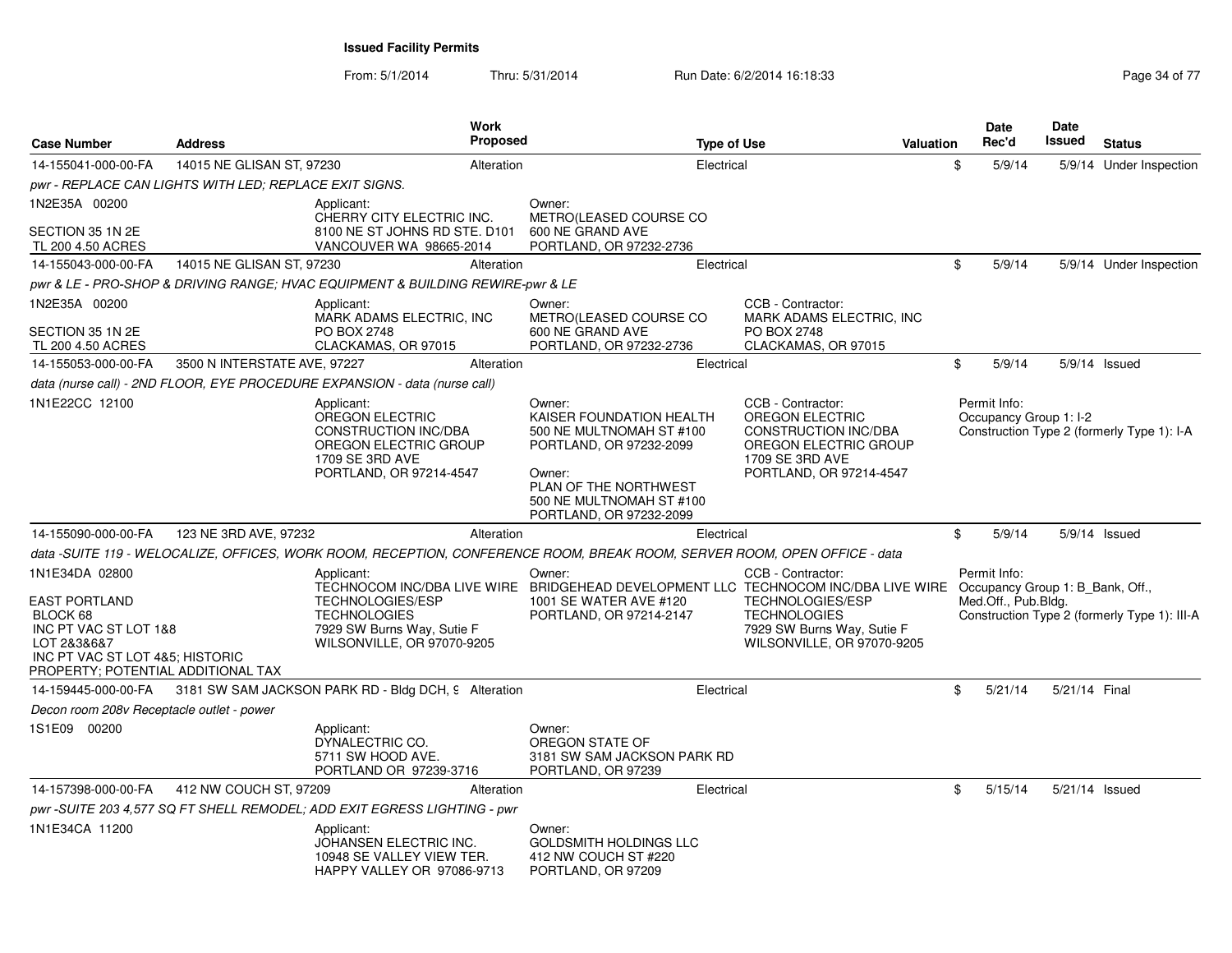From: 5/1/2014Thru: 5/31/2014 Run Date: 6/2/2014 16:18:33 Research 2010 17 Page 34 of 77

| <b>Case Number</b>                                                                                                                                | <b>Address</b>               | <b>Work</b>                                                                                                                         | <b>Proposed</b> |                                                                                                                              | <b>Type of Use</b> |                                                                                                                              | <b>Valuation</b> | <b>Date</b><br>Rec'd                             | <b>Date</b><br>Issued | <b>Status</b>                                |
|---------------------------------------------------------------------------------------------------------------------------------------------------|------------------------------|-------------------------------------------------------------------------------------------------------------------------------------|-----------------|------------------------------------------------------------------------------------------------------------------------------|--------------------|------------------------------------------------------------------------------------------------------------------------------|------------------|--------------------------------------------------|-----------------------|----------------------------------------------|
| 14-155041-000-00-FA                                                                                                                               | 14015 NE GLISAN ST, 97230    |                                                                                                                                     | Alteration      |                                                                                                                              | Electrical         |                                                                                                                              |                  | \$<br>5/9/14                                     |                       | 5/9/14 Under Inspection                      |
| pwr - REPLACE CAN LIGHTS WITH LED; REPLACE EXIT SIGNS.                                                                                            |                              |                                                                                                                                     |                 |                                                                                                                              |                    |                                                                                                                              |                  |                                                  |                       |                                              |
| 1N2E35A 00200<br>SECTION 35 1N 2E                                                                                                                 |                              | Applicant:<br>CHERRY CITY ELECTRIC INC.<br>8100 NE ST JOHNS RD STE. D101                                                            |                 | Owner:<br>METRO(LEASED COURSE CO<br>600 NE GRAND AVE                                                                         |                    |                                                                                                                              |                  |                                                  |                       |                                              |
| TL 200 4.50 ACRES                                                                                                                                 |                              | VANCOUVER WA 98665-2014                                                                                                             |                 | PORTLAND, OR 97232-2736                                                                                                      |                    |                                                                                                                              |                  |                                                  |                       |                                              |
| 14-155043-000-00-FA                                                                                                                               | 14015 NE GLISAN ST, 97230    |                                                                                                                                     | Alteration      |                                                                                                                              | Electrical         |                                                                                                                              |                  | \$<br>5/9/14                                     |                       | 5/9/14 Under Inspection                      |
| 1N2E35A 00200                                                                                                                                     |                              | pwr & LE - PRO-SHOP & DRIVING RANGE; HVAC EQUIPMENT & BUILDING REWIRE-pwr & LE                                                      |                 |                                                                                                                              |                    | CCB - Contractor:                                                                                                            |                  |                                                  |                       |                                              |
| SECTION 35 1N 2E                                                                                                                                  |                              | Applicant:<br>MARK ADAMS ELECTRIC, INC<br>PO BOX 2748                                                                               |                 | Owner:<br>METRO(LEASED COURSE CO<br>600 NE GRAND AVE                                                                         |                    | MARK ADAMS ELECTRIC, INC<br>PO BOX 2748                                                                                      |                  |                                                  |                       |                                              |
| TL 200 4.50 ACRES                                                                                                                                 |                              | CLACKAMAS, OR 97015                                                                                                                 |                 | PORTLAND, OR 97232-2736                                                                                                      |                    | CLACKAMAS, OR 97015                                                                                                          |                  |                                                  |                       | 5/9/14 Issued                                |
| 14-155053-000-00-FA                                                                                                                               | 3500 N INTERSTATE AVE, 97227 |                                                                                                                                     | Alteration      |                                                                                                                              | Electrical         |                                                                                                                              |                  | \$<br>5/9/14                                     |                       |                                              |
| 1N1E22CC 12100                                                                                                                                    |                              | data (nurse call) - 2ND FLOOR, EYE PROCEDURE EXPANSION - data (nurse call)                                                          |                 |                                                                                                                              |                    | CCB - Contractor:                                                                                                            |                  | Permit Info:                                     |                       |                                              |
|                                                                                                                                                   |                              | Applicant:<br>OREGON ELECTRIC<br><b>CONSTRUCTION INC/DBA</b><br>OREGON ELECTRIC GROUP<br>1709 SE 3RD AVE<br>PORTLAND, OR 97214-4547 |                 | Owner:<br>KAISER FOUNDATION HEALTH<br>500 NE MULTNOMAH ST #100<br>PORTLAND, OR 97232-2099<br>Owner:<br>PLAN OF THE NORTHWEST |                    | <b>OREGON ELECTRIC</b><br><b>CONSTRUCTION INC/DBA</b><br>OREGON ELECTRIC GROUP<br>1709 SE 3RD AVE<br>PORTLAND, OR 97214-4547 |                  | Occupancy Group 1: I-2                           |                       | Construction Type 2 (formerly Type 1): I-A   |
|                                                                                                                                                   |                              |                                                                                                                                     |                 | 500 NE MULTNOMAH ST #100<br>PORTLAND, OR 97232-2099                                                                          |                    |                                                                                                                              |                  |                                                  |                       |                                              |
| 14-155090-000-00-FA                                                                                                                               | 123 NE 3RD AVE, 97232        |                                                                                                                                     | Alteration      |                                                                                                                              | Electrical         |                                                                                                                              |                  | \$<br>5/9/14                                     |                       | 5/9/14 Issued                                |
|                                                                                                                                                   |                              | data -SUITE 119 - WELOCALIZE, OFFICES, WORK ROOM, RECEPTION, CONFERENCE ROOM, BREAK ROOM, SERVER ROOM, OPEN OFFICE - data           |                 |                                                                                                                              |                    |                                                                                                                              |                  |                                                  |                       |                                              |
| 1N1E34DA 02800                                                                                                                                    |                              | Applicant:<br>TECHNOCOM INC/DBA LIVE WIRE BRIDGEHEAD DEVELOPMENT LLC TECHNOCOM INC/DBA LIVE WIRE                                    |                 | Owner:                                                                                                                       |                    | CCB - Contractor:                                                                                                            |                  | Permit Info:<br>Occupancy Group 1: B_Bank, Off., |                       |                                              |
| <b>EAST PORTLAND</b><br>BLOCK 68<br>INC PT VAC ST LOT 1&8<br>LOT 2&3&6&7<br>INC PT VAC ST LOT 4&5; HISTORIC<br>PROPERTY; POTENTIAL ADDITIONAL TAX |                              | <b>TECHNOLOGIES/ESP</b><br><b>TECHNOLOGIES</b><br>7929 SW Burns Way, Sutie F<br>WILSONVILLE, OR 97070-9205                          |                 | 1001 SE WATER AVE #120<br>PORTLAND, OR 97214-2147                                                                            |                    | <b>TECHNOLOGIES/ESP</b><br><b>TECHNOLOGIES</b><br>7929 SW Burns Way, Sutie F<br>WILSONVILLE, OR 97070-9205                   |                  | Med.Off., Pub.Bldg.                              |                       | Construction Type 2 (formerly Type 1): III-A |
| 14-159445-000-00-FA                                                                                                                               |                              | 3181 SW SAM JACKSON PARK RD - Bldg DCH, 9 Alteration                                                                                |                 |                                                                                                                              | Electrical         |                                                                                                                              |                  | \$<br>5/21/14                                    | 5/21/14 Final         |                                              |
| Decon room 208v Receptacle outlet - power                                                                                                         |                              |                                                                                                                                     |                 |                                                                                                                              |                    |                                                                                                                              |                  |                                                  |                       |                                              |
| 1S1E09 00200                                                                                                                                      |                              | Applicant:<br>DYNALECTRIC CO.<br>5711 SW HOOD AVE.<br>PORTLAND OR 97239-3716                                                        |                 | Owner:<br>OREGON STATE OF<br>3181 SW SAM JACKSON PARK RD<br>PORTLAND, OR 97239                                               |                    |                                                                                                                              |                  |                                                  |                       |                                              |
| 14-157398-000-00-FA                                                                                                                               | 412 NW COUCH ST, 97209       |                                                                                                                                     | Alteration      |                                                                                                                              | Electrical         |                                                                                                                              |                  | \$<br>5/15/14                                    | 5/21/14 Issued        |                                              |
|                                                                                                                                                   |                              | pwr -SUITE 203 4,577 SQ FT SHELL REMODEL; ADD EXIT EGRESS LIGHTING - pwr                                                            |                 |                                                                                                                              |                    |                                                                                                                              |                  |                                                  |                       |                                              |
| 1N1E34CA 11200                                                                                                                                    |                              | Applicant:<br>JOHANSEN ELECTRIC INC.<br>10948 SE VALLEY VIEW TER.<br>HAPPY VALLEY OR 97086-9713                                     |                 | Owner:<br><b>GOLDSMITH HOLDINGS LLC</b><br>412 NW COUCH ST #220<br>PORTLAND, OR 97209                                        |                    |                                                                                                                              |                  |                                                  |                       |                                              |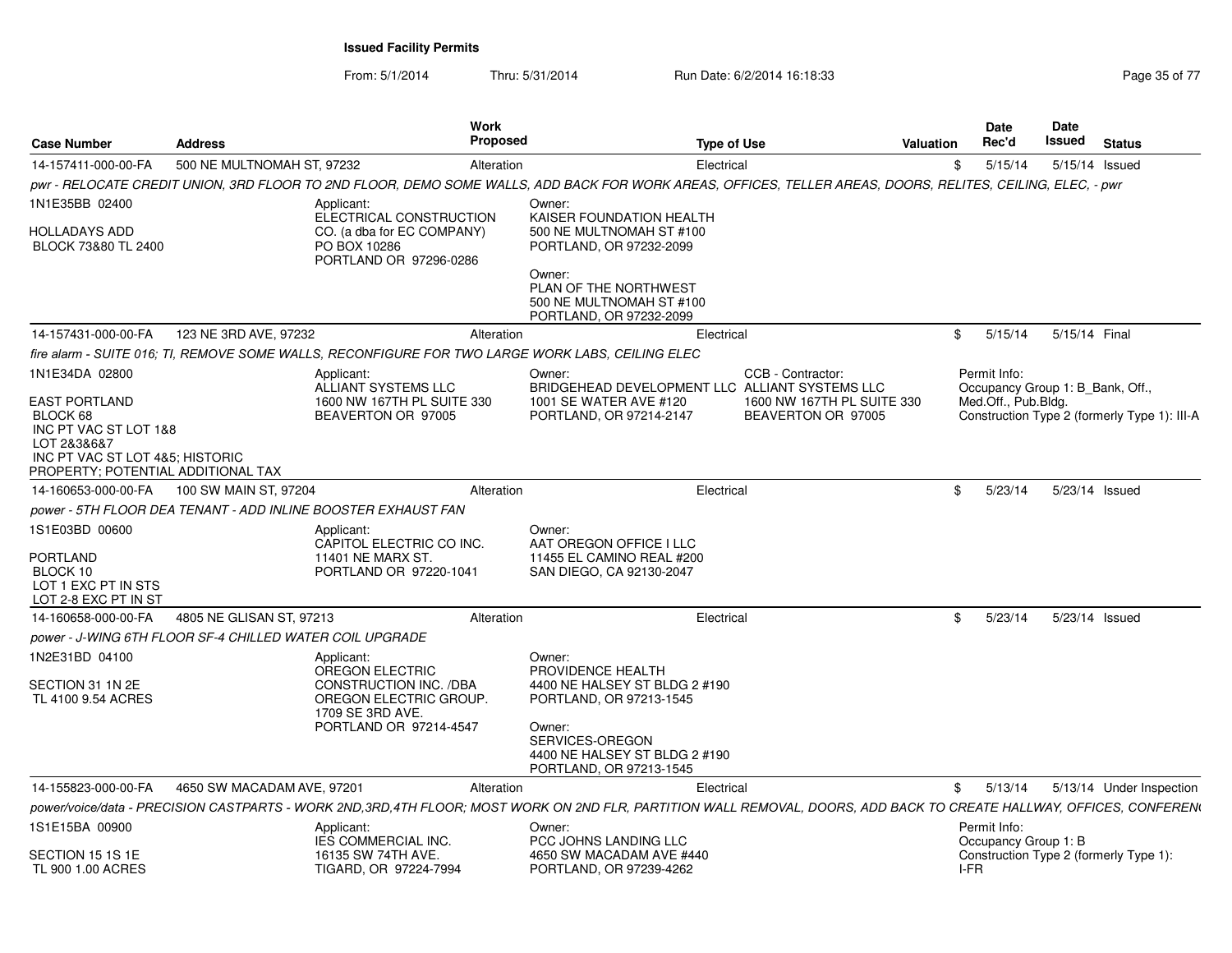From: 5/1/2014Thru: 5/31/2014 Run Date: 6/2/2014 16:18:33 Research 2010 12:04 Page 35 of 77

|                                                                                                                                                                     |                            |                                                                                                                                               | Work                                                                                                                                                                             |                                                                                                                                                                     |           | Date                                 | Date   |                                                                                  |
|---------------------------------------------------------------------------------------------------------------------------------------------------------------------|----------------------------|-----------------------------------------------------------------------------------------------------------------------------------------------|----------------------------------------------------------------------------------------------------------------------------------------------------------------------------------|---------------------------------------------------------------------------------------------------------------------------------------------------------------------|-----------|--------------------------------------|--------|----------------------------------------------------------------------------------|
| <b>Case Number</b>                                                                                                                                                  | <b>Address</b>             |                                                                                                                                               | Proposed                                                                                                                                                                         | <b>Type of Use</b>                                                                                                                                                  | Valuation | Rec'd                                | Issued | <b>Status</b>                                                                    |
| 14-157411-000-00-FA                                                                                                                                                 | 500 NE MULTNOMAH ST, 97232 |                                                                                                                                               | Alteration                                                                                                                                                                       | Electrical                                                                                                                                                          | SS.       |                                      |        | 5/15/14  5/15/14  Issued                                                         |
|                                                                                                                                                                     |                            |                                                                                                                                               |                                                                                                                                                                                  | pwr - RELOCATE CREDIT UNION, 3RD FLOOR TO 2ND FLOOR, DEMO SOME WALLS, ADD BACK FOR WORK AREAS, OFFICES, TELLER AREAS, DOORS, RELITES, CEILING, ELEC, - pwr          |           |                                      |        |                                                                                  |
| 1N1E35BB 02400<br><b>HOLLADAYS ADD</b><br>BLOCK 73&80 TL 2400                                                                                                       |                            | Applicant:<br>ELECTRICAL CONSTRUCTION<br>CO. (a dba for EC COMPANY)<br>PO BOX 10286<br>PORTLAND OR 97296-0286                                 | Owner:<br>KAISER FOUNDATION HEALTH<br>500 NE MULTNOMAH ST #100<br>PORTLAND, OR 97232-2099<br>Owner:                                                                              |                                                                                                                                                                     |           |                                      |        |                                                                                  |
|                                                                                                                                                                     |                            |                                                                                                                                               | PLAN OF THE NORTHWEST<br>500 NE MULTNOMAH ST #100<br>PORTLAND, OR 97232-2099                                                                                                     |                                                                                                                                                                     |           |                                      |        |                                                                                  |
| 14-157431-000-00-FA                                                                                                                                                 | 123 NE 3RD AVE, 97232      |                                                                                                                                               | Alteration                                                                                                                                                                       | Electrical                                                                                                                                                          |           |                                      |        | \$ 5/15/14 5/15/14 Final                                                         |
|                                                                                                                                                                     |                            |                                                                                                                                               | fire alarm - SUITE 016; TI, REMOVE SOME WALLS, RECONFIGURE FOR TWO LARGE WORK LABS, CEILING ELEC                                                                                 |                                                                                                                                                                     |           |                                      |        |                                                                                  |
| 1N1E34DA 02800<br><b>EAST PORTLAND</b><br>BLOCK 68<br>INC PT VAC ST LOT 1&8<br>LOT 2&3&6&7<br>INC PT VAC ST LOT 4&5: HISTORIC<br>PROPERTY: POTENTIAL ADDITIONAL TAX |                            | Applicant:<br>ALLIANT SYSTEMS LLC<br>1600 NW 167TH PL SUITE 330<br>BEAVERTON OR 97005                                                         | Owner:<br>1001 SE WATER AVE #120<br>PORTLAND, OR 97214-2147                                                                                                                      | CCB - Contractor:<br>BRIDGEHEAD DEVELOPMENT LLC ALLIANT SYSTEMS LLC<br>1600 NW 167TH PL SUITE 330<br>BEAVERTON OR 97005                                             |           | Permit Info:<br>Med.Off., Pub.Bldg.  |        | Occupancy Group 1: B Bank, Off.,<br>Construction Type 2 (formerly Type 1): III-A |
| 14-160653-000-00-FA 100 SW MAIN ST, 97204                                                                                                                           |                            |                                                                                                                                               | Alteration                                                                                                                                                                       | Electrical                                                                                                                                                          |           |                                      |        | \$ 5/23/14 5/23/14 Issued                                                        |
|                                                                                                                                                                     |                            | power - 5TH FLOOR DEA TENANT - ADD INLINE BOOSTER EXHAUST FAN                                                                                 |                                                                                                                                                                                  |                                                                                                                                                                     |           |                                      |        |                                                                                  |
| 1S1E03BD 00600<br>PORTLAND<br>BLOCK 10<br>LOT 1 EXC PT IN STS<br>LOT 2-8 EXC PT IN ST                                                                               |                            | Applicant:<br>CAPITOL ELECTRIC CO INC.<br><b>11401 NE MARX ST</b><br>PORTLAND OR 97220-1041                                                   | Owner:<br>AAT OREGON OFFICE I LLC<br>11455 EL CAMINO REAL #200<br>SAN DIEGO, CA 92130-2047                                                                                       |                                                                                                                                                                     |           |                                      |        |                                                                                  |
| 14-160658-000-00-FA                                                                                                                                                 | 4805 NE GLISAN ST. 97213   |                                                                                                                                               | Alteration                                                                                                                                                                       | Electrical                                                                                                                                                          |           |                                      |        | \$ 5/23/14 5/23/14 Issued                                                        |
| power - J-WING 6TH FLOOR SF-4 CHILLED WATER COIL UPGRADE                                                                                                            |                            |                                                                                                                                               |                                                                                                                                                                                  |                                                                                                                                                                     |           |                                      |        |                                                                                  |
| 1N2E31BD 04100<br>SECTION 31 1N 2E<br>TL 4100 9.54 ACRES                                                                                                            |                            | Applicant:<br><b>OREGON ELECTRIC</b><br><b>CONSTRUCTION INC. /DBA</b><br>OREGON ELECTRIC GROUP.<br>1709 SE 3RD AVE.<br>PORTLAND OR 97214-4547 | Owner:<br>PROVIDENCE HEALTH<br>4400 NE HALSEY ST BLDG 2 #190<br>PORTLAND, OR 97213-1545<br>Owner:<br>SERVICES-OREGON<br>4400 NE HALSEY ST BLDG 2 #190<br>PORTLAND, OR 97213-1545 |                                                                                                                                                                     |           |                                      |        |                                                                                  |
| 14-155823-000-00-FA                                                                                                                                                 | 4650 SW MACADAM AVE, 97201 |                                                                                                                                               | Alteration                                                                                                                                                                       | Electrical                                                                                                                                                          |           | \$5/13/14                            |        | 5/13/14 Under Inspection                                                         |
|                                                                                                                                                                     |                            |                                                                                                                                               |                                                                                                                                                                                  | power/voice/data - PRECISION CASTPARTS - WORK 2ND,3RD,4TH FLOOR; MOST WORK ON 2ND FLR, PARTITION WALL REMOVAL, DOORS, ADD BACK TO CREATE HALLWAY, OFFICES, CONFEREN |           |                                      |        |                                                                                  |
| 1S1E15BA 00900                                                                                                                                                      |                            | Applicant:<br><b>IES COMMERCIAL INC.</b>                                                                                                      | Owner:<br>PCC JOHNS LANDING LLC                                                                                                                                                  |                                                                                                                                                                     |           | Permit Info:<br>Occupancy Group 1: B |        |                                                                                  |
| SECTION 15 1S 1E<br>TL 900 1.00 ACRES                                                                                                                               |                            | 16135 SW 74TH AVE.<br>TIGARD, OR 97224-7994                                                                                                   | 4650 SW MACADAM AVE #440<br>PORTLAND, OR 97239-4262                                                                                                                              |                                                                                                                                                                     | I-FR      |                                      |        | Construction Type 2 (formerly Type 1):                                           |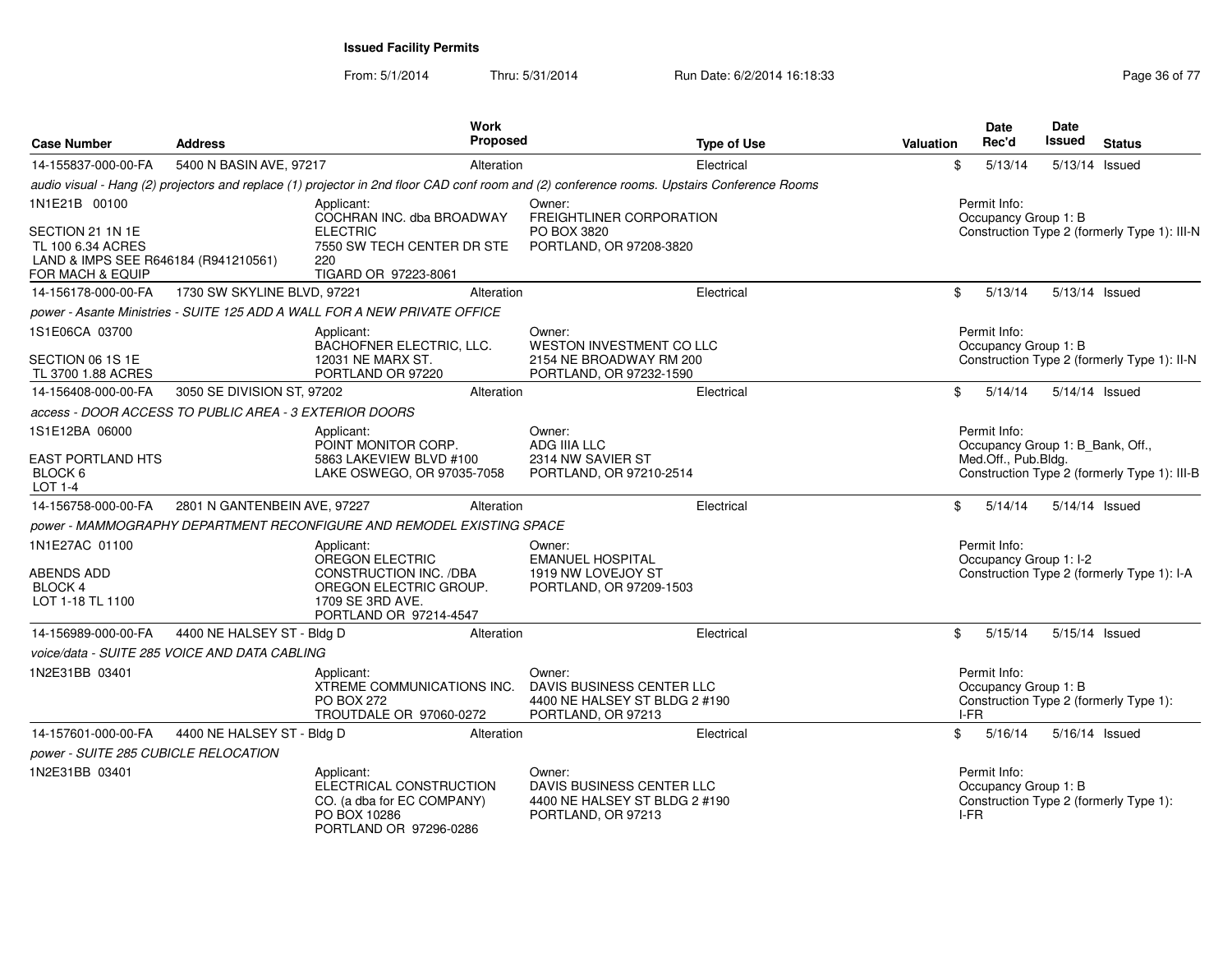From: 5/1/2014Thru: 5/31/2014 Run Date: 6/2/2014 16:18:33 Research 2010 17 Page 36 of 77

| <b>Case Number</b>                                                                                                 | <b>Address</b>                                         | <b>Work</b><br>Proposed                                                                                                         |                                                         | <b>Type of Use</b>                                                                                                                          | <b>Valuation</b> | <b>Date</b><br>Rec'd                                                    | <b>Date</b><br>Issued | <b>Status</b>                                |
|--------------------------------------------------------------------------------------------------------------------|--------------------------------------------------------|---------------------------------------------------------------------------------------------------------------------------------|---------------------------------------------------------|---------------------------------------------------------------------------------------------------------------------------------------------|------------------|-------------------------------------------------------------------------|-----------------------|----------------------------------------------|
| 14-155837-000-00-FA                                                                                                | 5400 N BASIN AVE, 97217                                | Alteration                                                                                                                      |                                                         | Electrical                                                                                                                                  | \$               | 5/13/14                                                                 |                       | 5/13/14 Issued                               |
|                                                                                                                    |                                                        |                                                                                                                                 |                                                         | audio visual - Hang (2) projectors and replace (1) projector in 2nd floor CAD conf room and (2) conference rooms. Upstairs Conference Rooms |                  |                                                                         |                       |                                              |
| 1N1E21B 00100<br>SECTION 21 1N 1E<br>TL 100 6.34 ACRES<br>LAND & IMPS SEE R646184 (R941210561)<br>FOR MACH & EQUIP |                                                        | Applicant:<br>COCHRAN INC. dba BROADWAY<br><b>ELECTRIC</b><br>7550 SW TECH CENTER DR STE<br>220<br>TIGARD OR 97223-8061         | Owner:<br>PO BOX 3820                                   | FREIGHTLINER CORPORATION<br>PORTLAND, OR 97208-3820                                                                                         |                  | Permit Info:<br>Occupancy Group 1: B                                    |                       | Construction Type 2 (formerly Type 1): III-N |
| 14-156178-000-00-FA                                                                                                | 1730 SW SKYLINE BLVD, 97221                            | Alteration                                                                                                                      |                                                         | Electrical                                                                                                                                  | \$               | 5/13/14                                                                 |                       | 5/13/14 Issued                               |
|                                                                                                                    |                                                        | power - Asante Ministries - SUITE 125 ADD A WALL FOR A NEW PRIVATE OFFICE                                                       |                                                         |                                                                                                                                             |                  |                                                                         |                       |                                              |
| 1S1E06CA 03700<br>SECTION 06 1S 1E<br>TL 3700 1.88 ACRES                                                           |                                                        | Applicant:<br>BACHOFNER ELECTRIC, LLC.<br>12031 NE MARX ST.<br>PORTLAND OR 97220                                                | Owner:                                                  | WESTON INVESTMENT CO LLC<br>2154 NE BROADWAY RM 200<br>PORTLAND, OR 97232-1590                                                              |                  | Permit Info:<br>Occupancy Group 1: B                                    |                       | Construction Type 2 (formerly Type 1): II-N  |
| 14-156408-000-00-FA                                                                                                | 3050 SE DIVISION ST, 97202                             | Alteration                                                                                                                      |                                                         | Electrical                                                                                                                                  | \$               | 5/14/14                                                                 |                       | 5/14/14 Issued                               |
|                                                                                                                    | access - DOOR ACCESS TO PUBLIC AREA - 3 EXTERIOR DOORS |                                                                                                                                 |                                                         |                                                                                                                                             |                  |                                                                         |                       |                                              |
| 1S1E12BA 06000<br><b>EAST PORTLAND HTS</b><br>BLOCK 6<br>LOT 1-4                                                   |                                                        | Applicant:<br>POINT MONITOR CORP.<br>5863 LAKEVIEW BLVD #100<br>LAKE OSWEGO, OR 97035-7058                                      | Owner:<br>ADG IIIA LLC<br>2314 NW SAVIER ST             | PORTLAND, OR 97210-2514                                                                                                                     |                  | Permit Info:<br>Occupancy Group 1: B_Bank, Off.,<br>Med.Off., Pub.Bldg. |                       | Construction Type 2 (formerly Type 1): III-B |
| 14-156758-000-00-FA                                                                                                | 2801 N GANTENBEIN AVE, 97227                           | Alteration                                                                                                                      |                                                         | Electrical                                                                                                                                  | \$               | 5/14/14                                                                 |                       | 5/14/14 Issued                               |
|                                                                                                                    |                                                        | power - MAMMOGRAPHY DEPARTMENT RECONFIGURE AND REMODEL EXISTING SPACE                                                           |                                                         |                                                                                                                                             |                  |                                                                         |                       |                                              |
| 1N1E27AC 01100<br><b>ABENDS ADD</b><br>BLOCK 4<br>LOT 1-18 TL 1100                                                 |                                                        | Applicant:<br>OREGON ELECTRIC<br>CONSTRUCTION INC. /DBA<br>OREGON ELECTRIC GROUP.<br>1709 SE 3RD AVE.<br>PORTLAND OR 97214-4547 | Owner:<br><b>EMANUEL HOSPITAL</b><br>1919 NW LOVEJOY ST | PORTLAND, OR 97209-1503                                                                                                                     |                  | Permit Info:<br>Occupancy Group 1: I-2                                  |                       | Construction Type 2 (formerly Type 1): I-A   |
| 14-156989-000-00-FA                                                                                                | 4400 NE HALSEY ST - Bldg D                             | Alteration                                                                                                                      |                                                         | Electrical                                                                                                                                  | \$               | 5/15/14                                                                 |                       | 5/15/14 Issued                               |
|                                                                                                                    | voice/data - SUITE 285 VOICE AND DATA CABLING          |                                                                                                                                 |                                                         |                                                                                                                                             |                  |                                                                         |                       |                                              |
| 1N2E31BB 03401                                                                                                     |                                                        | Applicant:<br>XTREME COMMUNICATIONS INC.<br><b>PO BOX 272</b><br>TROUTDALE OR 97060-0272                                        | Owner:<br>PORTLAND, OR 97213                            | DAVIS BUSINESS CENTER LLC<br>4400 NE HALSEY ST BLDG 2 #190                                                                                  |                  | Permit Info:<br>Occupancy Group 1: B<br>I-FR                            |                       | Construction Type 2 (formerly Type 1):       |
|                                                                                                                    | 14-157601-000-00-FA 4400 NE HALSEY ST - Bldg D         | Alteration                                                                                                                      |                                                         | Electrical                                                                                                                                  | \$               | 5/16/14                                                                 |                       | 5/16/14 Issued                               |
| power - SUITE 285 CUBICLE RELOCATION                                                                               |                                                        |                                                                                                                                 |                                                         |                                                                                                                                             |                  |                                                                         |                       |                                              |
| 1N2E31BB 03401                                                                                                     |                                                        | Applicant:<br>ELECTRICAL CONSTRUCTION<br>CO. (a dba for EC COMPANY)<br>PO BOX 10286<br>PORTLAND OR 97296-0286                   | Owner:<br>PORTLAND, OR 97213                            | DAVIS BUSINESS CENTER LLC<br>4400 NE HALSEY ST BLDG 2 #190                                                                                  |                  | Permit Info:<br>Occupancy Group 1: B<br>I-FR                            |                       | Construction Type 2 (formerly Type 1):       |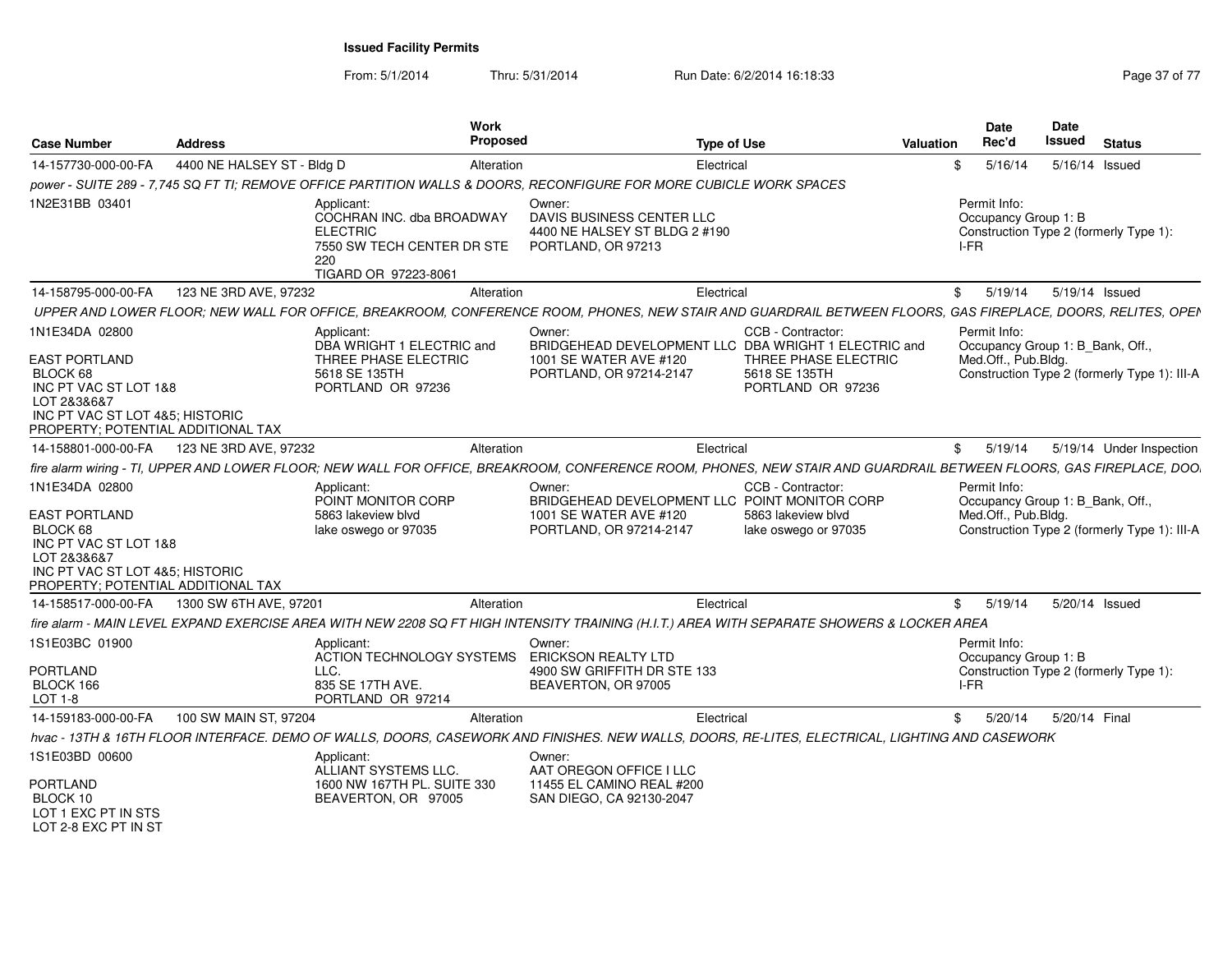| <b>Case Number</b>                                                                                                                                                  | <b>Address</b>             | Work<br><b>Proposed</b>                                                                                                                                             |                                                                                                                     | <b>Type of Use</b>                                                              | <b>Valuation</b> | <b>Date</b><br>Rec'd                         |         | Date<br>Issued | <b>Status</b>                                                                    |
|---------------------------------------------------------------------------------------------------------------------------------------------------------------------|----------------------------|---------------------------------------------------------------------------------------------------------------------------------------------------------------------|---------------------------------------------------------------------------------------------------------------------|---------------------------------------------------------------------------------|------------------|----------------------------------------------|---------|----------------|----------------------------------------------------------------------------------|
| 14-157730-000-00-FA                                                                                                                                                 | 4400 NE HALSEY ST - Bldg D | Alteration                                                                                                                                                          |                                                                                                                     | Electrical                                                                      | \$               |                                              | 5/16/14 |                | 5/16/14 Issued                                                                   |
|                                                                                                                                                                     |                            | power - SUITE 289 - 7,745 SQ FT TI; REMOVE OFFICE PARTITION WALLS & DOORS, RECONFIGURE FOR MORE CUBICLE WORK SPACES                                                 |                                                                                                                     |                                                                                 |                  |                                              |         |                |                                                                                  |
| 1N2E31BB 03401                                                                                                                                                      |                            | Applicant:<br>COCHRAN INC. dba BROADWAY<br><b>ELECTRIC</b><br>7550 SW TECH CENTER DR STE<br>220<br>TIGARD OR 97223-8061                                             | Owner:<br>DAVIS BUSINESS CENTER LLC<br>4400 NE HALSEY ST BLDG 2 #190<br>PORTLAND, OR 97213                          |                                                                                 |                  | Permit Info:<br>Occupancy Group 1: B<br>I-FR |         |                | Construction Type 2 (formerly Type 1):                                           |
| 14-158795-000-00-FA                                                                                                                                                 | 123 NE 3RD AVE, 97232      | Alteration                                                                                                                                                          |                                                                                                                     | Electrical                                                                      |                  | \$                                           | 5/19/14 |                | 5/19/14 Issued                                                                   |
|                                                                                                                                                                     |                            | UPPER AND LOWER FLOOR; NEW WALL FOR OFFICE, BREAKROOM, CONFERENCE ROOM, PHONES, NEW STAIR AND GUARDRAIL BETWEEN FLOORS, GAS FIREPLACE, DOORS, RELITES, OPEN         |                                                                                                                     |                                                                                 |                  |                                              |         |                |                                                                                  |
| 1N1E34DA 02800<br>EAST PORTLAND<br>BLOCK 68<br>INC PT VAC ST LOT 1&8<br>LOT 2&3&6&7<br>INC PT VAC ST LOT 4&5: HISTORIC<br>PROPERTY; POTENTIAL ADDITIONAL TAX        |                            | Applicant:<br>DBA WRIGHT 1 ELECTRIC and<br>THREE PHASE ELECTRIC<br>5618 SE 135TH<br>PORTLAND OR 97236                                                               | Owner:<br>BRIDGEHEAD DEVELOPMENT LLC DBA WRIGHT 1 ELECTRIC and<br>1001 SE WATER AVE #120<br>PORTLAND, OR 97214-2147 | CCB - Contractor:<br>THREE PHASE ELECTRIC<br>5618 SE 135TH<br>PORTLAND OR 97236 |                  | Permit Info:<br>Med.Off., Pub.Bldg.          |         |                | Occupancy Group 1: B_Bank, Off.,<br>Construction Type 2 (formerly Type 1): III-A |
| 14-158801-000-00-FA                                                                                                                                                 | 123 NE 3RD AVE, 97232      | Alteration                                                                                                                                                          |                                                                                                                     | Electrical                                                                      |                  | \$                                           | 5/19/14 |                | 5/19/14 Under Inspection                                                         |
|                                                                                                                                                                     |                            | fire alarm wiring - TI, UPPER AND LOWER FLOOR; NEW WALL FOR OFFICE, BREAKROOM, CONFERENCE ROOM, PHONES, NEW STAIR AND GUARDRAIL BETWEEN FLOORS, GAS FIREPLACE, DOO. |                                                                                                                     |                                                                                 |                  |                                              |         |                |                                                                                  |
| 1N1E34DA 02800<br><b>EAST PORTLAND</b><br>BLOCK 68<br>INC PT VAC ST LOT 1&8<br>LOT 2&3&6&7<br>INC PT VAC ST LOT 4&5; HISTORIC<br>PROPERTY; POTENTIAL ADDITIONAL TAX |                            | Applicant:<br>POINT MONITOR CORP<br>5863 lakeview blyd<br>lake oswego or 97035                                                                                      | Owner:<br>BRIDGEHEAD DEVELOPMENT LLC POINT MONITOR CORP<br>1001 SE WATER AVE #120<br>PORTLAND, OR 97214-2147        | CCB - Contractor:<br>5863 lakeview blyd<br>lake oswego or 97035                 |                  | Permit Info:<br>Med.Off., Pub.Bldg.          |         |                | Occupancy Group 1: B_Bank, Off.,<br>Construction Type 2 (formerly Type 1): III-A |
| 14-158517-000-00-FA                                                                                                                                                 | 1300 SW 6TH AVE, 97201     | Alteration                                                                                                                                                          |                                                                                                                     | Electrical                                                                      |                  | \$                                           | 5/19/14 |                | 5/20/14 Issued                                                                   |
|                                                                                                                                                                     |                            | fire alarm - MAIN LEVEL EXPAND EXERCISE AREA WITH NEW 2208 SQ FT HIGH INTENSITY TRAINING (H.I.T.) AREA WITH SEPARATE SHOWERS & LOCKER AREA                          |                                                                                                                     |                                                                                 |                  |                                              |         |                |                                                                                  |
| 1S1E03BC 01900<br><b>PORTLAND</b><br>BLOCK 166<br>LOT 1-8                                                                                                           |                            | Applicant:<br>ACTION TECHNOLOGY SYSTEMS<br>LLC.<br>835 SE 17TH AVE.<br>PORTLAND OR 97214                                                                            | Owner:<br><b>ERICKSON REALTY LTD</b><br>4900 SW GRIFFITH DR STE 133<br>BEAVERTON, OR 97005                          |                                                                                 |                  | Permit Info:<br>Occupancy Group 1: B<br>I-FR |         |                | Construction Type 2 (formerly Type 1):                                           |
| 14-159183-000-00-FA                                                                                                                                                 | 100 SW MAIN ST, 97204      | Alteration                                                                                                                                                          |                                                                                                                     | Electrical                                                                      |                  | \$                                           | 5/20/14 | 5/20/14 Final  |                                                                                  |
|                                                                                                                                                                     |                            | hvac - 13TH & 16TH FLOOR INTERFACE. DEMO OF WALLS, DOORS, CASEWORK AND FINISHES. NEW WALLS, DOORS, RE-LITES, ELECTRICAL, LIGHTING AND CASEWORK                      |                                                                                                                     |                                                                                 |                  |                                              |         |                |                                                                                  |
| 1S1E03BD 00600<br><b>PORTLAND</b><br>BLOCK 10<br>LOT 1 EXC PT IN STS<br>LOT 2-8 EXC PT IN ST                                                                        |                            | Applicant:<br>ALLIANT SYSTEMS LLC.<br>1600 NW 167TH PL. SUITE 330<br>BEAVERTON, OR 97005                                                                            | Owner:<br>AAT OREGON OFFICE I LLC<br>11455 EL CAMINO REAL #200<br>SAN DIEGO, CA 92130-2047                          |                                                                                 |                  |                                              |         |                |                                                                                  |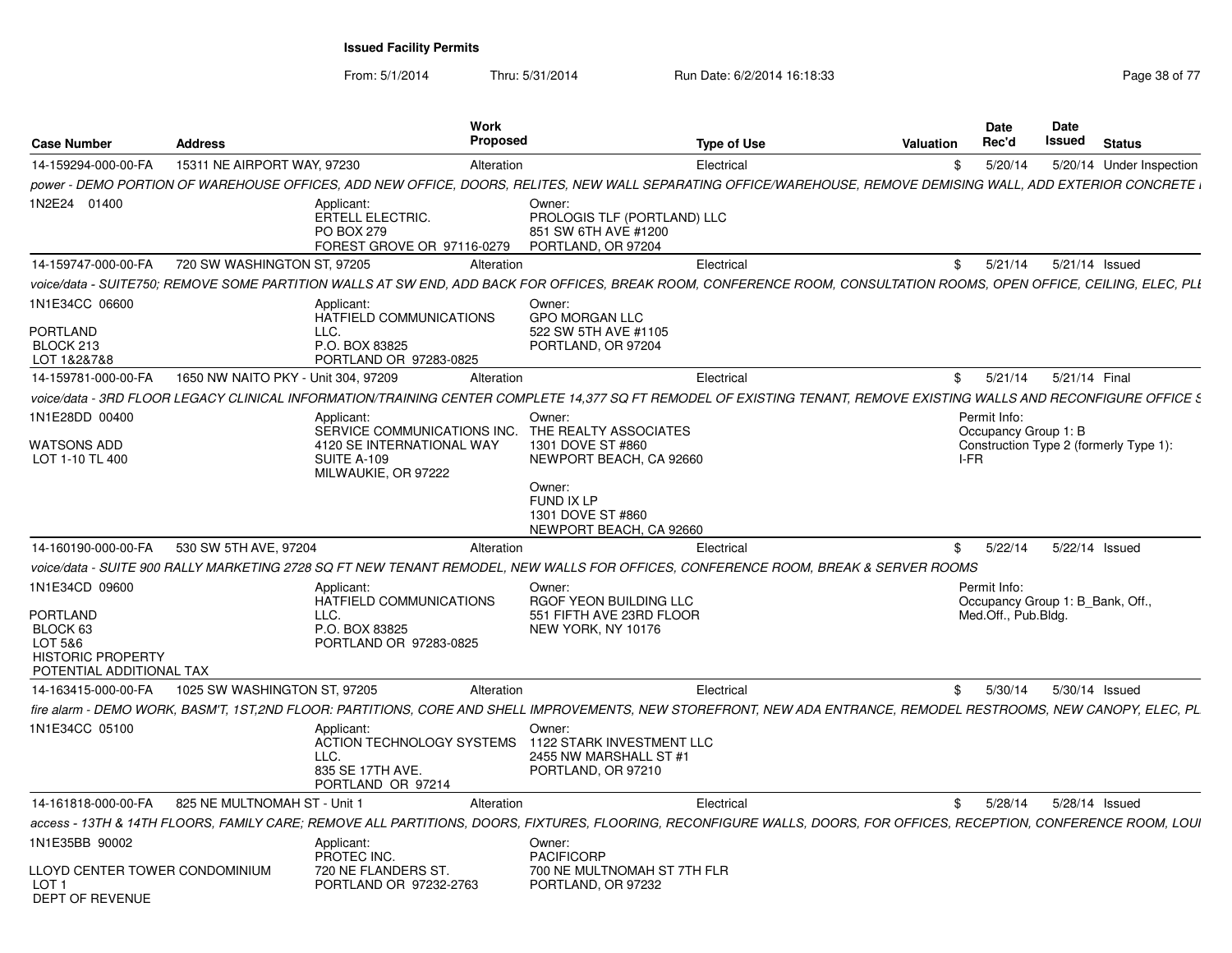| <b>Case Number</b>                                                                                               | <b>Address</b>                      |                                                                                                                     | Work<br><b>Proposed</b> |                                                                                                                                                                      | <b>Type of Use</b> | Valuation |            | Date<br>Rec'd                        | <b>Date</b><br>Issued           | <b>Status</b>                          |
|------------------------------------------------------------------------------------------------------------------|-------------------------------------|---------------------------------------------------------------------------------------------------------------------|-------------------------|----------------------------------------------------------------------------------------------------------------------------------------------------------------------|--------------------|-----------|------------|--------------------------------------|---------------------------------|----------------------------------------|
| 14-159294-000-00-FA                                                                                              | 15311 NE AIRPORT WAY, 97230         |                                                                                                                     | Alteration              |                                                                                                                                                                      | Electrical         |           | \$         | 5/20/14                              |                                 | 5/20/14 Under Inspection               |
|                                                                                                                  |                                     |                                                                                                                     |                         | , power - DEMO PORTION OF WAREHOUSE OFFICES, ADD NEW OFFICE, DOORS, RELITES, NEW WALL SEPARATING OFFICE/WAREHOUSE, REMOVE DEMISING WALL, ADD EXTERIOR CONCRETE       |                    |           |            |                                      |                                 |                                        |
| 1N2E24 01400                                                                                                     |                                     | Applicant:<br><b>ERTELL ELECTRIC.</b><br><b>PO BOX 279</b><br>FOREST GROVE OR 97116-0279                            |                         | Owner:<br>PROLOGIS TLF (PORTLAND) LLC<br>851 SW 6TH AVE #1200<br>PORTLAND, OR 97204                                                                                  |                    |           |            |                                      |                                 |                                        |
| 14-159747-000-00-FA                                                                                              | 720 SW WASHINGTON ST, 97205         |                                                                                                                     | Alteration              |                                                                                                                                                                      | Electrical         |           | \$         | 5/21/14                              | 5/21/14 Issued                  |                                        |
|                                                                                                                  |                                     |                                                                                                                     |                         | voice/data - SUITE750; REMOVE SOME PARTITION WALLS AT SW END, ADD BACK FOR OFFICES, BREAK ROOM, CONFERENCE ROOM, CONSULTATION ROOMS, OPEN OFFICE, CEILING, ELEC, PLI |                    |           |            |                                      |                                 |                                        |
| 1N1E34CC 06600<br><b>PORTLAND</b><br>BLOCK 213<br>LOT 1&2&7&8                                                    |                                     | Applicant:<br>HATFIELD COMMUNICATIONS<br>LLC.<br>P.O. BOX 83825<br>PORTLAND OR 97283-0825                           |                         | Owner:<br><b>GPO MORGAN LLC</b><br>522 SW 5TH AVE #1105<br>PORTLAND, OR 97204                                                                                        |                    |           |            |                                      |                                 |                                        |
| 14-159781-000-00-FA                                                                                              | 1650 NW NAITO PKY - Unit 304, 97209 |                                                                                                                     | Alteration              |                                                                                                                                                                      | Electrical         |           | $^{\circ}$ | 5/21/14                              | 5/21/14 Final                   |                                        |
|                                                                                                                  |                                     |                                                                                                                     |                         | voice/data - 3RD FLOOR LEGACY CLINICAL INFORMATION/TRAINING CENTER COMPLETE 14.377 SQ FT REMODEL OF EXISTING TENANT. REMOVE EXISTING WALLS AND RECONFIGURE OFFICE S  |                    |           |            |                                      |                                 |                                        |
| 1N1E28DD 00400<br><b>WATSONS ADD</b><br>LOT 1-10 TL 400                                                          |                                     | Applicant:<br>SERVICE COMMUNICATIONS INC.<br>4120 SE INTERNATIONAL WAY<br><b>SUITE A-109</b><br>MILWAUKIE, OR 97222 |                         | Owner:<br>THE REALTY ASSOCIATES<br>1301 DOVE ST #860<br>NEWPORT BEACH, CA 92660                                                                                      |                    |           | I-FR       | Permit Info:<br>Occupancy Group 1: B |                                 | Construction Type 2 (formerly Type 1): |
| 14-160190-000-00-FA                                                                                              | 530 SW 5TH AVE, 97204               |                                                                                                                     | Alteration              | Owner:<br>FUND IX LP<br>1301 DOVE ST #860<br>NEWPORT BEACH, CA 92660                                                                                                 | Electrical         |           | \$         | 5/22/14                              | 5/22/14 Issued                  |                                        |
|                                                                                                                  |                                     |                                                                                                                     |                         | voice/data - SUITE 900 RALLY MARKETING 2728 SQ FT NEW TENANT REMODEL, NEW WALLS FOR OFFICES, CONFERENCE ROOM, BREAK & SERVER ROOMS                                   |                    |           |            |                                      |                                 |                                        |
| 1N1E34CD 09600<br><b>PORTLAND</b><br>BLOCK 63<br>LOT 5&6<br><b>HISTORIC PROPERTY</b><br>POTENTIAL ADDITIONAL TAX |                                     | Applicant:<br>HATFIELD COMMUNICATIONS<br>LLC.<br>P.O. BOX 83825<br>PORTLAND OR 97283-0825                           |                         | Owner:<br>RGOF YEON BUILDING LLC<br>551 FIFTH AVE 23RD FLOOR<br>NEW YORK, NY 10176                                                                                   |                    |           |            | Permit Info:<br>Med.Off., Pub.Bldg.  | Occupancy Group 1: B_Bank, Off. |                                        |
| 14-163415-000-00-FA                                                                                              | 1025 SW WASHINGTON ST, 97205        |                                                                                                                     | Alteration              |                                                                                                                                                                      | Electrical         |           | \$         | 5/30/14                              | 5/30/14 Issued                  |                                        |
|                                                                                                                  |                                     |                                                                                                                     |                         | fire alarm - DEMO WORK, BASM'T, 1ST,2ND FLOOR: PARTITIONS, CORE AND SHELL IMPROVEMENTS, NEW STOREFRONT, NEW ADA ENTRANCE, REMODEL RESTROOMS, NEW CANOPY, ELEC, PL    |                    |           |            |                                      |                                 |                                        |
| 1N1E34CC 05100                                                                                                   |                                     | Applicant:<br><b>ACTION TECHNOLOGY SYSTEMS</b><br>LLC.<br>835 SE 17TH AVE.<br>PORTLAND OR 97214                     |                         | Owner:<br>1122 STARK INVESTMENT LLC<br>2455 NW MARSHALL ST #1<br>PORTLAND, OR 97210                                                                                  |                    |           |            |                                      |                                 |                                        |
| 14-161818-000-00-FA                                                                                              | 825 NE MULTNOMAH ST - Unit 1        |                                                                                                                     | Alteration              |                                                                                                                                                                      | Electrical         |           | \$         | 5/28/14                              | 5/28/14 Issued                  |                                        |
|                                                                                                                  |                                     |                                                                                                                     |                         | access - 13TH & 14TH FLOORS, FAMILY CARE; REMOVE ALL PARTITIONS, DOORS, FIXTURES, FLOORING, RECONFIGURE WALLS, DOORS, FOR OFFICES, RECEPTION, CONFERENCE ROOM, LOUI  |                    |           |            |                                      |                                 |                                        |
| 1N1E35BB 90002<br>LLOYD CENTER TOWER CONDOMINIUM                                                                 |                                     | Applicant:<br>PROTEC INC.<br>720 NE FLANDERS ST                                                                     |                         | Owner:<br><b>PACIFICORP</b><br>700 NE MULTNOMAH ST 7TH FLR                                                                                                           |                    |           |            |                                      |                                 |                                        |
| LOT <sub>1</sub><br><b>DEPT OF REVENUE</b>                                                                       |                                     | PORTLAND OR 97232-2763                                                                                              |                         | PORTLAND, OR 97232                                                                                                                                                   |                    |           |            |                                      |                                 |                                        |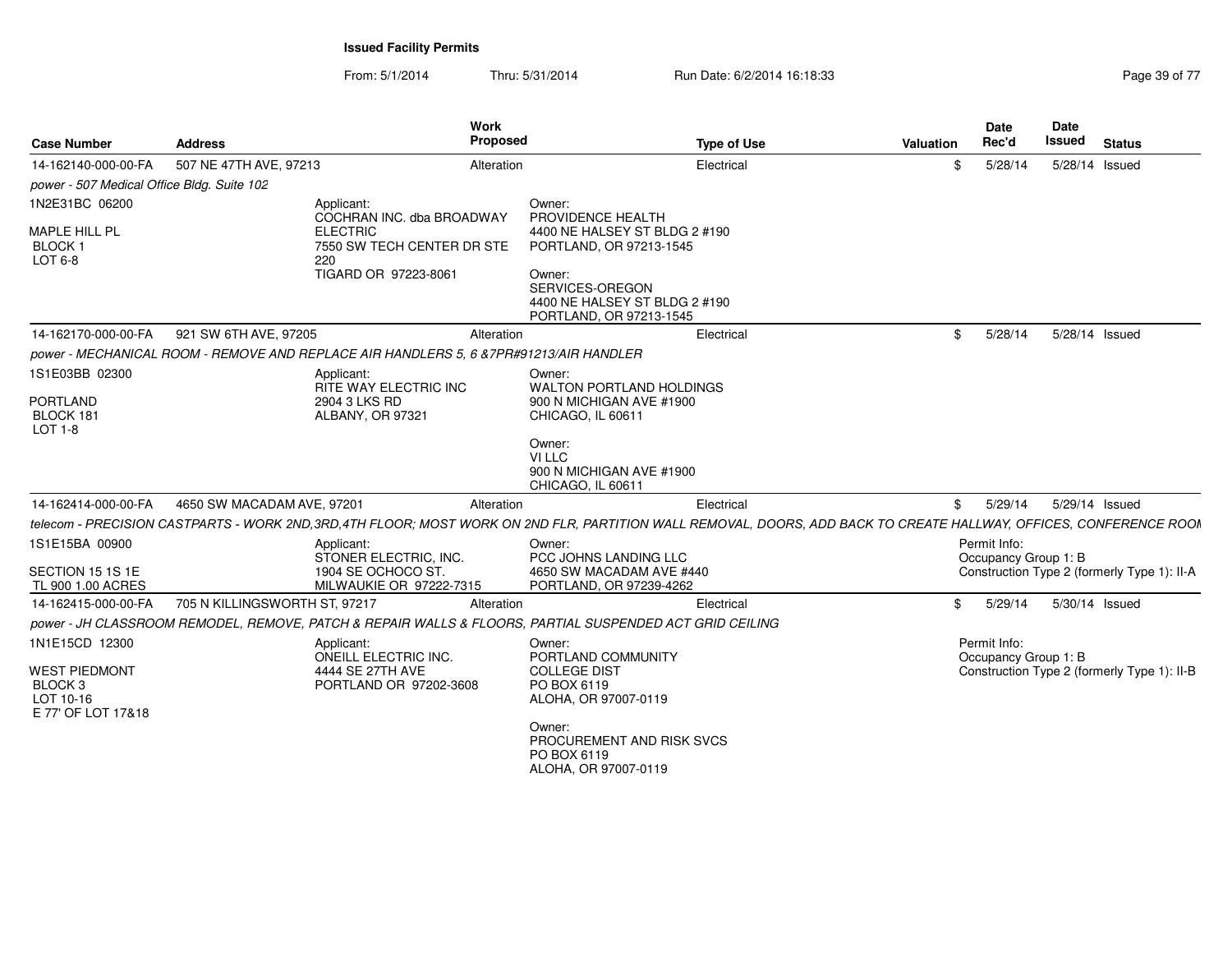From: 5/1/2014Thru: 5/31/2014 **Run Date: 6/2/2014 16:18:33** Page

| <b>Case Number</b>                                                 | <b>Address</b>                |                                                                                                                                                                   | Work<br>Proposed |                                                                                       | <b>Type of Use</b> | Valuation | Date<br>Rec'd                        | Date<br><b>Issued</b> | <b>Status</b>                               |
|--------------------------------------------------------------------|-------------------------------|-------------------------------------------------------------------------------------------------------------------------------------------------------------------|------------------|---------------------------------------------------------------------------------------|--------------------|-----------|--------------------------------------|-----------------------|---------------------------------------------|
| 14-162140-000-00-FA                                                | 507 NE 47TH AVE, 97213        |                                                                                                                                                                   | Alteration       |                                                                                       | Electrical         | S.        | 5/28/14                              | 5/28/14 Issued        |                                             |
| power - 507 Medical Office Bldg. Suite 102                         |                               |                                                                                                                                                                   |                  |                                                                                       |                    |           |                                      |                       |                                             |
| 1N2E31BC 06200                                                     |                               | Applicant:                                                                                                                                                        |                  | Owner:                                                                                |                    |           |                                      |                       |                                             |
| MAPLE HILL PL<br><b>BLOCK1</b><br>LOT 6-8                          |                               | COCHRAN INC. dba BROADWAY<br><b>ELECTRIC</b><br>7550 SW TECH CENTER DR STE<br>220                                                                                 |                  | PROVIDENCE HEALTH<br>4400 NE HALSEY ST BLDG 2 #190<br>PORTLAND, OR 97213-1545         |                    |           |                                      |                       |                                             |
|                                                                    |                               | TIGARD OR 97223-8061                                                                                                                                              |                  | Owner:<br>SERVICES-OREGON<br>4400 NE HALSEY ST BLDG 2 #190<br>PORTLAND, OR 97213-1545 |                    |           |                                      |                       |                                             |
| 14-162170-000-00-FA 921 SW 6TH AVE, 97205                          |                               |                                                                                                                                                                   | Alteration       |                                                                                       | Electrical         |           | \$5/28/14                            | 5/28/14 Issued        |                                             |
|                                                                    |                               | power - MECHANICAL ROOM - REMOVE AND REPLACE AIR HANDLERS 5, 6 & 7PR#91213/AIR HANDLER                                                                            |                  |                                                                                       |                    |           |                                      |                       |                                             |
| 1S1E03BB 02300                                                     |                               | Applicant:<br>RITE WAY ELECTRIC INC                                                                                                                               |                  | Owner:<br>WALTON PORTLAND HOLDINGS                                                    |                    |           |                                      |                       |                                             |
| PORTLAND<br>BLOCK 181<br>LOT 1-8                                   |                               | 2904 3 LKS RD<br>ALBANY, OR 97321                                                                                                                                 |                  | 900 N MICHIGAN AVE #1900<br>CHICAGO, IL 60611                                         |                    |           |                                      |                       |                                             |
|                                                                    |                               |                                                                                                                                                                   |                  | Owner:<br>VI LLC<br>900 N MICHIGAN AVE #1900<br>CHICAGO, IL 60611                     |                    |           |                                      |                       |                                             |
| 14-162414-000-00-FA                                                | 4650 SW MACADAM AVE, 97201    |                                                                                                                                                                   | Alteration       |                                                                                       | Electrical         |           | \$ 5/29/14 5/29/14 Issued            |                       |                                             |
|                                                                    |                               | telecom - PRECISION CASTPARTS - WORK 2ND,3RD,4TH FLOOR; MOST WORK ON 2ND FLR, PARTITION WALL REMOVAL, DOORS, ADD BACK TO CREATE HALLWAY, OFFICES, CONFERENCE ROOM |                  |                                                                                       |                    |           |                                      |                       |                                             |
| 1S1E15BA 00900                                                     |                               | Applicant:<br>STONER ELECTRIC, INC.                                                                                                                               |                  | Owner:<br>PCC JOHNS LANDING LLC                                                       |                    |           | Permit Info:<br>Occupancy Group 1: B |                       |                                             |
| SECTION 15 1S 1E<br>TL 900 1.00 ACRES                              |                               | 1904 SE OCHOCO ST<br>MILWAUKIE OR 97222-7315                                                                                                                      |                  | 4650 SW MACADAM AVE #440<br>PORTLAND, OR 97239-4262                                   |                    |           |                                      |                       | Construction Type 2 (formerly Type 1): II-A |
| 14-162415-000-00-FA                                                | 705 N KILLINGSWORTH ST, 97217 |                                                                                                                                                                   | Alteration       |                                                                                       | Electrical         |           | \$ 5/29/14 5/30/14 Issued            |                       |                                             |
|                                                                    |                               | power - JH CLASSROOM REMODEL, REMOVE, PATCH & REPAIR WALLS & FLOORS, PARTIAL SUSPENDED ACT GRID CEILING                                                           |                  |                                                                                       |                    |           |                                      |                       |                                             |
| 1N1E15CD 12300                                                     |                               | Applicant:<br>ONEILL ELECTRIC INC.                                                                                                                                |                  | Owner:<br>PORTLAND COMMUNITY                                                          |                    |           | Permit Info:<br>Occupancy Group 1: B |                       |                                             |
| <b>WEST PIEDMONT</b><br>BLOCK 3<br>LOT 10-16<br>E 77' OF LOT 17&18 |                               | 4444 SE 27TH AVE<br>PORTLAND OR 97202-3608                                                                                                                        |                  | <b>COLLEGE DIST</b><br>PO BOX 6119<br>ALOHA, OR 97007-0119                            |                    |           |                                      |                       | Construction Type 2 (formerly Type 1): II-B |
|                                                                    |                               |                                                                                                                                                                   |                  | Owner:<br>PROCUREMENT AND RISK SVCS<br>PO BOX 6119<br>ALOHA, OR 97007-0119            |                    |           |                                      |                       |                                             |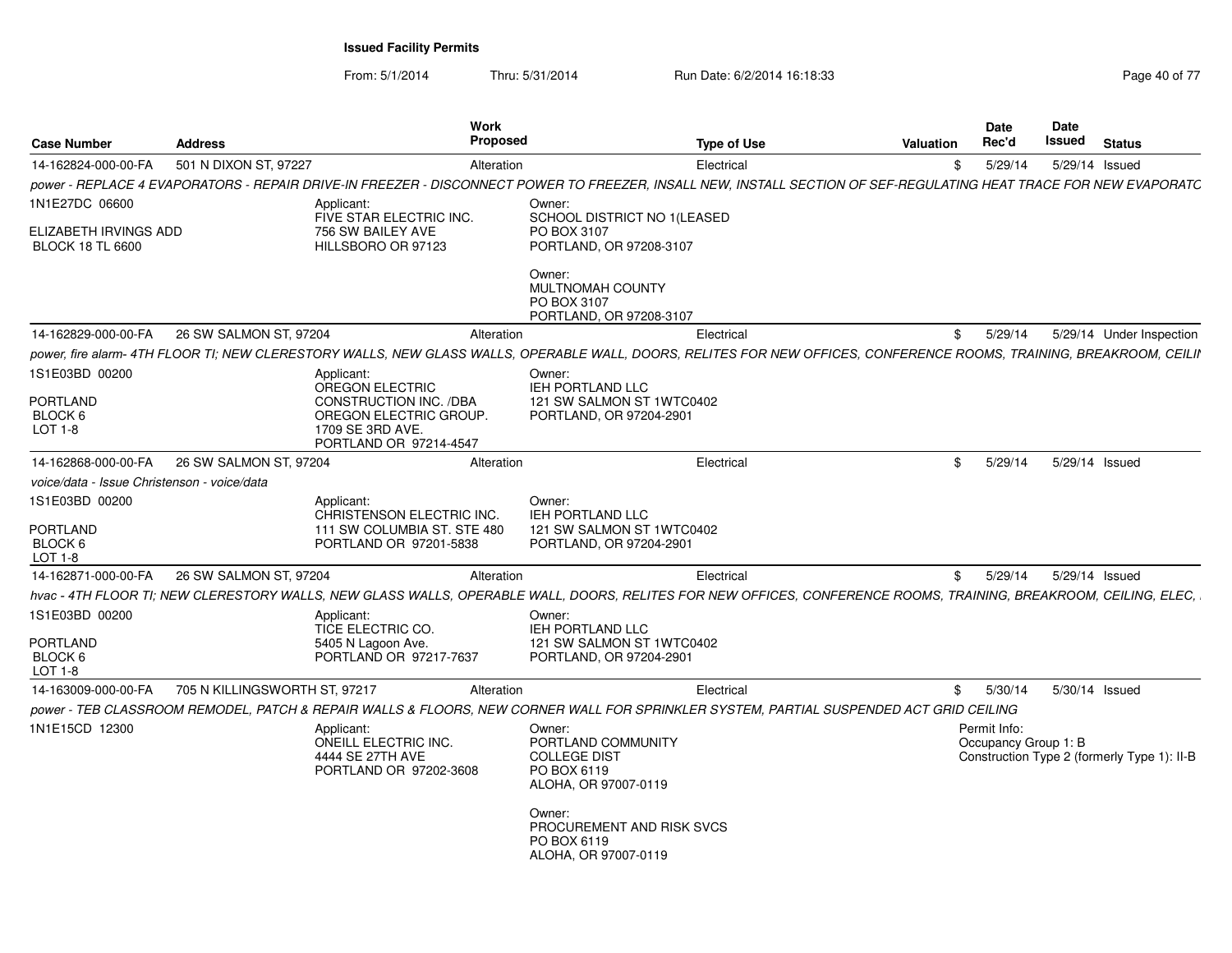| <b>Case Number</b>                               | <b>Address</b>                | Work<br><b>Proposed</b>                                                                                                                                              |                                                                                                                                                                          | <b>Type of Use</b> | Valuation | Date<br>Rec'd                        | Date<br>Issued | <b>Status</b>                               |
|--------------------------------------------------|-------------------------------|----------------------------------------------------------------------------------------------------------------------------------------------------------------------|--------------------------------------------------------------------------------------------------------------------------------------------------------------------------|--------------------|-----------|--------------------------------------|----------------|---------------------------------------------|
| 14-162824-000-00-FA                              | 501 N DIXON ST, 97227         | Alteration                                                                                                                                                           |                                                                                                                                                                          | Electrical         | \$        | 5/29/14                              | 5/29/14 Issued |                                             |
|                                                  |                               | power - REPLACE 4 EVAPORATORS - REPAIR DRIVE-IN FREEZER - DISCONNECT POWER TO FREEZER, INSALL NEW, INSTALL SECTION OF SEF-REGULATING HEAT TRACE FOR NEW EVAPORATC    |                                                                                                                                                                          |                    |           |                                      |                |                                             |
| 1N1E27DC 06600                                   |                               | Applicant:<br>FIVE STAR ELECTRIC INC.                                                                                                                                | Owner:<br>SCHOOL DISTRICT NO 1(LEASED                                                                                                                                    |                    |           |                                      |                |                                             |
| ELIZABETH IRVINGS ADD<br><b>BLOCK 18 TL 6600</b> |                               | 756 SW BAILEY AVE<br>HILLSBORO OR 97123                                                                                                                              | PO BOX 3107<br>PORTLAND, OR 97208-3107                                                                                                                                   |                    |           |                                      |                |                                             |
|                                                  |                               |                                                                                                                                                                      | Owner:<br>MULTNOMAH COUNTY<br>PO BOX 3107<br>PORTLAND, OR 97208-3107                                                                                                     |                    |           |                                      |                |                                             |
| 14-162829-000-00-FA                              | 26 SW SALMON ST, 97204        | Alteration                                                                                                                                                           |                                                                                                                                                                          | Electrical         | \$        | 5/29/14                              |                | 5/29/14 Under Inspection                    |
|                                                  |                               | power, fire alarm- 4TH FLOOR TI; NEW CLERESTORY WALLS, NEW GLASS WALLS, OPERABLE WALL, DOORS, RELITES FOR NEW OFFICES, CONFERENCE ROOMS, TRAINING, BREAKROOM, CEILII |                                                                                                                                                                          |                    |           |                                      |                |                                             |
| 1S1E03BD 00200<br>PORTLAND<br>BLOCK 6<br>LOT 1-8 |                               | Applicant:<br>OREGON ELECTRIC<br>CONSTRUCTION INC. /DBA<br>OREGON ELECTRIC GROUP.<br>1709 SE 3RD AVE.<br>PORTLAND OR 97214-4547                                      | Owner:<br>IEH PORTLAND LLC<br>121 SW SALMON ST 1WTC0402<br>PORTLAND, OR 97204-2901                                                                                       |                    |           |                                      |                |                                             |
| 14-162868-000-00-FA                              | 26 SW SALMON ST, 97204        | Alteration                                                                                                                                                           |                                                                                                                                                                          | Electrical         | \$        | 5/29/14                              |                | 5/29/14 Issued                              |
| voice/data - Issue Christenson - voice/data      |                               |                                                                                                                                                                      |                                                                                                                                                                          |                    |           |                                      |                |                                             |
| 1S1E03BD 00200<br>PORTLAND<br>BLOCK 6<br>LOT 1-8 |                               | Applicant:<br>CHRISTENSON ELECTRIC INC.<br>111 SW COLUMBIA ST. STE 480<br>PORTLAND OR 97201-5838                                                                     | Owner:<br><b>IEH PORTLAND LLC</b><br>121 SW SALMON ST 1WTC0402<br>PORTLAND, OR 97204-2901                                                                                |                    |           |                                      |                |                                             |
| 14-162871-000-00-FA                              | 26 SW SALMON ST, 97204        | Alteration                                                                                                                                                           |                                                                                                                                                                          | Electrical         | \$        | 5/29/14                              | 5/29/14 Issued |                                             |
|                                                  |                               | hvac - 4TH FLOOR TI; NEW CLERESTORY WALLS, NEW GLASS WALLS, OPERABLE WALL, DOORS, RELITES FOR NEW OFFICES, CONFERENCE ROOMS, TRAINING, BREAKROOM, CEILING, ELEC,     |                                                                                                                                                                          |                    |           |                                      |                |                                             |
| 1S1E03BD 00200<br>PORTLAND<br>BLOCK 6            |                               | Applicant:<br>TICE ELECTRIC CO.<br>5405 N Lagoon Ave.<br>PORTLAND OR 97217-7637                                                                                      | Owner:<br>IEH PORTLAND LLC<br>121 SW SALMON ST 1WTC0402<br>PORTLAND, OR 97204-2901                                                                                       |                    |           |                                      |                |                                             |
| LOT 1-8                                          |                               |                                                                                                                                                                      |                                                                                                                                                                          |                    |           |                                      |                |                                             |
| 14-163009-000-00-FA                              | 705 N KILLINGSWORTH ST, 97217 | Alteration<br>power - TEB CLASSROOM REMODEL, PATCH & REPAIR WALLS & FLOORS, NEW CORNER WALL FOR SPRINKLER SYSTEM, PARTIAL SUSPENDED ACT GRID CEILING                 |                                                                                                                                                                          | Electrical         | \$        | 5/30/14                              | 5/30/14 Issued |                                             |
| 1N1E15CD 12300                                   |                               | Applicant:<br>ONEILL ELECTRIC INC.<br>4444 SE 27TH AVE<br>PORTLAND OR 97202-3608                                                                                     | Owner:<br>PORTLAND COMMUNITY<br><b>COLLEGE DIST</b><br>PO BOX 6119<br>ALOHA, OR 97007-0119<br>Owner:<br>PROCUREMENT AND RISK SVCS<br>PO BOX 6119<br>ALOHA, OR 97007-0119 |                    |           | Permit Info:<br>Occupancy Group 1: B |                | Construction Type 2 (formerly Type 1): II-B |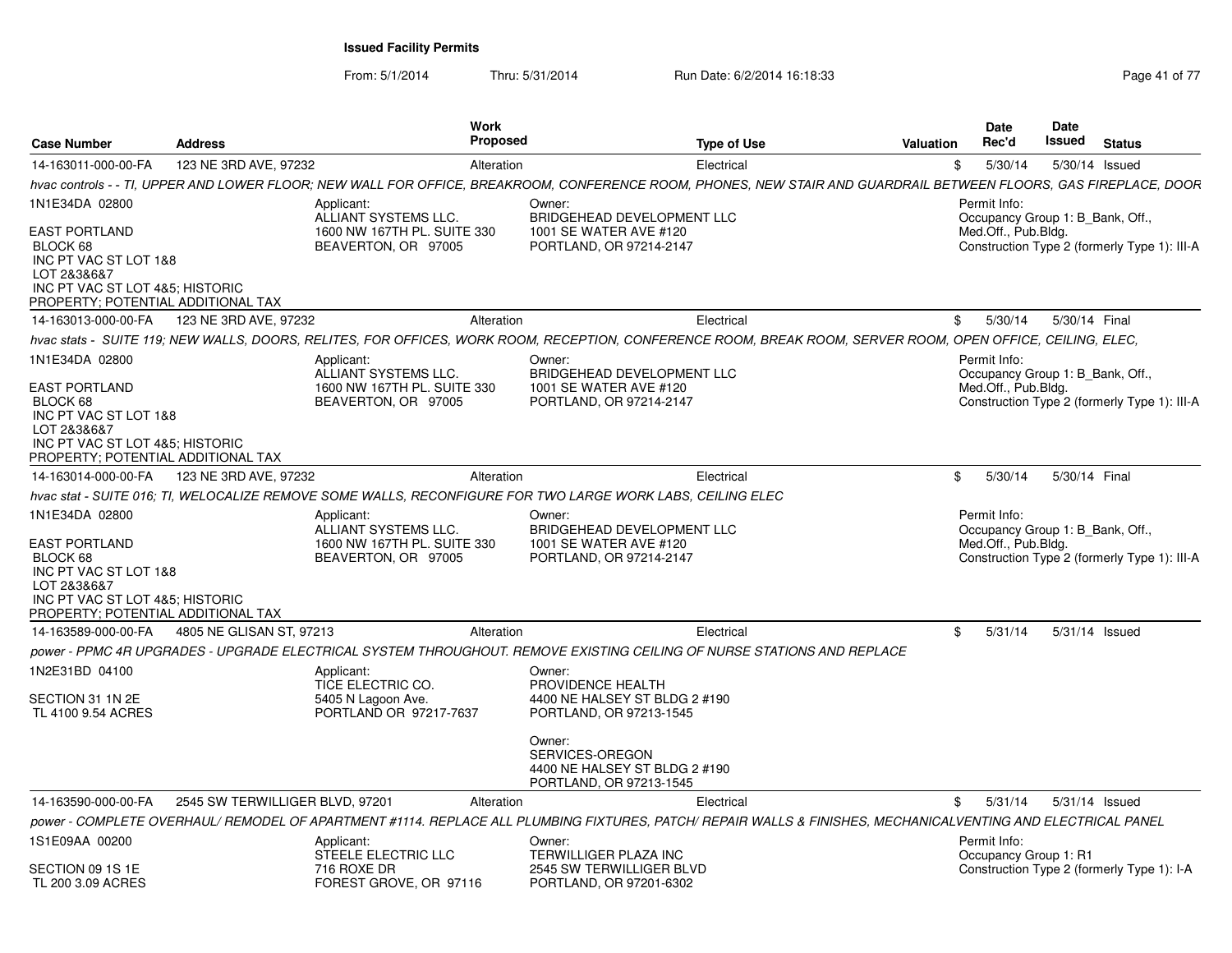| <b>Case Number</b>                                                                                                                                                  | <b>Address</b>                  | <b>Work</b><br><b>Proposed</b>                                                                                                                                    |                                                                                                   | <b>Type of Use</b> | <b>Valuation</b> | <b>Date</b><br>Rec'd                                                    | Date<br>Issued | <b>Status</b>                                |
|---------------------------------------------------------------------------------------------------------------------------------------------------------------------|---------------------------------|-------------------------------------------------------------------------------------------------------------------------------------------------------------------|---------------------------------------------------------------------------------------------------|--------------------|------------------|-------------------------------------------------------------------------|----------------|----------------------------------------------|
| 14-163011-000-00-FA                                                                                                                                                 | 123 NE 3RD AVE, 97232           | Alteration                                                                                                                                                        |                                                                                                   | Electrical         |                  | 5/30/14<br>\$                                                           |                | 5/30/14 Issued                               |
|                                                                                                                                                                     |                                 | hvac controls - - TI, UPPER AND LOWER FLOOR; NEW WALL FOR OFFICE, BREAKROOM, CONFERENCE ROOM, PHONES, NEW STAIR AND GUARDRAIL BETWEEN FLOORS, GAS FIREPLACE, DOOR |                                                                                                   |                    |                  |                                                                         |                |                                              |
| 1N1E34DA 02800                                                                                                                                                      |                                 | Applicant:<br>ALLIANT SYSTEMS LLC.                                                                                                                                | Owner:<br>BRIDGEHEAD DEVELOPMENT LLC                                                              |                    |                  | Permit Info:<br>Occupancy Group 1: B Bank, Off.,                        |                |                                              |
| <b>EAST PORTLAND</b><br>BLOCK 68<br>INC PT VAC ST LOT 1&8<br>LOT 2&3&6&7<br>INC PT VAC ST LOT 4&5; HISTORIC<br>PROPERTY; POTENTIAL ADDITIONAL TAX                   |                                 | 1600 NW 167TH PL. SUITE 330<br>BEAVERTON, OR 97005                                                                                                                | 1001 SE WATER AVE #120<br>PORTLAND, OR 97214-2147                                                 |                    |                  | Med.Off., Pub.Bldg.                                                     |                | Construction Type 2 (formerly Type 1): III-A |
| 14-163013-000-00-FA                                                                                                                                                 | 123 NE 3RD AVE, 97232           | Alteration                                                                                                                                                        |                                                                                                   | Electrical         |                  | 5/30/14<br>\$                                                           | 5/30/14 Final  |                                              |
|                                                                                                                                                                     |                                 | hvac stats - SUITE 119; NEW WALLS, DOORS, RELITES, FOR OFFICES, WORK ROOM, RECEPTION, CONFERENCE ROOM, BREAK ROOM, SERVER ROOM, OPEN OFFICE, CEILING, ELEC,       |                                                                                                   |                    |                  |                                                                         |                |                                              |
| 1N1E34DA 02800<br><b>EAST PORTLAND</b><br>BLOCK 68<br>INC PT VAC ST LOT 1&8<br>LOT 2&3&6&7<br>INC PT VAC ST LOT 4&5; HISTORIC<br>PROPERTY; POTENTIAL ADDITIONAL TAX |                                 | Applicant:<br>ALLIANT SYSTEMS LLC.<br>1600 NW 167TH PL. SUITE 330<br>BEAVERTON, OR 97005                                                                          | Owner:<br>BRIDGEHEAD DEVELOPMENT LLC<br>1001 SE WATER AVE #120<br>PORTLAND, OR 97214-2147         |                    |                  | Permit Info:<br>Occupancy Group 1: B Bank, Off.,<br>Med.Off., Pub.Bldg. |                | Construction Type 2 (formerly Type 1): III-A |
| 14-163014-000-00-FA                                                                                                                                                 | 123 NE 3RD AVE, 97232           | Alteration                                                                                                                                                        |                                                                                                   | Electrical         |                  | 5/30/14<br>\$                                                           | 5/30/14 Final  |                                              |
|                                                                                                                                                                     |                                 | hvac stat - SUITE 016; TI, WELOCALIZE REMOVE SOME WALLS, RECONFIGURE FOR TWO LARGE WORK LABS, CEILING ELEC                                                        |                                                                                                   |                    |                  |                                                                         |                |                                              |
| 1N1E34DA 02800<br>EAST PORTLAND<br>BLOCK 68<br>INC PT VAC ST LOT 1&8<br>LOT 2&3&6&7<br>INC PT VAC ST LOT 4&5: HISTORIC<br>PROPERTY; POTENTIAL ADDITIONAL TAX        |                                 | Applicant:<br>ALLIANT SYSTEMS LLC.<br>1600 NW 167TH PL. SUITE 330<br>BEAVERTON, OR 97005                                                                          | Owner:<br>BRIDGEHEAD DEVELOPMENT LLC<br>1001 SE WATER AVE #120<br>PORTLAND, OR 97214-2147         |                    |                  | Permit Info:<br>Occupancy Group 1: B Bank, Off.,<br>Med.Off., Pub.Bldg. |                | Construction Type 2 (formerly Type 1): III-A |
| 14-163589-000-00-FA                                                                                                                                                 | 4805 NE GLISAN ST, 97213        | Alteration                                                                                                                                                        |                                                                                                   | Electrical         |                  | \$<br>5/31/14                                                           |                | 5/31/14 Issued                               |
|                                                                                                                                                                     |                                 | power - PPMC 4R UPGRADES - UPGRADE ELECTRICAL SYSTEM THROUGHOUT. REMOVE EXISTING CEILING OF NURSE STATIONS AND REPLACE                                            |                                                                                                   |                    |                  |                                                                         |                |                                              |
| 1N2E31BD 04100<br>SECTION 31 1N 2E<br>TL 4100 9.54 ACRES                                                                                                            |                                 | Applicant:<br>TICE ELECTRIC CO.<br>5405 N Lagoon Ave.<br>PORTLAND OR 97217-7637                                                                                   | Owner:<br>PROVIDENCE HEALTH<br>4400 NE HALSEY ST BLDG 2 #190<br>PORTLAND, OR 97213-1545<br>Owner: |                    |                  |                                                                         |                |                                              |
|                                                                                                                                                                     |                                 |                                                                                                                                                                   | SERVICES-OREGON<br>4400 NE HALSEY ST BLDG 2 #190<br>PORTLAND, OR 97213-1545                       |                    |                  |                                                                         |                |                                              |
| 14-163590-000-00-FA                                                                                                                                                 | 2545 SW TERWILLIGER BLVD, 97201 | Alteration                                                                                                                                                        |                                                                                                   | Electrical         |                  | 5/31/14<br>\$                                                           |                | 5/31/14 Issued                               |
|                                                                                                                                                                     |                                 | power - COMPLETE OVERHAUL/ REMODEL OF APARTMENT #1114. REPLACE ALL PLUMBING FIXTURES. PATCH/ REPAIR WALLS & FINISHES. MECHANICALVENTING AND ELECTRICAL PANEL      |                                                                                                   |                    |                  |                                                                         |                |                                              |
| 1S1E09AA 00200                                                                                                                                                      |                                 | Applicant:<br><b>STEELE ELECTRIC LLC</b>                                                                                                                          | Owner:<br>TERWILLIGER PLAZA INC                                                                   |                    |                  | Permit Info:<br>Occupancy Group 1: R1                                   |                |                                              |
| SECTION 09 1S 1E<br>TL 200 3.09 ACRES                                                                                                                               |                                 | 716 ROXE DR<br>FOREST GROVE, OR 97116                                                                                                                             | 2545 SW TERWILLIGER BLVD<br>PORTLAND, OR 97201-6302                                               |                    |                  |                                                                         |                | Construction Type 2 (formerly Type 1): I-A   |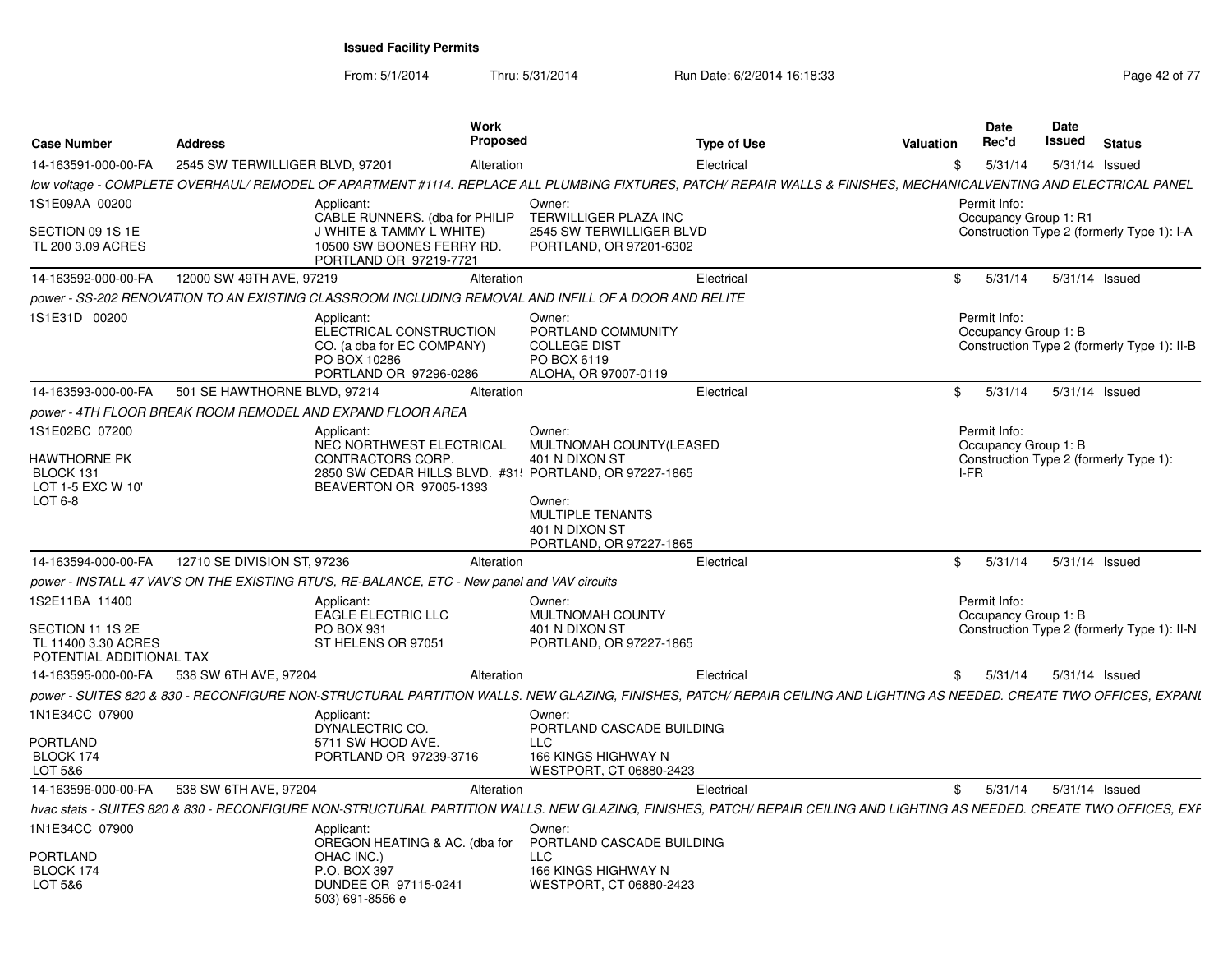| <b>Case Number</b>                                                                    | <b>Address</b>                  | Work<br><b>Proposed</b>                                                                                                                                                                |                                                                                                            | <b>Type of Use</b> | Valuation | <b>Date</b><br>Rec'd                         | Date<br>Issued | <b>Status</b>                               |
|---------------------------------------------------------------------------------------|---------------------------------|----------------------------------------------------------------------------------------------------------------------------------------------------------------------------------------|------------------------------------------------------------------------------------------------------------|--------------------|-----------|----------------------------------------------|----------------|---------------------------------------------|
| 14-163591-000-00-FA                                                                   | 2545 SW TERWILLIGER BLVD, 97201 | Alteration                                                                                                                                                                             |                                                                                                            | Electrical         | \$        | 5/31/14                                      |                | 5/31/14 Issued                              |
|                                                                                       |                                 | low voltage - COMPLETE OVERHAUL/ REMODEL OF APARTMENT #1114. REPLACE ALL PLUMBING FIXTURES, PATCH/ REPAIR WALLS & FINISHES, MECHANICALVENTING AND ELECTRICAL PANEL                     |                                                                                                            |                    |           |                                              |                |                                             |
| 1S1E09AA 00200<br>SECTION 09 1S 1E<br>TL 200 3.09 ACRES                               |                                 | Applicant:<br>CABLE RUNNERS. (dba for PHILIP<br><b>J WHITE &amp; TAMMY L WHITE)</b><br>10500 SW BOONES FERRY RD.<br>PORTLAND OR 97219-7721                                             | Owner:<br><b>TERWILLIGER PLAZA INC</b><br>2545 SW TERWILLIGER BLVD<br>PORTLAND, OR 97201-6302              |                    |           | Permit Info:<br>Occupancy Group 1: R1        |                | Construction Type 2 (formerly Type 1): I-A  |
| 14-163592-000-00-FA                                                                   | 12000 SW 49TH AVE, 97219        | Alteration                                                                                                                                                                             |                                                                                                            | Electrical         | \$        | 5/31/14                                      |                | 5/31/14 Issued                              |
|                                                                                       |                                 | power - SS-202 RENOVATION TO AN EXISTING CLASSROOM INCLUDING REMOVAL AND INFILL OF A DOOR AND RELITE                                                                                   |                                                                                                            |                    |           |                                              |                |                                             |
| 1S1E31D 00200                                                                         |                                 | Applicant:<br>ELECTRICAL CONSTRUCTION<br>CO. (a dba for EC COMPANY)<br>PO BOX 10286<br>PORTLAND OR 97296-0286                                                                          | Owner:<br>PORTLAND COMMUNITY<br><b>COLLEGE DIST</b><br>PO BOX 6119<br>ALOHA, OR 97007-0119                 |                    |           | Permit Info:<br>Occupancy Group 1: B         |                | Construction Type 2 (formerly Type 1): II-B |
| 14-163593-000-00-FA                                                                   | 501 SE HAWTHORNE BLVD, 97214    | Alteration                                                                                                                                                                             |                                                                                                            | Electrical         | \$        | 5/31/14                                      |                | 5/31/14 Issued                              |
|                                                                                       |                                 | power - 4TH FLOOR BREAK ROOM REMODEL AND EXPAND FLOOR AREA                                                                                                                             |                                                                                                            |                    |           |                                              |                |                                             |
| 1S1E02BC 07200<br>HAWTHORNE PK<br>BLOCK 131<br>LOT 1-5 EXC W 10'<br>LOT 6-8           |                                 | Applicant:<br>NEC NORTHWEST ELECTRICAL<br>CONTRACTORS CORP.<br>2850 SW CEDAR HILLS BLVD. #31: PORTLAND, OR 97227-1865<br>BEAVERTON OR 97005-1393                                       | Owner:<br>MULTNOMAH COUNTY(LEASED<br>401 N DIXON ST<br>Owner:<br><b>MULTIPLE TENANTS</b><br>401 N DIXON ST |                    |           | Permit Info:<br>Occupancy Group 1: B<br>I-FR |                | Construction Type 2 (formerly Type 1):      |
|                                                                                       |                                 |                                                                                                                                                                                        | PORTLAND, OR 97227-1865                                                                                    |                    |           |                                              |                |                                             |
| 14-163594-000-00-FA                                                                   | 12710 SE DIVISION ST, 97236     | Alteration                                                                                                                                                                             |                                                                                                            | Electrical         | \$        | 5/31/14                                      |                | 5/31/14 Issued                              |
|                                                                                       |                                 | power - INSTALL 47 VAV'S ON THE EXISTING RTU'S, RE-BALANCE, ETC - New panel and VAV circuits                                                                                           |                                                                                                            |                    |           |                                              |                |                                             |
| 1S2E11BA 11400<br>SECTION 11 1S 2E<br>TL 11400 3.30 ACRES<br>POTENTIAL ADDITIONAL TAX |                                 | Applicant:<br>EAGLE ELECTRIC LLC<br>PO BOX 931<br>ST HELENS OR 97051                                                                                                                   | Owner:<br>MULTNOMAH COUNTY<br>401 N DIXON ST<br>PORTLAND, OR 97227-1865                                    |                    |           | Permit Info:<br>Occupancy Group 1: B         |                | Construction Type 2 (formerly Type 1): II-N |
| 14-163595-000-00-FA                                                                   | 538 SW 6TH AVE, 97204           | Alteration                                                                                                                                                                             |                                                                                                            | Electrical         | \$        | 5/31/14                                      |                | 5/31/14 Issued                              |
|                                                                                       |                                 | power - SUITES 820 & 830 - RECONFIGURE NON-STRUCTURAL PARTITION WALLS. NEW GLAZING, FINISHES, PATCH/ REPAIR CEILING AND LIGHTING AS NEEDED. CREATE TWO OFFICES, EXPANI                 |                                                                                                            |                    |           |                                              |                |                                             |
| 1N1E34CC 07900<br><b>PORTLAND</b><br>BLOCK 174                                        |                                 | Applicant:<br>DYNALECTRIC CO.<br>5711 SW HOOD AVE.<br>PORTLAND OR 97239-3716                                                                                                           | Owner:<br>PORTLAND CASCADE BUILDING<br><b>LLC</b><br>166 KINGS HIGHWAY N                                   |                    |           |                                              |                |                                             |
| LOT 5&6                                                                               |                                 |                                                                                                                                                                                        | WESTPORT, CT 06880-2423                                                                                    |                    |           |                                              |                |                                             |
| 14-163596-000-00-FA                                                                   | 538 SW 6TH AVE, 97204           | Alteration<br>hvac stats - SUITES 820 & 830 - RECONFIGURE NON-STRUCTURAL PARTITION WALLS. NEW GLAZING, FINISHES, PATCH/ REPAIR CEILING AND LIGHTING AS NEEDED. CREATE TWO OFFICES, EXF |                                                                                                            | Electrical         | \$        | 5/31/14                                      |                | 5/31/14 Issued                              |
| 1N1E34CC 07900<br>PORTLAND<br>BLOCK 174<br>LOT 5&6                                    |                                 | Applicant:<br>OREGON HEATING & AC. (dba for<br>OHAC INC.)<br>P.O. BOX 397<br>DUNDEE OR 97115-0241<br>503) 691-8556 e                                                                   | Owner:<br>PORTLAND CASCADE BUILDING<br><b>LLC</b><br>166 KINGS HIGHWAY N<br>WESTPORT, CT 06880-2423        |                    |           |                                              |                |                                             |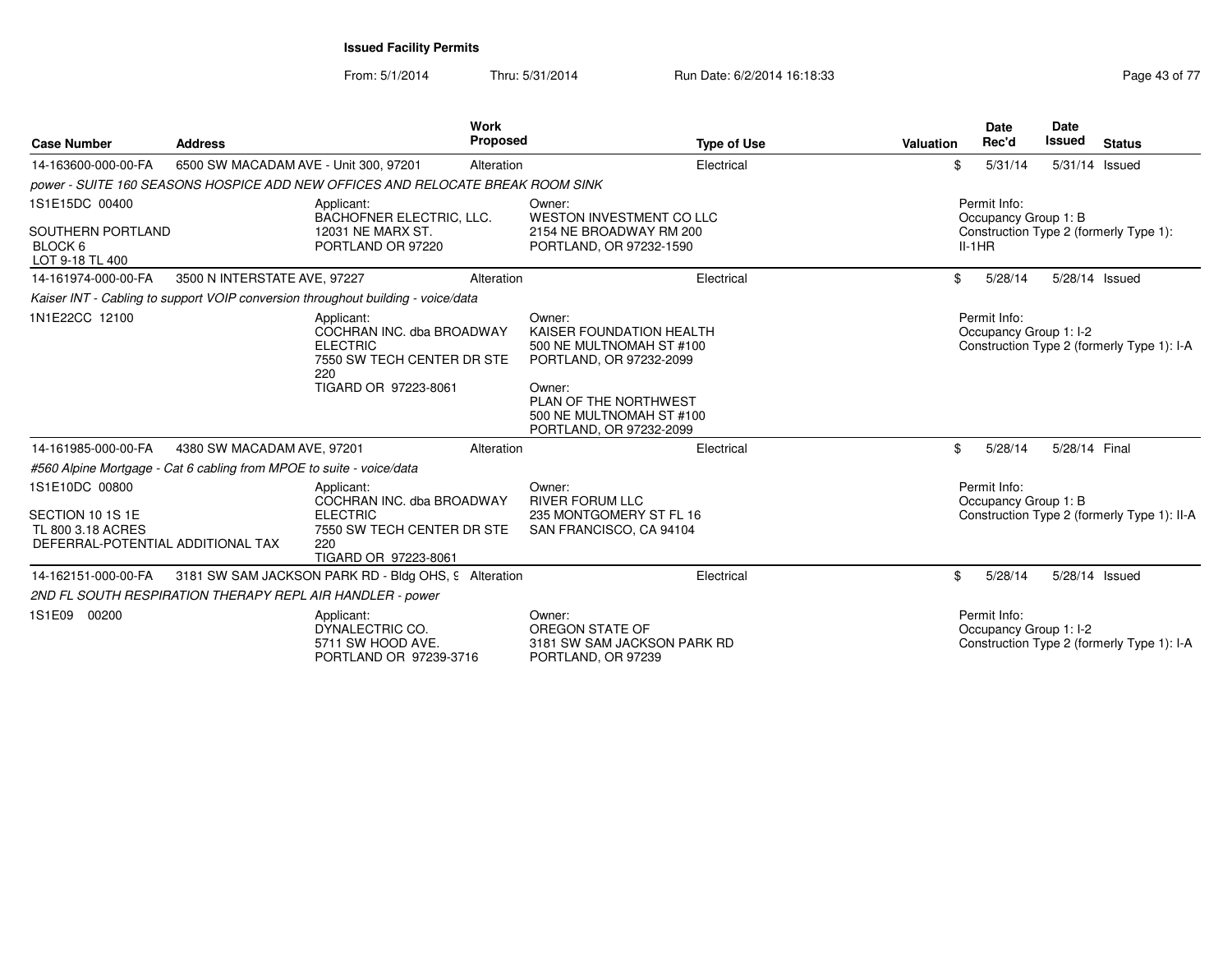| <b>Case Number</b>                                                                           | <b>Address</b>               | <b>Work</b><br><b>Proposed</b>                                                                                          |                                                                                                                                                                                     | <b>Type of Use</b> | <b>Valuation</b> | Date<br>Rec'd                                    | <b>Date</b><br>Issued | <b>Status</b>                               |
|----------------------------------------------------------------------------------------------|------------------------------|-------------------------------------------------------------------------------------------------------------------------|-------------------------------------------------------------------------------------------------------------------------------------------------------------------------------------|--------------------|------------------|--------------------------------------------------|-----------------------|---------------------------------------------|
| 14-163600-000-00-FA                                                                          |                              | 6500 SW MACADAM AVE - Unit 300, 97201<br>Alteration                                                                     |                                                                                                                                                                                     | Electrical         | \$               | 5/31/14                                          |                       | 5/31/14 Issued                              |
|                                                                                              |                              | power - SUITE 160 SEASONS HOSPICE ADD NEW OFFICES AND RELOCATE BREAK ROOM SINK                                          |                                                                                                                                                                                     |                    |                  |                                                  |                       |                                             |
| 1S1E15DC 00400<br>SOUTHERN PORTLAND<br>BLOCK 6                                               |                              | Applicant:<br>BACHOFNER ELECTRIC, LLC.<br>12031 NE MARX ST.<br>PORTLAND OR 97220                                        | Owner:<br>WESTON INVESTMENT CO LLC<br>2154 NE BROADWAY RM 200<br>PORTLAND, OR 97232-1590                                                                                            |                    |                  | Permit Info:<br>Occupancy Group 1: B<br>$II-1HR$ |                       | Construction Type 2 (formerly Type 1):      |
| LOT 9-18 TL 400                                                                              |                              |                                                                                                                         |                                                                                                                                                                                     |                    |                  |                                                  |                       |                                             |
| 14-161974-000-00-FA                                                                          | 3500 N INTERSTATE AVE, 97227 | Alteration                                                                                                              |                                                                                                                                                                                     | Electrical         | \$               | 5/28/14                                          |                       | 5/28/14 Issued                              |
|                                                                                              |                              | Kaiser INT - Cabling to support VOIP conversion throughout building - voice/data                                        |                                                                                                                                                                                     |                    |                  |                                                  |                       |                                             |
| 1N1E22CC 12100                                                                               |                              | Applicant:<br>COCHRAN INC. dba BROADWAY<br><b>ELECTRIC</b><br>7550 SW TECH CENTER DR STE<br>220<br>TIGARD OR 97223-8061 | Owner:<br>KAISER FOUNDATION HEALTH<br>500 NE MULTNOMAH ST #100<br>PORTLAND, OR 97232-2099<br>Owner:<br>PLAN OF THE NORTHWEST<br>500 NE MULTNOMAH ST #100<br>PORTLAND, OR 97232-2099 |                    |                  | Permit Info:<br>Occupancy Group 1: I-2           |                       | Construction Type 2 (formerly Type 1): I-A  |
| 14-161985-000-00-FA                                                                          | 4380 SW MACADAM AVE, 97201   | Alteration                                                                                                              |                                                                                                                                                                                     | Electrical         | \$               | 5/28/14                                          | 5/28/14 Final         |                                             |
| #560 Alpine Mortgage - Cat 6 cabling from MPOE to suite - voice/data                         |                              |                                                                                                                         |                                                                                                                                                                                     |                    |                  |                                                  |                       |                                             |
| 1S1E10DC 00800<br>SECTION 10 1S 1E<br>TL 800 3.18 ACRES<br>DEFERRAL-POTENTIAL ADDITIONAL TAX |                              | Applicant:<br>COCHRAN INC. dba BROADWAY<br><b>ELECTRIC</b><br>7550 SW TECH CENTER DR STE<br>220<br>TIGARD OR 97223-8061 | Owner:<br><b>RIVER FORUM LLC</b><br>235 MONTGOMERY ST FL 16<br>SAN FRANCISCO, CA 94104                                                                                              |                    |                  | Permit Info:<br>Occupancy Group 1: B             |                       | Construction Type 2 (formerly Type 1): II-A |
| 14-162151-000-00-FA                                                                          |                              | 3181 SW SAM JACKSON PARK RD - Bldg OHS, 9 Alteration                                                                    |                                                                                                                                                                                     | Electrical         | \$               | 5/28/14                                          |                       | 5/28/14 Issued                              |
|                                                                                              |                              | 2ND FL SOUTH RESPIRATION THERAPY REPL AIR HANDLER - power                                                               |                                                                                                                                                                                     |                    |                  |                                                  |                       |                                             |
| 1S1E09 00200                                                                                 |                              | Applicant:<br>DYNALECTRIC CO.<br>5711 SW HOOD AVE.<br>PORTLAND OR 97239-3716                                            | Owner:<br>OREGON STATE OF<br>3181 SW SAM JACKSON PARK RD<br>PORTLAND, OR 97239                                                                                                      |                    |                  | Permit Info:<br>Occupancy Group 1: I-2           |                       | Construction Type 2 (formerly Type 1): I-A  |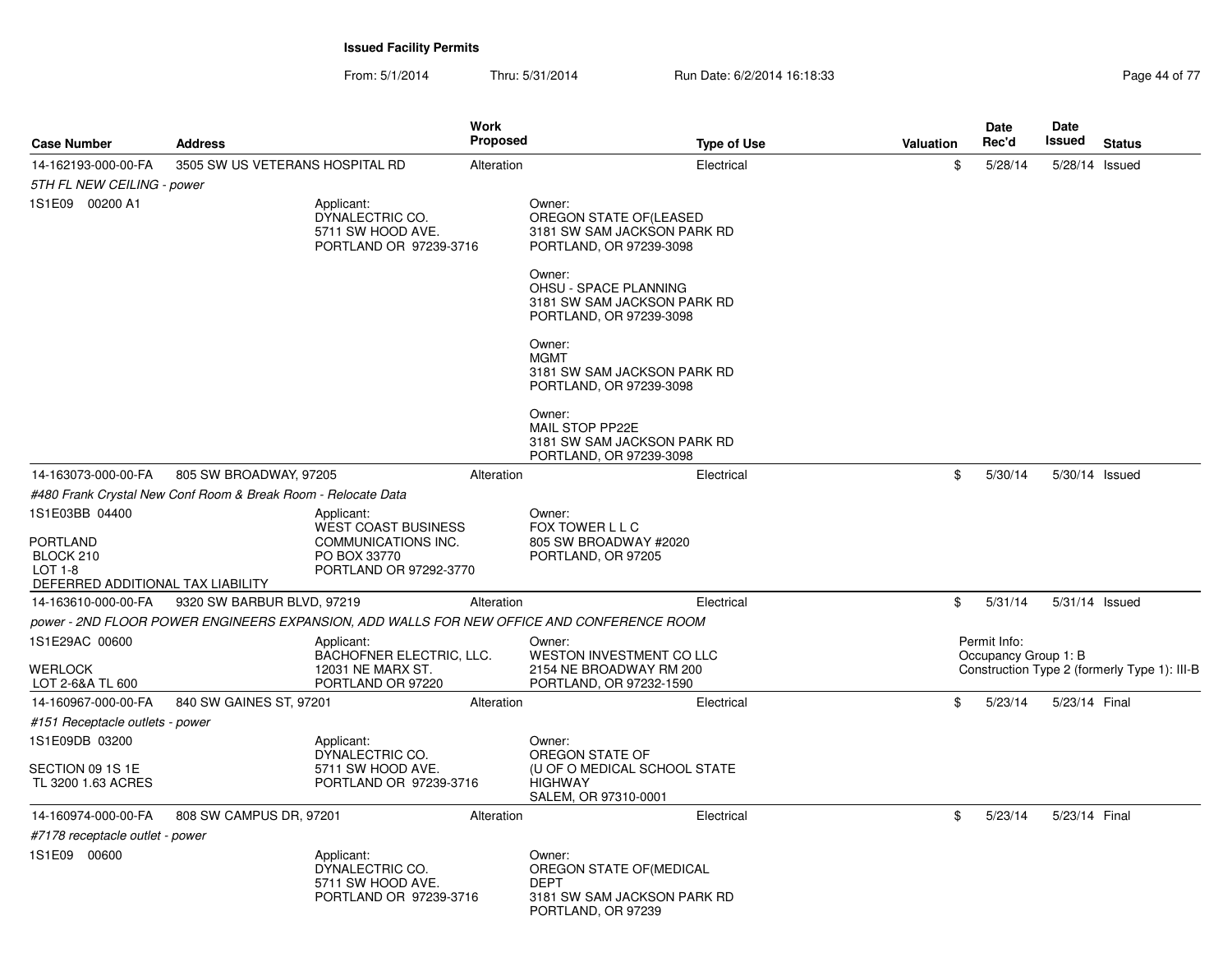| <b>Case Number</b>                                                                               | <b>Address</b>                                                |                                                                                                           | Work<br><b>Proposed</b> | <b>Type of Use</b>                                                                                     | Valuation | <b>Date</b><br>Rec'd                 | Date<br>Issued | <b>Status</b>                                |
|--------------------------------------------------------------------------------------------------|---------------------------------------------------------------|-----------------------------------------------------------------------------------------------------------|-------------------------|--------------------------------------------------------------------------------------------------------|-----------|--------------------------------------|----------------|----------------------------------------------|
| 14-162193-000-00-FA                                                                              | 3505 SW US VETERANS HOSPITAL RD                               |                                                                                                           | Alteration              | Electrical                                                                                             |           | \$<br>5/28/14                        | 5/28/14 Issued |                                              |
| 5TH FL NEW CEILING - power                                                                       |                                                               |                                                                                                           |                         |                                                                                                        |           |                                      |                |                                              |
| 1S1E09 00200 A1                                                                                  |                                                               | Applicant:<br>DYNALECTRIC CO.<br>5711 SW HOOD AVE.<br>PORTLAND OR 97239-3716                              |                         | Owner:<br>OREGON STATE OF(LEASED<br>3181 SW SAM JACKSON PARK RD<br>PORTLAND, OR 97239-3098             |           |                                      |                |                                              |
|                                                                                                  |                                                               |                                                                                                           |                         | Owner:<br>OHSU - SPACE PLANNING<br>3181 SW SAM JACKSON PARK RD<br>PORTLAND, OR 97239-3098              |           |                                      |                |                                              |
|                                                                                                  |                                                               |                                                                                                           |                         | Owner:<br><b>MGMT</b><br>3181 SW SAM JACKSON PARK RD<br>PORTLAND, OR 97239-3098                        |           |                                      |                |                                              |
|                                                                                                  |                                                               |                                                                                                           |                         | Owner:<br>MAIL STOP PP22E<br>3181 SW SAM JACKSON PARK RD<br>PORTLAND, OR 97239-3098                    |           |                                      |                |                                              |
| 14-163073-000-00-FA                                                                              | 805 SW BROADWAY, 97205                                        |                                                                                                           | Alteration              | Electrical                                                                                             |           | \$<br>5/30/14                        | 5/30/14 Issued |                                              |
|                                                                                                  | #480 Frank Crystal New Conf Room & Break Room - Relocate Data |                                                                                                           |                         |                                                                                                        |           |                                      |                |                                              |
| 1S1E03BB 04400<br><b>PORTLAND</b><br>BLOCK 210<br>LOT $1-8$<br>DEFERRED ADDITIONAL TAX LIABILITY |                                                               | Applicant:<br><b>WEST COAST BUSINESS</b><br>COMMUNICATIONS INC.<br>PO BOX 33770<br>PORTLAND OR 97292-3770 |                         | Owner:<br>FOX TOWER L L C<br>805 SW BROADWAY #2020<br>PORTLAND, OR 97205                               |           |                                      |                |                                              |
| 14-163610-000-00-FA                                                                              | 9320 SW BARBUR BLVD, 97219                                    |                                                                                                           | Alteration              | Electrical                                                                                             |           | \$<br>5/31/14                        | 5/31/14 Issued |                                              |
|                                                                                                  |                                                               |                                                                                                           |                         | power - 2ND FLOOR POWER ENGINEERS EXPANSION, ADD WALLS FOR NEW OFFICE AND CONFERENCE ROOM              |           |                                      |                |                                              |
| 1S1E29AC 00600                                                                                   |                                                               | Applicant:<br><b>BACHOFNER ELECTRIC, LLC.</b>                                                             |                         | Owner:<br>WESTON INVESTMENT CO LLC                                                                     |           | Permit Info:<br>Occupancy Group 1: B |                |                                              |
| <b>WERLOCK</b><br>LOT 2-6&A TL 600                                                               |                                                               | 12031 NE MARX ST.<br>PORTLAND OR 97220                                                                    |                         | 2154 NE BROADWAY RM 200<br>PORTLAND, OR 97232-1590                                                     |           |                                      |                | Construction Type 2 (formerly Type 1): III-B |
| 14-160967-000-00-FA                                                                              | 840 SW GAINES ST, 97201                                       |                                                                                                           | Alteration              | Electrical                                                                                             |           | \$<br>5/23/14                        | 5/23/14 Final  |                                              |
| #151 Receptacle outlets - power                                                                  |                                                               |                                                                                                           |                         |                                                                                                        |           |                                      |                |                                              |
| 1S1E09DB 03200                                                                                   |                                                               | Applicant:<br>DYNALECTRIC CO.                                                                             |                         | Owner:<br>OREGON STATE OF                                                                              |           |                                      |                |                                              |
| SECTION 09 1S 1E<br>TL 3200 1.63 ACRES                                                           |                                                               | 5711 SW HOOD AVE.<br>PORTLAND OR 97239-3716                                                               |                         | (U OF O MEDICAL SCHOOL STATE<br><b>HIGHWAY</b><br>SALEM, OR 97310-0001                                 |           |                                      |                |                                              |
| 14-160974-000-00-FA                                                                              | 808 SW CAMPUS DR, 97201                                       |                                                                                                           | Alteration              | Electrical                                                                                             |           | \$<br>5/23/14                        | 5/23/14 Final  |                                              |
| #7178 receptacle outlet - power                                                                  |                                                               |                                                                                                           |                         |                                                                                                        |           |                                      |                |                                              |
| 1S1E09 00600                                                                                     |                                                               | Applicant:<br>DYNALECTRIC CO.<br>5711 SW HOOD AVE.<br>PORTLAND OR 97239-3716                              |                         | Owner:<br>OREGON STATE OF (MEDICAL<br><b>DEPT</b><br>3181 SW SAM JACKSON PARK RD<br>PORTLAND, OR 97239 |           |                                      |                |                                              |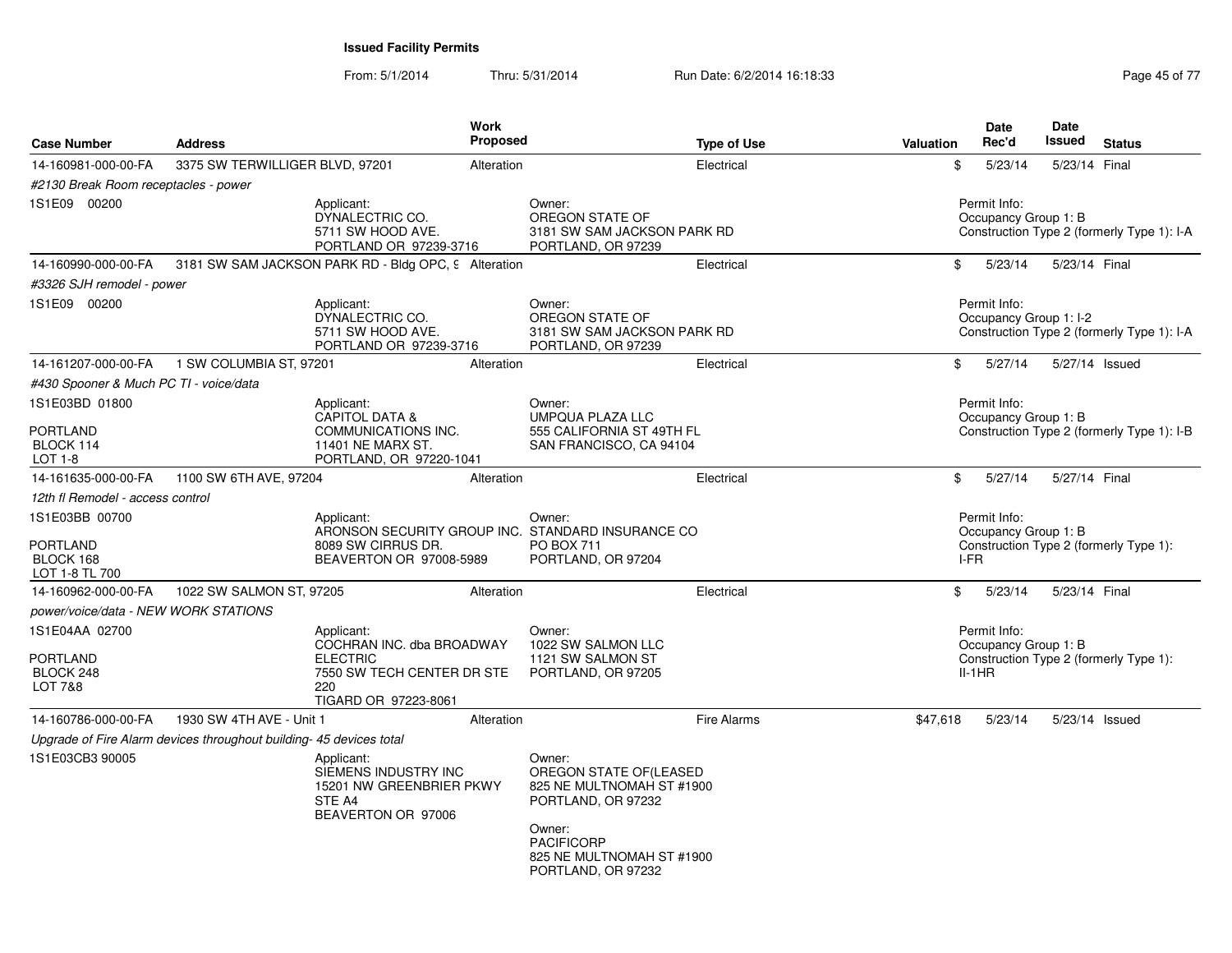From: 5/1/2014Thru: 5/31/2014 Run Date: 6/2/2014 16:18:33 Research 2010 12:04 Page 45 of 77

| <b>Case Number</b>                                               | <b>Address</b>                                                     | <b>Work</b>                                                                                                             | <b>Proposed</b> |                                                                                                                                                                       | <b>Type of Use</b> | Valuation |      | <b>Date</b><br>Rec'd                             | <b>Date</b><br>Issued | <b>Status</b>                              |
|------------------------------------------------------------------|--------------------------------------------------------------------|-------------------------------------------------------------------------------------------------------------------------|-----------------|-----------------------------------------------------------------------------------------------------------------------------------------------------------------------|--------------------|-----------|------|--------------------------------------------------|-----------------------|--------------------------------------------|
| 14-160981-000-00-FA                                              | 3375 SW TERWILLIGER BLVD, 97201                                    |                                                                                                                         | Alteration      |                                                                                                                                                                       | Electrical         |           | \$   | 5/23/14                                          |                       | 5/23/14 Final                              |
| #2130 Break Room receptacles - power                             |                                                                    |                                                                                                                         |                 |                                                                                                                                                                       |                    |           |      |                                                  |                       |                                            |
| 1S1E09 00200                                                     |                                                                    | Applicant:<br>DYNALECTRIC CO.<br>5711 SW HOOD AVE.<br>PORTLAND OR 97239-3716                                            |                 | Owner:<br>OREGON STATE OF<br>3181 SW SAM JACKSON PARK RD<br>PORTLAND, OR 97239                                                                                        |                    |           |      | Permit Info:<br>Occupancy Group 1: B             |                       | Construction Type 2 (formerly Type 1): I-A |
| 14-160990-000-00-FA                                              |                                                                    | 3181 SW SAM JACKSON PARK RD - Bldg OPC, 9 Alteration                                                                    |                 |                                                                                                                                                                       | Electrical         |           | \$   | 5/23/14                                          |                       | 5/23/14 Final                              |
| #3326 SJH remodel - power                                        |                                                                    |                                                                                                                         |                 |                                                                                                                                                                       |                    |           |      |                                                  |                       |                                            |
| 1S1E09 00200                                                     |                                                                    | Applicant:<br>DYNALECTRIC CO.<br>5711 SW HOOD AVE.<br>PORTLAND OR 97239-3716                                            |                 | Owner:<br>OREGON STATE OF<br>3181 SW SAM JACKSON PARK RD<br>PORTLAND, OR 97239                                                                                        |                    |           |      | Permit Info:<br>Occupancy Group 1: I-2           |                       | Construction Type 2 (formerly Type 1): I-A |
| 14-161207-000-00-FA                                              | 1 SW COLUMBIA ST, 97201                                            |                                                                                                                         | Alteration      |                                                                                                                                                                       | Electrical         |           | \$   | 5/27/14                                          |                       | 5/27/14 Issued                             |
| #430 Spooner & Much PC TI - voice/data                           |                                                                    |                                                                                                                         |                 |                                                                                                                                                                       |                    |           |      |                                                  |                       |                                            |
| 1S1E03BD 01800                                                   |                                                                    | Applicant:<br><b>CAPITOL DATA &amp;</b>                                                                                 |                 | Owner:<br><b>UMPQUA PLAZA LLC</b>                                                                                                                                     |                    |           |      | Permit Info:<br>Occupancy Group 1: B             |                       |                                            |
| <b>PORTLAND</b><br>BLOCK 114<br>LOT 1-8                          |                                                                    | COMMUNICATIONS INC.<br>11401 NE MARX ST.<br>PORTLAND, OR 97220-1041                                                     |                 | 555 CALIFORNIA ST 49TH FL<br>SAN FRANCISCO, CA 94104                                                                                                                  |                    |           |      |                                                  |                       | Construction Type 2 (formerly Type 1): I-B |
| 14-161635-000-00-FA                                              | 1100 SW 6TH AVE, 97204                                             |                                                                                                                         | Alteration      |                                                                                                                                                                       | Electrical         |           | \$   | 5/27/14                                          |                       | 5/27/14 Final                              |
| 12th fl Remodel - access control                                 |                                                                    |                                                                                                                         |                 |                                                                                                                                                                       |                    |           |      |                                                  |                       |                                            |
| 1S1E03BB 00700<br><b>PORTLAND</b><br>BLOCK 168<br>LOT 1-8 TL 700 |                                                                    | Applicant:<br>ARONSON SECURITY GROUP INC. STANDARD INSURANCE CO<br>8089 SW CIRRUS DR.<br>BEAVERTON OR 97008-5989        |                 | Owner:<br>PO BOX 711<br>PORTLAND, OR 97204                                                                                                                            |                    |           | I-FR | Permit Info:<br>Occupancy Group 1: B             |                       | Construction Type 2 (formerly Type 1):     |
| 14-160962-000-00-FA                                              | 1022 SW SALMON ST, 97205                                           |                                                                                                                         | Alteration      |                                                                                                                                                                       | Electrical         |           | \$   | 5/23/14                                          |                       | 5/23/14 Final                              |
| power/voice/data - NEW WORK STATIONS                             |                                                                    |                                                                                                                         |                 |                                                                                                                                                                       |                    |           |      |                                                  |                       |                                            |
| 1S1E04AA 02700<br><b>PORTLAND</b><br>BLOCK 248<br>LOT 7&8        |                                                                    | Applicant:<br>COCHRAN INC. dba BROADWAY<br><b>ELECTRIC</b><br>7550 SW TECH CENTER DR STE<br>220<br>TIGARD OR 97223-8061 |                 | Owner:<br>1022 SW SALMON LLC<br>1121 SW SALMON ST<br>PORTLAND, OR 97205                                                                                               |                    |           |      | Permit Info:<br>Occupancy Group 1: B<br>$II-1HR$ |                       | Construction Type 2 (formerly Type 1):     |
| 14-160786-000-00-FA                                              | 1930 SW 4TH AVE - Unit 1                                           |                                                                                                                         | Alteration      |                                                                                                                                                                       | <b>Fire Alarms</b> | \$47,618  |      | 5/23/14                                          |                       | 5/23/14 Issued                             |
|                                                                  | Upgrade of Fire Alarm devices throughout building-45 devices total |                                                                                                                         |                 |                                                                                                                                                                       |                    |           |      |                                                  |                       |                                            |
| 1S1E03CB3 90005                                                  |                                                                    | Applicant:<br>SIEMENS INDUSTRY INC<br>15201 NW GREENBRIER PKWY<br>STE A4<br>BEAVERTON OR 97006                          |                 | Owner:<br>OREGON STATE OF(LEASED<br>825 NE MULTNOMAH ST #1900<br>PORTLAND, OR 97232<br>Owner:<br><b>PACIFICORP</b><br>825 NE MULTNOMAH ST #1900<br>PORTLAND, OR 97232 |                    |           |      |                                                  |                       |                                            |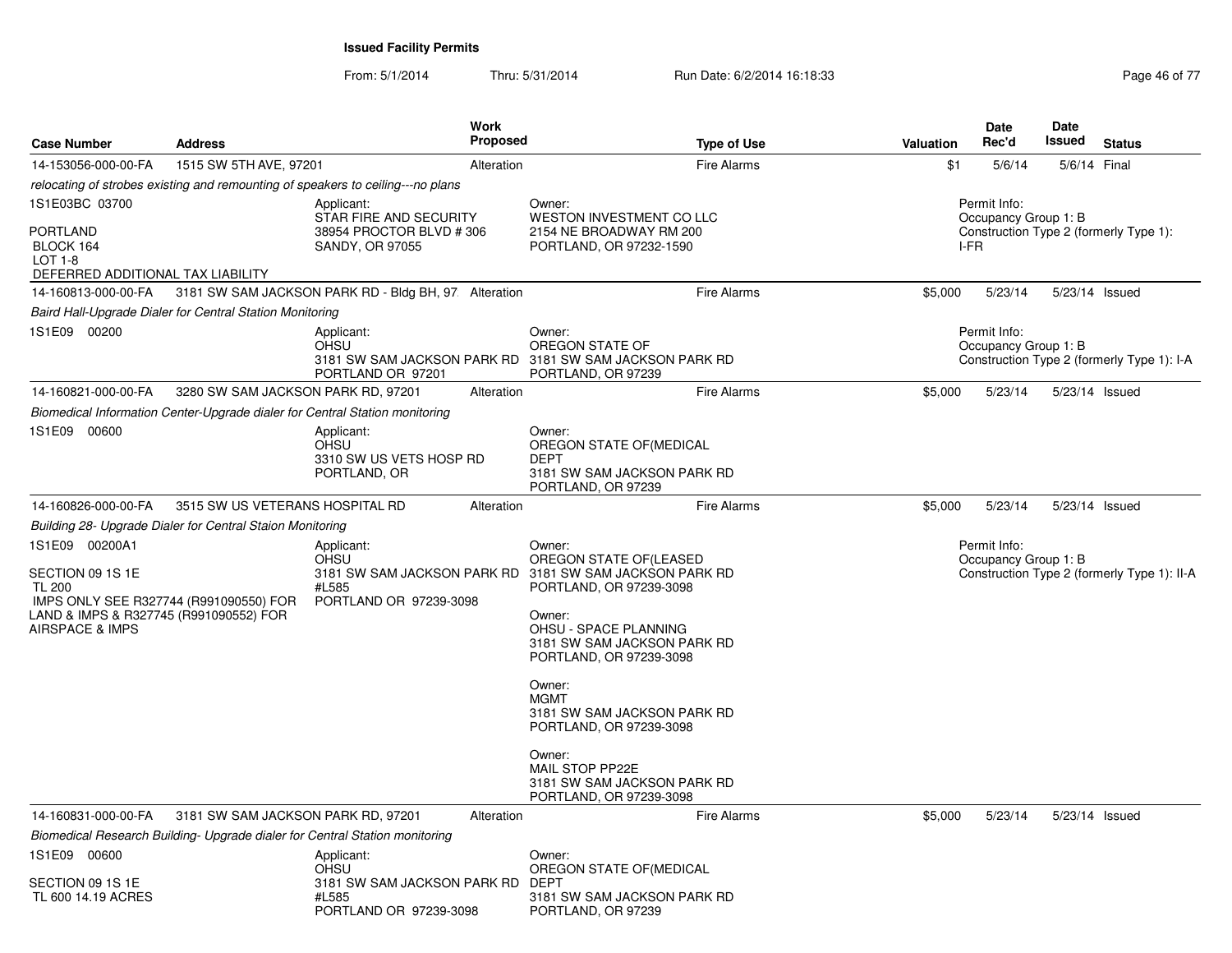| <b>Case Number</b>                                                                                                                                         | <b>Address</b>                                            | <b>Work</b><br><b>Proposed</b>                                                              | <b>Type of Use</b>                                                                                                                                                                                                                                                                                                                                                                                    | Valuation | <b>Date</b><br>Rec'd                                                                   | Date<br>Issued | <b>Status</b>                               |
|------------------------------------------------------------------------------------------------------------------------------------------------------------|-----------------------------------------------------------|---------------------------------------------------------------------------------------------|-------------------------------------------------------------------------------------------------------------------------------------------------------------------------------------------------------------------------------------------------------------------------------------------------------------------------------------------------------------------------------------------------------|-----------|----------------------------------------------------------------------------------------|----------------|---------------------------------------------|
| 14-153056-000-00-FA                                                                                                                                        | 1515 SW 5TH AVE, 97201                                    | Alteration                                                                                  | <b>Fire Alarms</b>                                                                                                                                                                                                                                                                                                                                                                                    | \$1       | 5/6/14                                                                                 | 5/6/14 Final   |                                             |
|                                                                                                                                                            |                                                           | relocating of strobes existing and remounting of speakers to ceiling---no plans             |                                                                                                                                                                                                                                                                                                                                                                                                       |           |                                                                                        |                |                                             |
| 1S1E03BC 03700<br><b>PORTLAND</b><br>BLOCK 164<br><b>LOT 1-8</b><br>DEFERRED ADDITIONAL TAX LIABILITY                                                      |                                                           | Applicant:<br>STAR FIRE AND SECURITY<br>38954 PROCTOR BLVD #306<br>SANDY, OR 97055          | Owner:<br>WESTON INVESTMENT CO LLC<br>2154 NE BROADWAY RM 200<br>PORTLAND, OR 97232-1590                                                                                                                                                                                                                                                                                                              |           | Permit Info:<br>Occupancy Group 1: B<br>Construction Type 2 (formerly Type 1):<br>I-FR |                |                                             |
| 14-160813-000-00-FA                                                                                                                                        |                                                           | 3181 SW SAM JACKSON PARK RD - Bldg BH, 97: Alteration                                       | <b>Fire Alarms</b>                                                                                                                                                                                                                                                                                                                                                                                    | \$5,000   | 5/23/14                                                                                |                | 5/23/14 Issued                              |
|                                                                                                                                                            | Baird Hall-Upgrade Dialer for Central Station Monitoring  |                                                                                             |                                                                                                                                                                                                                                                                                                                                                                                                       |           |                                                                                        |                |                                             |
| 1S1E09 00200                                                                                                                                               |                                                           | Applicant:<br><b>OHSU</b><br>PORTLAND OR 97201                                              | Owner:<br>OREGON STATE OF<br>3181 SW SAM JACKSON PARK RD 3181 SW SAM JACKSON PARK RD<br>PORTLAND, OR 97239                                                                                                                                                                                                                                                                                            |           | Permit Info:<br>Occupancy Group 1: B                                                   |                | Construction Type 2 (formerly Type 1): I-A  |
| 14-160821-000-00-FA                                                                                                                                        | 3280 SW SAM JACKSON PARK RD, 97201                        | Alteration                                                                                  | <b>Fire Alarms</b>                                                                                                                                                                                                                                                                                                                                                                                    | \$5,000   | 5/23/14                                                                                |                | 5/23/14 Issued                              |
|                                                                                                                                                            |                                                           | Biomedical Information Center-Upgrade dialer for Central Station monitoring                 |                                                                                                                                                                                                                                                                                                                                                                                                       |           |                                                                                        |                |                                             |
| 1S1E09 00600                                                                                                                                               |                                                           | Applicant:<br><b>OHSU</b><br>3310 SW US VETS HOSP RD<br>PORTLAND, OR                        | Owner:<br>OREGON STATE OF(MEDICAL<br><b>DEPT</b><br>3181 SW SAM JACKSON PARK RD<br>PORTLAND, OR 97239                                                                                                                                                                                                                                                                                                 |           |                                                                                        |                |                                             |
| 14-160826-000-00-FA                                                                                                                                        | 3515 SW US VETERANS HOSPITAL RD                           | Alteration                                                                                  | <b>Fire Alarms</b>                                                                                                                                                                                                                                                                                                                                                                                    | \$5,000   | 5/23/14                                                                                |                | 5/23/14 Issued                              |
|                                                                                                                                                            | Building 28- Upgrade Dialer for Central Staion Monitoring |                                                                                             |                                                                                                                                                                                                                                                                                                                                                                                                       |           |                                                                                        |                |                                             |
| 1S1E09 00200A1<br>SECTION 09 1S 1E<br><b>TL 200</b><br>IMPS ONLY SEE R327744 (R991090550) FOR<br>LAND & IMPS & R327745 (R991090552) FOR<br>AIRSPACE & IMPS |                                                           | Applicant:<br>OHSU<br>#L585<br>PORTLAND OR 97239-3098                                       | Owner:<br>OREGON STATE OF (LEASED<br>3181 SW SAM JACKSON PARK RD 3181 SW SAM JACKSON PARK RD<br>PORTLAND, OR 97239-3098<br>Owner:<br><b>OHSU - SPACE PLANNING</b><br>3181 SW SAM JACKSON PARK RD<br>PORTLAND, OR 97239-3098<br>Owner:<br><b>MGMT</b><br>3181 SW SAM JACKSON PARK RD<br>PORTLAND, OR 97239-3098<br>Owner:<br>MAIL STOP PP22E<br>3181 SW SAM JACKSON PARK RD<br>PORTLAND, OR 97239-3098 |           | Permit Info:<br>Occupancy Group 1: B                                                   |                | Construction Type 2 (formerly Type 1): II-A |
| 14-160831-000-00-FA                                                                                                                                        | 3181 SW SAM JACKSON PARK RD, 97201                        | Alteration                                                                                  | <b>Fire Alarms</b>                                                                                                                                                                                                                                                                                                                                                                                    | \$5,000   | 5/23/14                                                                                |                | 5/23/14 Issued                              |
|                                                                                                                                                            |                                                           | Biomedical Research Building- Upgrade dialer for Central Station monitoring                 |                                                                                                                                                                                                                                                                                                                                                                                                       |           |                                                                                        |                |                                             |
| 1S1E09 00600<br>SECTION 09 1S 1E<br>TL 600 14.19 ACRES                                                                                                     |                                                           | Applicant:<br><b>OHSU</b><br>3181 SW SAM JACKSON PARK RD<br>#L585<br>PORTLAND OR 97239-3098 | Owner:<br>OREGON STATE OF (MEDICAL<br>DEPT<br>3181 SW SAM JACKSON PARK RD<br>PORTLAND, OR 97239                                                                                                                                                                                                                                                                                                       |           |                                                                                        |                |                                             |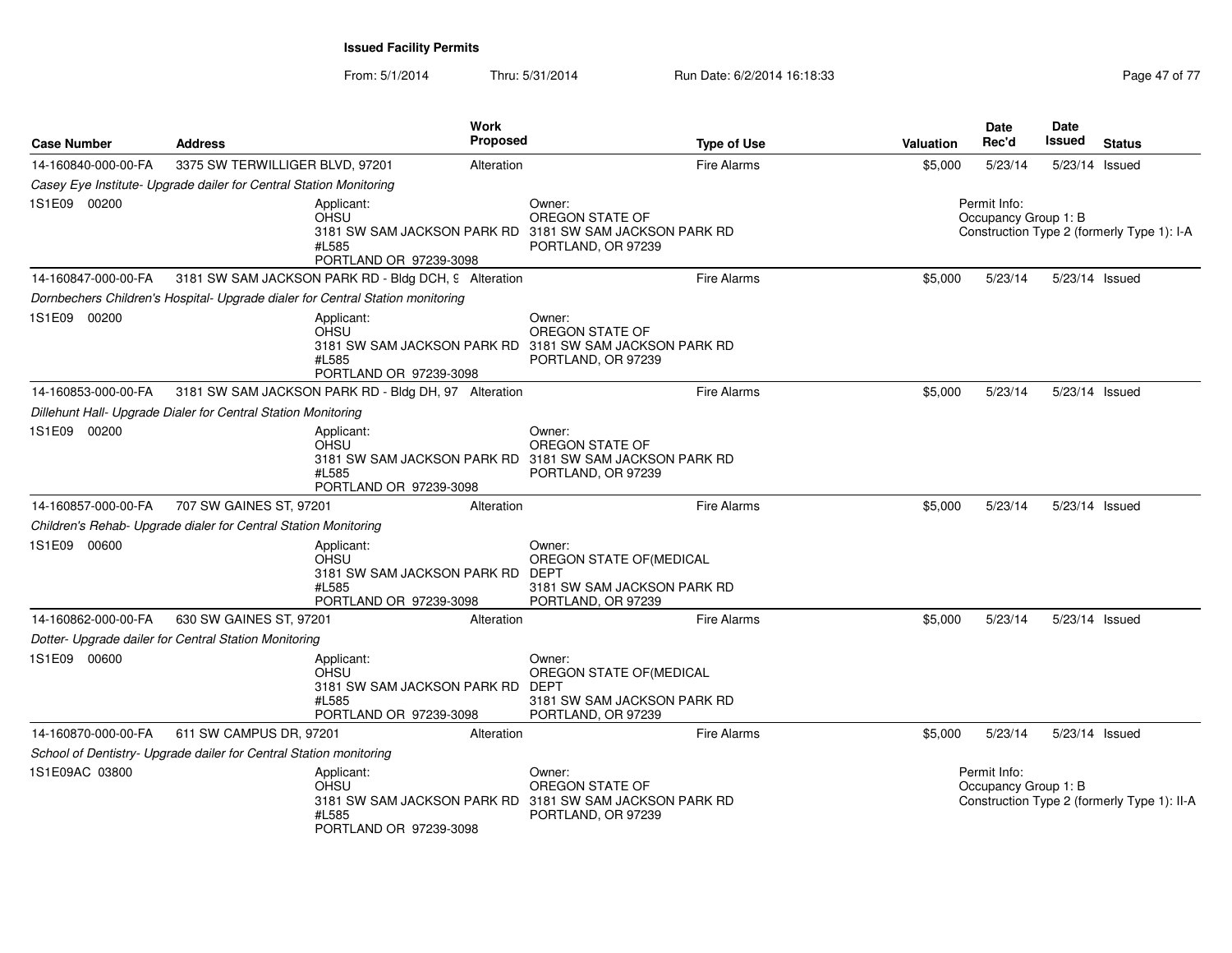| <b>Case Number</b>  | <b>Address</b>                                                     | Work                                                                                             | <b>Proposed</b> | <b>Type of Use</b>                                                                                         | Valuation | Date<br>Rec'd                        | Date<br>Issued | <b>Status</b>                               |
|---------------------|--------------------------------------------------------------------|--------------------------------------------------------------------------------------------------|-----------------|------------------------------------------------------------------------------------------------------------|-----------|--------------------------------------|----------------|---------------------------------------------|
| 14-160840-000-00-FA | 3375 SW TERWILLIGER BLVD, 97201                                    |                                                                                                  | Alteration      | Fire Alarms                                                                                                | \$5,000   | 5/23/14                              | 5/23/14 Issued |                                             |
|                     | Casey Eye Institute- Upgrade dailer for Central Station Monitoring |                                                                                                  |                 |                                                                                                            |           |                                      |                |                                             |
| 1S1E09 00200        |                                                                    | Applicant:<br><b>OHSU</b><br>#L585<br>PORTLAND OR 97239-3098                                     |                 | Owner:<br>OREGON STATE OF<br>3181 SW SAM JACKSON PARK RD 3181 SW SAM JACKSON PARK RD<br>PORTLAND, OR 97239 |           | Permit Info:<br>Occupancy Group 1: B |                | Construction Type 2 (formerly Type 1): I-A  |
| 14-160847-000-00-FA |                                                                    | 3181 SW SAM JACKSON PARK RD - Bldg DCH, 9 Alteration                                             |                 | <b>Fire Alarms</b>                                                                                         | \$5,000   | 5/23/14                              | 5/23/14 Issued |                                             |
|                     |                                                                    | Dornbechers Children's Hospital- Upgrade dialer for Central Station monitoring                   |                 |                                                                                                            |           |                                      |                |                                             |
| 1S1E09 00200        |                                                                    | Applicant:<br>OHSU<br>#L585<br>PORTLAND OR 97239-3098                                            |                 | Owner:<br>OREGON STATE OF<br>3181 SW SAM JACKSON PARK RD 3181 SW SAM JACKSON PARK RD<br>PORTLAND, OR 97239 |           |                                      |                |                                             |
| 14-160853-000-00-FA |                                                                    | 3181 SW SAM JACKSON PARK RD - Bldg DH, 97. Alteration                                            |                 | <b>Fire Alarms</b>                                                                                         | \$5,000   | 5/23/14                              | 5/23/14 Issued |                                             |
|                     | Dillehunt Hall- Upgrade Dialer for Central Station Monitoring      |                                                                                                  |                 |                                                                                                            |           |                                      |                |                                             |
| 1S1E09 00200        |                                                                    | Applicant:<br><b>OHSU</b><br>#L585<br>PORTLAND OR 97239-3098                                     |                 | Owner:<br>OREGON STATE OF<br>3181 SW SAM JACKSON PARK RD 3181 SW SAM JACKSON PARK RD<br>PORTLAND, OR 97239 |           |                                      |                |                                             |
| 14-160857-000-00-FA | 707 SW GAINES ST, 97201                                            |                                                                                                  | Alteration      | <b>Fire Alarms</b>                                                                                         | \$5,000   | 5/23/14                              | 5/23/14 Issued |                                             |
|                     | Children's Rehab- Upgrade dialer for Central Station Monitoring    |                                                                                                  |                 |                                                                                                            |           |                                      |                |                                             |
| 1S1E09 00600        |                                                                    | Applicant:<br>OHSU<br>3181 SW SAM JACKSON PARK RD DEPT<br>#L585<br>PORTLAND OR 97239-3098        |                 | Owner:<br>OREGON STATE OF (MEDICAL<br>3181 SW SAM JACKSON PARK RD<br>PORTLAND, OR 97239                    |           |                                      |                |                                             |
| 14-160862-000-00-FA | 630 SW GAINES ST, 97201                                            |                                                                                                  | Alteration      | <b>Fire Alarms</b>                                                                                         | \$5,000   | 5/23/14                              | 5/23/14 Issued |                                             |
|                     | Dotter- Upgrade dailer for Central Station Monitoring              |                                                                                                  |                 |                                                                                                            |           |                                      |                |                                             |
| 1S1E09 00600        |                                                                    | Applicant:<br><b>OHSU</b><br>3181 SW SAM JACKSON PARK RD DEPT<br>#L585<br>PORTLAND OR 97239-3098 |                 | Owner:<br>OREGON STATE OF(MEDICAL<br>3181 SW SAM JACKSON PARK RD<br>PORTLAND, OR 97239                     |           |                                      |                |                                             |
| 14-160870-000-00-FA | 611 SW CAMPUS DR, 97201                                            |                                                                                                  | Alteration      | <b>Fire Alarms</b>                                                                                         | \$5,000   | 5/23/14                              | 5/23/14 Issued |                                             |
|                     | School of Dentistry- Upgrade dailer for Central Station monitoring |                                                                                                  |                 |                                                                                                            |           |                                      |                |                                             |
| 1S1E09AC 03800      |                                                                    | Applicant:<br><b>OHSU</b><br>#L585<br>PORTLAND OR 97239-3098                                     |                 | Owner:<br>OREGON STATE OF<br>3181 SW SAM JACKSON PARK RD 3181 SW SAM JACKSON PARK RD<br>PORTLAND, OR 97239 |           | Permit Info:<br>Occupancy Group 1: B |                | Construction Type 2 (formerly Type 1): II-A |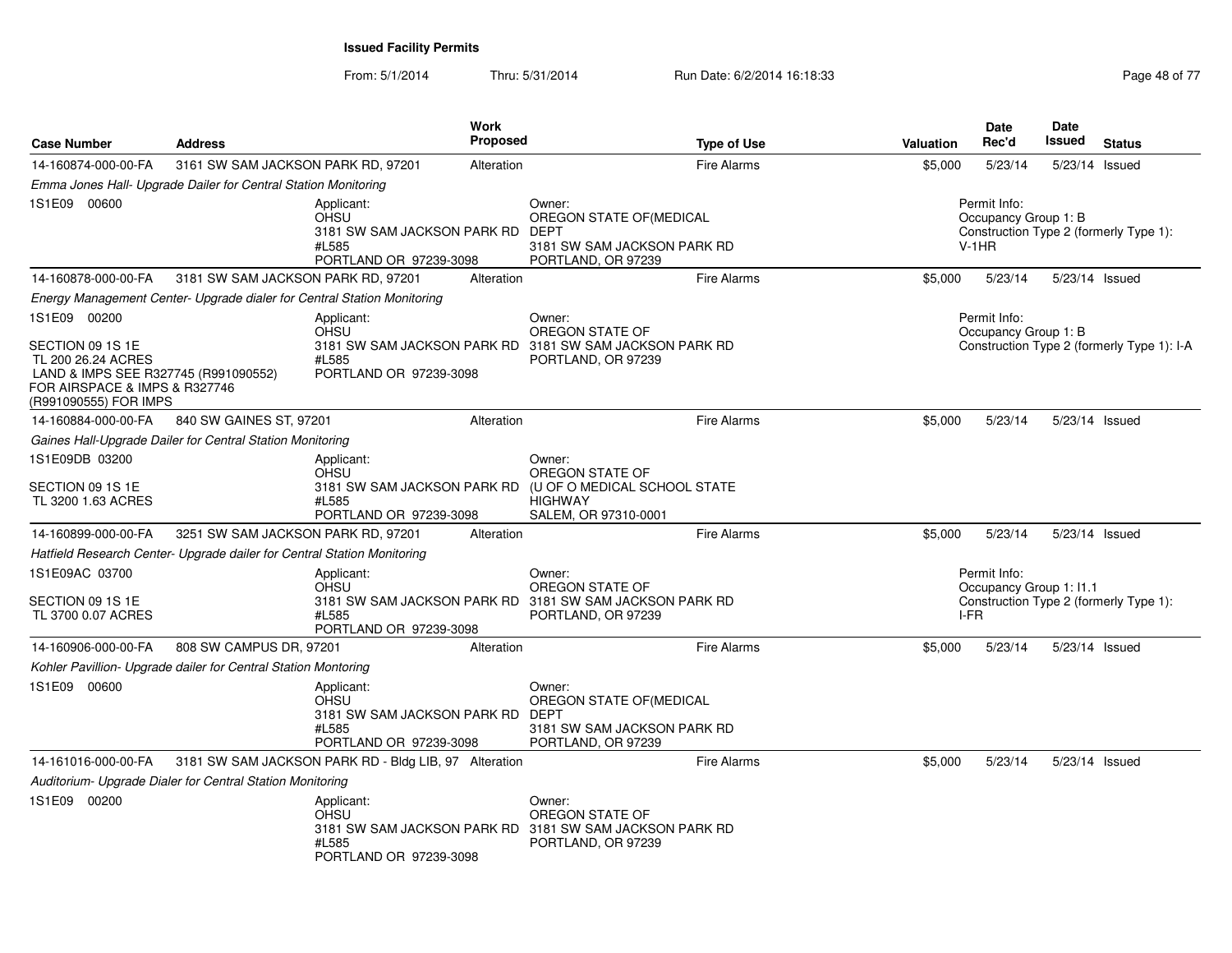| <b>Case Number</b>                                                                                                   | <b>Address</b>                                                          | Work<br><b>Proposed</b>                                                                                                 |                                                                                                 | <b>Type of Use</b> | Valuation | Date<br>Rec'd                                   | <b>Date</b><br>Issued | <b>Status</b>                              |
|----------------------------------------------------------------------------------------------------------------------|-------------------------------------------------------------------------|-------------------------------------------------------------------------------------------------------------------------|-------------------------------------------------------------------------------------------------|--------------------|-----------|-------------------------------------------------|-----------------------|--------------------------------------------|
| 14-160874-000-00-FA                                                                                                  | 3161 SW SAM JACKSON PARK RD, 97201                                      | Alteration                                                                                                              |                                                                                                 | <b>Fire Alarms</b> | \$5,000   | 5/23/14                                         | 5/23/14 Issued        |                                            |
|                                                                                                                      | Emma Jones Hall- Upgrade Dailer for Central Station Monitoring          |                                                                                                                         |                                                                                                 |                    |           |                                                 |                       |                                            |
| 1S1E09 00600                                                                                                         |                                                                         | Applicant:<br><b>OHSU</b><br>3181 SW SAM JACKSON PARK RD<br>#L585<br>PORTLAND OR 97239-3098                             | Owner:<br>OREGON STATE OF (MEDICAL<br>DEPT<br>3181 SW SAM JACKSON PARK RD<br>PORTLAND, OR 97239 |                    |           | Permit Info:<br>Occupancy Group 1: B<br>$V-1HR$ |                       | Construction Type 2 (formerly Type 1):     |
| 14-160878-000-00-FA                                                                                                  | 3181 SW SAM JACKSON PARK RD, 97201                                      | Alteration                                                                                                              |                                                                                                 | <b>Fire Alarms</b> | \$5,000   | 5/23/14                                         | 5/23/14 Issued        |                                            |
|                                                                                                                      | Energy Management Center- Upgrade dialer for Central Station Monitoring |                                                                                                                         |                                                                                                 |                    |           |                                                 |                       |                                            |
| 1S1E09 00200<br>SECTION 09 1S 1E                                                                                     |                                                                         | Applicant:<br><b>OHSU</b><br>3181 SW SAM JACKSON PARK RD 3181 SW SAM JACKSON PARK RD                                    | Owner:<br>OREGON STATE OF                                                                       |                    |           | Permit Info:<br>Occupancy Group 1: B            |                       | Construction Type 2 (formerly Type 1): I-A |
| TL 200 26.24 ACRES<br>LAND & IMPS SEE R327745 (R991090552)<br>FOR AIRSPACE & IMPS & R327746<br>(R991090555) FOR IMPS |                                                                         | #L585<br>PORTLAND OR 97239-3098                                                                                         | PORTLAND, OR 97239                                                                              |                    |           |                                                 |                       |                                            |
| 14-160884-000-00-FA                                                                                                  | 840 SW GAINES ST, 97201                                                 | Alteration                                                                                                              |                                                                                                 | <b>Fire Alarms</b> | \$5,000   | 5/23/14                                         | 5/23/14 Issued        |                                            |
|                                                                                                                      | Gaines Hall-Upgrade Dailer for Central Station Monitoring               |                                                                                                                         |                                                                                                 |                    |           |                                                 |                       |                                            |
| 1S1E09DB 03200                                                                                                       |                                                                         | Applicant:<br><b>OHSU</b>                                                                                               | Owner:<br>OREGON STATE OF                                                                       |                    |           |                                                 |                       |                                            |
| SECTION 09 1S 1E<br>TL 3200 1.63 ACRES                                                                               |                                                                         | 3181 SW SAM JACKSON PARK RD<br>#L585<br>PORTLAND OR 97239-3098                                                          | (U OF O MEDICAL SCHOOL STATE<br><b>HIGHWAY</b><br>SALEM, OR 97310-0001                          |                    |           |                                                 |                       |                                            |
| 14-160899-000-00-FA                                                                                                  | 3251 SW SAM JACKSON PARK RD, 97201                                      | Alteration                                                                                                              |                                                                                                 | <b>Fire Alarms</b> | \$5,000   | 5/23/14                                         | 5/23/14 Issued        |                                            |
|                                                                                                                      | Hatfield Research Center- Upgrade dailer for Central Station Monitoring |                                                                                                                         |                                                                                                 |                    |           |                                                 |                       |                                            |
| 1S1E09AC 03700                                                                                                       |                                                                         | Applicant:<br>OHSU                                                                                                      | Owner:<br>OREGON STATE OF                                                                       |                    |           | Permit Info:<br>Occupancy Group 1: 11.1         |                       |                                            |
| SECTION 09 1S 1E<br>TL 3700 0.07 ACRES                                                                               |                                                                         | 3181 SW SAM JACKSON PARK RD 3181 SW SAM JACKSON PARK RD<br>#L585<br>PORTLAND OR 97239-3098                              | PORTLAND, OR 97239                                                                              |                    | I-FR      |                                                 |                       | Construction Type 2 (formerly Type 1):     |
| 14-160906-000-00-FA                                                                                                  | 808 SW CAMPUS DR, 97201                                                 | Alteration                                                                                                              |                                                                                                 | <b>Fire Alarms</b> | \$5,000   | 5/23/14                                         | 5/23/14 Issued        |                                            |
|                                                                                                                      | Kohler Pavillion- Upgrade dailer for Central Station Montoring          |                                                                                                                         |                                                                                                 |                    |           |                                                 |                       |                                            |
| 1S1E09 00600                                                                                                         |                                                                         | Applicant:<br><b>OHSU</b><br>3181 SW SAM JACKSON PARK RD DEPT<br>#L585<br>PORTLAND OR 97239-3098                        | Owner:<br>OREGON STATE OF (MEDICAL<br>3181 SW SAM JACKSON PARK RD<br>PORTLAND, OR 97239         |                    |           |                                                 |                       |                                            |
| 14-161016-000-00-FA                                                                                                  |                                                                         | 3181 SW SAM JACKSON PARK RD - Bldg LIB, 97 Alteration                                                                   |                                                                                                 | <b>Fire Alarms</b> | \$5,000   | 5/23/14                                         | 5/23/14 Issued        |                                            |
|                                                                                                                      | Auditorium- Upgrade Dialer for Central Station Monitoring               |                                                                                                                         |                                                                                                 |                    |           |                                                 |                       |                                            |
| 1S1E09 00200                                                                                                         |                                                                         | Applicant:<br><b>OHSU</b><br>3181 SW SAM JACKSON PARK RD 3181 SW SAM JACKSON PARK RD<br>#L585<br>PORTLAND OR 97239-3098 | Owner:<br>OREGON STATE OF<br>PORTLAND, OR 97239                                                 |                    |           |                                                 |                       |                                            |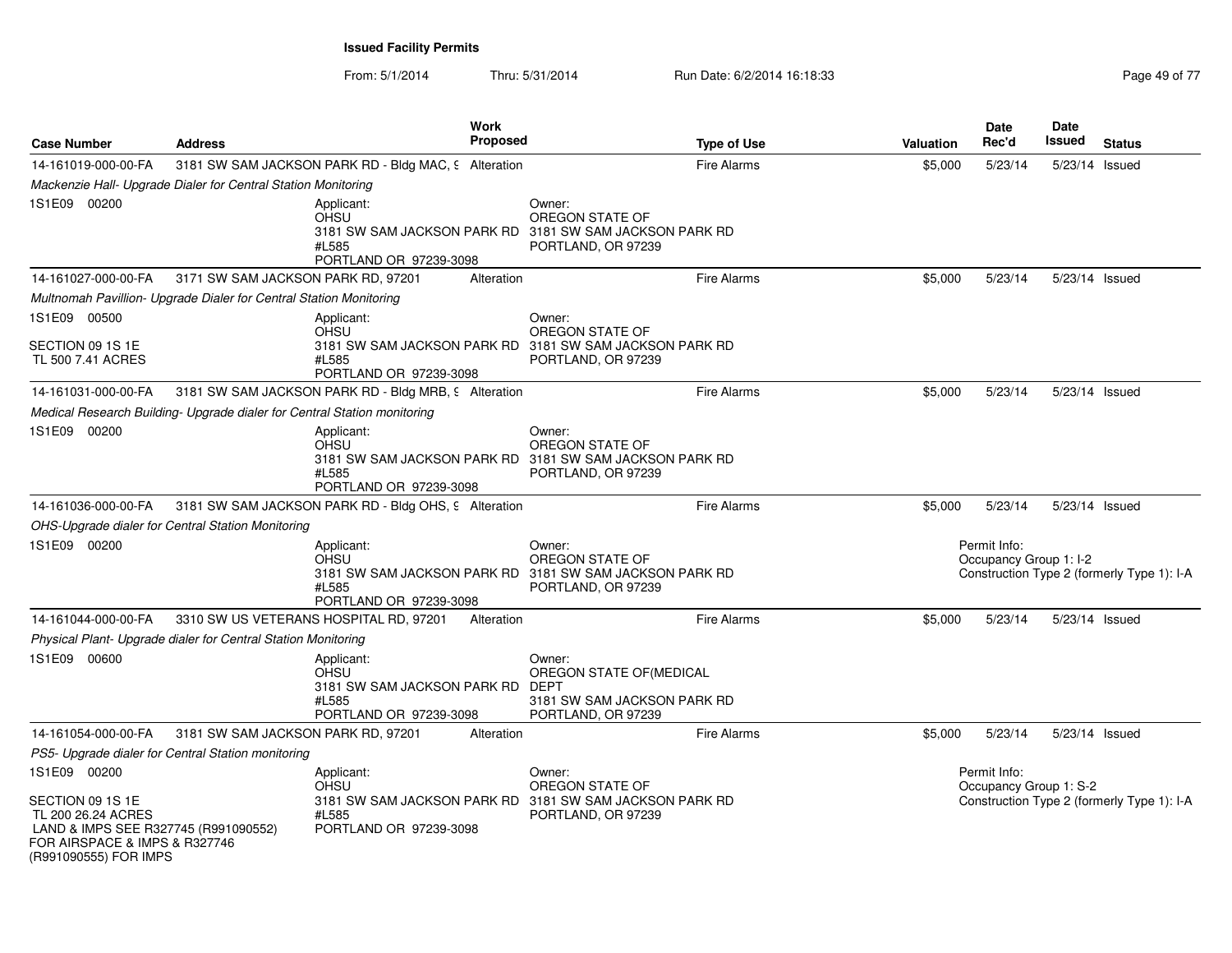| <b>Case Number</b>                                                                                                                                       | <b>Address</b>                     | Work<br><b>Proposed</b>                                                                     | <b>Type of Use</b>                                                                                         | Valuation | <b>Date</b><br>Rec'd                   | Date<br>Issued | <b>Status</b>                              |
|----------------------------------------------------------------------------------------------------------------------------------------------------------|------------------------------------|---------------------------------------------------------------------------------------------|------------------------------------------------------------------------------------------------------------|-----------|----------------------------------------|----------------|--------------------------------------------|
| 14-161019-000-00-FA                                                                                                                                      |                                    | 3181 SW SAM JACKSON PARK RD - Bldg MAC, 9 Alteration                                        | <b>Fire Alarms</b>                                                                                         | \$5,000   | 5/23/14                                | 5/23/14 Issued |                                            |
| Mackenzie Hall- Upgrade Dialer for Central Station Monitoring                                                                                            |                                    |                                                                                             |                                                                                                            |           |                                        |                |                                            |
| 1S1E09 00200                                                                                                                                             |                                    | Applicant:<br><b>OHSU</b><br>#L585<br>PORTLAND OR 97239-3098                                | Owner:<br>OREGON STATE OF<br>3181 SW SAM JACKSON PARK RD 3181 SW SAM JACKSON PARK RD<br>PORTLAND, OR 97239 |           |                                        |                |                                            |
| 14-161027-000-00-FA                                                                                                                                      | 3171 SW SAM JACKSON PARK RD, 97201 | Alteration                                                                                  | <b>Fire Alarms</b>                                                                                         | \$5,000   | 5/23/14                                | 5/23/14 Issued |                                            |
| Multnomah Pavillion- Upgrade Dialer for Central Station Monitoring                                                                                       |                                    |                                                                                             |                                                                                                            |           |                                        |                |                                            |
| 1S1E09 00500                                                                                                                                             |                                    | Applicant:<br><b>OHSU</b>                                                                   | Owner:<br>OREGON STATE OF                                                                                  |           |                                        |                |                                            |
| SECTION 09 1S 1E<br>TL 500 7.41 ACRES                                                                                                                    |                                    | #L585<br>PORTLAND OR 97239-3098                                                             | 3181 SW SAM JACKSON PARK RD 3181 SW SAM JACKSON PARK RD<br>PORTLAND, OR 97239                              |           |                                        |                |                                            |
| 14-161031-000-00-FA                                                                                                                                      |                                    | 3181 SW SAM JACKSON PARK RD - Bldg MRB, 9 Alteration                                        | <b>Fire Alarms</b>                                                                                         | \$5,000   | 5/23/14                                | 5/23/14 Issued |                                            |
| Medical Research Building- Upgrade dialer for Central Station monitoring                                                                                 |                                    |                                                                                             |                                                                                                            |           |                                        |                |                                            |
| 1S1E09 00200                                                                                                                                             |                                    | Applicant:<br>OHSU<br>#L585<br>PORTLAND OR 97239-3098                                       | Owner:<br>OREGON STATE OF<br>3181 SW SAM JACKSON PARK RD 3181 SW SAM JACKSON PARK RD<br>PORTLAND, OR 97239 |           |                                        |                |                                            |
| 14-161036-000-00-FA                                                                                                                                      |                                    | 3181 SW SAM JACKSON PARK RD - Bldg OHS, 9 Alteration                                        | <b>Fire Alarms</b>                                                                                         | \$5,000   | 5/23/14                                | 5/23/14 Issued |                                            |
| OHS-Upgrade dialer for Central Station Monitoring                                                                                                        |                                    |                                                                                             |                                                                                                            |           |                                        |                |                                            |
| 1S1E09 00200                                                                                                                                             |                                    | Applicant:<br><b>OHSU</b><br>#L585<br>PORTLAND OR 97239-3098                                | Owner:<br>OREGON STATE OF<br>3181 SW SAM JACKSON PARK RD 3181 SW SAM JACKSON PARK RD<br>PORTLAND, OR 97239 |           | Permit Info:<br>Occupancy Group 1: I-2 |                | Construction Type 2 (formerly Type 1): I-A |
| 14-161044-000-00-FA                                                                                                                                      |                                    | 3310 SW US VETERANS HOSPITAL RD, 97201<br>Alteration                                        | <b>Fire Alarms</b>                                                                                         | \$5,000   | 5/23/14                                | 5/23/14 Issued |                                            |
| Physical Plant- Upgrade dialer for Central Station Monitoring                                                                                            |                                    |                                                                                             |                                                                                                            |           |                                        |                |                                            |
| 1S1E09 00600                                                                                                                                             |                                    | Applicant:<br><b>OHSU</b><br>3181 SW SAM JACKSON PARK RD<br>#L585<br>PORTLAND OR 97239-3098 | Owner:<br>OREGON STATE OF(MEDICAL<br>DEPT<br>3181 SW SAM JACKSON PARK RD<br>PORTLAND, OR 97239             |           |                                        |                |                                            |
| 14-161054-000-00-FA                                                                                                                                      | 3181 SW SAM JACKSON PARK RD, 97201 | Alteration                                                                                  | <b>Fire Alarms</b>                                                                                         | \$5,000   | 5/23/14                                | 5/23/14 Issued |                                            |
| PS5- Upgrade dialer for Central Station monitoring                                                                                                       |                                    |                                                                                             |                                                                                                            |           |                                        |                |                                            |
| 1S1E09 00200<br>SECTION 09 1S 1E<br>TL 200 26.24 ACRES<br>LAND & IMPS SEE R327745 (R991090552)<br>FOR AIRSPACE & IMPS & R327746<br>(R991090555) FOR IMPS |                                    | Applicant:<br><b>OHSU</b><br>#L585<br>PORTLAND OR 97239-3098                                | Owner:<br>OREGON STATE OF<br>3181 SW SAM JACKSON PARK RD 3181 SW SAM JACKSON PARK RD<br>PORTLAND, OR 97239 |           | Permit Info:<br>Occupancy Group 1: S-2 |                | Construction Type 2 (formerly Type 1): I-A |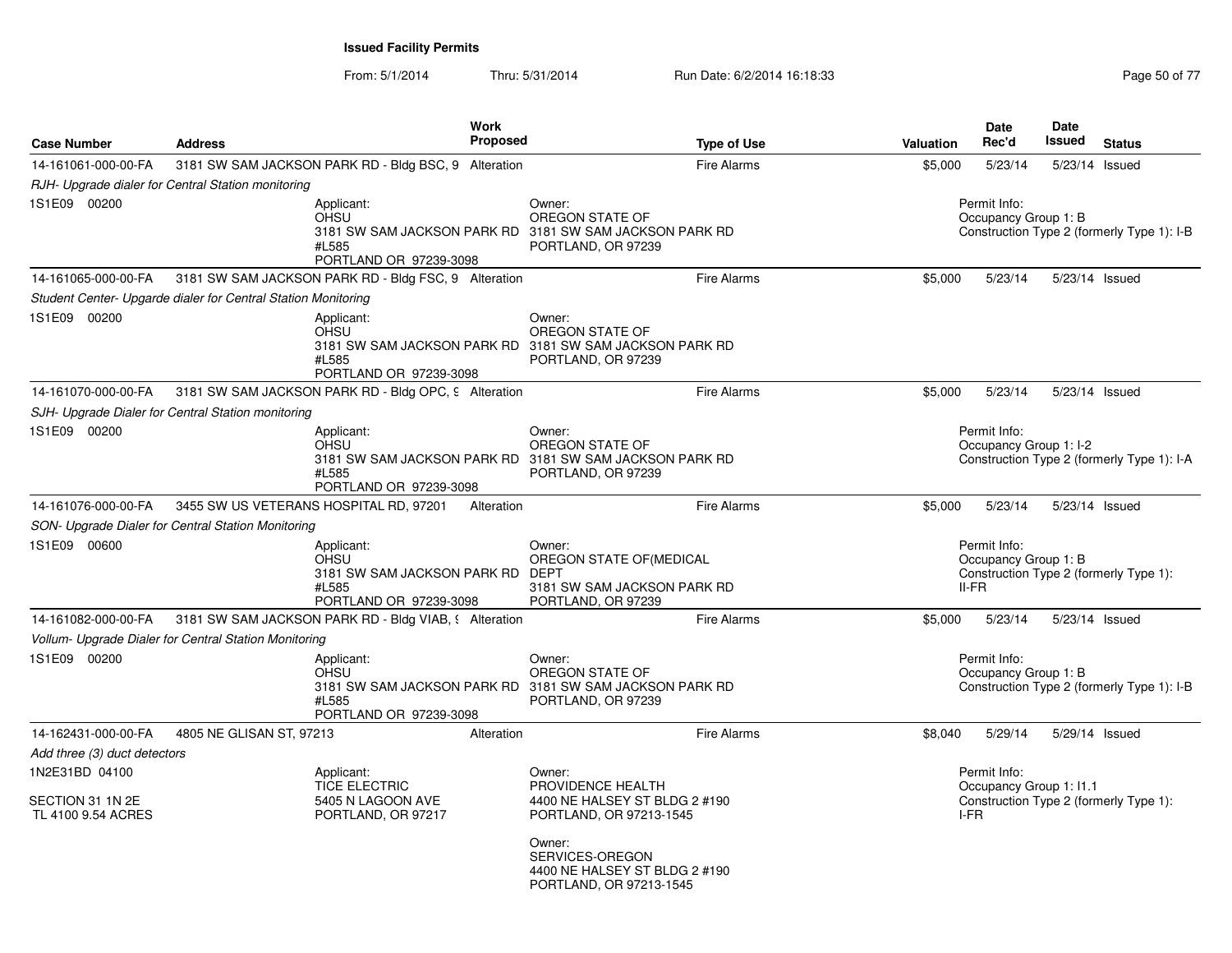From: 5/1/2014Thru: 5/31/2014 Run Date: 6/2/2014 16:18:33 Research 2010 17 Page 50 of 77

| <b>Case Number</b>                                       | <b>Address</b>                                                | Work<br><b>Proposed</b>                                                                                                 |                                                                                                                      | <b>Type of Use</b> | Valuation | <b>Date</b><br>Rec'd                            | Date<br>Issued | <b>Status</b>                              |
|----------------------------------------------------------|---------------------------------------------------------------|-------------------------------------------------------------------------------------------------------------------------|----------------------------------------------------------------------------------------------------------------------|--------------------|-----------|-------------------------------------------------|----------------|--------------------------------------------|
| 14-161061-000-00-FA                                      |                                                               | 3181 SW SAM JACKSON PARK RD - Bldg BSC, 9 Alteration                                                                    |                                                                                                                      | Fire Alarms        | \$5,000   | 5/23/14                                         |                | 5/23/14 Issued                             |
|                                                          | RJH- Upgrade dialer for Central Station monitoring            |                                                                                                                         |                                                                                                                      |                    |           |                                                 |                |                                            |
| 1S1E09 00200                                             |                                                               | Applicant:<br>OHSU<br>3181 SW SAM JACKSON PARK RD 3181 SW SAM JACKSON PARK RD<br>#L585<br>PORTLAND OR 97239-3098        | Owner:<br>OREGON STATE OF<br>PORTLAND, OR 97239                                                                      |                    |           | Permit Info:<br>Occupancy Group 1: B            |                | Construction Type 2 (formerly Type 1): I-B |
| 14-161065-000-00-FA                                      |                                                               | 3181 SW SAM JACKSON PARK RD - Bldg FSC, 9 Alteration                                                                    |                                                                                                                      | Fire Alarms        | \$5,000   | 5/23/14                                         |                | 5/23/14 Issued                             |
|                                                          | Student Center- Upgarde dialer for Central Station Monitoring |                                                                                                                         |                                                                                                                      |                    |           |                                                 |                |                                            |
| 1S1E09 00200                                             |                                                               | Applicant:<br>OHSU<br>3181 SW SAM JACKSON PARK RD 3181 SW SAM JACKSON PARK RD<br>#L585<br>PORTLAND OR 97239-3098        | Owner:<br>OREGON STATE OF<br>PORTLAND, OR 97239                                                                      |                    |           |                                                 |                |                                            |
| 14-161070-000-00-FA                                      |                                                               | 3181 SW SAM JACKSON PARK RD - Bldg OPC, 9 Alteration                                                                    |                                                                                                                      | <b>Fire Alarms</b> | \$5,000   | 5/23/14                                         |                | 5/23/14 Issued                             |
|                                                          | SJH- Upgrade Dialer for Central Station monitoring            |                                                                                                                         |                                                                                                                      |                    |           |                                                 |                |                                            |
| 1S1E09 00200                                             |                                                               | Applicant:<br><b>OHSU</b><br>3181 SW SAM JACKSON PARK RD 3181 SW SAM JACKSON PARK RD<br>#L585<br>PORTLAND OR 97239-3098 | Owner:<br>OREGON STATE OF<br>PORTLAND, OR 97239                                                                      |                    |           | Permit Info:<br>Occupancy Group 1: I-2          |                | Construction Type 2 (formerly Type 1): I-A |
| 14-161076-000-00-FA                                      |                                                               | 3455 SW US VETERANS HOSPITAL RD, 97201<br>Alteration                                                                    |                                                                                                                      | Fire Alarms        | \$5,000   | 5/23/14                                         |                | 5/23/14 Issued                             |
|                                                          | SON- Upgrade Dialer for Central Station Monitoring            |                                                                                                                         |                                                                                                                      |                    |           |                                                 |                |                                            |
| 1S1E09 00600                                             |                                                               | Applicant:<br>OHSU<br>3181 SW SAM JACKSON PARK RD<br>#L585<br>PORTLAND OR 97239-3098                                    | Owner:<br>OREGON STATE OF (MEDICAL<br><b>DEPT</b><br>3181 SW SAM JACKSON PARK RD<br>PORTLAND, OR 97239               |                    |           | Permit Info:<br>Occupancy Group 1: B<br>$II-FR$ |                | Construction Type 2 (formerly Type 1):     |
| 14-161082-000-00-FA                                      |                                                               | 3181 SW SAM JACKSON PARK RD - Bldg VIAB, § Alteration                                                                   |                                                                                                                      | Fire Alarms        | \$5,000   | 5/23/14                                         |                | 5/23/14 Issued                             |
|                                                          | Vollum- Upgrade Dialer for Central Station Monitoring         |                                                                                                                         |                                                                                                                      |                    |           |                                                 |                |                                            |
| 1S1E09 00200                                             |                                                               | Applicant:<br><b>OHSU</b><br>3181 SW SAM JACKSON PARK RD 3181 SW SAM JACKSON PARK RD<br>#L585<br>PORTLAND OR 97239-3098 | Owner:<br>OREGON STATE OF<br>PORTLAND, OR 97239                                                                      |                    |           | Permit Info:<br>Occupancy Group 1: B            |                | Construction Type 2 (formerly Type 1): I-B |
| 14-162431-000-00-FA                                      | 4805 NE GLISAN ST, 97213                                      | Alteration                                                                                                              |                                                                                                                      | Fire Alarms        | \$8,040   | 5/29/14                                         |                | 5/29/14 Issued                             |
| Add three (3) duct detectors                             |                                                               |                                                                                                                         |                                                                                                                      |                    |           |                                                 |                |                                            |
| 1N2E31BD 04100<br>SECTION 31 1N 2E<br>TL 4100 9.54 ACRES |                                                               | Applicant:<br><b>TICE ELECTRIC</b><br>5405 N LAGOON AVE<br>PORTLAND, OR 97217                                           | Owner:<br>PROVIDENCE HEALTH<br>4400 NE HALSEY ST BLDG 2 #190<br>PORTLAND, OR 97213-1545<br>Owner:<br>SERVICES-OREGON |                    | I-FR      | Permit Info:<br>Occupancy Group 1: I1.1         |                | Construction Type 2 (formerly Type 1):     |
|                                                          |                                                               |                                                                                                                         | 4400 NF HAI SFY ST BLDG 2 #190                                                                                       |                    |           |                                                 |                |                                            |

PORTLAND, OR 97213-1545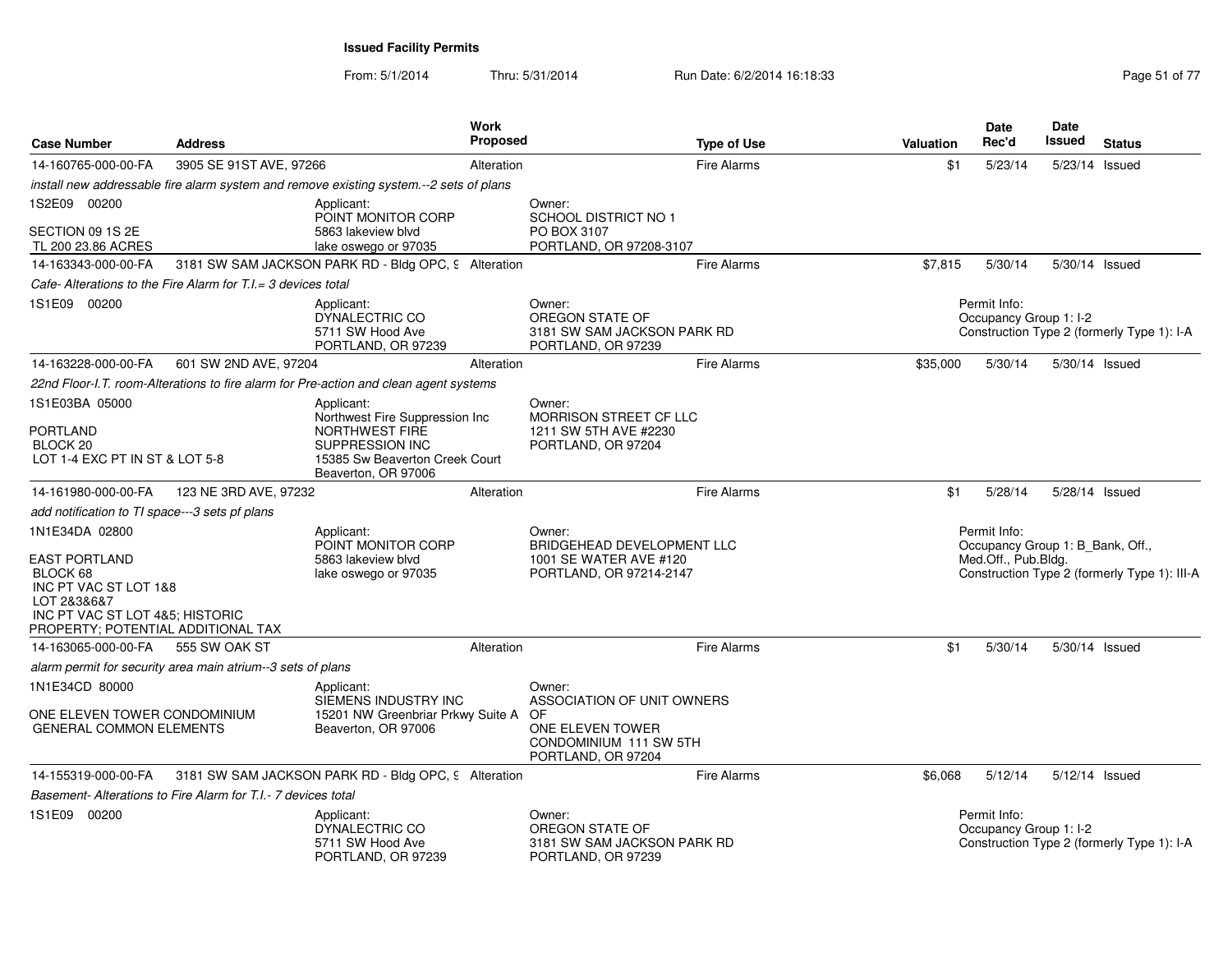| <b>Case Number</b>                                                                   | <b>Address</b>                                                 | <b>Work</b><br>Proposed                                                                    |                                                                                           | <b>Type of Use</b> | <b>Valuation</b> | Date<br>Rec'd                                                           | <b>Date</b><br>Issued | <b>Status</b>                                |
|--------------------------------------------------------------------------------------|----------------------------------------------------------------|--------------------------------------------------------------------------------------------|-------------------------------------------------------------------------------------------|--------------------|------------------|-------------------------------------------------------------------------|-----------------------|----------------------------------------------|
| 14-160765-000-00-FA                                                                  | 3905 SE 91ST AVE, 97266                                        | Alteration                                                                                 |                                                                                           | <b>Fire Alarms</b> | \$1              | 5/23/14                                                                 | 5/23/14 Issued        |                                              |
|                                                                                      |                                                                | install new addressable fire alarm system and remove existing system.--2 sets of plans     |                                                                                           |                    |                  |                                                                         |                       |                                              |
| 1S2E09 00200                                                                         |                                                                | Applicant:                                                                                 | Owner:                                                                                    |                    |                  |                                                                         |                       |                                              |
| SECTION 09 1S 2E<br>TL 200 23.86 ACRES                                               |                                                                | POINT MONITOR CORP<br>5863 lakeview blvd<br>lake oswego or 97035                           | SCHOOL DISTRICT NO 1<br>PO BOX 3107<br>PORTLAND, OR 97208-3107                            |                    |                  |                                                                         |                       |                                              |
| 14-163343-000-00-FA                                                                  |                                                                | 3181 SW SAM JACKSON PARK RD - Bldg OPC, 9 Alteration                                       |                                                                                           | <b>Fire Alarms</b> | \$7,815          | 5/30/14                                                                 |                       | 5/30/14 Issued                               |
|                                                                                      | Cafe- Alterations to the Fire Alarm for T.I. = 3 devices total |                                                                                            |                                                                                           |                    |                  |                                                                         |                       |                                              |
| 1S1E09 00200                                                                         |                                                                | Applicant:<br>DYNALECTRIC CO<br>5711 SW Hood Ave<br>PORTLAND, OR 97239                     | Owner:<br>OREGON STATE OF<br>3181 SW SAM JACKSON PARK RD<br>PORTLAND, OR 97239            |                    |                  | Permit Info:<br>Occupancy Group 1: I-2                                  |                       | Construction Type 2 (formerly Type 1): I-A   |
| 14-163228-000-00-FA                                                                  | 601 SW 2ND AVE, 97204                                          | Alteration                                                                                 |                                                                                           | <b>Fire Alarms</b> | \$35,000         | 5/30/14                                                                 |                       | 5/30/14 Issued                               |
|                                                                                      |                                                                | 22nd Floor-I.T. room-Alterations to fire alarm for Pre-action and clean agent systems      |                                                                                           |                    |                  |                                                                         |                       |                                              |
| 1S1E03BA 05000                                                                       |                                                                | Applicant:<br>Northwest Fire Suppression Inc                                               | Owner:<br>MORRISON STREET CF LLC                                                          |                    |                  |                                                                         |                       |                                              |
| <b>PORTLAND</b><br>BLOCK <sub>20</sub><br>LOT 1-4 EXC PT IN ST & LOT 5-8             |                                                                | NORTHWEST FIRE<br>SUPPRESSION INC<br>15385 Sw Beaverton Creek Court<br>Beaverton, OR 97006 | 1211 SW 5TH AVE #2230<br>PORTLAND, OR 97204                                               |                    |                  |                                                                         |                       |                                              |
| 14-161980-000-00-FA                                                                  | 123 NE 3RD AVE, 97232                                          | Alteration                                                                                 |                                                                                           | <b>Fire Alarms</b> | \$1              | 5/28/14                                                                 | 5/28/14 Issued        |                                              |
| add notification to TI space---3 sets pf plans                                       |                                                                |                                                                                            |                                                                                           |                    |                  |                                                                         |                       |                                              |
| 1N1E34DA 02800<br><b>EAST PORTLAND</b><br>BLOCK 68<br>INC PT VAC ST LOT 1&8          |                                                                | Applicant:<br>POINT MONITOR CORP<br>5863 lakeview blyd<br>lake oswego or 97035             | Owner:<br>BRIDGEHEAD DEVELOPMENT LLC<br>1001 SE WATER AVE #120<br>PORTLAND, OR 97214-2147 |                    |                  | Permit Info:<br>Occupancy Group 1: B_Bank, Off.,<br>Med.Off., Pub.Bldg. |                       | Construction Type 2 (formerly Type 1): III-A |
| LOT 2&3&6&7<br>INC PT VAC ST LOT 4&5; HISTORIC<br>PROPERTY; POTENTIAL ADDITIONAL TAX |                                                                |                                                                                            |                                                                                           |                    |                  |                                                                         |                       |                                              |
| 14-163065-000-00-FA                                                                  | 555 SW OAK ST                                                  | Alteration                                                                                 |                                                                                           | <b>Fire Alarms</b> | \$1              | 5/30/14                                                                 | 5/30/14 Issued        |                                              |
|                                                                                      | alarm permit for security area main atrium--3 sets of plans    |                                                                                            |                                                                                           |                    |                  |                                                                         |                       |                                              |
| 1N1E34CD 80000                                                                       |                                                                | Applicant:<br>SIEMENS INDUSTRY INC                                                         | Owner:<br>ASSOCIATION OF UNIT OWNERS                                                      |                    |                  |                                                                         |                       |                                              |
| ONE ELEVEN TOWER CONDOMINIUM<br><b>GENERAL COMMON ELEMENTS</b>                       |                                                                | 15201 NW Greenbriar Prkwy Suite A<br>Beaverton, OR 97006                                   | OF<br>ONE ELEVEN TOWER<br>CONDOMINIUM 111 SW 5TH<br>PORTLAND, OR 97204                    |                    |                  |                                                                         |                       |                                              |
| 14-155319-000-00-FA                                                                  |                                                                | 3181 SW SAM JACKSON PARK RD - Bldg OPC, 9 Alteration                                       |                                                                                           | <b>Fire Alarms</b> | \$6,068          | 5/12/14                                                                 | 5/12/14 Issued        |                                              |
|                                                                                      | Basement-Alterations to Fire Alarm for T.I.- 7 devices total   |                                                                                            |                                                                                           |                    |                  |                                                                         |                       |                                              |
| 1S1E09 00200                                                                         |                                                                | Applicant:<br>DYNALECTRIC CO<br>5711 SW Hood Ave<br>PORTLAND, OR 97239                     | Owner:<br>OREGON STATE OF<br>3181 SW SAM JACKSON PARK RD<br>PORTLAND, OR 97239            |                    |                  | Permit Info:<br>Occupancy Group 1: I-2                                  |                       | Construction Type 2 (formerly Type 1): I-A   |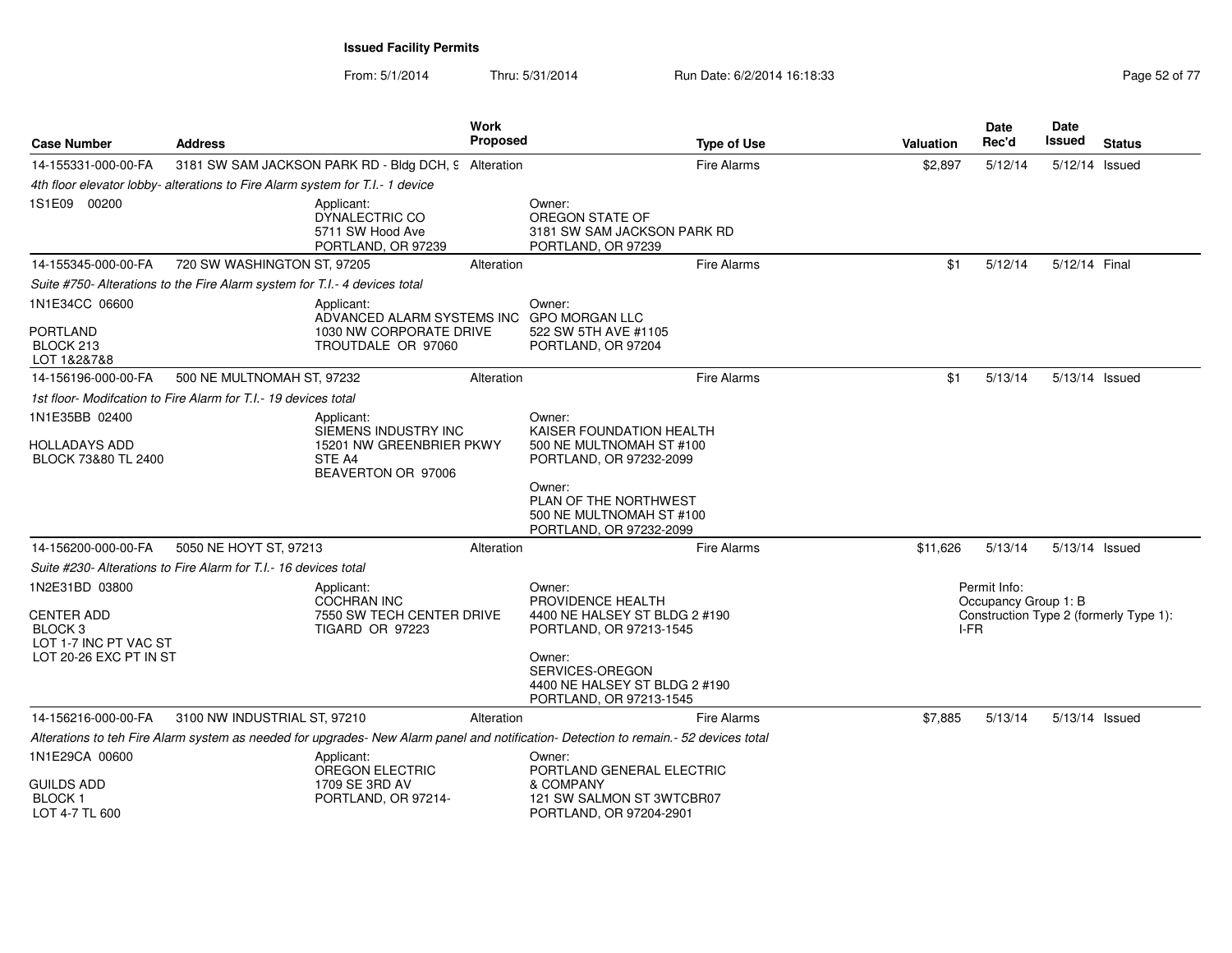| <b>Case Number</b>                                               | <b>Address</b>                                                                |                                                                                  | Work<br><b>Proposed</b> |                                                                                                                                       | <b>Type of Use</b> | <b>Valuation</b> |              | Date<br>Rec'd        | Date<br>Issued | <b>Status</b>                          |
|------------------------------------------------------------------|-------------------------------------------------------------------------------|----------------------------------------------------------------------------------|-------------------------|---------------------------------------------------------------------------------------------------------------------------------------|--------------------|------------------|--------------|----------------------|----------------|----------------------------------------|
| 14-155331-000-00-FA                                              |                                                                               | 3181 SW SAM JACKSON PARK RD - Bldg DCH, 9 Alteration                             |                         |                                                                                                                                       | <b>Fire Alarms</b> | \$2,897          |              | 5/12/14              | 5/12/14 Issued |                                        |
|                                                                  | 4th floor elevator lobby- alterations to Fire Alarm system for T.I.- 1 device |                                                                                  |                         |                                                                                                                                       |                    |                  |              |                      |                |                                        |
| 1S1E09 00200                                                     |                                                                               | Applicant:<br>DYNALECTRIC CO<br>5711 SW Hood Ave<br>PORTLAND, OR 97239           |                         | Owner:<br>OREGON STATE OF<br>3181 SW SAM JACKSON PARK RD<br>PORTLAND, OR 97239                                                        |                    |                  |              |                      |                |                                        |
| 14-155345-000-00-FA                                              | 720 SW WASHINGTON ST, 97205                                                   |                                                                                  | Alteration              |                                                                                                                                       | <b>Fire Alarms</b> |                  | \$1          | 5/12/14              | 5/12/14 Final  |                                        |
|                                                                  | Suite #750- Alterations to the Fire Alarm system for T.I.- 4 devices total    |                                                                                  |                         |                                                                                                                                       |                    |                  |              |                      |                |                                        |
| 1N1E34CC 06600                                                   |                                                                               | Applicant:<br>ADVANCED ALARM SYSTEMS INC                                         |                         | Owner:<br><b>GPO MORGAN LLC</b>                                                                                                       |                    |                  |              |                      |                |                                        |
| <b>PORTLAND</b><br>BLOCK 213<br>LOT 1&2&7&8                      |                                                                               | 1030 NW CORPORATE DRIVE<br>TROUTDALE OR 97060                                    |                         | 522 SW 5TH AVE #1105<br>PORTLAND, OR 97204                                                                                            |                    |                  |              |                      |                |                                        |
| 14-156196-000-00-FA                                              | 500 NE MULTNOMAH ST, 97232                                                    |                                                                                  | Alteration              |                                                                                                                                       | Fire Alarms        |                  | \$1          | 5/13/14              | 5/13/14 Issued |                                        |
|                                                                  | 1st floor- Modifcation to Fire Alarm for T.I.- 19 devices total               |                                                                                  |                         |                                                                                                                                       |                    |                  |              |                      |                |                                        |
| 1N1E35BB 02400                                                   |                                                                               | Applicant:                                                                       |                         | Owner:                                                                                                                                |                    |                  |              |                      |                |                                        |
| HOLLADAYS ADD<br>BLOCK 73&80 TL 2400                             |                                                                               | SIEMENS INDUSTRY INC<br>15201 NW GREENBRIER PKWY<br>STE A4<br>BEAVERTON OR 97006 |                         | KAISER FOUNDATION HEALTH<br>500 NE MULTNOMAH ST #100<br>PORTLAND, OR 97232-2099                                                       |                    |                  |              |                      |                |                                        |
|                                                                  |                                                                               |                                                                                  |                         | Owner:<br>PLAN OF THE NORTHWEST<br>500 NE MULTNOMAH ST #100<br>PORTLAND, OR 97232-2099                                                |                    |                  |              |                      |                |                                        |
| 14-156200-000-00-FA                                              | 5050 NE HOYT ST, 97213                                                        |                                                                                  | Alteration              |                                                                                                                                       | <b>Fire Alarms</b> | \$11,626         |              | 5/13/14              | 5/13/14 Issued |                                        |
|                                                                  | Suite #230- Alterations to Fire Alarm for T.I.- 16 devices total              |                                                                                  |                         |                                                                                                                                       |                    |                  |              |                      |                |                                        |
| 1N2E31BD 03800                                                   |                                                                               | Applicant:<br>COCHRAN INC                                                        |                         | Owner:<br>PROVIDENCE HEALTH                                                                                                           |                    |                  | Permit Info: |                      |                |                                        |
| <b>CENTER ADD</b><br>BLOCK <sub>3</sub><br>LOT 1-7 INC PT VAC ST |                                                                               | 7550 SW TECH CENTER DRIVE<br><b>TIGARD OR 97223</b>                              |                         | 4400 NE HALSEY ST BLDG 2 #190<br>PORTLAND, OR 97213-1545                                                                              |                    |                  | I-FR         | Occupancy Group 1: B |                | Construction Type 2 (formerly Type 1): |
| LOT 20-26 EXC PT IN ST                                           |                                                                               |                                                                                  |                         | Owner:<br>SERVICES-OREGON<br>4400 NE HALSEY ST BLDG 2 #190<br>PORTLAND, OR 97213-1545                                                 |                    |                  |              |                      |                |                                        |
| 14-156216-000-00-FA                                              | 3100 NW INDUSTRIAL ST, 97210                                                  |                                                                                  | Alteration              |                                                                                                                                       | <b>Fire Alarms</b> | \$7,885          |              | 5/13/14              | 5/13/14 Issued |                                        |
|                                                                  |                                                                               |                                                                                  |                         | Alterations to teh Fire Alarm system as needed for upgrades- New Alarm panel and notification- Detection to remain.- 52 devices total |                    |                  |              |                      |                |                                        |
| 1N1E29CA 00600                                                   |                                                                               | Applicant:                                                                       |                         | Owner:                                                                                                                                |                    |                  |              |                      |                |                                        |
| <b>GUILDS ADD</b><br><b>BLOCK1</b><br>LOT 4-7 TL 600             |                                                                               | <b>OREGON ELECTRIC</b><br>1709 SE 3RD AV<br>PORTLAND, OR 97214-                  |                         | PORTLAND GENERAL ELECTRIC<br>& COMPANY<br>121 SW SALMON ST 3WTCBR07<br>PORTLAND, OR 97204-2901                                        |                    |                  |              |                      |                |                                        |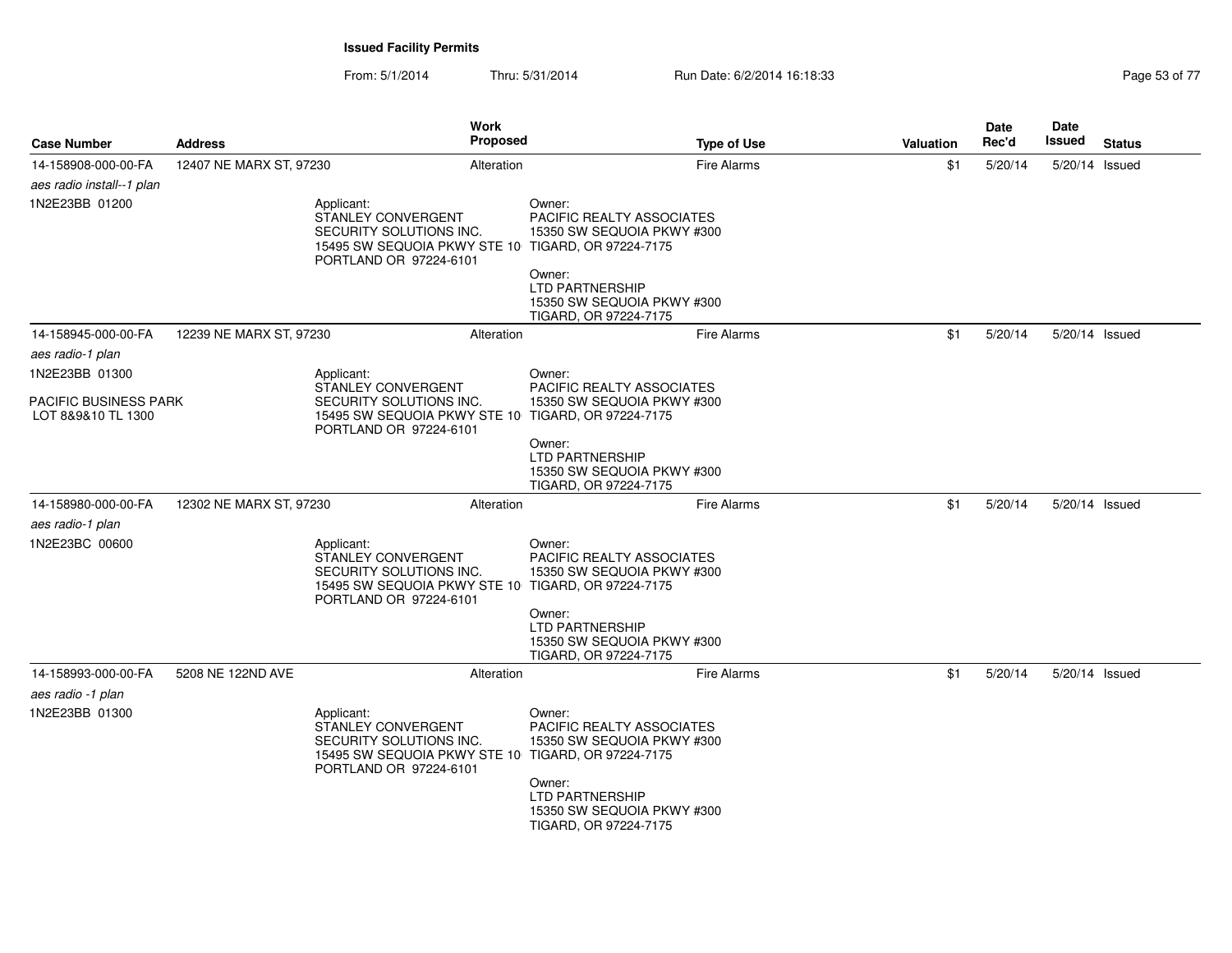| <b>Case Number</b>                          | <b>Address</b>          | Work<br>Proposed                                                                                                                            |                                                                                                                                                                                              | <b>Type of Use</b> | <b>Valuation</b> | Date<br>Rec'd | <b>Date</b><br><b>Issued</b> | <b>Status</b> |
|---------------------------------------------|-------------------------|---------------------------------------------------------------------------------------------------------------------------------------------|----------------------------------------------------------------------------------------------------------------------------------------------------------------------------------------------|--------------------|------------------|---------------|------------------------------|---------------|
| 14-158908-000-00-FA                         | 12407 NE MARX ST, 97230 | Alteration                                                                                                                                  |                                                                                                                                                                                              | <b>Fire Alarms</b> | \$1              | 5/20/14       | 5/20/14 Issued               |               |
| aes radio install--1 plan                   |                         |                                                                                                                                             |                                                                                                                                                                                              |                    |                  |               |                              |               |
| 1N2E23BB 01200                              |                         | Applicant:<br>STANLEY CONVERGENT<br>SECURITY SOLUTIONS INC.<br>15495 SW SEQUOIA PKWY STE 10<br>PORTLAND OR 97224-6101                       | Owner:<br>PACIFIC REALTY ASSOCIATES<br>15350 SW SEQUOIA PKWY #300<br>TIGARD, OR 97224-7175<br>Owner:<br><b>LTD PARTNERSHIP</b><br>15350 SW SEQUOIA PKWY #300<br>TIGARD, OR 97224-7175        |                    |                  |               |                              |               |
| 14-158945-000-00-FA                         | 12239 NE MARX ST, 97230 | Alteration                                                                                                                                  |                                                                                                                                                                                              | <b>Fire Alarms</b> | \$1              | 5/20/14       | 5/20/14 Issued               |               |
| aes radio-1 plan                            |                         |                                                                                                                                             |                                                                                                                                                                                              |                    |                  |               |                              |               |
| 1N2E23BB 01300                              |                         | Applicant:                                                                                                                                  | Owner:                                                                                                                                                                                       |                    |                  |               |                              |               |
| PACIFIC BUSINESS PARK<br>LOT 8&9&10 TL 1300 |                         | STANLEY CONVERGENT<br>SECURITY SOLUTIONS INC.<br>15495 SW SEQUOIA PKWY STE 10 TIGARD, OR 97224-7175<br>PORTLAND OR 97224-6101               | <b>PACIFIC REALTY ASSOCIATES</b><br>15350 SW SEQUOIA PKWY #300                                                                                                                               |                    |                  |               |                              |               |
|                                             |                         |                                                                                                                                             | Owner:<br>LTD PARTNERSHIP<br>15350 SW SEQUOIA PKWY #300<br>TIGARD, OR 97224-7175                                                                                                             |                    |                  |               |                              |               |
| 14-158980-000-00-FA                         | 12302 NE MARX ST, 97230 | Alteration                                                                                                                                  |                                                                                                                                                                                              | <b>Fire Alarms</b> | \$1              | 5/20/14       | 5/20/14 Issued               |               |
| aes radio-1 plan                            |                         |                                                                                                                                             |                                                                                                                                                                                              |                    |                  |               |                              |               |
| 1N2E23BC 00600                              |                         | Applicant:<br>STANLEY CONVERGENT<br>SECURITY SOLUTIONS INC.<br>15495 SW SEQUOIA PKWY STE 10 TIGARD, OR 97224-7175<br>PORTLAND OR 97224-6101 | Owner:<br>PACIFIC REALTY ASSOCIATES<br>15350 SW SEQUOIA PKWY #300                                                                                                                            |                    |                  |               |                              |               |
|                                             |                         |                                                                                                                                             | Owner:<br><b>LTD PARTNERSHIP</b><br>15350 SW SEQUOIA PKWY #300<br>TIGARD, OR 97224-7175                                                                                                      |                    |                  |               |                              |               |
| 14-158993-000-00-FA                         | 5208 NE 122ND AVE       | Alteration                                                                                                                                  |                                                                                                                                                                                              | <b>Fire Alarms</b> | \$1              | 5/20/14       | 5/20/14 Issued               |               |
| aes radio -1 plan                           |                         |                                                                                                                                             |                                                                                                                                                                                              |                    |                  |               |                              |               |
| 1N2E23BB 01300                              |                         | Applicant:<br>STANLEY CONVERGENT<br>SECURITY SOLUTIONS INC.<br>15495 SW SEQUOIA PKWY STE 10<br>PORTLAND OR 97224-6101                       | Owner:<br><b>PACIFIC REALTY ASSOCIATES</b><br>15350 SW SEQUOIA PKWY #300<br>TIGARD, OR 97224-7175<br>Owner:<br><b>LTD PARTNERSHIP</b><br>15350 SW SEQUOIA PKWY #300<br>TIGARD, OR 97224-7175 |                    |                  |               |                              |               |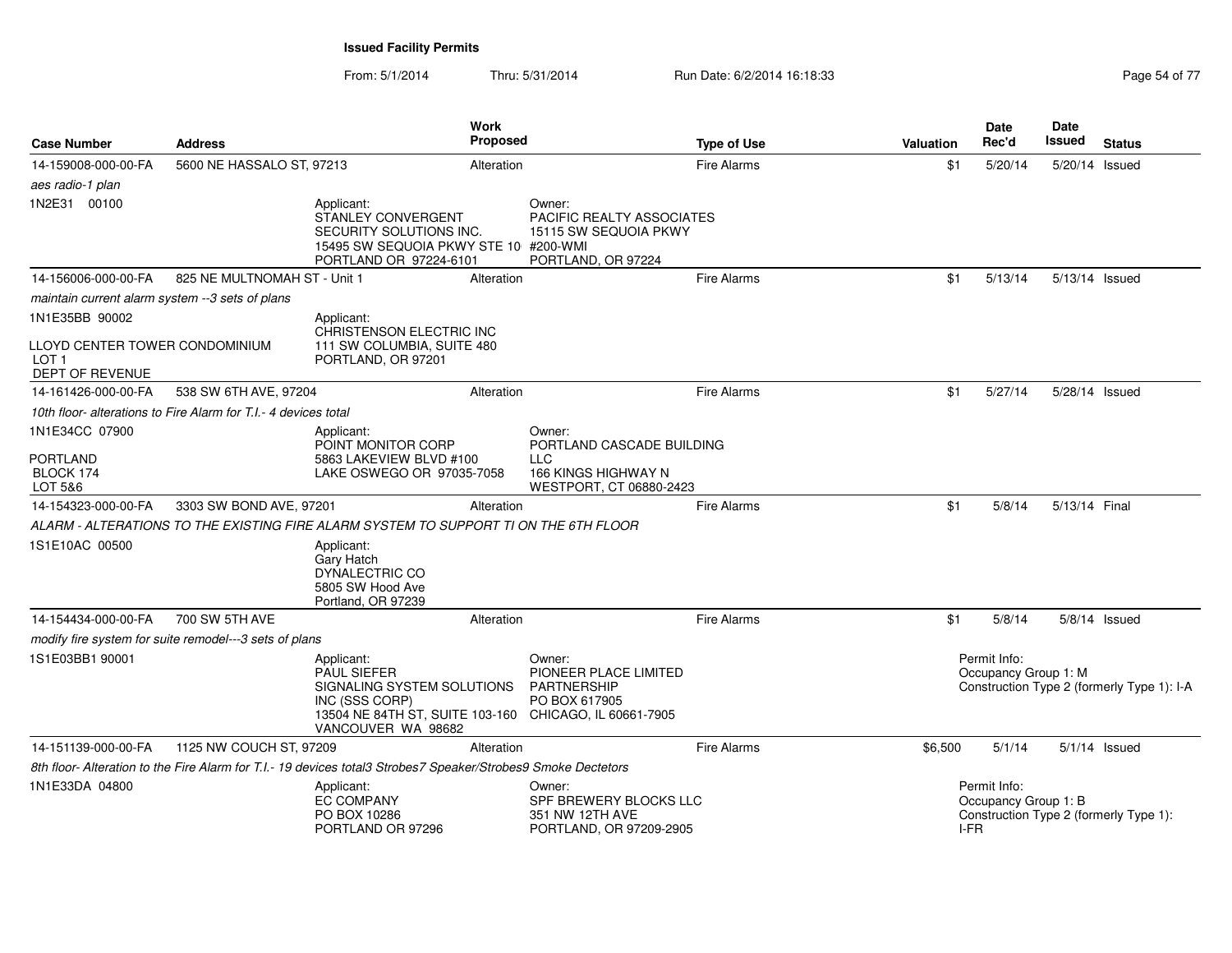| <b>Case Number</b>                                                    | <b>Address</b>                                                  |                                                                                                                                                                  | Work<br><b>Proposed</b> |                                                                                    | <b>Type of Use</b> | <b>Valuation</b> | Date<br>Rec'd                                | <b>Date</b><br>Issued | <b>Status</b>                              |
|-----------------------------------------------------------------------|-----------------------------------------------------------------|------------------------------------------------------------------------------------------------------------------------------------------------------------------|-------------------------|------------------------------------------------------------------------------------|--------------------|------------------|----------------------------------------------|-----------------------|--------------------------------------------|
| 14-159008-000-00-FA                                                   | 5600 NE HASSALO ST, 97213                                       |                                                                                                                                                                  | Alteration              |                                                                                    | <b>Fire Alarms</b> | \$1              | 5/20/14                                      | 5/20/14 Issued        |                                            |
| aes radio-1 plan                                                      |                                                                 |                                                                                                                                                                  |                         |                                                                                    |                    |                  |                                              |                       |                                            |
| 1N2E31 00100                                                          |                                                                 | Applicant:<br>STANLEY CONVERGENT<br>SECURITY SOLUTIONS INC.<br>15495 SW SEQUOIA PKWY STE 10 #200-WMI<br>PORTLAND OR 97224-6101                                   |                         | Owner:<br>PACIFIC REALTY ASSOCIATES<br>15115 SW SEQUOIA PKWY<br>PORTLAND, OR 97224 |                    |                  |                                              |                       |                                            |
| 14-156006-000-00-FA                                                   | 825 NE MULTNOMAH ST - Unit 1                                    |                                                                                                                                                                  | Alteration              |                                                                                    | <b>Fire Alarms</b> | \$1              | 5/13/14                                      | 5/13/14 Issued        |                                            |
| maintain current alarm system --3 sets of plans                       |                                                                 |                                                                                                                                                                  |                         |                                                                                    |                    |                  |                                              |                       |                                            |
| 1N1E35BB 90002                                                        |                                                                 | Applicant:                                                                                                                                                       |                         |                                                                                    |                    |                  |                                              |                       |                                            |
| LLOYD CENTER TOWER CONDOMINIUM<br>LOT <sub>1</sub><br>DEPT OF REVENUE |                                                                 | CHRISTENSON ELECTRIC INC<br>111 SW COLUMBIA, SUITE 480<br>PORTLAND, OR 97201                                                                                     |                         |                                                                                    |                    |                  |                                              |                       |                                            |
| 14-161426-000-00-FA                                                   | 538 SW 6TH AVE, 97204                                           |                                                                                                                                                                  | Alteration              |                                                                                    | <b>Fire Alarms</b> | \$1              | 5/27/14                                      | 5/28/14 Issued        |                                            |
|                                                                       | 10th floor- alterations to Fire Alarm for T.I.- 4 devices total |                                                                                                                                                                  |                         |                                                                                    |                    |                  |                                              |                       |                                            |
| 1N1E34CC 07900                                                        |                                                                 | Applicant:                                                                                                                                                       |                         | Owner:                                                                             |                    |                  |                                              |                       |                                            |
| PORTLAND<br>BLOCK 174<br>LOT 5&6                                      |                                                                 | POINT MONITOR CORP<br>5863 LAKEVIEW BLVD #100<br>LAKE OSWEGO OR 97035-7058                                                                                       |                         | PORTLAND CASCADE BUILDING<br>LLC<br>166 KINGS HIGHWAY N<br>WESTPORT, CT 06880-2423 |                    |                  |                                              |                       |                                            |
| 14-154323-000-00-FA                                                   | 3303 SW BOND AVE, 97201                                         |                                                                                                                                                                  | Alteration              |                                                                                    | <b>Fire Alarms</b> | \$1              | 5/8/14                                       | 5/13/14 Final         |                                            |
|                                                                       |                                                                 | ALARM - ALTERATIONS TO THE EXISTING FIRE ALARM SYSTEM TO SUPPORT TI ON THE 6TH FLOOR                                                                             |                         |                                                                                    |                    |                  |                                              |                       |                                            |
| 1S1E10AC 00500                                                        |                                                                 | Applicant:<br>Gary Hatch<br>DYNALECTRIC CO<br>5805 SW Hood Ave<br>Portland, OR 97239                                                                             |                         |                                                                                    |                    |                  |                                              |                       |                                            |
| 14-154434-000-00-FA                                                   | 700 SW 5TH AVE                                                  |                                                                                                                                                                  | Alteration              |                                                                                    | <b>Fire Alarms</b> | \$1              | 5/8/14                                       |                       | $5/8/14$ Issued                            |
|                                                                       | modify fire system for suite remodel---3 sets of plans          |                                                                                                                                                                  |                         |                                                                                    |                    |                  |                                              |                       |                                            |
| 1S1E03BB1 90001                                                       |                                                                 | Applicant:<br><b>PAUL SIEFER</b><br>SIGNALING SYSTEM SOLUTIONS<br>INC (SSS CORP)<br>13504 NE 84TH ST, SUITE 103-160 CHICAGO, IL 60661-7905<br>VANCOUVER WA 98682 |                         | Owner:<br>PIONEER PLACE LIMITED<br>PARTNERSHIP<br>PO BOX 617905                    |                    |                  | Permit Info:<br>Occupancy Group 1: M         |                       | Construction Type 2 (formerly Type 1): I-A |
| 14-151139-000-00-FA                                                   | 1125 NW COUCH ST, 97209                                         |                                                                                                                                                                  | Alteration              |                                                                                    | <b>Fire Alarms</b> | \$6,500          | 5/1/14                                       |                       | $5/1/14$ Issued                            |
|                                                                       |                                                                 | 8th floor- Alteration to the Fire Alarm for T.I.- 19 devices total3 Strobes7 Speaker/Strobes9 Smoke Dectetors                                                    |                         |                                                                                    |                    |                  |                                              |                       |                                            |
| 1N1E33DA 04800                                                        |                                                                 | Applicant:<br><b>EC COMPANY</b><br>PO BOX 10286<br>PORTLAND OR 97296                                                                                             |                         | Owner:<br>SPF BREWERY BLOCKS LLC<br>351 NW 12TH AVE<br>PORTLAND, OR 97209-2905     |                    |                  | Permit Info:<br>Occupancy Group 1: B<br>I-FR |                       | Construction Type 2 (formerly Type 1):     |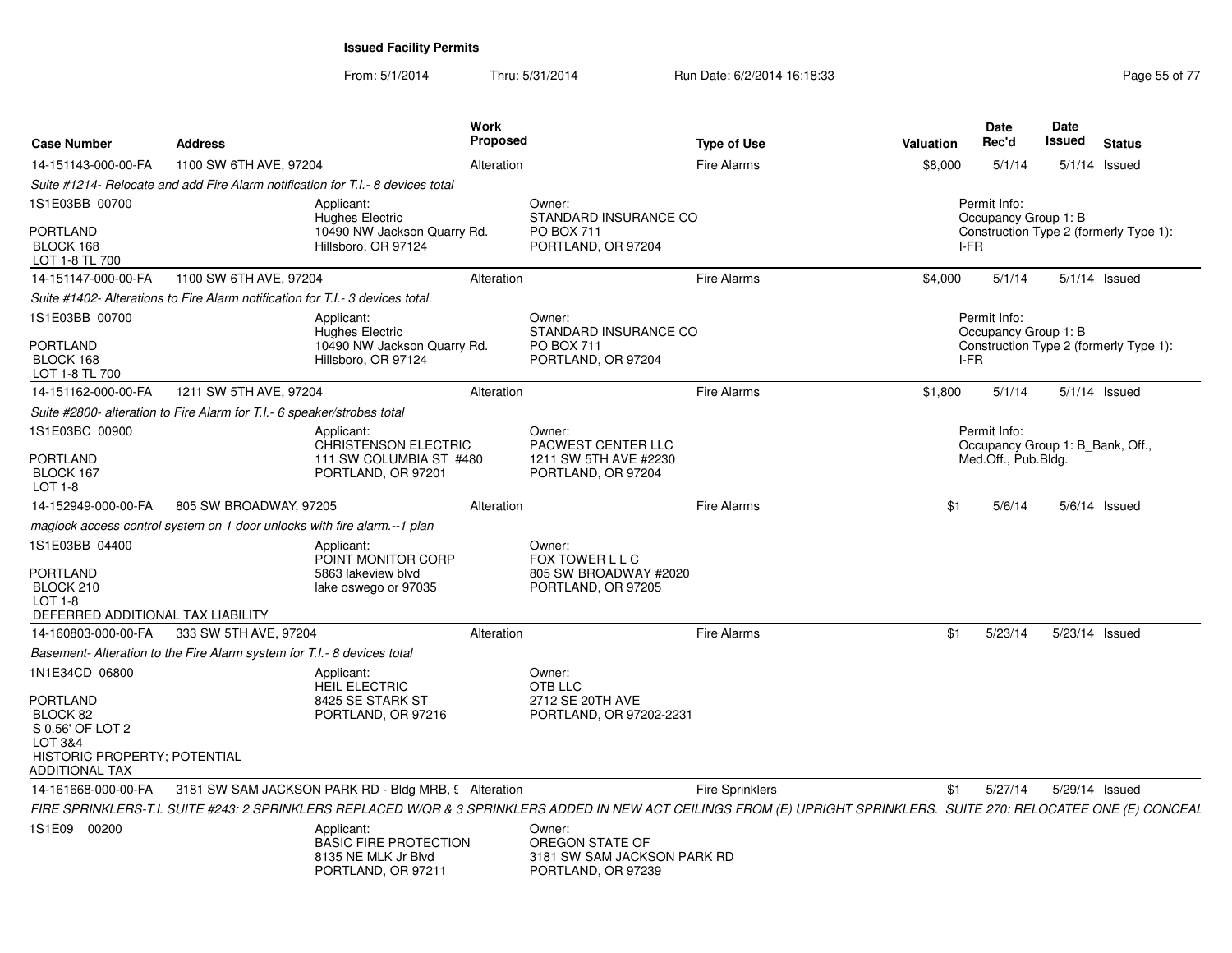From: 5/1/2014Thru: 5/31/2014 Run Date: 6/2/2014 16:18:33 Research 2010 12:04 Page 55 of 77

| <b>Case Number</b>                                                                                                                    | <b>Address</b>                                                                 |                                                                                         | Work<br>Proposed |                                                                                                                                                                        | <b>Type of Use</b>     | <b>Valuation</b> |      | <b>Date</b><br>Rec'd                             | Date<br>Issued | <b>Status</b>                          |
|---------------------------------------------------------------------------------------------------------------------------------------|--------------------------------------------------------------------------------|-----------------------------------------------------------------------------------------|------------------|------------------------------------------------------------------------------------------------------------------------------------------------------------------------|------------------------|------------------|------|--------------------------------------------------|----------------|----------------------------------------|
| 14-151143-000-00-FA                                                                                                                   | 1100 SW 6TH AVE, 97204                                                         |                                                                                         | Alteration       |                                                                                                                                                                        | <b>Fire Alarms</b>     | \$8,000          |      | 5/1/14                                           |                | $5/1/14$ Issued                        |
|                                                                                                                                       |                                                                                | Suite #1214- Relocate and add Fire Alarm notification for T.I.- 8 devices total         |                  |                                                                                                                                                                        |                        |                  |      |                                                  |                |                                        |
| 1S1E03BB 00700                                                                                                                        |                                                                                | Applicant:<br><b>Hughes Electric</b>                                                    |                  | Owner:<br>STANDARD INSURANCE CO                                                                                                                                        |                        |                  |      | Permit Info:<br>Occupancy Group 1: B             |                |                                        |
| <b>PORTLAND</b><br>BLOCK 168<br>LOT 1-8 TL 700                                                                                        |                                                                                | 10490 NW Jackson Quarry Rd.<br>Hillsboro, OR 97124                                      |                  | PO BOX 711<br>PORTLAND, OR 97204                                                                                                                                       |                        |                  | I-FR |                                                  |                | Construction Type 2 (formerly Type 1): |
| 14-151147-000-00-FA                                                                                                                   | 1100 SW 6TH AVE, 97204                                                         |                                                                                         | Alteration       |                                                                                                                                                                        | <b>Fire Alarms</b>     | \$4,000          |      | 5/1/14                                           |                | $5/1/14$ Issued                        |
|                                                                                                                                       | Suite #1402- Alterations to Fire Alarm notification for T.I.- 3 devices total. |                                                                                         |                  |                                                                                                                                                                        |                        |                  |      |                                                  |                |                                        |
| 1S1E03BB 00700                                                                                                                        |                                                                                | Applicant:<br><b>Hughes Electric</b>                                                    |                  | Owner:<br>STANDARD INSURANCE CO                                                                                                                                        |                        |                  |      | Permit Info:<br>Occupancy Group 1: B             |                |                                        |
| <b>PORTLAND</b><br>BLOCK 168<br>LOT 1-8 TL 700                                                                                        |                                                                                | 10490 NW Jackson Quarry Rd.<br>Hillsboro, OR 97124                                      |                  | <b>PO BOX 711</b><br>PORTLAND, OR 97204                                                                                                                                |                        |                  | I-FR |                                                  |                | Construction Type 2 (formerly Type 1): |
| 14-151162-000-00-FA                                                                                                                   | 1211 SW 5TH AVE, 97204                                                         |                                                                                         | Alteration       |                                                                                                                                                                        | Fire Alarms            | \$1,800          |      | 5/1/14                                           |                | $5/1/14$ Issued                        |
|                                                                                                                                       | Suite #2800- alteration to Fire Alarm for T.I.- 6 speaker/strobes total        |                                                                                         |                  |                                                                                                                                                                        |                        |                  |      |                                                  |                |                                        |
| 1S1E03BC 00900                                                                                                                        |                                                                                | Applicant:<br><b>CHRISTENSON ELECTRIC</b>                                               |                  | Owner:<br>PACWEST CENTER LLC                                                                                                                                           |                        |                  |      | Permit Info:<br>Occupancy Group 1: B_Bank, Off., |                |                                        |
| PORTLAND<br>BLOCK 167<br>$LOT 1-8$                                                                                                    |                                                                                | 111 SW COLUMBIA ST #480<br>PORTLAND, OR 97201                                           |                  | 1211 SW 5TH AVE #2230<br>PORTLAND, OR 97204                                                                                                                            |                        |                  |      | Med.Off., Pub.Bldg.                              |                |                                        |
| 14-152949-000-00-FA                                                                                                                   | 805 SW BROADWAY, 97205                                                         |                                                                                         | Alteration       |                                                                                                                                                                        | <b>Fire Alarms</b>     |                  | \$1  | 5/6/14                                           |                | $5/6/14$ Issued                        |
|                                                                                                                                       | maglock access control system on 1 door unlocks with fire alarm.--1 plan       |                                                                                         |                  |                                                                                                                                                                        |                        |                  |      |                                                  |                |                                        |
| 1S1E03BB 04400<br><b>PORTLAND</b><br>BLOCK 210<br>$LOT 1-8$                                                                           |                                                                                | Applicant:<br>POINT MONITOR CORP<br>5863 lakeview blvd<br>lake oswego or 97035          |                  | Owner:<br>FOX TOWER L L C<br>805 SW BROADWAY #2020<br>PORTLAND, OR 97205                                                                                               |                        |                  |      |                                                  |                |                                        |
| DEFERRED ADDITIONAL TAX LIABILITY                                                                                                     |                                                                                |                                                                                         |                  |                                                                                                                                                                        |                        |                  |      |                                                  |                |                                        |
| 14-160803-000-00-FA                                                                                                                   | 333 SW 5TH AVE, 97204                                                          |                                                                                         | Alteration       |                                                                                                                                                                        | <b>Fire Alarms</b>     |                  | \$1  | 5/23/14                                          |                | 5/23/14 Issued                         |
|                                                                                                                                       | Basement- Alteration to the Fire Alarm system for T.I.- 8 devices total        |                                                                                         |                  |                                                                                                                                                                        |                        |                  |      |                                                  |                |                                        |
| 1N1E34CD 06800<br>PORTLAND<br>BLOCK 82<br>S 0.56' OF LOT 2<br>LOT 3&4<br><b>HISTORIC PROPERTY: POTENTIAL</b><br><b>ADDITIONAL TAX</b> |                                                                                | Applicant:<br>HEIL ELECTRIC<br>8425 SE STARK ST<br>PORTLAND, OR 97216                   |                  | Owner:<br>OTB LLC<br>2712 SE 20TH AVE<br>PORTLAND, OR 97202-2231                                                                                                       |                        |                  |      |                                                  |                |                                        |
| 14-161668-000-00-FA                                                                                                                   |                                                                                | 3181 SW SAM JACKSON PARK RD - Bldg MRB, 9 Alteration                                    |                  |                                                                                                                                                                        | <b>Fire Sprinklers</b> |                  | \$1  | 5/27/14                                          |                | 5/29/14 Issued                         |
|                                                                                                                                       |                                                                                |                                                                                         |                  | FIRE SPRINKLERS-T.I. SUITE #243: 2 SPRINKLERS REPLACED W/QR & 3 SPRINKLERS ADDED IN NEW ACT CEILINGS FROM (E) UPRIGHT SPRINKLERS. SUITE 270: RELOCATEE ONE (E) CONCEAL |                        |                  |      |                                                  |                |                                        |
| 1S1E09 00200                                                                                                                          |                                                                                | Applicant:<br><b>BASIC FIRE PROTECTION</b><br>8135 NE MLK Jr Blvd<br>PORTLAND, OR 97211 |                  | Owner:<br>OREGON STATE OF<br>3181 SW SAM JACKSON PARK RD<br>PORTLAND, OR 97239                                                                                         |                        |                  |      |                                                  |                |                                        |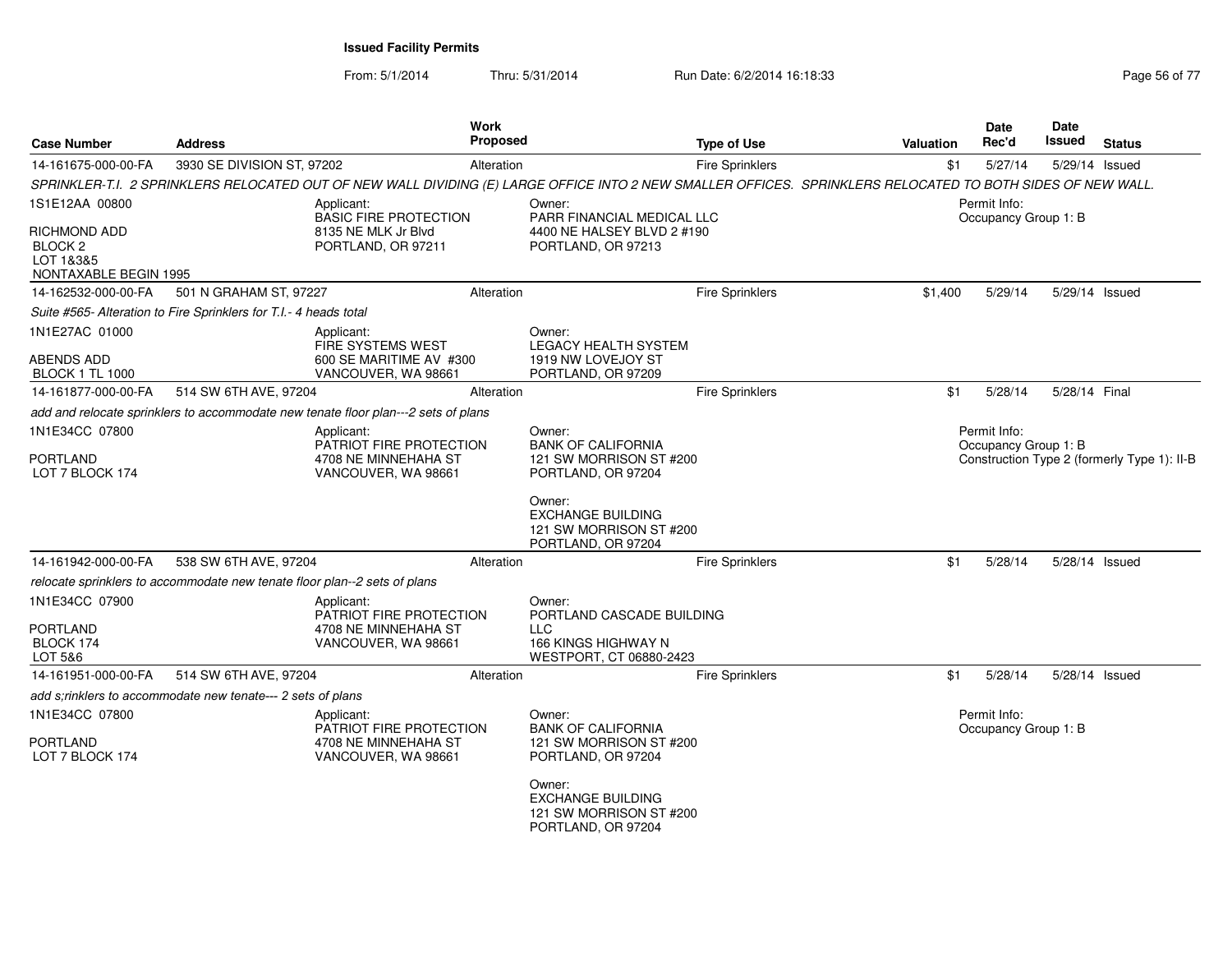| <b>Case Number</b>                                                       | <b>Address</b>                                                            | Work<br>Proposed                                                                                                                                            |                                                                                     | <b>Type of Use</b>     | Valuation | Date<br>Rec'd                        | Date<br>Issued | <b>Status</b>                               |
|--------------------------------------------------------------------------|---------------------------------------------------------------------------|-------------------------------------------------------------------------------------------------------------------------------------------------------------|-------------------------------------------------------------------------------------|------------------------|-----------|--------------------------------------|----------------|---------------------------------------------|
| 14-161675-000-00-FA                                                      | 3930 SE DIVISION ST, 97202                                                | Alteration                                                                                                                                                  |                                                                                     | <b>Fire Sprinklers</b> | \$1       | 5/27/14                              |                | 5/29/14 Issued                              |
|                                                                          |                                                                           | SPRINKLER-T.I. 2 SPRINKLERS RELOCATED OUT OF NEW WALL DIVIDING (E) LARGE OFFICE INTO 2 NEW SMALLER OFFICES. SPRINKLERS RELOCATED TO BOTH SIDES OF NEW WALL. |                                                                                     |                        |           |                                      |                |                                             |
| 1S1E12AA 00800                                                           |                                                                           | Applicant:<br><b>BASIC FIRE PROTECTION</b>                                                                                                                  | Owner:<br>PARR FINANCIAL MEDICAL LLC                                                |                        |           | Permit Info:<br>Occupancy Group 1: B |                |                                             |
| RICHMOND ADD<br>BLOCK <sub>2</sub><br>LOT 1&3&5<br>NONTAXABLE BEGIN 1995 |                                                                           | 8135 NE MLK Jr Blvd<br>PORTLAND, OR 97211                                                                                                                   | 4400 NE HALSEY BLVD 2 #190<br>PORTLAND, OR 97213                                    |                        |           |                                      |                |                                             |
| 14-162532-000-00-FA                                                      | 501 N GRAHAM ST, 97227                                                    | Alteration                                                                                                                                                  |                                                                                     | <b>Fire Sprinklers</b> | \$1,400   | 5/29/14                              |                | 5/29/14 Issued                              |
|                                                                          | Suite #565- Alteration to Fire Sprinklers for T.I.- 4 heads total         |                                                                                                                                                             |                                                                                     |                        |           |                                      |                |                                             |
| 1N1E27AC 01000                                                           |                                                                           | Applicant:<br><b>FIRE SYSTEMS WEST</b>                                                                                                                      | Owner:<br><b>LEGACY HEALTH SYSTEM</b>                                               |                        |           |                                      |                |                                             |
| ABENDS ADD<br><b>BLOCK 1 TL 1000</b>                                     |                                                                           | 600 SE MARITIME AV #300<br>VANCOUVER, WA 98661                                                                                                              | 1919 NW LOVEJOY ST<br>PORTLAND, OR 97209                                            |                        |           |                                      |                |                                             |
| 14-161877-000-00-FA                                                      | 514 SW 6TH AVE, 97204                                                     | Alteration                                                                                                                                                  |                                                                                     | <b>Fire Sprinklers</b> | \$1       | 5/28/14                              | 5/28/14 Final  |                                             |
|                                                                          |                                                                           | add and relocate sprinklers to accommodate new tenate floor plan---2 sets of plans                                                                          |                                                                                     |                        |           |                                      |                |                                             |
| 1N1E34CC 07800                                                           |                                                                           | Applicant:                                                                                                                                                  | Owner:                                                                              |                        |           | Permit Info:                         |                |                                             |
| PORTLAND<br>LOT 7 BLOCK 174                                              |                                                                           | PATRIOT FIRE PROTECTION<br>4708 NE MINNEHAHA ST<br>VANCOUVER, WA 98661                                                                                      | <b>BANK OF CALIFORNIA</b><br>121 SW MORRISON ST #200<br>PORTLAND, OR 97204          |                        |           | Occupancy Group 1: B                 |                | Construction Type 2 (formerly Type 1): II-B |
|                                                                          |                                                                           |                                                                                                                                                             | Owner:<br><b>EXCHANGE BUILDING</b><br>121 SW MORRISON ST #200<br>PORTLAND, OR 97204 |                        |           |                                      |                |                                             |
| 14-161942-000-00-FA                                                      | 538 SW 6TH AVE, 97204                                                     | Alteration                                                                                                                                                  |                                                                                     | <b>Fire Sprinklers</b> | \$1       | 5/28/14                              | 5/28/14 Issued |                                             |
|                                                                          | relocate sprinklers to accommodate new tenate floor plan--2 sets of plans |                                                                                                                                                             |                                                                                     |                        |           |                                      |                |                                             |
| 1N1E34CC 07900                                                           |                                                                           | Applicant:<br><b>PATRIOT FIRE PROTECTION</b>                                                                                                                | Owner:<br>PORTLAND CASCADE BUILDING                                                 |                        |           |                                      |                |                                             |
| PORTLAND                                                                 |                                                                           | 4708 NE MINNEHAHA ST                                                                                                                                        | <b>LLC</b>                                                                          |                        |           |                                      |                |                                             |
| BLOCK 174<br>LOT 5&6                                                     |                                                                           | VANCOUVER, WA 98661                                                                                                                                         | 166 KINGS HIGHWAY N<br>WESTPORT, CT 06880-2423                                      |                        |           |                                      |                |                                             |
| 14-161951-000-00-FA                                                      | 514 SW 6TH AVE, 97204                                                     | Alteration                                                                                                                                                  |                                                                                     | <b>Fire Sprinklers</b> | \$1       | 5/28/14                              | 5/28/14 Issued |                                             |
|                                                                          | add s;rinklers to accommodate new tenate--- 2 sets of plans               |                                                                                                                                                             |                                                                                     |                        |           |                                      |                |                                             |
| 1N1E34CC 07800                                                           |                                                                           | Applicant:                                                                                                                                                  | Owner:                                                                              |                        |           | Permit Info:                         |                |                                             |
| PORTLAND<br>LOT 7 BLOCK 174                                              |                                                                           | <b>PATRIOT FIRE PROTECTION</b><br>4708 NE MINNEHAHA ST<br>VANCOUVER, WA 98661                                                                               | <b>BANK OF CALIFORNIA</b><br>121 SW MORRISON ST #200<br>PORTLAND, OR 97204          |                        |           | Occupancy Group 1: B                 |                |                                             |
|                                                                          |                                                                           |                                                                                                                                                             | Owner:<br><b>EXCHANGE BUILDING</b><br>121 SW MORRISON ST #200<br>PORTLAND, OR 97204 |                        |           |                                      |                |                                             |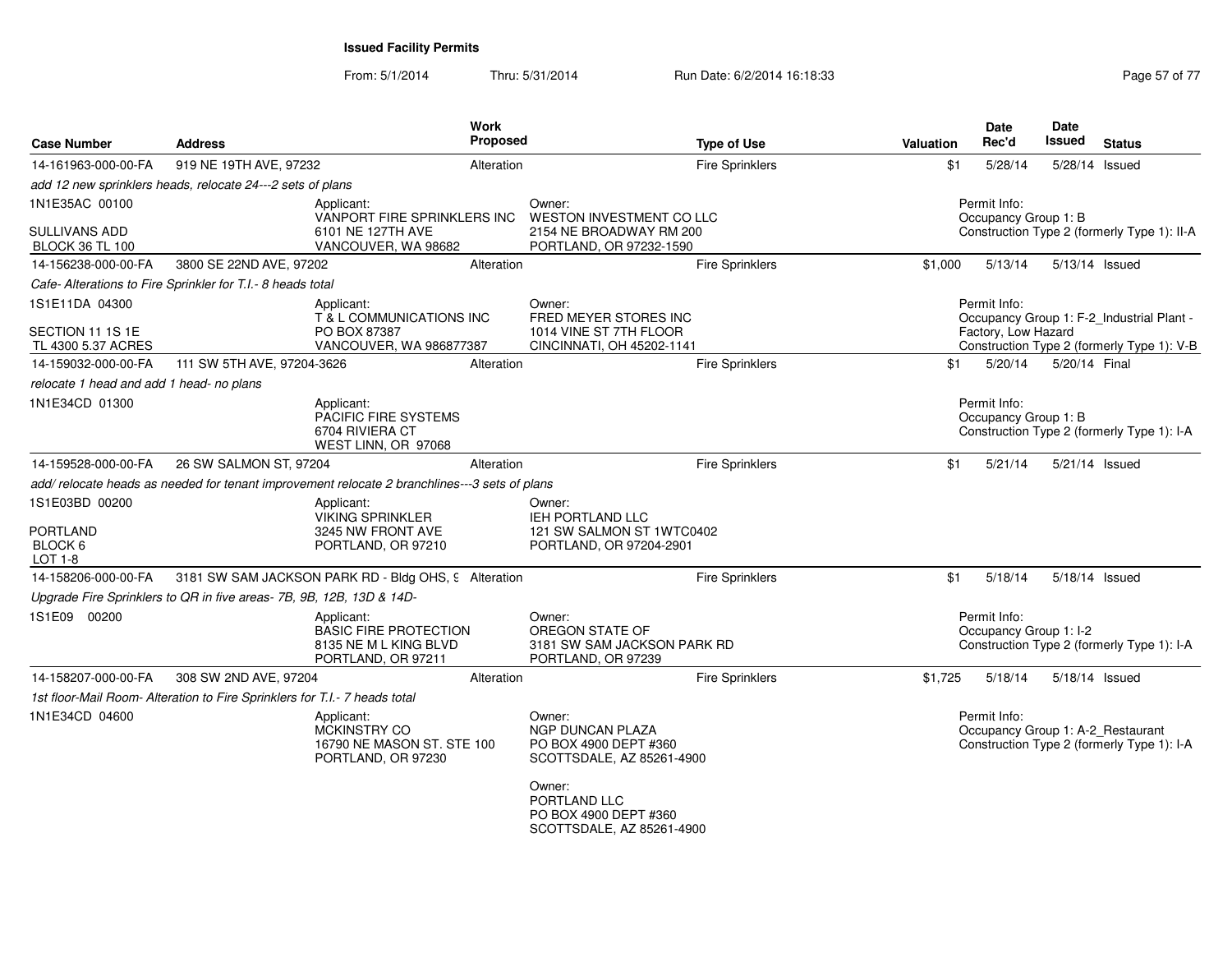| <b>Case Number</b>                             | <b>Address</b>                                                                               | Work<br>Proposed                                                                          |                                                                                         | <b>Type of Use</b>     | Valuation | <b>Date</b><br>Rec'd                   | <b>Date</b><br>Issued | <b>Status</b>                                                                   |
|------------------------------------------------|----------------------------------------------------------------------------------------------|-------------------------------------------------------------------------------------------|-----------------------------------------------------------------------------------------|------------------------|-----------|----------------------------------------|-----------------------|---------------------------------------------------------------------------------|
| 14-161963-000-00-FA                            | 919 NE 19TH AVE, 97232                                                                       | Alteration                                                                                |                                                                                         | <b>Fire Sprinklers</b> | \$1       | 5/28/14                                | 5/28/14 Issued        |                                                                                 |
|                                                | add 12 new sprinklers heads, relocate 24---2 sets of plans                                   |                                                                                           |                                                                                         |                        |           |                                        |                       |                                                                                 |
| 1N1E35AC 00100                                 |                                                                                              | Applicant:<br>VANPORT FIRE SPRINKLERS INC                                                 | Owner:<br><b>WESTON INVESTMENT CO LLC</b>                                               |                        |           | Permit Info:<br>Occupancy Group 1: B   |                       |                                                                                 |
| <b>SULLIVANS ADD</b><br><b>BLOCK 36 TL 100</b> |                                                                                              | 6101 NE 127TH AVE<br>VANCOUVER, WA 98682                                                  | 2154 NE BROADWAY RM 200<br>PORTLAND, OR 97232-1590                                      |                        |           |                                        |                       | Construction Type 2 (formerly Type 1): II-A                                     |
| 14-156238-000-00-FA                            | 3800 SE 22ND AVE, 97202                                                                      | Alteration                                                                                |                                                                                         | Fire Sprinklers        | \$1,000   | 5/13/14                                |                       | 5/13/14 Issued                                                                  |
|                                                | Cafe- Alterations to Fire Sprinkler for T.I.- 8 heads total                                  |                                                                                           |                                                                                         |                        |           |                                        |                       |                                                                                 |
| 1S1E11DA 04300                                 |                                                                                              | Applicant:<br>T & L COMMUNICATIONS INC                                                    | Owner:<br>FRED MEYER STORES INC                                                         |                        |           | Permit Info:                           |                       | Occupancy Group 1: F-2_Industrial Plant -                                       |
| SECTION 11 1S 1E<br>TL 4300 5.37 ACRES         |                                                                                              | PO BOX 87387<br>VANCOUVER, WA 986877387                                                   | 1014 VINE ST 7TH FLOOR<br>CINCINNATI, OH 45202-1141                                     |                        |           | Factory, Low Hazard                    |                       | Construction Type 2 (formerly Type 1): V-B                                      |
| 14-159032-000-00-FA                            | 111 SW 5TH AVE, 97204-3626                                                                   | Alteration                                                                                |                                                                                         | <b>Fire Sprinklers</b> | \$1       | 5/20/14                                | 5/20/14 Final         |                                                                                 |
| relocate 1 head and add 1 head- no plans       |                                                                                              |                                                                                           |                                                                                         |                        |           |                                        |                       |                                                                                 |
| 1N1E34CD 01300                                 |                                                                                              | Applicant:<br>PACIFIC FIRE SYSTEMS<br>6704 RIVIERA CT<br>WEST LINN, OR 97068              |                                                                                         |                        |           | Permit Info:<br>Occupancy Group 1: B   |                       | Construction Type 2 (formerly Type 1): I-A                                      |
| 14-159528-000-00-FA                            | 26 SW SALMON ST, 97204                                                                       | Alteration                                                                                |                                                                                         | Fire Sprinklers        | \$1       | 5/21/14                                | 5/21/14 Issued        |                                                                                 |
|                                                | add/relocate heads as needed for tenant improvement relocate 2 branchlines---3 sets of plans |                                                                                           |                                                                                         |                        |           |                                        |                       |                                                                                 |
| 1S1E03BD 00200                                 |                                                                                              | Applicant:<br><b>VIKING SPRINKLER</b>                                                     | Owner:<br><b>IEH PORTLAND LLC</b>                                                       |                        |           |                                        |                       |                                                                                 |
| <b>PORTLAND</b><br>BLOCK 6<br>LOT 1-8          |                                                                                              | 3245 NW FRONT AVE<br>PORTLAND, OR 97210                                                   | 121 SW SALMON ST 1WTC0402<br>PORTLAND, OR 97204-2901                                    |                        |           |                                        |                       |                                                                                 |
| 14-158206-000-00-FA                            | 3181 SW SAM JACKSON PARK RD - Bldg OHS, 9 Alteration                                         |                                                                                           |                                                                                         | Fire Sprinklers        | \$1       | 5/18/14                                |                       | 5/18/14 Issued                                                                  |
|                                                | Upgrade Fire Sprinklers to QR in five areas- 7B, 9B, 12B, 13D & 14D-                         |                                                                                           |                                                                                         |                        |           |                                        |                       |                                                                                 |
| 1S1E09 00200                                   |                                                                                              | Applicant:<br><b>BASIC FIRE PROTECTION</b><br>8135 NE M L KING BLVD<br>PORTLAND, OR 97211 | Owner:<br>OREGON STATE OF<br>3181 SW SAM JACKSON PARK RD<br>PORTLAND, OR 97239          |                        |           | Permit Info:<br>Occupancy Group 1: I-2 |                       | Construction Type 2 (formerly Type 1): I-A                                      |
| 14-158207-000-00-FA                            | 308 SW 2ND AVE, 97204                                                                        | Alteration                                                                                |                                                                                         | Fire Sprinklers        | \$1,725   | 5/18/14                                | 5/18/14 Issued        |                                                                                 |
|                                                | 1st floor-Mail Room- Alteration to Fire Sprinklers for T.I.- 7 heads total                   |                                                                                           |                                                                                         |                        |           |                                        |                       |                                                                                 |
| 1N1E34CD 04600                                 |                                                                                              | Applicant:<br><b>MCKINSTRY CO</b><br>16790 NE MASON ST. STE 100<br>PORTLAND, OR 97230     | Owner:<br><b>NGP DUNCAN PLAZA</b><br>PO BOX 4900 DEPT #360<br>SCOTTSDALE, AZ 85261-4900 |                        |           | Permit Info:                           |                       | Occupancy Group 1: A-2_Restaurant<br>Construction Type 2 (formerly Type 1): I-A |
|                                                |                                                                                              |                                                                                           | Owner:<br>PORTLAND LLC<br>PO BOX 4900 DEPT #360<br>SCOTTSDALE, AZ 85261-4900            |                        |           |                                        |                       |                                                                                 |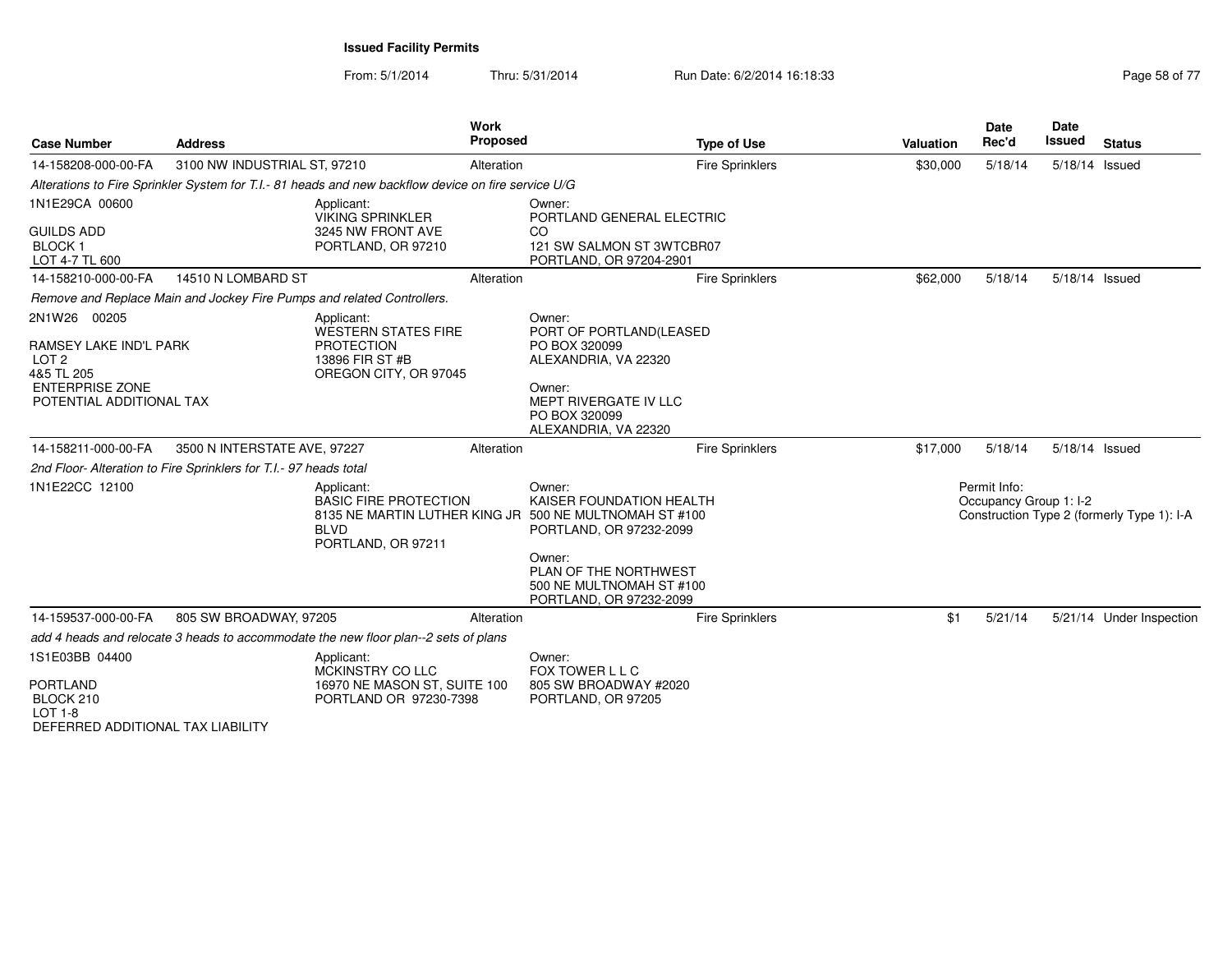| <b>Case Number</b>                                                                                                             | <b>Address</b>                                                    |                                                                                                     | Work<br><b>Proposed</b> | <b>Type of Use</b>                                                                                                                                                                                                | Valuation | <b>Date</b><br>Rec'd                   | <b>Date</b><br>Issued | <b>Status</b>                              |
|--------------------------------------------------------------------------------------------------------------------------------|-------------------------------------------------------------------|-----------------------------------------------------------------------------------------------------|-------------------------|-------------------------------------------------------------------------------------------------------------------------------------------------------------------------------------------------------------------|-----------|----------------------------------------|-----------------------|--------------------------------------------|
| 14-158208-000-00-FA                                                                                                            | 3100 NW INDUSTRIAL ST, 97210                                      |                                                                                                     | Alteration              | <b>Fire Sprinklers</b>                                                                                                                                                                                            | \$30,000  | 5/18/14                                | 5/18/14 Issued        |                                            |
|                                                                                                                                |                                                                   | Alterations to Fire Sprinkler System for T.I.- 81 heads and new backflow device on fire service U/G |                         |                                                                                                                                                                                                                   |           |                                        |                       |                                            |
| 1N1E29CA 00600<br><b>GUILDS ADD</b><br><b>BLOCK1</b><br>LOT 4-7 TL 600                                                         |                                                                   | Applicant:<br>VIKING SPRINKLER<br>3245 NW FRONT AVE<br>PORTLAND, OR 97210                           |                         | Owner:<br>PORTLAND GENERAL ELECTRIC<br>CO<br>121 SW SALMON ST 3WTCBR07<br>PORTLAND, OR 97204-2901                                                                                                                 |           |                                        |                       |                                            |
| 14-158210-000-00-FA                                                                                                            | 14510 N LOMBARD ST                                                |                                                                                                     | Alteration              | <b>Fire Sprinklers</b>                                                                                                                                                                                            | \$62,000  | 5/18/14                                | 5/18/14 Issued        |                                            |
|                                                                                                                                |                                                                   | Remove and Replace Main and Jockey Fire Pumps and related Controllers.                              |                         |                                                                                                                                                                                                                   |           |                                        |                       |                                            |
| 2N1W26 00205<br>RAMSEY LAKE IND'L PARK<br>LOT <sub>2</sub><br>4&5 TL 205<br><b>ENTERPRISE ZONE</b><br>POTENTIAL ADDITIONAL TAX |                                                                   | Applicant:<br>WESTERN STATES FIRE<br><b>PROTECTION</b><br>13896 FIR ST #B<br>OREGON CITY, OR 97045  |                         | Owner:<br>PORT OF PORTLAND(LEASED<br>PO BOX 320099<br>ALEXANDRIA, VA 22320<br>Owner:<br>MEPT RIVERGATE IV LLC<br>PO BOX 320099<br>ALEXANDRIA, VA 22320                                                            |           |                                        |                       |                                            |
| 14-158211-000-00-FA                                                                                                            | 3500 N INTERSTATE AVE, 97227                                      |                                                                                                     | Alteration              | Fire Sprinklers                                                                                                                                                                                                   | \$17,000  | 5/18/14                                | 5/18/14 Issued        |                                            |
|                                                                                                                                | 2nd Floor- Alteration to Fire Sprinklers for T.I.- 97 heads total |                                                                                                     |                         |                                                                                                                                                                                                                   |           |                                        |                       |                                            |
| 1N1E22CC 12100                                                                                                                 |                                                                   | Applicant:<br><b>BASIC FIRE PROTECTION</b><br><b>BLVD</b><br>PORTLAND, OR 97211                     |                         | Owner:<br>KAISER FOUNDATION HEALTH<br>8135 NE MARTIN LUTHER KING JR 500 NE MULTNOMAH ST #100<br>PORTLAND, OR 97232-2099<br>Owner:<br>PLAN OF THE NORTHWEST<br>500 NE MULTNOMAH ST #100<br>PORTLAND, OR 97232-2099 |           | Permit Info:<br>Occupancy Group 1: I-2 |                       | Construction Type 2 (formerly Type 1): I-A |
| 14-159537-000-00-FA                                                                                                            | 805 SW BROADWAY, 97205                                            |                                                                                                     | Alteration              | <b>Fire Sprinklers</b>                                                                                                                                                                                            | \$1       | 5/21/14                                |                       | 5/21/14 Under Inspection                   |
|                                                                                                                                |                                                                   | add 4 heads and relocate 3 heads to accommodate the new floor plan--2 sets of plans                 |                         |                                                                                                                                                                                                                   |           |                                        |                       |                                            |
| 1S1E03BB 04400<br><b>PORTLAND</b><br>BLOCK 210<br><b>LOT 1-8</b><br>DEFERRED ADDITIONAL TAX LIABILITY                          |                                                                   | Applicant:<br>MCKINSTRY CO LLC<br>16970 NE MASON ST, SUITE 100<br>PORTLAND OR 97230-7398            |                         | Owner:<br>FOX TOWER L L C<br>805 SW BROADWAY #2020<br>PORTLAND, OR 97205                                                                                                                                          |           |                                        |                       |                                            |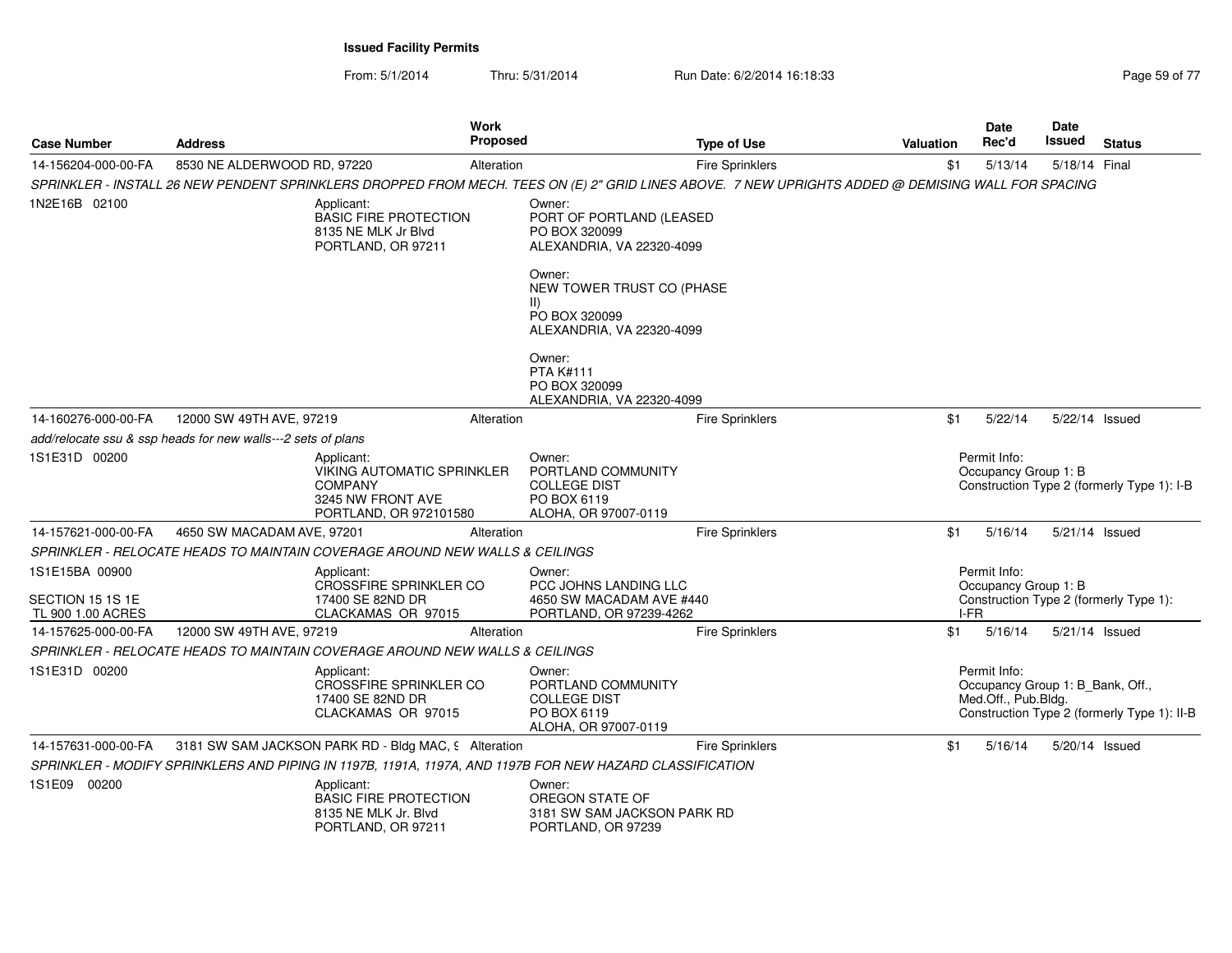From: 5/1/2014Thru: 5/31/2014 Run Date: 6/2/2014 16:18:33

| Page 59 of 77 |
|---------------|
|---------------|

| <b>Case Number</b>                                      | <b>Address</b>                                               |                                                                                                                  | Work<br><b>Proposed</b> |                                                                                                                                                                                                                                       | <b>Type of Use</b>     | Valuation | Date<br>Rec'd                                                           | <b>Date</b><br><b>Issued</b> | <b>Status</b>                               |
|---------------------------------------------------------|--------------------------------------------------------------|------------------------------------------------------------------------------------------------------------------|-------------------------|---------------------------------------------------------------------------------------------------------------------------------------------------------------------------------------------------------------------------------------|------------------------|-----------|-------------------------------------------------------------------------|------------------------------|---------------------------------------------|
| 14-156204-000-00-FA                                     | 8530 NE ALDERWOOD RD, 97220                                  |                                                                                                                  | Alteration              |                                                                                                                                                                                                                                       | <b>Fire Sprinklers</b> | \$1       | 5/13/14                                                                 | 5/18/14 Final                |                                             |
|                                                         |                                                              |                                                                                                                  |                         | SPRINKLER - INSTALL 26 NEW PENDENT SPRINKLERS DROPPED FROM MECH. TEES ON (E) 2" GRID LINES ABOVE. 7 NEW UPRIGHTS ADDED @ DEMISING WALL FOR SPACING                                                                                    |                        |           |                                                                         |                              |                                             |
| 1N2E16B 02100                                           |                                                              | Applicant:<br><b>BASIC FIRE PROTECTION</b><br>8135 NE MLK Jr Blvd<br>PORTLAND, OR 97211                          |                         | Owner:<br>PORT OF PORTLAND (LEASED<br>PO BOX 320099<br>ALEXANDRIA, VA 22320-4099<br>Owner:<br>NEW TOWER TRUST CO (PHASE<br>$\vert \vert$<br>PO BOX 320099<br>ALEXANDRIA, VA 22320-4099<br>Owner:<br><b>PTA K#111</b><br>PO BOX 320099 |                        |           |                                                                         |                              |                                             |
|                                                         |                                                              |                                                                                                                  |                         | ALEXANDRIA, VA 22320-4099                                                                                                                                                                                                             |                        |           |                                                                         |                              |                                             |
| 14-160276-000-00-FA                                     | 12000 SW 49TH AVE, 97219                                     |                                                                                                                  | Alteration              |                                                                                                                                                                                                                                       | <b>Fire Sprinklers</b> | \$1       | 5/22/14                                                                 | 5/22/14 Issued               |                                             |
|                                                         | add/relocate ssu & ssp heads for new walls---2 sets of plans |                                                                                                                  |                         |                                                                                                                                                                                                                                       |                        |           |                                                                         |                              |                                             |
| 1S1E31D 00200                                           |                                                              | Applicant:<br><b>VIKING AUTOMATIC SPRINKLER</b><br><b>COMPANY</b><br>3245 NW FRONT AVE<br>PORTLAND, OR 972101580 |                         | Owner:<br>PORTLAND COMMUNITY<br><b>COLLEGE DIST</b><br>PO BOX 6119<br>ALOHA, OR 97007-0119                                                                                                                                            |                        |           | Permit Info:<br>Occupancy Group 1: B                                    |                              | Construction Type 2 (formerly Type 1): I-B  |
| 14-157621-000-00-FA                                     | 4650 SW MACADAM AVE, 97201                                   |                                                                                                                  | Alteration              |                                                                                                                                                                                                                                       | Fire Sprinklers        | \$1       | 5/16/14                                                                 | 5/21/14 Issued               |                                             |
|                                                         |                                                              | SPRINKLER - RELOCATE HEADS TO MAINTAIN COVERAGE AROUND NEW WALLS & CEILINGS                                      |                         |                                                                                                                                                                                                                                       |                        |           |                                                                         |                              |                                             |
| 1S1E15BA 00900<br>SECTION 15 1S 1E<br>TL 900 1.00 ACRES |                                                              | Applicant:<br><b>CROSSFIRE SPRINKLER CO</b><br>17400 SE 82ND DR<br>CLACKAMAS OR 97015                            |                         | Owner:<br>PCC JOHNS LANDING LLC<br>4650 SW MACADAM AVE #440<br>PORTLAND, OR 97239-4262                                                                                                                                                |                        |           | Permit Info:<br>Occupancy Group 1: B<br>I-FR                            |                              | Construction Type 2 (formerly Type 1):      |
| 14-157625-000-00-FA                                     | 12000 SW 49TH AVE, 97219                                     |                                                                                                                  | Alteration              |                                                                                                                                                                                                                                       | <b>Fire Sprinklers</b> | \$1       | 5/16/14                                                                 | 5/21/14 Issued               |                                             |
|                                                         |                                                              | SPRINKLER - RELOCATE HEADS TO MAINTAIN COVERAGE AROUND NEW WALLS & CEILINGS                                      |                         |                                                                                                                                                                                                                                       |                        |           |                                                                         |                              |                                             |
| 1S1E31D 00200                                           |                                                              | Applicant:<br><b>CROSSFIRE SPRINKLER CO</b><br>17400 SE 82ND DR<br>CLACKAMAS OR 97015                            |                         | Owner:<br>PORTLAND COMMUNITY<br><b>COLLEGE DIST</b><br>PO BOX 6119<br>ALOHA, OR 97007-0119                                                                                                                                            |                        |           | Permit Info:<br>Occupancy Group 1: B_Bank, Off.,<br>Med.Off., Pub.Bldg. |                              | Construction Type 2 (formerly Type 1): II-B |
| 14-157631-000-00-FA                                     |                                                              | 3181 SW SAM JACKSON PARK RD - Bldg MAC, 9 Alteration                                                             |                         |                                                                                                                                                                                                                                       | <b>Fire Sprinklers</b> | \$1       | 5/16/14                                                                 | 5/20/14 Issued               |                                             |
|                                                         |                                                              |                                                                                                                  |                         | SPRINKLER - MODIFY SPRINKLERS AND PIPING IN 1197B, 1191A, 1197A, AND 1197B FOR NEW HAZARD CLASSIFICATION                                                                                                                              |                        |           |                                                                         |                              |                                             |
| 1S1E09 00200                                            |                                                              | Applicant:<br><b>BASIC FIRE PROTECTION</b><br>8135 NE MLK Jr. Blvd<br>PORTLAND, OR 97211                         |                         | Owner:<br>OREGON STATE OF<br>3181 SW SAM JACKSON PARK RD<br>PORTLAND, OR 97239                                                                                                                                                        |                        |           |                                                                         |                              |                                             |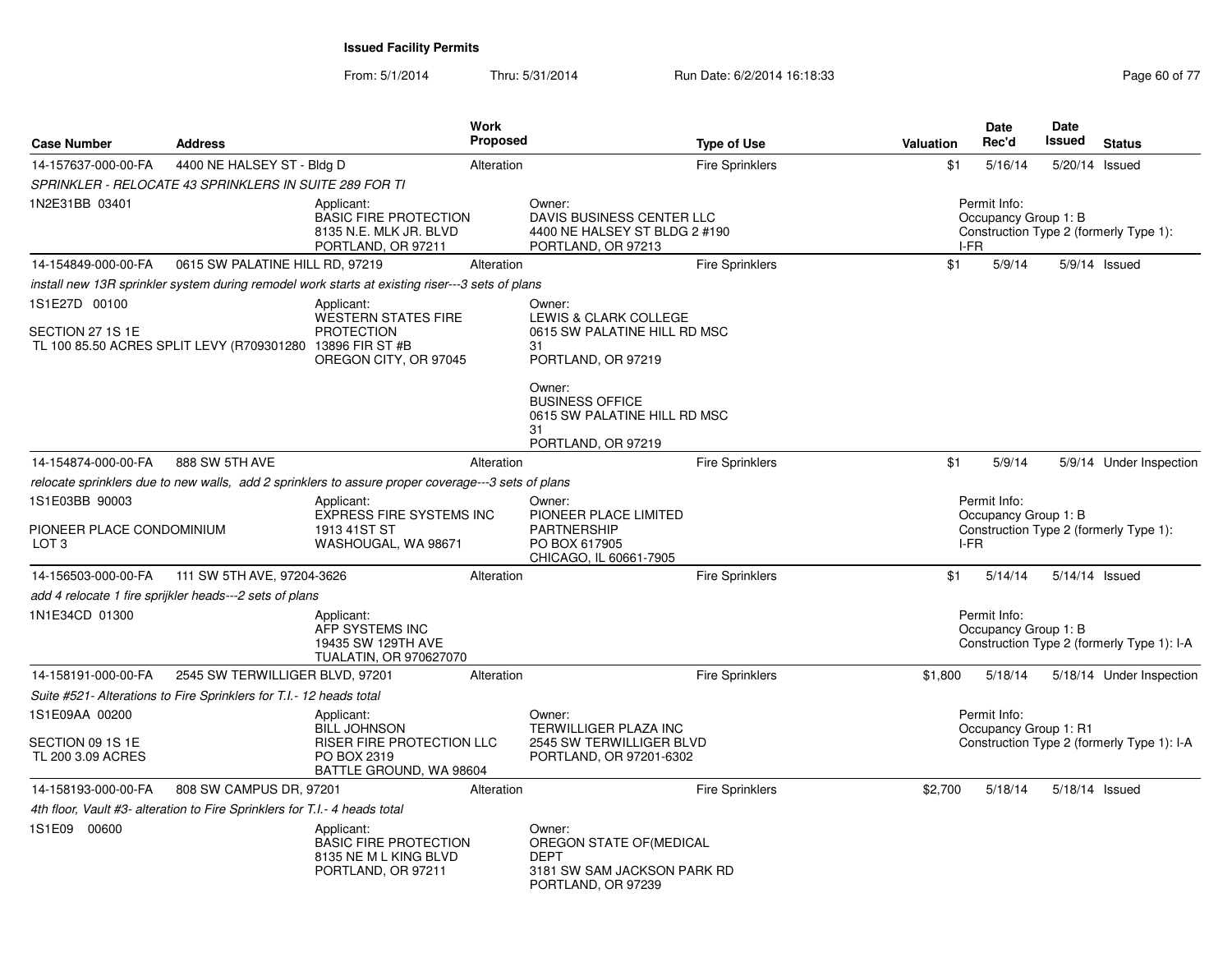| <b>Case Number</b>                                              | <b>Address</b>                                                             |                                                                                                    | Work<br>Proposed |                                                                                                        | <b>Type of Use</b>     | Valuation | <b>Date</b><br>Rec'd                 | <b>Date</b><br>Issued | <b>Status</b>                              |
|-----------------------------------------------------------------|----------------------------------------------------------------------------|----------------------------------------------------------------------------------------------------|------------------|--------------------------------------------------------------------------------------------------------|------------------------|-----------|--------------------------------------|-----------------------|--------------------------------------------|
| 14-157637-000-00-FA                                             | 4400 NE HALSEY ST - Bldg D                                                 |                                                                                                    | Alteration       |                                                                                                        | <b>Fire Sprinklers</b> | \$1       | 5/16/14                              |                       | 5/20/14 Issued                             |
|                                                                 | SPRINKLER - RELOCATE 43 SPRINKLERS IN SUITE 289 FOR TI                     |                                                                                                    |                  |                                                                                                        |                        |           |                                      |                       |                                            |
| 1N2E31BB 03401                                                  |                                                                            | Applicant:<br><b>BASIC FIRE PROTECTION</b><br>8135 N.E. MLK JR. BLVD<br>PORTLAND, OR 97211         |                  | Owner:<br>DAVIS BUSINESS CENTER LLC<br>4400 NE HALSEY ST BLDG 2 #190<br>PORTLAND, OR 97213             |                        | I-FR      | Permit Info:<br>Occupancy Group 1: B |                       | Construction Type 2 (formerly Type 1):     |
| 14-154849-000-00-FA                                             | 0615 SW PALATINE HILL RD, 97219                                            |                                                                                                    | Alteration       |                                                                                                        | <b>Fire Sprinklers</b> | \$1       | 5/9/14                               |                       | 5/9/14 Issued                              |
|                                                                 |                                                                            | install new 13R sprinkler system during remodel work starts at existing riser---3 sets of plans    |                  |                                                                                                        |                        |           |                                      |                       |                                            |
| 1S1E27D 00100                                                   |                                                                            | Applicant:                                                                                         |                  | Owner:                                                                                                 |                        |           |                                      |                       |                                            |
| SECTION 27 1S 1E                                                | TL 100 85.50 ACRES SPLIT LEVY (R709301280 13896 FIR ST #B                  | WESTERN STATES FIRE<br><b>PROTECTION</b><br>OREGON CITY, OR 97045                                  |                  | LEWIS & CLARK COLLEGE<br>0615 SW PALATINE HILL RD MSC<br>31<br>PORTLAND, OR 97219                      |                        |           |                                      |                       |                                            |
|                                                                 |                                                                            |                                                                                                    |                  | Owner:<br><b>BUSINESS OFFICE</b><br>0615 SW PALATINE HILL RD MSC<br>31<br>PORTLAND, OR 97219           |                        |           |                                      |                       |                                            |
| 14-154874-000-00-FA                                             | 888 SW 5TH AVE                                                             |                                                                                                    | Alteration       |                                                                                                        | <b>Fire Sprinklers</b> | \$1       | 5/9/14                               |                       | 5/9/14 Under Inspection                    |
|                                                                 |                                                                            | relocate sprinklers due to new walls, add 2 sprinklers to assure proper coverage---3 sets of plans |                  |                                                                                                        |                        |           |                                      |                       |                                            |
| 1S1E03BB 90003<br>PIONEER PLACE CONDOMINIUM<br>LOT <sub>3</sub> |                                                                            | Applicant:<br><b>EXPRESS FIRE SYSTEMS INC</b><br>1913 41ST ST<br>WASHOUGAL, WA 98671               |                  | Owner:<br>PIONEER PLACE LIMITED<br><b>PARTNERSHIP</b><br>PO BOX 617905                                 |                        | I-FR      | Permit Info:<br>Occupancy Group 1: B |                       | Construction Type 2 (formerly Type 1):     |
|                                                                 |                                                                            |                                                                                                    |                  | CHICAGO, IL 60661-7905                                                                                 |                        |           |                                      |                       |                                            |
| 14-156503-000-00-FA                                             | 111 SW 5TH AVE, 97204-3626                                                 |                                                                                                    | Alteration       |                                                                                                        | <b>Fire Sprinklers</b> | \$1       | 5/14/14                              |                       | 5/14/14 Issued                             |
|                                                                 | add 4 relocate 1 fire sprijkler heads---2 sets of plans                    |                                                                                                    |                  |                                                                                                        |                        |           |                                      |                       |                                            |
| 1N1E34CD 01300                                                  |                                                                            | Applicant:<br>AFP SYSTEMS INC<br>19435 SW 129TH AVE<br><b>TUALATIN, OR 970627070</b>               |                  |                                                                                                        |                        |           | Permit Info:<br>Occupancy Group 1: B |                       | Construction Type 2 (formerly Type 1): I-A |
| 14-158191-000-00-FA                                             | 2545 SW TERWILLIGER BLVD, 97201                                            |                                                                                                    | Alteration       |                                                                                                        | <b>Fire Sprinklers</b> | \$1,800   | 5/18/14                              |                       | 5/18/14 Under Inspection                   |
|                                                                 | Suite #521- Alterations to Fire Sprinklers for T.I.- 12 heads total        |                                                                                                    |                  |                                                                                                        |                        |           |                                      |                       |                                            |
| 1S1E09AA 00200                                                  |                                                                            | Applicant:                                                                                         |                  | Owner:                                                                                                 |                        |           | Permit Info:                         |                       |                                            |
| SECTION 09 1S 1E<br>TL 200 3.09 ACRES                           |                                                                            | <b>BILL JOHNSON</b><br>RISER FIRE PROTECTION LLC<br>PO BOX 2319<br>BATTLE GROUND, WA 98604         |                  | TERWILLIGER PLAZA INC<br>2545 SW TERWILLIGER BLVD<br>PORTLAND, OR 97201-6302                           |                        |           | Occupancy Group 1: R1                |                       | Construction Type 2 (formerly Type 1): I-A |
| 14-158193-000-00-FA                                             | 808 SW CAMPUS DR, 97201                                                    |                                                                                                    | Alteration       |                                                                                                        | <b>Fire Sprinklers</b> | \$2,700   | 5/18/14                              |                       | 5/18/14 Issued                             |
|                                                                 | 4th floor, Vault #3- alteration to Fire Sprinklers for T.I.- 4 heads total |                                                                                                    |                  |                                                                                                        |                        |           |                                      |                       |                                            |
| 1S1E09 00600                                                    |                                                                            | Applicant:<br><b>BASIC FIRE PROTECTION</b><br>8135 NE M L KING BLVD<br>PORTLAND, OR 97211          |                  | Owner:<br>OREGON STATE OF (MEDICAL<br><b>DEPT</b><br>3181 SW SAM JACKSON PARK RD<br>PORTLAND, OR 97239 |                        |           |                                      |                       |                                            |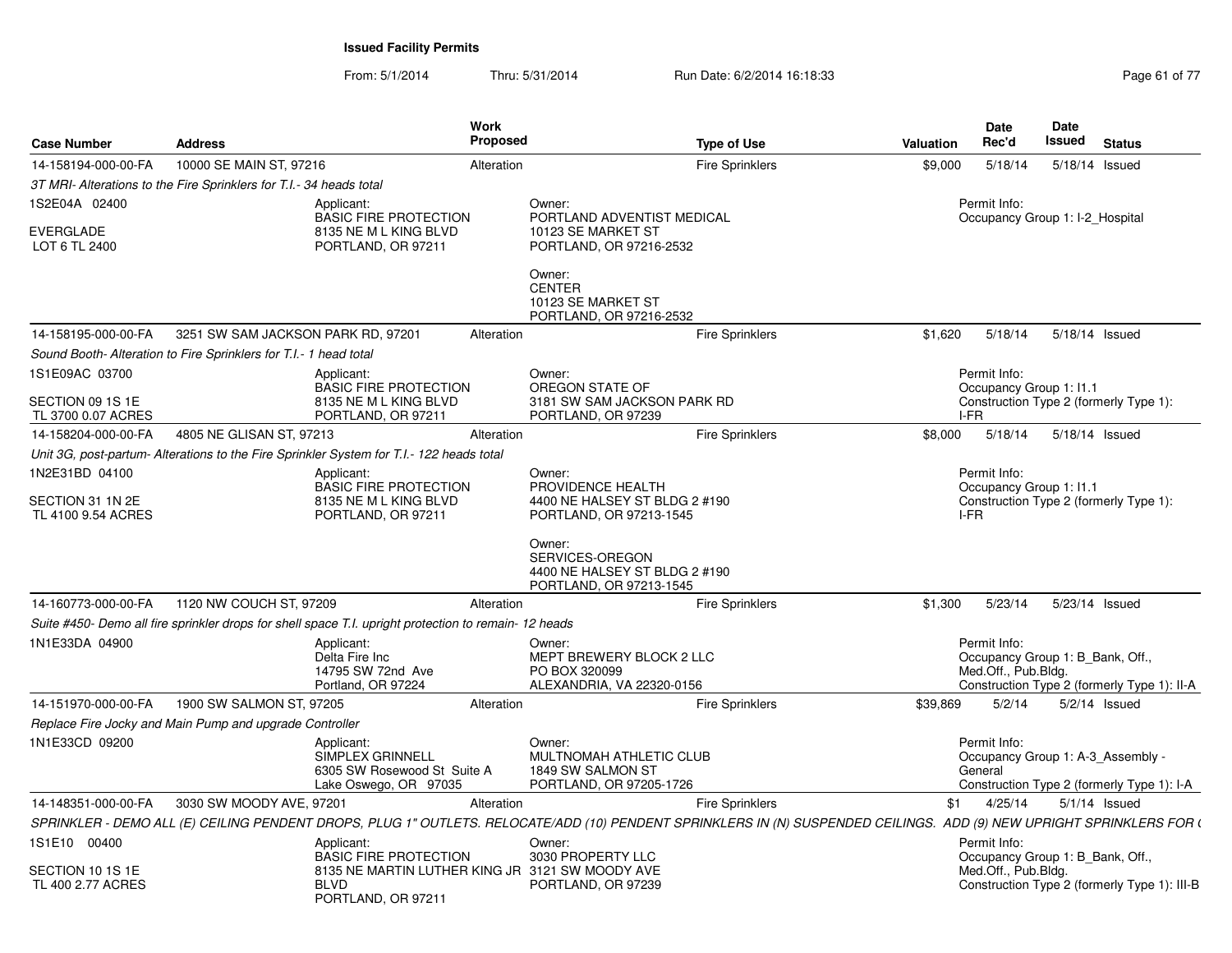| <b>Case Number</b>                                 | <b>Address</b>                                                                                       | Work<br><b>Proposed</b>                                                             | <b>Type of Use</b>                                                                                                                                                    | <b>Valuation</b> | <b>Date</b><br>Rec'd                    | Date<br>Issued                         | <b>Status</b>                                |
|----------------------------------------------------|------------------------------------------------------------------------------------------------------|-------------------------------------------------------------------------------------|-----------------------------------------------------------------------------------------------------------------------------------------------------------------------|------------------|-----------------------------------------|----------------------------------------|----------------------------------------------|
| 14-158194-000-00-FA                                | 10000 SE MAIN ST, 97216                                                                              | Alteration                                                                          | <b>Fire Sprinklers</b>                                                                                                                                                | \$9,000          | 5/18/14                                 | 5/18/14 Issued                         |                                              |
|                                                    | 3T MRI- Alterations to the Fire Sprinklers for T.I.- 34 heads total                                  |                                                                                     |                                                                                                                                                                       |                  |                                         |                                        |                                              |
| 1S2E04A 02400<br><b>EVERGLADE</b><br>LOT 6 TL 2400 | Applicant:<br>8135 NE M L KING BLVD<br>PORTLAND, OR 97211                                            | Owner:<br><b>BASIC FIRE PROTECTION</b><br>10123 SE MARKET ST                        | PORTLAND ADVENTIST MEDICAL<br>PORTLAND, OR 97216-2532                                                                                                                 |                  | Permit Info:                            | Occupancy Group 1: I-2_Hospital        |                                              |
|                                                    |                                                                                                      | Owner:<br><b>CENTER</b><br>10123 SE MARKET ST                                       | PORTLAND, OR 97216-2532                                                                                                                                               |                  |                                         |                                        |                                              |
| 14-158195-000-00-FA                                | 3251 SW SAM JACKSON PARK RD, 97201                                                                   | Alteration                                                                          | <b>Fire Sprinklers</b>                                                                                                                                                | \$1,620          | 5/18/14                                 | 5/18/14 Issued                         |                                              |
|                                                    | Sound Booth- Alteration to Fire Sprinklers for T.I.- 1 head total                                    |                                                                                     |                                                                                                                                                                       |                  |                                         |                                        |                                              |
| 1S1E09AC 03700                                     | Applicant:                                                                                           | Owner:<br><b>BASIC FIRE PROTECTION</b><br>OREGON STATE OF                           |                                                                                                                                                                       |                  | Permit Info:<br>Occupancy Group 1: 11.1 |                                        |                                              |
| SECTION 09 1S 1E<br>TL 3700 0.07 ACRES             | 8135 NE M L KING BLVD<br>PORTLAND, OR 97211                                                          | PORTLAND, OR 97239                                                                  | 3181 SW SAM JACKSON PARK RD                                                                                                                                           | I-FR             |                                         | Construction Type 2 (formerly Type 1): |                                              |
| 14-158204-000-00-FA                                | 4805 NE GLISAN ST, 97213                                                                             | Alteration                                                                          | <b>Fire Sprinklers</b>                                                                                                                                                | \$8,000          | 5/18/14                                 | 5/18/14 Issued                         |                                              |
|                                                    | Unit 3G, post-partum- Alterations to the Fire Sprinkler System for T.I.- 122 heads total             |                                                                                     |                                                                                                                                                                       |                  |                                         |                                        |                                              |
| 1N2E31BD 04100                                     | Applicant:                                                                                           | Owner:<br><b>BASIC FIRE PROTECTION</b><br>PROVIDENCE HEALTH                         |                                                                                                                                                                       |                  | Permit Info:<br>Occupancy Group 1: I1.1 |                                        |                                              |
| SECTION 31 1N 2E                                   | 8135 NE M L KING BLVD                                                                                |                                                                                     | 4400 NE HALSEY ST BLDG 2 #190                                                                                                                                         |                  |                                         | Construction Type 2 (formerly Type 1): |                                              |
| TL 4100 9.54 ACRES                                 | PORTLAND, OR 97211                                                                                   |                                                                                     | PORTLAND, OR 97213-1545                                                                                                                                               | I-FR             |                                         |                                        |                                              |
|                                                    |                                                                                                      | Owner:<br>SERVICES-OREGON                                                           | 4400 NE HALSEY ST BLDG 2 #190<br>PORTLAND, OR 97213-1545                                                                                                              |                  |                                         |                                        |                                              |
| 14-160773-000-00-FA                                | 1120 NW COUCH ST, 97209                                                                              | Alteration                                                                          | <b>Fire Sprinklers</b>                                                                                                                                                | \$1,300          | 5/23/14                                 | 5/23/14 Issued                         |                                              |
|                                                    | Suite #450- Demo all fire sprinkler drops for shell space T.I. upright protection to remain-12 heads |                                                                                     |                                                                                                                                                                       |                  |                                         |                                        |                                              |
| 1N1E33DA 04900                                     | Applicant:<br>Delta Fire Inc<br>14795 SW 72nd Ave<br>Portland, OR 97224                              | Owner:<br>PO BOX 320099                                                             | MEPT BREWERY BLOCK 2 LLC<br>ALEXANDRIA, VA 22320-0156                                                                                                                 |                  | Permit Info:<br>Med.Off., Pub.Bldg.     | Occupancy Group 1: B Bank, Off.,       | Construction Type 2 (formerly Type 1): II-A  |
| 14-151970-000-00-FA                                | 1900 SW SALMON ST, 97205                                                                             | Alteration                                                                          | <b>Fire Sprinklers</b>                                                                                                                                                | \$39,869         | 5/2/14                                  | $5/2/14$ Issued                        |                                              |
|                                                    | Replace Fire Jocky and Main Pump and upgrade Controller                                              |                                                                                     |                                                                                                                                                                       |                  |                                         |                                        |                                              |
| 1N1E33CD 09200                                     | Applicant:<br>SIMPLEX GRINNELL                                                                       | Owner:<br>1849 SW SALMON ST<br>6305 SW Rosewood St Suite A<br>Lake Oswego, OR 97035 | MULTNOMAH ATHLETIC CLUB<br>PORTLAND, OR 97205-1726                                                                                                                    |                  | Permit Info:<br>General                 | Occupancy Group 1: A-3 Assembly -      | Construction Type 2 (formerly Type 1): I-A   |
| 14-148351-000-00-FA                                | 3030 SW MOODY AVE, 97201                                                                             | Alteration                                                                          | <b>Fire Sprinklers</b>                                                                                                                                                | \$1              | 4/25/14                                 | $5/1/14$ Issued                        |                                              |
|                                                    |                                                                                                      |                                                                                     | SPRINKLER - DEMO ALL (E) CEILING PENDENT DROPS, PLUG 1" OUTLETS. RELOCATE/ADD (10) PENDENT SPRINKLERS IN (N) SUSPENDED CEILINGS. ADD (9) NEW UPRIGHT SPRINKLERS FOR ( |                  |                                         |                                        |                                              |
| 1S1E10 00400                                       | Applicant:                                                                                           | Owner:<br>3030 PROPERTY LLC<br><b>BASIC FIRE PROTECTION</b>                         |                                                                                                                                                                       |                  | Permit Info:                            | Occupancy Group 1: B_Bank, Off.,       |                                              |
| SECTION 10 1S 1E<br>TL 400 2.77 ACRES              | <b>BLVD</b><br>PORTLAND, OR 97211                                                                    | 8135 NE MARTIN LUTHER KING JR 3121 SW MOODY AVE<br>PORTLAND, OR 97239               |                                                                                                                                                                       |                  | Med.Off., Pub.Bldg.                     |                                        | Construction Type 2 (formerly Type 1): III-B |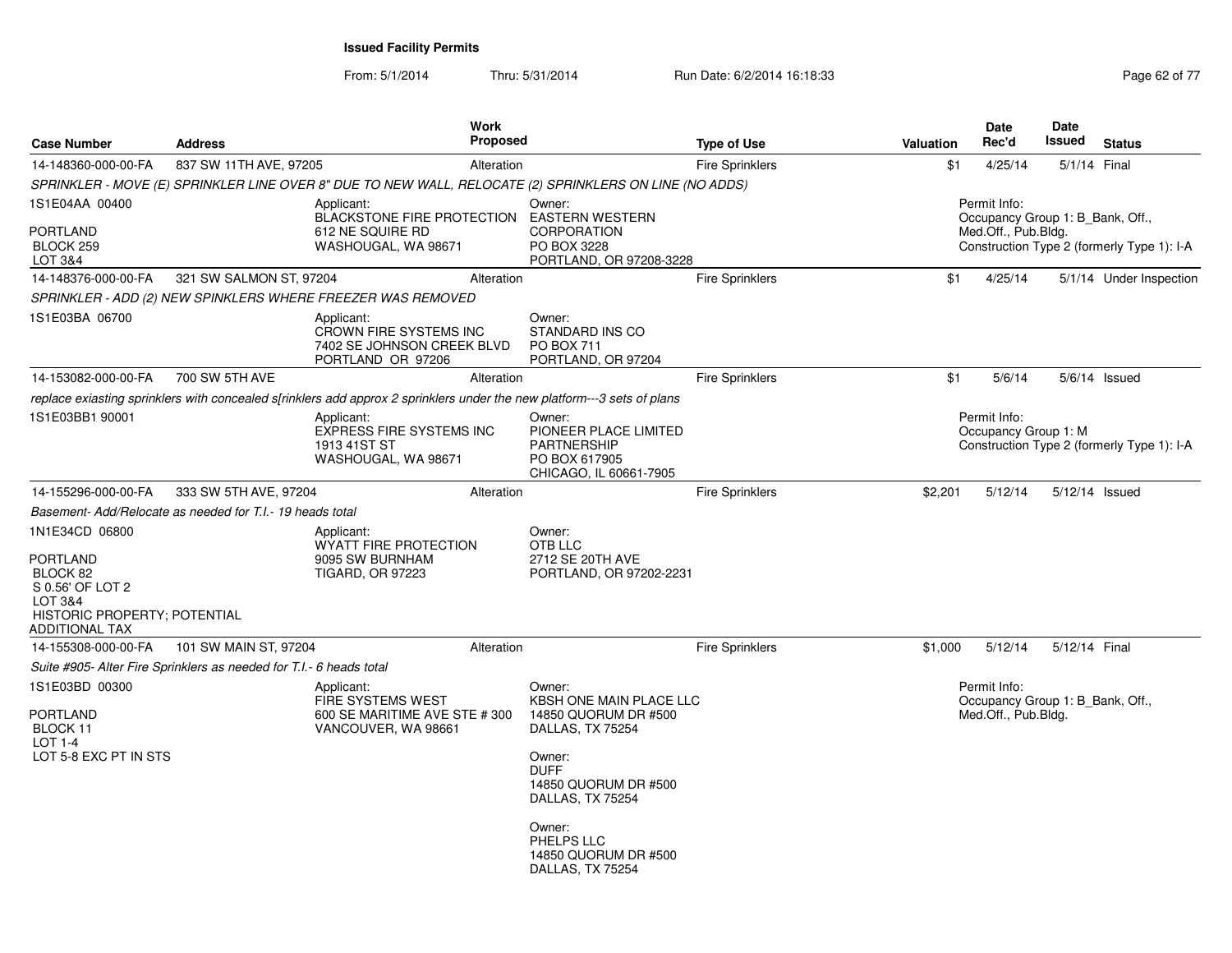| <b>Case Number</b>                                                                                                             | <b>Address</b>                                                      | <b>Work</b><br><b>Proposed</b>                                                                                          |                                                                                                                                                                                                                        | <b>Type of Use</b>     | Valuation | <b>Date</b><br>Rec'd                                                    | <b>Date</b><br>Issued | <b>Status</b>                              |
|--------------------------------------------------------------------------------------------------------------------------------|---------------------------------------------------------------------|-------------------------------------------------------------------------------------------------------------------------|------------------------------------------------------------------------------------------------------------------------------------------------------------------------------------------------------------------------|------------------------|-----------|-------------------------------------------------------------------------|-----------------------|--------------------------------------------|
| 14-148360-000-00-FA                                                                                                            | 837 SW 11TH AVE, 97205                                              | Alteration                                                                                                              |                                                                                                                                                                                                                        | <b>Fire Sprinklers</b> | \$1       | 4/25/14                                                                 | 5/1/14 Final          |                                            |
|                                                                                                                                |                                                                     | SPRINKLER - MOVE (E) SPRINKLER LINE OVER 8" DUE TO NEW WALL, RELOCATE (2) SPRINKLERS ON LINE (NO ADDS)                  |                                                                                                                                                                                                                        |                        |           |                                                                         |                       |                                            |
| 1S1E04AA 00400<br><b>PORTLAND</b><br>BLOCK 259                                                                                 |                                                                     | Applicant:<br><b>BLACKSTONE FIRE PROTECTION</b><br>612 NE SQUIRE RD<br>WASHOUGAL, WA 98671                              | Owner:<br><b>EASTERN WESTERN</b><br><b>CORPORATION</b><br>PO BOX 3228                                                                                                                                                  |                        |           | Permit Info:<br>Occupancy Group 1: B Bank, Off.,<br>Med.Off., Pub.Bldg. |                       | Construction Type 2 (formerly Type 1): I-A |
| LOT 3&4                                                                                                                        |                                                                     |                                                                                                                         | PORTLAND, OR 97208-3228                                                                                                                                                                                                |                        |           |                                                                         |                       |                                            |
| 14-148376-000-00-FA                                                                                                            | 321 SW SALMON ST, 97204                                             | Alteration                                                                                                              |                                                                                                                                                                                                                        | <b>Fire Sprinklers</b> | \$1       | 4/25/14                                                                 |                       | 5/1/14 Under Inspection                    |
|                                                                                                                                |                                                                     | SPRINKLER - ADD (2) NEW SPINKLERS WHERE FREEZER WAS REMOVED                                                             |                                                                                                                                                                                                                        |                        |           |                                                                         |                       |                                            |
| 1S1E03BA 06700                                                                                                                 |                                                                     | Applicant:<br><b>CROWN FIRE SYSTEMS INC</b><br>7402 SE JOHNSON CREEK BLVD<br>PORTLAND OR 97206                          | Owner:<br><b>STANDARD INS CO</b><br><b>PO BOX 711</b><br>PORTLAND, OR 97204                                                                                                                                            |                        |           |                                                                         |                       |                                            |
| 14-153082-000-00-FA                                                                                                            | 700 SW 5TH AVE                                                      | Alteration                                                                                                              |                                                                                                                                                                                                                        | <b>Fire Sprinklers</b> | \$1       | 5/6/14                                                                  |                       | $5/6/14$ Issued                            |
|                                                                                                                                |                                                                     | replace exiasting sprinklers with concealed s[rinklers add approx 2 sprinklers under the new platform---3 sets of plans |                                                                                                                                                                                                                        |                        |           |                                                                         |                       |                                            |
| 1S1E03BB1 90001                                                                                                                |                                                                     | Applicant:<br><b>EXPRESS FIRE SYSTEMS INC</b><br>1913 41ST ST<br>WASHOUGAL, WA 98671                                    | Owner:<br>PIONEER PLACE LIMITED<br><b>PARTNERSHIP</b><br>PO BOX 617905<br>CHICAGO, IL 60661-7905                                                                                                                       |                        |           | Permit Info:<br>Occupancy Group 1: M                                    |                       | Construction Type 2 (formerly Type 1): I-A |
| 14-155296-000-00-FA                                                                                                            | 333 SW 5TH AVE, 97204                                               | Alteration                                                                                                              |                                                                                                                                                                                                                        | <b>Fire Sprinklers</b> | \$2,201   | 5/12/14                                                                 | 5/12/14 Issued        |                                            |
|                                                                                                                                | Basement-Add/Relocate as needed for T.I.- 19 heads total            |                                                                                                                         |                                                                                                                                                                                                                        |                        |           |                                                                         |                       |                                            |
| 1N1E34CD 06800<br><b>PORTLAND</b><br>BLOCK 82<br>S 0.56' OF LOT 2<br>LOT 3&4<br>HISTORIC PROPERTY; POTENTIAL<br>ADDITIONAL TAX |                                                                     | Applicant:<br><b>WYATT FIRE PROTECTION</b><br>9095 SW BURNHAM<br><b>TIGARD, OR 97223</b>                                | Owner:<br>OTB LLC<br>2712 SE 20TH AVE<br>PORTLAND, OR 97202-2231                                                                                                                                                       |                        |           |                                                                         |                       |                                            |
| 14-155308-000-00-FA                                                                                                            | 101 SW MAIN ST, 97204                                               | Alteration                                                                                                              |                                                                                                                                                                                                                        | <b>Fire Sprinklers</b> | \$1,000   | 5/12/14                                                                 | 5/12/14 Final         |                                            |
|                                                                                                                                | Suite #905- Alter Fire Sprinklers as needed for T.I.- 6 heads total |                                                                                                                         |                                                                                                                                                                                                                        |                        |           |                                                                         |                       |                                            |
| 1S1E03BD 00300<br><b>PORTLAND</b><br>BLOCK 11<br><b>LOT 1-4</b><br>LOT 5-8 EXC PT IN STS                                       |                                                                     | Applicant:<br>FIRE SYSTEMS WEST<br>600 SE MARITIME AVE STE # 300<br>VANCOUVER, WA 98661                                 | Owner:<br>KBSH ONE MAIN PLACE LLC<br>14850 QUORUM DR #500<br>DALLAS, TX 75254<br>Owner:<br><b>DUFF</b><br>14850 QUORUM DR #500<br>DALLAS, TX 75254<br>Owner:<br>PHELPS LLC<br>14850 QUORUM DR #500<br>DALLAS, TX 75254 |                        |           | Permit Info:<br>Occupancy Group 1: B Bank, Off.,<br>Med.Off., Pub.Bldg. |                       |                                            |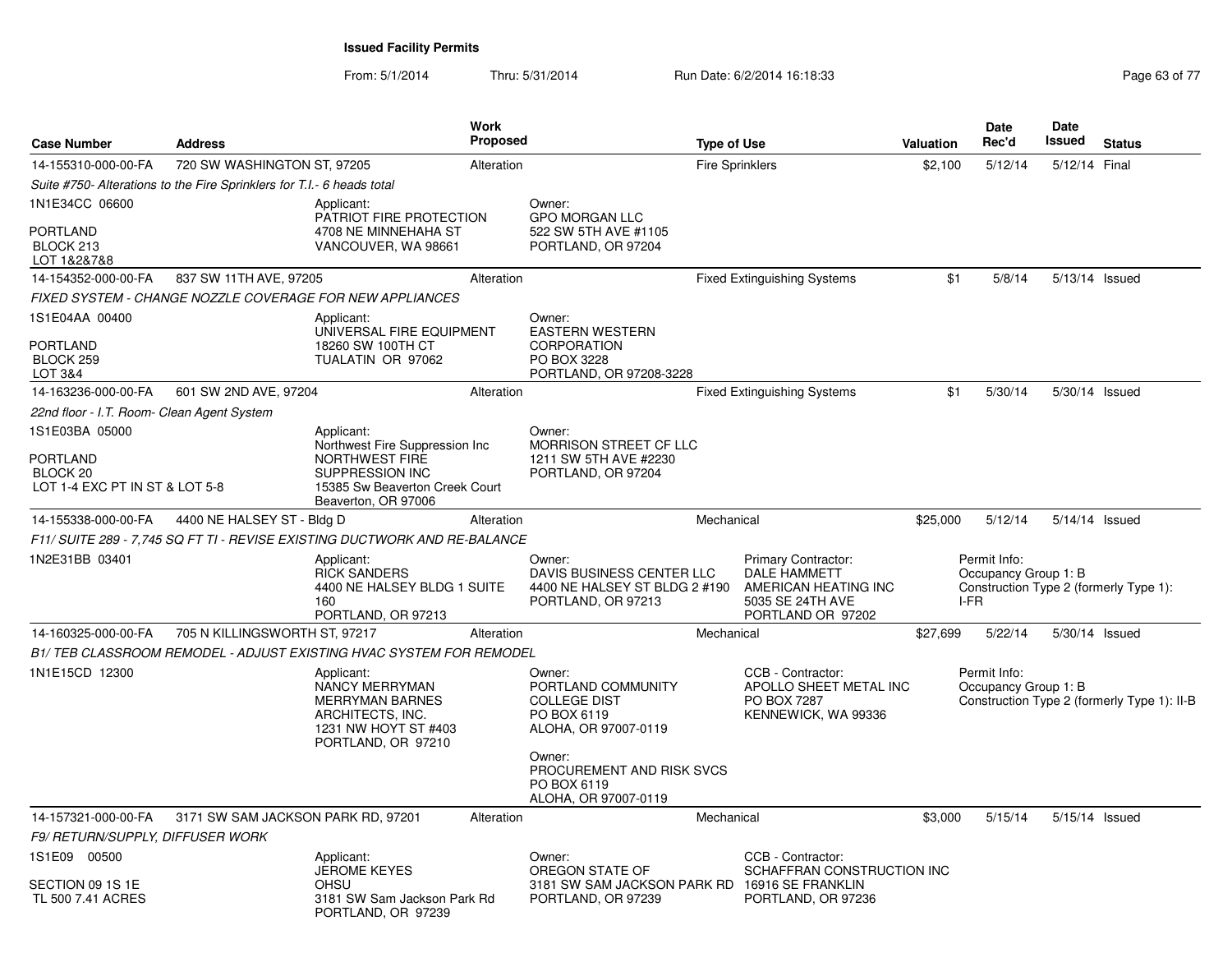| <b>Case Number</b>                                                | <b>Address</b>                                                         |                                                                                                                          | <b>Work</b><br>Proposed |                                                                                            | <b>Type of Use</b>     |                                                                                                             | <b>Valuation</b> | <b>Date</b><br>Rec'd                         | <b>Date</b><br>Issued | <b>Status</b>                               |
|-------------------------------------------------------------------|------------------------------------------------------------------------|--------------------------------------------------------------------------------------------------------------------------|-------------------------|--------------------------------------------------------------------------------------------|------------------------|-------------------------------------------------------------------------------------------------------------|------------------|----------------------------------------------|-----------------------|---------------------------------------------|
| 14-155310-000-00-FA                                               | 720 SW WASHINGTON ST, 97205                                            |                                                                                                                          | Alteration              |                                                                                            | <b>Fire Sprinklers</b> |                                                                                                             | \$2,100          | 5/12/14                                      | 5/12/14 Final         |                                             |
|                                                                   | Suite #750- Alterations to the Fire Sprinklers for T.I.- 6 heads total |                                                                                                                          |                         |                                                                                            |                        |                                                                                                             |                  |                                              |                       |                                             |
| 1N1E34CC 06600                                                    |                                                                        | Applicant:<br>PATRIOT FIRE PROTECTION                                                                                    |                         | Owner:<br><b>GPO MORGAN LLC</b>                                                            |                        |                                                                                                             |                  |                                              |                       |                                             |
| PORTLAND<br>BLOCK 213<br>LOT 1&2&7&8                              |                                                                        | 4708 NE MINNEHAHA ST<br>VANCOUVER, WA 98661                                                                              |                         | 522 SW 5TH AVE #1105<br>PORTLAND, OR 97204                                                 |                        |                                                                                                             |                  |                                              |                       |                                             |
| 14-154352-000-00-FA                                               | 837 SW 11TH AVE, 97205                                                 |                                                                                                                          | Alteration              |                                                                                            |                        | <b>Fixed Extinguishing Systems</b>                                                                          | \$1              | 5/8/14                                       | 5/13/14 Issued        |                                             |
|                                                                   |                                                                        | FIXED SYSTEM - CHANGE NOZZLE COVERAGE FOR NEW APPLIANCES                                                                 |                         |                                                                                            |                        |                                                                                                             |                  |                                              |                       |                                             |
| 1S1E04AA 00400                                                    |                                                                        | Applicant:<br>UNIVERSAL FIRE EQUIPMENT                                                                                   |                         | Owner:<br><b>EASTERN WESTERN</b>                                                           |                        |                                                                                                             |                  |                                              |                       |                                             |
| <b>PORTLAND</b><br>BLOCK 259<br>LOT 3&4                           |                                                                        | 18260 SW 100TH CT<br>TUALATIN OR 97062                                                                                   |                         | <b>CORPORATION</b><br>PO BOX 3228<br>PORTLAND, OR 97208-3228                               |                        |                                                                                                             |                  |                                              |                       |                                             |
| 14-163236-000-00-FA                                               | 601 SW 2ND AVE, 97204                                                  |                                                                                                                          | Alteration              |                                                                                            |                        | <b>Fixed Extinguishing Systems</b>                                                                          | \$1              | 5/30/14                                      | 5/30/14 Issued        |                                             |
| 22nd floor - I.T. Room- Clean Agent System                        |                                                                        |                                                                                                                          |                         |                                                                                            |                        |                                                                                                             |                  |                                              |                       |                                             |
| 1S1E03BA 05000                                                    |                                                                        | Applicant:<br>Northwest Fire Suppression Inc.                                                                            |                         | Owner:<br>MORRISON STREET CF LLC                                                           |                        |                                                                                                             |                  |                                              |                       |                                             |
| PORTLAND<br>BLOCK <sub>20</sub><br>LOT 1-4 EXC PT IN ST & LOT 5-8 |                                                                        | NORTHWEST FIRE<br><b>SUPPRESSION INC</b><br>15385 Sw Beaverton Creek Court<br>Beaverton, OR 97006                        |                         | 1211 SW 5TH AVE #2230<br>PORTLAND, OR 97204                                                |                        |                                                                                                             |                  |                                              |                       |                                             |
| 14-155338-000-00-FA                                               | 4400 NE HALSEY ST - Bldg D                                             |                                                                                                                          | Alteration              |                                                                                            | Mechanical             |                                                                                                             | \$25,000         | 5/12/14                                      | 5/14/14 Issued        |                                             |
|                                                                   |                                                                        | F11/ SUITE 289 - 7,745 SQ FT TI - REVISE EXISTING DUCTWORK AND RE-BALANCE                                                |                         |                                                                                            |                        |                                                                                                             |                  |                                              |                       |                                             |
| 1N2E31BB 03401                                                    |                                                                        | Applicant:<br><b>RICK SANDERS</b><br>4400 NE HALSEY BLDG 1 SUITE<br>160<br>PORTLAND, OR 97213                            |                         | Owner:<br>DAVIS BUSINESS CENTER LLC<br>4400 NE HALSEY ST BLDG 2 #190<br>PORTLAND, OR 97213 |                        | Primary Contractor:<br><b>DALE HAMMETT</b><br>AMERICAN HEATING INC<br>5035 SE 24TH AVE<br>PORTLAND OR 97202 |                  | Permit Info:<br>Occupancy Group 1: B<br>I-FR |                       | Construction Type 2 (formerly Type 1):      |
| 14-160325-000-00-FA                                               | 705 N KILLINGSWORTH ST, 97217                                          |                                                                                                                          | Alteration              |                                                                                            | Mechanical             |                                                                                                             | \$27,699         | 5/22/14                                      | 5/30/14 Issued        |                                             |
|                                                                   |                                                                        | B1/TEB CLASSROOM REMODEL - ADJUST EXISTING HVAC SYSTEM FOR REMODEL                                                       |                         |                                                                                            |                        |                                                                                                             |                  |                                              |                       |                                             |
| 1N1E15CD 12300                                                    |                                                                        | Applicant:<br>NANCY MERRYMAN<br><b>MERRYMAN BARNES</b><br>ARCHITECTS, INC.<br>1231 NW HOYT ST #403<br>PORTLAND, OR 97210 |                         | Owner:<br>PORTLAND COMMUNITY<br><b>COLLEGE DIST</b><br>PO BOX 6119<br>ALOHA, OR 97007-0119 |                        | CCB - Contractor:<br>APOLLO SHEET METAL INC<br>PO BOX 7287<br>KENNEWICK, WA 99336                           |                  | Permit Info:<br>Occupancy Group 1: B         |                       | Construction Type 2 (formerly Type 1): II-B |
|                                                                   |                                                                        |                                                                                                                          |                         | Owner:<br>PROCUREMENT AND RISK SVCS<br>PO BOX 6119<br>ALOHA, OR 97007-0119                 |                        |                                                                                                             |                  |                                              |                       |                                             |
| 14-157321-000-00-FA                                               | 3171 SW SAM JACKSON PARK RD, 97201                                     |                                                                                                                          | Alteration              |                                                                                            | Mechanical             |                                                                                                             | \$3,000          | 5/15/14                                      | 5/15/14 Issued        |                                             |
| F9/ RETURN/SUPPLY, DIFFUSER WORK                                  |                                                                        |                                                                                                                          |                         |                                                                                            |                        |                                                                                                             |                  |                                              |                       |                                             |
| 1S1E09 00500                                                      |                                                                        | Applicant:<br><b>JEROME KEYES</b>                                                                                        |                         | Owner:<br>OREGON STATE OF                                                                  |                        | CCB - Contractor:<br>SCHAFFRAN CONSTRUCTION INC                                                             |                  |                                              |                       |                                             |
| SECTION 09 1S 1E<br>TL 500 7.41 ACRES                             |                                                                        | <b>OHSU</b><br>3181 SW Sam Jackson Park Rd<br>PORTLAND, OR 97239                                                         |                         | 3181 SW SAM JACKSON PARK RD 16916 SE FRANKLIN<br>PORTLAND, OR 97239                        |                        | PORTLAND, OR 97236                                                                                          |                  |                                              |                       |                                             |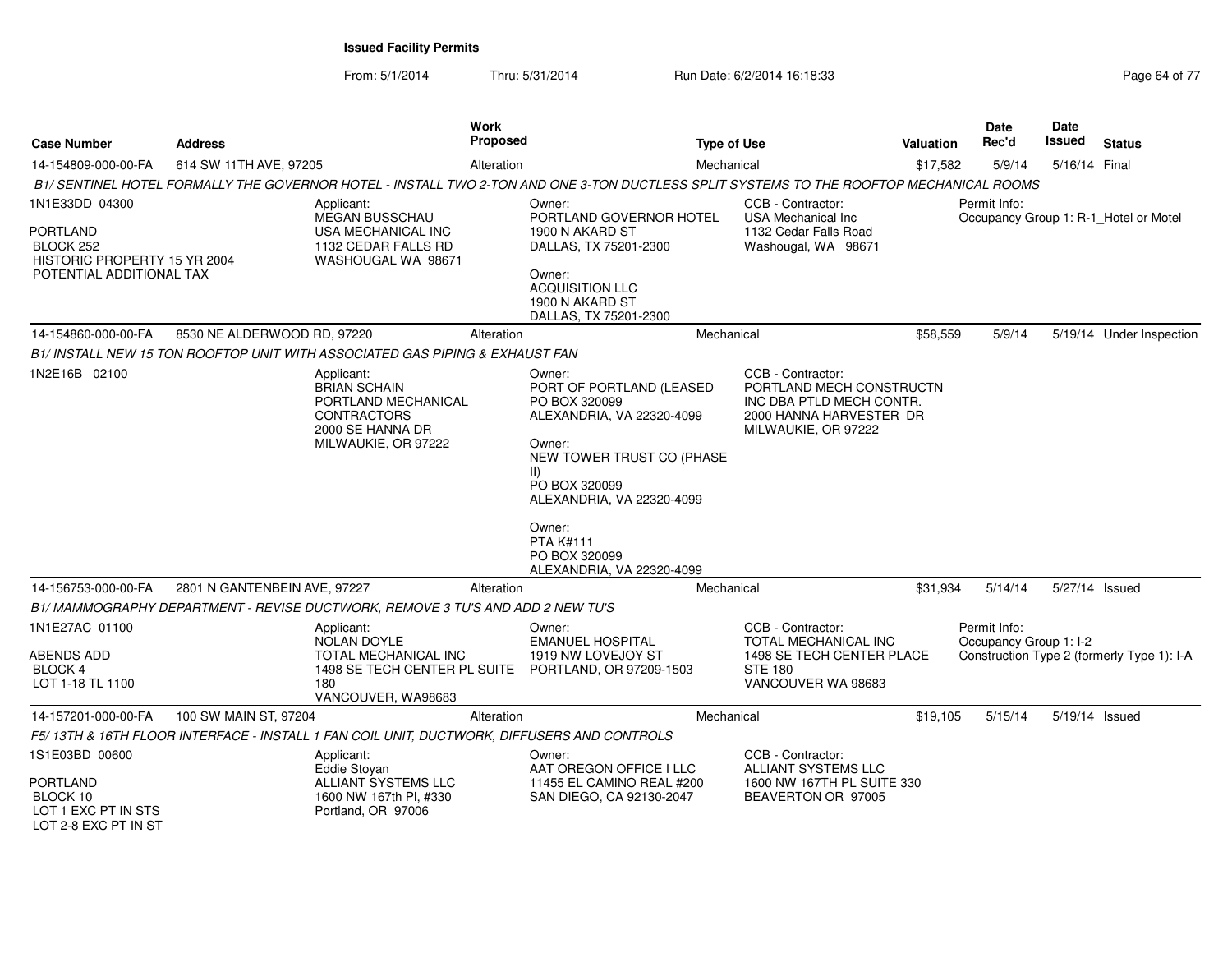From: 5/1/2014

Thru: 5/31/2014 Run Date: 6/2/2014 16:18:33 Research 2010 17

| <b>Case Number</b>                                                                                         | <b>Address</b>               | Work<br><b>Proposed</b>                                                                                                                 |                                                                                                                                                                                                                                                                    | <b>Type of Use</b>                                                                                                          | <b>Valuation</b> | Date<br>Rec'd                          | Date<br>Issued | <b>Status</b>                              |
|------------------------------------------------------------------------------------------------------------|------------------------------|-----------------------------------------------------------------------------------------------------------------------------------------|--------------------------------------------------------------------------------------------------------------------------------------------------------------------------------------------------------------------------------------------------------------------|-----------------------------------------------------------------------------------------------------------------------------|------------------|----------------------------------------|----------------|--------------------------------------------|
| 14-154809-000-00-FA                                                                                        | 614 SW 11TH AVE, 97205       | Alteration                                                                                                                              |                                                                                                                                                                                                                                                                    | Mechanical                                                                                                                  | \$17,582         | 5/9/14                                 | 5/16/14 Final  |                                            |
|                                                                                                            |                              | B1/ SENTINEL HOTEL FORMALLY THE GOVERNOR HOTEL - INSTALL TWO 2-TON AND ONE 3-TON DUCTLESS SPLIT SYSTEMS TO THE ROOFTOP MECHANICAL ROOMS |                                                                                                                                                                                                                                                                    |                                                                                                                             |                  |                                        |                |                                            |
| 1N1E33DD 04300<br><b>PORTLAND</b><br>BLOCK 252<br>HISTORIC PROPERTY 15 YR 2004<br>POTENTIAL ADDITIONAL TAX |                              | Applicant:<br><b>MEGAN BUSSCHAU</b><br>USA MECHANICAL INC<br>1132 CEDAR FALLS RD<br>WASHOUGAL WA 98671                                  | Owner:<br>PORTLAND GOVERNOR HOTEL<br>1900 N AKARD ST<br>DALLAS, TX 75201-2300<br>Owner:<br><b>ACQUISITION LLC</b><br>1900 N AKARD ST<br>DALLAS, TX 75201-2300                                                                                                      | CCB - Contractor:<br><b>USA Mechanical Inc.</b><br>1132 Cedar Falls Road<br>Washougal, WA 98671                             |                  | Permit Info:                           |                | Occupancy Group 1: R-1_Hotel or Motel      |
| 14-154860-000-00-FA                                                                                        | 8530 NE ALDERWOOD RD, 97220  | Alteration                                                                                                                              |                                                                                                                                                                                                                                                                    | Mechanical                                                                                                                  | \$58,559         | 5/9/14                                 |                | 5/19/14 Under Inspection                   |
|                                                                                                            |                              | B1/ INSTALL NEW 15 TON ROOFTOP UNIT WITH ASSOCIATED GAS PIPING & EXHAUST FAN                                                            |                                                                                                                                                                                                                                                                    |                                                                                                                             |                  |                                        |                |                                            |
| 1N2E16B 02100                                                                                              |                              | Applicant:<br><b>BRIAN SCHAIN</b><br>PORTLAND MECHANICAL<br><b>CONTRACTORS</b><br>2000 SE HANNA DR<br>MILWAUKIE, OR 97222               | Owner:<br>PORT OF PORTLAND (LEASED<br>PO BOX 320099<br>ALEXANDRIA, VA 22320-4099<br>Owner:<br>NEW TOWER TRUST CO (PHASE<br>$\vert \vert$<br>PO BOX 320099<br>ALEXANDRIA, VA 22320-4099<br>Owner:<br><b>PTA K#111</b><br>PO BOX 320099<br>ALEXANDRIA, VA 22320-4099 | CCB - Contractor:<br>PORTLAND MECH CONSTRUCTN<br>INC DBA PTLD MECH CONTR.<br>2000 HANNA HARVESTER DR<br>MILWAUKIE, OR 97222 |                  |                                        |                |                                            |
| 14-156753-000-00-FA                                                                                        | 2801 N GANTENBEIN AVE, 97227 | Alteration                                                                                                                              |                                                                                                                                                                                                                                                                    | Mechanical                                                                                                                  | \$31,934         | 5/14/14                                |                | 5/27/14 Issued                             |
|                                                                                                            |                              | B1/ MAMMOGRAPHY DEPARTMENT - REVISE DUCTWORK, REMOVE 3 TU'S AND ADD 2 NEW TU'S                                                          |                                                                                                                                                                                                                                                                    |                                                                                                                             |                  |                                        |                |                                            |
| 1N1E27AC 01100<br>ABENDS ADD<br><b>BLOCK 4</b><br>LOT 1-18 TL 1100                                         |                              | Applicant:<br><b>NOLAN DOYLE</b><br><b>TOTAL MECHANICAL INC</b><br>1498 SE TECH CENTER PL SUITE<br>180<br>VANCOUVER, WA98683            | Owner:<br><b>EMANUEL HOSPITAL</b><br>1919 NW LOVEJOY ST<br>PORTLAND, OR 97209-1503                                                                                                                                                                                 | CCB - Contractor:<br>TOTAL MECHANICAL INC<br>1498 SE TECH CENTER PLACE<br><b>STE 180</b><br>VANCOUVER WA 98683              |                  | Permit Info:<br>Occupancy Group 1: I-2 |                | Construction Type 2 (formerly Type 1): I-A |
| 14-157201-000-00-FA                                                                                        | 100 SW MAIN ST, 97204        | Alteration                                                                                                                              |                                                                                                                                                                                                                                                                    | Mechanical                                                                                                                  | \$19,105         | 5/15/14                                |                | 5/19/14 Issued                             |
|                                                                                                            |                              | F5/13TH & 16TH FLOOR INTERFACE - INSTALL 1 FAN COIL UNIT, DUCTWORK, DIFFUSERS AND CONTROLS                                              |                                                                                                                                                                                                                                                                    |                                                                                                                             |                  |                                        |                |                                            |
| 1S1E03BD 00600<br><b>PORTLAND</b><br>BLOCK 10<br>LOT 1 EXC PT IN STS<br>LOT 2-8 EXC PT IN ST               |                              | Applicant:<br>Eddie Stovan<br>ALLIANT SYSTEMS LLC<br>1600 NW 167th Pl, #330<br>Portland, OR 97006                                       | Owner:<br>AAT OREGON OFFICE I LLC<br>11455 EL CAMINO REAL #200<br>SAN DIEGO, CA 92130-2047                                                                                                                                                                         | CCB - Contractor:<br><b>ALLIANT SYSTEMS LLC</b><br>1600 NW 167TH PL SUITE 330<br>BEAVERTON OR 97005                         |                  |                                        |                |                                            |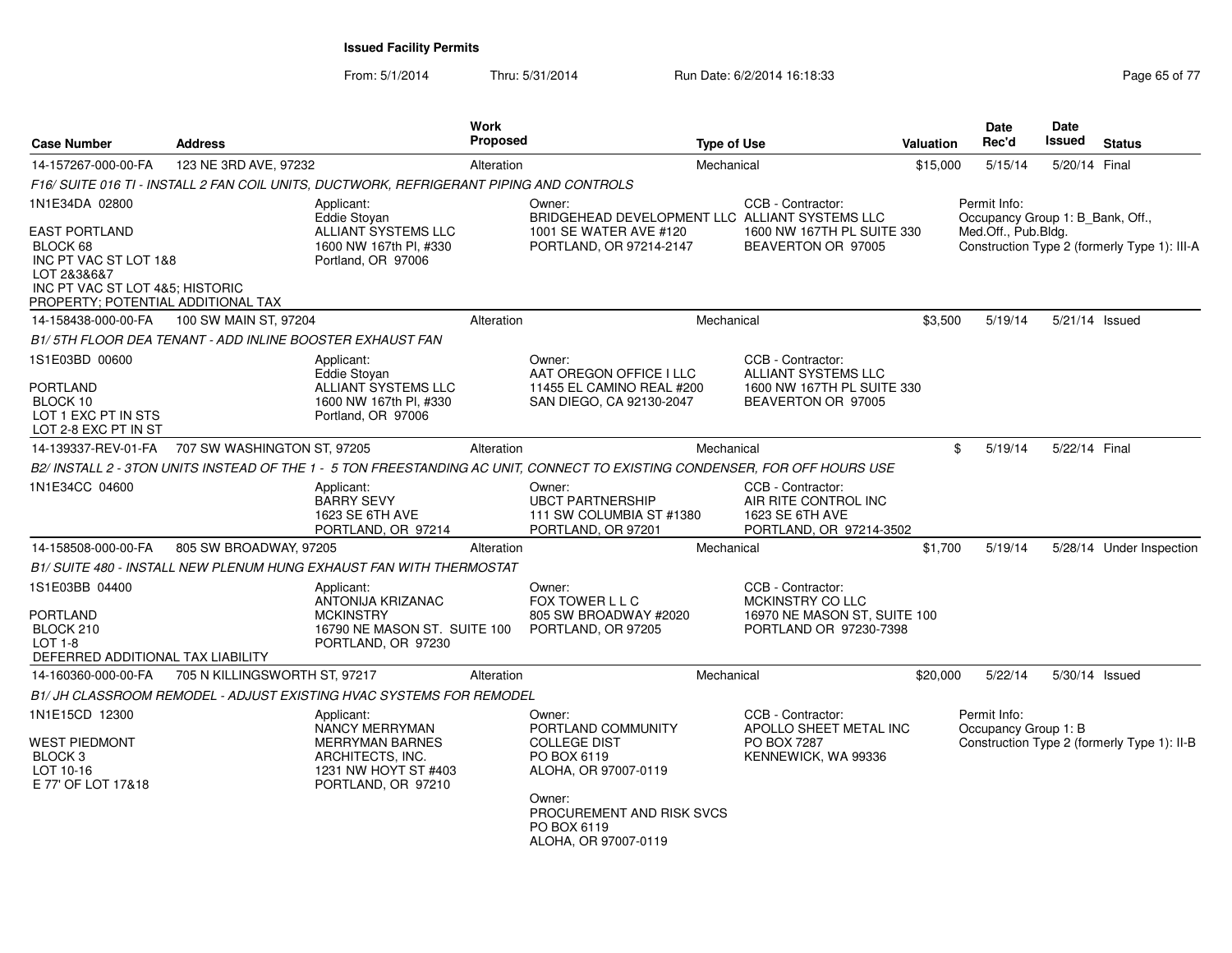| <b>Case Number</b>                                                                                                            | <b>Address</b>                                           |                                                                                                                          | Work<br>Proposed |                                                                                                                                                                          | <b>Type of Use</b>                                                                                  | Valuation | Date<br>Rec'd                                                           | Date<br><b>Issued</b> | <b>Status</b>                                |
|-------------------------------------------------------------------------------------------------------------------------------|----------------------------------------------------------|--------------------------------------------------------------------------------------------------------------------------|------------------|--------------------------------------------------------------------------------------------------------------------------------------------------------------------------|-----------------------------------------------------------------------------------------------------|-----------|-------------------------------------------------------------------------|-----------------------|----------------------------------------------|
| 14-157267-000-00-FA                                                                                                           | 123 NE 3RD AVE, 97232                                    |                                                                                                                          | Alteration       |                                                                                                                                                                          | Mechanical                                                                                          | \$15,000  | 5/15/14                                                                 | 5/20/14 Final         |                                              |
|                                                                                                                               |                                                          | F16/ SUITE 016 TI - INSTALL 2 FAN COIL UNITS, DUCTWORK, REFRIGERANT PIPING AND CONTROLS                                  |                  |                                                                                                                                                                          |                                                                                                     |           |                                                                         |                       |                                              |
| 1N1E34DA 02800<br><b>EAST PORTLAND</b><br>BLOCK 68<br>INC PT VAC ST LOT 1&8<br>LOT 2&3&6&7<br>INC PT VAC ST LOT 4&5; HISTORIC |                                                          | Applicant:<br>Eddie Stovan<br><b>ALLIANT SYSTEMS LLC</b><br>1600 NW 167th Pl, #330<br>Portland, OR 97006                 |                  | Owner:<br>BRIDGEHEAD DEVELOPMENT LLC ALLIANT SYSTEMS LLC<br>1001 SE WATER AVE #120<br>PORTLAND, OR 97214-2147                                                            | CCB - Contractor:<br>1600 NW 167TH PL SUITE 330<br>BEAVERTON OR 97005                               |           | Permit Info:<br>Occupancy Group 1: B_Bank, Off.,<br>Med.Off., Pub.Bldg. |                       | Construction Type 2 (formerly Type 1): III-A |
| PROPERTY; POTENTIAL ADDITIONAL TAX                                                                                            |                                                          |                                                                                                                          |                  |                                                                                                                                                                          |                                                                                                     |           |                                                                         |                       |                                              |
| 14-158438-000-00-FA                                                                                                           | 100 SW MAIN ST, 97204                                    |                                                                                                                          | Alteration       |                                                                                                                                                                          | Mechanical                                                                                          | \$3,500   | 5/19/14                                                                 | 5/21/14 Issued        |                                              |
|                                                                                                                               | B1/5TH FLOOR DEA TENANT - ADD INLINE BOOSTER EXHAUST FAN |                                                                                                                          |                  |                                                                                                                                                                          |                                                                                                     |           |                                                                         |                       |                                              |
| 1S1E03BD 00600<br><b>PORTLAND</b><br>BLOCK 10<br>LOT 1 EXC PT IN STS<br>LOT 2-8 EXC PT IN ST                                  |                                                          | Applicant:<br><b>Eddie Stovan</b><br><b>ALLIANT SYSTEMS LLC</b><br>1600 NW 167th Pl, #330<br>Portland, OR 97006          |                  | Owner:<br>AAT OREGON OFFICE I LLC<br>11455 EL CAMINO REAL #200<br>SAN DIEGO, CA 92130-2047                                                                               | CCB - Contractor:<br><b>ALLIANT SYSTEMS LLC</b><br>1600 NW 167TH PL SUITE 330<br>BEAVERTON OR 97005 |           |                                                                         |                       |                                              |
| 14-139337-REV-01-FA                                                                                                           | 707 SW WASHINGTON ST, 97205                              |                                                                                                                          | Alteration       |                                                                                                                                                                          | Mechanical                                                                                          |           | \$<br>5/19/14                                                           | 5/22/14 Final         |                                              |
|                                                                                                                               |                                                          |                                                                                                                          |                  | B2/ INSTALL 2 - 3TON UNITS INSTEAD OF THE 1 - 5 TON FREESTANDING AC UNIT. CONNECT TO EXISTING CONDENSER. FOR OFF HOURS USE                                               |                                                                                                     |           |                                                                         |                       |                                              |
| 1N1E34CC 04600                                                                                                                |                                                          | Applicant:<br><b>BARRY SEVY</b><br>1623 SE 6TH AVE<br>PORTLAND, OR 97214                                                 |                  | Owner:<br><b>UBCT PARTNERSHIP</b><br>111 SW COLUMBIA ST #1380<br>PORTLAND, OR 97201                                                                                      | CCB - Contractor:<br>AIR RITE CONTROL INC<br>1623 SE 6TH AVE<br>PORTLAND, OR 97214-3502             |           |                                                                         |                       |                                              |
| 14-158508-000-00-FA                                                                                                           | 805 SW BROADWAY, 97205                                   |                                                                                                                          | Alteration       |                                                                                                                                                                          | Mechanical                                                                                          | \$1,700   | 5/19/14                                                                 |                       | 5/28/14 Under Inspection                     |
|                                                                                                                               |                                                          | B1/ SUITE 480 - INSTALL NEW PLENUM HUNG EXHAUST FAN WITH THERMOSTAT                                                      |                  |                                                                                                                                                                          |                                                                                                     |           |                                                                         |                       |                                              |
| 1S1E03BB 04400<br>PORTLAND<br>BLOCK 210<br><b>LOT 1-8</b><br>DEFERRED ADDITIONAL TAX LIABILITY                                |                                                          | Applicant:<br>ANTONIJA KRIZANAC<br><b>MCKINSTRY</b><br>16790 NE MASON ST. SUITE 100<br>PORTLAND, OR 97230                |                  | Owner:<br>FOX TOWER L L C<br>805 SW BROADWAY #2020<br>PORTLAND, OR 97205                                                                                                 | CCB - Contractor:<br>MCKINSTRY CO LLC<br>16970 NE MASON ST, SUITE 100<br>PORTLAND OR 97230-7398     |           |                                                                         |                       |                                              |
| 14-160360-000-00-FA                                                                                                           | 705 N KILLINGSWORTH ST, 97217                            |                                                                                                                          | Alteration       |                                                                                                                                                                          | Mechanical                                                                                          | \$20,000  | 5/22/14                                                                 | 5/30/14 Issued        |                                              |
|                                                                                                                               |                                                          | B1/ JH CLASSROOM REMODEL - ADJUST EXISTING HVAC SYSTEMS FOR REMODEL                                                      |                  |                                                                                                                                                                          |                                                                                                     |           |                                                                         |                       |                                              |
| 1N1E15CD 12300<br><b>WEST PIEDMONT</b><br>BLOCK <sub>3</sub><br>LOT 10-16<br>E 77' OF LOT 17&18                               |                                                          | Applicant:<br>NANCY MERRYMAN<br><b>MERRYMAN BARNES</b><br>ARCHITECTS, INC.<br>1231 NW HOYT ST #403<br>PORTLAND, OR 97210 |                  | Owner:<br>PORTLAND COMMUNITY<br><b>COLLEGE DIST</b><br>PO BOX 6119<br>ALOHA, OR 97007-0119<br>Owner:<br>PROCUREMENT AND RISK SVCS<br>PO BOX 6119<br>ALOHA, OR 97007-0119 | CCB - Contractor:<br>APOLLO SHEET METAL INC<br>PO BOX 7287<br>KENNEWICK, WA 99336                   |           | Permit Info:<br>Occupancy Group 1: B                                    |                       | Construction Type 2 (formerly Type 1): II-B  |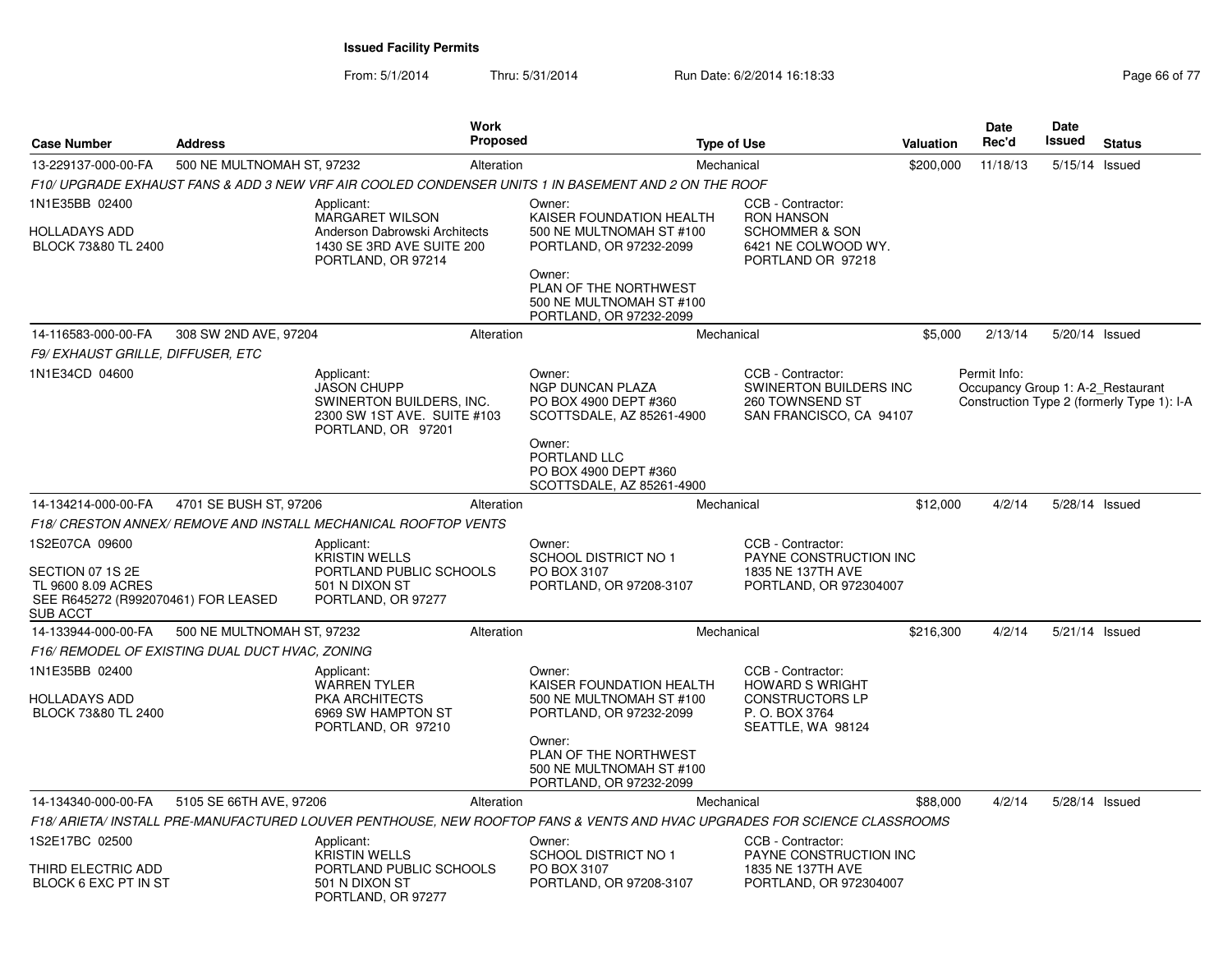| <b>Address</b><br><b>Case Number</b>                                                                               |                                                 | <b>Work</b><br><b>Proposed</b>                                                                                           |            | <b>Type of Use</b>                                                                                                                                                                  | Valuation                                                                                                                 | <b>Date</b><br>Rec'd | Date<br>Issued                                    | <b>Status</b>  |                                            |
|--------------------------------------------------------------------------------------------------------------------|-------------------------------------------------|--------------------------------------------------------------------------------------------------------------------------|------------|-------------------------------------------------------------------------------------------------------------------------------------------------------------------------------------|---------------------------------------------------------------------------------------------------------------------------|----------------------|---------------------------------------------------|----------------|--------------------------------------------|
| 13-229137-000-00-FA                                                                                                | 500 NE MULTNOMAH ST, 97232                      |                                                                                                                          | Alteration |                                                                                                                                                                                     | Mechanical                                                                                                                | \$200,000            | 11/18/13                                          | 5/15/14 Issued |                                            |
|                                                                                                                    |                                                 |                                                                                                                          |            | F10/ UPGRADE EXHAUST FANS & ADD 3 NEW VRF AIR COOLED CONDENSER UNITS 1 IN BASEMENT AND 2 ON THE ROOF                                                                                |                                                                                                                           |                      |                                                   |                |                                            |
| 1N1E35BB 02400<br>HOLLADAYS ADD<br>BLOCK 73&80 TL 2400                                                             |                                                 | Applicant:<br><b>MARGARET WILSON</b><br>Anderson Dabrowski Architects<br>1430 SE 3RD AVE SUITE 200<br>PORTLAND, OR 97214 |            | Owner:<br>KAISER FOUNDATION HEALTH<br>500 NE MULTNOMAH ST #100<br>PORTLAND, OR 97232-2099<br>Owner:<br>PLAN OF THE NORTHWEST<br>500 NE MULTNOMAH ST #100<br>PORTLAND, OR 97232-2099 | CCB - Contractor:<br><b>RON HANSON</b><br><b>SCHOMMER &amp; SON</b><br>6421 NE COLWOOD WY.<br>PORTLAND OR 97218           |                      |                                                   |                |                                            |
| 14-116583-000-00-FA                                                                                                | 308 SW 2ND AVE, 97204                           |                                                                                                                          | Alteration |                                                                                                                                                                                     | Mechanical                                                                                                                | \$5,000              | 2/13/14                                           | 5/20/14 Issued |                                            |
| F9/ EXHAUST GRILLE, DIFFUSER, ETC                                                                                  |                                                 |                                                                                                                          |            |                                                                                                                                                                                     |                                                                                                                           |                      |                                                   |                |                                            |
| 1N1E34CD 04600                                                                                                     |                                                 | Applicant:<br><b>JASON CHUPP</b><br>SWINERTON BUILDERS, INC.<br>2300 SW 1ST AVE. SUITE #103<br>PORTLAND, OR 97201        |            | Owner:<br><b>NGP DUNCAN PLAZA</b><br>PO BOX 4900 DEPT #360<br>SCOTTSDALE, AZ 85261-4900<br>Owner:<br>PORTLAND LLC<br>PO BOX 4900 DEPT #360<br>SCOTTSDALE, AZ 85261-4900             | CCB - Contractor:<br><b>SWINERTON BUILDERS INC</b><br>260 TOWNSEND ST<br>SAN FRANCISCO, CA 94107                          |                      | Permit Info:<br>Occupancy Group 1: A-2_Restaurant |                | Construction Type 2 (formerly Type 1): I-A |
| 14-134214-000-00-FA                                                                                                | 4701 SE BUSH ST, 97206                          |                                                                                                                          | Alteration |                                                                                                                                                                                     | Mechanical                                                                                                                | \$12,000             | 4/2/14                                            | 5/28/14 Issued |                                            |
|                                                                                                                    |                                                 | F18/ CRESTON ANNEX/ REMOVE AND INSTALL MECHANICAL ROOFTOP VENTS                                                          |            |                                                                                                                                                                                     |                                                                                                                           |                      |                                                   |                |                                            |
| 1S2E07CA 09600<br>SECTION 07 1S 2E<br>TL 9600 8.09 ACRES<br>SEE R645272 (R992070461) FOR LEASED<br><b>SUB ACCT</b> |                                                 | Applicant:<br><b>KRISTIN WELLS</b><br>PORTLAND PUBLIC SCHOOLS<br>501 N DIXON ST<br>PORTLAND, OR 97277                    |            | Owner:<br>SCHOOL DISTRICT NO 1<br>PO BOX 3107<br>PORTLAND, OR 97208-3107                                                                                                            | CCB - Contractor:<br>PAYNE CONSTRUCTION INC<br>1835 NE 137TH AVE<br>PORTLAND, OR 972304007                                |                      |                                                   |                |                                            |
| 14-133944-000-00-FA                                                                                                | 500 NE MULTNOMAH ST, 97232                      |                                                                                                                          | Alteration |                                                                                                                                                                                     | Mechanical                                                                                                                | \$216,300            | 4/2/14                                            | 5/21/14 Issued |                                            |
|                                                                                                                    | F16/ REMODEL OF EXISTING DUAL DUCT HVAC, ZONING |                                                                                                                          |            |                                                                                                                                                                                     |                                                                                                                           |                      |                                                   |                |                                            |
| 1N1E35BB 02400<br>HOLLADAYS ADD<br>BLOCK 73&80 TL 2400                                                             |                                                 | Applicant:<br><b>WARREN TYLER</b><br><b>PKA ARCHITECTS</b><br>6969 SW HAMPTON ST<br>PORTLAND, OR 97210                   |            | Owner:<br>KAISER FOUNDATION HEALTH<br>500 NE MULTNOMAH ST #100<br>PORTLAND, OR 97232-2099<br>Owner:<br>PLAN OF THE NORTHWEST<br>500 NE MULTNOMAH ST #100<br>PORTLAND, OR 97232-2099 | CCB - Contractor:<br><b>HOWARD S WRIGHT</b><br><b>CONSTRUCTORS LP</b><br>P. O. BOX 3764<br>SEATTLE, WA 98124              |                      |                                                   |                |                                            |
| 14-134340-000-00-FA                                                                                                | 5105 SE 66TH AVE, 97206                         |                                                                                                                          | Alteration |                                                                                                                                                                                     | Mechanical                                                                                                                | \$88,000             | 4/2/14                                            |                |                                            |
|                                                                                                                    |                                                 |                                                                                                                          |            |                                                                                                                                                                                     | F18/ ARIETA/ INSTALL PRE-MANUFACTURED LOUVER PENTHOUSE. NEW ROOFTOP FANS & VENTS AND HVAC UPGRADES FOR SCIENCE CLASSROOMS |                      |                                                   |                |                                            |
| 1S2E17BC 02500<br>THIRD ELECTRIC ADD<br>BLOCK 6 EXC PT IN ST                                                       |                                                 | Applicant:<br><b>KRISTIN WELLS</b><br>PORTLAND PUBLIC SCHOOLS<br>501 N DIXON ST                                          |            | Owner:<br><b>SCHOOL DISTRICT NO 1</b><br>PO BOX 3107<br>PORTLAND, OR 97208-3107                                                                                                     | CCB - Contractor:<br>PAYNE CONSTRUCTION INC<br>1835 NE 137TH AVE<br>PORTLAND, OR 972304007                                |                      |                                                   |                |                                            |
|                                                                                                                    |                                                 | PORTLAND, OR 97277                                                                                                       |            |                                                                                                                                                                                     |                                                                                                                           |                      |                                                   |                | 5/28/14 Issued                             |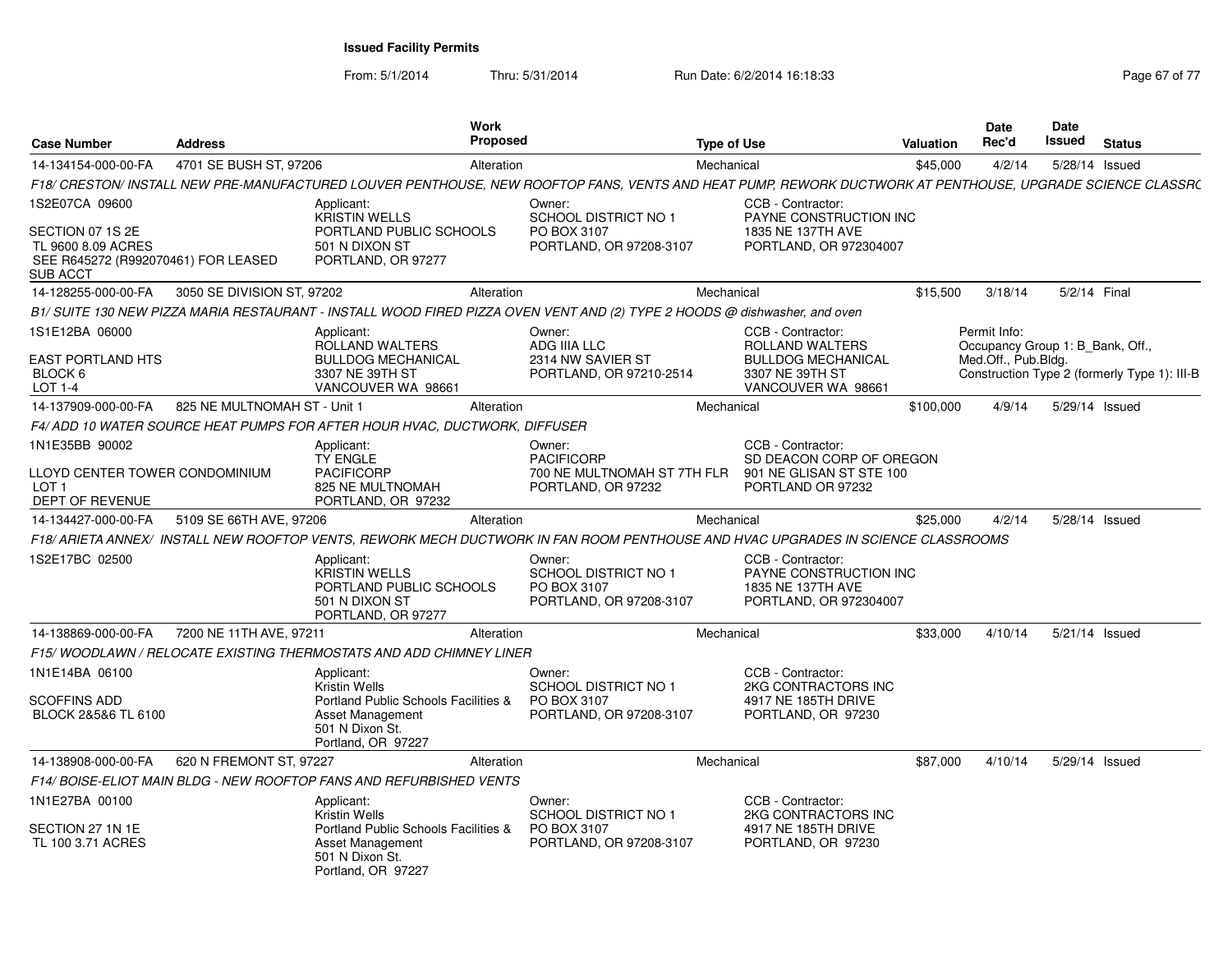From: 5/1/2014

Thru: 5/31/2014 Run Date: 6/2/2014 16:18:33 Research 2010 17 Page 67 of 77

| <b>Case Number</b>                                                           | <b>Address</b>               | Work<br><b>Proposed</b>                                                                                                                                   |                                                                          | Type of Use |                                                                                            | <b>Valuation</b> | Date<br>Rec'd                                           | Date<br>Issued | <b>Status</b>                                |
|------------------------------------------------------------------------------|------------------------------|-----------------------------------------------------------------------------------------------------------------------------------------------------------|--------------------------------------------------------------------------|-------------|--------------------------------------------------------------------------------------------|------------------|---------------------------------------------------------|----------------|----------------------------------------------|
| 14-134154-000-00-FA                                                          | 4701 SE BUSH ST, 97206       | Alteration                                                                                                                                                |                                                                          | Mechanical  |                                                                                            | \$45,000         | 4/2/14                                                  |                | 5/28/14 Issued                               |
|                                                                              |                              | F18/ CRESTON/ INSTALL NEW PRE-MANUFACTURED LOUVER PENTHOUSE, NEW ROOFTOP FANS, VENTS AND HEAT PUMP, REWORK DUCTWORK AT PENTHOUSE, UPGRADE SCIENCE CLASSR( |                                                                          |             |                                                                                            |                  |                                                         |                |                                              |
| 1S2E07CA 09600<br>SECTION 07 1S 2E                                           |                              | Applicant:<br><b>KRISTIN WELLS</b><br>PORTLAND PUBLIC SCHOOLS                                                                                             | Owner:<br><b>SCHOOL DISTRICT NO 1</b><br>PO BOX 3107                     |             | CCB - Contractor:<br>PAYNE CONSTRUCTION INC<br>1835 NE 137TH AVE                           |                  |                                                         |                |                                              |
| TL 9600 8.09 ACRES<br>SEE R645272 (R992070461) FOR LEASED<br>SUB ACCT        |                              | 501 N DIXON ST<br>PORTLAND, OR 97277                                                                                                                      | PORTLAND, OR 97208-3107                                                  |             | PORTLAND, OR 972304007                                                                     |                  |                                                         |                |                                              |
| 14-128255-000-00-FA                                                          | 3050 SE DIVISION ST, 97202   | Alteration                                                                                                                                                |                                                                          | Mechanical  |                                                                                            | \$15,500         | 3/18/14                                                 |                | 5/2/14 Final                                 |
|                                                                              |                              | B1/SUITE 130 NEW PIZZA MARIA RESTAURANT - INSTALL WOOD FIRED PIZZA OVEN VENT AND (2) TYPE 2 HOODS @ dishwasher, and oven                                  |                                                                          |             |                                                                                            |                  |                                                         |                |                                              |
| 1S1E12BA 06000                                                               |                              | Applicant:                                                                                                                                                | Owner:                                                                   |             | CCB - Contractor:                                                                          |                  | Permit Info:                                            |                |                                              |
| <b>EAST PORTLAND HTS</b><br>BLOCK 6<br>LOT 1-4                               |                              | ROLLAND WALTERS<br><b>BULLDOG MECHANICAL</b><br>3307 NE 39TH ST<br>VANCOUVER WA 98661                                                                     | ADG IIIA LLC<br>2314 NW SAVIER ST<br>PORTLAND, OR 97210-2514             |             | ROLLAND WALTERS<br><b>BULLDOG MECHANICAL</b><br>3307 NE 39TH ST<br>VANCOUVER WA 98661      |                  | Occupancy Group 1: B Bank, Off.,<br>Med.Off., Pub.Bldg. |                | Construction Type 2 (formerly Type 1): III-B |
| 14-137909-000-00-FA                                                          | 825 NE MULTNOMAH ST - Unit 1 | Alteration                                                                                                                                                |                                                                          | Mechanical  |                                                                                            | \$100,000        | 4/9/14                                                  |                | 5/29/14 Issued                               |
|                                                                              |                              | F4/ ADD 10 WATER SOURCE HEAT PUMPS FOR AFTER HOUR HVAC. DUCTWORK. DIFFUSER                                                                                |                                                                          |             |                                                                                            |                  |                                                         |                |                                              |
| 1N1E35BB 90002                                                               |                              | Applicant:<br>TY ENGLE                                                                                                                                    | Owner:<br><b>PACIFICORP</b>                                              |             | CCB - Contractor:<br>SD DEACON CORP OF OREGON                                              |                  |                                                         |                |                                              |
| LLOYD CENTER TOWER CONDOMINIUM<br>LOT <sub>1</sub><br><b>DEPT OF REVENUE</b> |                              | <b>PACIFICORP</b><br>825 NE MULTNOMAH<br>PORTLAND, OR 97232                                                                                               | 700 NE MULTNOMAH ST 7TH FLR<br>PORTLAND, OR 97232                        |             | 901 NE GLISAN ST STE 100<br>PORTLAND OR 97232                                              |                  |                                                         |                |                                              |
| 14-134427-000-00-FA                                                          | 5109 SE 66TH AVE, 97206      | Alteration                                                                                                                                                |                                                                          | Mechanical  |                                                                                            | \$25,000         | 4/2/14                                                  |                | 5/28/14 Issued                               |
|                                                                              |                              | F18/ ARIETA ANNEX/ INSTALL NEW ROOFTOP VENTS, REWORK MECH DUCTWORK IN FAN ROOM PENTHOUSE AND HVAC UPGRADES IN SCIENCE CLASSROOMS                          |                                                                          |             |                                                                                            |                  |                                                         |                |                                              |
| 1S2E17BC 02500                                                               |                              | Applicant:<br><b>KRISTIN WELLS</b><br>PORTLAND PUBLIC SCHOOLS<br>501 N DIXON ST<br>PORTLAND, OR 97277                                                     | Owner:<br>SCHOOL DISTRICT NO 1<br>PO BOX 3107<br>PORTLAND, OR 97208-3107 |             | CCB - Contractor:<br>PAYNE CONSTRUCTION INC<br>1835 NE 137TH AVE<br>PORTLAND, OR 972304007 |                  |                                                         |                |                                              |
| 14-138869-000-00-FA                                                          | 7200 NE 11TH AVE, 97211      | Alteration                                                                                                                                                |                                                                          | Mechanical  |                                                                                            | \$33,000         | 4/10/14                                                 |                | 5/21/14 Issued                               |
|                                                                              |                              | F15/WOODLAWN / RELOCATE EXISTING THERMOSTATS AND ADD CHIMNEY LINER                                                                                        |                                                                          |             |                                                                                            |                  |                                                         |                |                                              |
| 1N1E14BA 06100                                                               |                              | Applicant:<br><b>Kristin Wells</b>                                                                                                                        | Owner:<br><b>SCHOOL DISTRICT NO 1</b>                                    |             | CCB - Contractor:<br>2KG CONTRACTORS INC                                                   |                  |                                                         |                |                                              |
| <b>SCOFFINS ADD</b><br>BLOCK 2&5&6 TL 6100                                   |                              | Portland Public Schools Facilities &<br><b>Asset Management</b><br>501 N Dixon St.<br>Portland, OR 97227                                                  | PO BOX 3107<br>PORTLAND, OR 97208-3107                                   |             | 4917 NE 185TH DRIVE<br>PORTLAND, OR 97230                                                  |                  |                                                         |                |                                              |
| 14-138908-000-00-FA                                                          | 620 N FREMONT ST, 97227      | Alteration                                                                                                                                                |                                                                          | Mechanical  |                                                                                            | \$87,000         | 4/10/14                                                 |                | 5/29/14 Issued                               |
|                                                                              |                              | F14/ BOISE-ELIOT MAIN BLDG - NEW ROOFTOP FANS AND REFURBISHED VENTS                                                                                       |                                                                          |             |                                                                                            |                  |                                                         |                |                                              |
| 1N1E27BA 00100                                                               |                              | Applicant:<br><b>Kristin Wells</b>                                                                                                                        | Owner:<br><b>SCHOOL DISTRICT NO 1</b>                                    |             | CCB - Contractor:<br>2KG CONTRACTORS INC                                                   |                  |                                                         |                |                                              |
| SECTION 27 1N 1E<br>TL 100 3.71 ACRES                                        |                              | Portland Public Schools Facilities &<br>Asset Management<br>501 N Dixon St.<br>Portland, OR 97227                                                         | PO BOX 3107<br>PORTLAND, OR 97208-3107                                   |             | 4917 NE 185TH DRIVE<br>PORTLAND, OR 97230                                                  |                  |                                                         |                |                                              |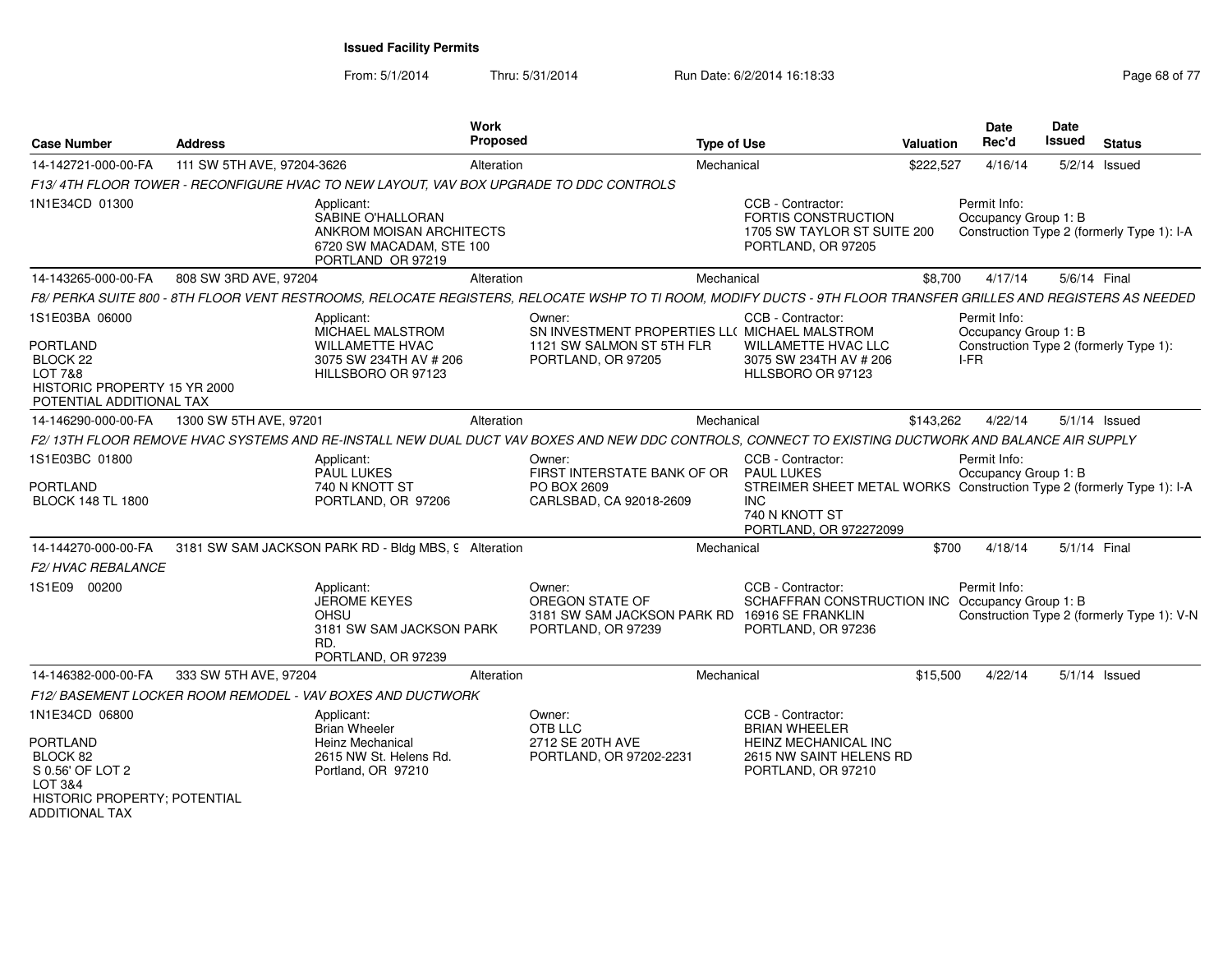From: 5/1/2014

Thru: 5/31/2014 Run Date: 6/2/2014 16:18:33 Research 2010 17 Page 68 of 77

| <b>Case Number</b>                                                                         | <b>Address</b>             |                                                                                                              | Work<br><b>Proposed</b> |                                                                                                                                                                 | <b>Type of Use</b> |                                                                                                                                 | <b>Valuation</b> | <b>Date</b><br>Rec'd                 | Date<br><b>Issued</b> | <b>Status</b>                              |
|--------------------------------------------------------------------------------------------|----------------------------|--------------------------------------------------------------------------------------------------------------|-------------------------|-----------------------------------------------------------------------------------------------------------------------------------------------------------------|--------------------|---------------------------------------------------------------------------------------------------------------------------------|------------------|--------------------------------------|-----------------------|--------------------------------------------|
| 14-142721-000-00-FA                                                                        | 111 SW 5TH AVE, 97204-3626 |                                                                                                              | Alteration              |                                                                                                                                                                 | Mechanical         |                                                                                                                                 | \$222,527        | 4/16/14                              | 5/2/14                | Issued                                     |
|                                                                                            |                            | F13/4TH FLOOR TOWER - RECONFIGURE HVAC TO NEW LAYOUT, VAV BOX UPGRADE TO DDC CONTROLS                        |                         |                                                                                                                                                                 |                    |                                                                                                                                 |                  |                                      |                       |                                            |
| 1N1E34CD 01300                                                                             |                            | Applicant:<br>SABINE O'HALLORAN<br>ANKROM MOISAN ARCHITECTS<br>6720 SW MACADAM, STE 100<br>PORTLAND OR 97219 |                         |                                                                                                                                                                 |                    | CCB - Contractor:<br>FORTIS CONSTRUCTION<br>1705 SW TAYLOR ST SUITE 200<br>PORTLAND, OR 97205                                   |                  | Permit Info:<br>Occupancy Group 1: B |                       | Construction Type 2 (formerly Type 1): I-A |
| 14-143265-000-00-FA                                                                        | 808 SW 3RD AVE, 97204      |                                                                                                              | Alteration              |                                                                                                                                                                 | Mechanical         |                                                                                                                                 | \$8.700          | 4/17/14                              |                       | 5/6/14 Final                               |
|                                                                                            |                            |                                                                                                              |                         | F8/ PERKA SUITE 800 - 8TH FLOOR VENT RESTROOMS, RELOCATE REGISTERS, RELOCATE WSHP TO TI ROOM, MODIFY DUCTS - 9TH FLOOR TRANSFER GRILLES AND REGISTERS AS NEEDED |                    |                                                                                                                                 |                  |                                      |                       |                                            |
| 1S1E03BA 06000<br><b>PORTLAND</b>                                                          |                            | Applicant:<br>MICHAEL MALSTROM<br><b>WILLAMETTE HVAC</b>                                                     |                         | Owner:<br>SN INVESTMENT PROPERTIES LL( MICHAEL MALSTROM<br>1121 SW SALMON ST 5TH FLR                                                                            |                    | CCB - Contractor:<br>WILLAMETTE HVAC LLC                                                                                        |                  | Permit Info:<br>Occupancy Group 1: B |                       | Construction Type 2 (formerly Type 1):     |
| BLOCK 22<br><b>LOT 7&amp;8</b><br>HISTORIC PROPERTY 15 YR 2000<br>POTENTIAL ADDITIONAL TAX |                            | 3075 SW 234TH AV # 206<br>HILLSBORO OR 97123                                                                 |                         | PORTLAND, OR 97205                                                                                                                                              |                    | 3075 SW 234TH AV # 206<br>HLLSBORO OR 97123                                                                                     |                  | $I-FR$                               |                       |                                            |
| 14-146290-000-00-FA                                                                        | 1300 SW 5TH AVE, 97201     |                                                                                                              | Alteration              |                                                                                                                                                                 | Mechanical         |                                                                                                                                 | \$143,262        | 4/22/14                              |                       | 5/1/14 Issued                              |
|                                                                                            |                            |                                                                                                              |                         | F2/13TH FLOOR REMOVE HVAC SYSTEMS AND RE-INSTALL NEW DUAL DUCT VAV BOXES AND NEW DDC CONTROLS, CONNECT TO EXISTING DUCTWORK AND BALANCE AIR SUPPLY              |                    |                                                                                                                                 |                  |                                      |                       |                                            |
| 1S1E03BC 01800                                                                             |                            | Applicant:<br><b>PAUL LUKES</b>                                                                              |                         | Owner:<br>FIRST INTERSTATE BANK OF OR                                                                                                                           |                    | CCB - Contractor:<br><b>PAUL LUKES</b>                                                                                          |                  | Permit Info:<br>Occupancy Group 1: B |                       |                                            |
| <b>PORTLAND</b><br><b>BLOCK 148 TL 1800</b>                                                |                            | 740 N KNOTT ST<br>PORTLAND, OR 97206                                                                         |                         | PO BOX 2609<br>CARLSBAD, CA 92018-2609                                                                                                                          |                    | STREIMER SHEET METAL WORKS Construction Type 2 (formerly Type 1): I-A<br><b>INC</b><br>740 N KNOTT ST<br>PORTLAND, OR 972272099 |                  |                                      |                       |                                            |
| 14-144270-000-00-FA                                                                        |                            | 3181 SW SAM JACKSON PARK RD - Bldg MBS, 9 Alteration                                                         |                         |                                                                                                                                                                 | Mechanical         |                                                                                                                                 | \$700            | 4/18/14                              |                       | 5/1/14 Final                               |
| F2/HVAC REBALANCE                                                                          |                            |                                                                                                              |                         |                                                                                                                                                                 |                    |                                                                                                                                 |                  |                                      |                       |                                            |
| 1S1E09 00200                                                                               |                            | Applicant:<br>JEROME KEYES<br>OHSU<br>3181 SW SAM JACKSON PARK<br>RD.<br>PORTLAND, OR 97239                  |                         | Owner:<br>OREGON STATE OF<br>3181 SW SAM JACKSON PARK RD<br>PORTLAND, OR 97239                                                                                  |                    | CCB - Contractor:<br>SCHAFFRAN CONSTRUCTION INC Occupancy Group 1: B<br>16916 SE FRANKLIN<br>PORTLAND, OR 97236                 |                  | Permit Info:                         |                       | Construction Type 2 (formerly Type 1): V-N |
| 14-146382-000-00-FA                                                                        | 333 SW 5TH AVE, 97204      |                                                                                                              | Alteration              |                                                                                                                                                                 | Mechanical         |                                                                                                                                 | \$15,500         | 4/22/14                              |                       | $5/1/14$ Issued                            |
|                                                                                            |                            | F12/BASEMENT LOCKER ROOM REMODEL - VAV BOXES AND DUCTWORK                                                    |                         |                                                                                                                                                                 |                    |                                                                                                                                 |                  |                                      |                       |                                            |
| 1N1E34CD 06800                                                                             |                            | Applicant:<br><b>Brian Wheeler</b>                                                                           |                         | Owner:<br>OTB LLC                                                                                                                                               |                    | CCB - Contractor:<br><b>BRIAN WHEELER</b>                                                                                       |                  |                                      |                       |                                            |
| <b>PORTLAND</b><br>BLOCK 82                                                                |                            | Heinz Mechanical<br>2615 NW St. Helens Rd.                                                                   |                         | 2712 SE 20TH AVE<br>PORTLAND, OR 97202-2231                                                                                                                     |                    | HEINZ MECHANICAL INC<br>2615 NW SAINT HELENS RD                                                                                 |                  |                                      |                       |                                            |
| S 0.56' OF LOT 2<br>LOT 3&4<br>HISTORIC PROPERTY; POTENTIAL<br><b>ADDITIONAL TAX</b>       |                            | Portland, OR 97210                                                                                           |                         |                                                                                                                                                                 |                    | PORTLAND, OR 97210                                                                                                              |                  |                                      |                       |                                            |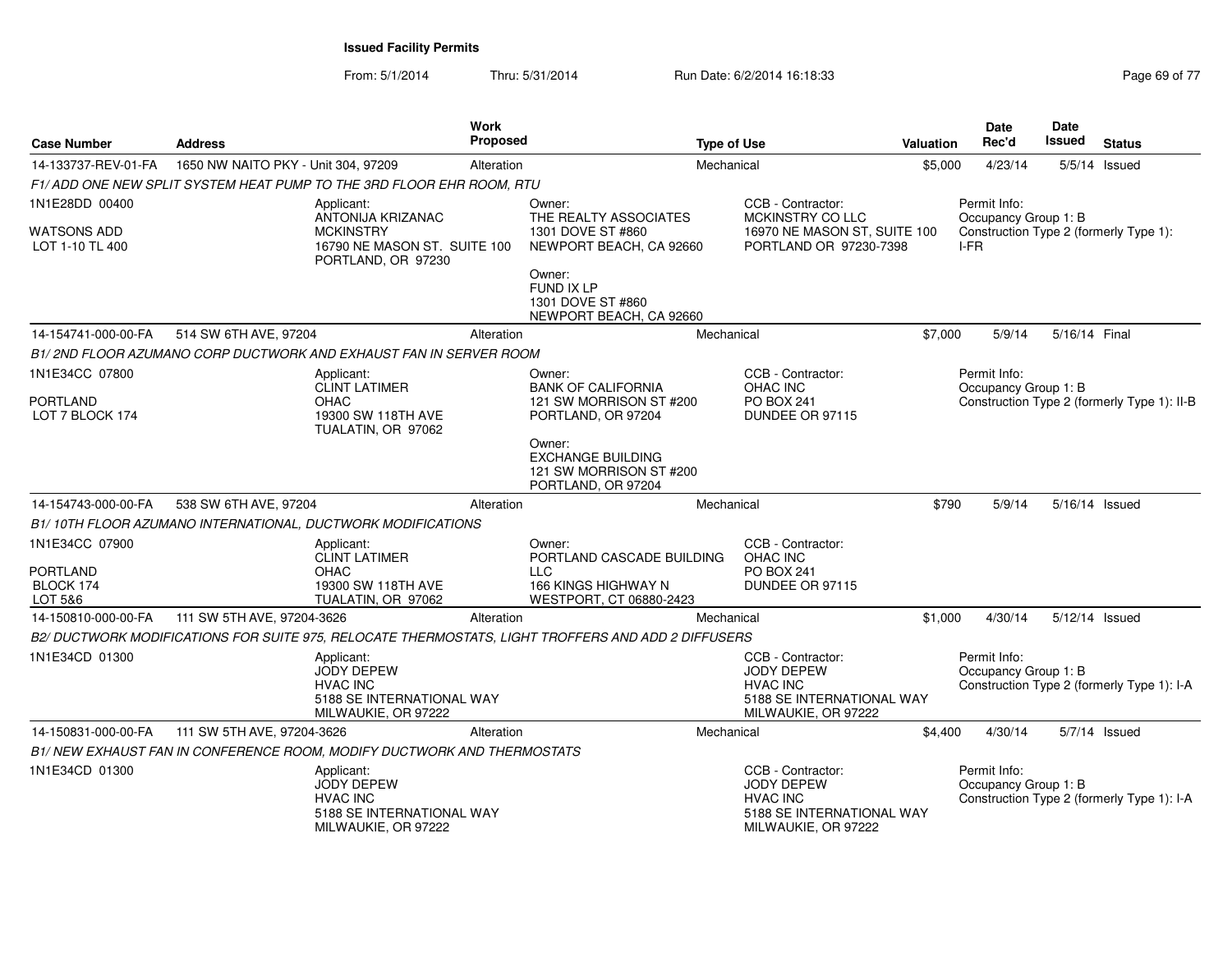| <b>Case Number</b>                 | <b>Address</b>                                                                                         | <b>Work</b><br>Proposed |                                                                                     | <b>Type of Use</b>                                                                                            | <b>Valuation</b> | Date<br>Rec'd                                  | Date<br><b>Issued</b> | <b>Status</b>                               |
|------------------------------------|--------------------------------------------------------------------------------------------------------|-------------------------|-------------------------------------------------------------------------------------|---------------------------------------------------------------------------------------------------------------|------------------|------------------------------------------------|-----------------------|---------------------------------------------|
| 14-133737-REV-01-FA                | 1650 NW NAITO PKY - Unit 304, 97209                                                                    | Alteration              | Mechanical                                                                          |                                                                                                               | \$5,000          | 4/23/14                                        |                       | 5/5/14 Issued                               |
|                                    | F1/ADD ONE NEW SPLIT SYSTEM HEAT PUMP TO THE 3RD FLOOR EHR ROOM. RTU                                   |                         |                                                                                     |                                                                                                               |                  |                                                |                       |                                             |
| 1N1E28DD 00400                     | Applicant:<br>ANTONIJA KRIZANAC                                                                        |                         | Owner:<br>THE REALTY ASSOCIATES                                                     | CCB - Contractor:<br>MCKINSTRY CO LLC                                                                         |                  | Permit Info:<br>Occupancy Group 1: B           |                       |                                             |
| WATSONS ADD<br>LOT 1-10 TL 400     | <b>MCKINSTRY</b><br>16790 NE MASON ST. SUITE 100<br>PORTLAND, OR 97230                                 |                         | 1301 DOVE ST #860<br>NEWPORT BEACH, CA 92660                                        | 16970 NE MASON ST, SUITE 100<br>PORTLAND OR 97230-7398                                                        |                  | Construction Type 2 (formerly Type 1):<br>I-FR |                       |                                             |
|                                    |                                                                                                        |                         | Owner:<br><b>FUND IX LP</b><br>1301 DOVE ST #860<br>NEWPORT BEACH, CA 92660         |                                                                                                               |                  |                                                |                       |                                             |
| 14-154741-000-00-FA                | 514 SW 6TH AVE, 97204                                                                                  | Alteration              | Mechanical                                                                          |                                                                                                               | \$7,000          | 5/9/14                                         | 5/16/14 Final         |                                             |
|                                    | B1/2ND FLOOR AZUMANO CORP DUCTWORK AND EXHAUST FAN IN SERVER ROOM                                      |                         |                                                                                     |                                                                                                               |                  |                                                |                       |                                             |
| 1N1E34CC 07800                     | Applicant:<br><b>CLINT LATIMER</b>                                                                     |                         | Owner:<br><b>BANK OF CALIFORNIA</b>                                                 | CCB - Contractor:<br>OHAC INC                                                                                 |                  | Permit Info:<br>Occupancy Group 1: B           |                       |                                             |
| <b>PORTLAND</b><br>LOT 7 BLOCK 174 | <b>OHAC</b><br>19300 SW 118TH AVE<br>TUALATIN, OR 97062                                                |                         | 121 SW MORRISON ST #200<br>PORTLAND, OR 97204                                       | PO BOX 241<br>DUNDEE OR 97115                                                                                 |                  |                                                |                       | Construction Type 2 (formerly Type 1): II-B |
|                                    |                                                                                                        |                         | Owner:<br><b>EXCHANGE BUILDING</b><br>121 SW MORRISON ST #200<br>PORTLAND, OR 97204 |                                                                                                               |                  |                                                |                       |                                             |
| 14-154743-000-00-FA                | 538 SW 6TH AVE, 97204                                                                                  | Alteration              | Mechanical                                                                          |                                                                                                               | \$790            | 5/9/14                                         |                       | 5/16/14 Issued                              |
|                                    | B1/10TH FLOOR AZUMANO INTERNATIONAL, DUCTWORK MODIFICATIONS                                            |                         |                                                                                     |                                                                                                               |                  |                                                |                       |                                             |
| 1N1E34CC 07900                     | Applicant:<br><b>CLINT LATIMER</b>                                                                     |                         | Owner:<br>PORTLAND CASCADE BUILDING                                                 | CCB - Contractor:<br>OHAC INC                                                                                 |                  |                                                |                       |                                             |
| <b>PORTLAND</b>                    | <b>OHAC</b>                                                                                            |                         | <b>LLC</b>                                                                          | PO BOX 241                                                                                                    |                  |                                                |                       |                                             |
| BLOCK 174<br>LOT 5&6               | 19300 SW 118TH AVE<br>TUALATIN, OR 97062                                                               |                         | 166 KINGS HIGHWAY N<br>WESTPORT, CT 06880-2423                                      | DUNDEE OR 97115                                                                                               |                  |                                                |                       |                                             |
| 14-150810-000-00-FA                | 111 SW 5TH AVE, 97204-3626                                                                             | Alteration              | Mechanical                                                                          |                                                                                                               | \$1,000          | 4/30/14                                        | 5/12/14 Issued        |                                             |
|                                    | B2/ DUCTWORK MODIFICATIONS FOR SUITE 975, RELOCATE THERMOSTATS, LIGHT TROFFERS AND ADD 2 DIFFUSERS     |                         |                                                                                     |                                                                                                               |                  |                                                |                       |                                             |
| 1N1E34CD 01300                     | Applicant:<br><b>JODY DEPEW</b><br><b>HVAC INC</b><br>5188 SE INTERNATIONAL WAY<br>MILWAUKIE, OR 97222 |                         |                                                                                     | CCB - Contractor:<br>JODY DEPEW<br><b>HVAC INC</b><br>5188 SE INTERNATIONAL WAY<br>MILWAUKIE, OR 97222        |                  | Permit Info:<br>Occupancy Group 1: B           |                       | Construction Type 2 (formerly Type 1): I-A  |
| 14-150831-000-00-FA                | 111 SW 5TH AVE, 97204-3626                                                                             | Alteration              | Mechanical                                                                          |                                                                                                               | \$4,400          | 4/30/14                                        |                       | 5/7/14 Issued                               |
|                                    | B1/ NEW EXHAUST FAN IN CONFERENCE ROOM, MODIFY DUCTWORK AND THERMOSTATS                                |                         |                                                                                     |                                                                                                               |                  |                                                |                       |                                             |
| 1N1E34CD 01300                     | Applicant:<br><b>JODY DEPEW</b><br><b>HVAC INC</b><br>5188 SE INTERNATIONAL WAY<br>MILWAUKIE, OR 97222 |                         |                                                                                     | CCB - Contractor:<br><b>JODY DEPEW</b><br><b>HVAC INC</b><br>5188 SE INTERNATIONAL WAY<br>MILWAUKIE, OR 97222 |                  | Permit Info:<br>Occupancy Group 1: B           |                       | Construction Type 2 (formerly Type 1): I-A  |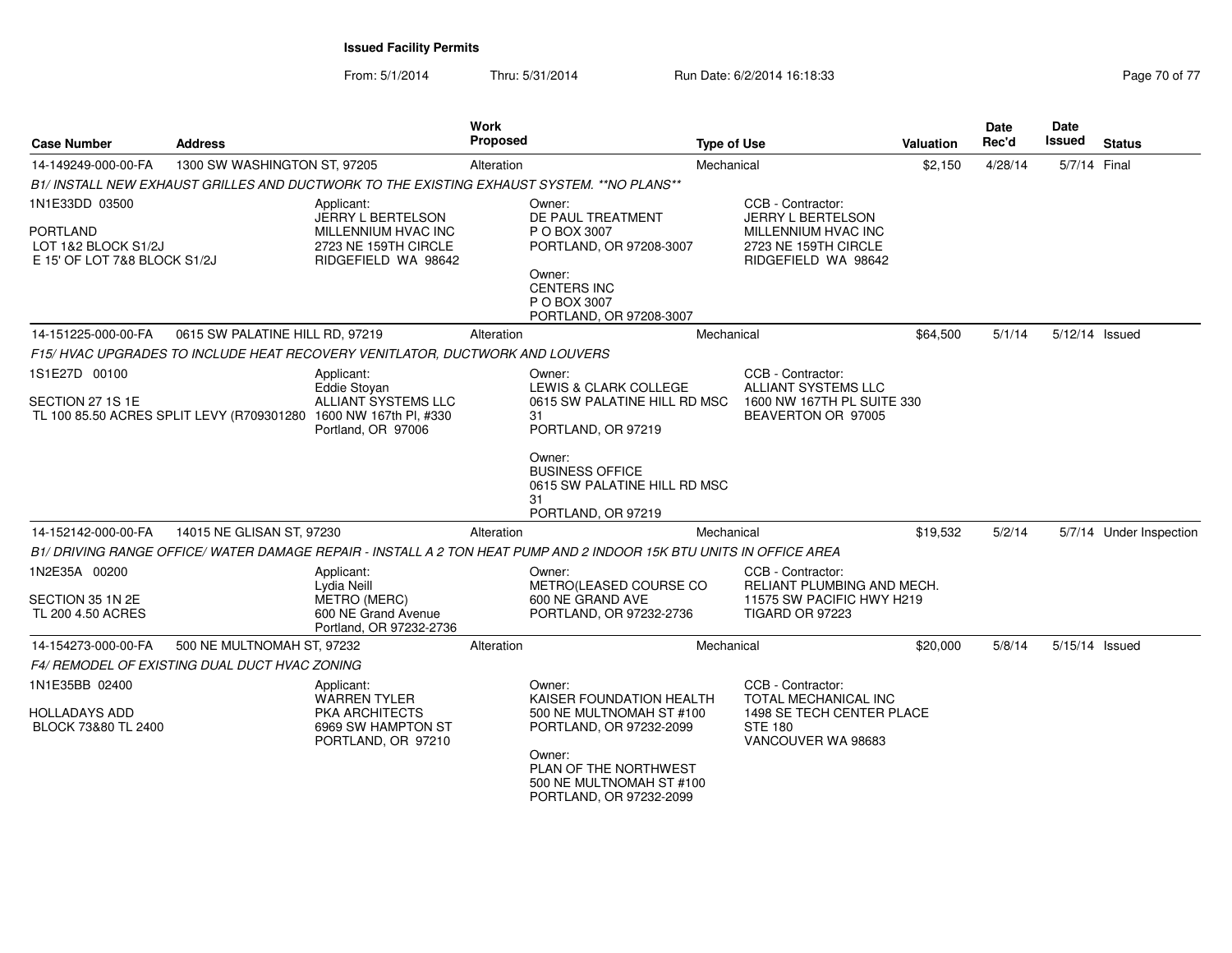| <b>Case Number</b>                                                                       | <b>Address</b>                                |                                                                                                                                      | Work<br>Proposed |                                                                                                                     | <b>Type of Use</b> |                                                                                                                     | Valuation | Date<br>Rec'd | <b>Date</b><br>Issued | <b>Status</b>           |
|------------------------------------------------------------------------------------------|-----------------------------------------------|--------------------------------------------------------------------------------------------------------------------------------------|------------------|---------------------------------------------------------------------------------------------------------------------|--------------------|---------------------------------------------------------------------------------------------------------------------|-----------|---------------|-----------------------|-------------------------|
| 14-149249-000-00-FA                                                                      | 1300 SW WASHINGTON ST, 97205                  |                                                                                                                                      | Alteration       |                                                                                                                     | Mechanical         |                                                                                                                     | \$2,150   | 4/28/14       | 5/7/14 Final          |                         |
|                                                                                          |                                               | B1/INSTALL NEW EXHAUST GRILLES AND DUCTWORK TO THE EXISTING EXHAUST SYSTEM. **NO PLANS**                                             |                  |                                                                                                                     |                    |                                                                                                                     |           |               |                       |                         |
| 1N1E33DD 03500<br><b>PORTLAND</b><br>LOT 1&2 BLOCK S1/2J<br>E 15' OF LOT 7&8 BLOCK S1/2J |                                               | Applicant:<br>JERRY L BERTELSON<br>MILLENNIUM HVAC INC<br>2723 NE 159TH CIRCLE<br>RIDGEFIELD WA 98642                                |                  | Owner:<br>DE PAUL TREATMENT<br>P O BOX 3007<br>PORTLAND, OR 97208-3007                                              |                    | CCB - Contractor:<br><b>JERRY L BERTELSON</b><br>MILLENNIUM HVAC INC<br>2723 NE 159TH CIRCLE<br>RIDGEFIELD WA 98642 |           |               |                       |                         |
|                                                                                          |                                               |                                                                                                                                      |                  | Owner:<br><b>CENTERS INC</b><br>P O BOX 3007<br>PORTLAND, OR 97208-3007                                             |                    |                                                                                                                     |           |               |                       |                         |
| 14-151225-000-00-FA                                                                      | 0615 SW PALATINE HILL RD, 97219               |                                                                                                                                      | Alteration       |                                                                                                                     | Mechanical         |                                                                                                                     | \$64,500  | 5/1/14        | 5/12/14 Issued        |                         |
|                                                                                          |                                               | F15/HVAC UPGRADES TO INCLUDE HEAT RECOVERY VENITLATOR, DUCTWORK AND LOUVERS                                                          |                  |                                                                                                                     |                    |                                                                                                                     |           |               |                       |                         |
| 1S1E27D 00100                                                                            |                                               | Applicant:                                                                                                                           |                  | Owner:                                                                                                              |                    | CCB - Contractor:                                                                                                   |           |               |                       |                         |
| SECTION 27 1S 1E                                                                         |                                               | <b>Eddie Stovan</b><br>ALLIANT SYSTEMS LLC<br>TL 100 85.50 ACRES SPLIT LEVY (R709301280 1600 NW 167th PI, #330<br>Portland, OR 97006 |                  | LEWIS & CLARK COLLEGE<br>0615 SW PALATINE HILL RD MSC<br>31<br>PORTLAND, OR 97219                                   |                    | <b>ALLIANT SYSTEMS LLC</b><br>1600 NW 167TH PL SUITE 330<br>BEAVERTON OR 97005                                      |           |               |                       |                         |
|                                                                                          |                                               |                                                                                                                                      |                  | Owner:<br><b>BUSINESS OFFICE</b><br>0615 SW PALATINE HILL RD MSC<br>31<br>PORTLAND, OR 97219                        |                    |                                                                                                                     |           |               |                       |                         |
| 14-152142-000-00-FA                                                                      | 14015 NE GLISAN ST, 97230                     |                                                                                                                                      | Alteration       |                                                                                                                     | Mechanical         |                                                                                                                     | \$19,532  | 5/2/14        |                       | 5/7/14 Under Inspection |
|                                                                                          |                                               |                                                                                                                                      |                  | B1/ DRIVING RANGE OFFICE/ WATER DAMAGE REPAIR - INSTALL A 2 TON HEAT PUMP AND 2 INDOOR 15K BTU UNITS IN OFFICE AREA |                    |                                                                                                                     |           |               |                       |                         |
| 1N2E35A 00200                                                                            |                                               | Applicant:<br>Lydia Neill                                                                                                            |                  | Owner:<br>METRO(LEASED COURSE CO                                                                                    |                    | CCB - Contractor:<br>RELIANT PLUMBING AND MECH.                                                                     |           |               |                       |                         |
| SECTION 35 1N 2E<br>TL 200 4.50 ACRES                                                    |                                               | <b>METRO (MERC)</b><br>600 NE Grand Avenue<br>Portland, OR 97232-2736                                                                |                  | 600 NE GRAND AVE<br>PORTLAND, OR 97232-2736                                                                         |                    | 11575 SW PACIFIC HWY H219<br>TIGARD OR 97223                                                                        |           |               |                       |                         |
| 14-154273-000-00-FA                                                                      | 500 NE MULTNOMAH ST, 97232                    |                                                                                                                                      | Alteration       |                                                                                                                     | Mechanical         |                                                                                                                     | \$20,000  | 5/8/14        | 5/15/14 Issued        |                         |
|                                                                                          | F4/ REMODEL OF EXISTING DUAL DUCT HVAC ZONING |                                                                                                                                      |                  |                                                                                                                     |                    |                                                                                                                     |           |               |                       |                         |
| 1N1E35BB 02400                                                                           |                                               | Applicant:<br><b>WARREN TYLER</b>                                                                                                    |                  | Owner:<br>KAISER FOUNDATION HEALTH                                                                                  |                    | CCB - Contractor:<br>TOTAL MECHANICAL INC                                                                           |           |               |                       |                         |
| <b>HOLLADAYS ADD</b><br>BLOCK 73&80 TL 2400                                              |                                               | <b>PKA ARCHITECTS</b><br>6969 SW HAMPTON ST<br>PORTLAND, OR 97210                                                                    |                  | 500 NE MULTNOMAH ST #100<br>PORTLAND, OR 97232-2099                                                                 |                    | 1498 SE TECH CENTER PLACE<br><b>STE 180</b><br>VANCOUVER WA 98683                                                   |           |               |                       |                         |
|                                                                                          |                                               |                                                                                                                                      |                  | Owner:<br>PLAN OF THE NORTHWEST<br>500 NE MULTNOMAH ST #100<br>PORTLAND, OR 97232-2099                              |                    |                                                                                                                     |           |               |                       |                         |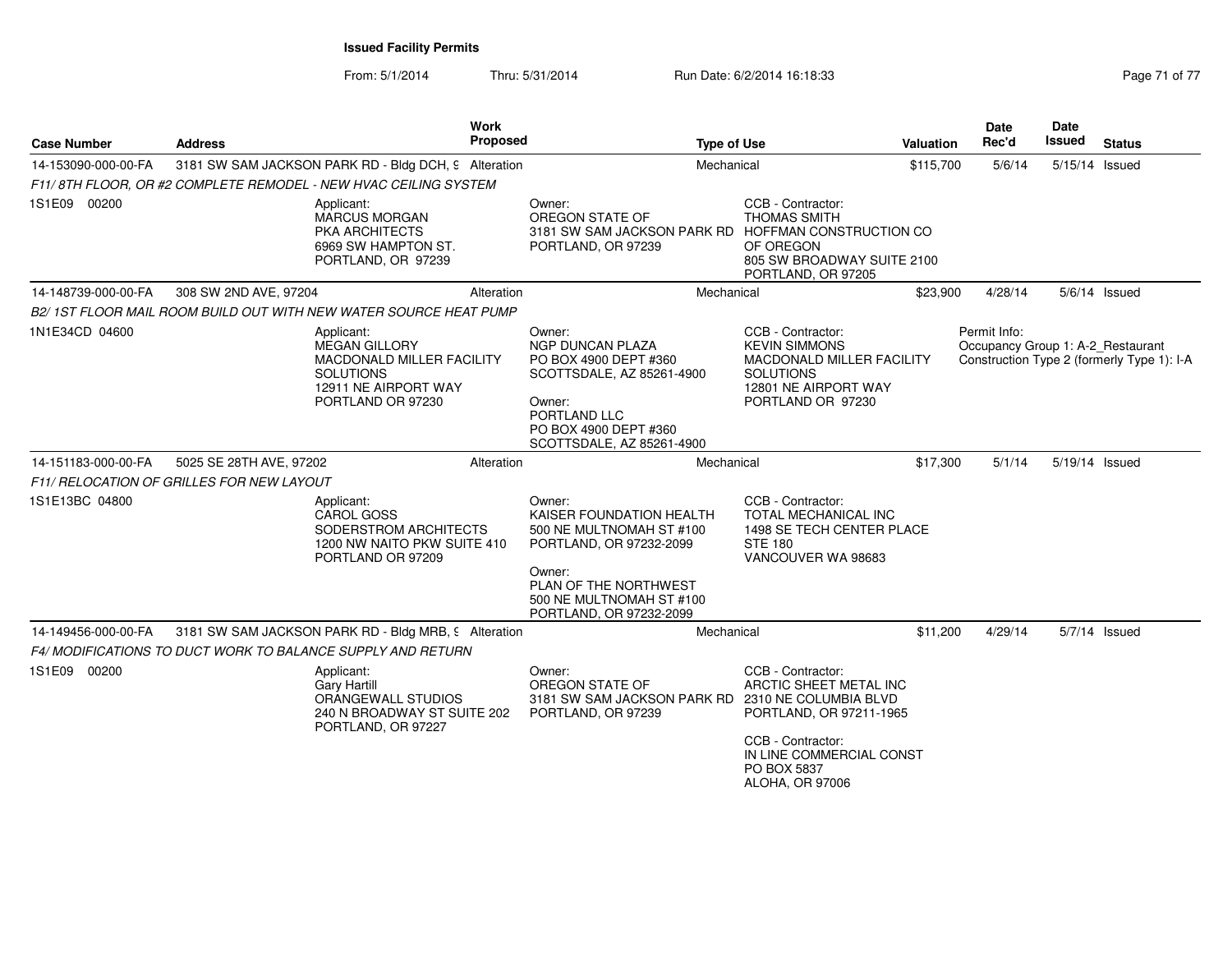| <b>Case Number</b>  | <b>Address</b>                                                                                                                   | Work<br><b>Proposed</b> | <b>Type of Use</b>                                                                                                                                                                  |                                                                                                                                                           | Valuation | <b>Date</b><br>Rec'd                              | Date<br><b>Issued</b> | <b>Status</b>                              |
|---------------------|----------------------------------------------------------------------------------------------------------------------------------|-------------------------|-------------------------------------------------------------------------------------------------------------------------------------------------------------------------------------|-----------------------------------------------------------------------------------------------------------------------------------------------------------|-----------|---------------------------------------------------|-----------------------|--------------------------------------------|
| 14-153090-000-00-FA | 3181 SW SAM JACKSON PARK RD - Bldg DCH, 9 Alteration                                                                             |                         | Mechanical                                                                                                                                                                          |                                                                                                                                                           | \$115,700 | 5/6/14                                            | 5/15/14 Issued        |                                            |
|                     | F11/8TH FLOOR. OR #2 COMPLETE REMODEL - NEW HVAC CEILING SYSTEM                                                                  |                         |                                                                                                                                                                                     |                                                                                                                                                           |           |                                                   |                       |                                            |
| 1S1E09 00200        | Applicant:<br><b>MARCUS MORGAN</b><br>PKA ARCHITECTS<br>6969 SW HAMPTON ST.<br>PORTLAND, OR 97239                                |                         | Owner:<br>OREGON STATE OF<br>3181 SW SAM JACKSON PARK RD HOFFMAN CONSTRUCTION CO<br>PORTLAND, OR 97239                                                                              | CCB - Contractor:<br><b>THOMAS SMITH</b><br>OF OREGON<br>805 SW BROADWAY SUITE 2100<br>PORTLAND, OR 97205                                                 |           |                                                   |                       |                                            |
| 14-148739-000-00-FA | 308 SW 2ND AVE, 97204                                                                                                            | Alteration              | Mechanical                                                                                                                                                                          |                                                                                                                                                           | \$23,900  | 4/28/14                                           |                       | $5/6/14$ Issued                            |
|                     | B2/ 1ST FLOOR MAIL ROOM BUILD OUT WITH NEW WATER SOURCE HEAT PUMP                                                                |                         |                                                                                                                                                                                     |                                                                                                                                                           |           |                                                   |                       |                                            |
| 1N1E34CD 04600      | Applicant:<br><b>MEGAN GILLORY</b><br>MACDONALD MILLER FACILITY<br><b>SOLUTIONS</b><br>12911 NE AIRPORT WAY<br>PORTLAND OR 97230 |                         | Owner:<br><b>NGP DUNCAN PLAZA</b><br>PO BOX 4900 DEPT #360<br>SCOTTSDALE, AZ 85261-4900<br>Owner:<br>PORTLAND LLC<br>PO BOX 4900 DEPT #360<br>SCOTTSDALE, AZ 85261-4900             | CCB - Contractor:<br><b>KEVIN SIMMONS</b><br>MACDONALD MILLER FACILITY<br><b>SOLUTIONS</b><br>12801 NE AIRPORT WAY<br>PORTLAND OR 97230                   |           | Permit Info:<br>Occupancy Group 1: A-2 Restaurant |                       | Construction Type 2 (formerly Type 1): I-A |
| 14-151183-000-00-FA | 5025 SE 28TH AVE, 97202                                                                                                          | Alteration              | Mechanical                                                                                                                                                                          |                                                                                                                                                           | \$17,300  | 5/1/14                                            | 5/19/14 Issued        |                                            |
|                     | F11/ RELOCATION OF GRILLES FOR NEW LAYOUT                                                                                        |                         |                                                                                                                                                                                     |                                                                                                                                                           |           |                                                   |                       |                                            |
| 1S1E13BC 04800      | Applicant:<br><b>CAROL GOSS</b><br>SODERSTROM ARCHITECTS<br>1200 NW NAITO PKW SUITE 410<br>PORTLAND OR 97209                     |                         | Owner:<br>KAISER FOUNDATION HEALTH<br>500 NE MULTNOMAH ST #100<br>PORTLAND, OR 97232-2099<br>Owner:<br>PLAN OF THE NORTHWEST<br>500 NE MULTNOMAH ST #100<br>PORTLAND, OR 97232-2099 | CCB - Contractor:<br><b>TOTAL MECHANICAL INC</b><br>1498 SE TECH CENTER PLACE<br><b>STE 180</b><br>VANCOUVER WA 98683                                     |           |                                                   |                       |                                            |
| 14-149456-000-00-FA | 3181 SW SAM JACKSON PARK RD - Bldg MRB, 9 Alteration                                                                             |                         | Mechanical                                                                                                                                                                          |                                                                                                                                                           | \$11,200  | 4/29/14                                           |                       | 5/7/14 Issued                              |
|                     | F4/ MODIFICATIONS TO DUCT WORK TO BALANCE SUPPLY AND RETURN                                                                      |                         |                                                                                                                                                                                     |                                                                                                                                                           |           |                                                   |                       |                                            |
| 1S1E09 00200        | Applicant:<br><b>Gary Hartill</b><br>ORANGEWALL STUDIOS<br>240 N BROADWAY ST SUITE 202<br>PORTLAND, OR 97227                     |                         | Owner:<br>OREGON STATE OF<br>3181 SW SAM JACKSON PARK RD 2310 NE COLUMBIA BLVD<br>PORTLAND, OR 97239                                                                                | CCB - Contractor:<br>ARCTIC SHEET METAL INC<br>PORTLAND, OR 97211-1965<br>CCB - Contractor:<br>IN LINE COMMERCIAL CONST<br>PO BOX 5837<br>ALOHA, OR 97006 |           |                                                   |                       |                                            |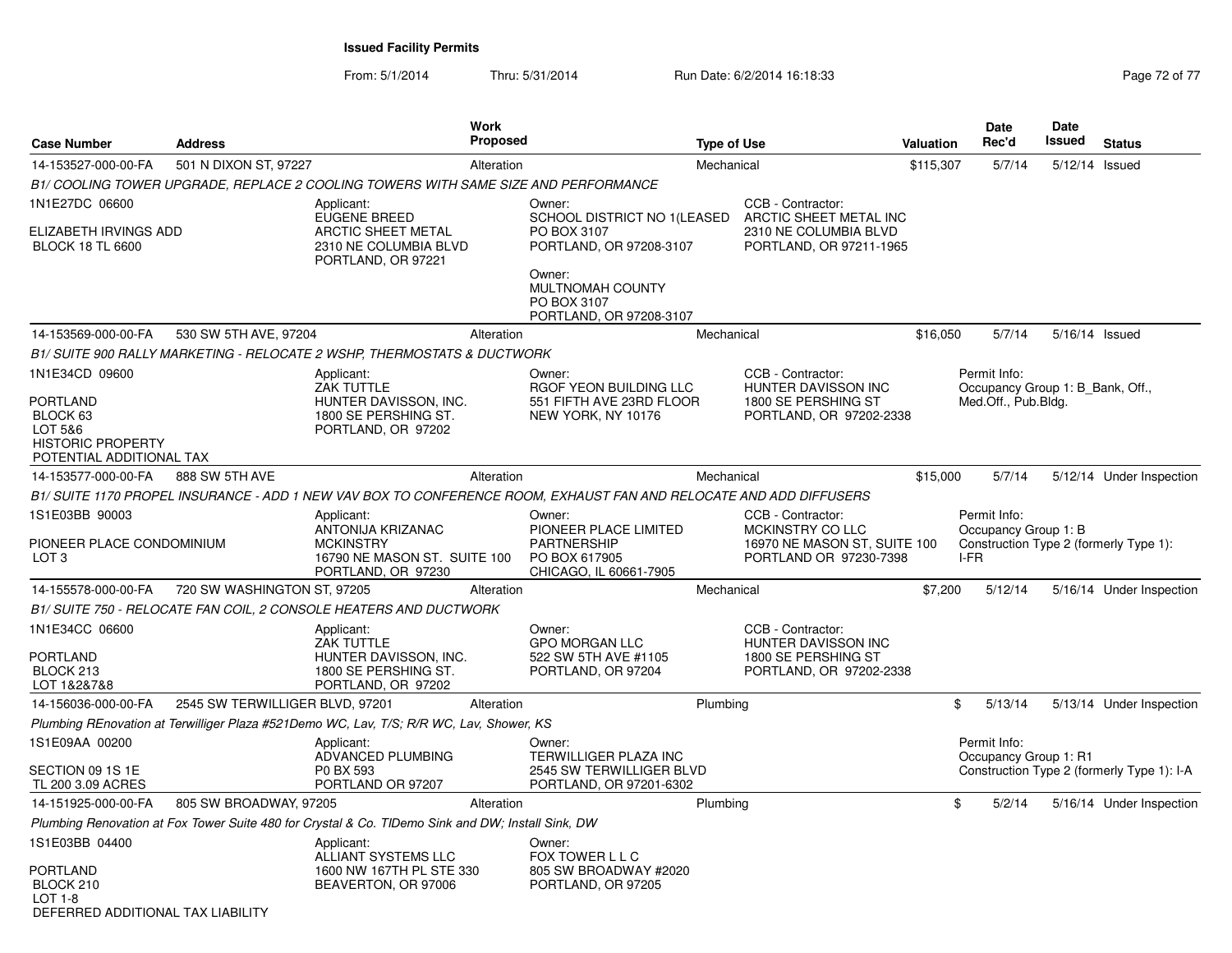| 501 N DIXON ST, 97227<br>14-153527-000-00-FA<br>Mechanical<br>\$115,307<br>5/7/14<br>5/12/14 Issued<br>Alteration<br>B1/ COOLING TOWER UPGRADE, REPLACE 2 COOLING TOWERS WITH SAME SIZE AND PERFORMANCE<br>1N1E27DC 06600<br>CCB - Contractor:<br>Applicant:<br>Owner:<br>EUGENE BREED<br>SCHOOL DISTRICT NO 1(LEASED<br>ARCTIC SHEET METAL INC<br>ELIZABETH IRVINGS ADD<br><b>ARCTIC SHEET METAL</b><br>PO BOX 3107<br>2310 NE COLUMBIA BLVD<br>PORTLAND, OR 97211-1965<br><b>BLOCK 18 TL 6600</b><br>2310 NE COLUMBIA BLVD<br>PORTLAND, OR 97208-3107<br>PORTLAND, OR 97221<br>Owner:<br>MULTNOMAH COUNTY<br>PO BOX 3107<br>PORTLAND, OR 97208-3107<br>14-153569-000-00-FA<br>530 SW 5TH AVE, 97204<br>\$16,050<br>5/7/14<br>5/16/14 Issued<br>Alteration<br>Mechanical<br>B1/ SUITE 900 RALLY MARKETING - RELOCATE 2 WSHP, THERMOSTATS & DUCTWORK<br>1N1E34CD 09600<br>CCB - Contractor:<br>Permit Info:<br>Applicant:<br>Owner:<br><b>ZAK TUTTLE</b><br>RGOF YEON BUILDING LLC<br><b>HUNTER DAVISSON INC</b><br>Occupancy Group 1: B_Bank, Off.,<br><b>PORTLAND</b><br>1800 SE PERSHING ST<br>HUNTER DAVISSON, INC.<br>551 FIFTH AVE 23RD FLOOR<br>Med.Off., Pub.Bldg.<br>BLOCK 63<br>1800 SE PERSHING ST.<br>NEW YORK, NY 10176<br>PORTLAND, OR 97202-2338<br>LOT 5&6<br>PORTLAND, OR 97202<br><b>HISTORIC PROPERTY</b><br>POTENTIAL ADDITIONAL TAX<br>888 SW 5TH AVE<br>\$15,000<br>5/7/14<br>14-153577-000-00-FA<br>Alteration<br>Mechanical<br>B1/SUITE 1170 PROPEL INSURANCE - ADD 1 NEW VAV BOX TO CONFERENCE ROOM, EXHAUST FAN AND RELOCATE AND ADD DIFFUSERS<br>1S1E03BB 90003<br>CCB - Contractor:<br>Permit Info:<br>Applicant:<br>Owner:<br>ANTONIJA KRIZANAC<br>PIONEER PLACE LIMITED<br>MCKINSTRY CO LLC<br>Occupancy Group 1: B<br>PIONEER PLACE CONDOMINIUM<br><b>MCKINSTRY</b><br><b>PARTNERSHIP</b><br>16970 NE MASON ST, SUITE 100<br>I-FR<br>LOT <sub>3</sub><br>16790 NE MASON ST. SUITE 100<br>PO BOX 617905<br>PORTLAND OR 97230-7398<br>CHICAGO, IL 60661-7905<br>PORTLAND, OR 97230<br>14-155578-000-00-FA<br>720 SW WASHINGTON ST, 97205<br>\$7,200<br>5/12/14<br>Alteration<br>Mechanical<br>B1/ SUITE 750 - RELOCATE FAN COIL, 2 CONSOLE HEATERS AND DUCTWORK<br>1N1E34CC 06600<br>CCB - Contractor:<br>Applicant:<br>Owner:<br><b>ZAK TUTTLE</b><br><b>GPO MORGAN LLC</b><br><b>HUNTER DAVISSON INC</b><br><b>PORTLAND</b><br>1800 SE PERSHING ST<br>HUNTER DAVISSON, INC.<br>522 SW 5TH AVE #1105<br>BLOCK 213<br>1800 SE PERSHING ST.<br>PORTLAND, OR 97204<br>PORTLAND, OR 97202-2338<br>PORTLAND, OR 97202<br>LOT 1&2&7&8<br>2545 SW TERWILLIGER BLVD, 97201<br>5/13/14<br>14-156036-000-00-FA<br>Plumbing<br>\$<br>Alteration<br>Plumbing REnovation at Terwilliger Plaza #521Demo WC, Lav, T/S; R/R WC, Lav, Shower, KS<br>1S1E09AA 00200<br>Permit Info:<br>Applicant:<br>Owner:<br>ADVANCED PLUMBING<br>TERWILLIGER PLAZA INC<br>Occupancy Group 1: R1 | <b>Case Number</b> | <b>Address</b> |  | Work<br><b>Proposed</b> |  | <b>Type of Use</b> |  | <b>Valuation</b> |                                        | Date<br>Rec'd | <b>Date</b><br>Issued | <b>Status</b>            |
|------------------------------------------------------------------------------------------------------------------------------------------------------------------------------------------------------------------------------------------------------------------------------------------------------------------------------------------------------------------------------------------------------------------------------------------------------------------------------------------------------------------------------------------------------------------------------------------------------------------------------------------------------------------------------------------------------------------------------------------------------------------------------------------------------------------------------------------------------------------------------------------------------------------------------------------------------------------------------------------------------------------------------------------------------------------------------------------------------------------------------------------------------------------------------------------------------------------------------------------------------------------------------------------------------------------------------------------------------------------------------------------------------------------------------------------------------------------------------------------------------------------------------------------------------------------------------------------------------------------------------------------------------------------------------------------------------------------------------------------------------------------------------------------------------------------------------------------------------------------------------------------------------------------------------------------------------------------------------------------------------------------------------------------------------------------------------------------------------------------------------------------------------------------------------------------------------------------------------------------------------------------------------------------------------------------------------------------------------------------------------------------------------------------------------------------------------------------------------------------------------------------------------------------------------------------------------------------------------------------------------------------------------------------------------------------------------------------------------------------------------------------------------------------------------------------------------------------------------------------------------------------------|--------------------|----------------|--|-------------------------|--|--------------------|--|------------------|----------------------------------------|---------------|-----------------------|--------------------------|
|                                                                                                                                                                                                                                                                                                                                                                                                                                                                                                                                                                                                                                                                                                                                                                                                                                                                                                                                                                                                                                                                                                                                                                                                                                                                                                                                                                                                                                                                                                                                                                                                                                                                                                                                                                                                                                                                                                                                                                                                                                                                                                                                                                                                                                                                                                                                                                                                                                                                                                                                                                                                                                                                                                                                                                                                                                                                                                |                    |                |  |                         |  |                    |  |                  |                                        |               |                       |                          |
|                                                                                                                                                                                                                                                                                                                                                                                                                                                                                                                                                                                                                                                                                                                                                                                                                                                                                                                                                                                                                                                                                                                                                                                                                                                                                                                                                                                                                                                                                                                                                                                                                                                                                                                                                                                                                                                                                                                                                                                                                                                                                                                                                                                                                                                                                                                                                                                                                                                                                                                                                                                                                                                                                                                                                                                                                                                                                                |                    |                |  |                         |  |                    |  |                  |                                        |               |                       |                          |
|                                                                                                                                                                                                                                                                                                                                                                                                                                                                                                                                                                                                                                                                                                                                                                                                                                                                                                                                                                                                                                                                                                                                                                                                                                                                                                                                                                                                                                                                                                                                                                                                                                                                                                                                                                                                                                                                                                                                                                                                                                                                                                                                                                                                                                                                                                                                                                                                                                                                                                                                                                                                                                                                                                                                                                                                                                                                                                |                    |                |  |                         |  |                    |  |                  |                                        |               |                       |                          |
|                                                                                                                                                                                                                                                                                                                                                                                                                                                                                                                                                                                                                                                                                                                                                                                                                                                                                                                                                                                                                                                                                                                                                                                                                                                                                                                                                                                                                                                                                                                                                                                                                                                                                                                                                                                                                                                                                                                                                                                                                                                                                                                                                                                                                                                                                                                                                                                                                                                                                                                                                                                                                                                                                                                                                                                                                                                                                                |                    |                |  |                         |  |                    |  |                  |                                        |               |                       |                          |
|                                                                                                                                                                                                                                                                                                                                                                                                                                                                                                                                                                                                                                                                                                                                                                                                                                                                                                                                                                                                                                                                                                                                                                                                                                                                                                                                                                                                                                                                                                                                                                                                                                                                                                                                                                                                                                                                                                                                                                                                                                                                                                                                                                                                                                                                                                                                                                                                                                                                                                                                                                                                                                                                                                                                                                                                                                                                                                |                    |                |  |                         |  |                    |  |                  |                                        |               |                       |                          |
|                                                                                                                                                                                                                                                                                                                                                                                                                                                                                                                                                                                                                                                                                                                                                                                                                                                                                                                                                                                                                                                                                                                                                                                                                                                                                                                                                                                                                                                                                                                                                                                                                                                                                                                                                                                                                                                                                                                                                                                                                                                                                                                                                                                                                                                                                                                                                                                                                                                                                                                                                                                                                                                                                                                                                                                                                                                                                                |                    |                |  |                         |  |                    |  |                  |                                        |               |                       |                          |
|                                                                                                                                                                                                                                                                                                                                                                                                                                                                                                                                                                                                                                                                                                                                                                                                                                                                                                                                                                                                                                                                                                                                                                                                                                                                                                                                                                                                                                                                                                                                                                                                                                                                                                                                                                                                                                                                                                                                                                                                                                                                                                                                                                                                                                                                                                                                                                                                                                                                                                                                                                                                                                                                                                                                                                                                                                                                                                |                    |                |  |                         |  |                    |  |                  |                                        |               |                       |                          |
|                                                                                                                                                                                                                                                                                                                                                                                                                                                                                                                                                                                                                                                                                                                                                                                                                                                                                                                                                                                                                                                                                                                                                                                                                                                                                                                                                                                                                                                                                                                                                                                                                                                                                                                                                                                                                                                                                                                                                                                                                                                                                                                                                                                                                                                                                                                                                                                                                                                                                                                                                                                                                                                                                                                                                                                                                                                                                                |                    |                |  |                         |  |                    |  |                  |                                        |               |                       |                          |
|                                                                                                                                                                                                                                                                                                                                                                                                                                                                                                                                                                                                                                                                                                                                                                                                                                                                                                                                                                                                                                                                                                                                                                                                                                                                                                                                                                                                                                                                                                                                                                                                                                                                                                                                                                                                                                                                                                                                                                                                                                                                                                                                                                                                                                                                                                                                                                                                                                                                                                                                                                                                                                                                                                                                                                                                                                                                                                |                    |                |  |                         |  |                    |  |                  |                                        |               |                       |                          |
|                                                                                                                                                                                                                                                                                                                                                                                                                                                                                                                                                                                                                                                                                                                                                                                                                                                                                                                                                                                                                                                                                                                                                                                                                                                                                                                                                                                                                                                                                                                                                                                                                                                                                                                                                                                                                                                                                                                                                                                                                                                                                                                                                                                                                                                                                                                                                                                                                                                                                                                                                                                                                                                                                                                                                                                                                                                                                                |                    |                |  |                         |  |                    |  |                  |                                        |               |                       |                          |
|                                                                                                                                                                                                                                                                                                                                                                                                                                                                                                                                                                                                                                                                                                                                                                                                                                                                                                                                                                                                                                                                                                                                                                                                                                                                                                                                                                                                                                                                                                                                                                                                                                                                                                                                                                                                                                                                                                                                                                                                                                                                                                                                                                                                                                                                                                                                                                                                                                                                                                                                                                                                                                                                                                                                                                                                                                                                                                |                    |                |  |                         |  |                    |  |                  |                                        |               |                       |                          |
|                                                                                                                                                                                                                                                                                                                                                                                                                                                                                                                                                                                                                                                                                                                                                                                                                                                                                                                                                                                                                                                                                                                                                                                                                                                                                                                                                                                                                                                                                                                                                                                                                                                                                                                                                                                                                                                                                                                                                                                                                                                                                                                                                                                                                                                                                                                                                                                                                                                                                                                                                                                                                                                                                                                                                                                                                                                                                                |                    |                |  |                         |  |                    |  |                  |                                        |               |                       | 5/12/14 Under Inspection |
|                                                                                                                                                                                                                                                                                                                                                                                                                                                                                                                                                                                                                                                                                                                                                                                                                                                                                                                                                                                                                                                                                                                                                                                                                                                                                                                                                                                                                                                                                                                                                                                                                                                                                                                                                                                                                                                                                                                                                                                                                                                                                                                                                                                                                                                                                                                                                                                                                                                                                                                                                                                                                                                                                                                                                                                                                                                                                                |                    |                |  |                         |  |                    |  |                  |                                        |               |                       |                          |
|                                                                                                                                                                                                                                                                                                                                                                                                                                                                                                                                                                                                                                                                                                                                                                                                                                                                                                                                                                                                                                                                                                                                                                                                                                                                                                                                                                                                                                                                                                                                                                                                                                                                                                                                                                                                                                                                                                                                                                                                                                                                                                                                                                                                                                                                                                                                                                                                                                                                                                                                                                                                                                                                                                                                                                                                                                                                                                |                    |                |  |                         |  |                    |  |                  |                                        |               |                       |                          |
|                                                                                                                                                                                                                                                                                                                                                                                                                                                                                                                                                                                                                                                                                                                                                                                                                                                                                                                                                                                                                                                                                                                                                                                                                                                                                                                                                                                                                                                                                                                                                                                                                                                                                                                                                                                                                                                                                                                                                                                                                                                                                                                                                                                                                                                                                                                                                                                                                                                                                                                                                                                                                                                                                                                                                                                                                                                                                                |                    |                |  |                         |  |                    |  |                  | Construction Type 2 (formerly Type 1): |               |                       |                          |
|                                                                                                                                                                                                                                                                                                                                                                                                                                                                                                                                                                                                                                                                                                                                                                                                                                                                                                                                                                                                                                                                                                                                                                                                                                                                                                                                                                                                                                                                                                                                                                                                                                                                                                                                                                                                                                                                                                                                                                                                                                                                                                                                                                                                                                                                                                                                                                                                                                                                                                                                                                                                                                                                                                                                                                                                                                                                                                |                    |                |  |                         |  |                    |  |                  |                                        |               |                       | 5/16/14 Under Inspection |
|                                                                                                                                                                                                                                                                                                                                                                                                                                                                                                                                                                                                                                                                                                                                                                                                                                                                                                                                                                                                                                                                                                                                                                                                                                                                                                                                                                                                                                                                                                                                                                                                                                                                                                                                                                                                                                                                                                                                                                                                                                                                                                                                                                                                                                                                                                                                                                                                                                                                                                                                                                                                                                                                                                                                                                                                                                                                                                |                    |                |  |                         |  |                    |  |                  |                                        |               |                       |                          |
|                                                                                                                                                                                                                                                                                                                                                                                                                                                                                                                                                                                                                                                                                                                                                                                                                                                                                                                                                                                                                                                                                                                                                                                                                                                                                                                                                                                                                                                                                                                                                                                                                                                                                                                                                                                                                                                                                                                                                                                                                                                                                                                                                                                                                                                                                                                                                                                                                                                                                                                                                                                                                                                                                                                                                                                                                                                                                                |                    |                |  |                         |  |                    |  |                  |                                        |               |                       |                          |
|                                                                                                                                                                                                                                                                                                                                                                                                                                                                                                                                                                                                                                                                                                                                                                                                                                                                                                                                                                                                                                                                                                                                                                                                                                                                                                                                                                                                                                                                                                                                                                                                                                                                                                                                                                                                                                                                                                                                                                                                                                                                                                                                                                                                                                                                                                                                                                                                                                                                                                                                                                                                                                                                                                                                                                                                                                                                                                |                    |                |  |                         |  |                    |  |                  |                                        |               |                       |                          |
|                                                                                                                                                                                                                                                                                                                                                                                                                                                                                                                                                                                                                                                                                                                                                                                                                                                                                                                                                                                                                                                                                                                                                                                                                                                                                                                                                                                                                                                                                                                                                                                                                                                                                                                                                                                                                                                                                                                                                                                                                                                                                                                                                                                                                                                                                                                                                                                                                                                                                                                                                                                                                                                                                                                                                                                                                                                                                                |                    |                |  |                         |  |                    |  |                  |                                        |               |                       |                          |
|                                                                                                                                                                                                                                                                                                                                                                                                                                                                                                                                                                                                                                                                                                                                                                                                                                                                                                                                                                                                                                                                                                                                                                                                                                                                                                                                                                                                                                                                                                                                                                                                                                                                                                                                                                                                                                                                                                                                                                                                                                                                                                                                                                                                                                                                                                                                                                                                                                                                                                                                                                                                                                                                                                                                                                                                                                                                                                |                    |                |  |                         |  |                    |  |                  |                                        |               |                       | 5/13/14 Under Inspection |
|                                                                                                                                                                                                                                                                                                                                                                                                                                                                                                                                                                                                                                                                                                                                                                                                                                                                                                                                                                                                                                                                                                                                                                                                                                                                                                                                                                                                                                                                                                                                                                                                                                                                                                                                                                                                                                                                                                                                                                                                                                                                                                                                                                                                                                                                                                                                                                                                                                                                                                                                                                                                                                                                                                                                                                                                                                                                                                |                    |                |  |                         |  |                    |  |                  |                                        |               |                       |                          |
|                                                                                                                                                                                                                                                                                                                                                                                                                                                                                                                                                                                                                                                                                                                                                                                                                                                                                                                                                                                                                                                                                                                                                                                                                                                                                                                                                                                                                                                                                                                                                                                                                                                                                                                                                                                                                                                                                                                                                                                                                                                                                                                                                                                                                                                                                                                                                                                                                                                                                                                                                                                                                                                                                                                                                                                                                                                                                                |                    |                |  |                         |  |                    |  |                  |                                        |               |                       |                          |
| SECTION 09 1S 1E<br>2545 SW TERWILLIGER BLVD<br>Construction Type 2 (formerly Type 1): I-A<br>P0 BX 593<br>TL 200 3.09 ACRES<br>PORTLAND OR 97207<br>PORTLAND, OR 97201-6302                                                                                                                                                                                                                                                                                                                                                                                                                                                                                                                                                                                                                                                                                                                                                                                                                                                                                                                                                                                                                                                                                                                                                                                                                                                                                                                                                                                                                                                                                                                                                                                                                                                                                                                                                                                                                                                                                                                                                                                                                                                                                                                                                                                                                                                                                                                                                                                                                                                                                                                                                                                                                                                                                                                   |                    |                |  |                         |  |                    |  |                  |                                        |               |                       |                          |
| 14-151925-000-00-FA<br>805 SW BROADWAY, 97205<br>\$<br>5/2/14<br>Alteration<br>Plumbing                                                                                                                                                                                                                                                                                                                                                                                                                                                                                                                                                                                                                                                                                                                                                                                                                                                                                                                                                                                                                                                                                                                                                                                                                                                                                                                                                                                                                                                                                                                                                                                                                                                                                                                                                                                                                                                                                                                                                                                                                                                                                                                                                                                                                                                                                                                                                                                                                                                                                                                                                                                                                                                                                                                                                                                                        |                    |                |  |                         |  |                    |  |                  |                                        |               |                       | 5/16/14 Under Inspection |
| Plumbing Renovation at Fox Tower Suite 480 for Crystal & Co. TIDemo Sink and DW; Install Sink, DW                                                                                                                                                                                                                                                                                                                                                                                                                                                                                                                                                                                                                                                                                                                                                                                                                                                                                                                                                                                                                                                                                                                                                                                                                                                                                                                                                                                                                                                                                                                                                                                                                                                                                                                                                                                                                                                                                                                                                                                                                                                                                                                                                                                                                                                                                                                                                                                                                                                                                                                                                                                                                                                                                                                                                                                              |                    |                |  |                         |  |                    |  |                  |                                        |               |                       |                          |
| 1S1E03BB 04400<br>Applicant:<br>Owner:<br>ALLIANT SYSTEMS LLC<br>FOX TOWER L L C                                                                                                                                                                                                                                                                                                                                                                                                                                                                                                                                                                                                                                                                                                                                                                                                                                                                                                                                                                                                                                                                                                                                                                                                                                                                                                                                                                                                                                                                                                                                                                                                                                                                                                                                                                                                                                                                                                                                                                                                                                                                                                                                                                                                                                                                                                                                                                                                                                                                                                                                                                                                                                                                                                                                                                                                               |                    |                |  |                         |  |                    |  |                  |                                        |               |                       |                          |
| <b>PORTLAND</b><br>1600 NW 167TH PL STE 330<br>805 SW BROADWAY #2020<br>BLOCK 210<br>BEAVERTON, OR 97006<br>PORTLAND, OR 97205<br>LOT 1-8<br>DEFERRED ADDITIONAL TAX LIABILITY                                                                                                                                                                                                                                                                                                                                                                                                                                                                                                                                                                                                                                                                                                                                                                                                                                                                                                                                                                                                                                                                                                                                                                                                                                                                                                                                                                                                                                                                                                                                                                                                                                                                                                                                                                                                                                                                                                                                                                                                                                                                                                                                                                                                                                                                                                                                                                                                                                                                                                                                                                                                                                                                                                                 |                    |                |  |                         |  |                    |  |                  |                                        |               |                       |                          |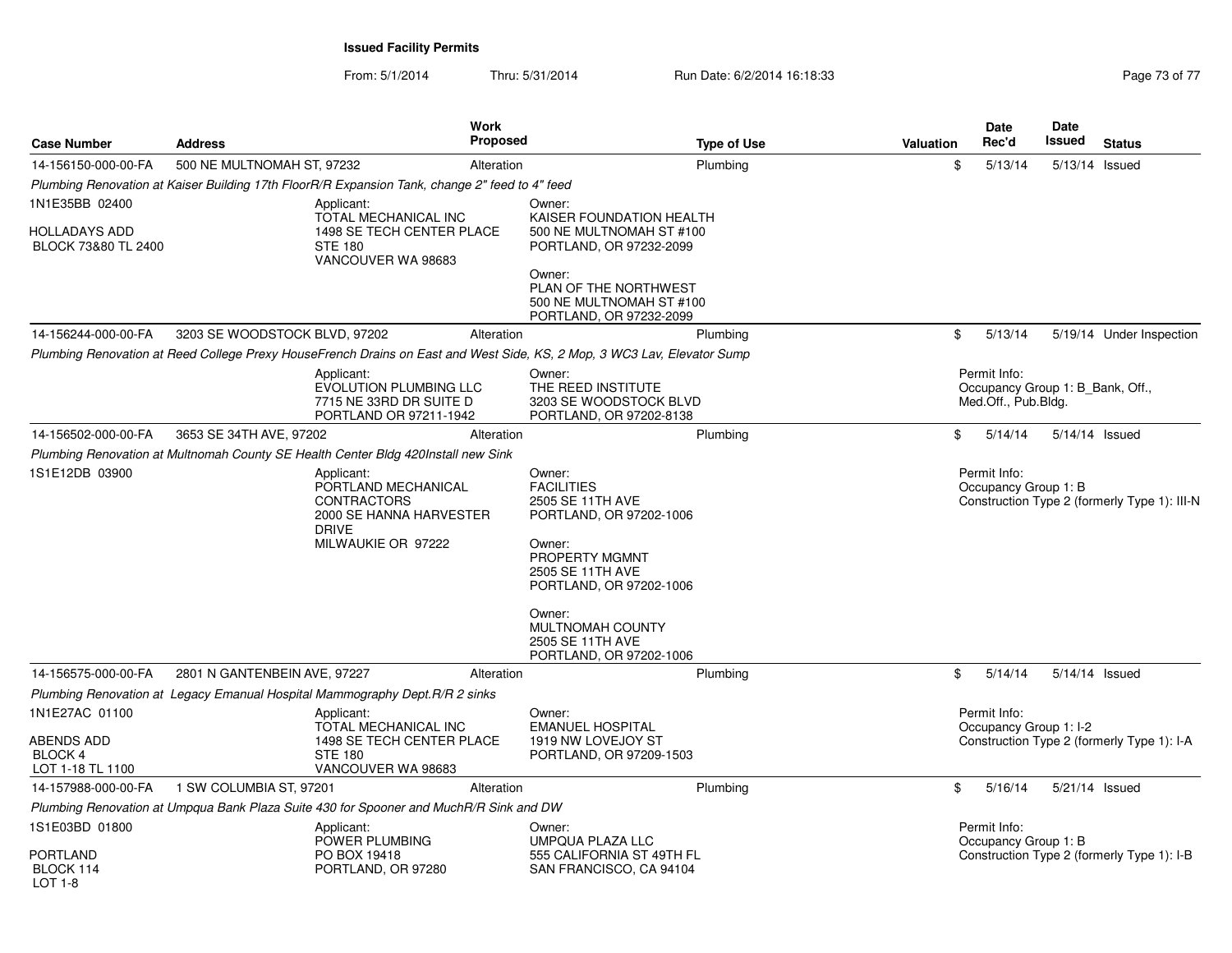From: 5/1/2014Thru: 5/31/2014 Run Date: 6/2/2014 16:18:33 Research 2010 17 Page 73 of 77

| <b>Case Number</b>                               | <b>Address</b>                                                                                 |                                                                                                                          | <b>Work</b><br>Proposed | <b>Type of Use</b>                                                                                                                                    | <b>Valuation</b> | Date<br>Rec'd                        | Date<br>Issued<br><b>Status</b>              |
|--------------------------------------------------|------------------------------------------------------------------------------------------------|--------------------------------------------------------------------------------------------------------------------------|-------------------------|-------------------------------------------------------------------------------------------------------------------------------------------------------|------------------|--------------------------------------|----------------------------------------------|
| 14-156150-000-00-FA                              | 500 NE MULTNOMAH ST, 97232                                                                     |                                                                                                                          | Alteration              | Plumbing                                                                                                                                              | \$               | 5/13/14                              | 5/13/14 Issued                               |
|                                                  | Plumbing Renovation at Kaiser Building 17th FloorR/R Expansion Tank, change 2" feed to 4" feed |                                                                                                                          |                         |                                                                                                                                                       |                  |                                      |                                              |
| 1N1E35BB 02400                                   |                                                                                                | Applicant:<br>TOTAL MECHANICAL INC                                                                                       |                         | Owner:<br>KAISER FOUNDATION HEALTH                                                                                                                    |                  |                                      |                                              |
| <b>HOLLADAYS ADD</b><br>BLOCK 73&80 TL 2400      |                                                                                                | 1498 SE TECH CENTER PLACE<br><b>STE 180</b><br>VANCOUVER WA 98683                                                        |                         | 500 NE MULTNOMAH ST #100<br>PORTLAND, OR 97232-2099                                                                                                   |                  |                                      |                                              |
|                                                  |                                                                                                |                                                                                                                          |                         | Owner:<br>PLAN OF THE NORTHWEST<br>500 NE MULTNOMAH ST #100<br>PORTLAND, OR 97232-2099                                                                |                  |                                      |                                              |
| 14-156244-000-00-FA                              | 3203 SE WOODSTOCK BLVD, 97202                                                                  |                                                                                                                          | Alteration              | Plumbing                                                                                                                                              | \$               | 5/13/14                              | 5/19/14 Under Inspection                     |
|                                                  |                                                                                                |                                                                                                                          |                         | Plumbing Renovation at Reed College Prexy HouseFrench Drains on East and West Side, KS, 2 Mop, 3 WC3 Lav, Elevator Sump                               |                  |                                      |                                              |
|                                                  |                                                                                                | Applicant:<br>EVOLUTION PLUMBING LLC<br>7715 NE 33RD DR SUITE D<br>PORTLAND OR 97211-1942                                |                         | Owner:<br>THE REED INSTITUTE<br>3203 SE WOODSTOCK BLVD<br>PORTLAND, OR 97202-8138                                                                     |                  | Permit Info:<br>Med.Off., Pub.Bldg.  | Occupancy Group 1: B Bank, Off.,             |
| 14-156502-000-00-FA                              | 3653 SE 34TH AVE, 97202                                                                        |                                                                                                                          | Alteration              | Plumbing                                                                                                                                              | \$               | 5/14/14                              | 5/14/14 Issued                               |
|                                                  | Plumbing Renovation at Multnomah County SE Health Center Bldg 420Install new Sink              |                                                                                                                          |                         |                                                                                                                                                       |                  |                                      |                                              |
| 1S1E12DB 03900                                   |                                                                                                | Applicant:<br>PORTLAND MECHANICAL<br><b>CONTRACTORS</b><br>2000 SE HANNA HARVESTER<br><b>DRIVE</b><br>MILWAUKIE OR 97222 |                         | Owner:<br><b>FACILITIES</b><br>2505 SE 11TH AVE<br>PORTLAND, OR 97202-1006<br>Owner:<br>PROPERTY MGMNT<br>2505 SE 11TH AVE<br>PORTLAND, OR 97202-1006 |                  | Permit Info:<br>Occupancy Group 1: B | Construction Type 2 (formerly Type 1): III-N |
|                                                  |                                                                                                |                                                                                                                          |                         | Owner:<br>MULTNOMAH COUNTY<br>2505 SE 11TH AVE<br>PORTLAND, OR 97202-1006                                                                             |                  |                                      |                                              |
| 14-156575-000-00-FA                              | 2801 N GANTENBEIN AVE, 97227                                                                   |                                                                                                                          | Alteration              | Plumbing                                                                                                                                              | \$               | 5/14/14                              | 5/14/14 Issued                               |
|                                                  | Plumbing Renovation at Legacy Emanual Hospital Mammography Dept. R/R 2 sinks                   |                                                                                                                          |                         |                                                                                                                                                       |                  |                                      |                                              |
| 1N1E27AC 01100                                   |                                                                                                | Applicant:                                                                                                               |                         | Owner:                                                                                                                                                |                  | Permit Info:                         |                                              |
| ABENDS ADD<br><b>BLOCK 4</b><br>LOT 1-18 TL 1100 |                                                                                                | TOTAL MECHANICAL INC<br>1498 SE TECH CENTER PLACE<br><b>STE 180</b><br>VANCOUVER WA 98683                                |                         | <b>EMANUEL HOSPITAL</b><br>1919 NW LOVEJOY ST<br>PORTLAND, OR 97209-1503                                                                              |                  | Occupancy Group 1: I-2               | Construction Type 2 (formerly Type 1): I-A   |
| 14-157988-000-00-FA                              | 1 SW COLUMBIA ST, 97201                                                                        |                                                                                                                          | Alteration              | Plumbing                                                                                                                                              | \$               | 5/16/14                              | 5/21/14 Issued                               |
|                                                  | Plumbing Renovation at Umpqua Bank Plaza Suite 430 for Spooner and MuchR/R Sink and DW         |                                                                                                                          |                         |                                                                                                                                                       |                  |                                      |                                              |
| 1S1E03BD 01800                                   |                                                                                                | Applicant:<br>POWER PLUMBING                                                                                             |                         | Owner:<br>UMPQUA PLAZA LLC                                                                                                                            |                  | Permit Info:<br>Occupancy Group 1: B |                                              |
| PORTLAND<br>BLOCK 114<br>LOT 1-8                 |                                                                                                | PO BOX 19418<br>PORTLAND, OR 97280                                                                                       |                         | 555 CALIFORNIA ST 49TH FL<br>SAN FRANCISCO, CA 94104                                                                                                  |                  |                                      | Construction Type 2 (formerly Type 1): I-B   |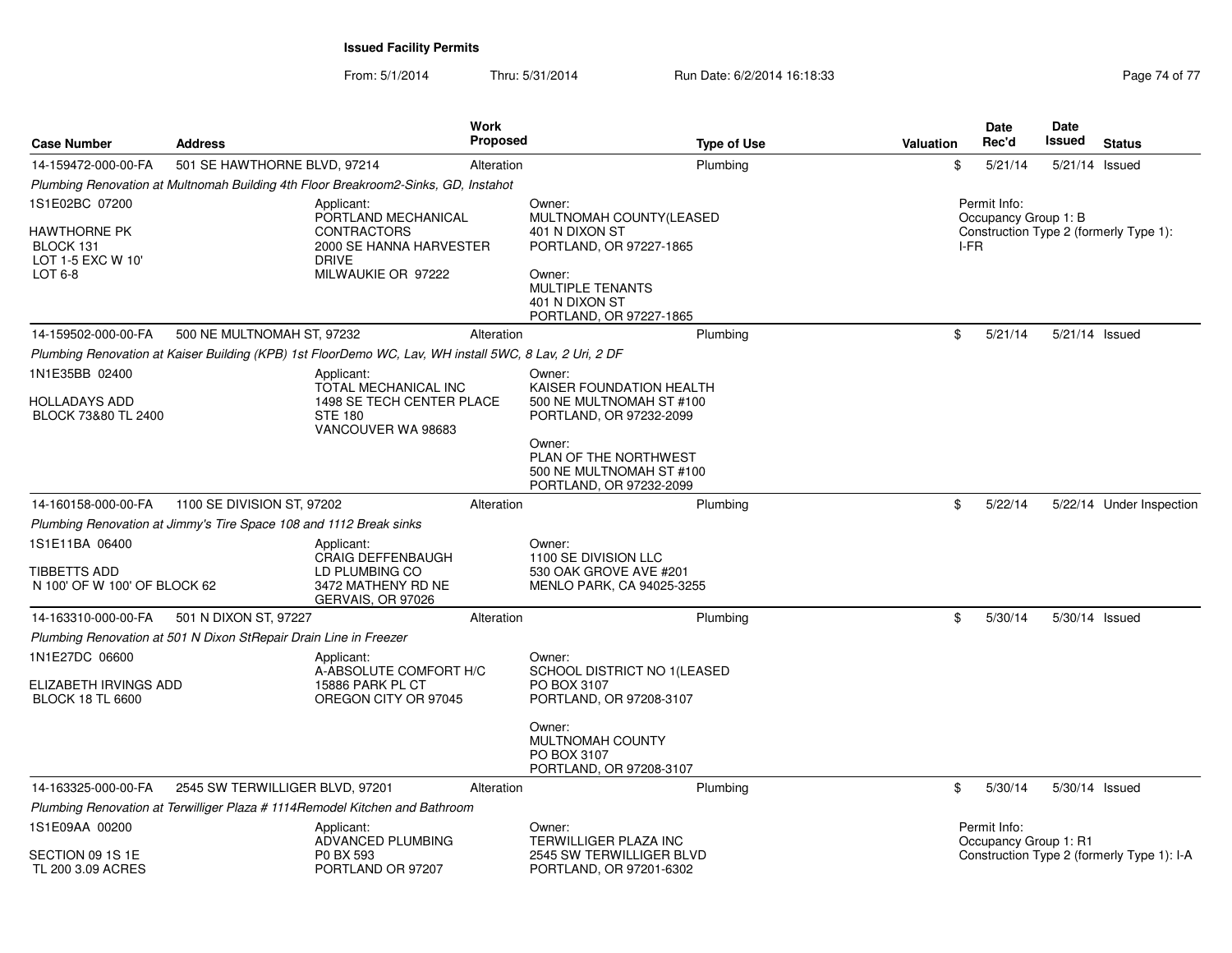From: 5/1/2014Thru: 5/31/2014 Run Date: 6/2/2014 16:18:33 Research 2010 17 Page 74 of 77

| <b>Case Number</b>                                                          | <b>Address</b>                                                     |                                                                                                                          | <b>Work</b><br><b>Proposed</b> |                                                                                                                                                                                     | <b>Type of Use</b> | <b>Valuation</b> |      | Date<br>Rec'd                         | Date<br><b>Issued</b> | <b>Status</b>                              |
|-----------------------------------------------------------------------------|--------------------------------------------------------------------|--------------------------------------------------------------------------------------------------------------------------|--------------------------------|-------------------------------------------------------------------------------------------------------------------------------------------------------------------------------------|--------------------|------------------|------|---------------------------------------|-----------------------|--------------------------------------------|
| 14-159472-000-00-FA                                                         | 501 SE HAWTHORNE BLVD, 97214                                       |                                                                                                                          | Alteration                     |                                                                                                                                                                                     | Plumbing           |                  | \$   | 5/21/14                               | 5/21/14 Issued        |                                            |
|                                                                             |                                                                    | Plumbing Renovation at Multnomah Building 4th Floor Breakroom2-Sinks, GD, Instahot                                       |                                |                                                                                                                                                                                     |                    |                  |      |                                       |                       |                                            |
| 1S1E02BC 07200<br>HAWTHORNE PK<br>BLOCK 131<br>LOT 1-5 EXC W 10'<br>LOT 6-8 |                                                                    | Applicant:<br>PORTLAND MECHANICAL<br><b>CONTRACTORS</b><br>2000 SE HANNA HARVESTER<br><b>DRIVE</b><br>MILWAUKIE OR 97222 |                                | Owner:<br>MULTNOMAH COUNTY(LEASED<br>401 N DIXON ST<br>PORTLAND, OR 97227-1865<br>Owner:<br><b>MULTIPLE TENANTS</b><br>401 N DIXON ST<br>PORTLAND, OR 97227-1865                    |                    |                  | I-FR | Permit Info:<br>Occupancy Group 1: B  |                       | Construction Type 2 (formerly Type 1):     |
| 14-159502-000-00-FA                                                         | 500 NE MULTNOMAH ST, 97232                                         |                                                                                                                          | Alteration                     |                                                                                                                                                                                     | Plumbing           |                  | \$   | 5/21/14                               | 5/21/14 Issued        |                                            |
|                                                                             |                                                                    | Plumbing Renovation at Kaiser Building (KPB) 1st FloorDemo WC, Lav, WH install 5WC, 8 Lav, 2 Uri, 2 DF                   |                                |                                                                                                                                                                                     |                    |                  |      |                                       |                       |                                            |
| 1N1E35BB 02400<br>HOLLADAYS ADD<br>BLOCK 73&80 TL 2400                      |                                                                    | Applicant:<br>TOTAL MECHANICAL INC<br>1498 SE TECH CENTER PLACE<br><b>STE 180</b><br>VANCOUVER WA 98683                  |                                | Owner:<br>KAISER FOUNDATION HEALTH<br>500 NE MULTNOMAH ST #100<br>PORTLAND, OR 97232-2099<br>Owner:<br>PLAN OF THE NORTHWEST<br>500 NE MULTNOMAH ST #100<br>PORTLAND, OR 97232-2099 |                    |                  |      |                                       |                       |                                            |
| 14-160158-000-00-FA                                                         | 1100 SE DIVISION ST, 97202                                         |                                                                                                                          | Alteration                     |                                                                                                                                                                                     | Plumbing           |                  | \$   | 5/22/14                               |                       | 5/22/14 Under Inspection                   |
|                                                                             | Plumbing Renovation at Jimmy's Tire Space 108 and 1112 Break sinks |                                                                                                                          |                                |                                                                                                                                                                                     |                    |                  |      |                                       |                       |                                            |
| 1S1E11BA 06400<br><b>TIBBETTS ADD</b><br>N 100' OF W 100' OF BLOCK 62       |                                                                    | Applicant:<br><b>CRAIG DEFFENBAUGH</b><br>LD PLUMBING CO<br>3472 MATHENY RD NE<br>GERVAIS, OR 97026                      |                                | Owner:<br>1100 SE DIVISION LLC<br>530 OAK GROVE AVE #201<br>MENLO PARK, CA 94025-3255                                                                                               |                    |                  |      |                                       |                       |                                            |
| 14-163310-000-00-FA                                                         | 501 N DIXON ST, 97227                                              |                                                                                                                          | Alteration                     |                                                                                                                                                                                     | Plumbing           |                  | \$   | 5/30/14                               | 5/30/14 Issued        |                                            |
|                                                                             | Plumbing Renovation at 501 N Dixon StRepair Drain Line in Freezer  |                                                                                                                          |                                |                                                                                                                                                                                     |                    |                  |      |                                       |                       |                                            |
| 1N1E27DC 06600<br>ELIZABETH IRVINGS ADD<br><b>BLOCK 18 TL 6600</b>          |                                                                    | Applicant:<br>A-ABSOLUTE COMFORT H/C<br>15886 PARK PL CT<br>OREGON CITY OR 97045                                         |                                | Owner:<br>SCHOOL DISTRICT NO 1(LEASED<br>PO BOX 3107<br>PORTLAND, OR 97208-3107<br>Owner:                                                                                           |                    |                  |      |                                       |                       |                                            |
|                                                                             |                                                                    |                                                                                                                          |                                | MULTNOMAH COUNTY<br>PO BOX 3107<br>PORTLAND, OR 97208-3107                                                                                                                          |                    |                  |      |                                       |                       |                                            |
| 14-163325-000-00-FA                                                         | 2545 SW TERWILLIGER BLVD, 97201                                    |                                                                                                                          | Alteration                     |                                                                                                                                                                                     | Plumbing           |                  | \$   | 5/30/14                               | 5/30/14 Issued        |                                            |
|                                                                             |                                                                    | Plumbing Renovation at Terwilliger Plaza # 1114Remodel Kitchen and Bathroom                                              |                                |                                                                                                                                                                                     |                    |                  |      |                                       |                       |                                            |
| 1S1E09AA 00200<br>SECTION 09 1S 1E<br><b>TL 200 3.09 ACRES</b>              |                                                                    | Applicant:<br>ADVANCED PLUMBING<br>P0 BX 593<br>PORTLAND OR 97207                                                        |                                | Owner:<br>TERWILLIGER PLAZA INC<br>2545 SW TERWILLIGER BLVD<br>PORTLAND, OR 97201-6302                                                                                              |                    |                  |      | Permit Info:<br>Occupancy Group 1: R1 |                       | Construction Type 2 (formerly Type 1): I-A |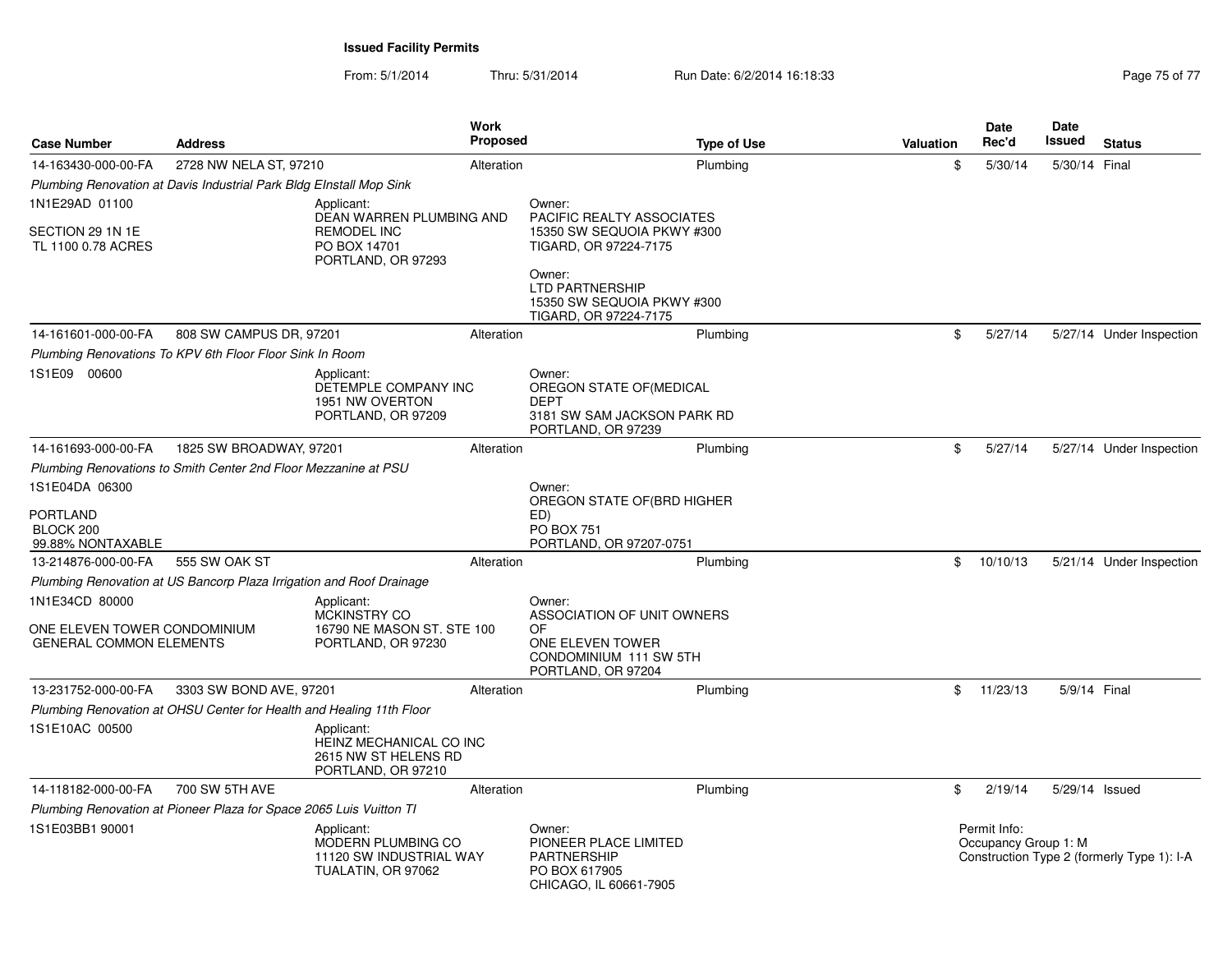From: 5/1/2014Thru: 5/31/2014 Run Date: 6/2/2014 16:18:33 Research 2010 17 Page 75 of 77

| <b>Case Number</b>                                             | <b>Address</b>                                                       | Work                                                                                 | <b>Proposed</b> | <b>Type of Use</b>                                                                                     | <b>Valuation</b> | <b>Date</b><br>Rec'd                 | <b>Date</b><br>Issued | <b>Status</b>                              |
|----------------------------------------------------------------|----------------------------------------------------------------------|--------------------------------------------------------------------------------------|-----------------|--------------------------------------------------------------------------------------------------------|------------------|--------------------------------------|-----------------------|--------------------------------------------|
| 14-163430-000-00-FA                                            | 2728 NW NELA ST, 97210                                               | Alteration                                                                           |                 | Plumbing                                                                                               | \$               | 5/30/14                              | 5/30/14 Final         |                                            |
|                                                                | Plumbing Renovation at Davis Industrial Park Bldg EInstall Mop Sink  |                                                                                      |                 |                                                                                                        |                  |                                      |                       |                                            |
| 1N1E29AD 01100                                                 |                                                                      | Applicant:                                                                           |                 | Owner:                                                                                                 |                  |                                      |                       |                                            |
| SECTION 29 1N 1E<br>TL 1100 0.78 ACRES                         |                                                                      | DEAN WARREN PLUMBING AND<br><b>REMODEL INC</b><br>PO BOX 14701<br>PORTLAND, OR 97293 |                 | <b>PACIFIC REALTY ASSOCIATES</b><br>15350 SW SEQUOIA PKWY #300<br>TIGARD, OR 97224-7175                |                  |                                      |                       |                                            |
|                                                                |                                                                      |                                                                                      |                 | Owner:<br><b>LTD PARTNERSHIP</b><br>15350 SW SEQUOIA PKWY #300<br>TIGARD, OR 97224-7175                |                  |                                      |                       |                                            |
| 14-161601-000-00-FA                                            | 808 SW CAMPUS DR, 97201                                              | Alteration                                                                           |                 | Plumbing                                                                                               | \$               | 5/27/14                              |                       | 5/27/14 Under Inspection                   |
|                                                                | Plumbing Renovations To KPV 6th Floor Floor Sink In Room             |                                                                                      |                 |                                                                                                        |                  |                                      |                       |                                            |
| 1S1E09 00600                                                   |                                                                      | Applicant:<br>DETEMPLE COMPANY INC<br>1951 NW OVERTON<br>PORTLAND, OR 97209          |                 | Owner:<br>OREGON STATE OF (MEDICAL<br><b>DEPT</b><br>3181 SW SAM JACKSON PARK RD<br>PORTLAND, OR 97239 |                  |                                      |                       |                                            |
| 14-161693-000-00-FA                                            | 1825 SW BROADWAY, 97201                                              | Alteration                                                                           |                 | Plumbing                                                                                               | \$               | 5/27/14                              |                       | 5/27/14 Under Inspection                   |
|                                                                | Plumbing Renovations to Smith Center 2nd Floor Mezzanine at PSU      |                                                                                      |                 |                                                                                                        |                  |                                      |                       |                                            |
| 1S1E04DA 06300                                                 |                                                                      |                                                                                      |                 | Owner:<br>OREGON STATE OF(BRD HIGHER                                                                   |                  |                                      |                       |                                            |
| PORTLAND<br>BLOCK 200<br>99.88% NONTAXABLE                     |                                                                      |                                                                                      |                 | ED)<br><b>PO BOX 751</b><br>PORTLAND, OR 97207-0751                                                    |                  |                                      |                       |                                            |
| 13-214876-000-00-FA                                            | 555 SW OAK ST                                                        | Alteration                                                                           |                 | Plumbing                                                                                               | \$               | 10/10/13                             |                       | 5/21/14 Under Inspection                   |
|                                                                | Plumbing Renovation at US Bancorp Plaza Irrigation and Roof Drainage |                                                                                      |                 |                                                                                                        |                  |                                      |                       |                                            |
| 1N1E34CD 80000                                                 |                                                                      | Applicant:<br><b>MCKINSTRY CO</b>                                                    |                 | Owner:<br>ASSOCIATION OF UNIT OWNERS                                                                   |                  |                                      |                       |                                            |
| ONE ELEVEN TOWER CONDOMINIUM<br><b>GENERAL COMMON ELEMENTS</b> |                                                                      | 16790 NE MASON ST. STE 100<br>PORTLAND, OR 97230                                     |                 | <b>OF</b><br>ONE ELEVEN TOWER<br>CONDOMINIUM 111 SW 5TH<br>PORTLAND, OR 97204                          |                  |                                      |                       |                                            |
| 13-231752-000-00-FA                                            | 3303 SW BOND AVE, 97201                                              | Alteration                                                                           |                 | Plumbing                                                                                               | \$               | 11/23/13                             | 5/9/14 Final          |                                            |
|                                                                | Plumbing Renovation at OHSU Center for Health and Healing 11th Floor |                                                                                      |                 |                                                                                                        |                  |                                      |                       |                                            |
| 1S1E10AC 00500                                                 |                                                                      | Applicant:<br>HEINZ MECHANICAL CO INC<br>2615 NW ST HELENS RD<br>PORTLAND, OR 97210  |                 |                                                                                                        |                  |                                      |                       |                                            |
| 14-118182-000-00-FA                                            | 700 SW 5TH AVE                                                       | Alteration                                                                           |                 | Plumbing                                                                                               | \$               | 2/19/14                              | 5/29/14 Issued        |                                            |
|                                                                | Plumbing Renovation at Pioneer Plaza for Space 2065 Luis Vuitton TI  |                                                                                      |                 |                                                                                                        |                  |                                      |                       |                                            |
| 1S1E03BB1 90001                                                |                                                                      | Applicant:<br>MODERN PLUMBING CO<br>11120 SW INDUSTRIAL WAY<br>TUALATIN, OR 97062    |                 | Owner:<br>PIONEER PLACE LIMITED<br><b>PARTNERSHIP</b><br>PO BOX 617905<br>CHICAGO, IL 60661-7905       |                  | Permit Info:<br>Occupancy Group 1: M |                       | Construction Type 2 (formerly Type 1): I-A |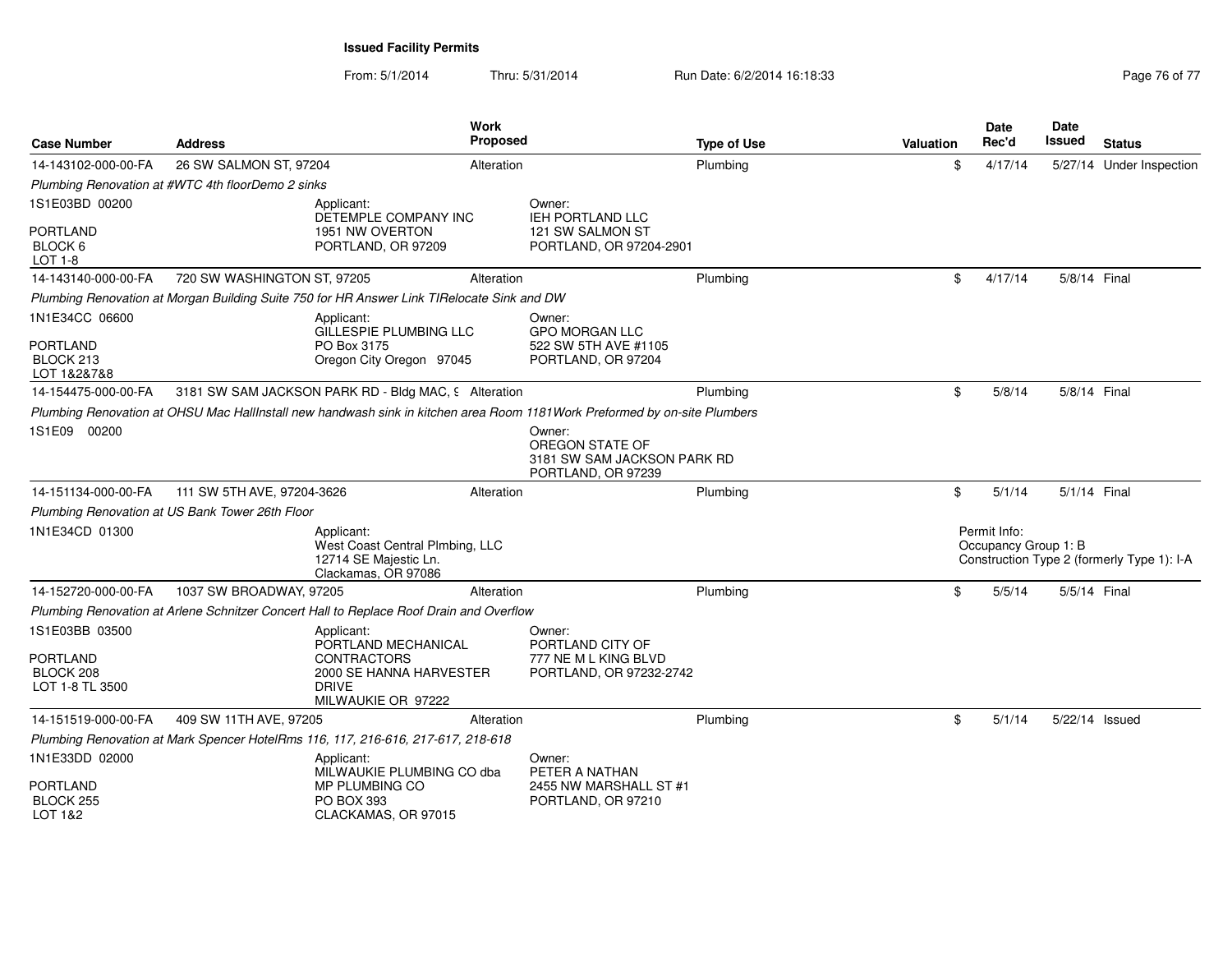From: 5/1/2014Thru: 5/31/2014 Run Date: 6/2/2014 16:18:33 Research 2010 17 Page 76 of 77

| <b>Case Number</b>                           | <b>Address</b>                                    | <b>Work</b><br><b>Proposed</b>                                                                                            |                                                                                | <b>Type of Use</b> | <b>Valuation</b> | Date<br>Rec'd                        | Date<br>Issued | <b>Status</b>                              |
|----------------------------------------------|---------------------------------------------------|---------------------------------------------------------------------------------------------------------------------------|--------------------------------------------------------------------------------|--------------------|------------------|--------------------------------------|----------------|--------------------------------------------|
| 14-143102-000-00-FA                          | 26 SW SALMON ST, 97204                            | Alteration                                                                                                                |                                                                                | Plumbing           | \$               | 4/17/14                              |                | 5/27/14 Under Inspection                   |
|                                              | Plumbing Renovation at #WTC 4th floorDemo 2 sinks |                                                                                                                           |                                                                                |                    |                  |                                      |                |                                            |
| 1S1E03BD 00200                               |                                                   | Applicant:<br>DETEMPLE COMPANY INC                                                                                        | Owner:<br><b>IEH PORTLAND LLC</b>                                              |                    |                  |                                      |                |                                            |
| <b>PORTLAND</b><br>BLOCK 6<br><b>LOT 1-8</b> |                                                   | 1951 NW OVERTON<br>PORTLAND, OR 97209                                                                                     | 121 SW SALMON ST<br>PORTLAND, OR 97204-2901                                    |                    |                  |                                      |                |                                            |
| 14-143140-000-00-FA                          | 720 SW WASHINGTON ST, 97205                       | Alteration                                                                                                                |                                                                                | Plumbing           | \$               | 4/17/14                              | 5/8/14 Final   |                                            |
|                                              |                                                   | Plumbing Renovation at Morgan Building Suite 750 for HR Answer Link TIRelocate Sink and DW                                |                                                                                |                    |                  |                                      |                |                                            |
| 1N1E34CC 06600                               |                                                   | Applicant:<br>GILLESPIE PLUMBING LLC                                                                                      | Owner:<br><b>GPO MORGAN LLC</b>                                                |                    |                  |                                      |                |                                            |
| <b>PORTLAND</b><br>BLOCK 213<br>LOT 1&2&7&8  |                                                   | PO Box 3175<br>Oregon City Oregon 97045                                                                                   | 522 SW 5TH AVE #1105<br>PORTLAND, OR 97204                                     |                    |                  |                                      |                |                                            |
| 14-154475-000-00-FA                          |                                                   | 3181 SW SAM JACKSON PARK RD - Bldg MAC, 9 Alteration                                                                      |                                                                                | Plumbing           | \$               | 5/8/14                               | 5/8/14 Final   |                                            |
|                                              |                                                   | Plumbing Renovation at OHSU Mac HallInstall new handwash sink in kitchen area Room 1181Work Preformed by on-site Plumbers |                                                                                |                    |                  |                                      |                |                                            |
| 1S1E09 00200                                 |                                                   |                                                                                                                           | Owner:<br>OREGON STATE OF<br>3181 SW SAM JACKSON PARK RD<br>PORTLAND, OR 97239 |                    |                  |                                      |                |                                            |
| 14-151134-000-00-FA                          | 111 SW 5TH AVE, 97204-3626                        | Alteration                                                                                                                |                                                                                | Plumbing           | \$               | 5/1/14                               | 5/1/14 Final   |                                            |
|                                              | Plumbing Renovation at US Bank Tower 26th Floor   |                                                                                                                           |                                                                                |                    |                  |                                      |                |                                            |
| 1N1E34CD 01300                               |                                                   | Applicant:<br>West Coast Central Plmbing, LLC<br>12714 SE Majestic Ln.<br>Clackamas, OR 97086                             |                                                                                |                    |                  | Permit Info:<br>Occupancy Group 1: B |                | Construction Type 2 (formerly Type 1): I-A |
| 14-152720-000-00-FA                          | 1037 SW BROADWAY, 97205                           | Alteration                                                                                                                |                                                                                | Plumbing           | \$               | 5/5/14                               | 5/5/14 Final   |                                            |
|                                              |                                                   | Plumbing Renovation at Arlene Schnitzer Concert Hall to Replace Roof Drain and Overflow                                   |                                                                                |                    |                  |                                      |                |                                            |
| 1S1E03BB 03500                               |                                                   | Applicant:<br>PORTLAND MECHANICAL                                                                                         | Owner:<br>PORTLAND CITY OF                                                     |                    |                  |                                      |                |                                            |
| PORTLAND<br>BLOCK 208<br>LOT 1-8 TL 3500     | <b>DRIVE</b>                                      | CONTRACTORS<br>2000 SE HANNA HARVESTER<br>MILWAUKIE OR 97222                                                              | 777 NE M L KING BLVD<br>PORTLAND, OR 97232-2742                                |                    |                  |                                      |                |                                            |
| 14-151519-000-00-FA                          | 409 SW 11TH AVE, 97205                            | Alteration                                                                                                                |                                                                                | Plumbing           | \$               | 5/1/14                               | 5/22/14 Issued |                                            |
|                                              |                                                   | Plumbing Renovation at Mark Spencer HotelRms 116, 117, 216-616, 217-617, 218-618                                          |                                                                                |                    |                  |                                      |                |                                            |
| 1N1E33DD 02000                               |                                                   | Applicant:<br>MILWAUKIE PLUMBING CO dba                                                                                   | Owner:<br>PETER A NATHAN                                                       |                    |                  |                                      |                |                                            |
| PORTLAND<br>BLOCK 255<br>LOT 1&2             |                                                   | MP PLUMBING CO<br>PO BOX 393<br>CLACKAMAS, OR 97015                                                                       | 2455 NW MARSHALL ST #1<br>PORTLAND, OR 97210                                   |                    |                  |                                      |                |                                            |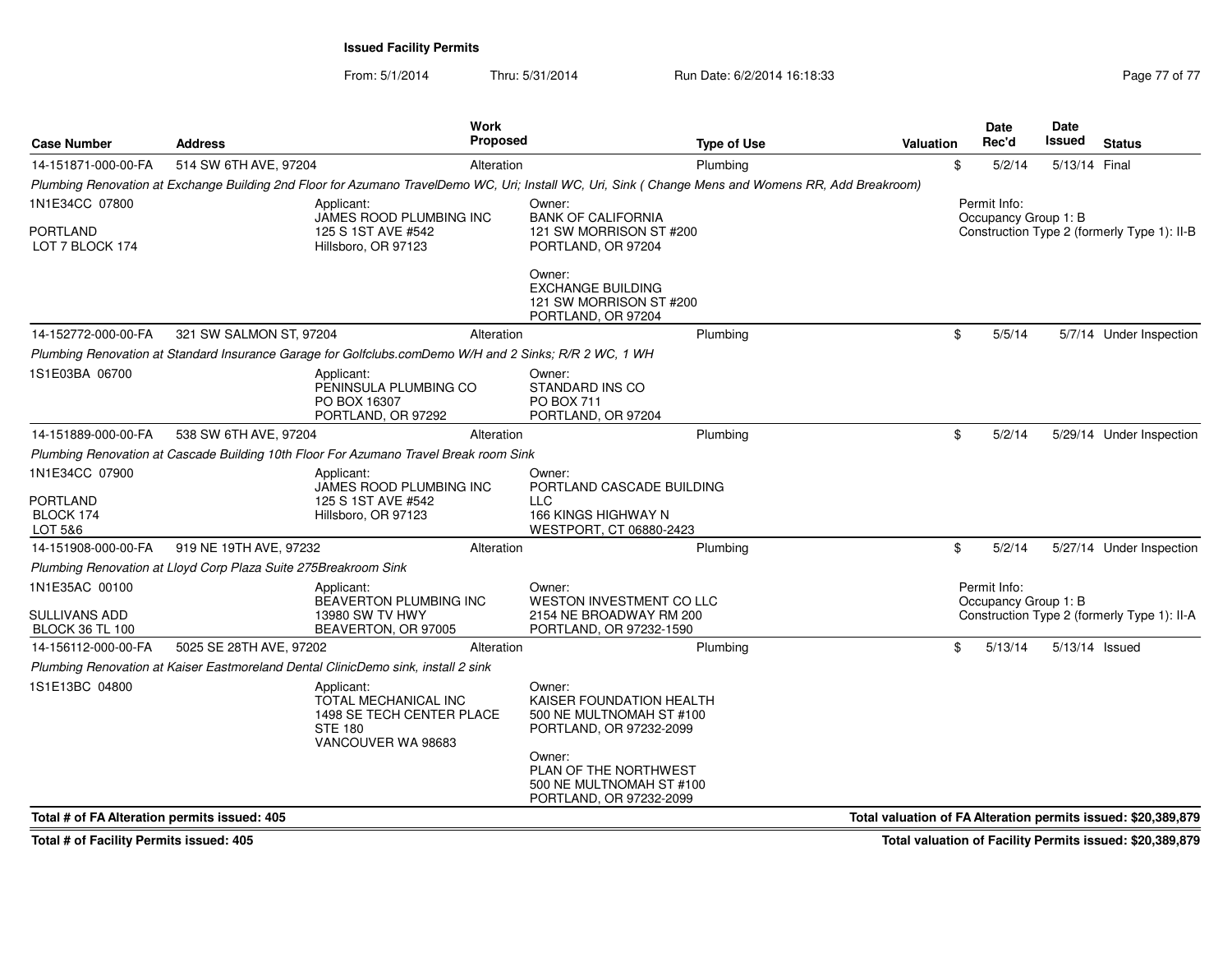From: 5/1/2014Thru: 5/31/2014 Run Date: 6/2/2014 16:18:33 Research 2010 Rage 77 of 77

| <b>Case Number</b>                             | <b>Address</b>                                                  |                                                                                                                                                     | Work<br><b>Proposed</b> |                                                                                           | <b>Type of Use</b> | Valuation | Date<br>Rec'd                        | <b>Date</b><br>Issued | <b>Status</b>                                                 |
|------------------------------------------------|-----------------------------------------------------------------|-----------------------------------------------------------------------------------------------------------------------------------------------------|-------------------------|-------------------------------------------------------------------------------------------|--------------------|-----------|--------------------------------------|-----------------------|---------------------------------------------------------------|
| 14-151871-000-00-FA                            | 514 SW 6TH AVE, 97204                                           |                                                                                                                                                     | Alteration              |                                                                                           | Plumbing           |           | \$<br>5/2/14                         | 5/13/14 Final         |                                                               |
|                                                |                                                                 | Plumbing Renovation at Exchange Building 2nd Floor for Azumano TravelDemo WC, Uri; Install WC, Uri, Sink (Change Mens and Womens RR, Add Breakroom) |                         |                                                                                           |                    |           |                                      |                       |                                                               |
| 1N1E34CC 07800                                 |                                                                 | Applicant:<br>JAMES ROOD PLUMBING INC                                                                                                               |                         | Owner:<br><b>BANK OF CALIFORNIA</b>                                                       |                    |           | Permit Info:<br>Occupancy Group 1: B |                       |                                                               |
| <b>PORTLAND</b><br>LOT 7 BLOCK 174             |                                                                 | 125 S 1ST AVE #542<br>Hillsboro, OR 97123                                                                                                           |                         | 121 SW MORRISON ST #200<br>PORTLAND, OR 97204                                             |                    |           |                                      |                       | Construction Type 2 (formerly Type 1): II-B                   |
|                                                |                                                                 |                                                                                                                                                     |                         | Owner:<br><b>EXCHANGE BUILDING</b><br>121 SW MORRISON ST #200<br>PORTLAND, OR 97204       |                    |           |                                      |                       |                                                               |
| 14-152772-000-00-FA                            | 321 SW SALMON ST, 97204                                         |                                                                                                                                                     | Alteration              |                                                                                           | Plumbing           |           | \$<br>5/5/14                         |                       | 5/7/14 Under Inspection                                       |
|                                                |                                                                 | Plumbing Renovation at Standard Insurance Garage for Golfclubs.comDemo W/H and 2 Sinks; R/R 2 WC, 1 WH                                              |                         |                                                                                           |                    |           |                                      |                       |                                                               |
| 1S1E03BA 06700                                 |                                                                 | Applicant:<br>PENINSULA PLUMBING CO<br>PO BOX 16307<br>PORTLAND, OR 97292                                                                           |                         | Owner:<br>STANDARD INS CO<br><b>PO BOX 711</b><br>PORTLAND, OR 97204                      |                    |           |                                      |                       |                                                               |
| 14-151889-000-00-FA                            | 538 SW 6TH AVE, 97204                                           |                                                                                                                                                     | Alteration              |                                                                                           | Plumbing           |           | \$<br>5/2/14                         |                       | 5/29/14 Under Inspection                                      |
|                                                |                                                                 | Plumbing Renovation at Cascade Building 10th Floor For Azumano Travel Break room Sink                                                               |                         |                                                                                           |                    |           |                                      |                       |                                                               |
| 1N1E34CC 07900<br><b>PORTLAND</b><br>BLOCK 174 |                                                                 | Applicant:<br>JAMES ROOD PLUMBING INC<br>125 S 1ST AVE #542<br>Hillsboro, OR 97123                                                                  |                         | Owner:<br>PORTLAND CASCADE BUILDING<br><b>LLC</b><br>166 KINGS HIGHWAY N                  |                    |           |                                      |                       |                                                               |
| LOT 5&6                                        |                                                                 |                                                                                                                                                     |                         | WESTPORT, CT 06880-2423                                                                   |                    |           |                                      |                       |                                                               |
| 14-151908-000-00-FA                            | 919 NE 19TH AVE, 97232                                          |                                                                                                                                                     | Alteration              |                                                                                           | Plumbing           |           | \$<br>5/2/14                         |                       | 5/27/14 Under Inspection                                      |
|                                                | Plumbing Renovation at Lloyd Corp Plaza Suite 275Breakroom Sink |                                                                                                                                                     |                         |                                                                                           |                    |           |                                      |                       |                                                               |
| 1N1E35AC 00100                                 |                                                                 | Applicant:                                                                                                                                          |                         | Owner:<br>WESTON INVESTMENT CO LLC                                                        |                    |           | Permit Info:                         |                       |                                                               |
| <b>SULLIVANS ADD</b><br><b>BLOCK 36 TL 100</b> |                                                                 | BEAVERTON PLUMBING INC<br>13980 SW TV HWY<br>BEAVERTON, OR 97005                                                                                    |                         | 2154 NE BROADWAY RM 200<br>PORTLAND, OR 97232-1590                                        |                    |           | Occupancy Group 1: B                 |                       | Construction Type 2 (formerly Type 1): II-A                   |
| 14-156112-000-00-FA                            | 5025 SE 28TH AVE, 97202                                         |                                                                                                                                                     | Alteration              |                                                                                           | Plumbing           |           | \$<br>5/13/14                        | 5/13/14 Issued        |                                                               |
|                                                |                                                                 | Plumbing Renovation at Kaiser Eastmoreland Dental ClinicDemo sink, install 2 sink                                                                   |                         |                                                                                           |                    |           |                                      |                       |                                                               |
| 1S1E13BC 04800                                 |                                                                 | Applicant:<br>TOTAL MECHANICAL INC<br>1498 SE TECH CENTER PLACE<br><b>STE 180</b><br>VANCOUVER WA 98683                                             |                         | Owner:<br>KAISER FOUNDATION HEALTH<br>500 NE MULTNOMAH ST #100<br>PORTLAND, OR 97232-2099 |                    |           |                                      |                       |                                                               |
|                                                |                                                                 |                                                                                                                                                     |                         | Owner:<br>PLAN OF THE NORTHWEST<br>500 NE MULTNOMAH ST #100<br>PORTLAND, OR 97232-2099    |                    |           |                                      |                       |                                                               |
| Total # of FA Alteration permits issued: 405   |                                                                 |                                                                                                                                                     |                         |                                                                                           |                    |           |                                      |                       | Total valuation of FA Alteration permits issued: \$20,389,879 |

**Total # of Facility Permits issued: 405**

**Total valuation of Facility Permits issued: \$20,389,879**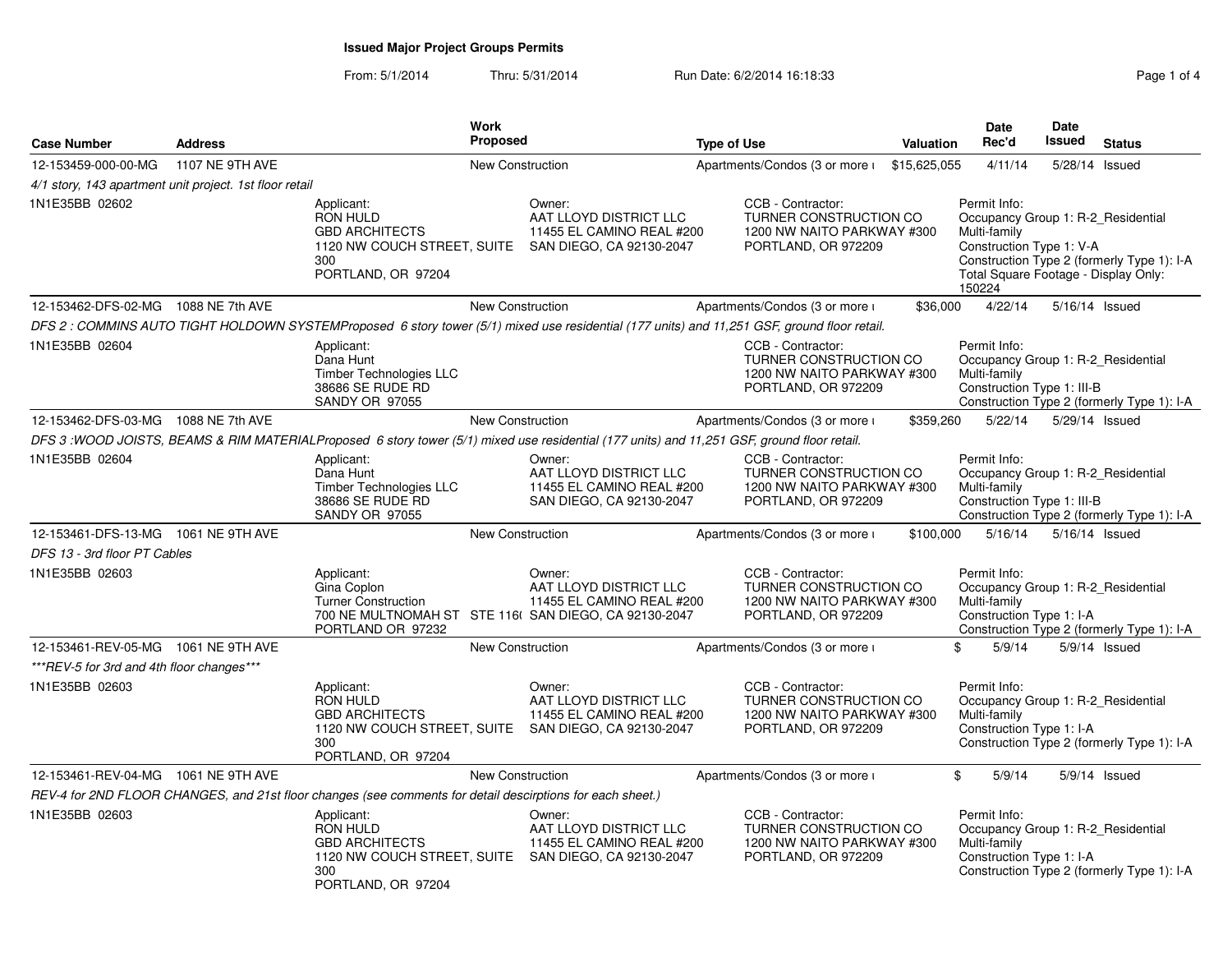### From: 5/1/2014Thru: 5/31/2014 Run Date: 6/2/2014 16:18:33

| Page 1 of 4 |  |  |  |
|-------------|--|--|--|
|-------------|--|--|--|

| <b>Case Number</b>                                      | <b>Address</b>  | <b>Work</b><br>Proposed                                                                                                                     |                                                                                           | <b>Type of Use</b>                                                                                                                           | Valuation    | <b>Date</b><br>Rec'd                                                                                                                             | Date<br>Issued | <b>Status</b>                              |
|---------------------------------------------------------|-----------------|---------------------------------------------------------------------------------------------------------------------------------------------|-------------------------------------------------------------------------------------------|----------------------------------------------------------------------------------------------------------------------------------------------|--------------|--------------------------------------------------------------------------------------------------------------------------------------------------|----------------|--------------------------------------------|
| 12-153459-000-00-MG                                     | 1107 NE 9TH AVE |                                                                                                                                             | New Construction                                                                          | Apartments/Condos (3 or more i                                                                                                               | \$15,625,055 | 4/11/14                                                                                                                                          |                | 5/28/14 Issued                             |
| 4/1 story, 143 apartment unit project. 1st floor retail |                 |                                                                                                                                             |                                                                                           |                                                                                                                                              |              |                                                                                                                                                  |                |                                            |
| 1N1E35BB 02602                                          |                 | Applicant:<br><b>RON HULD</b><br><b>GBD ARCHITECTS</b><br>1120 NW COUCH STREET, SUITE SAN DIEGO, CA 92130-2047<br>300<br>PORTLAND, OR 97204 | Owner:<br>AAT LLOYD DISTRICT LLC<br>11455 EL CAMINO REAL #200                             | CCB - Contractor:<br>TURNER CONSTRUCTION CO<br>1200 NW NAITO PARKWAY #300<br>PORTLAND, OR 972209                                             |              | Permit Info:<br>Occupancy Group 1: R-2_Residential<br>Multi-family<br>Construction Type 1: V-A<br>Total Square Footage - Display Only:<br>150224 |                | Construction Type 2 (formerly Type 1): I-A |
| 12-153462-DFS-02-MG 1088 NE 7th AVE                     |                 |                                                                                                                                             | <b>New Construction</b>                                                                   | Apartments/Condos (3 or more i                                                                                                               | \$36,000     | 4/22/14                                                                                                                                          |                | 5/16/14 Issued                             |
|                                                         |                 |                                                                                                                                             |                                                                                           | DFS 2 : COMMINS AUTO TIGHT HOLDOWN SYSTEMProposed 6 story tower (5/1) mixed use residential (177 units) and 11,251 GSF, ground floor retail. |              |                                                                                                                                                  |                |                                            |
| 1N1E35BB 02604                                          |                 | Applicant:<br>Dana Hunt<br><b>Timber Technologies LLC</b><br>38686 SE RUDE RD<br><b>SANDY OR 97055</b>                                      |                                                                                           | CCB - Contractor:<br>TURNER CONSTRUCTION CO<br>1200 NW NAITO PARKWAY #300<br>PORTLAND, OR 972209                                             |              | Permit Info:<br>Occupancy Group 1: R-2 Residential<br>Multi-family<br>Construction Type 1: III-B                                                 |                | Construction Type 2 (formerly Type 1): I-A |
| 12-153462-DFS-03-MG 1088 NE 7th AVE                     |                 |                                                                                                                                             | New Construction                                                                          | Apartments/Condos (3 or more i                                                                                                               | \$359,260    | 5/22/14                                                                                                                                          |                | 5/29/14 Issued                             |
|                                                         |                 | DFS 3: WOOD JOISTS, BEAMS & RIM MATERIALProposed 6 story tower (5/1) mixed use residential (177 units) and 11,251 GSF, ground floor retail. |                                                                                           |                                                                                                                                              |              |                                                                                                                                                  |                |                                            |
| 1N1E35BB 02604                                          |                 | Applicant:<br>Dana Hunt<br>Timber Technologies LLC<br>38686 SE RUDE RD<br><b>SANDY OR 97055</b>                                             | Owner:<br>AAT LLOYD DISTRICT LLC<br>11455 EL CAMINO REAL #200<br>SAN DIEGO, CA 92130-2047 | CCB - Contractor:<br>TURNER CONSTRUCTION CO<br>1200 NW NAITO PARKWAY #300<br>PORTLAND, OR 972209                                             |              | Permit Info:<br>Occupancy Group 1: R-2 Residential<br>Multi-family<br>Construction Type 1: III-B                                                 |                | Construction Type 2 (formerly Type 1): I-A |
| 12-153461-DFS-13-MG 1061 NE 9TH AVE                     |                 |                                                                                                                                             | <b>New Construction</b>                                                                   | Apartments/Condos (3 or more i                                                                                                               | \$100,000    | 5/16/14                                                                                                                                          |                | 5/16/14 Issued                             |
| DFS 13 - 3rd floor PT Cables                            |                 |                                                                                                                                             |                                                                                           |                                                                                                                                              |              |                                                                                                                                                  |                |                                            |
| 1N1E35BB 02603                                          |                 | Applicant:<br>Gina Coplon<br><b>Turner Construction</b><br>700 NE MULTNOMAH ST STE 116( SAN DIEGO, CA 92130-2047<br>PORTLAND OR 97232       | Owner:<br>AAT LLOYD DISTRICT LLC<br>11455 EL CAMINO REAL #200                             | CCB - Contractor:<br><b>TURNER CONSTRUCTION CO</b><br>1200 NW NAITO PARKWAY #300<br>PORTLAND, OR 972209                                      |              | Permit Info:<br>Occupancy Group 1: R-2 Residential<br>Multi-family<br>Construction Type 1: I-A                                                   |                | Construction Type 2 (formerly Type 1): I-A |
| 12-153461-REV-05-MG 1061 NE 9TH AVE                     |                 |                                                                                                                                             | <b>New Construction</b>                                                                   | Apartments/Condos (3 or more i                                                                                                               |              | 5/9/14<br>\$                                                                                                                                     |                | $5/9/14$ Issued                            |
| ***REV-5 for 3rd and 4th floor changes***               |                 |                                                                                                                                             |                                                                                           |                                                                                                                                              |              |                                                                                                                                                  |                |                                            |
| 1N1E35BB 02603                                          |                 | Applicant:<br><b>RON HULD</b><br><b>GBD ARCHITECTS</b><br>1120 NW COUCH STREET, SUITE SAN DIEGO, CA 92130-2047<br>300<br>PORTLAND, OR 97204 | Owner:<br>AAT LLOYD DISTRICT LLC<br>11455 EL CAMINO REAL #200                             | CCB - Contractor:<br>TURNER CONSTRUCTION CO<br>1200 NW NAITO PARKWAY #300<br>PORTLAND, OR 972209                                             |              | Permit Info:<br>Occupancy Group 1: R-2_Residential<br>Multi-family<br>Construction Type 1: I-A                                                   |                | Construction Type 2 (formerly Type 1): I-A |
| 12-153461-REV-04-MG 1061 NE 9TH AVE                     |                 |                                                                                                                                             | <b>New Construction</b>                                                                   | Apartments/Condos (3 or more i                                                                                                               |              | 5/9/14<br>\$                                                                                                                                     |                | $5/9/14$ Issued                            |
|                                                         |                 | REV-4 for 2ND FLOOR CHANGES, and 21st floor changes (see comments for detail descirptions for each sheet.)                                  |                                                                                           |                                                                                                                                              |              |                                                                                                                                                  |                |                                            |
| 1N1E35BB 02603                                          |                 | Applicant:<br><b>RON HULD</b><br><b>GBD ARCHITECTS</b><br>1120 NW COUCH STREET, SUITE SAN DIEGO, CA 92130-2047<br>300<br>PORTLAND, OR 97204 | Owner:<br>AAT LLOYD DISTRICT LLC<br>11455 EL CAMINO REAL #200                             | CCB - Contractor:<br>TURNER CONSTRUCTION CO<br>1200 NW NAITO PARKWAY #300<br>PORTLAND, OR 972209                                             |              | Permit Info:<br>Occupancy Group 1: R-2_Residential<br>Multi-family<br>Construction Type 1: I-A                                                   |                | Construction Type 2 (formerly Type 1): I-A |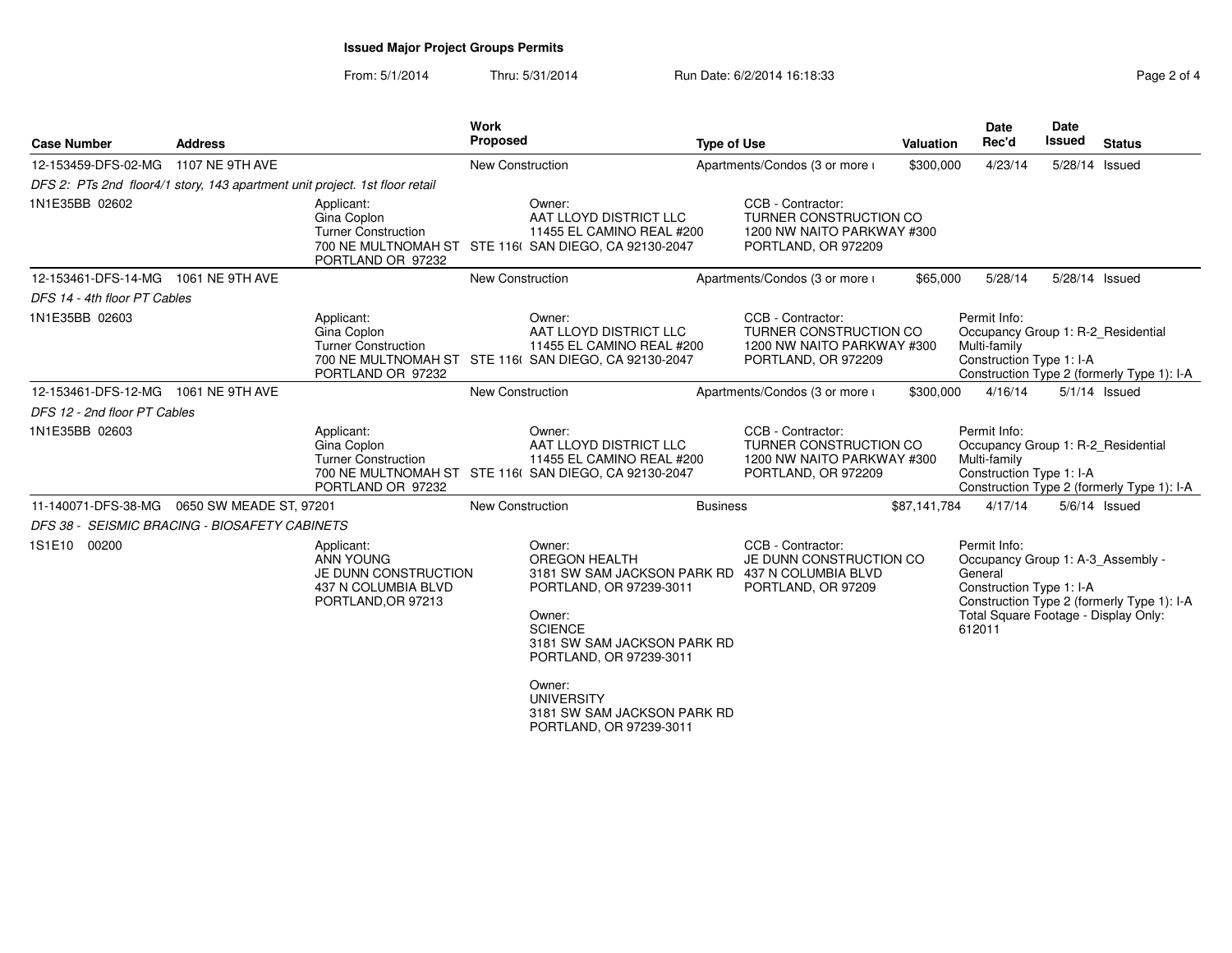From: 5/1/2014Thru: 5/31/2014 Run Date: 6/2/2014 16:18:33 Rage 2 of 4

| aae |  |
|-----|--|

| <b>Case Number</b>                            | <b>Address</b>          |                                                                                                     | <b>Work</b><br>Proposed |                                                                                                                                                                                                                                                                                             | <b>Type of Use</b> |                                                                                                  | Valuation    | <b>Date</b><br>Rec'd                                                                                                                       | <b>Date</b><br><b>Issued</b> | <b>Status</b>                              |
|-----------------------------------------------|-------------------------|-----------------------------------------------------------------------------------------------------|-------------------------|---------------------------------------------------------------------------------------------------------------------------------------------------------------------------------------------------------------------------------------------------------------------------------------------|--------------------|--------------------------------------------------------------------------------------------------|--------------|--------------------------------------------------------------------------------------------------------------------------------------------|------------------------------|--------------------------------------------|
| 12-153459-DFS-02-MG                           | 1107 NE 9TH AVE         |                                                                                                     | <b>New Construction</b> |                                                                                                                                                                                                                                                                                             |                    | Apartments/Condos (3 or more i                                                                   | \$300,000    | 4/23/14                                                                                                                                    |                              | 5/28/14 Issued                             |
|                                               |                         | DFS 2: PTs 2nd floor4/1 story, 143 apartment unit project. 1st floor retail                         |                         |                                                                                                                                                                                                                                                                                             |                    |                                                                                                  |              |                                                                                                                                            |                              |                                            |
| 1N1E35BB 02602                                |                         | Applicant:<br>Gina Coplon<br><b>Turner Construction</b><br>PORTLAND OR 97232                        |                         | Owner:<br>AAT LLOYD DISTRICT LLC<br>11455 EL CAMINO REAL #200<br>700 NE MULTNOMAH ST STE 116( SAN DIEGO, CA 92130-2047                                                                                                                                                                      |                    | CCB - Contractor:<br>TURNER CONSTRUCTION CO<br>1200 NW NAITO PARKWAY #300<br>PORTLAND, OR 972209 |              |                                                                                                                                            |                              |                                            |
| 12-153461-DFS-14-MG  1061 NE 9TH AVE          |                         |                                                                                                     | New Construction        |                                                                                                                                                                                                                                                                                             |                    | Apartments/Condos (3 or more i                                                                   | \$65,000     | 5/28/14                                                                                                                                    |                              | 5/28/14 Issued                             |
| DFS 14 - 4th floor PT Cables                  |                         |                                                                                                     |                         |                                                                                                                                                                                                                                                                                             |                    |                                                                                                  |              |                                                                                                                                            |                              |                                            |
| 1N1E35BB 02603                                |                         | Applicant:<br>Gina Coplon<br><b>Turner Construction</b><br>PORTLAND OR 97232                        |                         | Owner:<br>AAT LLOYD DISTRICT LLC<br>11455 EL CAMINO REAL #200<br>700 NE MULTNOMAH ST STE 116( SAN DIEGO, CA 92130-2047                                                                                                                                                                      |                    | CCB - Contractor:<br>TURNER CONSTRUCTION CO<br>1200 NW NAITO PARKWAY #300<br>PORTLAND, OR 972209 |              | Permit Info:<br>Occupancy Group 1: R-2 Residential<br>Multi-family<br>Construction Type 1: I-A                                             |                              | Construction Type 2 (formerly Type 1): I-A |
| 12-153461-DFS-12-MG  1061 NE 9TH AVE          |                         |                                                                                                     | <b>New Construction</b> |                                                                                                                                                                                                                                                                                             |                    | Apartments/Condos (3 or more i                                                                   | \$300,000    | 4/16/14                                                                                                                                    |                              | $5/1/14$ Issued                            |
| DFS 12 - 2nd floor PT Cables                  |                         |                                                                                                     |                         |                                                                                                                                                                                                                                                                                             |                    |                                                                                                  |              |                                                                                                                                            |                              |                                            |
| 1N1E35BB 02603                                |                         | Applicant:<br>Gina Coplon<br><b>Turner Construction</b><br>PORTLAND OR 97232                        |                         | Owner:<br>AAT LLOYD DISTRICT LLC<br>11455 EL CAMINO REAL #200<br>700 NE MULTNOMAH ST STE 116( SAN DIEGO, CA 92130-2047                                                                                                                                                                      |                    | CCB - Contractor:<br>TURNER CONSTRUCTION CO<br>1200 NW NAITO PARKWAY #300<br>PORTLAND, OR 972209 |              | Permit Info:<br>Occupancy Group 1: R-2_Residential<br>Multi-family<br>Construction Type 1: I-A                                             |                              | Construction Type 2 (formerly Type 1): I-A |
| 11-140071-DFS-38-MG                           | 0650 SW MEADE ST, 97201 |                                                                                                     | New Construction        |                                                                                                                                                                                                                                                                                             | <b>Business</b>    |                                                                                                  | \$87,141,784 | 4/17/14                                                                                                                                    |                              | $5/6/14$ Issued                            |
| DFS 38 - SEISMIC BRACING - BIOSAFETY CABINETS |                         |                                                                                                     |                         |                                                                                                                                                                                                                                                                                             |                    |                                                                                                  |              |                                                                                                                                            |                              |                                            |
| 1S1E10 00200                                  |                         | Applicant:<br><b>ANN YOUNG</b><br>JE DUNN CONSTRUCTION<br>437 N COLUMBIA BLVD<br>PORTLAND, OR 97213 |                         | Owner:<br><b>OREGON HEALTH</b><br>3181 SW SAM JACKSON PARK RD 437 N COLUMBIA BLVD<br>PORTLAND, OR 97239-3011<br>Owner:<br><b>SCIENCE</b><br>3181 SW SAM JACKSON PARK RD<br>PORTLAND, OR 97239-3011<br>Owner:<br><b>UNIVERSITY</b><br>3181 SW SAM JACKSON PARK RD<br>PORTLAND, OR 97239-3011 |                    | CCB - Contractor:<br>JE DUNN CONSTRUCTION CO<br>PORTLAND, OR 97209                               |              | Permit Info:<br>Occupancy Group 1: A-3_Assembly -<br>General<br>Construction Type 1: I-A<br>Total Square Footage - Display Only:<br>612011 |                              | Construction Type 2 (formerly Type 1): I-A |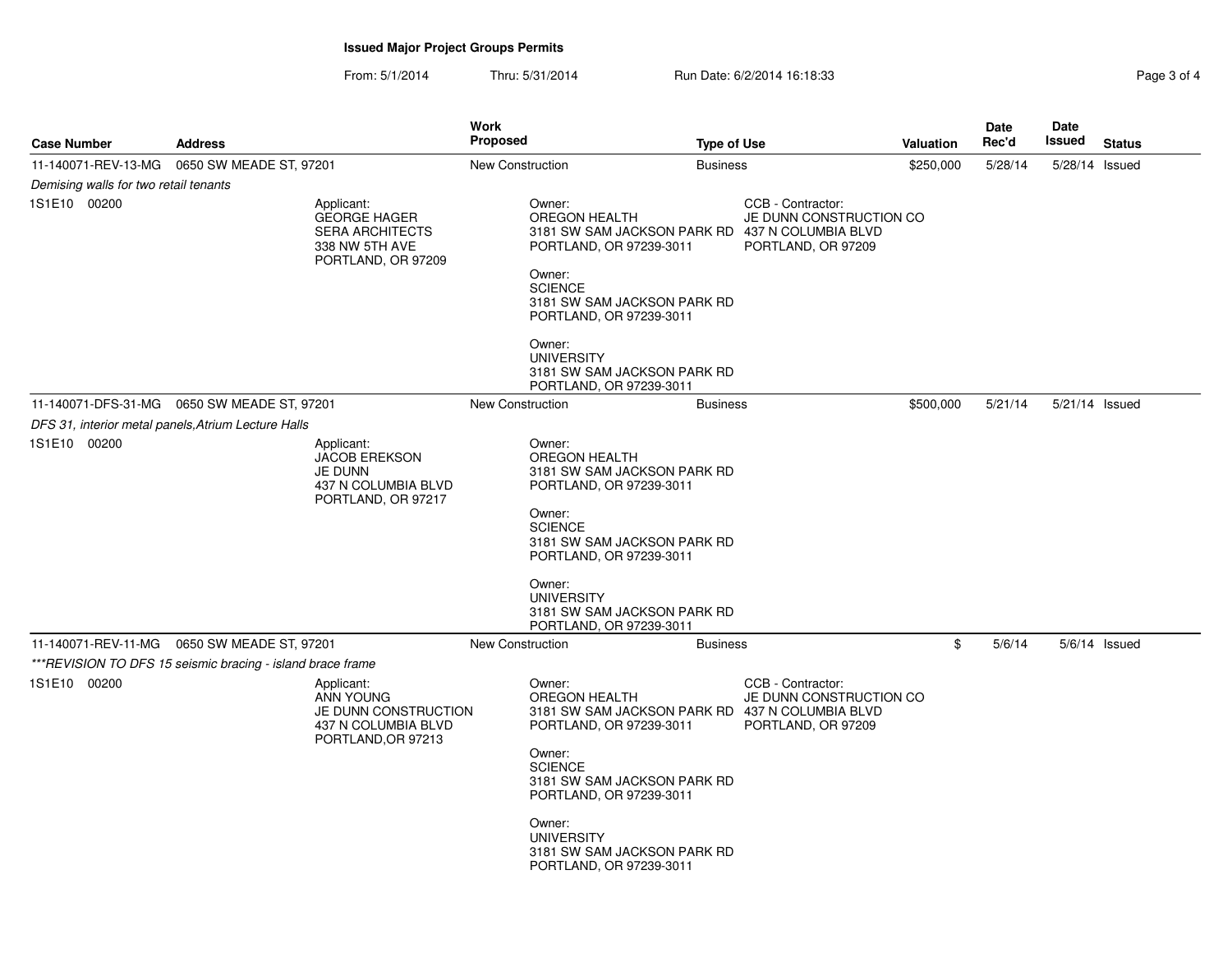From: 5/1/2014Thru: 5/31/2014 Run Date: 6/2/2014 16:18:33 Rage 3 of 4

| <b>Case Number</b>                    | <b>Address</b>                                                                                      | <b>Work</b><br><b>Proposed</b>                                                            | <b>Type of Use</b>                                                                                                                                                         |                                                                                                                       | Valuation | <b>Date</b><br>Rec'd | Date<br>Issued | <b>Status</b> |
|---------------------------------------|-----------------------------------------------------------------------------------------------------|-------------------------------------------------------------------------------------------|----------------------------------------------------------------------------------------------------------------------------------------------------------------------------|-----------------------------------------------------------------------------------------------------------------------|-----------|----------------------|----------------|---------------|
| 11-140071-REV-13-MG                   | 0650 SW MEADE ST, 97201                                                                             | New Construction                                                                          | <b>Business</b>                                                                                                                                                            |                                                                                                                       | \$250,000 | 5/28/14              | 5/28/14 Issued |               |
| Demising walls for two retail tenants |                                                                                                     |                                                                                           |                                                                                                                                                                            |                                                                                                                       |           |                      |                |               |
| 1S1E10 00200                          | Applicant:<br><b>GEORGE HAGER</b><br><b>SERA ARCHITECTS</b><br>338 NW 5TH AVE<br>PORTLAND, OR 97209 | Owner:<br>OREGON HEALTH<br>Owner:<br><b>SCIENCE</b>                                       | PORTLAND, OR 97239-3011<br>3181 SW SAM JACKSON PARK RD<br>PORTLAND, OR 97239-3011                                                                                          | CCB - Contractor:<br>JE DUNN CONSTRUCTION CO<br>3181 SW SAM JACKSON PARK RD 437 N COLUMBIA BLVD<br>PORTLAND, OR 97209 |           |                      |                |               |
|                                       |                                                                                                     | Owner:<br><b>UNIVERSITY</b>                                                               | 3181 SW SAM JACKSON PARK RD<br>PORTLAND, OR 97239-3011                                                                                                                     |                                                                                                                       |           |                      |                |               |
|                                       | 11-140071-DFS-31-MG   0650 SW MEADE ST, 97201                                                       | New Construction                                                                          | <b>Business</b>                                                                                                                                                            |                                                                                                                       | \$500,000 | 5/21/14              | 5/21/14 Issued |               |
|                                       | DFS 31, interior metal panels, Atrium Lecture Halls                                                 |                                                                                           |                                                                                                                                                                            |                                                                                                                       |           |                      |                |               |
| 1S1E10 00200                          | Applicant:<br><b>JACOB EREKSON</b><br>JE DUNN<br>437 N COLUMBIA BLVD<br>PORTLAND, OR 97217          | Owner:<br><b>OREGON HEALTH</b><br>Owner:<br><b>SCIENCE</b><br>Owner:<br><b>UNIVERSITY</b> | 3181 SW SAM JACKSON PARK RD<br>PORTLAND, OR 97239-3011<br>3181 SW SAM JACKSON PARK RD<br>PORTLAND, OR 97239-3011<br>3181 SW SAM JACKSON PARK RD<br>PORTLAND, OR 97239-3011 |                                                                                                                       |           |                      |                |               |
|                                       | 11-140071-REV-11-MG   0650 SW MEADE ST, 97201                                                       | New Construction                                                                          | <b>Business</b>                                                                                                                                                            |                                                                                                                       | \$        | 5/6/14               |                | 5/6/14 Issued |
|                                       | ***REVISION TO DFS 15 seismic bracing - island brace frame                                          |                                                                                           |                                                                                                                                                                            |                                                                                                                       |           |                      |                |               |
| 1S1E10 00200                          | Applicant:<br>ANN YOUNG<br>JE DUNN CONSTRUCTION<br>437 N COLUMBIA BLVD<br>PORTLAND, OR 97213        | Owner:<br><b>OREGON HEALTH</b><br>Owner:<br><b>SCIENCE</b><br>Owner:<br><b>UNIVERSITY</b> | PORTLAND, OR 97239-3011<br>3181 SW SAM JACKSON PARK RD<br>PORTLAND, OR 97239-3011<br>3181 SW SAM JACKSON PARK RD<br>PORTLAND, OR 97239-3011                                | CCB - Contractor:<br>JE DUNN CONSTRUCTION CO<br>3181 SW SAM JACKSON PARK RD 437 N COLUMBIA BLVD<br>PORTLAND, OR 97209 |           |                      |                |               |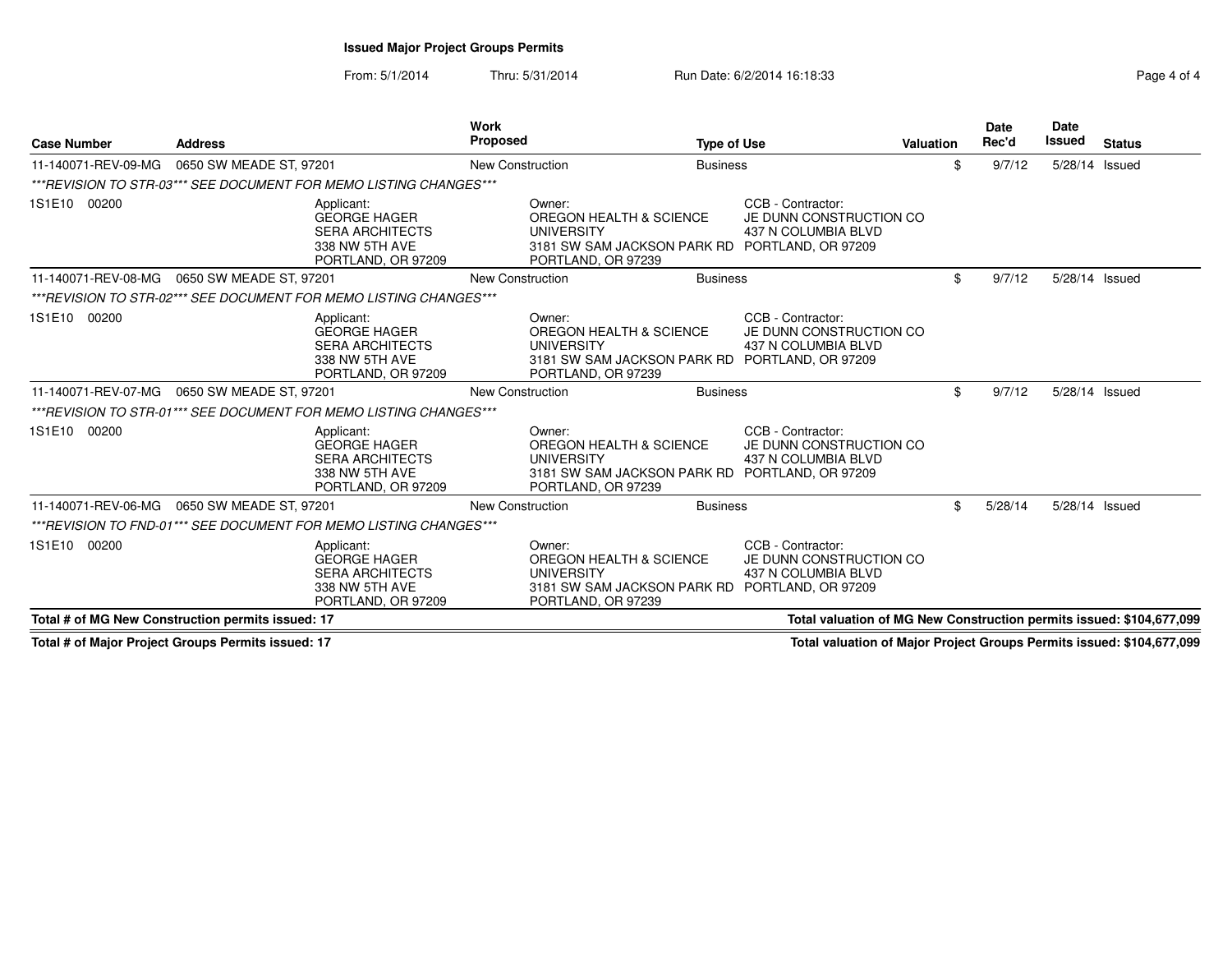From: 5/1/2014Thru: 5/31/2014 Run Date: 6/2/2014 16:18:33 Rage 4 of 4

| <b>Case Number</b>  | <b>Address</b>                                                                                      | <b>Work</b><br>Proposed                           | <b>Type of Use</b>                                                                                                                                  | Valuation                                                            | <b>Date</b><br>Rec'd | <b>Date</b><br><b>Issued</b> | <b>Status</b> |
|---------------------|-----------------------------------------------------------------------------------------------------|---------------------------------------------------|-----------------------------------------------------------------------------------------------------------------------------------------------------|----------------------------------------------------------------------|----------------------|------------------------------|---------------|
| 11-140071-REV-09-MG | 0650 SW MEADE ST, 97201                                                                             | New Construction                                  | <b>Business</b>                                                                                                                                     | \$                                                                   | 9/7/12               | 5/28/14 Issued               |               |
|                     | ***REVISION TO STR-03*** SEE DOCUMENT FOR MEMO LISTING CHANGES***                                   |                                                   |                                                                                                                                                     |                                                                      |                      |                              |               |
| 1S1E10 00200        | Applicant:<br><b>GEORGE HAGER</b><br><b>SERA ARCHITECTS</b><br>338 NW 5TH AVE<br>PORTLAND, OR 97209 | Owner:<br><b>UNIVERSITY</b><br>PORTLAND, OR 97239 | CCB - Contractor:<br>OREGON HEALTH & SCIENCE<br>JE DUNN CONSTRUCTION CO<br>437 N COLUMBIA BLVD<br>3181 SW SAM JACKSON PARK RD PORTLAND, OR 97209    |                                                                      |                      |                              |               |
| 11-140071-REV-08-MG | 0650 SW MEADE ST, 97201                                                                             | <b>New Construction</b>                           | <b>Business</b>                                                                                                                                     | \$                                                                   | 9/7/12               | 5/28/14 Issued               |               |
|                     | ***REVISION TO STR-02*** SEE DOCUMENT FOR MEMO LISTING CHANGES***                                   |                                                   |                                                                                                                                                     |                                                                      |                      |                              |               |
| 1S1E10 00200        | Applicant:<br><b>GEORGE HAGER</b><br><b>SERA ARCHITECTS</b><br>338 NW 5TH AVE<br>PORTLAND, OR 97209 | Owner:<br><b>UNIVERSITY</b><br>PORTLAND, OR 97239 | CCB - Contractor:<br>OREGON HEALTH & SCIENCE<br>JE DUNN CONSTRUCTION CO<br>437 N COLUMBIA BLVD<br>3181 SW SAM JACKSON PARK RD PORTLAND, OR 97209    |                                                                      |                      |                              |               |
| 11-140071-REV-07-MG | 0650 SW MEADE ST, 97201                                                                             | <b>New Construction</b>                           | <b>Business</b>                                                                                                                                     | \$                                                                   | 9/7/12               | 5/28/14 Issued               |               |
|                     | ***REVISION TO STR-01*** SEE DOCUMENT FOR MEMO LISTING CHANGES***                                   |                                                   |                                                                                                                                                     |                                                                      |                      |                              |               |
| 1S1E10 00200        | Applicant:<br><b>GEORGE HAGER</b><br><b>SERA ARCHITECTS</b><br>338 NW 5TH AVE<br>PORTLAND, OR 97209 | Owner:<br><b>UNIVERSITY</b><br>PORTLAND, OR 97239 | CCB - Contractor:<br>OREGON HEALTH & SCIENCE<br>JE DUNN CONSTRUCTION CO<br>437 N COLUMBIA BLVD<br>3181 SW SAM JACKSON PARK RD<br>PORTLAND, OR 97209 |                                                                      |                      |                              |               |
| 11-140071-REV-06-MG | 0650 SW MEADE ST, 97201                                                                             | <b>New Construction</b>                           | <b>Business</b>                                                                                                                                     | \$                                                                   | 5/28/14              | 5/28/14 Issued               |               |
|                     | ***REVISION TO FND-01*** SEE DOCUMENT FOR MEMO LISTING CHANGES***                                   |                                                   |                                                                                                                                                     |                                                                      |                      |                              |               |
| 1S1E10 00200        | Applicant:<br><b>GEORGE HAGER</b><br><b>SERA ARCHITECTS</b><br>338 NW 5TH AVE<br>PORTLAND, OR 97209 | Owner:<br><b>UNIVERSITY</b><br>PORTLAND, OR 97239 | CCB - Contractor:<br>OREGON HEALTH & SCIENCE<br>JE DUNN CONSTRUCTION CO<br>437 N COLUMBIA BLVD<br>3181 SW SAM JACKSON PARK RD<br>PORTLAND, OR 97209 |                                                                      |                      |                              |               |
|                     | Total # of MG New Construction permits issued: 17                                                   |                                                   |                                                                                                                                                     | Total valuation of MG New Construction permits issued: \$104,677,099 |                      |                              |               |

**Total # of Major Project Groups Permits issued: 17**

**Total valuation of Major Project Groups Permits issued: \$104,677,099**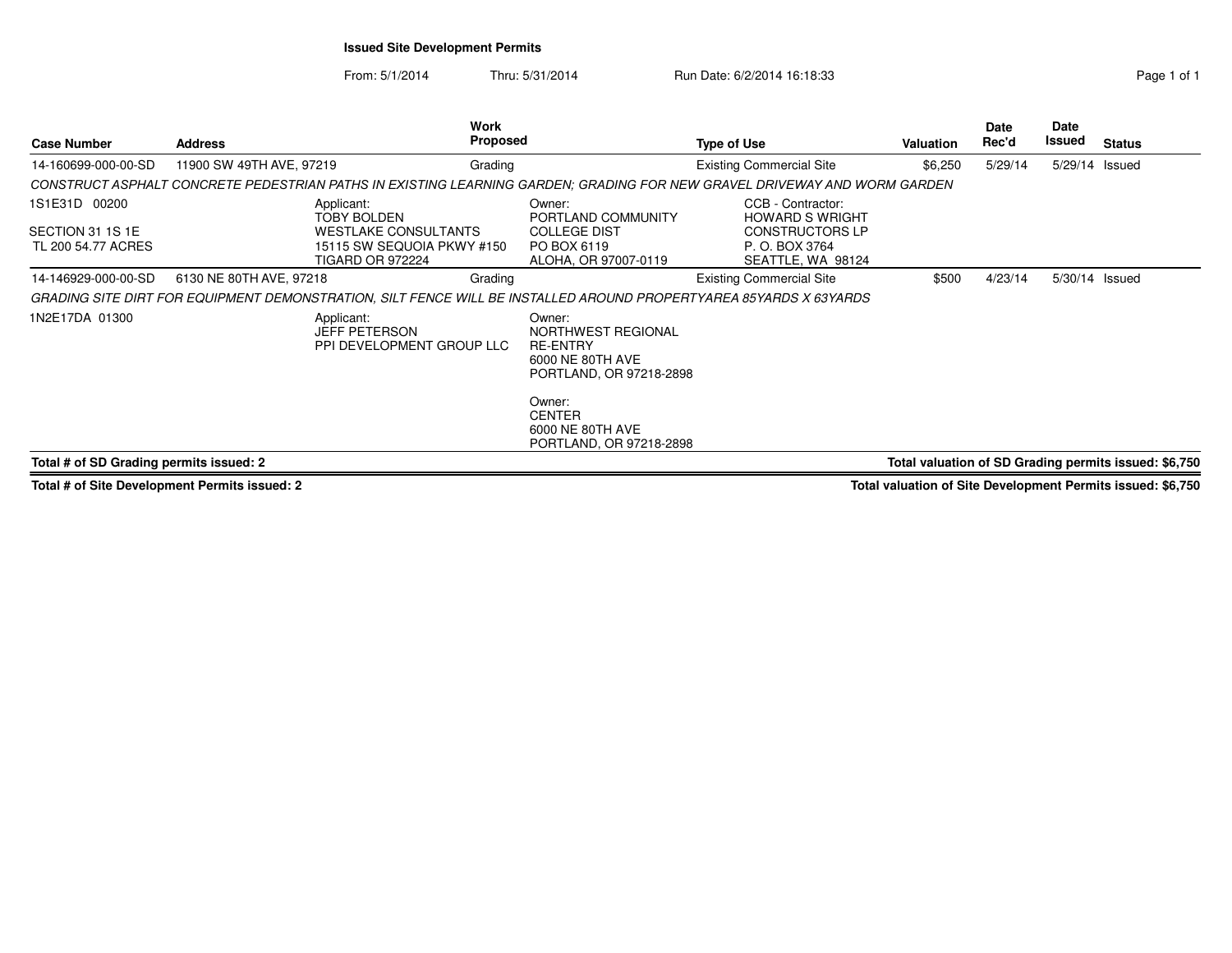### **Issued Site Development Permits**

From: 5/1/2014Thru: 5/31/2014 Run Date: 6/2/2014 16:18:33 Research 2010 1

| <b>Case Number</b>                      | <b>Address</b>                                                                                                           | Work<br><b>Proposed</b> |                                                                                                | <b>Type of Use</b>                                     | <b>Valuation</b> | Date<br>Rec'd | Date<br>Issued | <b>Status</b>                                         |
|-----------------------------------------|--------------------------------------------------------------------------------------------------------------------------|-------------------------|------------------------------------------------------------------------------------------------|--------------------------------------------------------|------------------|---------------|----------------|-------------------------------------------------------|
| 14-160699-000-00-SD                     | 11900 SW 49TH AVE, 97219                                                                                                 | Grading                 |                                                                                                | <b>Existing Commercial Site</b>                        | \$6,250          | 5/29/14       | 5/29/14 Issued |                                                       |
|                                         | CONSTRUCT ASPHALT CONCRETE PEDESTRIAN PATHS IN EXISTING LEARNING GARDEN; GRADING FOR NEW GRAVEL DRIVEWAY AND WORM GARDEN |                         |                                                                                                |                                                        |                  |               |                |                                                       |
| 1S1E31D 00200                           | Applicant:<br><b>TOBY BOLDEN</b>                                                                                         |                         | Owner:<br>PORTLAND COMMUNITY                                                                   | CCB - Contractor:<br><b>HOWARD S WRIGHT</b>            |                  |               |                |                                                       |
| SECTION 31 1S 1E<br>TL 200 54.77 ACRES  | <b>WESTLAKE CONSULTANTS</b><br>15115 SW SEQUOIA PKWY #150<br><b>TIGARD OR 972224</b>                                     |                         | <b>COLLEGE DIST</b><br>PO BOX 6119<br>ALOHA, OR 97007-0119                                     | CONSTRUCTORS LP<br>P. O. BOX 3764<br>SEATTLE, WA 98124 |                  |               |                |                                                       |
| 14-146929-000-00-SD                     | 6130 NE 80TH AVE, 97218                                                                                                  | Grading                 |                                                                                                | <b>Existing Commercial Site</b>                        | \$500            | 4/23/14       | 5/30/14 Issued |                                                       |
|                                         | GRADING SITE DIRT FOR EQUIPMENT DEMONSTRATION, SILT FENCE WILL BE INSTALLED AROUND PROPERTYAREA 85YARDS X 63YARDS        |                         |                                                                                                |                                                        |                  |               |                |                                                       |
| 1N2E17DA 01300                          | Applicant:<br><b>JEFF PETERSON</b><br>PPI DEVELOPMENT GROUP LLC                                                          |                         | Owner:<br>NORTHWEST REGIONAL<br><b>RE-ENTRY</b><br>6000 NE 80TH AVE<br>PORTLAND, OR 97218-2898 |                                                        |                  |               |                |                                                       |
|                                         |                                                                                                                          |                         | Owner:<br><b>CENTER</b><br>6000 NE 80TH AVE<br>PORTLAND, OR 97218-2898                         |                                                        |                  |               |                |                                                       |
| Total # of SD Grading permits issued: 2 |                                                                                                                          |                         |                                                                                                |                                                        |                  |               |                | Total valuation of SD Grading permits issued: \$6,750 |

**Total # of Site Development Permits issued: 2**

**Total valuation of Site Development Permits issued: \$6,750**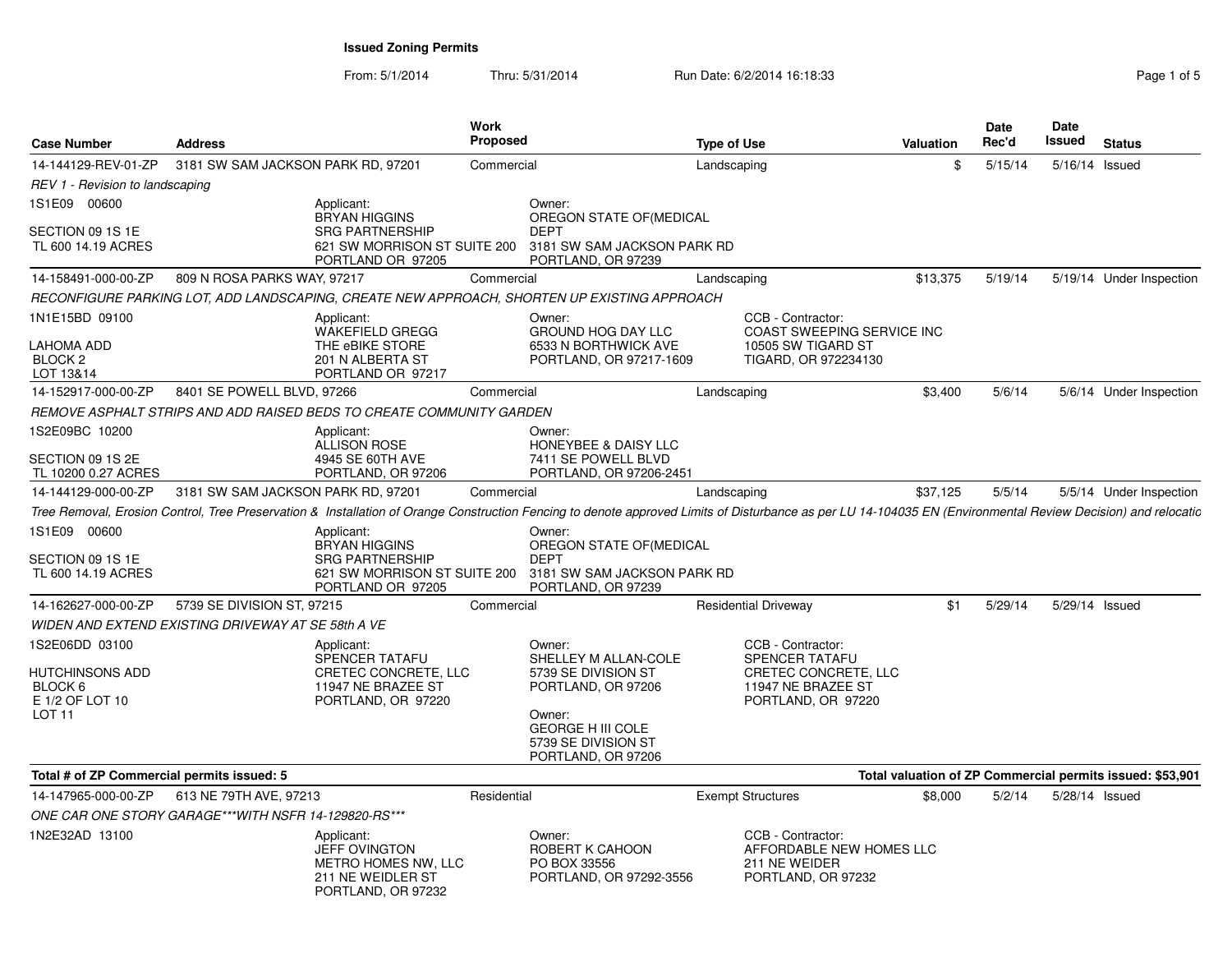From: 5/1/2014Thru: 5/31/2014 Run Date: 6/2/2014 16:18:33 Rage 1 of 5

| <b>Case Number</b>                            | <b>Address</b>                                       |                                                                                                      | Work<br><b>Proposed</b> |                                                                                                                                                                                                              | <b>Type of Use</b> |                                                                                      | <b>Valuation</b> | Date<br>Rec'd | Date<br><b>Issued</b> | <b>Status</b>                                             |
|-----------------------------------------------|------------------------------------------------------|------------------------------------------------------------------------------------------------------|-------------------------|--------------------------------------------------------------------------------------------------------------------------------------------------------------------------------------------------------------|--------------------|--------------------------------------------------------------------------------------|------------------|---------------|-----------------------|-----------------------------------------------------------|
| 14-144129-REV-01-ZP                           | 3181 SW SAM JACKSON PARK RD, 97201                   |                                                                                                      | Commercial              |                                                                                                                                                                                                              | Landscaping        |                                                                                      | \$               | 5/15/14       | 5/16/14 Issued        |                                                           |
| REV 1 - Revision to landscaping               |                                                      |                                                                                                      |                         |                                                                                                                                                                                                              |                    |                                                                                      |                  |               |                       |                                                           |
| 1S1E09 00600                                  |                                                      | Applicant:<br><b>BRYAN HIGGINS</b>                                                                   |                         | Owner:<br>OREGON STATE OF (MEDICAL                                                                                                                                                                           |                    |                                                                                      |                  |               |                       |                                                           |
| SECTION 09 1S 1E<br>TL 600 14.19 ACRES        |                                                      | <b>SRG PARTNERSHIP</b><br>621 SW MORRISON ST SUITE 200<br>PORTLAND OR 97205                          |                         | <b>DEPT</b><br>3181 SW SAM JACKSON PARK RD<br>PORTLAND, OR 97239                                                                                                                                             |                    |                                                                                      |                  |               |                       |                                                           |
| 14-158491-000-00-ZP                           | 809 N ROSA PARKS WAY, 97217                          |                                                                                                      | Commercial              |                                                                                                                                                                                                              | Landscaping        |                                                                                      | \$13,375         | 5/19/14       |                       | 5/19/14 Under Inspection                                  |
|                                               |                                                      |                                                                                                      |                         | RECONFIGURE PARKING LOT, ADD LANDSCAPING, CREATE NEW APPROACH, SHORTEN UP EXISTING APPROACH                                                                                                                  |                    |                                                                                      |                  |               |                       |                                                           |
| 1N1E15BD 09100                                |                                                      | Applicant:<br><b>WAKEFIELD GREGG</b>                                                                 |                         | Owner:<br><b>GROUND HOG DAY LLC</b>                                                                                                                                                                          |                    | CCB - Contractor:<br>COAST SWEEPING SERVICE INC                                      |                  |               |                       |                                                           |
| LAHOMA ADD<br>BLOCK <sub>2</sub><br>LOT 13&14 |                                                      | THE eBIKE STORE<br>201 N ALBERTA ST<br>PORTLAND OR 97217                                             |                         | 6533 N BORTHWICK AVE<br>PORTLAND, OR 97217-1609                                                                                                                                                              |                    | 10505 SW TIGARD ST<br>TIGARD, OR 972234130                                           |                  |               |                       |                                                           |
| 14-152917-000-00-ZP                           | 8401 SE POWELL BLVD, 97266                           |                                                                                                      | Commercial              |                                                                                                                                                                                                              | Landscaping        |                                                                                      | \$3,400          | 5/6/14        |                       | 5/6/14 Under Inspection                                   |
|                                               |                                                      | REMOVE ASPHALT STRIPS AND ADD RAISED BEDS TO CREATE COMMUNITY GARDEN                                 |                         |                                                                                                                                                                                                              |                    |                                                                                      |                  |               |                       |                                                           |
| 1S2E09BC 10200                                |                                                      | Applicant:<br><b>ALLISON ROSE</b>                                                                    |                         | Owner:<br>HONEYBEE & DAISY LLC                                                                                                                                                                               |                    |                                                                                      |                  |               |                       |                                                           |
| SECTION 09 1S 2E<br>TL 10200 0.27 ACRES       |                                                      | 4945 SE 60TH AVE<br>PORTLAND, OR 97206                                                               |                         | 7411 SE POWELL BLVD<br>PORTLAND, OR 97206-2451                                                                                                                                                               |                    |                                                                                      |                  |               |                       |                                                           |
| 14-144129-000-00-ZP                           | 3181 SW SAM JACKSON PARK RD, 97201                   |                                                                                                      | Commercial              |                                                                                                                                                                                                              | Landscaping        |                                                                                      | \$37,125         | 5/5/14        |                       | 5/5/14 Under Inspection                                   |
|                                               |                                                      |                                                                                                      |                         | Tree Removal, Erosion Control, Tree Preservation & Installation of Orange Construction Fencing to denote approved Limits of Disturbance as per LU 14-104035 EN (Environmental Review Decision) and relocatic |                    |                                                                                      |                  |               |                       |                                                           |
| 1S1E09 00600                                  |                                                      | Applicant:<br><b>BRYAN HIGGINS</b>                                                                   |                         | Owner:<br>OREGON STATE OF (MEDICAL                                                                                                                                                                           |                    |                                                                                      |                  |               |                       |                                                           |
| SECTION 09 1S 1E<br>TL 600 14.19 ACRES        |                                                      | <b>SRG PARTNERSHIP</b><br>621 SW MORRISON ST SUITE 200<br>PORTLAND OR 97205                          |                         | <b>DEPT</b><br>3181 SW SAM JACKSON PARK RD<br>PORTLAND, OR 97239                                                                                                                                             |                    |                                                                                      |                  |               |                       |                                                           |
| 14-162627-000-00-ZP                           | 5739 SE DIVISION ST, 97215                           |                                                                                                      | Commercial              |                                                                                                                                                                                                              |                    | <b>Residential Driveway</b>                                                          | \$1              | 5/29/14       | 5/29/14 Issued        |                                                           |
|                                               | WIDEN AND EXTEND EXISTING DRIVEWAY AT SE 58th A VE   |                                                                                                      |                         |                                                                                                                                                                                                              |                    |                                                                                      |                  |               |                       |                                                           |
| 1S2E06DD 03100                                |                                                      | Applicant:<br>SPENCER TATAFU                                                                         |                         | Owner:<br>SHELLEY M ALLAN-COLE                                                                                                                                                                               |                    | CCB - Contractor:<br><b>SPENCER TATAFU</b>                                           |                  |               |                       |                                                           |
| HUTCHINSONS ADD<br>BLOCK 6<br>E 1/2 OF LOT 10 |                                                      | CRETEC CONCRETE, LLC<br>11947 NE BRAZEE ST<br>PORTLAND, OR 97220                                     |                         | 5739 SE DIVISION ST<br>PORTLAND, OR 97206                                                                                                                                                                    |                    | CRETEC CONCRETE, LLC<br>11947 NE BRAZEE ST<br>PORTLAND, OR 97220                     |                  |               |                       |                                                           |
| LOT 11                                        |                                                      |                                                                                                      |                         | Owner:<br><b>GEORGE H III COLE</b><br>5739 SE DIVISION ST<br>PORTLAND, OR 97206                                                                                                                              |                    |                                                                                      |                  |               |                       |                                                           |
| Total # of ZP Commercial permits issued: 5    |                                                      |                                                                                                      |                         |                                                                                                                                                                                                              |                    |                                                                                      |                  |               |                       | Total valuation of ZP Commercial permits issued: \$53,901 |
| 14-147965-000-00-ZP                           | 613 NE 79TH AVE, 97213                               |                                                                                                      | Residential             |                                                                                                                                                                                                              |                    | <b>Exempt Structures</b>                                                             | \$8,000          | 5/2/14        | 5/28/14 Issued        |                                                           |
|                                               | ONE CAR ONE STORY GARAGE***WITH NSFR 14-129820-RS*** |                                                                                                      |                         |                                                                                                                                                                                                              |                    |                                                                                      |                  |               |                       |                                                           |
| 1N2E32AD 13100                                |                                                      | Applicant:<br><b>JEFF OVINGTON</b><br>METRO HOMES NW, LLC<br>211 NE WEIDLER ST<br>PORTLAND, OR 97232 |                         | Owner:<br>ROBERT K CAHOON<br>PO BOX 33556<br>PORTLAND, OR 97292-3556                                                                                                                                         |                    | CCB - Contractor:<br>AFFORDABLE NEW HOMES LLC<br>211 NE WEIDER<br>PORTLAND, OR 97232 |                  |               |                       |                                                           |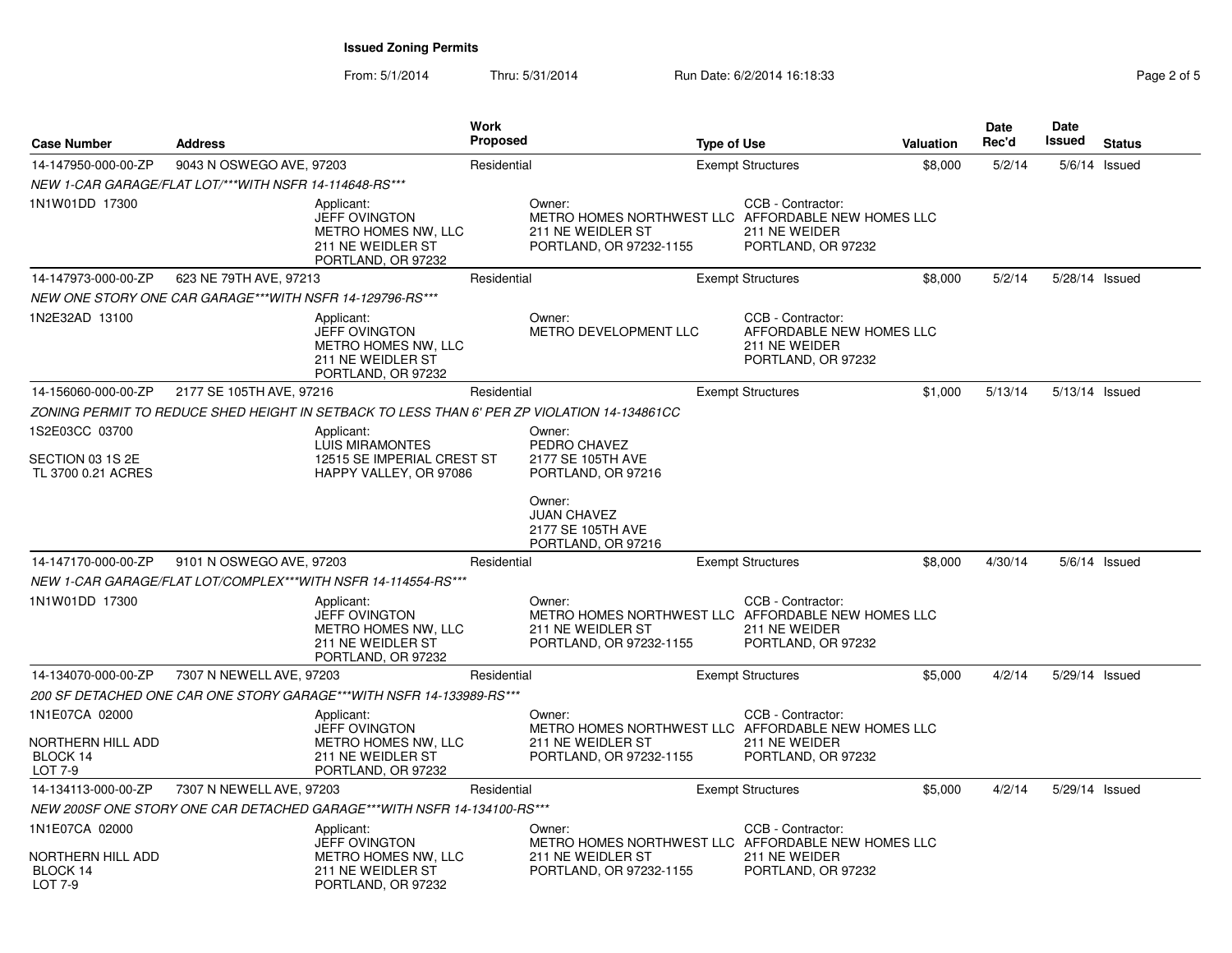From: 5/1/2014Thru: 5/31/2014 **Run Date: 6/2/2014 16:18:33** Pag

| Page 2 of 5 |  |  |
|-------------|--|--|

| <b>Case Number</b>                                         | <b>Address</b>                                           |                                                                                                             | <b>Work</b><br><b>Proposed</b> |                                                                                                              | <b>Type of Use</b> |                                                                                      | Valuation | <b>Date</b><br>Rec'd | Date<br>Issued | <b>Status</b>   |
|------------------------------------------------------------|----------------------------------------------------------|-------------------------------------------------------------------------------------------------------------|--------------------------------|--------------------------------------------------------------------------------------------------------------|--------------------|--------------------------------------------------------------------------------------|-----------|----------------------|----------------|-----------------|
| 14-147950-000-00-ZP                                        | 9043 N OSWEGO AVE, 97203                                 |                                                                                                             | Residential                    |                                                                                                              |                    | <b>Exempt Structures</b>                                                             | \$8,000   | 5/2/14               |                | $5/6/14$ Issued |
|                                                            | NEW 1-CAR GARAGE/FLAT LOT/***WITH NSFR 14-114648-RS***   |                                                                                                             |                                |                                                                                                              |                    |                                                                                      |           |                      |                |                 |
| 1N1W01DD 17300                                             |                                                          | Applicant:<br><b>JEFF OVINGTON</b><br>METRO HOMES NW, LLC<br>211 NE WEIDLER ST<br>PORTLAND, OR 97232        |                                | Owner:<br>METRO HOMES NORTHWEST LLC AFFORDABLE NEW HOMES LLC<br>211 NE WEIDLER ST<br>PORTLAND, OR 97232-1155 |                    | CCB - Contractor:<br>211 NE WEIDER<br>PORTLAND, OR 97232                             |           |                      |                |                 |
| 14-147973-000-00-ZP                                        | 623 NE 79TH AVE, 97213                                   |                                                                                                             | Residential                    |                                                                                                              |                    | <b>Exempt Structures</b>                                                             | \$8,000   | 5/2/14               | 5/28/14 Issued |                 |
|                                                            | NEW ONE STORY ONE CAR GARAGE***WITH NSFR 14-129796-RS*** |                                                                                                             |                                |                                                                                                              |                    |                                                                                      |           |                      |                |                 |
| 1N2E32AD 13100                                             |                                                          | Applicant:<br><b>JEFF OVINGTON</b><br>METRO HOMES NW, LLC<br>211 NE WEIDLER ST<br>PORTLAND, OR 97232        |                                | Owner:<br>METRO DEVELOPMENT LLC                                                                              |                    | CCB - Contractor:<br>AFFORDABLE NEW HOMES LLC<br>211 NE WEIDER<br>PORTLAND, OR 97232 |           |                      |                |                 |
| 14-156060-000-00-ZP                                        | 2177 SE 105TH AVE, 97216                                 |                                                                                                             | Residential                    |                                                                                                              |                    | <b>Exempt Structures</b>                                                             | \$1,000   | 5/13/14              | 5/13/14 Issued |                 |
|                                                            |                                                          | ZONING PERMIT TO REDUCE SHED HEIGHT IN SETBACK TO LESS THAN 6' PER ZP VIOLATION 14-134861CC                 |                                |                                                                                                              |                    |                                                                                      |           |                      |                |                 |
| 1S2E03CC 03700<br>SECTION 03 1S 2E<br>TL 3700 0.21 ACRES   |                                                          | Applicant:<br><b>LUIS MIRAMONTES</b><br>12515 SE IMPERIAL CREST ST<br>HAPPY VALLEY, OR 97086                |                                | Owner:<br>PEDRO CHAVEZ<br>2177 SE 105TH AVE<br>PORTLAND, OR 97216                                            |                    |                                                                                      |           |                      |                |                 |
|                                                            |                                                          |                                                                                                             |                                | Owner:<br><b>JUAN CHAVEZ</b><br>2177 SE 105TH AVE<br>PORTLAND, OR 97216                                      |                    |                                                                                      |           |                      |                |                 |
| 14-147170-000-00-ZP                                        | 9101 N OSWEGO AVE, 97203                                 |                                                                                                             | Residential                    |                                                                                                              |                    | <b>Exempt Structures</b>                                                             | \$8,000   | 4/30/14              |                | $5/6/14$ Issued |
|                                                            |                                                          | NEW 1-CAR GARAGE/FLAT LOT/COMPLEX***WITH NSFR 14-114554-RS***                                               |                                |                                                                                                              |                    |                                                                                      |           |                      |                |                 |
| 1N1W01DD 17300                                             |                                                          | Applicant:<br><b>JEFF OVINGTON</b><br><b>METRO HOMES NW. LLC</b><br>211 NE WEIDLER ST<br>PORTLAND, OR 97232 |                                | Owner:<br>METRO HOMES NORTHWEST LLC AFFORDABLE NEW HOMES LLC<br>211 NE WEIDLER ST<br>PORTLAND, OR 97232-1155 |                    | CCB - Contractor:<br>211 NE WEIDER<br>PORTLAND, OR 97232                             |           |                      |                |                 |
| 14-134070-000-00-ZP                                        | 7307 N NEWELL AVE, 97203                                 |                                                                                                             | Residential                    |                                                                                                              |                    | <b>Exempt Structures</b>                                                             | \$5,000   | 4/2/14               | 5/29/14 Issued |                 |
|                                                            |                                                          | 200 SF DETACHED ONE CAR ONE STORY GARAGE***WITH NSFR 14-133989-RS***                                        |                                |                                                                                                              |                    |                                                                                      |           |                      |                |                 |
| 1N1E07CA 02000<br>NORTHERN HILL ADD<br>BLOCK 14<br>LOT 7-9 |                                                          | Applicant:<br><b>JEFF OVINGTON</b><br>METRO HOMES NW, LLC<br>211 NE WEIDLER ST<br>PORTLAND, OR 97232        |                                | Owner:<br>METRO HOMES NORTHWEST LLC AFFORDABLE NEW HOMES LLC<br>211 NE WEIDLER ST<br>PORTLAND, OR 97232-1155 |                    | CCB - Contractor:<br>211 NE WEIDER<br>PORTLAND, OR 97232                             |           |                      |                |                 |
| 14-134113-000-00-ZP                                        | 7307 N NEWELL AVE, 97203                                 |                                                                                                             | Residential                    |                                                                                                              |                    | <b>Exempt Structures</b>                                                             | \$5,000   | 4/2/14               | 5/29/14 Issued |                 |
|                                                            |                                                          | NEW 200SF ONE STORY ONE CAR DETACHED GARAGE***WITH NSFR 14-134100-RS***                                     |                                |                                                                                                              |                    |                                                                                      |           |                      |                |                 |
| 1N1E07CA 02000<br>NORTHERN HILL ADD<br>BLOCK 14<br>LOT 7-9 |                                                          | Applicant:<br><b>JEFF OVINGTON</b><br>METRO HOMES NW, LLC<br>211 NE WEIDLER ST<br>PORTLAND, OR 97232        |                                | Owner:<br>METRO HOMES NORTHWEST LLC AFFORDABLE NEW HOMES LLC<br>211 NE WEIDLER ST<br>PORTLAND, OR 97232-1155 |                    | CCB - Contractor:<br>211 NE WEIDER<br>PORTLAND, OR 97232                             |           |                      |                |                 |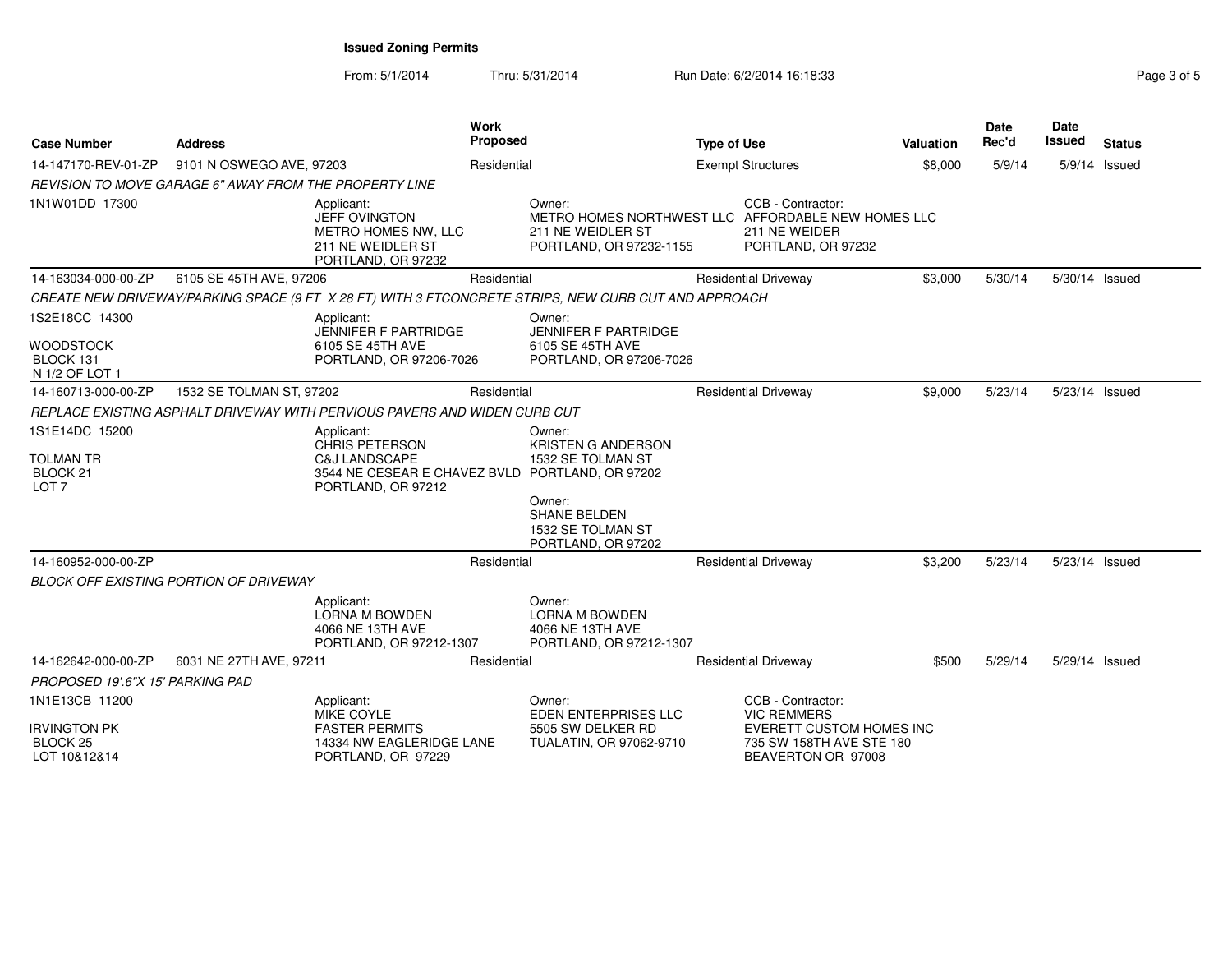PORTLAND, OR 97229

From: 5/1/2014Thru: 5/31/2014 Run Date: 6/2/2014 16:18:33 Rage 3 of 5

| <b>Case Number</b>                                                 | <b>Address</b>                                         |                                                                                                                               | Work<br><b>Proposed</b> |                                                                                                                                      |                          | <b>Type of Use</b>                                                  |         | Date<br>Rec'd | Date<br><b>Issued</b> | <b>Status</b> |
|--------------------------------------------------------------------|--------------------------------------------------------|-------------------------------------------------------------------------------------------------------------------------------|-------------------------|--------------------------------------------------------------------------------------------------------------------------------------|--------------------------|---------------------------------------------------------------------|---------|---------------|-----------------------|---------------|
| 14-147170-REV-01-ZP                                                | 9101 N OSWEGO AVE, 97203                               |                                                                                                                               | Residential             |                                                                                                                                      | <b>Exempt Structures</b> |                                                                     | \$8,000 | 5/9/14        |                       | 5/9/14 Issued |
|                                                                    | REVISION TO MOVE GARAGE 6" AWAY FROM THE PROPERTY LINE |                                                                                                                               |                         |                                                                                                                                      |                          |                                                                     |         |               |                       |               |
| 1N1W01DD 17300                                                     |                                                        | Applicant:<br>JEFF OVINGTON<br>METRO HOMES NW, LLC<br>211 NE WEIDLER ST<br>PORTLAND, OR 97232                                 |                         | Owner:<br>METRO HOMES NORTHWEST LLC AFFORDABLE NEW HOMES LLC<br>211 NE WEIDLER ST<br>PORTLAND, OR 97232-1155                         |                          | CCB - Contractor:<br>211 NE WEIDER<br>PORTLAND, OR 97232            |         |               |                       |               |
| 14-163034-000-00-ZP                                                | 6105 SE 45TH AVE, 97206                                |                                                                                                                               | Residential             |                                                                                                                                      |                          | <b>Residential Driveway</b>                                         | \$3,000 | 5/30/14       | 5/30/14 Issued        |               |
|                                                                    |                                                        | CREATE NEW DRIVEWAY/PARKING SPACE (9 FT X 28 FT) WITH 3 FTCONCRETE STRIPS, NEW CURB CUT AND APPROACH                          |                         |                                                                                                                                      |                          |                                                                     |         |               |                       |               |
| 1S2E18CC 14300<br>WOODSTOCK<br>BLOCK 131<br>N 1/2 OF LOT 1         |                                                        | Applicant:<br><b>JENNIFER F PARTRIDGE</b><br>6105 SE 45TH AVE<br>PORTLAND, OR 97206-7026                                      |                         | Owner:<br><b>JENNIFER F PARTRIDGE</b><br>6105 SE 45TH AVE<br>PORTLAND, OR 97206-7026                                                 |                          |                                                                     |         |               |                       |               |
| 14-160713-000-00-ZP                                                | 1532 SE TOLMAN ST, 97202                               |                                                                                                                               | Residential             |                                                                                                                                      |                          | <b>Residential Driveway</b>                                         | \$9,000 | 5/23/14       | 5/23/14 Issued        |               |
|                                                                    |                                                        | REPLACE EXISTING ASPHALT DRIVEWAY WITH PERVIOUS PAVERS AND WIDEN CURB CUT                                                     |                         |                                                                                                                                      |                          |                                                                     |         |               |                       |               |
| 1S1E14DC 15200<br><b>TOLMAN TR</b><br>BLOCK 21<br>LOT <sub>7</sub> |                                                        | Applicant:<br><b>CHRIS PETERSON</b><br>C&J LANDSCAPE<br>3544 NE CESEAR E CHAVEZ BVLD PORTLAND, OR 97202<br>PORTLAND, OR 97212 |                         | Owner:<br><b>KRISTEN G ANDERSON</b><br>1532 SE TOLMAN ST<br>Owner:<br><b>SHANE BELDEN</b><br>1532 SE TOLMAN ST<br>PORTLAND, OR 97202 |                          |                                                                     |         |               |                       |               |
| 14-160952-000-00-ZP                                                |                                                        |                                                                                                                               | Residential             |                                                                                                                                      |                          | <b>Residential Driveway</b>                                         | \$3,200 | 5/23/14       | 5/23/14 Issued        |               |
|                                                                    | <b>BLOCK OFF EXISTING PORTION OF DRIVEWAY</b>          |                                                                                                                               |                         |                                                                                                                                      |                          |                                                                     |         |               |                       |               |
|                                                                    |                                                        | Applicant:<br><b>LORNA M BOWDEN</b><br>4066 NE 13TH AVE<br>PORTLAND, OR 97212-1307                                            |                         | Owner:<br><b>LORNA M BOWDEN</b><br>4066 NE 13TH AVE<br>PORTLAND, OR 97212-1307                                                       |                          |                                                                     |         |               |                       |               |
| 14-162642-000-00-ZP                                                | 6031 NE 27TH AVE, 97211                                |                                                                                                                               | Residential             |                                                                                                                                      |                          | <b>Residential Driveway</b>                                         | \$500   | 5/29/14       | 5/29/14 Issued        |               |
| PROPOSED 19'.6"X 15' PARKING PAD                                   |                                                        |                                                                                                                               |                         |                                                                                                                                      |                          |                                                                     |         |               |                       |               |
| 1N1E13CB 11200<br>Irvington PK                                     |                                                        | Applicant:<br><b>MIKE COYLE</b><br><b>FASTER PERMITS</b>                                                                      |                         | Owner:<br>EDEN ENTERPRISES LLC<br>5505 SW DELKER RD                                                                                  |                          | CCB - Contractor:<br><b>VIC REMMERS</b><br>EVERETT CUSTOM HOMES INC |         |               |                       |               |
| BLOCK 25<br>LOT 10&12&14                                           |                                                        | 14334 NW EAGLERIDGE LANE<br>PORTLAND, OR 97229                                                                                |                         | TUALATIN, OR 97062-9710                                                                                                              |                          | 735 SW 158TH AVE STE 180<br>BEAVERTON OR 97008                      |         |               |                       |               |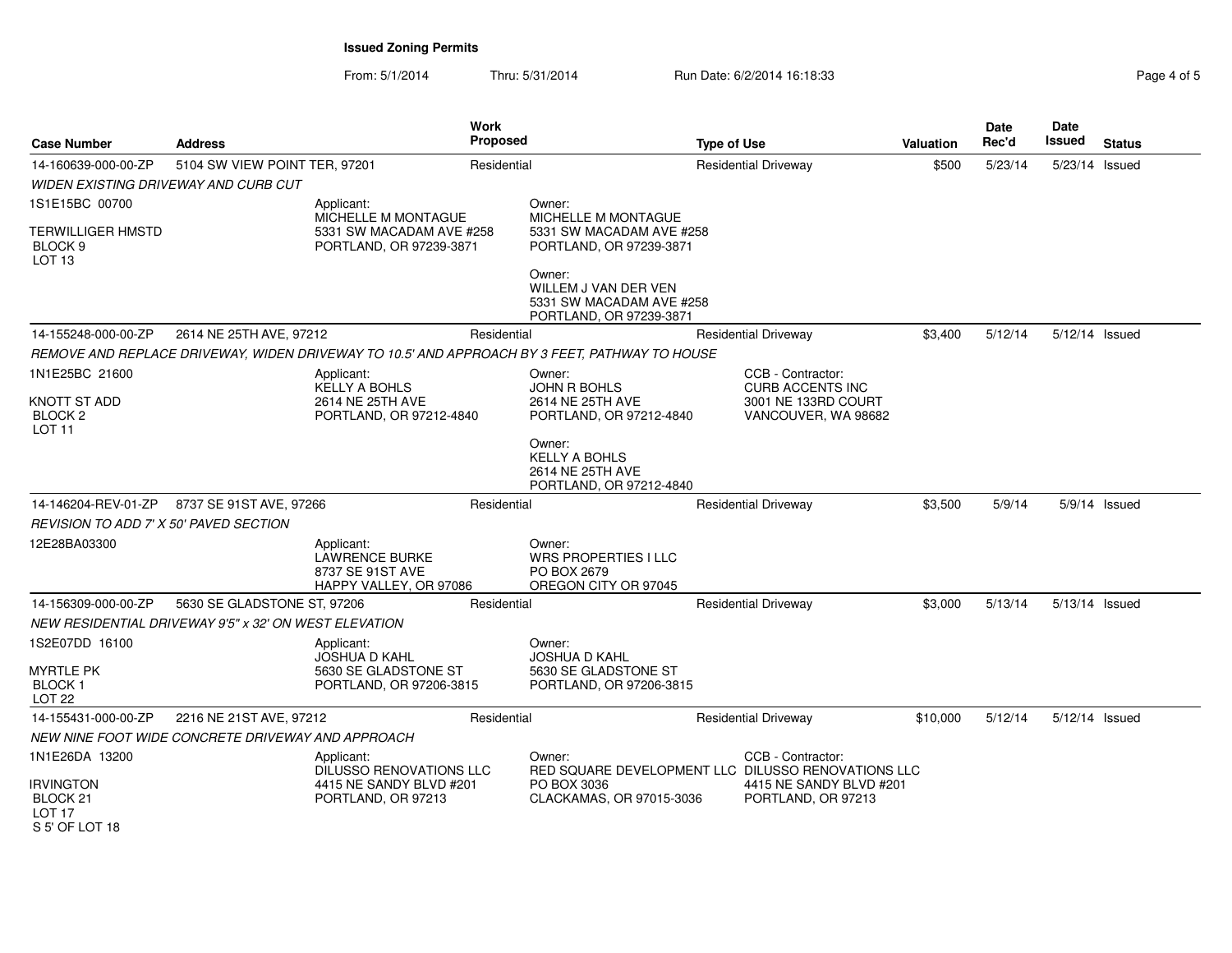From: 5/1/2014Thru: 5/31/2014 Run Date: 6/2/2014 16:18:33 Rage 4 of 5

| <b>Case Number</b>                                   | <b>Address</b>                                        | Work<br><b>Proposed</b>                                                           |             |                                                                                               | <b>Type of Use</b>          |                                               | <b>Valuation</b> | Date<br>Rec'd  | Date<br>Issued | <b>Status</b>   |
|------------------------------------------------------|-------------------------------------------------------|-----------------------------------------------------------------------------------|-------------|-----------------------------------------------------------------------------------------------|-----------------------------|-----------------------------------------------|------------------|----------------|----------------|-----------------|
| 14-160639-000-00-ZP<br>5104 SW VIEW POINT TER, 97201 |                                                       |                                                                                   | Residential |                                                                                               | <b>Residential Driveway</b> | \$500                                         | 5/23/14          | 5/23/14 Issued |                |                 |
|                                                      | WIDEN EXISTING DRIVEWAY AND CURB CUT                  |                                                                                   |             |                                                                                               |                             |                                               |                  |                |                |                 |
| 1S1E15BC 00700                                       |                                                       | Applicant:                                                                        |             | Owner:                                                                                        |                             |                                               |                  |                |                |                 |
| TERWILLIGER HMSTD<br>BLOCK 9<br>LOT <sub>13</sub>    |                                                       | MICHELLE M MONTAGUE<br>5331 SW MACADAM AVE #258<br>PORTLAND, OR 97239-3871        |             | MICHELLE M MONTAGUE<br>5331 SW MACADAM AVE #258<br>PORTLAND, OR 97239-3871                    |                             |                                               |                  |                |                |                 |
|                                                      |                                                       |                                                                                   |             | Owner:<br>WILLEM J VAN DER VEN<br>5331 SW MACADAM AVE #258<br>PORTLAND, OR 97239-3871         |                             |                                               |                  |                |                |                 |
| 14-155248-000-00-ZP                                  | 2614 NE 25TH AVE, 97212                               |                                                                                   | Residential |                                                                                               |                             | <b>Residential Driveway</b>                   | \$3,400          | 5/12/14        | 5/12/14 Issued |                 |
|                                                      |                                                       |                                                                                   |             | REMOVE AND REPLACE DRIVEWAY, WIDEN DRIVEWAY TO 10.5' AND APPROACH BY 3 FEET, PATHWAY TO HOUSE |                             |                                               |                  |                |                |                 |
| 1N1E25BC 21600                                       |                                                       | Applicant:<br><b>KELLY A BOHLS</b>                                                |             | Owner:<br><b>JOHN R BOHLS</b>                                                                 |                             | CCB - Contractor:<br><b>CURB ACCENTS INC</b>  |                  |                |                |                 |
| KNOTT ST ADD<br>BLOCK 2<br>LOT <sub>11</sub>         |                                                       | 2614 NE 25TH AVE<br>PORTLAND, OR 97212-4840                                       |             | 2614 NE 25TH AVE<br>PORTLAND, OR 97212-4840                                                   |                             | 3001 NE 133RD COURT<br>VANCOUVER, WA 98682    |                  |                |                |                 |
|                                                      |                                                       |                                                                                   |             | Owner:<br><b>KELLY A BOHLS</b><br>2614 NE 25TH AVE<br>PORTLAND, OR 97212-4840                 |                             |                                               |                  |                |                |                 |
| 14-146204-REV-01-ZP                                  | 8737 SE 91ST AVE, 97266                               |                                                                                   | Residential |                                                                                               |                             | <b>Residential Driveway</b>                   | \$3,500          | 5/9/14         |                | $5/9/14$ Issued |
| REVISION TO ADD 7' X 50' PAVED SECTION               |                                                       |                                                                                   |             |                                                                                               |                             |                                               |                  |                |                |                 |
| 12E28BA03300                                         |                                                       | Applicant:<br><b>LAWRENCE BURKE</b><br>8737 SE 91ST AVE<br>HAPPY VALLEY, OR 97086 |             | Owner:<br><b>WRS PROPERTIES I LLC</b><br>PO BOX 2679<br>OREGON CITY OR 97045                  |                             |                                               |                  |                |                |                 |
| 14-156309-000-00-ZP                                  | 5630 SE GLADSTONE ST, 97206                           |                                                                                   | Residential |                                                                                               |                             | <b>Residential Driveway</b>                   | \$3,000          | 5/13/14        | 5/13/14 Issued |                 |
|                                                      | NEW RESIDENTIAL DRIVEWAY 9'5" x 32' ON WEST ELEVATION |                                                                                   |             |                                                                                               |                             |                                               |                  |                |                |                 |
| 1S2E07DD 16100                                       |                                                       | Applicant:<br><b>JOSHUA D KAHL</b>                                                |             | Owner:<br><b>JOSHUA D KAHL</b>                                                                |                             |                                               |                  |                |                |                 |
| myrtle PK<br>BLOCK 1<br>LOT <sub>22</sub>            |                                                       | 5630 SE GLADSTONE ST<br>PORTLAND, OR 97206-3815                                   |             | 5630 SE GLADSTONE ST<br>PORTLAND, OR 97206-3815                                               |                             |                                               |                  |                |                |                 |
| 14-155431-000-00-ZP                                  | 2216 NE 21ST AVE, 97212                               |                                                                                   | Residential |                                                                                               |                             | <b>Residential Driveway</b>                   | \$10,000         | 5/12/14        | 5/12/14 Issued |                 |
|                                                      | NEW NINE FOOT WIDE CONCRETE DRIVEWAY AND APPROACH     |                                                                                   |             |                                                                                               |                             |                                               |                  |                |                |                 |
| 1N1E26DA 13200                                       |                                                       | Applicant:<br>DILUSSO RENOVATIONS LLC                                             |             | Owner:<br>RED SQUARE DEVELOPMENT LLC DILUSSO RENOVATIONS LLC                                  |                             | CCB - Contractor:                             |                  |                |                |                 |
| <b>IRVINGTON</b><br>BLOCK 21<br><b>LOT 17</b>        |                                                       | 4415 NE SANDY BLVD #201<br>PORTLAND, OR 97213                                     |             | PO BOX 3036<br>CLACKAMAS, OR 97015-3036                                                       |                             | 4415 NE SANDY BLVD #201<br>PORTLAND, OR 97213 |                  |                |                |                 |

S 5' OF LOT 18